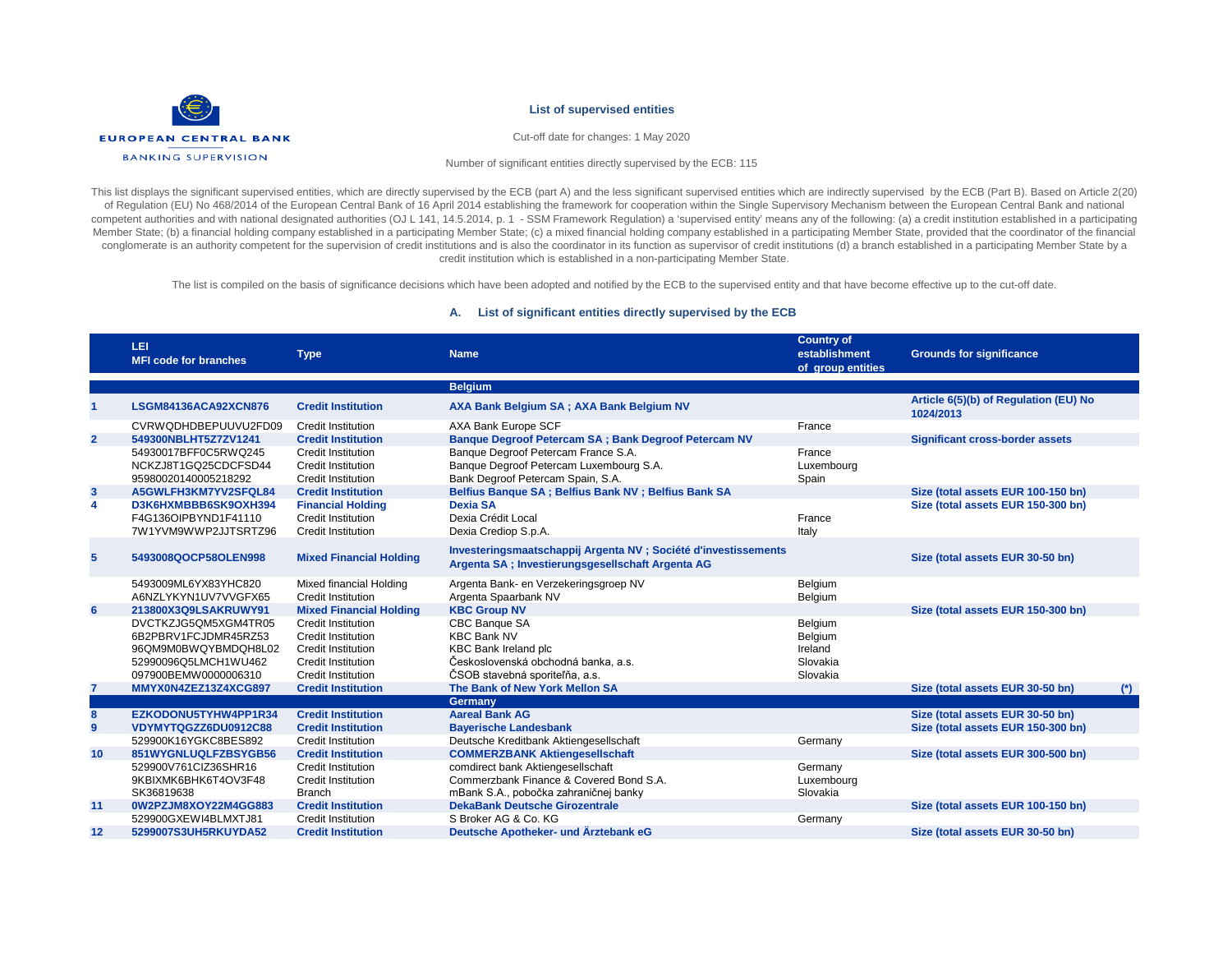

Cut-off date for changes: 1 May 2020

Number of significant entities directly supervised by the ECB: 115

This list displays the significant supervised entities, which are directly supervised by the ECB (part A) and the less significant supervised entities which are indirectly supervised by the ECB (Part B). Based on Article 2 of Regulation (EU) No 468/2014 of the European Central Bank of 16 April 2014 establishing the framework for cooperation within the Single Supervisory Mechanism between the European Central Bank and national competent authorities and with national designated authorities (OJ L 141, 14.5.2014, p. 1 - SSM Framework Regulation) a 'supervised entity' means any of the following: (a) a credit institution established in a participatin Member State; (b) a financial holding company established in a participating Member State; (c) a mixed financial holding company established in a participating Member State, provided that the coordinator of the financial conglomerate is an authority competent for the supervision of credit institutions and is also the coordinator in its function as supervisor of credit institutions (d) a branch established in a participating Member State by credit institution which is established in a non-participating Member State.

The list is compiled on the basis of significance decisions which have been adopted and notified by the ECB to the supervised entity and that have become effective up to the cut-off date.

#### **A. List of significant entities directly supervised by the ECB**

|                 | LEI<br><b>MFI code for branches</b> | <b>Type</b>                    | <b>Name</b>                                                                                                          | <b>Country of</b><br>establishment<br>of group entities | <b>Grounds for significance</b>                    |       |
|-----------------|-------------------------------------|--------------------------------|----------------------------------------------------------------------------------------------------------------------|---------------------------------------------------------|----------------------------------------------------|-------|
|                 |                                     |                                | <b>Belgium</b>                                                                                                       |                                                         |                                                    |       |
| 1               | LSGM84136ACA92XCN876                | <b>Credit Institution</b>      | AXA Bank Belgium SA; AXA Bank Belgium NV                                                                             |                                                         | Article 6(5)(b) of Regulation (EU) No<br>1024/2013 |       |
|                 | CVRWODHDBEPUUVU2FD09                | Credit Institution             | AXA Bank Europe SCF                                                                                                  | France                                                  |                                                    |       |
| $\overline{2}$  | 549300NBLHT5Z7ZV1241                | <b>Credit Institution</b>      | Banque Degroof Petercam SA; Bank Degroof Petercam NV                                                                 |                                                         | <b>Significant cross-border assets</b>             |       |
|                 | 54930017BFF0C5RWQ245                | <b>Credit Institution</b>      | Banque Degroof Petercam France S.A.                                                                                  | France                                                  |                                                    |       |
|                 | NCKZJ8T1GQ25CDCFSD44                | <b>Credit Institution</b>      | Banque Degroof Petercam Luxembourg S.A.                                                                              | Luxembourg                                              |                                                    |       |
|                 | 95980020140005218292                | Credit Institution             | Bank Degroof Petercam Spain, S.A.                                                                                    | Spain                                                   |                                                    |       |
| 3               | A5GWLFH3KM7YV2SFQL84                | <b>Credit Institution</b>      | Belfius Banque SA ; Belfius Bank NV ; Belfius Bank SA                                                                |                                                         | Size (total assets EUR 100-150 bn)                 |       |
| 4               | D3K6HXMBBB6SK9OXH394                | <b>Financial Holding</b>       | <b>Dexia SA</b>                                                                                                      |                                                         | Size (total assets EUR 150-300 bn)                 |       |
|                 | F4G136OIPBYND1F41110                | <b>Credit Institution</b>      | Dexia Crédit Local                                                                                                   | France                                                  |                                                    |       |
|                 | 7W1YVM9WWP2JJTSRTZ96                | <b>Credit Institution</b>      | Dexia Crediop S.p.A.                                                                                                 | Italy                                                   |                                                    |       |
| $5\phantom{.0}$ | 5493008QOCP58OLEN998                | <b>Mixed Financial Holding</b> | Investeringsmaatschappij Argenta NV ; Société d'investissements<br>Argenta SA ; Investierungsgesellschaft Argenta AG |                                                         | Size (total assets EUR 30-50 bn)                   |       |
|                 | 5493009ML6YX83YHC820                | Mixed financial Holding        | Argenta Bank- en Verzekeringsgroep NV                                                                                | Belgium                                                 |                                                    |       |
|                 | A6NZLYKYN1UV7VVGFX65                | Credit Institution             | Argenta Spaarbank NV                                                                                                 | Belgium                                                 |                                                    |       |
| 6               | 213800X3Q9LSAKRUWY91                | <b>Mixed Financial Holding</b> | <b>KBC Group NV</b>                                                                                                  |                                                         | Size (total assets EUR 150-300 bn)                 |       |
|                 | DVCTKZJG5QM5XGM4TR05                | <b>Credit Institution</b>      | CBC Banque SA                                                                                                        | Belgium                                                 |                                                    |       |
|                 | 6B2PBRV1FCJDMR45RZ53                | Credit Institution             | <b>KBC Bank NV</b>                                                                                                   | Belgium                                                 |                                                    |       |
|                 | 96QM9M0BWQYBMDQH8L02                | <b>Credit Institution</b>      | <b>KBC Bank Ireland plc</b>                                                                                          | Ireland                                                 |                                                    |       |
|                 | 52990096Q5LMCH1WU462                | <b>Credit Institution</b>      | Československá obchodná banka, a.s.                                                                                  | Slovakia                                                |                                                    |       |
|                 | 097900BEMW0000006310                | Credit Institution             | ČSOB stavebná sporiteľňa, a.s.                                                                                       | Slovakia                                                |                                                    |       |
| $\overline{7}$  | MMYX0N4ZEZ13Z4XCG897                | <b>Credit Institution</b>      | The Bank of New York Mellon SA                                                                                       |                                                         | Size (total assets EUR 30-50 bn)                   | $(*)$ |
|                 |                                     |                                | Germany                                                                                                              |                                                         |                                                    |       |
| 8               | EZKODONU5TYHW4PP1R34                | <b>Credit Institution</b>      | <b>Aareal Bank AG</b>                                                                                                |                                                         | Size (total assets EUR 30-50 bn)                   |       |
| 9               | VDYMYTQGZZ6DU0912C88                | <b>Credit Institution</b>      | <b>Bayerische Landesbank</b>                                                                                         |                                                         | Size (total assets EUR 150-300 bn)                 |       |
|                 | 529900K16YGKC8BES892                | <b>Credit Institution</b>      | Deutsche Kreditbank Aktiengesellschaft                                                                               | Germany                                                 |                                                    |       |
| 10              | 851WYGNLUQLFZBSYGB56                | <b>Credit Institution</b>      | <b>COMMERZBANK Aktiengesellschaft</b>                                                                                |                                                         | Size (total assets EUR 300-500 bn)                 |       |
|                 | 529900V761CIZ36SHR16                | <b>Credit Institution</b>      | comdirect bank Aktiengesellschaft                                                                                    | Germany                                                 |                                                    |       |
|                 | 9KBIXMK6BHK6T4OV3F48                | <b>Credit Institution</b>      | Commerzbank Finance & Covered Bond S.A.                                                                              | Luxembourg                                              |                                                    |       |
|                 | SK36819638                          | <b>Branch</b>                  | mBank S.A., pobočka zahraničnej banky                                                                                | Slovakia                                                |                                                    |       |
| 11              | 0W2PZJM8XOY22M4GG883                | <b>Credit Institution</b>      | <b>DekaBank Deutsche Girozentrale</b>                                                                                |                                                         | Size (total assets EUR 100-150 bn)                 |       |
|                 | 529900GXEWI4BLMXTJ81                | Credit Institution             | S Broker AG & Co. KG                                                                                                 | Germany                                                 |                                                    |       |
| 12              | 5299007S3UH5RKUYDA52                | <b>Credit Institution</b>      | Deutsche Apotheker- und Ärztebank eG                                                                                 |                                                         | Size (total assets EUR 30-50 bn)                   |       |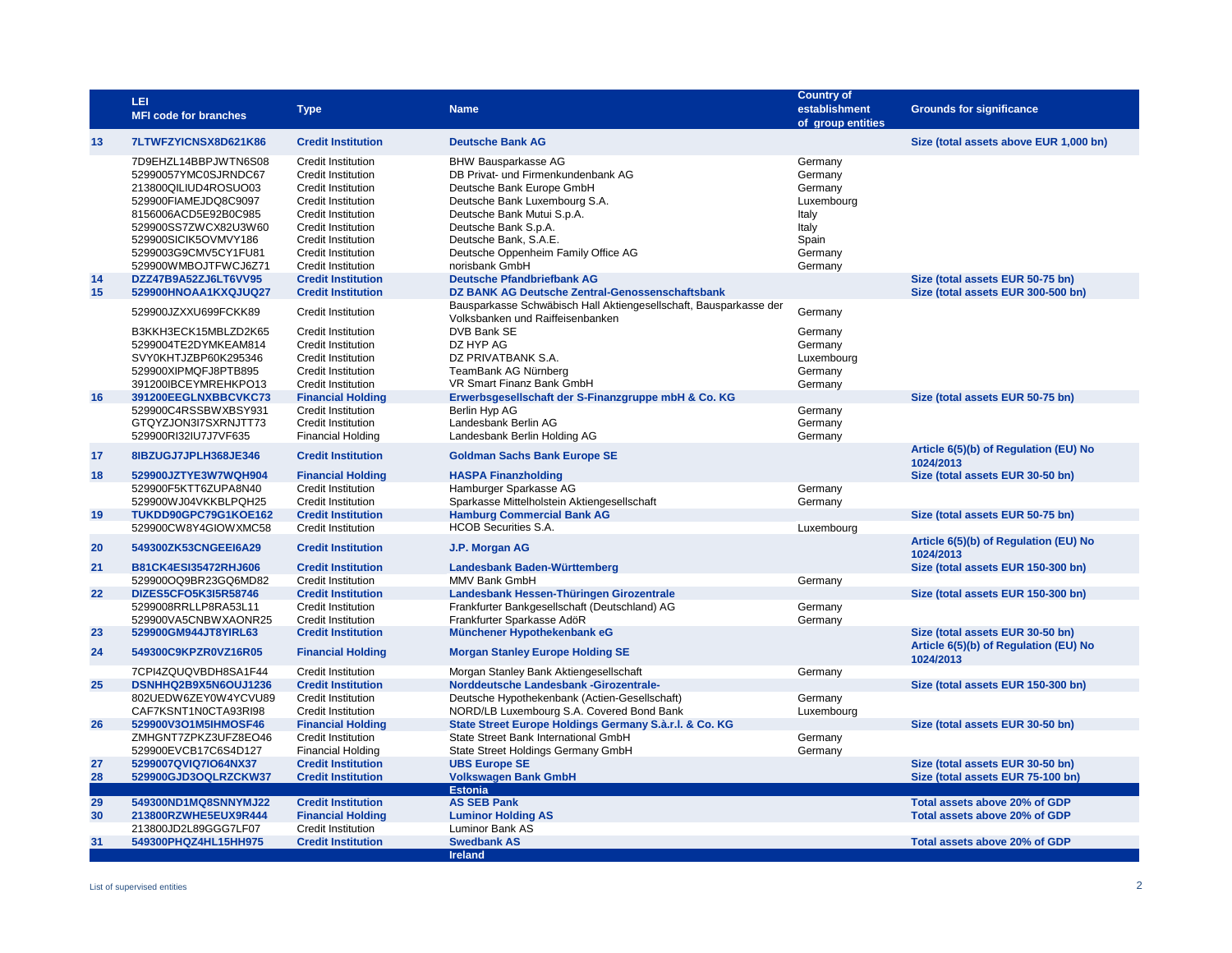|          | LEI<br><b>MFI code for branches</b>                                                          | <b>Type</b>                                                                                                      | <b>Name</b>                                                                                                                    | <b>Country of</b><br>establishment<br>of group entities | <b>Grounds for significance</b>                                           |
|----------|----------------------------------------------------------------------------------------------|------------------------------------------------------------------------------------------------------------------|--------------------------------------------------------------------------------------------------------------------------------|---------------------------------------------------------|---------------------------------------------------------------------------|
| 13       | 7LTWFZYICNSX8D621K86                                                                         | <b>Credit Institution</b>                                                                                        | <b>Deutsche Bank AG</b>                                                                                                        |                                                         | Size (total assets above EUR 1,000 bn)                                    |
|          | 7D9EHZL14BBPJWTN6S08<br>52990057YMC0SJRNDC67<br>213800QILIUD4ROSUO03<br>529900FIAMEJDQ8C9097 | <b>Credit Institution</b><br><b>Credit Institution</b><br><b>Credit Institution</b><br>Credit Institution        | <b>BHW Bausparkasse AG</b><br>DB Privat- und Firmenkundenbank AG<br>Deutsche Bank Europe GmbH<br>Deutsche Bank Luxembourg S.A. | Germany<br>Germany<br>Germany<br>Luxembourg             |                                                                           |
|          | 8156006ACD5E92B0C985<br>529900SS7ZWCX82U3W60<br>529900SICIK5OVMVY186<br>5299003G9CMV5CY1FU81 | Credit Institution<br>Credit Institution<br><b>Credit Institution</b><br>Credit Institution                      | Deutsche Bank Mutui S.p.A.<br>Deutsche Bank S.p.A.<br>Deutsche Bank, S.A.E.<br>Deutsche Oppenheim Family Office AG             | Italy<br>Italy<br>Spain<br>Germany                      |                                                                           |
| 14       | 529900WMBOJTFWCJ6Z71<br>DZZ47B9A52ZJ6LT6VV95                                                 | Credit Institution<br><b>Credit Institution</b>                                                                  | norisbank GmbH<br><b>Deutsche Pfandbriefbank AG</b>                                                                            | Germany                                                 | Size (total assets EUR 50-75 bn)                                          |
| 15       | 529900HNOAA1KXQJUQ27                                                                         | <b>Credit Institution</b>                                                                                        | DZ BANK AG Deutsche Zentral-Genossenschaftsbank<br>Bausparkasse Schwäbisch Hall Aktiengesellschaft, Bausparkasse der           |                                                         | Size (total assets EUR 300-500 bn)                                        |
|          | 529900JZXXU699FCKK89<br>B3KKH3ECK15MBLZD2K65                                                 | <b>Credit Institution</b><br><b>Credit Institution</b>                                                           | Volksbanken und Raiffeisenbanken<br>DVB Bank SE                                                                                | Germany<br>Germany                                      |                                                                           |
|          | 5299004TE2DYMKEAM814<br>SVY0KHTJZBP60K295346<br>529900XIPMQFJ8PTB895<br>391200IBCEYMREHKPO13 | <b>Credit Institution</b><br><b>Credit Institution</b><br><b>Credit Institution</b><br><b>Credit Institution</b> | DZ HYP AG<br>DZ PRIVATBANK S.A.<br>TeamBank AG Nürnberg<br>VR Smart Finanz Bank GmbH                                           | Germany<br>Luxembourg<br>Germany<br>Germany             |                                                                           |
| 16       | 391200EEGLNXBBCVKC73                                                                         | <b>Financial Holding</b>                                                                                         | Erwerbsgesellschaft der S-Finanzgruppe mbH & Co. KG                                                                            |                                                         | Size (total assets EUR 50-75 bn)                                          |
|          | 529900C4RSSBWXBSY931<br>GTQYZJON3I7SXRNJTT73<br>529900RI32IU7J7VF635                         | <b>Credit Institution</b><br><b>Credit Institution</b><br><b>Financial Holding</b>                               | Berlin Hvp AG<br>Landesbank Berlin AG<br>Landesbank Berlin Holding AG                                                          | Germany<br>Germany<br>Germany                           |                                                                           |
| 17       | 8IBZUGJ7JPLH368JE346                                                                         | <b>Credit Institution</b>                                                                                        | <b>Goldman Sachs Bank Europe SE</b>                                                                                            |                                                         | Article 6(5)(b) of Regulation (EU) No<br>1024/2013                        |
| 18       | 529900JZTYE3W7WQH904                                                                         | <b>Financial Holding</b>                                                                                         | <b>HASPA Finanzholding</b>                                                                                                     |                                                         | Size (total assets EUR 30-50 bn)                                          |
|          | 529900F5KTT6ZUPA8N40<br>529900WJ04VKKBLPQH25                                                 | <b>Credit Institution</b><br><b>Credit Institution</b>                                                           | Hamburger Sparkasse AG<br>Sparkasse Mittelholstein Aktiengesellschaft                                                          | Germany<br>Germany                                      |                                                                           |
| 19       | TUKDD90GPC79G1KOE162                                                                         | <b>Credit Institution</b>                                                                                        | <b>Hamburg Commercial Bank AG</b><br><b>HCOB Securities S.A.</b>                                                               |                                                         | Size (total assets EUR 50-75 bn)                                          |
|          | 529900CW8Y4GIOWXMC58                                                                         | Credit Institution                                                                                               |                                                                                                                                | Luxembourg                                              | Article 6(5)(b) of Regulation (EU) No                                     |
| 20<br>21 | 549300ZK53CNGEEI6A29<br>B81CK4ESI35472RHJ606                                                 | <b>Credit Institution</b><br><b>Credit Institution</b>                                                           | J.P. Morgan AG<br>Landesbank Baden-Württemberg                                                                                 |                                                         | 1024/2013<br>Size (total assets EUR 150-300 bn)                           |
|          | 529900OQ9BR23GQ6MD82                                                                         | <b>Credit Institution</b>                                                                                        | MMV Bank GmbH                                                                                                                  | Germany                                                 |                                                                           |
| 22       | DIZES5CFO5K3I5R58746                                                                         | <b>Credit Institution</b>                                                                                        | Landesbank Hessen-Thüringen Girozentrale                                                                                       |                                                         | Size (total assets EUR 150-300 bn)                                        |
|          | 5299008RRLLP8RA53L11<br>529900VA5CNBWXAONR25                                                 | <b>Credit Institution</b><br><b>Credit Institution</b>                                                           | Frankfurter Bankgesellschaft (Deutschland) AG<br>Frankfurter Sparkasse AdöR                                                    | Germany<br>Germany                                      |                                                                           |
| 23<br>24 | 529900GM944JT8YIRL63<br>549300C9KPZR0VZ16R05                                                 | <b>Credit Institution</b><br><b>Financial Holding</b>                                                            | Münchener Hypothekenbank eG<br><b>Morgan Stanley Europe Holding SE</b>                                                         |                                                         | Size (total assets EUR 30-50 bn)<br>Article 6(5)(b) of Regulation (EU) No |
|          | 7CPI4ZQUQVBDH8SA1F44                                                                         | <b>Credit Institution</b>                                                                                        | Morgan Stanley Bank Aktiengesellschaft                                                                                         | Germany                                                 | 1024/2013                                                                 |
| 25       | DSNHHQ2B9X5N6OUJ1236                                                                         | <b>Credit Institution</b>                                                                                        | Norddeutsche Landesbank - Girozentrale-                                                                                        |                                                         | Size (total assets EUR 150-300 bn)                                        |
|          | 802UEDW6ZEY0W4YCVU89<br>CAF7KSNT1N0CTA93RI98                                                 | <b>Credit Institution</b><br>Credit Institution                                                                  | Deutsche Hypothekenbank (Actien-Gesellschaft)<br>NORD/LB Luxembourg S.A. Covered Bond Bank                                     | Germany<br>Luxembourg                                   |                                                                           |
| 26       | 529900V3O1M5IHMOSF46                                                                         | <b>Financial Holding</b>                                                                                         | State Street Europe Holdings Germany S.à.r.l. & Co. KG                                                                         |                                                         | Size (total assets EUR 30-50 bn)                                          |
|          | ZMHGNT7ZPKZ3UFZ8EO46<br>529900EVCB17C6S4D127                                                 | <b>Credit Institution</b><br><b>Financial Holding</b>                                                            | State Street Bank International GmbH<br>State Street Holdings Germany GmbH                                                     | Germany<br>Germany                                      |                                                                           |
| 27<br>28 | 5299007QVIQ7IO64NX37<br>529900GJD3OQLRZCKW37                                                 | <b>Credit Institution</b><br><b>Credit Institution</b>                                                           | <b>UBS Europe SE</b><br><b>Volkswagen Bank GmbH</b>                                                                            |                                                         | Size (total assets EUR 30-50 bn)<br>Size (total assets EUR 75-100 bn)     |
|          |                                                                                              |                                                                                                                  | <b>Estonia</b>                                                                                                                 |                                                         |                                                                           |
| 29<br>30 | 549300ND1MQ8SNNYMJ22<br>213800RZWHE5EUX9R444                                                 | <b>Credit Institution</b><br><b>Financial Holding</b>                                                            | <b>AS SEB Pank</b><br><b>Luminor Holding AS</b>                                                                                |                                                         | Total assets above 20% of GDP<br>Total assets above 20% of GDP            |
|          | 213800JD2L89GGG7LF07                                                                         | Credit Institution                                                                                               | <b>Luminor Bank AS</b>                                                                                                         |                                                         |                                                                           |
| 31       | 549300PHQZ4HL15HH975                                                                         | <b>Credit Institution</b>                                                                                        | <b>Swedbank AS</b><br><b>Ireland</b>                                                                                           |                                                         | Total assets above 20% of GDP                                             |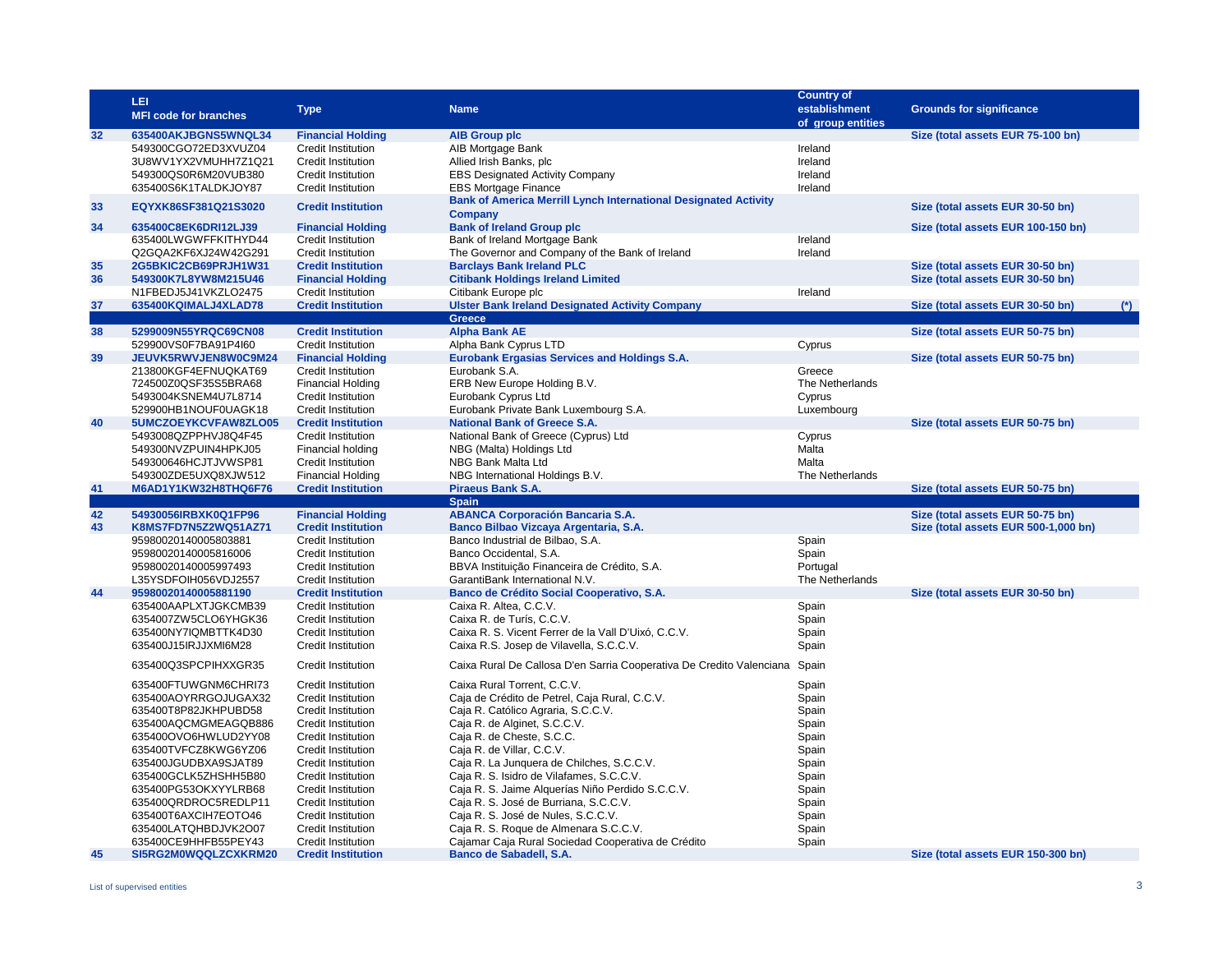| 32<br>635400AKJBGNS5WNQL34<br><b>Financial Holding</b><br><b>AIB Group plc</b><br>Size (total assets EUR 75-100 bn)<br>AIB Mortgage Bank<br>Ireland<br>549300CGO72ED3XVUZ04<br><b>Credit Institution</b><br>3U8WV1YX2VMUHH7Z1Q21<br>Allied Irish Banks, plc<br>Ireland<br><b>Credit Institution</b><br>549300QS0R6M20VUB380<br><b>Credit Institution</b><br><b>EBS Designated Activity Company</b><br>Ireland<br>635400S6K1TALDKJOY87<br>Credit Institution<br><b>EBS Mortgage Finance</b><br>Ireland<br><b>Bank of America Merrill Lynch International Designated Activity</b><br>33<br>EQYXK86SF381Q21S3020<br><b>Credit Institution</b><br>Size (total assets EUR 30-50 bn)<br><b>Company</b><br>34<br><b>Bank of Ireland Group plc</b><br>Size (total assets EUR 100-150 bn)<br>635400C8EK6DRI12LJ39<br><b>Financial Holding</b><br>Bank of Ireland Mortgage Bank<br>Ireland<br>635400LWGWFFKITHYD44<br><b>Credit Institution</b><br>Q2GQA2KF6XJ24W42G291<br>Credit Institution<br>The Governor and Company of the Bank of Ireland<br>Ireland<br>35<br>2G5BKIC2CB69PRJH1W31<br><b>Credit Institution</b><br><b>Barclays Bank Ireland PLC</b><br>Size (total assets EUR 30-50 bn)<br>36<br>549300K7L8YW8M215U46<br><b>Financial Holding</b><br><b>Citibank Holdings Ireland Limited</b><br>Size (total assets EUR 30-50 bn)<br>Ireland<br>N1FBEDJ5J41VKZLO2475<br><b>Credit Institution</b><br>Citibank Europe plc<br>37<br>635400KQIMALJ4XLAD78<br><b>Ulster Bank Ireland Designated Activity Company</b><br><b>Credit Institution</b><br>Size (total assets EUR 30-50 bn)<br>$^{\ast}$<br><b>Greece</b><br>38<br>5299009N55YRQC69CN08<br><b>Alpha Bank AE</b><br>Size (total assets EUR 50-75 bn)<br><b>Credit Institution</b><br>Cyprus<br>529900VS0F7BA91P4I60<br>Credit Institution<br>Alpha Bank Cyprus LTD<br>39<br>Eurobank Ergasias Services and Holdings S.A.<br>JEUVK5RWVJEN8W0C9M24<br><b>Financial Holding</b><br>Size (total assets EUR 50-75 bn)<br>Eurobank S.A.<br>213800KGF4EFNUQKAT69<br><b>Credit Institution</b><br>Greece<br>724500Z0QSF35S5BRA68<br>ERB New Europe Holding B.V.<br>The Netherlands<br><b>Financial Holding</b><br>Eurobank Cyprus Ltd<br>5493004KSNEM4U7L8714<br>Credit Institution<br>Cyprus<br>Eurobank Private Bank Luxembourg S.A.<br>Luxembourg<br>529900HB1NOUF0UAGK18<br><b>Credit Institution</b><br>40<br>5UMCZOEYKCVFAW8ZLO05<br><b>Credit Institution</b><br><b>National Bank of Greece S.A.</b><br>Size (total assets EUR 50-75 bn)<br>5493008QZPPHVJ8Q4F45<br>National Bank of Greece (Cyprus) Ltd<br>Cyprus<br>Credit Institution<br>549300NVZPUIN4HPKJ05<br>Financial holding<br>NBG (Malta) Holdings Ltd<br>Malta<br>549300646HCJTJVWSP81<br>Credit Institution<br>NBG Bank Malta Ltd<br>Malta<br>549300ZDE5UXQ8XJW512<br><b>Financial Holding</b><br>NBG International Holdings B.V.<br>The Netherlands<br>41<br>M6AD1Y1KW32H8THQ6F76<br><b>Credit Institution</b><br>Piraeus Bank S.A.<br>Size (total assets EUR 50-75 bn)<br><b>Spain</b><br>42<br><b>ABANCA Corporación Bancaria S.A.</b><br>54930056IRBXK0Q1FP96<br><b>Financial Holding</b><br>Size (total assets EUR 50-75 bn)<br>43<br><b>Credit Institution</b><br>Banco Bilbao Vizcaya Argentaria, S.A.<br>Size (total assets EUR 500-1,000 bn)<br>K8MS7FD7N5Z2WQ51AZ71<br>Spain<br><b>Credit Institution</b><br>Banco Industrial de Bilbao, S.A.<br>95980020140005803881<br>Banco Occidental, S.A.<br>Spain<br>95980020140005816006<br><b>Credit Institution</b><br>Portugal<br>95980020140005997493<br>Credit Institution<br>BBVA Instituição Financeira de Crédito, S.A.<br>GarantiBank International N.V.<br>The Netherlands<br>L35YSDFOIH056VDJ2557<br>Credit Institution<br>44<br>Banco de Crédito Social Cooperativo, S.A.<br>95980020140005881190<br><b>Credit Institution</b><br>Size (total assets EUR 30-50 bn)<br>Spain<br>635400AAPLXTJGKCMB39<br>Credit Institution<br>Caixa R. Altea, C.C.V.<br>6354007ZW5CLO6YHGK36<br>Caixa R. de Turís, C.C.V.<br>Spain<br>Credit Institution<br>Caixa R. S. Vicent Ferrer de la Vall D'Uixó, C.C.V.<br>635400NY7IQMBTTK4D30<br>Credit Institution<br>Spain<br>635400J15IRJJXMI6M28<br><b>Credit Institution</b><br>Caixa R.S. Josep de Vilavella, S.C.C.V.<br>Spain<br>635400Q3SPCPIHXXGR35<br>Caixa Rural De Callosa D'en Sarria Cooperativa De Credito Valenciana<br><b>Credit Institution</b><br>Spain<br>Spain<br>635400FTUWGNM6CHRI73<br><b>Credit Institution</b><br>Caixa Rural Torrent, C.C.V.<br>Spain<br>635400AOYRRGOJUGAX32<br><b>Credit Institution</b><br>Caja de Crédito de Petrel, Caja Rural, C.C.V.<br>635400T8P82JKHPUBD58<br>Credit Institution<br>Caja R. Católico Agraria, S.C.C.V.<br>Spain<br>635400AQCMGMEAGQB886<br>Caja R. de Alginet, S.C.C.V.<br>Spain<br>Credit Institution<br>635400OVO6HWLUD2YY08<br>Credit Institution<br>Caja R. de Cheste, S.C.C.<br>Spain<br>635400TVFCZ8KWG6YZ06<br>Credit Institution<br>Caja R. de Villar, C.C.V.<br>Spain<br>635400JGUDBXA9SJAT89<br>Credit Institution<br>Caja R. La Junquera de Chilches, S.C.C.V.<br>Spain<br>635400GCLK5ZHSHH5B80<br>Caja R. S. Isidro de Vilafames, S.C.C.V.<br>Spain<br>Credit Institution<br>635400PG53OKXYYLRB68<br>Credit Institution<br>Caja R. S. Jaime Alquerías Niño Perdido S.C.C.V.<br>Spain<br>635400QRDROC5REDLP11<br><b>Credit Institution</b><br>Caja R. S. José de Burriana, S.C.C.V.<br>Spain<br>635400T6AXCIH7EOTO46<br><b>Credit Institution</b><br>Caja R. S. José de Nules, S.C.C.V.<br>Spain<br>Caja R. S. Roque de Almenara S.C.C.V.<br>Spain<br>635400LATQHBDJVK2O07<br>Credit Institution<br>Spain<br>635400CE9HHFB55PEY43<br>Credit Institution<br>Cajamar Caja Rural Sociedad Cooperativa de Crédito<br>45<br>SI5RG2M0WQQLZCXKRM20<br><b>Credit Institution</b><br>Banco de Sabadell, S.A.<br>Size (total assets EUR 150-300 bn) | LEI<br><b>MFI code for branches</b> | <b>Type</b> | <b>Name</b> | <b>Country of</b><br>establishment<br>of group entities | <b>Grounds for significance</b> |
|--------------------------------------------------------------------------------------------------------------------------------------------------------------------------------------------------------------------------------------------------------------------------------------------------------------------------------------------------------------------------------------------------------------------------------------------------------------------------------------------------------------------------------------------------------------------------------------------------------------------------------------------------------------------------------------------------------------------------------------------------------------------------------------------------------------------------------------------------------------------------------------------------------------------------------------------------------------------------------------------------------------------------------------------------------------------------------------------------------------------------------------------------------------------------------------------------------------------------------------------------------------------------------------------------------------------------------------------------------------------------------------------------------------------------------------------------------------------------------------------------------------------------------------------------------------------------------------------------------------------------------------------------------------------------------------------------------------------------------------------------------------------------------------------------------------------------------------------------------------------------------------------------------------------------------------------------------------------------------------------------------------------------------------------------------------------------------------------------------------------------------------------------------------------------------------------------------------------------------------------------------------------------------------------------------------------------------------------------------------------------------------------------------------------------------------------------------------------------------------------------------------------------------------------------------------------------------------------------------------------------------------------------------------------------------------------------------------------------------------------------------------------------------------------------------------------------------------------------------------------------------------------------------------------------------------------------------------------------------------------------------------------------------------------------------------------------------------------------------------------------------------------------------------------------------------------------------------------------------------------------------------------------------------------------------------------------------------------------------------------------------------------------------------------------------------------------------------------------------------------------------------------------------------------------------------------------------------------------------------------------------------------------------------------------------------------------------------------------------------------------------------------------------------------------------------------------------------------------------------------------------------------------------------------------------------------------------------------------------------------------------------------------------------------------------------------------------------------------------------------------------------------------------------------------------------------------------------------------------------------------------------------------------------------------------------------------------------------------------------------------------------------------------------------------------------------------------------------------------------------------------------------------------------------------------------------------------------------------------------------------------------------------------------------------------------------------------------------------------------------------------------------------------------------------------------------------------------------------------------------------------------------------------------------------------------------------------------------------------------------------------------------------------------------------------------------------------------------------------------------------------------------------------------------------------------------------------------------------------------------------------------------------------------------------------------------------------------------------------------------------------------------------------------------------------------------------------------------------------------------------------------------------------------------------------------------------------------------------------------------------------------------------------------------------------------------------------------------------------------------------------------------------------------------------------------------------------|-------------------------------------|-------------|-------------|---------------------------------------------------------|---------------------------------|
|                                                                                                                                                                                                                                                                                                                                                                                                                                                                                                                                                                                                                                                                                                                                                                                                                                                                                                                                                                                                                                                                                                                                                                                                                                                                                                                                                                                                                                                                                                                                                                                                                                                                                                                                                                                                                                                                                                                                                                                                                                                                                                                                                                                                                                                                                                                                                                                                                                                                                                                                                                                                                                                                                                                                                                                                                                                                                                                                                                                                                                                                                                                                                                                                                                                                                                                                                                                                                                                                                                                                                                                                                                                                                                                                                                                                                                                                                                                                                                                                                                                                                                                                                                                                                                                                                                                                                                                                                                                                                                                                                                                                                                                                                                                                                                                                                                                                                                                                                                                                                                                                                                                                                                                                                                                                                                                                                                                                                                                                                                                                                                                                                                                                                                                                                                                                                                |                                     |             |             |                                                         |                                 |
|                                                                                                                                                                                                                                                                                                                                                                                                                                                                                                                                                                                                                                                                                                                                                                                                                                                                                                                                                                                                                                                                                                                                                                                                                                                                                                                                                                                                                                                                                                                                                                                                                                                                                                                                                                                                                                                                                                                                                                                                                                                                                                                                                                                                                                                                                                                                                                                                                                                                                                                                                                                                                                                                                                                                                                                                                                                                                                                                                                                                                                                                                                                                                                                                                                                                                                                                                                                                                                                                                                                                                                                                                                                                                                                                                                                                                                                                                                                                                                                                                                                                                                                                                                                                                                                                                                                                                                                                                                                                                                                                                                                                                                                                                                                                                                                                                                                                                                                                                                                                                                                                                                                                                                                                                                                                                                                                                                                                                                                                                                                                                                                                                                                                                                                                                                                                                                |                                     |             |             |                                                         |                                 |
|                                                                                                                                                                                                                                                                                                                                                                                                                                                                                                                                                                                                                                                                                                                                                                                                                                                                                                                                                                                                                                                                                                                                                                                                                                                                                                                                                                                                                                                                                                                                                                                                                                                                                                                                                                                                                                                                                                                                                                                                                                                                                                                                                                                                                                                                                                                                                                                                                                                                                                                                                                                                                                                                                                                                                                                                                                                                                                                                                                                                                                                                                                                                                                                                                                                                                                                                                                                                                                                                                                                                                                                                                                                                                                                                                                                                                                                                                                                                                                                                                                                                                                                                                                                                                                                                                                                                                                                                                                                                                                                                                                                                                                                                                                                                                                                                                                                                                                                                                                                                                                                                                                                                                                                                                                                                                                                                                                                                                                                                                                                                                                                                                                                                                                                                                                                                                                |                                     |             |             |                                                         |                                 |
|                                                                                                                                                                                                                                                                                                                                                                                                                                                                                                                                                                                                                                                                                                                                                                                                                                                                                                                                                                                                                                                                                                                                                                                                                                                                                                                                                                                                                                                                                                                                                                                                                                                                                                                                                                                                                                                                                                                                                                                                                                                                                                                                                                                                                                                                                                                                                                                                                                                                                                                                                                                                                                                                                                                                                                                                                                                                                                                                                                                                                                                                                                                                                                                                                                                                                                                                                                                                                                                                                                                                                                                                                                                                                                                                                                                                                                                                                                                                                                                                                                                                                                                                                                                                                                                                                                                                                                                                                                                                                                                                                                                                                                                                                                                                                                                                                                                                                                                                                                                                                                                                                                                                                                                                                                                                                                                                                                                                                                                                                                                                                                                                                                                                                                                                                                                                                                |                                     |             |             |                                                         |                                 |
|                                                                                                                                                                                                                                                                                                                                                                                                                                                                                                                                                                                                                                                                                                                                                                                                                                                                                                                                                                                                                                                                                                                                                                                                                                                                                                                                                                                                                                                                                                                                                                                                                                                                                                                                                                                                                                                                                                                                                                                                                                                                                                                                                                                                                                                                                                                                                                                                                                                                                                                                                                                                                                                                                                                                                                                                                                                                                                                                                                                                                                                                                                                                                                                                                                                                                                                                                                                                                                                                                                                                                                                                                                                                                                                                                                                                                                                                                                                                                                                                                                                                                                                                                                                                                                                                                                                                                                                                                                                                                                                                                                                                                                                                                                                                                                                                                                                                                                                                                                                                                                                                                                                                                                                                                                                                                                                                                                                                                                                                                                                                                                                                                                                                                                                                                                                                                                |                                     |             |             |                                                         |                                 |
|                                                                                                                                                                                                                                                                                                                                                                                                                                                                                                                                                                                                                                                                                                                                                                                                                                                                                                                                                                                                                                                                                                                                                                                                                                                                                                                                                                                                                                                                                                                                                                                                                                                                                                                                                                                                                                                                                                                                                                                                                                                                                                                                                                                                                                                                                                                                                                                                                                                                                                                                                                                                                                                                                                                                                                                                                                                                                                                                                                                                                                                                                                                                                                                                                                                                                                                                                                                                                                                                                                                                                                                                                                                                                                                                                                                                                                                                                                                                                                                                                                                                                                                                                                                                                                                                                                                                                                                                                                                                                                                                                                                                                                                                                                                                                                                                                                                                                                                                                                                                                                                                                                                                                                                                                                                                                                                                                                                                                                                                                                                                                                                                                                                                                                                                                                                                                                |                                     |             |             |                                                         |                                 |
|                                                                                                                                                                                                                                                                                                                                                                                                                                                                                                                                                                                                                                                                                                                                                                                                                                                                                                                                                                                                                                                                                                                                                                                                                                                                                                                                                                                                                                                                                                                                                                                                                                                                                                                                                                                                                                                                                                                                                                                                                                                                                                                                                                                                                                                                                                                                                                                                                                                                                                                                                                                                                                                                                                                                                                                                                                                                                                                                                                                                                                                                                                                                                                                                                                                                                                                                                                                                                                                                                                                                                                                                                                                                                                                                                                                                                                                                                                                                                                                                                                                                                                                                                                                                                                                                                                                                                                                                                                                                                                                                                                                                                                                                                                                                                                                                                                                                                                                                                                                                                                                                                                                                                                                                                                                                                                                                                                                                                                                                                                                                                                                                                                                                                                                                                                                                                                |                                     |             |             |                                                         |                                 |
|                                                                                                                                                                                                                                                                                                                                                                                                                                                                                                                                                                                                                                                                                                                                                                                                                                                                                                                                                                                                                                                                                                                                                                                                                                                                                                                                                                                                                                                                                                                                                                                                                                                                                                                                                                                                                                                                                                                                                                                                                                                                                                                                                                                                                                                                                                                                                                                                                                                                                                                                                                                                                                                                                                                                                                                                                                                                                                                                                                                                                                                                                                                                                                                                                                                                                                                                                                                                                                                                                                                                                                                                                                                                                                                                                                                                                                                                                                                                                                                                                                                                                                                                                                                                                                                                                                                                                                                                                                                                                                                                                                                                                                                                                                                                                                                                                                                                                                                                                                                                                                                                                                                                                                                                                                                                                                                                                                                                                                                                                                                                                                                                                                                                                                                                                                                                                                |                                     |             |             |                                                         |                                 |
|                                                                                                                                                                                                                                                                                                                                                                                                                                                                                                                                                                                                                                                                                                                                                                                                                                                                                                                                                                                                                                                                                                                                                                                                                                                                                                                                                                                                                                                                                                                                                                                                                                                                                                                                                                                                                                                                                                                                                                                                                                                                                                                                                                                                                                                                                                                                                                                                                                                                                                                                                                                                                                                                                                                                                                                                                                                                                                                                                                                                                                                                                                                                                                                                                                                                                                                                                                                                                                                                                                                                                                                                                                                                                                                                                                                                                                                                                                                                                                                                                                                                                                                                                                                                                                                                                                                                                                                                                                                                                                                                                                                                                                                                                                                                                                                                                                                                                                                                                                                                                                                                                                                                                                                                                                                                                                                                                                                                                                                                                                                                                                                                                                                                                                                                                                                                                                |                                     |             |             |                                                         |                                 |
|                                                                                                                                                                                                                                                                                                                                                                                                                                                                                                                                                                                                                                                                                                                                                                                                                                                                                                                                                                                                                                                                                                                                                                                                                                                                                                                                                                                                                                                                                                                                                                                                                                                                                                                                                                                                                                                                                                                                                                                                                                                                                                                                                                                                                                                                                                                                                                                                                                                                                                                                                                                                                                                                                                                                                                                                                                                                                                                                                                                                                                                                                                                                                                                                                                                                                                                                                                                                                                                                                                                                                                                                                                                                                                                                                                                                                                                                                                                                                                                                                                                                                                                                                                                                                                                                                                                                                                                                                                                                                                                                                                                                                                                                                                                                                                                                                                                                                                                                                                                                                                                                                                                                                                                                                                                                                                                                                                                                                                                                                                                                                                                                                                                                                                                                                                                                                                |                                     |             |             |                                                         |                                 |
|                                                                                                                                                                                                                                                                                                                                                                                                                                                                                                                                                                                                                                                                                                                                                                                                                                                                                                                                                                                                                                                                                                                                                                                                                                                                                                                                                                                                                                                                                                                                                                                                                                                                                                                                                                                                                                                                                                                                                                                                                                                                                                                                                                                                                                                                                                                                                                                                                                                                                                                                                                                                                                                                                                                                                                                                                                                                                                                                                                                                                                                                                                                                                                                                                                                                                                                                                                                                                                                                                                                                                                                                                                                                                                                                                                                                                                                                                                                                                                                                                                                                                                                                                                                                                                                                                                                                                                                                                                                                                                                                                                                                                                                                                                                                                                                                                                                                                                                                                                                                                                                                                                                                                                                                                                                                                                                                                                                                                                                                                                                                                                                                                                                                                                                                                                                                                                |                                     |             |             |                                                         |                                 |
|                                                                                                                                                                                                                                                                                                                                                                                                                                                                                                                                                                                                                                                                                                                                                                                                                                                                                                                                                                                                                                                                                                                                                                                                                                                                                                                                                                                                                                                                                                                                                                                                                                                                                                                                                                                                                                                                                                                                                                                                                                                                                                                                                                                                                                                                                                                                                                                                                                                                                                                                                                                                                                                                                                                                                                                                                                                                                                                                                                                                                                                                                                                                                                                                                                                                                                                                                                                                                                                                                                                                                                                                                                                                                                                                                                                                                                                                                                                                                                                                                                                                                                                                                                                                                                                                                                                                                                                                                                                                                                                                                                                                                                                                                                                                                                                                                                                                                                                                                                                                                                                                                                                                                                                                                                                                                                                                                                                                                                                                                                                                                                                                                                                                                                                                                                                                                                |                                     |             |             |                                                         |                                 |
|                                                                                                                                                                                                                                                                                                                                                                                                                                                                                                                                                                                                                                                                                                                                                                                                                                                                                                                                                                                                                                                                                                                                                                                                                                                                                                                                                                                                                                                                                                                                                                                                                                                                                                                                                                                                                                                                                                                                                                                                                                                                                                                                                                                                                                                                                                                                                                                                                                                                                                                                                                                                                                                                                                                                                                                                                                                                                                                                                                                                                                                                                                                                                                                                                                                                                                                                                                                                                                                                                                                                                                                                                                                                                                                                                                                                                                                                                                                                                                                                                                                                                                                                                                                                                                                                                                                                                                                                                                                                                                                                                                                                                                                                                                                                                                                                                                                                                                                                                                                                                                                                                                                                                                                                                                                                                                                                                                                                                                                                                                                                                                                                                                                                                                                                                                                                                                |                                     |             |             |                                                         |                                 |
|                                                                                                                                                                                                                                                                                                                                                                                                                                                                                                                                                                                                                                                                                                                                                                                                                                                                                                                                                                                                                                                                                                                                                                                                                                                                                                                                                                                                                                                                                                                                                                                                                                                                                                                                                                                                                                                                                                                                                                                                                                                                                                                                                                                                                                                                                                                                                                                                                                                                                                                                                                                                                                                                                                                                                                                                                                                                                                                                                                                                                                                                                                                                                                                                                                                                                                                                                                                                                                                                                                                                                                                                                                                                                                                                                                                                                                                                                                                                                                                                                                                                                                                                                                                                                                                                                                                                                                                                                                                                                                                                                                                                                                                                                                                                                                                                                                                                                                                                                                                                                                                                                                                                                                                                                                                                                                                                                                                                                                                                                                                                                                                                                                                                                                                                                                                                                                |                                     |             |             |                                                         |                                 |
|                                                                                                                                                                                                                                                                                                                                                                                                                                                                                                                                                                                                                                                                                                                                                                                                                                                                                                                                                                                                                                                                                                                                                                                                                                                                                                                                                                                                                                                                                                                                                                                                                                                                                                                                                                                                                                                                                                                                                                                                                                                                                                                                                                                                                                                                                                                                                                                                                                                                                                                                                                                                                                                                                                                                                                                                                                                                                                                                                                                                                                                                                                                                                                                                                                                                                                                                                                                                                                                                                                                                                                                                                                                                                                                                                                                                                                                                                                                                                                                                                                                                                                                                                                                                                                                                                                                                                                                                                                                                                                                                                                                                                                                                                                                                                                                                                                                                                                                                                                                                                                                                                                                                                                                                                                                                                                                                                                                                                                                                                                                                                                                                                                                                                                                                                                                                                                |                                     |             |             |                                                         |                                 |
|                                                                                                                                                                                                                                                                                                                                                                                                                                                                                                                                                                                                                                                                                                                                                                                                                                                                                                                                                                                                                                                                                                                                                                                                                                                                                                                                                                                                                                                                                                                                                                                                                                                                                                                                                                                                                                                                                                                                                                                                                                                                                                                                                                                                                                                                                                                                                                                                                                                                                                                                                                                                                                                                                                                                                                                                                                                                                                                                                                                                                                                                                                                                                                                                                                                                                                                                                                                                                                                                                                                                                                                                                                                                                                                                                                                                                                                                                                                                                                                                                                                                                                                                                                                                                                                                                                                                                                                                                                                                                                                                                                                                                                                                                                                                                                                                                                                                                                                                                                                                                                                                                                                                                                                                                                                                                                                                                                                                                                                                                                                                                                                                                                                                                                                                                                                                                                |                                     |             |             |                                                         |                                 |
|                                                                                                                                                                                                                                                                                                                                                                                                                                                                                                                                                                                                                                                                                                                                                                                                                                                                                                                                                                                                                                                                                                                                                                                                                                                                                                                                                                                                                                                                                                                                                                                                                                                                                                                                                                                                                                                                                                                                                                                                                                                                                                                                                                                                                                                                                                                                                                                                                                                                                                                                                                                                                                                                                                                                                                                                                                                                                                                                                                                                                                                                                                                                                                                                                                                                                                                                                                                                                                                                                                                                                                                                                                                                                                                                                                                                                                                                                                                                                                                                                                                                                                                                                                                                                                                                                                                                                                                                                                                                                                                                                                                                                                                                                                                                                                                                                                                                                                                                                                                                                                                                                                                                                                                                                                                                                                                                                                                                                                                                                                                                                                                                                                                                                                                                                                                                                                |                                     |             |             |                                                         |                                 |
|                                                                                                                                                                                                                                                                                                                                                                                                                                                                                                                                                                                                                                                                                                                                                                                                                                                                                                                                                                                                                                                                                                                                                                                                                                                                                                                                                                                                                                                                                                                                                                                                                                                                                                                                                                                                                                                                                                                                                                                                                                                                                                                                                                                                                                                                                                                                                                                                                                                                                                                                                                                                                                                                                                                                                                                                                                                                                                                                                                                                                                                                                                                                                                                                                                                                                                                                                                                                                                                                                                                                                                                                                                                                                                                                                                                                                                                                                                                                                                                                                                                                                                                                                                                                                                                                                                                                                                                                                                                                                                                                                                                                                                                                                                                                                                                                                                                                                                                                                                                                                                                                                                                                                                                                                                                                                                                                                                                                                                                                                                                                                                                                                                                                                                                                                                                                                                |                                     |             |             |                                                         |                                 |
|                                                                                                                                                                                                                                                                                                                                                                                                                                                                                                                                                                                                                                                                                                                                                                                                                                                                                                                                                                                                                                                                                                                                                                                                                                                                                                                                                                                                                                                                                                                                                                                                                                                                                                                                                                                                                                                                                                                                                                                                                                                                                                                                                                                                                                                                                                                                                                                                                                                                                                                                                                                                                                                                                                                                                                                                                                                                                                                                                                                                                                                                                                                                                                                                                                                                                                                                                                                                                                                                                                                                                                                                                                                                                                                                                                                                                                                                                                                                                                                                                                                                                                                                                                                                                                                                                                                                                                                                                                                                                                                                                                                                                                                                                                                                                                                                                                                                                                                                                                                                                                                                                                                                                                                                                                                                                                                                                                                                                                                                                                                                                                                                                                                                                                                                                                                                                                |                                     |             |             |                                                         |                                 |
|                                                                                                                                                                                                                                                                                                                                                                                                                                                                                                                                                                                                                                                                                                                                                                                                                                                                                                                                                                                                                                                                                                                                                                                                                                                                                                                                                                                                                                                                                                                                                                                                                                                                                                                                                                                                                                                                                                                                                                                                                                                                                                                                                                                                                                                                                                                                                                                                                                                                                                                                                                                                                                                                                                                                                                                                                                                                                                                                                                                                                                                                                                                                                                                                                                                                                                                                                                                                                                                                                                                                                                                                                                                                                                                                                                                                                                                                                                                                                                                                                                                                                                                                                                                                                                                                                                                                                                                                                                                                                                                                                                                                                                                                                                                                                                                                                                                                                                                                                                                                                                                                                                                                                                                                                                                                                                                                                                                                                                                                                                                                                                                                                                                                                                                                                                                                                                |                                     |             |             |                                                         |                                 |
|                                                                                                                                                                                                                                                                                                                                                                                                                                                                                                                                                                                                                                                                                                                                                                                                                                                                                                                                                                                                                                                                                                                                                                                                                                                                                                                                                                                                                                                                                                                                                                                                                                                                                                                                                                                                                                                                                                                                                                                                                                                                                                                                                                                                                                                                                                                                                                                                                                                                                                                                                                                                                                                                                                                                                                                                                                                                                                                                                                                                                                                                                                                                                                                                                                                                                                                                                                                                                                                                                                                                                                                                                                                                                                                                                                                                                                                                                                                                                                                                                                                                                                                                                                                                                                                                                                                                                                                                                                                                                                                                                                                                                                                                                                                                                                                                                                                                                                                                                                                                                                                                                                                                                                                                                                                                                                                                                                                                                                                                                                                                                                                                                                                                                                                                                                                                                                |                                     |             |             |                                                         |                                 |
|                                                                                                                                                                                                                                                                                                                                                                                                                                                                                                                                                                                                                                                                                                                                                                                                                                                                                                                                                                                                                                                                                                                                                                                                                                                                                                                                                                                                                                                                                                                                                                                                                                                                                                                                                                                                                                                                                                                                                                                                                                                                                                                                                                                                                                                                                                                                                                                                                                                                                                                                                                                                                                                                                                                                                                                                                                                                                                                                                                                                                                                                                                                                                                                                                                                                                                                                                                                                                                                                                                                                                                                                                                                                                                                                                                                                                                                                                                                                                                                                                                                                                                                                                                                                                                                                                                                                                                                                                                                                                                                                                                                                                                                                                                                                                                                                                                                                                                                                                                                                                                                                                                                                                                                                                                                                                                                                                                                                                                                                                                                                                                                                                                                                                                                                                                                                                                |                                     |             |             |                                                         |                                 |
|                                                                                                                                                                                                                                                                                                                                                                                                                                                                                                                                                                                                                                                                                                                                                                                                                                                                                                                                                                                                                                                                                                                                                                                                                                                                                                                                                                                                                                                                                                                                                                                                                                                                                                                                                                                                                                                                                                                                                                                                                                                                                                                                                                                                                                                                                                                                                                                                                                                                                                                                                                                                                                                                                                                                                                                                                                                                                                                                                                                                                                                                                                                                                                                                                                                                                                                                                                                                                                                                                                                                                                                                                                                                                                                                                                                                                                                                                                                                                                                                                                                                                                                                                                                                                                                                                                                                                                                                                                                                                                                                                                                                                                                                                                                                                                                                                                                                                                                                                                                                                                                                                                                                                                                                                                                                                                                                                                                                                                                                                                                                                                                                                                                                                                                                                                                                                                |                                     |             |             |                                                         |                                 |
|                                                                                                                                                                                                                                                                                                                                                                                                                                                                                                                                                                                                                                                                                                                                                                                                                                                                                                                                                                                                                                                                                                                                                                                                                                                                                                                                                                                                                                                                                                                                                                                                                                                                                                                                                                                                                                                                                                                                                                                                                                                                                                                                                                                                                                                                                                                                                                                                                                                                                                                                                                                                                                                                                                                                                                                                                                                                                                                                                                                                                                                                                                                                                                                                                                                                                                                                                                                                                                                                                                                                                                                                                                                                                                                                                                                                                                                                                                                                                                                                                                                                                                                                                                                                                                                                                                                                                                                                                                                                                                                                                                                                                                                                                                                                                                                                                                                                                                                                                                                                                                                                                                                                                                                                                                                                                                                                                                                                                                                                                                                                                                                                                                                                                                                                                                                                                                |                                     |             |             |                                                         |                                 |
|                                                                                                                                                                                                                                                                                                                                                                                                                                                                                                                                                                                                                                                                                                                                                                                                                                                                                                                                                                                                                                                                                                                                                                                                                                                                                                                                                                                                                                                                                                                                                                                                                                                                                                                                                                                                                                                                                                                                                                                                                                                                                                                                                                                                                                                                                                                                                                                                                                                                                                                                                                                                                                                                                                                                                                                                                                                                                                                                                                                                                                                                                                                                                                                                                                                                                                                                                                                                                                                                                                                                                                                                                                                                                                                                                                                                                                                                                                                                                                                                                                                                                                                                                                                                                                                                                                                                                                                                                                                                                                                                                                                                                                                                                                                                                                                                                                                                                                                                                                                                                                                                                                                                                                                                                                                                                                                                                                                                                                                                                                                                                                                                                                                                                                                                                                                                                                |                                     |             |             |                                                         |                                 |
|                                                                                                                                                                                                                                                                                                                                                                                                                                                                                                                                                                                                                                                                                                                                                                                                                                                                                                                                                                                                                                                                                                                                                                                                                                                                                                                                                                                                                                                                                                                                                                                                                                                                                                                                                                                                                                                                                                                                                                                                                                                                                                                                                                                                                                                                                                                                                                                                                                                                                                                                                                                                                                                                                                                                                                                                                                                                                                                                                                                                                                                                                                                                                                                                                                                                                                                                                                                                                                                                                                                                                                                                                                                                                                                                                                                                                                                                                                                                                                                                                                                                                                                                                                                                                                                                                                                                                                                                                                                                                                                                                                                                                                                                                                                                                                                                                                                                                                                                                                                                                                                                                                                                                                                                                                                                                                                                                                                                                                                                                                                                                                                                                                                                                                                                                                                                                                |                                     |             |             |                                                         |                                 |
|                                                                                                                                                                                                                                                                                                                                                                                                                                                                                                                                                                                                                                                                                                                                                                                                                                                                                                                                                                                                                                                                                                                                                                                                                                                                                                                                                                                                                                                                                                                                                                                                                                                                                                                                                                                                                                                                                                                                                                                                                                                                                                                                                                                                                                                                                                                                                                                                                                                                                                                                                                                                                                                                                                                                                                                                                                                                                                                                                                                                                                                                                                                                                                                                                                                                                                                                                                                                                                                                                                                                                                                                                                                                                                                                                                                                                                                                                                                                                                                                                                                                                                                                                                                                                                                                                                                                                                                                                                                                                                                                                                                                                                                                                                                                                                                                                                                                                                                                                                                                                                                                                                                                                                                                                                                                                                                                                                                                                                                                                                                                                                                                                                                                                                                                                                                                                                |                                     |             |             |                                                         |                                 |
|                                                                                                                                                                                                                                                                                                                                                                                                                                                                                                                                                                                                                                                                                                                                                                                                                                                                                                                                                                                                                                                                                                                                                                                                                                                                                                                                                                                                                                                                                                                                                                                                                                                                                                                                                                                                                                                                                                                                                                                                                                                                                                                                                                                                                                                                                                                                                                                                                                                                                                                                                                                                                                                                                                                                                                                                                                                                                                                                                                                                                                                                                                                                                                                                                                                                                                                                                                                                                                                                                                                                                                                                                                                                                                                                                                                                                                                                                                                                                                                                                                                                                                                                                                                                                                                                                                                                                                                                                                                                                                                                                                                                                                                                                                                                                                                                                                                                                                                                                                                                                                                                                                                                                                                                                                                                                                                                                                                                                                                                                                                                                                                                                                                                                                                                                                                                                                |                                     |             |             |                                                         |                                 |
|                                                                                                                                                                                                                                                                                                                                                                                                                                                                                                                                                                                                                                                                                                                                                                                                                                                                                                                                                                                                                                                                                                                                                                                                                                                                                                                                                                                                                                                                                                                                                                                                                                                                                                                                                                                                                                                                                                                                                                                                                                                                                                                                                                                                                                                                                                                                                                                                                                                                                                                                                                                                                                                                                                                                                                                                                                                                                                                                                                                                                                                                                                                                                                                                                                                                                                                                                                                                                                                                                                                                                                                                                                                                                                                                                                                                                                                                                                                                                                                                                                                                                                                                                                                                                                                                                                                                                                                                                                                                                                                                                                                                                                                                                                                                                                                                                                                                                                                                                                                                                                                                                                                                                                                                                                                                                                                                                                                                                                                                                                                                                                                                                                                                                                                                                                                                                                |                                     |             |             |                                                         |                                 |
|                                                                                                                                                                                                                                                                                                                                                                                                                                                                                                                                                                                                                                                                                                                                                                                                                                                                                                                                                                                                                                                                                                                                                                                                                                                                                                                                                                                                                                                                                                                                                                                                                                                                                                                                                                                                                                                                                                                                                                                                                                                                                                                                                                                                                                                                                                                                                                                                                                                                                                                                                                                                                                                                                                                                                                                                                                                                                                                                                                                                                                                                                                                                                                                                                                                                                                                                                                                                                                                                                                                                                                                                                                                                                                                                                                                                                                                                                                                                                                                                                                                                                                                                                                                                                                                                                                                                                                                                                                                                                                                                                                                                                                                                                                                                                                                                                                                                                                                                                                                                                                                                                                                                                                                                                                                                                                                                                                                                                                                                                                                                                                                                                                                                                                                                                                                                                                |                                     |             |             |                                                         |                                 |
|                                                                                                                                                                                                                                                                                                                                                                                                                                                                                                                                                                                                                                                                                                                                                                                                                                                                                                                                                                                                                                                                                                                                                                                                                                                                                                                                                                                                                                                                                                                                                                                                                                                                                                                                                                                                                                                                                                                                                                                                                                                                                                                                                                                                                                                                                                                                                                                                                                                                                                                                                                                                                                                                                                                                                                                                                                                                                                                                                                                                                                                                                                                                                                                                                                                                                                                                                                                                                                                                                                                                                                                                                                                                                                                                                                                                                                                                                                                                                                                                                                                                                                                                                                                                                                                                                                                                                                                                                                                                                                                                                                                                                                                                                                                                                                                                                                                                                                                                                                                                                                                                                                                                                                                                                                                                                                                                                                                                                                                                                                                                                                                                                                                                                                                                                                                                                                |                                     |             |             |                                                         |                                 |
|                                                                                                                                                                                                                                                                                                                                                                                                                                                                                                                                                                                                                                                                                                                                                                                                                                                                                                                                                                                                                                                                                                                                                                                                                                                                                                                                                                                                                                                                                                                                                                                                                                                                                                                                                                                                                                                                                                                                                                                                                                                                                                                                                                                                                                                                                                                                                                                                                                                                                                                                                                                                                                                                                                                                                                                                                                                                                                                                                                                                                                                                                                                                                                                                                                                                                                                                                                                                                                                                                                                                                                                                                                                                                                                                                                                                                                                                                                                                                                                                                                                                                                                                                                                                                                                                                                                                                                                                                                                                                                                                                                                                                                                                                                                                                                                                                                                                                                                                                                                                                                                                                                                                                                                                                                                                                                                                                                                                                                                                                                                                                                                                                                                                                                                                                                                                                                |                                     |             |             |                                                         |                                 |
|                                                                                                                                                                                                                                                                                                                                                                                                                                                                                                                                                                                                                                                                                                                                                                                                                                                                                                                                                                                                                                                                                                                                                                                                                                                                                                                                                                                                                                                                                                                                                                                                                                                                                                                                                                                                                                                                                                                                                                                                                                                                                                                                                                                                                                                                                                                                                                                                                                                                                                                                                                                                                                                                                                                                                                                                                                                                                                                                                                                                                                                                                                                                                                                                                                                                                                                                                                                                                                                                                                                                                                                                                                                                                                                                                                                                                                                                                                                                                                                                                                                                                                                                                                                                                                                                                                                                                                                                                                                                                                                                                                                                                                                                                                                                                                                                                                                                                                                                                                                                                                                                                                                                                                                                                                                                                                                                                                                                                                                                                                                                                                                                                                                                                                                                                                                                                                |                                     |             |             |                                                         |                                 |
|                                                                                                                                                                                                                                                                                                                                                                                                                                                                                                                                                                                                                                                                                                                                                                                                                                                                                                                                                                                                                                                                                                                                                                                                                                                                                                                                                                                                                                                                                                                                                                                                                                                                                                                                                                                                                                                                                                                                                                                                                                                                                                                                                                                                                                                                                                                                                                                                                                                                                                                                                                                                                                                                                                                                                                                                                                                                                                                                                                                                                                                                                                                                                                                                                                                                                                                                                                                                                                                                                                                                                                                                                                                                                                                                                                                                                                                                                                                                                                                                                                                                                                                                                                                                                                                                                                                                                                                                                                                                                                                                                                                                                                                                                                                                                                                                                                                                                                                                                                                                                                                                                                                                                                                                                                                                                                                                                                                                                                                                                                                                                                                                                                                                                                                                                                                                                                |                                     |             |             |                                                         |                                 |
|                                                                                                                                                                                                                                                                                                                                                                                                                                                                                                                                                                                                                                                                                                                                                                                                                                                                                                                                                                                                                                                                                                                                                                                                                                                                                                                                                                                                                                                                                                                                                                                                                                                                                                                                                                                                                                                                                                                                                                                                                                                                                                                                                                                                                                                                                                                                                                                                                                                                                                                                                                                                                                                                                                                                                                                                                                                                                                                                                                                                                                                                                                                                                                                                                                                                                                                                                                                                                                                                                                                                                                                                                                                                                                                                                                                                                                                                                                                                                                                                                                                                                                                                                                                                                                                                                                                                                                                                                                                                                                                                                                                                                                                                                                                                                                                                                                                                                                                                                                                                                                                                                                                                                                                                                                                                                                                                                                                                                                                                                                                                                                                                                                                                                                                                                                                                                                |                                     |             |             |                                                         |                                 |
|                                                                                                                                                                                                                                                                                                                                                                                                                                                                                                                                                                                                                                                                                                                                                                                                                                                                                                                                                                                                                                                                                                                                                                                                                                                                                                                                                                                                                                                                                                                                                                                                                                                                                                                                                                                                                                                                                                                                                                                                                                                                                                                                                                                                                                                                                                                                                                                                                                                                                                                                                                                                                                                                                                                                                                                                                                                                                                                                                                                                                                                                                                                                                                                                                                                                                                                                                                                                                                                                                                                                                                                                                                                                                                                                                                                                                                                                                                                                                                                                                                                                                                                                                                                                                                                                                                                                                                                                                                                                                                                                                                                                                                                                                                                                                                                                                                                                                                                                                                                                                                                                                                                                                                                                                                                                                                                                                                                                                                                                                                                                                                                                                                                                                                                                                                                                                                |                                     |             |             |                                                         |                                 |
|                                                                                                                                                                                                                                                                                                                                                                                                                                                                                                                                                                                                                                                                                                                                                                                                                                                                                                                                                                                                                                                                                                                                                                                                                                                                                                                                                                                                                                                                                                                                                                                                                                                                                                                                                                                                                                                                                                                                                                                                                                                                                                                                                                                                                                                                                                                                                                                                                                                                                                                                                                                                                                                                                                                                                                                                                                                                                                                                                                                                                                                                                                                                                                                                                                                                                                                                                                                                                                                                                                                                                                                                                                                                                                                                                                                                                                                                                                                                                                                                                                                                                                                                                                                                                                                                                                                                                                                                                                                                                                                                                                                                                                                                                                                                                                                                                                                                                                                                                                                                                                                                                                                                                                                                                                                                                                                                                                                                                                                                                                                                                                                                                                                                                                                                                                                                                                |                                     |             |             |                                                         |                                 |
|                                                                                                                                                                                                                                                                                                                                                                                                                                                                                                                                                                                                                                                                                                                                                                                                                                                                                                                                                                                                                                                                                                                                                                                                                                                                                                                                                                                                                                                                                                                                                                                                                                                                                                                                                                                                                                                                                                                                                                                                                                                                                                                                                                                                                                                                                                                                                                                                                                                                                                                                                                                                                                                                                                                                                                                                                                                                                                                                                                                                                                                                                                                                                                                                                                                                                                                                                                                                                                                                                                                                                                                                                                                                                                                                                                                                                                                                                                                                                                                                                                                                                                                                                                                                                                                                                                                                                                                                                                                                                                                                                                                                                                                                                                                                                                                                                                                                                                                                                                                                                                                                                                                                                                                                                                                                                                                                                                                                                                                                                                                                                                                                                                                                                                                                                                                                                                |                                     |             |             |                                                         |                                 |
|                                                                                                                                                                                                                                                                                                                                                                                                                                                                                                                                                                                                                                                                                                                                                                                                                                                                                                                                                                                                                                                                                                                                                                                                                                                                                                                                                                                                                                                                                                                                                                                                                                                                                                                                                                                                                                                                                                                                                                                                                                                                                                                                                                                                                                                                                                                                                                                                                                                                                                                                                                                                                                                                                                                                                                                                                                                                                                                                                                                                                                                                                                                                                                                                                                                                                                                                                                                                                                                                                                                                                                                                                                                                                                                                                                                                                                                                                                                                                                                                                                                                                                                                                                                                                                                                                                                                                                                                                                                                                                                                                                                                                                                                                                                                                                                                                                                                                                                                                                                                                                                                                                                                                                                                                                                                                                                                                                                                                                                                                                                                                                                                                                                                                                                                                                                                                                |                                     |             |             |                                                         |                                 |
|                                                                                                                                                                                                                                                                                                                                                                                                                                                                                                                                                                                                                                                                                                                                                                                                                                                                                                                                                                                                                                                                                                                                                                                                                                                                                                                                                                                                                                                                                                                                                                                                                                                                                                                                                                                                                                                                                                                                                                                                                                                                                                                                                                                                                                                                                                                                                                                                                                                                                                                                                                                                                                                                                                                                                                                                                                                                                                                                                                                                                                                                                                                                                                                                                                                                                                                                                                                                                                                                                                                                                                                                                                                                                                                                                                                                                                                                                                                                                                                                                                                                                                                                                                                                                                                                                                                                                                                                                                                                                                                                                                                                                                                                                                                                                                                                                                                                                                                                                                                                                                                                                                                                                                                                                                                                                                                                                                                                                                                                                                                                                                                                                                                                                                                                                                                                                                |                                     |             |             |                                                         |                                 |
|                                                                                                                                                                                                                                                                                                                                                                                                                                                                                                                                                                                                                                                                                                                                                                                                                                                                                                                                                                                                                                                                                                                                                                                                                                                                                                                                                                                                                                                                                                                                                                                                                                                                                                                                                                                                                                                                                                                                                                                                                                                                                                                                                                                                                                                                                                                                                                                                                                                                                                                                                                                                                                                                                                                                                                                                                                                                                                                                                                                                                                                                                                                                                                                                                                                                                                                                                                                                                                                                                                                                                                                                                                                                                                                                                                                                                                                                                                                                                                                                                                                                                                                                                                                                                                                                                                                                                                                                                                                                                                                                                                                                                                                                                                                                                                                                                                                                                                                                                                                                                                                                                                                                                                                                                                                                                                                                                                                                                                                                                                                                                                                                                                                                                                                                                                                                                                |                                     |             |             |                                                         |                                 |
|                                                                                                                                                                                                                                                                                                                                                                                                                                                                                                                                                                                                                                                                                                                                                                                                                                                                                                                                                                                                                                                                                                                                                                                                                                                                                                                                                                                                                                                                                                                                                                                                                                                                                                                                                                                                                                                                                                                                                                                                                                                                                                                                                                                                                                                                                                                                                                                                                                                                                                                                                                                                                                                                                                                                                                                                                                                                                                                                                                                                                                                                                                                                                                                                                                                                                                                                                                                                                                                                                                                                                                                                                                                                                                                                                                                                                                                                                                                                                                                                                                                                                                                                                                                                                                                                                                                                                                                                                                                                                                                                                                                                                                                                                                                                                                                                                                                                                                                                                                                                                                                                                                                                                                                                                                                                                                                                                                                                                                                                                                                                                                                                                                                                                                                                                                                                                                |                                     |             |             |                                                         |                                 |
|                                                                                                                                                                                                                                                                                                                                                                                                                                                                                                                                                                                                                                                                                                                                                                                                                                                                                                                                                                                                                                                                                                                                                                                                                                                                                                                                                                                                                                                                                                                                                                                                                                                                                                                                                                                                                                                                                                                                                                                                                                                                                                                                                                                                                                                                                                                                                                                                                                                                                                                                                                                                                                                                                                                                                                                                                                                                                                                                                                                                                                                                                                                                                                                                                                                                                                                                                                                                                                                                                                                                                                                                                                                                                                                                                                                                                                                                                                                                                                                                                                                                                                                                                                                                                                                                                                                                                                                                                                                                                                                                                                                                                                                                                                                                                                                                                                                                                                                                                                                                                                                                                                                                                                                                                                                                                                                                                                                                                                                                                                                                                                                                                                                                                                                                                                                                                                |                                     |             |             |                                                         |                                 |
|                                                                                                                                                                                                                                                                                                                                                                                                                                                                                                                                                                                                                                                                                                                                                                                                                                                                                                                                                                                                                                                                                                                                                                                                                                                                                                                                                                                                                                                                                                                                                                                                                                                                                                                                                                                                                                                                                                                                                                                                                                                                                                                                                                                                                                                                                                                                                                                                                                                                                                                                                                                                                                                                                                                                                                                                                                                                                                                                                                                                                                                                                                                                                                                                                                                                                                                                                                                                                                                                                                                                                                                                                                                                                                                                                                                                                                                                                                                                                                                                                                                                                                                                                                                                                                                                                                                                                                                                                                                                                                                                                                                                                                                                                                                                                                                                                                                                                                                                                                                                                                                                                                                                                                                                                                                                                                                                                                                                                                                                                                                                                                                                                                                                                                                                                                                                                                |                                     |             |             |                                                         |                                 |
|                                                                                                                                                                                                                                                                                                                                                                                                                                                                                                                                                                                                                                                                                                                                                                                                                                                                                                                                                                                                                                                                                                                                                                                                                                                                                                                                                                                                                                                                                                                                                                                                                                                                                                                                                                                                                                                                                                                                                                                                                                                                                                                                                                                                                                                                                                                                                                                                                                                                                                                                                                                                                                                                                                                                                                                                                                                                                                                                                                                                                                                                                                                                                                                                                                                                                                                                                                                                                                                                                                                                                                                                                                                                                                                                                                                                                                                                                                                                                                                                                                                                                                                                                                                                                                                                                                                                                                                                                                                                                                                                                                                                                                                                                                                                                                                                                                                                                                                                                                                                                                                                                                                                                                                                                                                                                                                                                                                                                                                                                                                                                                                                                                                                                                                                                                                                                                |                                     |             |             |                                                         |                                 |
|                                                                                                                                                                                                                                                                                                                                                                                                                                                                                                                                                                                                                                                                                                                                                                                                                                                                                                                                                                                                                                                                                                                                                                                                                                                                                                                                                                                                                                                                                                                                                                                                                                                                                                                                                                                                                                                                                                                                                                                                                                                                                                                                                                                                                                                                                                                                                                                                                                                                                                                                                                                                                                                                                                                                                                                                                                                                                                                                                                                                                                                                                                                                                                                                                                                                                                                                                                                                                                                                                                                                                                                                                                                                                                                                                                                                                                                                                                                                                                                                                                                                                                                                                                                                                                                                                                                                                                                                                                                                                                                                                                                                                                                                                                                                                                                                                                                                                                                                                                                                                                                                                                                                                                                                                                                                                                                                                                                                                                                                                                                                                                                                                                                                                                                                                                                                                                |                                     |             |             |                                                         |                                 |
|                                                                                                                                                                                                                                                                                                                                                                                                                                                                                                                                                                                                                                                                                                                                                                                                                                                                                                                                                                                                                                                                                                                                                                                                                                                                                                                                                                                                                                                                                                                                                                                                                                                                                                                                                                                                                                                                                                                                                                                                                                                                                                                                                                                                                                                                                                                                                                                                                                                                                                                                                                                                                                                                                                                                                                                                                                                                                                                                                                                                                                                                                                                                                                                                                                                                                                                                                                                                                                                                                                                                                                                                                                                                                                                                                                                                                                                                                                                                                                                                                                                                                                                                                                                                                                                                                                                                                                                                                                                                                                                                                                                                                                                                                                                                                                                                                                                                                                                                                                                                                                                                                                                                                                                                                                                                                                                                                                                                                                                                                                                                                                                                                                                                                                                                                                                                                                |                                     |             |             |                                                         |                                 |
|                                                                                                                                                                                                                                                                                                                                                                                                                                                                                                                                                                                                                                                                                                                                                                                                                                                                                                                                                                                                                                                                                                                                                                                                                                                                                                                                                                                                                                                                                                                                                                                                                                                                                                                                                                                                                                                                                                                                                                                                                                                                                                                                                                                                                                                                                                                                                                                                                                                                                                                                                                                                                                                                                                                                                                                                                                                                                                                                                                                                                                                                                                                                                                                                                                                                                                                                                                                                                                                                                                                                                                                                                                                                                                                                                                                                                                                                                                                                                                                                                                                                                                                                                                                                                                                                                                                                                                                                                                                                                                                                                                                                                                                                                                                                                                                                                                                                                                                                                                                                                                                                                                                                                                                                                                                                                                                                                                                                                                                                                                                                                                                                                                                                                                                                                                                                                                |                                     |             |             |                                                         |                                 |
|                                                                                                                                                                                                                                                                                                                                                                                                                                                                                                                                                                                                                                                                                                                                                                                                                                                                                                                                                                                                                                                                                                                                                                                                                                                                                                                                                                                                                                                                                                                                                                                                                                                                                                                                                                                                                                                                                                                                                                                                                                                                                                                                                                                                                                                                                                                                                                                                                                                                                                                                                                                                                                                                                                                                                                                                                                                                                                                                                                                                                                                                                                                                                                                                                                                                                                                                                                                                                                                                                                                                                                                                                                                                                                                                                                                                                                                                                                                                                                                                                                                                                                                                                                                                                                                                                                                                                                                                                                                                                                                                                                                                                                                                                                                                                                                                                                                                                                                                                                                                                                                                                                                                                                                                                                                                                                                                                                                                                                                                                                                                                                                                                                                                                                                                                                                                                                |                                     |             |             |                                                         |                                 |
|                                                                                                                                                                                                                                                                                                                                                                                                                                                                                                                                                                                                                                                                                                                                                                                                                                                                                                                                                                                                                                                                                                                                                                                                                                                                                                                                                                                                                                                                                                                                                                                                                                                                                                                                                                                                                                                                                                                                                                                                                                                                                                                                                                                                                                                                                                                                                                                                                                                                                                                                                                                                                                                                                                                                                                                                                                                                                                                                                                                                                                                                                                                                                                                                                                                                                                                                                                                                                                                                                                                                                                                                                                                                                                                                                                                                                                                                                                                                                                                                                                                                                                                                                                                                                                                                                                                                                                                                                                                                                                                                                                                                                                                                                                                                                                                                                                                                                                                                                                                                                                                                                                                                                                                                                                                                                                                                                                                                                                                                                                                                                                                                                                                                                                                                                                                                                                |                                     |             |             |                                                         |                                 |
|                                                                                                                                                                                                                                                                                                                                                                                                                                                                                                                                                                                                                                                                                                                                                                                                                                                                                                                                                                                                                                                                                                                                                                                                                                                                                                                                                                                                                                                                                                                                                                                                                                                                                                                                                                                                                                                                                                                                                                                                                                                                                                                                                                                                                                                                                                                                                                                                                                                                                                                                                                                                                                                                                                                                                                                                                                                                                                                                                                                                                                                                                                                                                                                                                                                                                                                                                                                                                                                                                                                                                                                                                                                                                                                                                                                                                                                                                                                                                                                                                                                                                                                                                                                                                                                                                                                                                                                                                                                                                                                                                                                                                                                                                                                                                                                                                                                                                                                                                                                                                                                                                                                                                                                                                                                                                                                                                                                                                                                                                                                                                                                                                                                                                                                                                                                                                                |                                     |             |             |                                                         |                                 |
|                                                                                                                                                                                                                                                                                                                                                                                                                                                                                                                                                                                                                                                                                                                                                                                                                                                                                                                                                                                                                                                                                                                                                                                                                                                                                                                                                                                                                                                                                                                                                                                                                                                                                                                                                                                                                                                                                                                                                                                                                                                                                                                                                                                                                                                                                                                                                                                                                                                                                                                                                                                                                                                                                                                                                                                                                                                                                                                                                                                                                                                                                                                                                                                                                                                                                                                                                                                                                                                                                                                                                                                                                                                                                                                                                                                                                                                                                                                                                                                                                                                                                                                                                                                                                                                                                                                                                                                                                                                                                                                                                                                                                                                                                                                                                                                                                                                                                                                                                                                                                                                                                                                                                                                                                                                                                                                                                                                                                                                                                                                                                                                                                                                                                                                                                                                                                                |                                     |             |             |                                                         |                                 |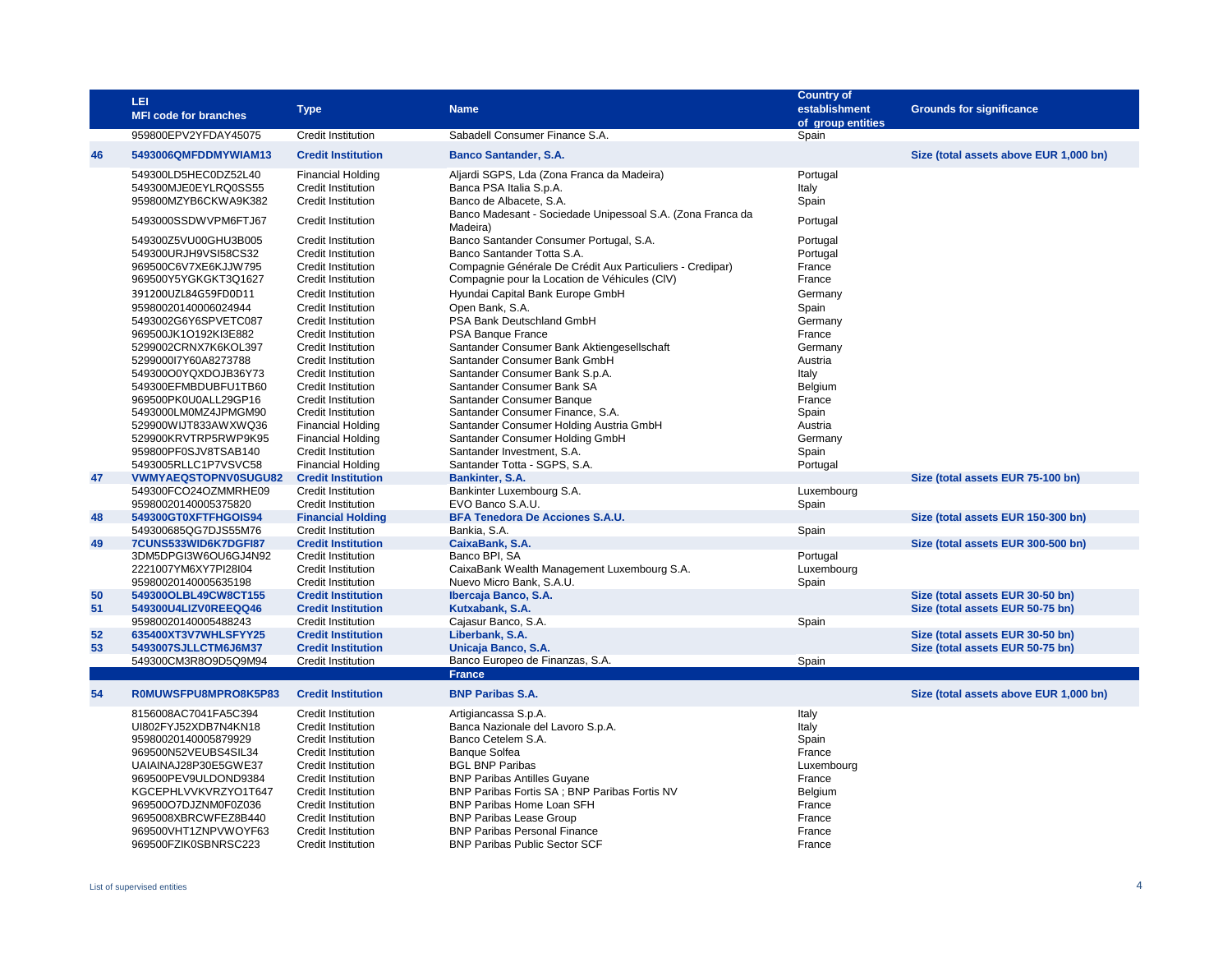|          | LEI<br><b>MFI code for branches</b>                                                                                                                                                                                                                                                          | <b>Type</b>                                                                                                                                                                                                                                                                                                                                                      | <b>Name</b>                                                                                                                                                                                                                                                                                                                                                                                                                                | <b>Country of</b><br>establishment<br>of group entities                                                                               | <b>Grounds for significance</b>                                      |
|----------|----------------------------------------------------------------------------------------------------------------------------------------------------------------------------------------------------------------------------------------------------------------------------------------------|------------------------------------------------------------------------------------------------------------------------------------------------------------------------------------------------------------------------------------------------------------------------------------------------------------------------------------------------------------------|--------------------------------------------------------------------------------------------------------------------------------------------------------------------------------------------------------------------------------------------------------------------------------------------------------------------------------------------------------------------------------------------------------------------------------------------|---------------------------------------------------------------------------------------------------------------------------------------|----------------------------------------------------------------------|
|          | 959800EPV2YFDAY45075                                                                                                                                                                                                                                                                         | <b>Credit Institution</b>                                                                                                                                                                                                                                                                                                                                        | Sabadell Consumer Finance S.A.                                                                                                                                                                                                                                                                                                                                                                                                             | Spain                                                                                                                                 |                                                                      |
| 46       | 5493006QMFDDMYWIAM13                                                                                                                                                                                                                                                                         | <b>Credit Institution</b>                                                                                                                                                                                                                                                                                                                                        | <b>Banco Santander, S.A.</b>                                                                                                                                                                                                                                                                                                                                                                                                               |                                                                                                                                       | Size (total assets above EUR 1,000 bn)                               |
|          | 549300LD5HEC0DZ52L40<br>549300MJE0EYLRQ0SS55<br>959800MZYB6CKWA9K382                                                                                                                                                                                                                         | <b>Financial Holding</b><br><b>Credit Institution</b><br><b>Credit Institution</b>                                                                                                                                                                                                                                                                               | Aljardi SGPS, Lda (Zona Franca da Madeira)<br>Banca PSA Italia S.p.A.<br>Banco de Albacete, S.A.                                                                                                                                                                                                                                                                                                                                           | Portugal<br>Italy<br>Spain                                                                                                            |                                                                      |
|          | 5493000SSDWVPM6FTJ67                                                                                                                                                                                                                                                                         | Credit Institution                                                                                                                                                                                                                                                                                                                                               | Banco Madesant - Sociedade Unipessoal S.A. (Zona Franca da<br>Madeira)                                                                                                                                                                                                                                                                                                                                                                     | Portugal                                                                                                                              |                                                                      |
|          | 549300Z5VU00GHU3B005<br>549300URJH9VSI58CS32<br>969500C6V7XE6KJJW795<br>969500Y5YGKGKT3Q1627<br>391200UZL84G59FD0D11<br>95980020140006024944<br>5493002G6Y6SPVETC087<br>969500JK1O192KI3E882<br>5299002CRNX7K6KOL397<br>5299000l7Y60A8273788<br>549300O0YQXDOJB36Y73<br>549300EFMBDUBFU1TB60 | <b>Credit Institution</b><br><b>Credit Institution</b><br><b>Credit Institution</b><br>Credit Institution<br><b>Credit Institution</b><br><b>Credit Institution</b><br>Credit Institution<br><b>Credit Institution</b><br><b>Credit Institution</b><br><b>Credit Institution</b><br><b>Credit Institution</b><br>Credit Institution<br><b>Credit Institution</b> | Banco Santander Consumer Portugal, S.A.<br>Banco Santander Totta S.A.<br>Compagnie Générale De Crédit Aux Particuliers - Credipar)<br>Compagnie pour la Location de Véhicules (CIV)<br>Hyundai Capital Bank Europe GmbH<br>Open Bank, S.A.<br>PSA Bank Deutschland GmbH<br>PSA Banque France<br>Santander Consumer Bank Aktiengesellschaft<br>Santander Consumer Bank GmbH<br>Santander Consumer Bank S.p.A.<br>Santander Consumer Bank SA | Portugal<br>Portugal<br>France<br>France<br>Germany<br>Spain<br>Germany<br>France<br>Germany<br>Austria<br>Italy<br>Belgium<br>France |                                                                      |
| 47       | 969500PK0U0ALL29GP16<br>5493000LM0MZ4JPMGM90<br>529900WIJT833AWXWQ36<br>529900KRVTRP5RWP9K95<br>959800PF0SJV8TSAB140<br>5493005RLLC1P7VSVC58<br>VWMYAEQSTOPNV0SUGU82                                                                                                                         | Credit Institution<br><b>Financial Holding</b><br><b>Financial Holding</b><br>Credit Institution<br><b>Financial Holding</b><br><b>Credit Institution</b>                                                                                                                                                                                                        | Santander Consumer Banque<br>Santander Consumer Finance, S.A.<br>Santander Consumer Holding Austria GmbH<br>Santander Consumer Holding GmbH<br>Santander Investment, S.A.<br>Santander Totta - SGPS, S.A.<br>Bankinter, S.A.                                                                                                                                                                                                               | Spain<br>Austria<br>Germany<br>Spain<br>Portugal                                                                                      | Size (total assets EUR 75-100 bn)                                    |
|          | 549300FCO24OZMMRHE09<br>95980020140005375820                                                                                                                                                                                                                                                 | <b>Credit Institution</b><br><b>Credit Institution</b>                                                                                                                                                                                                                                                                                                           | Bankinter Luxembourg S.A.<br>EVO Banco S.A.U.                                                                                                                                                                                                                                                                                                                                                                                              | Luxembourg<br>Spain                                                                                                                   |                                                                      |
| 48       | 549300GT0XFTFHGOIS94                                                                                                                                                                                                                                                                         | <b>Financial Holding</b>                                                                                                                                                                                                                                                                                                                                         | <b>BFA Tenedora De Acciones S.A.U.</b>                                                                                                                                                                                                                                                                                                                                                                                                     |                                                                                                                                       | Size (total assets EUR 150-300 bn)                                   |
|          | 549300685QG7DJS55M76                                                                                                                                                                                                                                                                         | <b>Credit Institution</b>                                                                                                                                                                                                                                                                                                                                        | Bankia, S.A.                                                                                                                                                                                                                                                                                                                                                                                                                               | Spain                                                                                                                                 |                                                                      |
| 49       | 7CUNS533WID6K7DGFI87<br>3DM5DPGI3W6OU6GJ4N92<br>2221007YM6XY7PI28I04<br>95980020140005635198                                                                                                                                                                                                 | <b>Credit Institution</b><br><b>Credit Institution</b><br>Credit Institution<br><b>Credit Institution</b>                                                                                                                                                                                                                                                        | CaixaBank, S.A.<br>Banco BPI, SA<br>CaixaBank Wealth Management Luxembourg S.A.<br>Nuevo Micro Bank, S.A.U.                                                                                                                                                                                                                                                                                                                                | Portugal<br>Luxembourg<br>Spain                                                                                                       | Size (total assets EUR 300-500 bn)                                   |
| 50<br>51 | 549300OLBL49CW8CT155<br>549300U4LIZV0REEQQ46                                                                                                                                                                                                                                                 | <b>Credit Institution</b><br><b>Credit Institution</b>                                                                                                                                                                                                                                                                                                           | Ibercaja Banco, S.A.<br>Kutxabank, S.A.                                                                                                                                                                                                                                                                                                                                                                                                    |                                                                                                                                       | Size (total assets EUR 30-50 bn)<br>Size (total assets EUR 50-75 bn) |
| 52<br>53 | 95980020140005488243<br>635400XT3V7WHLSFYY25<br>5493007SJLLCTM6J6M37                                                                                                                                                                                                                         | Credit Institution<br><b>Credit Institution</b><br><b>Credit Institution</b>                                                                                                                                                                                                                                                                                     | Cajasur Banco, S.A.<br>Liberbank, S.A.<br>Unicaja Banco, S.A.                                                                                                                                                                                                                                                                                                                                                                              | Spain                                                                                                                                 | Size (total assets EUR 30-50 bn)<br>Size (total assets EUR 50-75 bn) |
|          | 549300CM3R8O9D5Q9M94                                                                                                                                                                                                                                                                         | <b>Credit Institution</b>                                                                                                                                                                                                                                                                                                                                        | Banco Europeo de Finanzas, S.A.<br><b>France</b>                                                                                                                                                                                                                                                                                                                                                                                           | Spain                                                                                                                                 |                                                                      |
| 54       | ROMUWSFPU8MPRO8K5P83                                                                                                                                                                                                                                                                         | <b>Credit Institution</b>                                                                                                                                                                                                                                                                                                                                        | <b>BNP Paribas S.A.</b>                                                                                                                                                                                                                                                                                                                                                                                                                    |                                                                                                                                       | Size (total assets above EUR 1,000 bn)                               |
|          | 8156008AC7041FA5C394<br>UI802FYJ52XDB7N4KN18<br>95980020140005879929<br>969500N52VEUBS4SIL34<br>UAIAINAJ28P30E5GWE37<br>969500PEV9ULDOND9384<br>KGCEPHLVVKVRZYO1T647<br>969500O7DJZNM0F0Z036<br>9695008XBRCWFEZ8B440<br>969500VHT1ZNPVWOYF63                                                 | <b>Credit Institution</b><br><b>Credit Institution</b><br><b>Credit Institution</b><br><b>Credit Institution</b><br><b>Credit Institution</b><br><b>Credit Institution</b><br><b>Credit Institution</b><br><b>Credit Institution</b><br><b>Credit Institution</b><br><b>Credit Institution</b>                                                                   | Artigiancassa S.p.A.<br>Banca Nazionale del Lavoro S.p.A.<br>Banco Cetelem S.A.<br><b>Banque Solfea</b><br><b>BGL BNP Paribas</b><br><b>BNP Paribas Antilles Guyane</b><br>BNP Paribas Fortis SA ; BNP Paribas Fortis NV<br>BNP Paribas Home Loan SFH<br><b>BNP Paribas Lease Group</b><br><b>BNP Paribas Personal Finance</b>                                                                                                             | Italy<br>Italy<br>Spain<br>France<br>Luxembourg<br>France<br>Belgium<br>France<br>France<br>France                                    |                                                                      |
|          | 969500FZIK0SBNRSC223                                                                                                                                                                                                                                                                         | Credit Institution                                                                                                                                                                                                                                                                                                                                               | <b>BNP Paribas Public Sector SCF</b>                                                                                                                                                                                                                                                                                                                                                                                                       | France                                                                                                                                |                                                                      |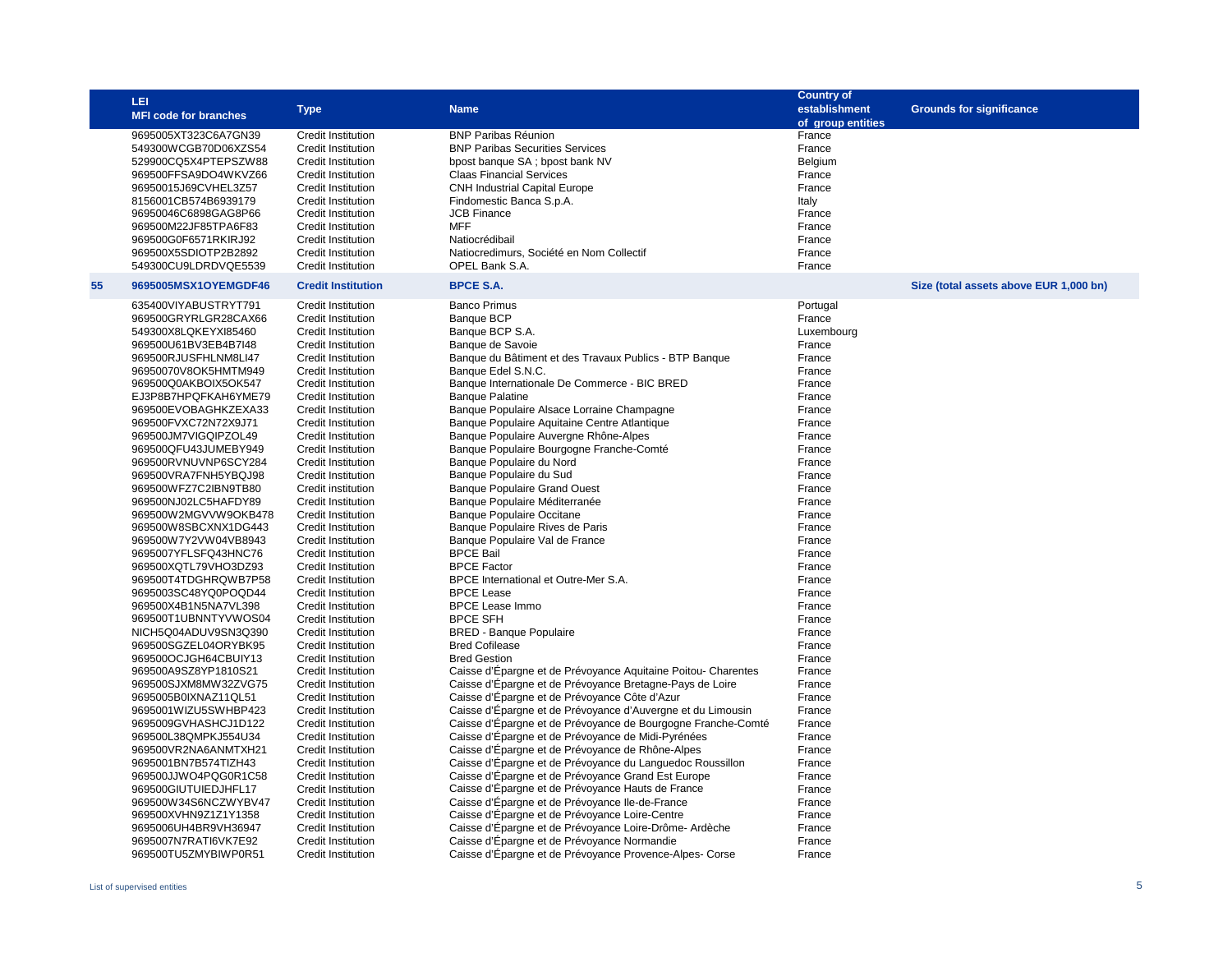|    | LEI<br><b>MFI code for branches</b>                                                                                                                                                                                                                                                                                                                                                                                                                                                                                                                                                                                                                                                                                                                                                                                                                                                                                                                                                          | <b>Type</b>                                                                                                                                                                                                                                                                                                                                                                                                                                                                                                                                                                                                                                                                                                                                                                                                                                                                                                                                                          | <b>Name</b>                                                                                                                                                                                                                                                                                                                                                                                                                                                                                                                                                                                                                                                                                                                                                                                                                                                                                                                                                                                                                                                                                                                                                                                                                                                                                                                                                                                                                                                                                                                                                                                                   | <b>Country of</b><br>establishment<br>of group entities                                                                                                                                                                                                                                                                                                                                                            | <b>Grounds for significance</b>        |
|----|----------------------------------------------------------------------------------------------------------------------------------------------------------------------------------------------------------------------------------------------------------------------------------------------------------------------------------------------------------------------------------------------------------------------------------------------------------------------------------------------------------------------------------------------------------------------------------------------------------------------------------------------------------------------------------------------------------------------------------------------------------------------------------------------------------------------------------------------------------------------------------------------------------------------------------------------------------------------------------------------|----------------------------------------------------------------------------------------------------------------------------------------------------------------------------------------------------------------------------------------------------------------------------------------------------------------------------------------------------------------------------------------------------------------------------------------------------------------------------------------------------------------------------------------------------------------------------------------------------------------------------------------------------------------------------------------------------------------------------------------------------------------------------------------------------------------------------------------------------------------------------------------------------------------------------------------------------------------------|---------------------------------------------------------------------------------------------------------------------------------------------------------------------------------------------------------------------------------------------------------------------------------------------------------------------------------------------------------------------------------------------------------------------------------------------------------------------------------------------------------------------------------------------------------------------------------------------------------------------------------------------------------------------------------------------------------------------------------------------------------------------------------------------------------------------------------------------------------------------------------------------------------------------------------------------------------------------------------------------------------------------------------------------------------------------------------------------------------------------------------------------------------------------------------------------------------------------------------------------------------------------------------------------------------------------------------------------------------------------------------------------------------------------------------------------------------------------------------------------------------------------------------------------------------------------------------------------------------------|--------------------------------------------------------------------------------------------------------------------------------------------------------------------------------------------------------------------------------------------------------------------------------------------------------------------------------------------------------------------------------------------------------------------|----------------------------------------|
|    | 9695005XT323C6A7GN39<br>549300WCGB70D06XZS54<br>529900CQ5X4PTEPSZW88<br>969500FFSA9DO4WKVZ66<br>96950015J69CVHEL3Z57<br>8156001CB574B6939179<br>96950046C6898GAG8P66<br>969500M22JF85TPA6F83<br>969500G0F6571RKIRJ92<br>969500X5SDIOTP2B2892<br>549300CU9LDRDVQE5539                                                                                                                                                                                                                                                                                                                                                                                                                                                                                                                                                                                                                                                                                                                         | <b>Credit Institution</b><br><b>Credit Institution</b><br>Credit Institution<br><b>Credit Institution</b><br>Credit Institution<br><b>Credit Institution</b><br>Credit Institution<br><b>Credit Institution</b><br>Credit Institution<br><b>Credit Institution</b><br><b>Credit Institution</b>                                                                                                                                                                                                                                                                                                                                                                                                                                                                                                                                                                                                                                                                      | <b>BNP Paribas Réunion</b><br><b>BNP Paribas Securities Services</b><br>bpost banque SA; bpost bank NV<br><b>Claas Financial Services</b><br><b>CNH Industrial Capital Europe</b><br>Findomestic Banca S.p.A.<br><b>JCB Finance</b><br><b>MFF</b><br>Natiocrédibail<br>Natiocredimurs, Société en Nom Collectif<br>OPEL Bank S.A.                                                                                                                                                                                                                                                                                                                                                                                                                                                                                                                                                                                                                                                                                                                                                                                                                                                                                                                                                                                                                                                                                                                                                                                                                                                                             | France<br>France<br>Belgium<br>France<br>France<br>Italy<br>France<br>France<br>France<br>France<br>France                                                                                                                                                                                                                                                                                                         |                                        |
| 55 | 9695005MSX1OYEMGDF46                                                                                                                                                                                                                                                                                                                                                                                                                                                                                                                                                                                                                                                                                                                                                                                                                                                                                                                                                                         | <b>Credit Institution</b>                                                                                                                                                                                                                                                                                                                                                                                                                                                                                                                                                                                                                                                                                                                                                                                                                                                                                                                                            | <b>BPCE S.A.</b>                                                                                                                                                                                                                                                                                                                                                                                                                                                                                                                                                                                                                                                                                                                                                                                                                                                                                                                                                                                                                                                                                                                                                                                                                                                                                                                                                                                                                                                                                                                                                                                              |                                                                                                                                                                                                                                                                                                                                                                                                                    | Size (total assets above EUR 1,000 bn) |
|    | 635400VIYABUSTRYT791<br>969500GRYRLGR28CAX66<br>549300X8LQKEYXI85460<br>969500U61BV3EB4B7I48<br>969500RJUSFHLNM8LI47<br>96950070V8OK5HMTM949<br>969500Q0AKBOIX5OK547<br>EJ3P8B7HPQFKAH6YME79<br>969500EVOBAGHKZEXA33<br>969500FVXC72N72X9J71<br>969500JM7VIGQIPZOL49<br>969500QFU43JUMEBY949<br>969500RVNUVNP6SCY284<br>969500VRA7FNH5YBQJ98<br>969500WFZ7C2IBN9TB80<br>969500NJ02LC5HAFDY89<br>969500W2MGVVW9OKB478<br>969500W8SBCXNX1DG443<br>969500W7Y2VW04VB8943<br>9695007YFLSFQ43HNC76<br>969500XQTL79VHO3DZ93<br>969500T4TDGHRQWB7P58<br>9695003SC48YQ0POQD44<br>969500X4B1N5NA7VL398<br>969500T1UBNNTYVWOS04<br>NICH5Q04ADUV9SN3Q390<br>969500SGZEL04ORYBK95<br>969500OCJGH64CBUIY13<br>969500A9SZ8YP1810S21<br>969500SJXM8MW32ZVG75<br>9695005B0IXNAZ11QL51<br>9695001WIZU5SWHBP423<br>9695009GVHASHCJ1D122<br>969500L38QMPKJ554U34<br>969500VR2NA6ANMTXH21<br>9695001BN7B574TIZH43<br>969500JJWO4PQG0R1C58<br>969500GIUTUIEDJHFL17<br>969500W34S6NCZWYBV47<br>969500XVHN9Z1Z1Y1358 | <b>Credit Institution</b><br><b>Credit Institution</b><br>Credit Institution<br>Credit Institution<br>Credit Institution<br><b>Credit Institution</b><br>Credit Institution<br>Credit Institution<br>Credit Institution<br>Credit Institution<br>Credit Institution<br>Credit Institution<br><b>Credit Institution</b><br>Credit Institution<br>Credit institution<br><b>Credit Institution</b><br><b>Credit Institution</b><br>Credit Institution<br>Credit Institution<br>Credit Institution<br>Credit Institution<br>Credit Institution<br>Credit Institution<br>Credit Institution<br>Credit Institution<br>Credit Institution<br>Credit Institution<br><b>Credit Institution</b><br>Credit Institution<br>Credit Institution<br>Credit Institution<br>Credit Institution<br>Credit Institution<br>Credit Institution<br>Credit Institution<br>Credit Institution<br>Credit Institution<br>Credit Institution<br><b>Credit Institution</b><br>Credit Institution | <b>Banco Primus</b><br><b>Banque BCP</b><br>Banque BCP S.A.<br>Banque de Savoie<br>Banque du Bâtiment et des Travaux Publics - BTP Banque<br>Banque Edel S.N.C.<br>Banque Internationale De Commerce - BIC BRED<br><b>Banque Palatine</b><br>Banque Populaire Alsace Lorraine Champagne<br>Banque Populaire Aquitaine Centre Atlantique<br>Banque Populaire Auvergne Rhône-Alpes<br>Banque Populaire Bourgogne Franche-Comté<br>Banque Populaire du Nord<br>Banque Populaire du Sud<br><b>Banque Populaire Grand Ouest</b><br>Banque Populaire Méditerranée<br><b>Banque Populaire Occitane</b><br>Banque Populaire Rives de Paris<br>Banque Populaire Val de France<br><b>BPCE Bail</b><br><b>BPCE Factor</b><br>BPCE International et Outre-Mer S.A.<br><b>BPCE Lease</b><br><b>BPCE Lease Immo</b><br><b>BPCE SFH</b><br><b>BRED - Banque Populaire</b><br><b>Bred Cofilease</b><br><b>Bred Gestion</b><br>Caisse d'Épargne et de Prévoyance Aquitaine Poitou-Charentes<br>Caisse d'Épargne et de Prévoyance Bretagne-Pays de Loire<br>Caisse d'Épargne et de Prévoyance Côte d'Azur<br>Caisse d'Épargne et de Prévoyance d'Auvergne et du Limousin<br>Caisse d'Épargne et de Prévoyance de Bourgogne Franche-Comté<br>Caisse d'Épargne et de Prévoyance de Midi-Pyrénées<br>Caisse d'Épargne et de Prévoyance de Rhône-Alpes<br>Caisse d'Épargne et de Prévoyance du Languedoc Roussillon<br>Caisse d'Épargne et de Prévoyance Grand Est Europe<br>Caisse d'Epargne et de Prévoyance Hauts de France<br>Caisse d'Épargne et de Prévoyance Ile-de-France<br>Caisse d'Épargne et de Prévoyance Loire-Centre | Portugal<br>France<br>Luxembourg<br>France<br>France<br>France<br>France<br>France<br>France<br>France<br>France<br>France<br>France<br>France<br>France<br>France<br>France<br>France<br>France<br>France<br>France<br>France<br>France<br>France<br>France<br>France<br>France<br>France<br>France<br>France<br>France<br>France<br>France<br>France<br>France<br>France<br>France<br>France<br>France<br>France |                                        |
|    | 9695006UH4BR9VH36947<br>9695007N7RATI6VK7E92<br>969500TU5ZMYBIWP0R51                                                                                                                                                                                                                                                                                                                                                                                                                                                                                                                                                                                                                                                                                                                                                                                                                                                                                                                         | Credit Institution<br><b>Credit Institution</b><br><b>Credit Institution</b>                                                                                                                                                                                                                                                                                                                                                                                                                                                                                                                                                                                                                                                                                                                                                                                                                                                                                         | Caisse d'Épargne et de Prévoyance Loire-Drôme-Ardèche<br>Caisse d'Épargne et de Prévoyance Normandie<br>Caisse d'Épargne et de Prévoyance Provence-Alpes-Corse                                                                                                                                                                                                                                                                                                                                                                                                                                                                                                                                                                                                                                                                                                                                                                                                                                                                                                                                                                                                                                                                                                                                                                                                                                                                                                                                                                                                                                                | France<br>France<br>France                                                                                                                                                                                                                                                                                                                                                                                         |                                        |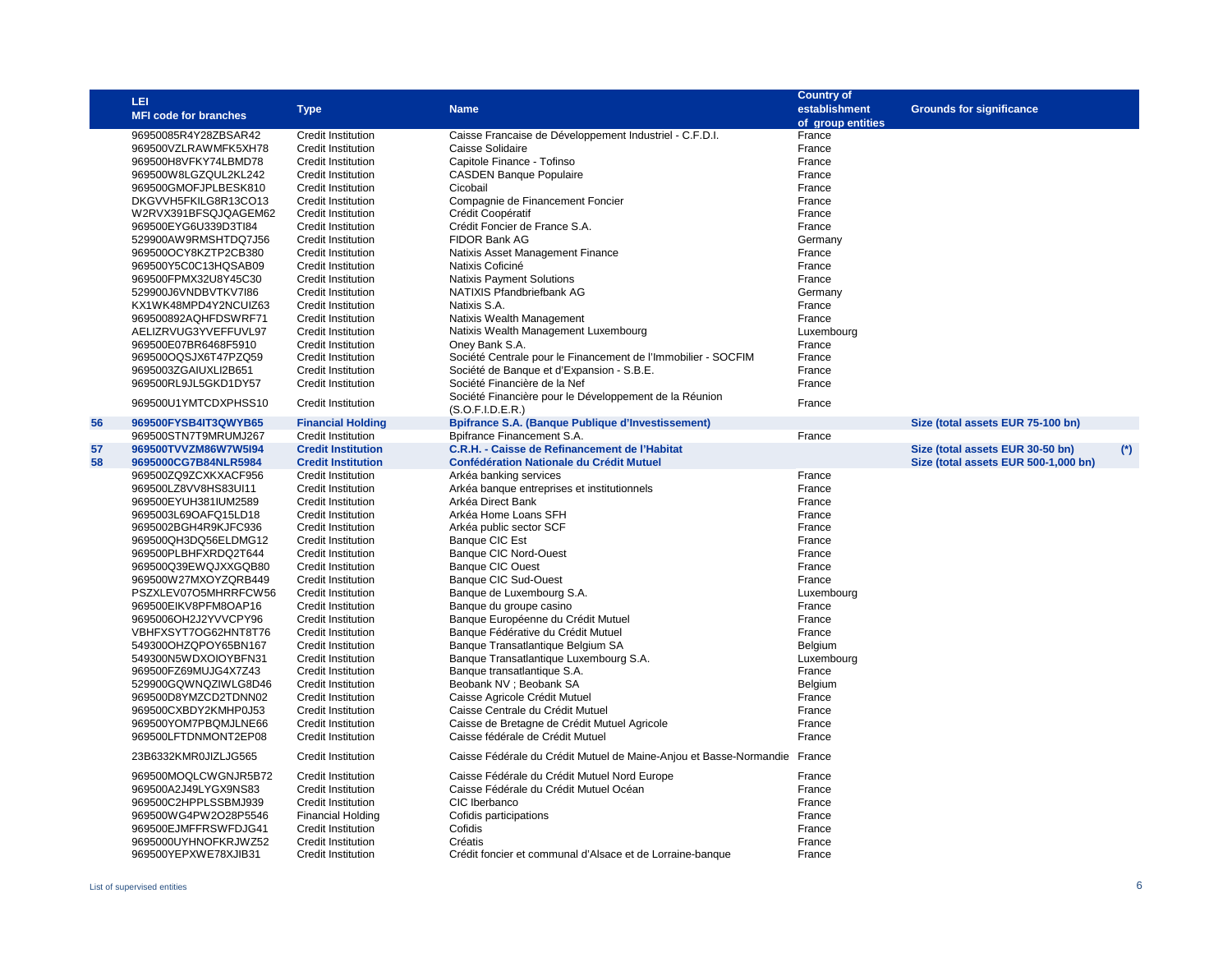|    | LEI<br><b>MFI code for branches</b> | <b>Type</b>               | <b>Name</b>                                                        | <b>Country of</b><br>establishment<br>of group entities | <b>Grounds for significance</b>      |           |
|----|-------------------------------------|---------------------------|--------------------------------------------------------------------|---------------------------------------------------------|--------------------------------------|-----------|
|    | 96950085R4Y28ZBSAR42                | Credit Institution        | Caisse Francaise de Développement Industriel - C.F.D.I.            | France                                                  |                                      |           |
|    | 969500VZLRAWMFK5XH78                | Credit Institution        | Caisse Solidaire                                                   | France                                                  |                                      |           |
|    | 969500H8VFKY74LBMD78                | Credit Institution        | Capitole Finance - Tofinso                                         | France                                                  |                                      |           |
|    | 969500W8LGZQUL2KL242                | Credit Institution        | <b>CASDEN Banque Populaire</b>                                     | France                                                  |                                      |           |
|    | 969500GMOFJPLBESK810                | Credit Institution        | Cicobail                                                           | France                                                  |                                      |           |
|    | DKGVVH5FKILG8R13CO13                | Credit Institution        | Compagnie de Financement Foncier                                   | France                                                  |                                      |           |
|    | W2RVX391BFSQJQAGEM62                | Credit Institution        | Crédit Coopératif                                                  | France                                                  |                                      |           |
|    | 969500EYG6U339D3Tl84                | Credit Institution        | Crédit Foncier de France S.A.                                      | France                                                  |                                      |           |
|    | 529900AW9RMSHTDQ7J56                | Credit Institution        | FIDOR Bank AG                                                      | Germany                                                 |                                      |           |
|    | 969500OCY8KZTP2CB380                | Credit Institution        | Natixis Asset Management Finance                                   | France                                                  |                                      |           |
|    | 969500Y5C0C13HQSAB09                | Credit Institution        | Natixis Coficiné                                                   | France                                                  |                                      |           |
|    | 969500FPMX32U8Y45C30                | Credit Institution        | <b>Natixis Payment Solutions</b>                                   | France                                                  |                                      |           |
|    | 529900J6VNDBVTKV7I86                | Credit Institution        | NATIXIS Pfandbriefbank AG                                          | Germany                                                 |                                      |           |
|    | KX1WK48MPD4Y2NCUIZ63                | Credit Institution        | Natixis S.A.                                                       | France                                                  |                                      |           |
|    | 969500892AQHFDSWRF71                | Credit Institution        | Natixis Wealth Management                                          | France                                                  |                                      |           |
|    | AELIZRVUG3YVEFFUVL97                | Credit Institution        | Natixis Wealth Management Luxembourg                               | Luxembourg                                              |                                      |           |
|    | 969500E07BR6468F5910                | Credit Institution        | Oney Bank S.A.                                                     | France                                                  |                                      |           |
|    | 969500OQSJX6T47PZQ59                | Credit Institution        | Société Centrale pour le Financement de l'Immobilier - SOCFIM      | France                                                  |                                      |           |
|    | 9695003ZGAIUXLI2B651                | Credit Institution        | Société de Banque et d'Expansion - S.B.E.                          | France                                                  |                                      |           |
|    | 969500RL9JL5GKD1DY57                | Credit Institution        | Société Financière de la Nef                                       | France                                                  |                                      |           |
|    |                                     |                           | Société Financière pour le Développement de la Réunion             |                                                         |                                      |           |
|    | 969500U1YMTCDXPHSS10                | <b>Credit Institution</b> | (S.O.F.I.D.E.R.)                                                   | France                                                  |                                      |           |
| 56 | 969500FYSB4IT3QWYB65                | <b>Financial Holding</b>  | <b>Bpifrance S.A. (Banque Publique d'Investissement)</b>           |                                                         | Size (total assets EUR 75-100 bn)    |           |
|    | 969500STN7T9MRUMJ267                | Credit Institution        | Bpifrance Financement S.A.                                         | France                                                  |                                      |           |
| 57 | 969500TVVZM86W7W5I94                | <b>Credit Institution</b> | C.R.H. - Caisse de Refinancement de l'Habitat                      |                                                         | Size (total assets EUR 30-50 bn)     | $^{\ast}$ |
| 58 | 9695000CG7B84NLR5984                | <b>Credit Institution</b> | <b>Confédération Nationale du Crédit Mutuel</b>                    |                                                         | Size (total assets EUR 500-1,000 bn) |           |
|    | 969500ZQ9ZCXKXACF956                | Credit Institution        | Arkéa banking services                                             | France                                                  |                                      |           |
|    | 969500LZ8VV8HS83UI11                | Credit Institution        | Arkéa banque entreprises et institutionnels                        | France                                                  |                                      |           |
|    | 969500EYUH381IUM2589                | Credit Institution        | Arkéa Direct Bank                                                  | France                                                  |                                      |           |
|    | 9695003L69OAFQ15LD18                | Credit Institution        | Arkéa Home Loans SFH                                               | France                                                  |                                      |           |
|    | 9695002BGH4R9KJFC936                | Credit Institution        | Arkéa public sector SCF                                            | France                                                  |                                      |           |
|    | 969500QH3DQ56ELDMG12                | Credit Institution        | <b>Banque CIC Est</b>                                              | France                                                  |                                      |           |
|    | 969500PLBHFXRDQ2T644                | Credit Institution        | <b>Banque CIC Nord-Ouest</b>                                       | France                                                  |                                      |           |
|    | 969500Q39EWQJXXGQB80                | Credit Institution        | <b>Banque CIC Ouest</b>                                            | France                                                  |                                      |           |
|    | 969500W27MXOYZQRB449                | Credit Institution        | <b>Banque CIC Sud-Ouest</b>                                        | France                                                  |                                      |           |
|    | PSZXLEV07O5MHRRFCW56                | Credit Institution        | Banque de Luxembourg S.A.                                          | Luxembourg                                              |                                      |           |
|    | 969500EIKV8PFM8OAP16                | Credit Institution        | Banque du groupe casino                                            | France                                                  |                                      |           |
|    | 9695006OH2J2YVVCPY96                | <b>Credit Institution</b> | Banque Européenne du Crédit Mutuel                                 | France                                                  |                                      |           |
|    | VBHFXSYT7OG62HNT8T76                | Credit Institution        | Banque Fédérative du Crédit Mutuel                                 | France                                                  |                                      |           |
|    | 549300OHZQPOY65BN167                | Credit Institution        | Banque Transatlantique Belgium SA                                  | Belgium                                                 |                                      |           |
|    | 549300N5WDXOIOYBFN31                | Credit Institution        | Banque Transatlantique Luxembourg S.A.                             | Luxembourg                                              |                                      |           |
|    | 969500FZ69MUJG4X7Z43                | Credit Institution        | Banque transatlantique S.A.                                        | France                                                  |                                      |           |
|    | 529900GQWNQZIWLG8D46                | Credit Institution        | Beobank NV ; Beobank SA                                            | Belgium                                                 |                                      |           |
|    | 969500D8YMZCD2TDNN02                | Credit Institution        | Caisse Agricole Crédit Mutuel                                      | France                                                  |                                      |           |
|    | 969500CXBDY2KMHP0J53                | Credit Institution        | Caisse Centrale du Crédit Mutuel                                   | France                                                  |                                      |           |
|    | 969500YOM7PBQMJLNE66                | Credit Institution        | Caisse de Bretagne de Crédit Mutuel Agricole                       | France                                                  |                                      |           |
|    | 969500LFTDNMONT2EP08                | Credit Institution        | Caisse fédérale de Crédit Mutuel                                   | France                                                  |                                      |           |
|    | 23B6332KMR0JIZLJG565                | Credit Institution        | Caisse Fédérale du Crédit Mutuel de Maine-Anjou et Basse-Normandie | France                                                  |                                      |           |
|    | 969500MOQLCWGNJR5B72                | Credit Institution        | Caisse Fédérale du Crédit Mutuel Nord Europe                       | France                                                  |                                      |           |
|    | 969500A2J49LYGX9NS83                | Credit Institution        | Caisse Fédérale du Crédit Mutuel Océan                             | France                                                  |                                      |           |
|    | 969500C2HPPLSSBMJ939                | Credit Institution        | CIC Iberbanco                                                      | France                                                  |                                      |           |
|    | 969500WG4PW2O28P5546                | <b>Financial Holding</b>  | Cofidis participations                                             | France                                                  |                                      |           |
|    | 969500EJMFFRSWFDJG41                | Credit Institution        | Cofidis                                                            | France                                                  |                                      |           |
|    | 9695000UYHNOFKRJWZ52                | Credit Institution        | Créatis                                                            | France                                                  |                                      |           |
|    | 969500YEPXWE78XJIB31                | Credit Institution        | Crédit foncier et communal d'Alsace et de Lorraine-banque          | France                                                  |                                      |           |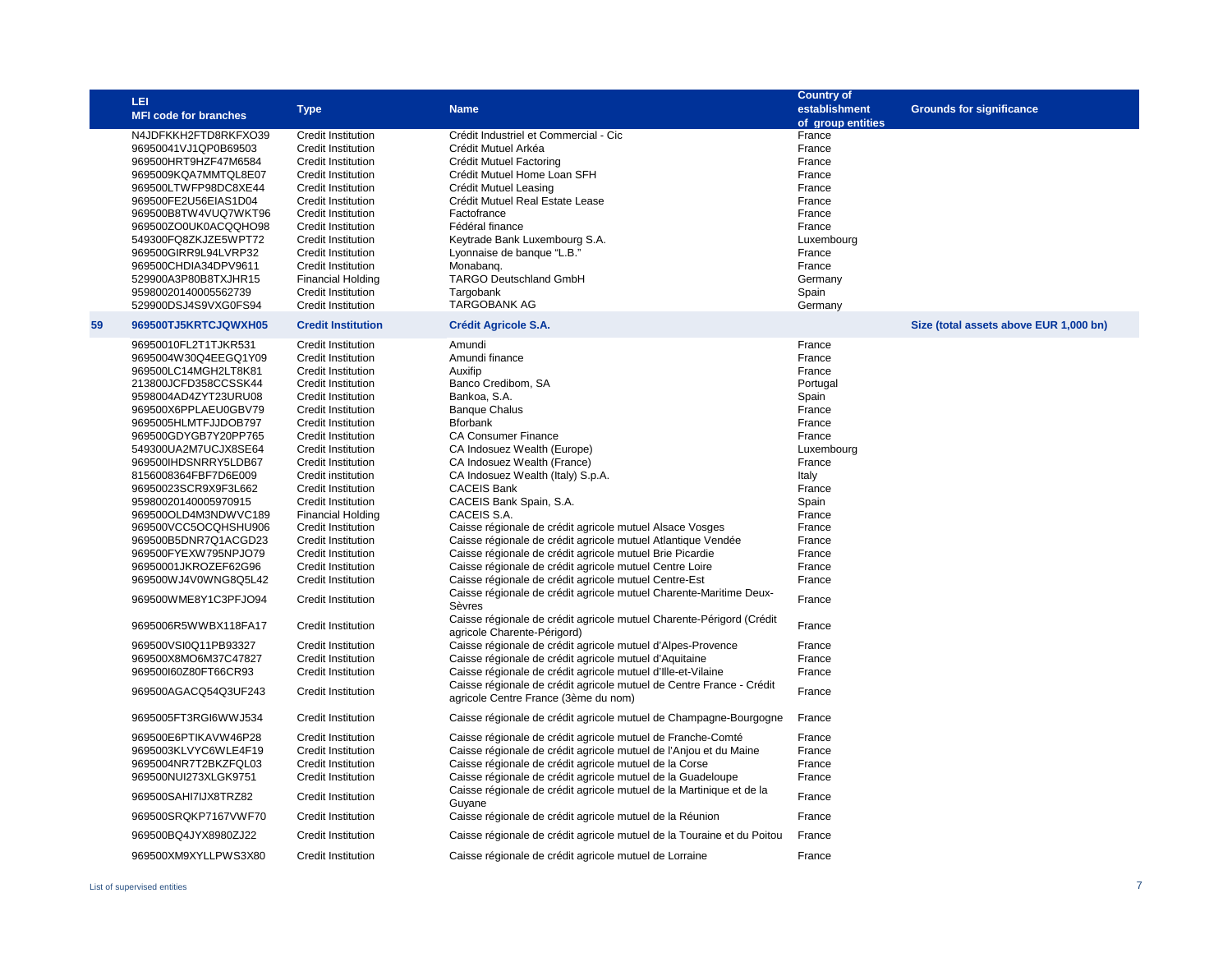|    | LEI                          |                           |                                                                                                              | <b>Country of</b> |                                        |
|----|------------------------------|---------------------------|--------------------------------------------------------------------------------------------------------------|-------------------|----------------------------------------|
|    | <b>MFI code for branches</b> | <b>Type</b>               | <b>Name</b>                                                                                                  | establishment     | <b>Grounds for significance</b>        |
|    |                              |                           |                                                                                                              | of group entities |                                        |
|    | N4JDFKKH2FTD8RKFXO39         | Credit Institution        | Crédit Industriel et Commercial - Cic                                                                        | France            |                                        |
|    | 96950041VJ1QP0B69503         | <b>Credit Institution</b> | Crédit Mutuel Arkéa                                                                                          | France            |                                        |
|    | 969500HRT9HZF47M6584         | Credit Institution        | Crédit Mutuel Factoring                                                                                      | France            |                                        |
|    | 9695009KQA7MMTQL8E07         | Credit Institution        | Crédit Mutuel Home Loan SFH                                                                                  | France            |                                        |
|    | 969500LTWFP98DC8XE44         | Credit Institution        | Crédit Mutuel Leasing                                                                                        | France            |                                        |
|    | 969500FE2U56EIAS1D04         | <b>Credit Institution</b> | Crédit Mutuel Real Estate Lease                                                                              | France            |                                        |
|    | 969500B8TW4VUQ7WKT96         | <b>Credit Institution</b> | Factofrance                                                                                                  | France            |                                        |
|    | 969500ZO0UK0ACQQHO98         | <b>Credit Institution</b> | Fédéral finance                                                                                              | France            |                                        |
|    | 549300FQ8ZKJZE5WPT72         | Credit Institution        | Keytrade Bank Luxembourg S.A.                                                                                | Luxembourg        |                                        |
|    | 969500GIRR9L94LVRP32         | Credit Institution        | Lyonnaise de banque "L.B."                                                                                   | France            |                                        |
|    | 969500CHDIA34DPV9611         | Credit Institution        | Monabang.                                                                                                    | France            |                                        |
|    | 529900A3P80B8TXJHR15         | <b>Financial Holding</b>  | <b>TARGO Deutschland GmbH</b>                                                                                | Germany           |                                        |
|    | 95980020140005562739         | Credit Institution        | Targobank                                                                                                    | Spain             |                                        |
|    | 529900DSJ4S9VXG0FS94         | Credit Institution        | <b>TARGOBANK AG</b>                                                                                          | Germany           |                                        |
| 59 | 969500TJ5KRTCJQWXH05         | <b>Credit Institution</b> | <b>Crédit Agricole S.A.</b>                                                                                  |                   | Size (total assets above EUR 1,000 bn) |
|    | 96950010FL2T1TJKR531         | Credit Institution        | Amundi                                                                                                       | France            |                                        |
|    | 9695004W30Q4EEGQ1Y09         | <b>Credit Institution</b> | Amundi finance                                                                                               | France            |                                        |
|    | 969500LC14MGH2LT8K81         | Credit Institution        | Auxifip                                                                                                      | France            |                                        |
|    | 213800JCFD358CCSSK44         | <b>Credit Institution</b> | Banco Credibom, SA                                                                                           | Portugal          |                                        |
|    | 9598004AD4ZYT23URU08         | <b>Credit Institution</b> | Bankoa, S.A.                                                                                                 | Spain             |                                        |
|    | 969500X6PPLAEU0GBV79         | <b>Credit Institution</b> | <b>Banque Chalus</b>                                                                                         | France            |                                        |
|    | 9695005HLMTFJJDOB797         | Credit Institution        | <b>Bforbank</b>                                                                                              | France            |                                        |
|    | 969500GDYGB7Y20PP765         | Credit Institution        | <b>CA Consumer Finance</b>                                                                                   | France            |                                        |
|    | 549300UA2M7UCJX8SE64         | Credit Institution        | CA Indosuez Wealth (Europe)                                                                                  | Luxembourg        |                                        |
|    | 969500IHDSNRRY5LDB67         | <b>Credit Institution</b> | CA Indosuez Wealth (France)                                                                                  | France            |                                        |
|    | 8156008364FBF7D6E009         | Credit institution        | CA Indosuez Wealth (Italy) S.p.A.                                                                            | Italy             |                                        |
|    | 96950023SCR9X9F3L662         | <b>Credit Institution</b> | <b>CACEIS Bank</b>                                                                                           | France            |                                        |
|    | 95980020140005970915         | Credit Institution        | CACEIS Bank Spain, S.A.                                                                                      | Spain             |                                        |
|    | 969500OLD4M3NDWVC189         | <b>Financial Holding</b>  | CACEIS S.A.                                                                                                  | France            |                                        |
|    | 969500VCC5OCQHSHU906         | Credit Institution        | Caisse régionale de crédit agricole mutuel Alsace Vosges                                                     | France            |                                        |
|    | 969500B5DNR7Q1ACGD23         | Credit Institution        | Caisse régionale de crédit agricole mutuel Atlantique Vendée                                                 | France            |                                        |
|    | 969500FYEXW795NPJO79         | Credit Institution        | Caisse régionale de crédit agricole mutuel Brie Picardie                                                     | France            |                                        |
|    | 96950001JKROZEF62G96         | Credit Institution        | Caisse régionale de crédit agricole mutuel Centre Loire                                                      | France            |                                        |
|    | 969500WJ4V0WNG8Q5L42         | Credit Institution        | Caisse régionale de crédit agricole mutuel Centre-Est                                                        | France            |                                        |
|    | 969500WME8Y1C3PFJO94         | Credit Institution        | Caisse régionale de crédit agricole mutuel Charente-Maritime Deux-<br>Sèvres                                 | France            |                                        |
|    |                              |                           | Caisse régionale de crédit agricole mutuel Charente-Périgord (Crédit                                         |                   |                                        |
|    | 9695006R5WWBX118FA17         | Credit Institution        | agricole Charente-Périgord)                                                                                  | France            |                                        |
|    | 969500VSI0Q11PB93327         | Credit Institution        | Caisse régionale de crédit agricole mutuel d'Alpes-Provence                                                  | France            |                                        |
|    | 969500X8MO6M37C47827         | <b>Credit Institution</b> | Caisse régionale de crédit agricole mutuel d'Aquitaine                                                       | France            |                                        |
|    | 969500l60Z80FT66CR93         | Credit Institution        | Caisse régionale de crédit agricole mutuel d'Ille-et-Vilaine                                                 | France            |                                        |
|    | 969500AGACQ54Q3UF243         | Credit Institution        | Caisse régionale de crédit agricole mutuel de Centre France - Crédit<br>agricole Centre France (3ème du nom) | France            |                                        |
|    | 9695005FT3RGI6WWJ534         | Credit Institution        | Caisse régionale de crédit agricole mutuel de Champagne-Bourgogne                                            | France            |                                        |
|    | 969500E6PTIKAVW46P28         | <b>Credit Institution</b> | Caisse régionale de crédit agricole mutuel de Franche-Comté                                                  | France            |                                        |
|    | 9695003KLVYC6WLE4F19         | Credit Institution        | Caisse régionale de crédit agricole mutuel de l'Anjou et du Maine                                            | France            |                                        |
|    | 9695004NR7T2BKZFQL03         | <b>Credit Institution</b> | Caisse régionale de crédit agricole mutuel de la Corse                                                       | France            |                                        |
|    | 969500NUI273XLGK9751         | Credit Institution        | Caisse régionale de crédit agricole mutuel de la Guadeloupe                                                  | France            |                                        |
|    | 969500SAHI7IJX8TRZ82         | Credit Institution        | Caisse régionale de crédit agricole mutuel de la Martinique et de la<br>Guyane                               | France            |                                        |
|    | 969500SRQKP7167VWF70         | Credit Institution        | Caisse régionale de crédit agricole mutuel de la Réunion                                                     | France            |                                        |
|    | 969500BQ4JYX8980ZJ22         | Credit Institution        | Caisse régionale de crédit agricole mutuel de la Touraine et du Poitou                                       | France            |                                        |
|    | 969500XM9XYLLPWS3X80         | <b>Credit Institution</b> | Caisse régionale de crédit agricole mutuel de Lorraine                                                       | France            |                                        |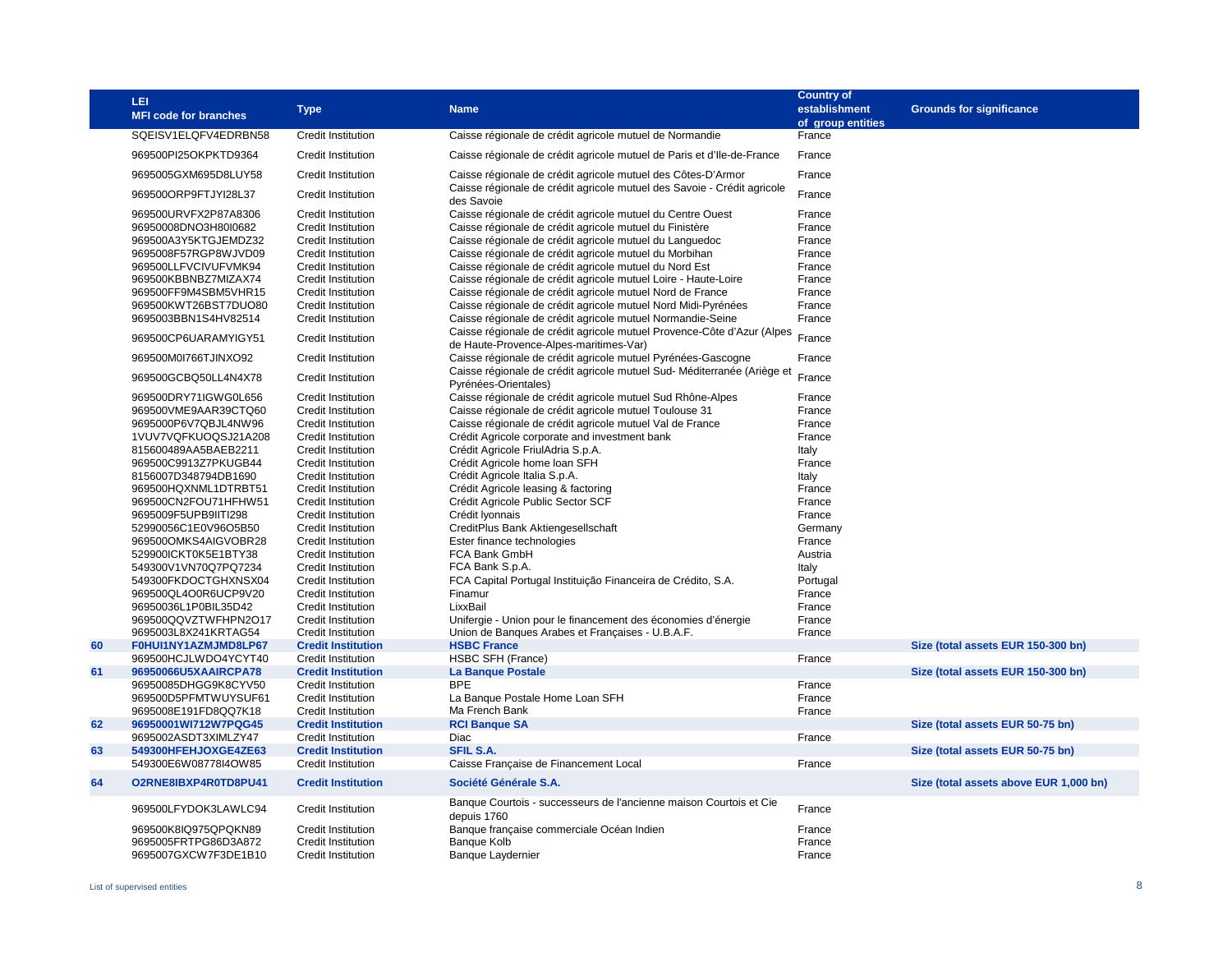|    | LEI<br><b>MFI code for branches</b>          | <b>Type</b>                                            | <b>Name</b>                                                                                                                            | <b>Country of</b><br>establishment<br>of group entities | <b>Grounds for significance</b>        |
|----|----------------------------------------------|--------------------------------------------------------|----------------------------------------------------------------------------------------------------------------------------------------|---------------------------------------------------------|----------------------------------------|
|    | SQEISV1ELQFV4EDRBN58                         | <b>Credit Institution</b>                              | Caisse régionale de crédit agricole mutuel de Normandie                                                                                | France                                                  |                                        |
|    | 969500PI25OKPKTD9364                         | Credit Institution                                     | Caisse régionale de crédit agricole mutuel de Paris et d'Ile-de-France                                                                 | France                                                  |                                        |
|    | 9695005GXM695D8LUY58                         | Credit Institution                                     | Caisse régionale de crédit agricole mutuel des Côtes-D'Armor                                                                           | France                                                  |                                        |
|    | 969500ORP9FTJYI28L37                         | Credit Institution                                     | Caisse régionale de crédit agricole mutuel des Savoie - Crédit agricole<br>des Savoie                                                  | France                                                  |                                        |
|    | 969500URVFX2P87A8306                         | Credit Institution                                     | Caisse régionale de crédit agricole mutuel du Centre Ouest                                                                             | France                                                  |                                        |
|    | 96950008DNO3H80l0682                         | <b>Credit Institution</b>                              | Caisse régionale de crédit agricole mutuel du Finistère                                                                                | France                                                  |                                        |
|    | 969500A3Y5KTGJEMDZ32                         | <b>Credit Institution</b>                              | Caisse régionale de crédit agricole mutuel du Languedoc                                                                                | France                                                  |                                        |
|    | 9695008F57RGP8WJVD09                         | <b>Credit Institution</b>                              | Caisse régionale de crédit agricole mutuel du Morbihan                                                                                 | France                                                  |                                        |
|    | 969500LLFVCIVUFVMK94                         | Credit Institution                                     | Caisse régionale de crédit agricole mutuel du Nord Est                                                                                 | France                                                  |                                        |
|    | 969500KBBNBZ7MIZAX74                         | <b>Credit Institution</b>                              | Caisse régionale de crédit agricole mutuel Loire - Haute-Loire                                                                         | France                                                  |                                        |
|    | 969500FF9M4SBM5VHR15                         | <b>Credit Institution</b>                              | Caisse régionale de crédit agricole mutuel Nord de France                                                                              | France                                                  |                                        |
|    | 969500KWT26BST7DUO80                         | <b>Credit Institution</b>                              | Caisse régionale de crédit agricole mutuel Nord Midi-Pyrénées                                                                          | France                                                  |                                        |
|    | 9695003BBN1S4HV82514                         | <b>Credit Institution</b>                              | Caisse régionale de crédit agricole mutuel Normandie-Seine                                                                             | France                                                  |                                        |
|    | 969500CP6UARAMYIGY51                         | Credit Institution                                     | Caisse régionale de crédit agricole mutuel Provence-Côte d'Azur (Alpes<br>de Haute-Provence-Alpes-maritimes-Var)                       | France                                                  |                                        |
|    | 969500M0I766TJINXO92                         | Credit Institution                                     | Caisse régionale de crédit agricole mutuel Pyrénées-Gascogne<br>Caisse régionale de crédit agricole mutuel Sud-Méditerranée (Ariège et | France                                                  |                                        |
|    | 969500GCBQ50LL4N4X78                         | <b>Credit Institution</b>                              | Pyrénées-Orientales)                                                                                                                   | France                                                  |                                        |
|    | 969500DRY71IGWG0L656                         | Credit Institution                                     | Caisse régionale de crédit agricole mutuel Sud Rhône-Alpes                                                                             | France                                                  |                                        |
|    | 969500VME9AAR39CTQ60                         | Credit Institution                                     | Caisse régionale de crédit agricole mutuel Toulouse 31                                                                                 | France                                                  |                                        |
|    | 9695000P6V7QBJL4NW96                         | <b>Credit Institution</b>                              | Caisse régionale de crédit agricole mutuel Val de France                                                                               | France                                                  |                                        |
|    | 1VUV7VQFKUOQSJ21A208                         | <b>Credit Institution</b>                              | Crédit Agricole corporate and investment bank                                                                                          | France                                                  |                                        |
|    | 815600489AA5BAEB2211                         | Credit Institution                                     | Crédit Agricole FriulAdria S.p.A.                                                                                                      | Italy                                                   |                                        |
|    | 969500C9913Z7PKUGB44                         | <b>Credit Institution</b>                              | Crédit Agricole home Ioan SFH                                                                                                          | France                                                  |                                        |
|    | 8156007D348794DB1690                         | <b>Credit Institution</b>                              | Crédit Agricole Italia S.p.A.                                                                                                          | Italy                                                   |                                        |
|    | 969500HQXNML1DTRBT51                         | <b>Credit Institution</b>                              | Crédit Agricole leasing & factoring                                                                                                    | France                                                  |                                        |
|    | 969500CN2FOU71HFHW51<br>9695009F5UPB9IITI298 | <b>Credit Institution</b><br><b>Credit Institution</b> | Crédit Agricole Public Sector SCF<br>Crédit Iyonnais                                                                                   | France<br>France                                        |                                        |
|    | 52990056C1E0V96O5B50                         | <b>Credit Institution</b>                              | CreditPlus Bank Aktiengesellschaft                                                                                                     | Germany                                                 |                                        |
|    | 969500OMKS4AIGVOBR28                         | <b>Credit Institution</b>                              | Ester finance technologies                                                                                                             | France                                                  |                                        |
|    | 529900ICKT0K5E1BTY38                         | <b>Credit Institution</b>                              | FCA Bank GmbH                                                                                                                          | Austria                                                 |                                        |
|    | 549300V1VN70Q7PQ7234                         | <b>Credit Institution</b>                              | FCA Bank S.p.A.                                                                                                                        | Italy                                                   |                                        |
|    | 549300FKDOCTGHXNSX04                         | <b>Credit Institution</b>                              | FCA Capital Portugal Instituição Financeira de Crédito, S.A.                                                                           | Portugal                                                |                                        |
|    | 969500QL4O0R6UCP9V20                         | <b>Credit Institution</b>                              | Finamur                                                                                                                                | France                                                  |                                        |
|    | 96950036L1P0BIL35D42                         | <b>Credit Institution</b>                              | LixxBail                                                                                                                               | France                                                  |                                        |
|    | 969500QQVZTWFHPN2O17                         | Credit Institution                                     | Unifergie - Union pour le financement des économies d'énergie                                                                          | France                                                  |                                        |
|    | 9695003L8X241KRTAG54                         | Credit Institution                                     | Union de Banques Arabes et Françaises - U.B.A.F.                                                                                       | France                                                  |                                        |
| 60 | F0HUI1NY1AZMJMD8LP67                         | <b>Credit Institution</b>                              | <b>HSBC France</b>                                                                                                                     |                                                         | Size (total assets EUR 150-300 bn)     |
|    | 969500HCJLWDO4YCYT40                         | Credit Institution                                     | HSBC SFH (France)                                                                                                                      | France                                                  |                                        |
| 61 | 96950066U5XAAIRCPA78                         | <b>Credit Institution</b>                              | <b>La Banque Postale</b>                                                                                                               |                                                         | Size (total assets EUR 150-300 bn)     |
|    | 96950085DHGG9K8CYV50                         | <b>Credit Institution</b>                              | <b>BPE</b>                                                                                                                             | France                                                  |                                        |
|    | 969500D5PFMTWUYSUF61                         | <b>Credit Institution</b>                              | La Banque Postale Home Loan SFH                                                                                                        | France                                                  |                                        |
|    | 9695008E191FD8QQ7K18                         | <b>Credit Institution</b>                              | Ma French Bank                                                                                                                         | France                                                  |                                        |
| 62 | 96950001WI712W7PQG45                         | <b>Credit Institution</b>                              | <b>RCI Banque SA</b>                                                                                                                   |                                                         | Size (total assets EUR 50-75 bn)       |
|    | 9695002ASDT3XIMLZY47                         | Credit Institution                                     | Diac                                                                                                                                   | France                                                  |                                        |
| 63 | 549300HFEHJOXGE4ZE63                         | <b>Credit Institution</b>                              | <b>SFIL S.A.</b>                                                                                                                       |                                                         | Size (total assets EUR 50-75 bn)       |
|    | 549300E6W08778I4OW85                         | <b>Credit Institution</b>                              | Caisse Française de Financement Local                                                                                                  | France                                                  |                                        |
| 64 | O2RNE8IBXP4R0TD8PU41                         | <b>Credit Institution</b>                              | Société Générale S.A.                                                                                                                  |                                                         | Size (total assets above EUR 1,000 bn) |
|    | 969500LFYDOK3LAWLC94                         | <b>Credit Institution</b>                              | Banque Courtois - successeurs de l'ancienne maison Courtois et Cie<br>depuis 1760                                                      | France                                                  |                                        |
|    | 969500K8IQ975QPQKN89                         | Credit Institution                                     | Banque française commerciale Océan Indien                                                                                              | France                                                  |                                        |
|    | 9695005FRTPG86D3A872                         | <b>Credit Institution</b>                              | <b>Banque Kolb</b>                                                                                                                     | France                                                  |                                        |
|    | 9695007GXCW7F3DE1B10                         | <b>Credit Institution</b>                              | <b>Banque Laydernier</b>                                                                                                               | France                                                  |                                        |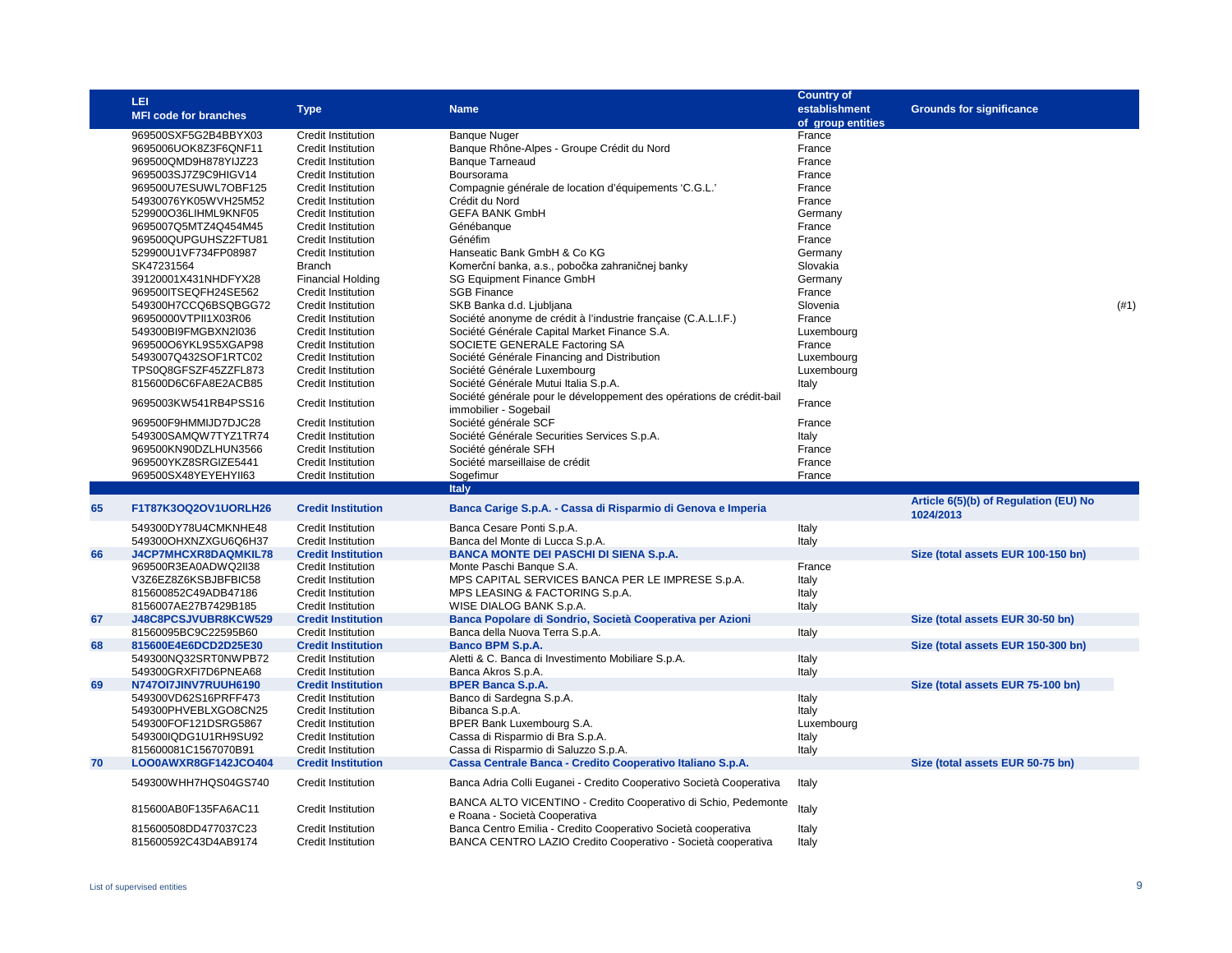|    | LEI                                          |                                          |                                                                                                | <b>Country of</b> |                                                    |      |
|----|----------------------------------------------|------------------------------------------|------------------------------------------------------------------------------------------------|-------------------|----------------------------------------------------|------|
|    | <b>MFI code for branches</b>                 | <b>Type</b>                              | <b>Name</b>                                                                                    | establishment     | <b>Grounds for significance</b>                    |      |
|    |                                              |                                          |                                                                                                | of group entities |                                                    |      |
|    | 969500SXF5G2B4BBYX03                         | <b>Credit Institution</b>                | <b>Banque Nuger</b>                                                                            | France            |                                                    |      |
|    | 9695006UOK8Z3F6QNF11                         | <b>Credit Institution</b>                | Banque Rhône-Alpes - Groupe Crédit du Nord                                                     | France            |                                                    |      |
|    | 969500QMD9H878YIJZ23                         | Credit Institution                       | <b>Banque Tarneaud</b>                                                                         | France            |                                                    |      |
|    | 9695003SJ7Z9C9HIGV14                         | Credit Institution                       | Boursorama                                                                                     | France            |                                                    |      |
|    | 969500U7ESUWL7OBF125                         | Credit Institution                       | Compagnie générale de location d'équipements 'C.G.L.'                                          | France            |                                                    |      |
|    | 54930076YK05WVH25M52                         | <b>Credit Institution</b>                | Crédit du Nord                                                                                 | France            |                                                    |      |
|    | 529900O36LIHML9KNF05                         | Credit Institution                       | <b>GEFA BANK GmbH</b>                                                                          | Germany           |                                                    |      |
|    | 9695007Q5MTZ4Q454M45                         | Credit Institution                       | Génébanque                                                                                     | France            |                                                    |      |
|    | 969500QUPGUHSZ2FTU81                         | <b>Credit Institution</b>                | Généfim                                                                                        | France            |                                                    |      |
|    | 529900U1VF734FP08987                         | Credit Institution                       | Hanseatic Bank GmbH & Co KG                                                                    | Germany           |                                                    |      |
|    | SK47231564                                   | <b>Branch</b>                            | Komerční banka, a.s., pobočka zahraničnej banky                                                | Slovakia          |                                                    |      |
|    | 39120001X431NHDFYX28                         | <b>Financial Holding</b>                 | <b>SG Equipment Finance GmbH</b>                                                               | Germany           |                                                    |      |
|    | 969500ITSEQFH24SE562                         | <b>Credit Institution</b>                | <b>SGB Finance</b>                                                                             | France            |                                                    |      |
|    | 549300H7CCQ6BSQBGG72                         | Credit Institution                       | SKB Banka d.d. Ljubljana                                                                       | Slovenia          |                                                    | (#1) |
|    | 96950000VTPII1X03R06                         | Credit Institution                       | Société anonyme de crédit à l'industrie française (C.A.L.I.F.)                                 | France            |                                                    |      |
|    | 549300BI9FMGBXN2I036                         | Credit Institution                       | Société Générale Capital Market Finance S.A.                                                   | Luxembourg        |                                                    |      |
|    | 969500O6YKL9S5XGAP98                         | Credit Institution                       | SOCIETE GENERALE Factoring SA                                                                  | France            |                                                    |      |
|    | 5493007Q432SOF1RTC02                         | <b>Credit Institution</b>                | Société Générale Financing and Distribution                                                    | Luxembourg        |                                                    |      |
|    | TPS0Q8GFSZF45ZZFL873                         | Credit Institution                       | Société Générale Luxembourg                                                                    | Luxembourg        |                                                    |      |
|    | 815600D6C6FA8E2ACB85                         | Credit Institution                       | Société Générale Mutui Italia S.p.A.                                                           | Italy             |                                                    |      |
|    | 9695003KW541RB4PSS16                         | Credit Institution                       | Société générale pour le développement des opérations de crédit-bail                           | France            |                                                    |      |
|    |                                              |                                          | immobilier - Sogebail<br>Société générale SCF                                                  |                   |                                                    |      |
|    | 969500F9HMMIJD7DJC28                         | <b>Credit Institution</b>                |                                                                                                | France            |                                                    |      |
|    | 549300SAMQW7TYZ1TR74                         | Credit Institution                       | Société Générale Securities Services S.p.A.                                                    | Italy             |                                                    |      |
|    | 969500KN90DZLHUN3566<br>969500YKZ8SRGIZE5441 | Credit Institution<br>Credit Institution | Société générale SFH<br>Société marseillaise de crédit                                         | France<br>France  |                                                    |      |
|    |                                              |                                          |                                                                                                |                   |                                                    |      |
|    |                                              |                                          |                                                                                                |                   |                                                    |      |
|    | 969500SX48YEYEHYII63                         | Credit Institution                       | Sogefimur                                                                                      | France            |                                                    |      |
|    |                                              |                                          | <b>Italy</b>                                                                                   |                   |                                                    |      |
| 65 | F1T87K3OQ2OV1UORLH26                         | <b>Credit Institution</b>                | Banca Carige S.p.A. - Cassa di Risparmio di Genova e Imperia                                   |                   | Article 6(5)(b) of Regulation (EU) No<br>1024/2013 |      |
|    | 549300DY78U4CMKNHE48                         | <b>Credit Institution</b>                | Banca Cesare Ponti S.p.A.                                                                      | Italy             |                                                    |      |
|    | 549300OHXNZXGU6Q6H37                         | <b>Credit Institution</b>                | Banca del Monte di Lucca S.p.A.                                                                | Italy             |                                                    |      |
| 66 | J4CP7MHCXR8DAQMKIL78                         | <b>Credit Institution</b>                | <b>BANCA MONTE DEI PASCHI DI SIENA S.p.A.</b>                                                  |                   | Size (total assets EUR 100-150 bn)                 |      |
|    | 969500R3EA0ADWQ2II38                         | Credit Institution                       | Monte Paschi Banque S.A.                                                                       | France            |                                                    |      |
|    | V3Z6EZ8Z6KSBJBFBIC58                         | <b>Credit Institution</b>                | MPS CAPITAL SERVICES BANCA PER LE IMPRESE S.p.A.                                               | Italy             |                                                    |      |
|    | 815600852C49ADB47186                         | Credit Institution                       | MPS LEASING & FACTORING S.p.A.                                                                 | Italy             |                                                    |      |
|    | 8156007AE27B7429B185                         | Credit Institution                       | WISE DIALOG BANK S.p.A.                                                                        | Italy             |                                                    |      |
| 67 | J48C8PCSJVUBR8KCW529                         | <b>Credit Institution</b>                | Banca Popolare di Sondrio, Società Cooperativa per Azioni                                      |                   | Size (total assets EUR 30-50 bn)                   |      |
|    | 81560095BC9C22595B60                         | <b>Credit Institution</b>                | Banca della Nuova Terra S.p.A.                                                                 | Italy             |                                                    |      |
| 68 | 815600E4E6DCD2D25E30                         | <b>Credit Institution</b>                | <b>Banco BPM S.p.A.</b>                                                                        |                   | Size (total assets EUR 150-300 bn)                 |      |
|    | 549300NQ32SRT0NWPB72                         | Credit Institution                       | Aletti & C. Banca di Investimento Mobiliare S.p.A.                                             | Italy             |                                                    |      |
|    | 549300GRXFI7D6PNEA68                         | Credit Institution                       | Banca Akros S.p.A.                                                                             | Italy             |                                                    |      |
| 69 | N747OI7JINV7RUUH6190                         | <b>Credit Institution</b>                | <b>BPER Banca S.p.A.</b>                                                                       |                   | Size (total assets EUR 75-100 bn)                  |      |
|    | 549300VD62S16PRFF473                         | Credit Institution                       | Banco di Sardegna S.p.A.                                                                       | Italy             |                                                    |      |
|    | 549300PHVEBLXGO8CN25                         | <b>Credit Institution</b>                | Bibanca S.p.A.                                                                                 | Italy             |                                                    |      |
|    | 549300FOF121DSRG5867                         | Credit Institution                       | BPER Bank Luxembourg S.A.                                                                      | Luxembourg        |                                                    |      |
|    | 549300IQDG1U1RH9SU92                         | <b>Credit Institution</b>                | Cassa di Risparmio di Bra S.p.A.                                                               | Italy             |                                                    |      |
|    | 815600081C1567070B91                         | <b>Credit Institution</b>                | Cassa di Risparmio di Saluzzo S.p.A.                                                           | Italy             |                                                    |      |
| 70 | LOO0AWXR8GF142JCO404                         | <b>Credit Institution</b>                | Cassa Centrale Banca - Credito Cooperativo Italiano S.p.A.                                     |                   | Size (total assets EUR 50-75 bn)                   |      |
|    | 549300WHH7HQS04GS740                         | Credit Institution                       | Banca Adria Colli Euganei - Credito Cooperativo Società Cooperativa                            | Italy             |                                                    |      |
|    | 815600AB0F135FA6AC11                         | <b>Credit Institution</b>                | BANCA ALTO VICENTINO - Credito Cooperativo di Schio, Pedemonte                                 | Italy             |                                                    |      |
|    | 815600508DD477037C23                         | Credit Institution                       | e Roana - Società Cooperativa<br>Banca Centro Emilia - Credito Cooperativo Società cooperativa | Italy             |                                                    |      |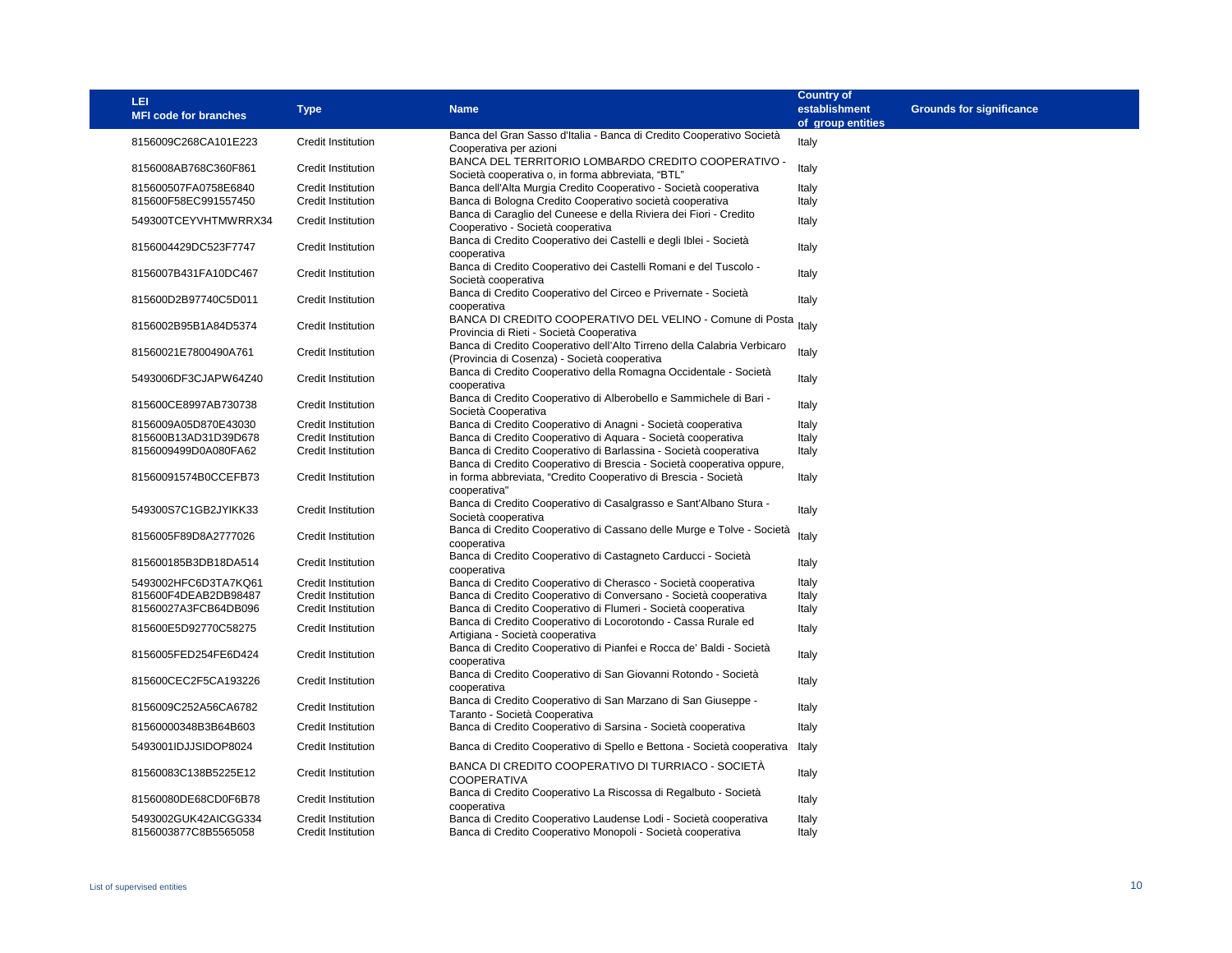| <b>LEI</b><br><b>MFI code for branches</b>   | <b>Type</b>                              | <b>Name</b>                                                                                                                               | <b>Country of</b><br>establishment<br>of group entities | <b>Grounds for significance</b> |
|----------------------------------------------|------------------------------------------|-------------------------------------------------------------------------------------------------------------------------------------------|---------------------------------------------------------|---------------------------------|
| 8156009C268CA101E223                         | Credit Institution                       | Banca del Gran Sasso d'Italia - Banca di Credito Cooperativo Società<br>Cooperativa per azioni                                            | Italy                                                   |                                 |
| 8156008AB768C360F861                         | Credit Institution                       | BANCA DEL TERRITORIO LOMBARDO CREDITO COOPERATIVO -<br>Società cooperativa o, in forma abbreviata, "BTL"                                  | Italy                                                   |                                 |
| 815600507FA0758E6840<br>815600F58EC991557450 | Credit Institution<br>Credit Institution | Banca dell'Alta Murgia Credito Cooperativo - Società cooperativa<br>Banca di Bologna Credito Cooperativo società cooperativa              | Italy<br>Italy                                          |                                 |
| 549300TCEYVHTMWRRX34                         | Credit Institution                       | Banca di Caraglio del Cuneese e della Riviera dei Fiori - Credito<br>Cooperativo - Società cooperativa                                    | Italy                                                   |                                 |
| 8156004429DC523F7747                         | Credit Institution                       | Banca di Credito Cooperativo dei Castelli e degli Iblei - Società<br>cooperativa                                                          | Italy                                                   |                                 |
| 8156007B431FA10DC467                         | Credit Institution                       | Banca di Credito Cooperativo dei Castelli Romani e del Tuscolo -<br>Società cooperativa                                                   | Italy                                                   |                                 |
| 815600D2B97740C5D011                         | Credit Institution                       | Banca di Credito Cooperativo del Circeo e Privernate - Società<br>cooperativa                                                             | Italy                                                   |                                 |
| 8156002B95B1A84D5374                         | <b>Credit Institution</b>                | BANCA DI CREDITO COOPERATIVO DEL VELINO - Comune di Posta<br>Provincia di Rieti - Società Cooperativa                                     | Italy                                                   |                                 |
| 81560021E7800490A761                         | Credit Institution                       | Banca di Credito Cooperativo dell'Alto Tirreno della Calabria Verbicaro<br>(Provincia di Cosenza) - Società cooperativa                   | Italy                                                   |                                 |
| 5493006DF3CJAPW64Z40                         | Credit Institution                       | Banca di Credito Cooperativo della Romagna Occidentale - Società<br>cooperativa                                                           | Italy                                                   |                                 |
| 815600CE8997AB730738                         | Credit Institution                       | Banca di Credito Cooperativo di Alberobello e Sammichele di Bari -<br>Società Cooperativa                                                 | Italy                                                   |                                 |
| 8156009A05D870E43030                         | Credit Institution                       | Banca di Credito Cooperativo di Anagni - Società cooperativa                                                                              | Italy                                                   |                                 |
| 815600B13AD31D39D678                         | Credit Institution                       | Banca di Credito Cooperativo di Aguara - Società cooperativa                                                                              | Italy                                                   |                                 |
| 8156009499D0A080FA62                         | Credit Institution                       | Banca di Credito Cooperativo di Barlassina - Società cooperativa<br>Banca di Credito Cooperativo di Brescia - Società cooperativa oppure, | Italy                                                   |                                 |
| 81560091574B0CCEFB73                         | Credit Institution                       | in forma abbreviata, "Credito Cooperativo di Brescia - Società<br>cooperativa"                                                            | Italy                                                   |                                 |
| 549300S7C1GB2JYIKK33                         | Credit Institution                       | Banca di Credito Cooperativo di Casalgrasso e Sant'Albano Stura -<br>Società cooperativa                                                  | Italy                                                   |                                 |
| 8156005F89D8A2777026                         | Credit Institution                       | Banca di Credito Cooperativo di Cassano delle Murge e Tolve - Società<br>cooperativa                                                      | Italy                                                   |                                 |
| 815600185B3DB18DA514                         | Credit Institution                       | Banca di Credito Cooperativo di Castagneto Carducci - Società<br>cooperativa                                                              | Italy                                                   |                                 |
| 5493002HFC6D3TA7KQ61                         | Credit Institution                       | Banca di Credito Cooperativo di Cherasco - Società cooperativa                                                                            | Italy                                                   |                                 |
| 815600F4DEAB2DB98487                         | Credit Institution                       | Banca di Credito Cooperativo di Conversano - Società cooperativa                                                                          | Italy                                                   |                                 |
| 81560027A3FCB64DB096                         | Credit Institution                       | Banca di Credito Cooperativo di Flumeri - Società cooperativa                                                                             | Italy                                                   |                                 |
| 815600E5D92770C58275                         | Credit Institution                       | Banca di Credito Cooperativo di Locorotondo - Cassa Rurale ed<br>Artigiana - Società cooperativa                                          | Italy                                                   |                                 |
| 8156005FED254FE6D424                         | Credit Institution                       | Banca di Credito Cooperativo di Pianfei e Rocca de' Baldi - Società<br>cooperativa                                                        | Italy                                                   |                                 |
| 815600CEC2F5CA193226                         | <b>Credit Institution</b>                | Banca di Credito Cooperativo di San Giovanni Rotondo - Società<br>cooperativa                                                             | Italy                                                   |                                 |
| 8156009C252A56CA6782                         | <b>Credit Institution</b>                | Banca di Credito Cooperativo di San Marzano di San Giuseppe -<br>Taranto - Società Cooperativa                                            | Italy                                                   |                                 |
| 81560000348B3B64B603                         | Credit Institution                       | Banca di Credito Cooperativo di Sarsina - Società cooperativa                                                                             | Italy                                                   |                                 |
| 5493001IDJJSIDOP8024                         | Credit Institution                       | Banca di Credito Cooperativo di Spello e Bettona - Società cooperativa                                                                    | Italy                                                   |                                 |
| 81560083C138B5225E12                         | <b>Credit Institution</b>                | BANCA DI CREDITO COOPERATIVO DI TURRIACO - SOCIETÀ<br><b>COOPERATIVA</b>                                                                  | Italy                                                   |                                 |
| 81560080DE68CD0F6B78                         | Credit Institution                       | Banca di Credito Cooperativo La Riscossa di Regalbuto - Società<br>cooperativa                                                            | Italy                                                   |                                 |
| 5493002GUK42AICGG334<br>8156003877C8B5565058 | Credit Institution<br>Credit Institution | Banca di Credito Cooperativo Laudense Lodi - Società cooperativa<br>Banca di Credito Cooperativo Monopoli - Società cooperativa           | Italy<br>Italy                                          |                                 |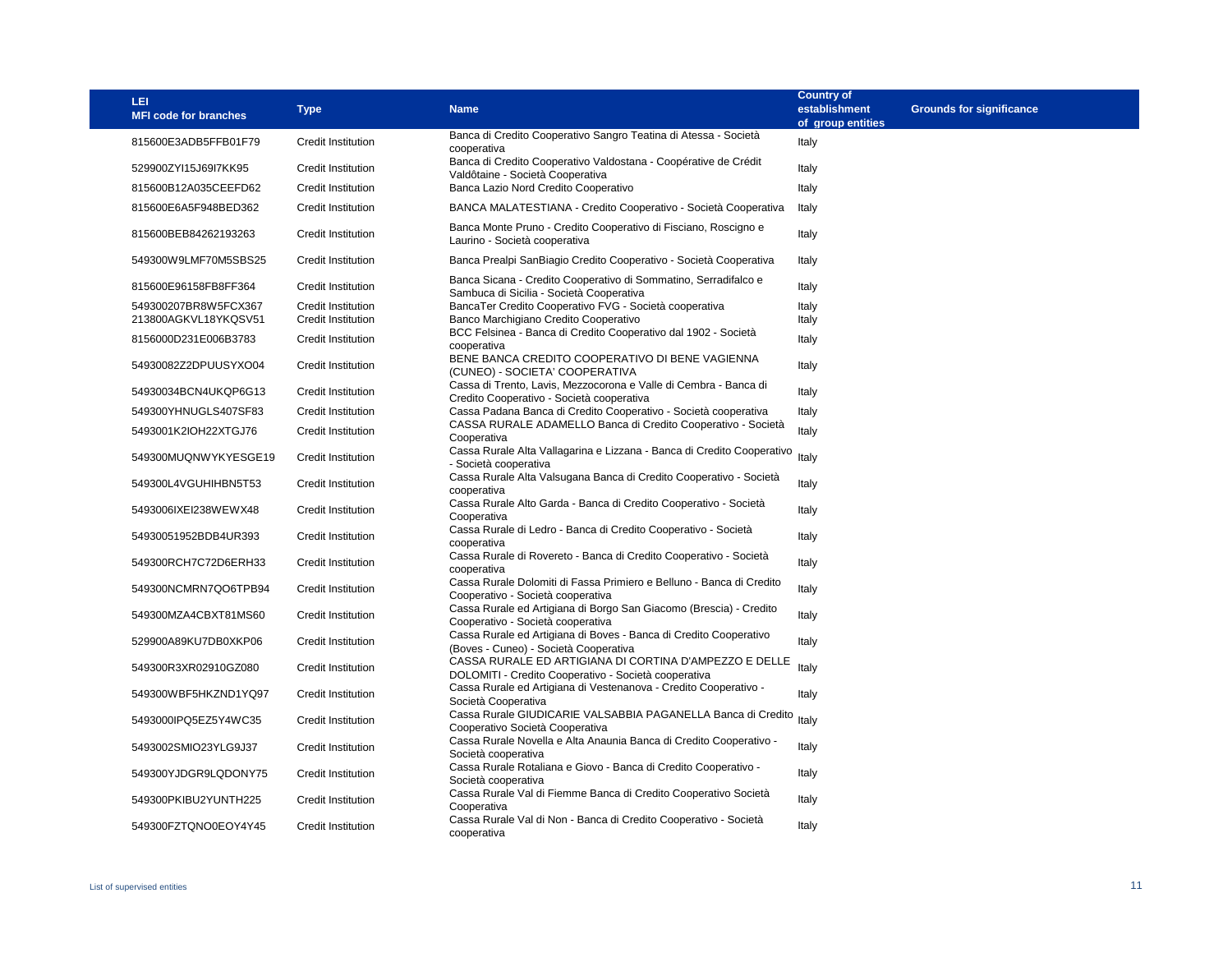| LEI<br><b>MFI code for branches</b>          | <b>Type</b>                                     | <b>Name</b>                                                                                                    | <b>Country of</b><br>establishment<br>of group entities | <b>Grounds for significance</b> |
|----------------------------------------------|-------------------------------------------------|----------------------------------------------------------------------------------------------------------------|---------------------------------------------------------|---------------------------------|
| 815600E3ADB5FFB01F79                         | Credit Institution                              | Banca di Credito Cooperativo Sangro Teatina di Atessa - Società<br>cooperativa                                 | Italy                                                   |                                 |
| 529900ZYI15J69I7KK95                         | Credit Institution                              | Banca di Credito Cooperativo Valdostana - Coopérative de Crédit<br>Valdôtaine - Società Cooperativa            | Italy                                                   |                                 |
| 815600B12A035CEEFD62                         | <b>Credit Institution</b>                       | Banca Lazio Nord Credito Cooperativo                                                                           | Italy                                                   |                                 |
| 815600E6A5F948BED362                         | <b>Credit Institution</b>                       | BANCA MALATESTIANA - Credito Cooperativo - Società Cooperativa                                                 | Italy                                                   |                                 |
| 815600BEB84262193263                         | <b>Credit Institution</b>                       | Banca Monte Pruno - Credito Cooperativo di Fisciano, Roscigno e<br>Laurino - Società cooperativa               | Italy                                                   |                                 |
| 549300W9LMF70M5SBS25                         | <b>Credit Institution</b>                       | Banca Prealpi SanBiagio Credito Cooperativo - Società Cooperativa                                              | Italy                                                   |                                 |
| 815600E96158FB8FF364                         | Credit Institution                              | Banca Sicana - Credito Cooperativo di Sommatino, Serradifalco e<br>Sambuca di Sicilia - Società Cooperativa    | Italy                                                   |                                 |
| 549300207BR8W5FCX367<br>213800AGKVL18YKQSV51 | Credit Institution<br><b>Credit Institution</b> | BancaTer Credito Cooperativo FVG - Società cooperativa<br>Banco Marchigiano Credito Cooperativo                | Italy<br>Italy                                          |                                 |
| 8156000D231E006B3783                         | Credit Institution                              | BCC Felsinea - Banca di Credito Cooperativo dal 1902 - Società<br>cooperativa                                  | Italy                                                   |                                 |
| 54930082Z2DPUUSYXO04                         | <b>Credit Institution</b>                       | BENE BANCA CREDITO COOPERATIVO DI BENE VAGIENNA<br>(CUNEO) - SOCIETA' COOPERATIVA                              | Italy                                                   |                                 |
| 54930034BCN4UKQP6G13                         | Credit Institution                              | Cassa di Trento, Lavis, Mezzocorona e Valle di Cembra - Banca di<br>Credito Cooperativo - Società cooperativa  | Italy                                                   |                                 |
| 549300YHNUGLS407SF83                         | <b>Credit Institution</b>                       | Cassa Padana Banca di Credito Cooperativo - Società cooperativa                                                | Italy                                                   |                                 |
| 5493001K2IOH22XTGJ76                         | <b>Credit Institution</b>                       | CASSA RURALE ADAMELLO Banca di Credito Cooperativo - Società<br>Cooperativa                                    | Italy                                                   |                                 |
| 549300MUQNWYKYESGE19                         | <b>Credit Institution</b>                       | Cassa Rurale Alta Vallagarina e Lizzana - Banca di Credito Cooperativo<br>- Società cooperativa                | Italy                                                   |                                 |
| 549300L4VGUHIHBN5T53                         | Credit Institution                              | Cassa Rurale Alta Valsugana Banca di Credito Cooperativo - Società<br>cooperativa                              | Italy                                                   |                                 |
| 5493006IXEI238WEWX48                         | <b>Credit Institution</b>                       | Cassa Rurale Alto Garda - Banca di Credito Cooperativo - Società<br>Cooperativa                                | Italy                                                   |                                 |
| 54930051952BDB4UR393                         | <b>Credit Institution</b>                       | Cassa Rurale di Ledro - Banca di Credito Cooperativo - Società<br>cooperativa                                  | Italy                                                   |                                 |
| 549300RCH7C72D6ERH33                         | <b>Credit Institution</b>                       | Cassa Rurale di Rovereto - Banca di Credito Cooperativo - Società<br>cooperativa                               | Italy                                                   |                                 |
| 549300NCMRN7QO6TPB94                         | Credit Institution                              | Cassa Rurale Dolomiti di Fassa Primiero e Belluno - Banca di Credito<br>Cooperativo - Società cooperativa      | Italy                                                   |                                 |
| 549300MZA4CBXT81MS60                         | <b>Credit Institution</b>                       | Cassa Rurale ed Artigiana di Borgo San Giacomo (Brescia) - Credito<br>Cooperativo - Società cooperativa        | Italy                                                   |                                 |
| 529900A89KU7DB0XKP06                         | <b>Credit Institution</b>                       | Cassa Rurale ed Artigiana di Boves - Banca di Credito Cooperativo<br>(Boves - Cuneo) - Società Cooperativa     | Italy                                                   |                                 |
| 549300R3XR02910GZ080                         | Credit Institution                              | CASSA RURALE ED ARTIGIANA DI CORTINA D'AMPEZZO E DELLE<br>DOLOMITI - Credito Cooperativo - Società cooperativa | Italy                                                   |                                 |
| 549300WBF5HKZND1YQ97                         | <b>Credit Institution</b>                       | Cassa Rurale ed Artigiana di Vestenanova - Credito Cooperativo -<br>Società Cooperativa                        | Italy                                                   |                                 |
| 5493000IPQ5EZ5Y4WC35                         | <b>Credit Institution</b>                       | Cassa Rurale GIUDICARIE VALSABBIA PAGANELLA Banca di Credito Italy<br>Cooperativo Società Cooperativa          |                                                         |                                 |
| 5493002SMIO23YLG9J37                         | Credit Institution                              | Cassa Rurale Novella e Alta Anaunia Banca di Credito Cooperativo -<br>Società cooperativa                      | Italy                                                   |                                 |
| 549300YJDGR9LQDONY75                         | <b>Credit Institution</b>                       | Cassa Rurale Rotaliana e Giovo - Banca di Credito Cooperativo -<br>Società cooperativa                         | Italy                                                   |                                 |
| 549300PKIBU2YUNTH225                         | Credit Institution                              | Cassa Rurale Val di Fiemme Banca di Credito Cooperativo Società<br>Cooperativa                                 | Italy                                                   |                                 |
| 549300FZTQNO0EOY4Y45                         | <b>Credit Institution</b>                       | Cassa Rurale Val di Non - Banca di Credito Cooperativo - Società<br>cooperativa                                | Italy                                                   |                                 |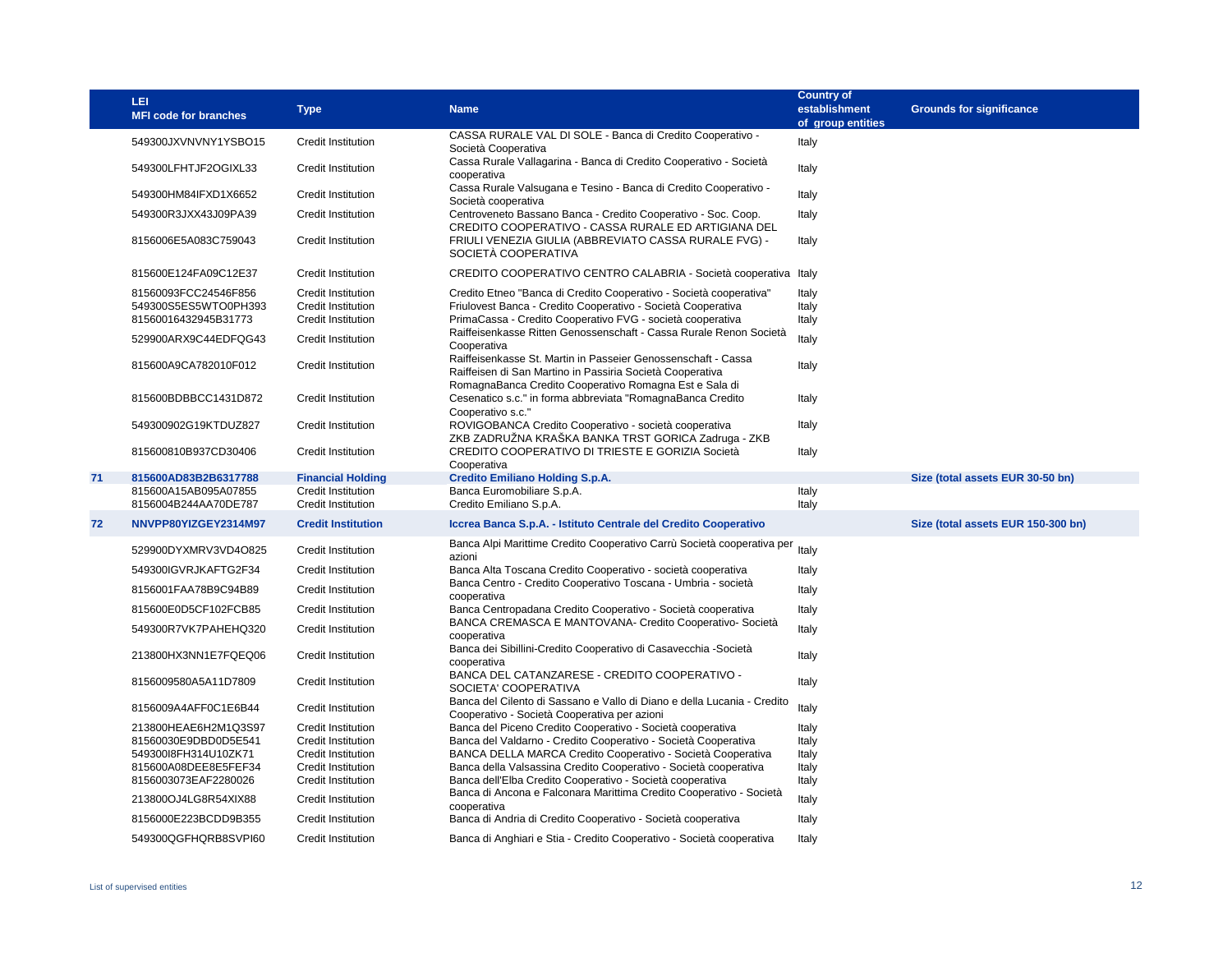|    | LEI<br><b>MFI code for branches</b>                                  | <b>Type</b>                                                          | <b>Name</b>                                                                                                                                                                                      | <b>Country of</b><br>establishment<br>of group entities | <b>Grounds for significance</b>    |
|----|----------------------------------------------------------------------|----------------------------------------------------------------------|--------------------------------------------------------------------------------------------------------------------------------------------------------------------------------------------------|---------------------------------------------------------|------------------------------------|
|    | 549300JXVNVNY1YSBO15                                                 | Credit Institution                                                   | CASSA RURALE VAL DI SOLE - Banca di Credito Cooperativo -<br>Società Cooperativa                                                                                                                 | Italy                                                   |                                    |
|    | 549300LFHTJF2OGIXL33                                                 | <b>Credit Institution</b>                                            | Cassa Rurale Vallagarina - Banca di Credito Cooperativo - Società<br>cooperativa                                                                                                                 | Italy                                                   |                                    |
|    | 549300HM84IFXD1X6652                                                 | <b>Credit Institution</b>                                            | Cassa Rurale Valsugana e Tesino - Banca di Credito Cooperativo -<br>Società cooperativa                                                                                                          | Italy                                                   |                                    |
|    | 549300R3JXX43J09PA39                                                 | Credit Institution                                                   | Centroveneto Bassano Banca - Credito Cooperativo - Soc. Coop.<br>CREDITO COOPERATIVO - CASSA RURALE ED ARTIGIANA DEL                                                                             | Italy                                                   |                                    |
|    | 8156006E5A083C759043                                                 | Credit Institution                                                   | FRIULI VENEZIA GIULIA (ABBREVIATO CASSA RURALE FVG) -<br>SOCIETÀ COOPERATIVA                                                                                                                     | Italy                                                   |                                    |
|    | 815600E124FA09C12E37                                                 | Credit Institution                                                   | CREDITO COOPERATIVO CENTRO CALABRIA - Società cooperativa                                                                                                                                        | Italy                                                   |                                    |
|    | 81560093FCC24546F856<br>549300S5ES5WTO0PH393<br>81560016432945B31773 | Credit Institution<br>Credit Institution<br>Credit Institution       | Credito Etneo "Banca di Credito Cooperativo - Società cooperativa"<br>Friulovest Banca - Credito Cooperativo - Società Cooperativa<br>PrimaCassa - Credito Cooperativo FVG - società cooperativa | Italy<br>Italy<br>Italy                                 |                                    |
|    | 529900ARX9C44EDFQG43                                                 | Credit Institution                                                   | Raiffeisenkasse Ritten Genossenschaft - Cassa Rurale Renon Società<br>Cooperativa                                                                                                                | Italy                                                   |                                    |
|    | 815600A9CA782010F012                                                 | Credit Institution                                                   | Raiffeisenkasse St. Martin in Passeier Genossenschaft - Cassa<br>Raiffeisen di San Martino in Passiria Società Cooperativa<br>RomagnaBanca Credito Cooperativo Romagna Est e Sala di             | Italy                                                   |                                    |
|    | 815600BDBBCC1431D872                                                 | Credit Institution                                                   | Cesenatico s.c." in forma abbreviata "RomagnaBanca Credito<br>Cooperativo s.c."                                                                                                                  | Italy                                                   |                                    |
|    | 549300902G19KTDUZ827                                                 | Credit Institution                                                   | ROVIGOBANCA Credito Cooperativo - società cooperativa<br>ZKB ZADRUŽNA KRAŠKA BANKA TRST GORICA Zadruga - ZKB                                                                                     | Italy                                                   |                                    |
|    | 815600810B937CD30406                                                 | Credit Institution                                                   | CREDITO COOPERATIVO DI TRIESTE E GORIZIA Società<br>Cooperativa                                                                                                                                  | Italy                                                   |                                    |
| 71 | 815600AD83B2B6317788<br>815600A15AB095A07855<br>8156004B244AA70DE787 | <b>Financial Holding</b><br>Credit Institution<br>Credit Institution | <b>Credito Emiliano Holding S.p.A.</b><br>Banca Euromobiliare S.p.A.<br>Credito Emiliano S.p.A.                                                                                                  | Italy<br>Italy                                          | Size (total assets EUR 30-50 bn)   |
| 72 | NNVPP80YIZGEY2314M97                                                 | <b>Credit Institution</b>                                            | Iccrea Banca S.p.A. - Istituto Centrale del Credito Cooperativo                                                                                                                                  |                                                         | Size (total assets EUR 150-300 bn) |
|    | 529900DYXMRV3VD4O825                                                 | Credit Institution                                                   | Banca Alpi Marittime Credito Cooperativo Carrù Società cooperativa per<br>azioni                                                                                                                 | Italy                                                   |                                    |
|    | 549300IGVRJKAFTG2F34                                                 | Credit Institution                                                   | Banca Alta Toscana Credito Cooperativo - società cooperativa                                                                                                                                     | Italy                                                   |                                    |
|    | 8156001FAA78B9C94B89                                                 | Credit Institution                                                   | Banca Centro - Credito Cooperativo Toscana - Umbria - società<br>cooperativa                                                                                                                     | Italy                                                   |                                    |
|    | 815600E0D5CF102FCB85                                                 | Credit Institution                                                   | Banca Centropadana Credito Cooperativo - Società cooperativa                                                                                                                                     | Italy                                                   |                                    |
|    | 549300R7VK7PAHEHQ320                                                 | Credit Institution                                                   | BANCA CREMASCA E MANTOVANA- Credito Cooperativo- Società                                                                                                                                         | Italy                                                   |                                    |
|    | 213800HX3NN1E7FQEQ06                                                 | Credit Institution                                                   | cooperativa<br>Banca dei Sibillini-Credito Cooperativo di Casavecchia -Società<br>cooperativa                                                                                                    | Italy                                                   |                                    |
|    | 8156009580A5A11D7809                                                 | Credit Institution                                                   | BANCA DEL CATANZARESE - CREDITO COOPERATIVO -<br>SOCIETA' COOPERATIVA                                                                                                                            | Italy                                                   |                                    |
|    | 8156009A4AFF0C1E6B44                                                 | Credit Institution                                                   | Banca del Cilento di Sassano e Vallo di Diano e della Lucania - Credito<br>Cooperativo - Società Cooperativa per azioni                                                                          | Italy                                                   |                                    |
|    | 213800HEAE6H2M1Q3S97                                                 | Credit Institution                                                   | Banca del Piceno Credito Cooperativo - Società cooperativa                                                                                                                                       | Italy                                                   |                                    |
|    | 81560030E9DBD0D5E541                                                 | Credit Institution                                                   | Banca del Valdarno - Credito Cooperativo - Società Cooperativa                                                                                                                                   | Italy                                                   |                                    |
|    | 549300I8FH314U10ZK71                                                 | Credit Institution                                                   | BANCA DELLA MARCA Credito Cooperativo - Società Cooperativa                                                                                                                                      | Italy                                                   |                                    |
|    | 815600A08DEE8E5FEF34                                                 | <b>Credit Institution</b>                                            | Banca della Valsassina Credito Cooperativo - Società cooperativa                                                                                                                                 | Italy                                                   |                                    |
|    | 8156003073EAF2280026<br>213800OJ4LG8R54XIX88                         | Credit Institution<br>Credit Institution                             | Banca dell'Elba Credito Cooperativo - Società cooperativa<br>Banca di Ancona e Falconara Marittima Credito Cooperativo - Società<br>cooperativa                                                  | Italy<br>Italy                                          |                                    |
|    | 8156000E223BCDD9B355                                                 | <b>Credit Institution</b>                                            | Banca di Andria di Credito Cooperativo - Società cooperativa                                                                                                                                     | Italy                                                   |                                    |
|    | 549300QGFHQRB8SVPI60                                                 | <b>Credit Institution</b>                                            | Banca di Anghiari e Stia - Credito Cooperativo - Società cooperativa                                                                                                                             | Italy                                                   |                                    |
|    |                                                                      |                                                                      |                                                                                                                                                                                                  |                                                         |                                    |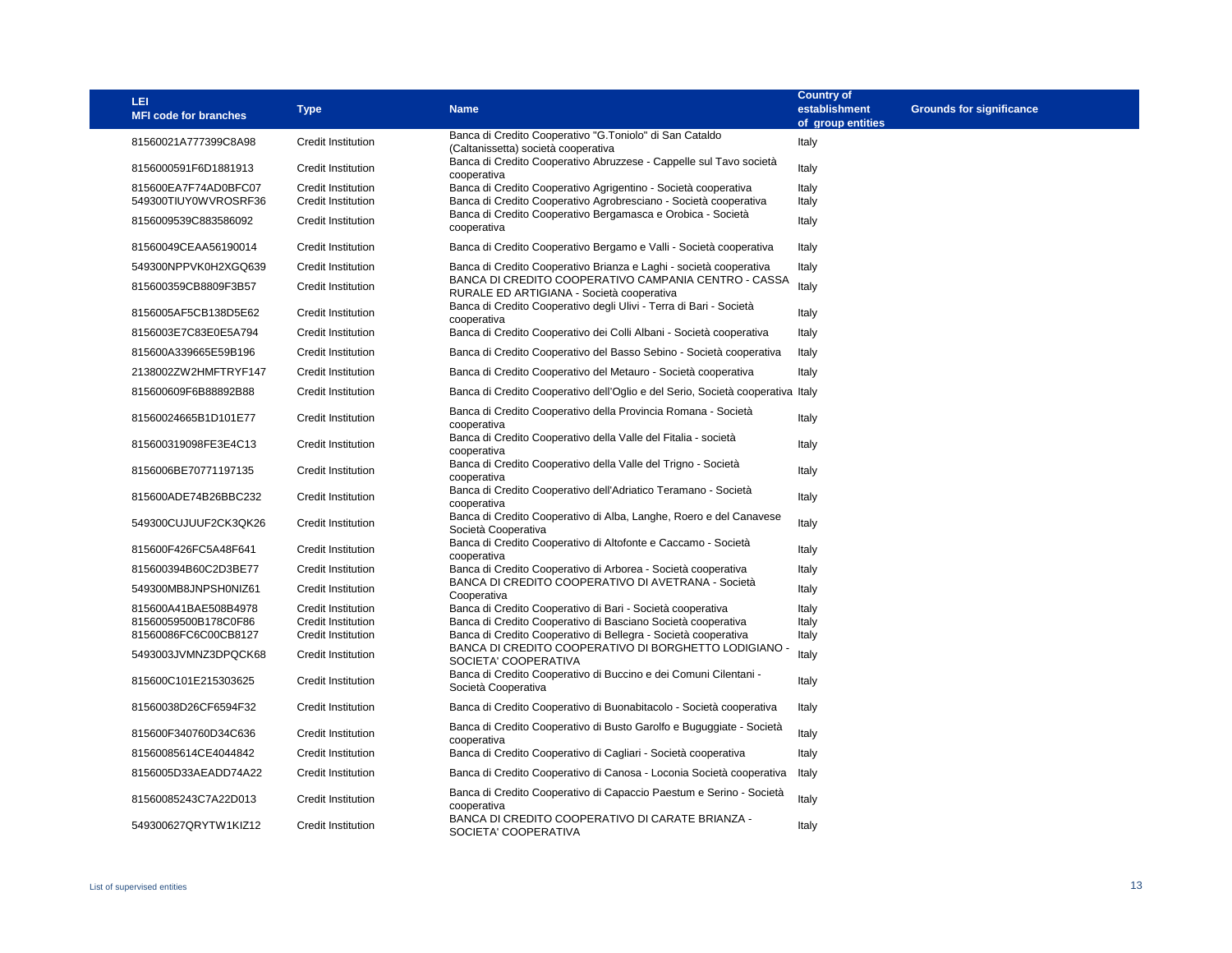| <b>LEI</b><br><b>MFI code for branches</b>   | <b>Type</b>                                            | <b>Name</b>                                                                                                                        | <b>Country of</b><br>establishment<br>of group entities | <b>Grounds for significance</b> |
|----------------------------------------------|--------------------------------------------------------|------------------------------------------------------------------------------------------------------------------------------------|---------------------------------------------------------|---------------------------------|
| 81560021A777399C8A98                         | <b>Credit Institution</b>                              | Banca di Credito Cooperativo "G.Toniolo" di San Cataldo<br>(Caltanissetta) società cooperativa                                     | Italy                                                   |                                 |
| 8156000591F6D1881913                         | Credit Institution                                     | Banca di Credito Cooperativo Abruzzese - Cappelle sul Tavo società<br>cooperativa                                                  | Italy                                                   |                                 |
| 815600EA7F74AD0BFC07<br>549300TIUY0WVROSRF36 | Credit Institution<br><b>Credit Institution</b>        | Banca di Credito Cooperativo Agrigentino - Società cooperativa<br>Banca di Credito Cooperativo Agrobresciano - Società cooperativa | Italy<br>Italy                                          |                                 |
| 8156009539C883586092                         | Credit Institution                                     | Banca di Credito Cooperativo Bergamasca e Orobica - Società<br>cooperativa                                                         | Italy                                                   |                                 |
| 81560049CEAA56190014                         | <b>Credit Institution</b>                              | Banca di Credito Cooperativo Bergamo e Valli - Società cooperativa                                                                 | Italy                                                   |                                 |
| 549300NPPVK0H2XGQ639                         | <b>Credit Institution</b>                              | Banca di Credito Cooperativo Brianza e Laghi - società cooperativa                                                                 | Italy                                                   |                                 |
| 815600359CB8809F3B57                         | Credit Institution                                     | BANCA DI CREDITO COOPERATIVO CAMPANIA CENTRO - CASSA<br>RURALE ED ARTIGIANA - Società cooperativa                                  | Italy                                                   |                                 |
| 8156005AF5CB138D5E62                         | <b>Credit Institution</b>                              | Banca di Credito Cooperativo degli Ulivi - Terra di Bari - Società<br>cooperativa                                                  | Italy                                                   |                                 |
| 8156003E7C83E0E5A794                         | <b>Credit Institution</b>                              | Banca di Credito Cooperativo dei Colli Albani - Società cooperativa                                                                | Italy                                                   |                                 |
| 815600A339665E59B196                         | <b>Credit Institution</b>                              | Banca di Credito Cooperativo del Basso Sebino - Società cooperativa                                                                | Italy                                                   |                                 |
| 2138002ZW2HMFTRYF147                         | <b>Credit Institution</b>                              | Banca di Credito Cooperativo del Metauro - Società cooperativa                                                                     | Italy                                                   |                                 |
| 815600609F6B88892B88                         | Credit Institution                                     | Banca di Credito Cooperativo dell'Oglio e del Serio, Società cooperativa Italy                                                     |                                                         |                                 |
| 81560024665B1D101E77                         | Credit Institution                                     | Banca di Credito Cooperativo della Provincia Romana - Società<br>cooperativa                                                       | Italy                                                   |                                 |
| 815600319098FE3E4C13                         | <b>Credit Institution</b>                              | Banca di Credito Cooperativo della Valle del Fitalia - società<br>cooperativa                                                      | Italy                                                   |                                 |
| 8156006BE70771197135                         | <b>Credit Institution</b>                              | Banca di Credito Cooperativo della Valle del Trigno - Società<br>cooperativa                                                       | Italy                                                   |                                 |
| 815600ADE74B26BBC232                         | Credit Institution                                     | Banca di Credito Cooperativo dell'Adriatico Teramano - Società<br>cooperativa                                                      | Italy                                                   |                                 |
| 549300CUJUUF2CK3QK26                         | <b>Credit Institution</b>                              | Banca di Credito Cooperativo di Alba, Langhe, Roero e del Canavese<br>Società Cooperativa                                          | Italy                                                   |                                 |
| 815600F426FC5A48F641                         | Credit Institution                                     | Banca di Credito Cooperativo di Altofonte e Caccamo - Società<br>cooperativa                                                       | Italy                                                   |                                 |
| 815600394B60C2D3BE77                         | <b>Credit Institution</b>                              | Banca di Credito Cooperativo di Arborea - Società cooperativa                                                                      | Italy                                                   |                                 |
| 549300MB8JNPSH0NIZ61                         | <b>Credit Institution</b>                              | BANCA DI CREDITO COOPERATIVO DI AVETRANA - Società<br>Cooperativa                                                                  | Italy                                                   |                                 |
| 815600A41BAE508B4978                         | <b>Credit Institution</b>                              | Banca di Credito Cooperativo di Bari - Società cooperativa                                                                         | Italy                                                   |                                 |
| 81560059500B178C0F86<br>81560086FC6C00CB8127 | <b>Credit Institution</b><br><b>Credit Institution</b> | Banca di Credito Cooperativo di Basciano Società cooperativa<br>Banca di Credito Cooperativo di Bellegra - Società cooperativa     | Italy<br>Italy                                          |                                 |
| 5493003JVMNZ3DPQCK68                         | <b>Credit Institution</b>                              | BANCA DI CREDITO COOPERATIVO DI BORGHETTO LODIGIANO -<br>SOCIETA' COOPERATIVA                                                      | Italy                                                   |                                 |
| 815600C101E215303625                         | Credit Institution                                     | Banca di Credito Cooperativo di Buccino e dei Comuni Cilentani -<br>Società Cooperativa                                            | Italy                                                   |                                 |
| 81560038D26CF6594F32                         | <b>Credit Institution</b>                              | Banca di Credito Cooperativo di Buonabitacolo - Società cooperativa                                                                | Italy                                                   |                                 |
| 815600F340760D34C636                         | <b>Credit Institution</b>                              | Banca di Credito Cooperativo di Busto Garolfo e Buguggiate - Società<br>cooperativa                                                | Italy                                                   |                                 |
| 81560085614CE4044842                         | Credit Institution                                     | Banca di Credito Cooperativo di Cagliari - Società cooperativa                                                                     | Italy                                                   |                                 |
| 8156005D33AEADD74A22                         | <b>Credit Institution</b>                              | Banca di Credito Cooperativo di Canosa - Loconia Società cooperativa                                                               | Italy                                                   |                                 |
| 81560085243C7A22D013                         | <b>Credit Institution</b>                              | Banca di Credito Cooperativo di Capaccio Paestum e Serino - Società<br>cooperativa                                                 | Italy                                                   |                                 |
| 549300627QRYTW1KIZ12                         | Credit Institution                                     | BANCA DI CREDITO COOPERATIVO DI CARATE BRIANZA -<br>SOCIETA' COOPERATIVA                                                           | Italy                                                   |                                 |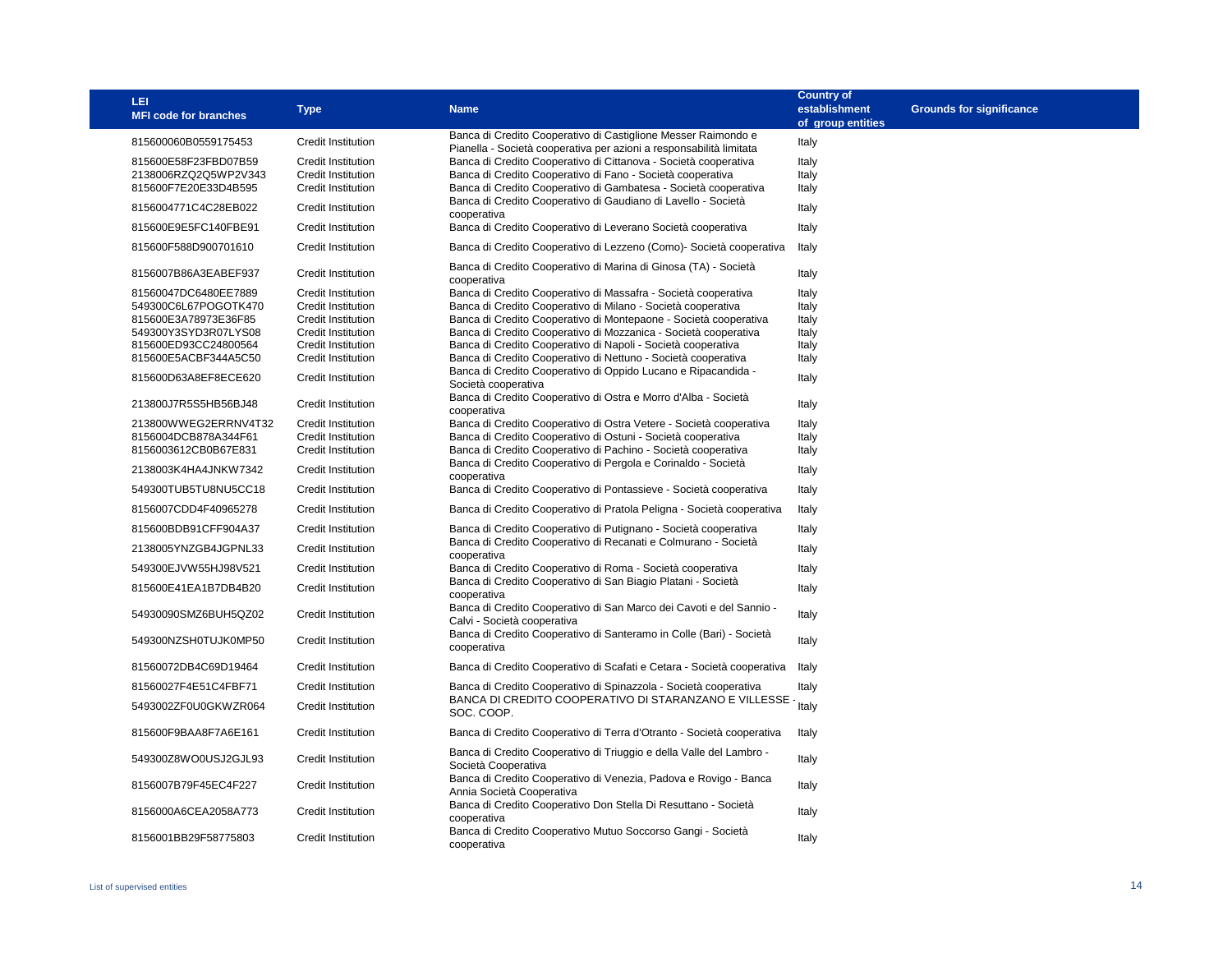| <b>LEI</b><br><b>MFI code for branches</b> | <b>Type</b>               | <b>Name</b>                                                                                                                          | <b>Country of</b><br>establishment<br>of group entities | <b>Grounds for significance</b> |
|--------------------------------------------|---------------------------|--------------------------------------------------------------------------------------------------------------------------------------|---------------------------------------------------------|---------------------------------|
| 815600060B0559175453                       | <b>Credit Institution</b> | Banca di Credito Cooperativo di Castiglione Messer Raimondo e<br>Pianella - Società cooperativa per azioni a responsabilità limitata | Italy                                                   |                                 |
| 815600E58F23FBD07B59                       | Credit Institution        | Banca di Credito Cooperativo di Cittanova - Società cooperativa                                                                      | Italy                                                   |                                 |
| 2138006RZQ2Q5WP2V343                       | <b>Credit Institution</b> | Banca di Credito Cooperativo di Fano - Società cooperativa                                                                           | Italy                                                   |                                 |
| 815600F7E20E33D4B595                       | Credit Institution        | Banca di Credito Cooperativo di Gambatesa - Società cooperativa                                                                      | Italy                                                   |                                 |
| 8156004771C4C28EB022                       | Credit Institution        | Banca di Credito Cooperativo di Gaudiano di Lavello - Società                                                                        | Italy                                                   |                                 |
|                                            |                           | cooperativa                                                                                                                          |                                                         |                                 |
| 815600E9E5FC140FBE91                       | Credit Institution        | Banca di Credito Cooperativo di Leverano Società cooperativa                                                                         | Italy                                                   |                                 |
| 815600F588D900701610                       | <b>Credit Institution</b> | Banca di Credito Cooperativo di Lezzeno (Como)- Società cooperativa                                                                  | Italy                                                   |                                 |
| 8156007B86A3EABEF937                       | <b>Credit Institution</b> | Banca di Credito Cooperativo di Marina di Ginosa (TA) - Società<br>cooperativa                                                       | Italy                                                   |                                 |
| 81560047DC6480EE7889                       | Credit Institution        | Banca di Credito Cooperativo di Massafra - Società cooperativa                                                                       | Italy                                                   |                                 |
| 549300C6L67POGOTK470                       | <b>Credit Institution</b> | Banca di Credito Cooperativo di Milano - Società cooperativa                                                                         | Italy                                                   |                                 |
| 815600E3A78973E36F85                       | Credit Institution        | Banca di Credito Cooperativo di Montepaone - Società cooperativa                                                                     | Italy                                                   |                                 |
| 549300Y3SYD3R07LYS08                       | <b>Credit Institution</b> | Banca di Credito Cooperativo di Mozzanica - Società cooperativa                                                                      | Italy                                                   |                                 |
| 815600ED93CC24800564                       | <b>Credit Institution</b> | Banca di Credito Cooperativo di Napoli - Società cooperativa                                                                         | Italy                                                   |                                 |
| 815600E5ACBF344A5C50                       | <b>Credit Institution</b> | Banca di Credito Cooperativo di Nettuno - Società cooperativa                                                                        | Italy                                                   |                                 |
| 815600D63A8EF8ECE620                       | Credit Institution        | Banca di Credito Cooperativo di Oppido Lucano e Ripacandida -                                                                        | Italy                                                   |                                 |
|                                            |                           | Società cooperativa<br>Banca di Credito Cooperativo di Ostra e Morro d'Alba - Società                                                |                                                         |                                 |
| 213800J7R5S5HB56BJ48                       | <b>Credit Institution</b> | cooperativa                                                                                                                          | Italy                                                   |                                 |
| 213800WWEG2ERRNV4T32                       | Credit Institution        | Banca di Credito Cooperativo di Ostra Vetere - Società cooperativa                                                                   | Italy                                                   |                                 |
| 8156004DCB878A344F61                       | Credit Institution        | Banca di Credito Cooperativo di Ostuni - Società cooperativa                                                                         | Italy                                                   |                                 |
| 8156003612CB0B67E831                       | <b>Credit Institution</b> | Banca di Credito Cooperativo di Pachino - Società cooperativa                                                                        | Italy                                                   |                                 |
| 2138003K4HA4JNKW7342                       | <b>Credit Institution</b> | Banca di Credito Cooperativo di Pergola e Corinaldo - Società<br>cooperativa                                                         | Italy                                                   |                                 |
| 549300TUB5TU8NU5CC18                       | Credit Institution        | Banca di Credito Cooperativo di Pontassieve - Società cooperativa                                                                    | Italy                                                   |                                 |
| 8156007CDD4F40965278                       | <b>Credit Institution</b> | Banca di Credito Cooperativo di Pratola Peligna - Società cooperativa                                                                | Italy                                                   |                                 |
| 815600BDB91CFF904A37                       | <b>Credit Institution</b> | Banca di Credito Cooperativo di Putignano - Società cooperativa                                                                      | Italy                                                   |                                 |
| 2138005YNZGB4JGPNL33                       | <b>Credit Institution</b> | Banca di Credito Cooperativo di Recanati e Colmurano - Società<br>cooperativa                                                        | Italy                                                   |                                 |
| 549300EJVW55HJ98V521                       | Credit Institution        | Banca di Credito Cooperativo di Roma - Società cooperativa                                                                           | Italy                                                   |                                 |
| 815600E41EA1B7DB4B20                       | <b>Credit Institution</b> | Banca di Credito Cooperativo di San Biagio Platani - Società<br>cooperativa                                                          | Italy                                                   |                                 |
| 54930090SMZ6BUH5QZ02                       | Credit Institution        | Banca di Credito Cooperativo di San Marco dei Cavoti e del Sannio -<br>Calvi - Società cooperativa                                   | Italy                                                   |                                 |
| 549300NZSH0TUJK0MP50                       | <b>Credit Institution</b> | Banca di Credito Cooperativo di Santeramo in Colle (Bari) - Società<br>cooperativa                                                   | Italy                                                   |                                 |
| 81560072DB4C69D19464                       | <b>Credit Institution</b> | Banca di Credito Cooperativo di Scafati e Cetara - Società cooperativa                                                               | Italy                                                   |                                 |
| 81560027F4E51C4FBF71                       | Credit Institution        | Banca di Credito Cooperativo di Spinazzola - Società cooperativa                                                                     | Italy                                                   |                                 |
| 5493002ZF0U0GKWZR064                       | Credit Institution        | BANCA DI CREDITO COOPERATIVO DI STARANZANO E VILLESSE<br>SOC. COOP.                                                                  | Italy                                                   |                                 |
| 815600F9BAA8F7A6E161                       | <b>Credit Institution</b> | Banca di Credito Cooperativo di Terra d'Otranto - Società cooperativa                                                                | Italy                                                   |                                 |
| 549300Z8WO0USJ2GJL93                       | <b>Credit Institution</b> | Banca di Credito Cooperativo di Triuggio e della Valle del Lambro -<br>Società Cooperativa                                           | Italy                                                   |                                 |
| 8156007B79F45EC4F227                       | <b>Credit Institution</b> | Banca di Credito Cooperativo di Venezia, Padova e Rovigo - Banca<br>Annia Società Cooperativa                                        | Italy                                                   |                                 |
| 8156000A6CEA2058A773                       | <b>Credit Institution</b> | Banca di Credito Cooperativo Don Stella Di Resuttano - Società<br>cooperativa                                                        | Italy                                                   |                                 |
| 8156001BB29F58775803                       | Credit Institution        | Banca di Credito Cooperativo Mutuo Soccorso Gangi - Società<br>cooperativa                                                           | Italy                                                   |                                 |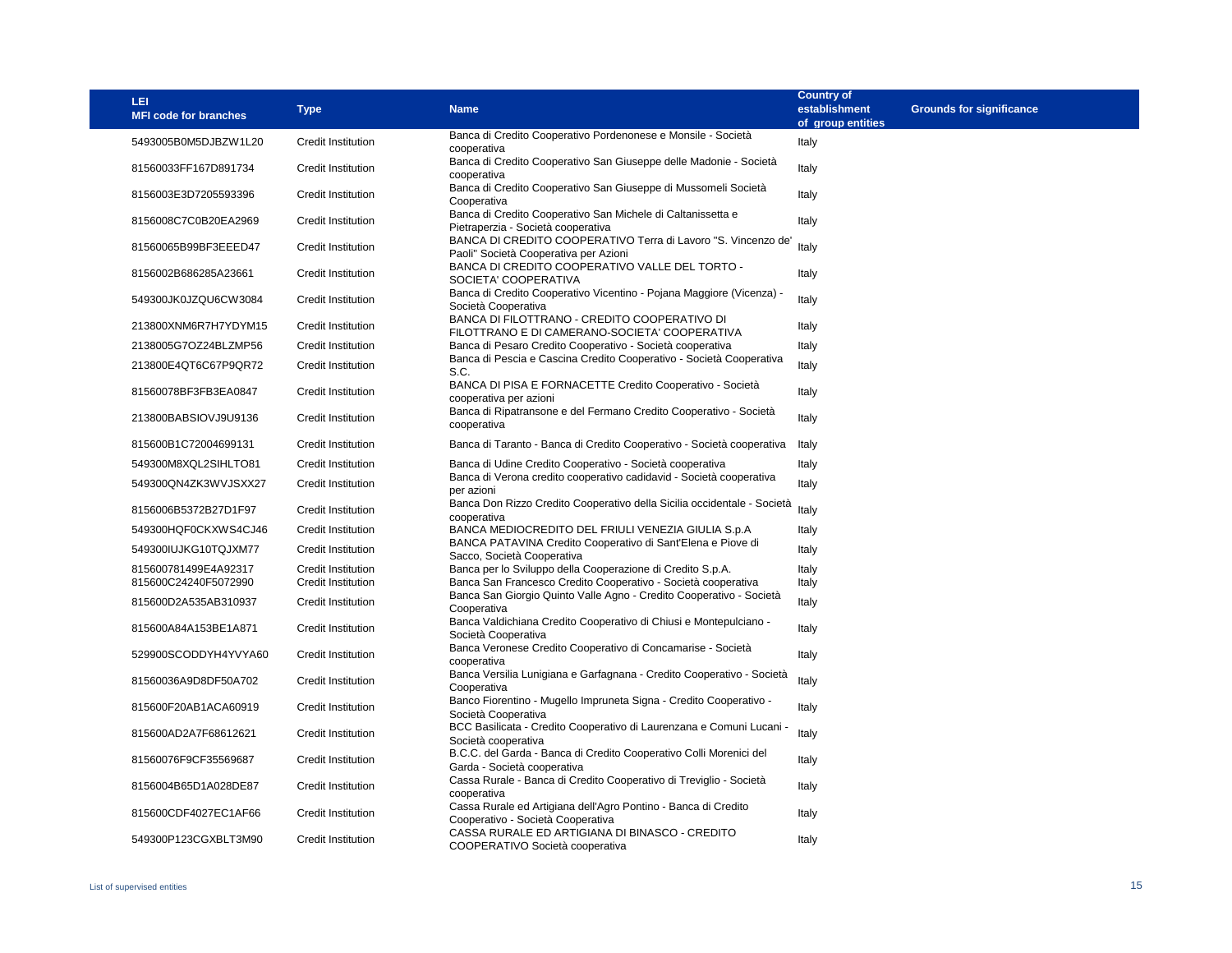| <b>LEI</b><br><b>MFI code for branches</b> | <b>Type</b>               | <b>Name</b>                                                                                                                          | <b>Country of</b><br>establishment<br>of group entities | <b>Grounds for significance</b> |
|--------------------------------------------|---------------------------|--------------------------------------------------------------------------------------------------------------------------------------|---------------------------------------------------------|---------------------------------|
| 5493005B0M5DJBZW1L20                       | <b>Credit Institution</b> | Banca di Credito Cooperativo Pordenonese e Monsile - Società<br>cooperativa                                                          | Italy                                                   |                                 |
| 81560033FF167D891734                       | Credit Institution        | Banca di Credito Cooperativo San Giuseppe delle Madonie - Società<br>cooperativa                                                     | Italy                                                   |                                 |
| 8156003E3D7205593396                       | <b>Credit Institution</b> | Banca di Credito Cooperativo San Giuseppe di Mussomeli Società<br>Cooperativa                                                        | Italy                                                   |                                 |
| 8156008C7C0B20EA2969                       | <b>Credit Institution</b> | Banca di Credito Cooperativo San Michele di Caltanissetta e<br>Pietraperzia - Società cooperativa                                    | Italy                                                   |                                 |
| 81560065B99BF3EEED47                       | Credit Institution        | BANCA DI CREDITO COOPERATIVO Terra di Lavoro "S. Vincenzo de'<br>Paoli" Società Cooperativa per Azioni                               | Italy                                                   |                                 |
| 8156002B686285A23661                       | <b>Credit Institution</b> | BANCA DI CREDITO COOPERATIVO VALLE DEL TORTO -<br>SOCIETA' COOPERATIVA                                                               | Italy                                                   |                                 |
| 549300JK0JZQU6CW3084                       | <b>Credit Institution</b> | Banca di Credito Cooperativo Vicentino - Pojana Maggiore (Vicenza) -<br>Società Cooperativa                                          | Italy                                                   |                                 |
| 213800XNM6R7H7YDYM15                       | Credit Institution        | BANCA DI FILOTTRANO - CREDITO COOPERATIVO DI<br>FILOTTRANO E DI CAMERANO-SOCIETA' COOPERATIVA                                        | Italy                                                   |                                 |
| 2138005G7OZ24BLZMP56                       | <b>Credit Institution</b> | Banca di Pesaro Credito Cooperativo - Società cooperativa                                                                            | Italy                                                   |                                 |
| 213800E4QT6C67P9QR72                       | <b>Credit Institution</b> | Banca di Pescia e Cascina Credito Cooperativo - Società Cooperativa<br>S.C.                                                          | Italy                                                   |                                 |
| 81560078BF3FB3EA0847                       | <b>Credit Institution</b> | BANCA DI PISA E FORNACETTE Credito Cooperativo - Società<br>cooperativa per azioni                                                   | Italy                                                   |                                 |
| 213800BABSIOVJ9U9136                       | Credit Institution        | Banca di Ripatransone e del Fermano Credito Cooperativo - Società<br>cooperativa                                                     | Italy                                                   |                                 |
| 815600B1C72004699131                       | Credit Institution        | Banca di Taranto - Banca di Credito Cooperativo - Società cooperativa                                                                | Italy                                                   |                                 |
| 549300M8XQL2SIHLTO81                       | <b>Credit Institution</b> | Banca di Udine Credito Cooperativo - Società cooperativa                                                                             | Italy                                                   |                                 |
| 549300QN4ZK3WVJSXX27                       | <b>Credit Institution</b> | Banca di Verona credito cooperativo cadidavid - Società cooperativa<br>per azioni                                                    | Italy                                                   |                                 |
| 8156006B5372B27D1F97                       | Credit Institution        | Banca Don Rizzo Credito Cooperativo della Sicilia occidentale - Società                                                              | Italy                                                   |                                 |
| 549300HQF0CKXWS4CJ46                       | <b>Credit Institution</b> | cooperativa<br>BANCA MEDIOCREDITO DEL FRIULI VENEZIA GIULIA S.p.A                                                                    | Italy                                                   |                                 |
| 549300IUJKG10TQJXM77                       | <b>Credit Institution</b> | BANCA PATAVINA Credito Cooperativo di Sant'Elena e Piove di<br>Sacco, Società Cooperativa                                            | Italy                                                   |                                 |
| 815600781499E4A92317                       | Credit Institution        | Banca per lo Sviluppo della Cooperazione di Credito S.p.A.                                                                           | Italy                                                   |                                 |
| 815600C24240F5072990                       | Credit Institution        | Banca San Francesco Credito Cooperativo - Società cooperativa<br>Banca San Giorgio Quinto Valle Agno - Credito Cooperativo - Società | Italy                                                   |                                 |
| 815600D2A535AB310937                       | Credit Institution        | Cooperativa                                                                                                                          | Italy                                                   |                                 |
| 815600A84A153BE1A871                       | Credit Institution        | Banca Valdichiana Credito Cooperativo di Chiusi e Montepulciano -<br>Società Cooperativa                                             | Italy                                                   |                                 |
| 529900SCODDYH4YVYA60                       | <b>Credit Institution</b> | Banca Veronese Credito Cooperativo di Concamarise - Società<br>cooperativa                                                           | Italy                                                   |                                 |
| 81560036A9D8DF50A702                       | <b>Credit Institution</b> | Banca Versilia Lunigiana e Garfagnana - Credito Cooperativo - Società<br>Cooperativa                                                 | Italy                                                   |                                 |
| 815600F20AB1ACA60919                       | <b>Credit Institution</b> | Banco Fiorentino - Mugello Impruneta Signa - Credito Cooperativo -<br>Società Cooperativa                                            | Italy                                                   |                                 |
| 815600AD2A7F68612621                       | <b>Credit Institution</b> | BCC Basilicata - Credito Cooperativo di Laurenzana e Comuni Lucani -<br>Società cooperativa                                          | Italy                                                   |                                 |
| 81560076F9CF35569687                       | <b>Credit Institution</b> | B.C.C. del Garda - Banca di Credito Cooperativo Colli Morenici del<br>Garda - Società cooperativa                                    | Italy                                                   |                                 |
| 8156004B65D1A028DE87                       | <b>Credit Institution</b> | Cassa Rurale - Banca di Credito Cooperativo di Treviglio - Società<br>cooperativa                                                    | Italy                                                   |                                 |
| 815600CDF4027EC1AF66                       | <b>Credit Institution</b> | Cassa Rurale ed Artigiana dell'Agro Pontino - Banca di Credito<br>Cooperativo - Società Cooperativa                                  | Italy                                                   |                                 |
| 549300P123CGXBLT3M90                       | <b>Credit Institution</b> | CASSA RURALE ED ARTIGIANA DI BINASCO - CREDITO<br>COOPERATIVO Società cooperativa                                                    | Italy                                                   |                                 |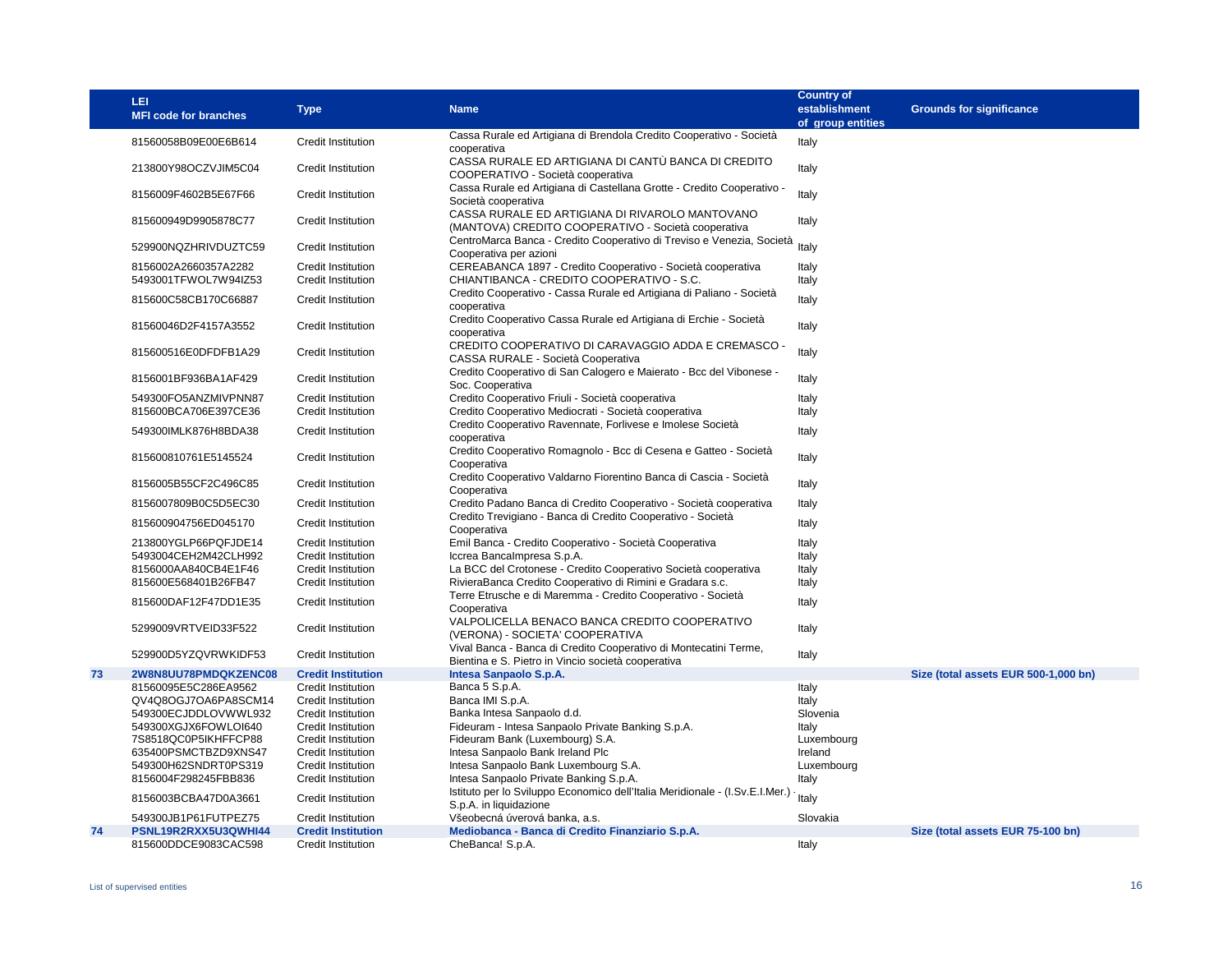|    | LEI<br><b>MFI code for branches</b>          | <b>Type</b>                                     | <b>Name</b>                                                                                                            | <b>Country of</b><br>establishment<br>of group entities | <b>Grounds for significance</b>      |
|----|----------------------------------------------|-------------------------------------------------|------------------------------------------------------------------------------------------------------------------------|---------------------------------------------------------|--------------------------------------|
|    | 81560058B09E00E6B614                         | Credit Institution                              | Cassa Rurale ed Artigiana di Brendola Credito Cooperativo - Società                                                    |                                                         |                                      |
|    |                                              |                                                 | cooperativa                                                                                                            | Italy                                                   |                                      |
|    | 213800Y98OCZVJIM5C04                         | Credit Institution                              | CASSA RURALE ED ARTIGIANA DI CANTÙ BANCA DI CREDITO<br>COOPERATIVO - Società cooperativa                               | Italy                                                   |                                      |
|    | 8156009F4602B5E67F66                         | Credit Institution                              | Cassa Rurale ed Artigiana di Castellana Grotte - Credito Cooperativo -<br>Società cooperativa                          | Italy                                                   |                                      |
|    | 815600949D9905878C77                         | <b>Credit Institution</b>                       | CASSA RURALE ED ARTIGIANA DI RIVAROLO MANTOVANO<br>(MANTOVA) CREDITO COOPERATIVO - Società cooperativa                 | Italy                                                   |                                      |
|    | 529900NQZHRIVDUZTC59                         | Credit Institution                              | CentroMarca Banca - Credito Cooperativo di Treviso e Venezia, Società<br>Cooperativa per azioni                        | Italy                                                   |                                      |
|    | 8156002A2660357A2282<br>5493001TFWOL7W94IZ53 | Credit Institution<br>Credit Institution        | CEREABANCA 1897 - Credito Cooperativo - Società cooperativa<br>CHIANTIBANCA - CREDITO COOPERATIVO - S.C.               | Italy<br>Italy                                          |                                      |
|    | 815600C58CB170C66887                         | Credit Institution                              | Credito Cooperativo - Cassa Rurale ed Artigiana di Paliano - Società<br>cooperativa                                    | Italy                                                   |                                      |
|    | 81560046D2F4157A3552                         | Credit Institution                              | Credito Cooperativo Cassa Rurale ed Artigiana di Erchie - Società<br>cooperativa                                       | Italy                                                   |                                      |
|    | 815600516E0DFDFB1A29                         | Credit Institution                              | CREDITO COOPERATIVO DI CARAVAGGIO ADDA E CREMASCO -<br>CASSA RURALE - Società Cooperativa                              | Italy                                                   |                                      |
|    | 8156001BF936BA1AF429                         | Credit Institution                              | Credito Cooperativo di San Calogero e Maierato - Bcc del Vibonese -<br>Soc. Cooperativa                                | Italy                                                   |                                      |
|    | 549300FO5ANZMIVPNN87                         | Credit Institution                              | Credito Cooperativo Friuli - Società cooperativa                                                                       | Italy                                                   |                                      |
|    | 815600BCA706E397CE36                         | Credit Institution                              | Credito Cooperativo Mediocrati - Società cooperativa                                                                   | Italy                                                   |                                      |
|    | 549300IMLK876H8BDA38                         | Credit Institution                              | Credito Cooperativo Ravennate, Forlivese e Imolese Società<br>cooperativa                                              | Italy                                                   |                                      |
|    | 815600810761E5145524                         | Credit Institution                              | Credito Cooperativo Romagnolo - Bcc di Cesena e Gatteo - Società<br>Cooperativa                                        | Italy                                                   |                                      |
|    | 8156005B55CF2C496C85                         | Credit Institution                              | Credito Cooperativo Valdarno Fiorentino Banca di Cascia - Società<br>Cooperativa                                       | Italy                                                   |                                      |
|    | 8156007809B0C5D5EC30                         | Credit Institution                              | Credito Padano Banca di Credito Cooperativo - Società cooperativa                                                      | Italy                                                   |                                      |
|    | 815600904756ED045170                         | Credit Institution                              | Credito Trevigiano - Banca di Credito Cooperativo - Società<br>Cooperativa                                             | Italy                                                   |                                      |
|    | 213800YGLP66PQFJDE14                         | Credit Institution                              | Emil Banca - Credito Cooperativo - Società Cooperativa                                                                 | Italy                                                   |                                      |
|    | 5493004CEH2M42CLH992                         | Credit Institution                              | Iccrea Bancalmpresa S.p.A.                                                                                             | Italy                                                   |                                      |
|    | 8156000AA840CB4E1F46                         | <b>Credit Institution</b>                       | La BCC del Crotonese - Credito Cooperativo Società cooperativa                                                         | Italy                                                   |                                      |
|    | 815600E568401B26FB47                         | <b>Credit Institution</b>                       | RivieraBanca Credito Cooperativo di Rimini e Gradara s.c.                                                              | Italy                                                   |                                      |
|    | 815600DAF12F47DD1E35                         | Credit Institution                              | Terre Etrusche e di Maremma - Credito Cooperativo - Società<br>Cooperativa                                             | Italy                                                   |                                      |
|    | 5299009VRTVEID33F522                         | Credit Institution                              | VALPOLICELLA BENACO BANCA CREDITO COOPERATIVO<br>(VERONA) - SOCIETA' COOPERATIVA                                       | Italy                                                   |                                      |
|    | 529900D5YZQVRWKIDF53                         | Credit Institution                              | Vival Banca - Banca di Credito Cooperativo di Montecatini Terme,<br>Bientina e S. Pietro in Vincio società cooperativa | Italy                                                   |                                      |
| 73 | 2W8N8UU78PMDQKZENC08                         | <b>Credit Institution</b>                       | Intesa Sanpaolo S.p.A.                                                                                                 |                                                         | Size (total assets EUR 500-1,000 bn) |
|    | 81560095E5C286EA9562                         | Credit Institution                              | Banca 5 S.p.A.                                                                                                         | Italy                                                   |                                      |
|    | QV4Q8OGJ7OA6PA8SCM14                         | <b>Credit Institution</b>                       | Banca IMI S.p.A.                                                                                                       | Italy                                                   |                                      |
|    | 549300ECJDDLOVWWL932                         | <b>Credit Institution</b>                       | Banka Intesa Sanpaolo d.d.                                                                                             | Slovenia                                                |                                      |
|    | 549300XGJX6FOWLOI640                         | <b>Credit Institution</b>                       | Fideuram - Intesa Sanpaolo Private Banking S.p.A.                                                                      | Italy                                                   |                                      |
|    | 7S8518QC0P5IKHFFCP88                         | Credit Institution                              | Fideuram Bank (Luxembourg) S.A.                                                                                        | Luxembourg                                              |                                      |
|    | 635400PSMCTBZD9XNS47                         | Credit Institution                              | Intesa Sanpaolo Bank Ireland Plc                                                                                       | Ireland                                                 |                                      |
|    | 549300H62SNDRT0PS319                         | Credit Institution                              | Intesa Sanpaolo Bank Luxembourg S.A.                                                                                   | Luxembourg                                              |                                      |
|    | 8156004F298245FBB836                         | Credit Institution                              | Intesa Sanpaolo Private Banking S.p.A.<br>Istituto per lo Sviluppo Economico dell'Italia Meridionale - (I.Sv.E.I.Mer.) | Italy                                                   |                                      |
|    | 8156003BCBA47D0A3661                         | Credit Institution                              | S.p.A. in liquidazione                                                                                                 | Italy                                                   |                                      |
|    | 549300JB1P61FUTPEZ75                         | Credit Institution                              | Všeobecná úverová banka, a.s.                                                                                          | Slovakia                                                |                                      |
| 74 | PSNL19R2RXX5U3QWHI44<br>815600DDCE9083CAC598 | <b>Credit Institution</b><br>Credit Institution | Mediobanca - Banca di Credito Finanziario S.p.A.<br>CheBanca! S.p.A.                                                   | Italy                                                   | Size (total assets EUR 75-100 bn)    |
|    |                                              |                                                 |                                                                                                                        |                                                         |                                      |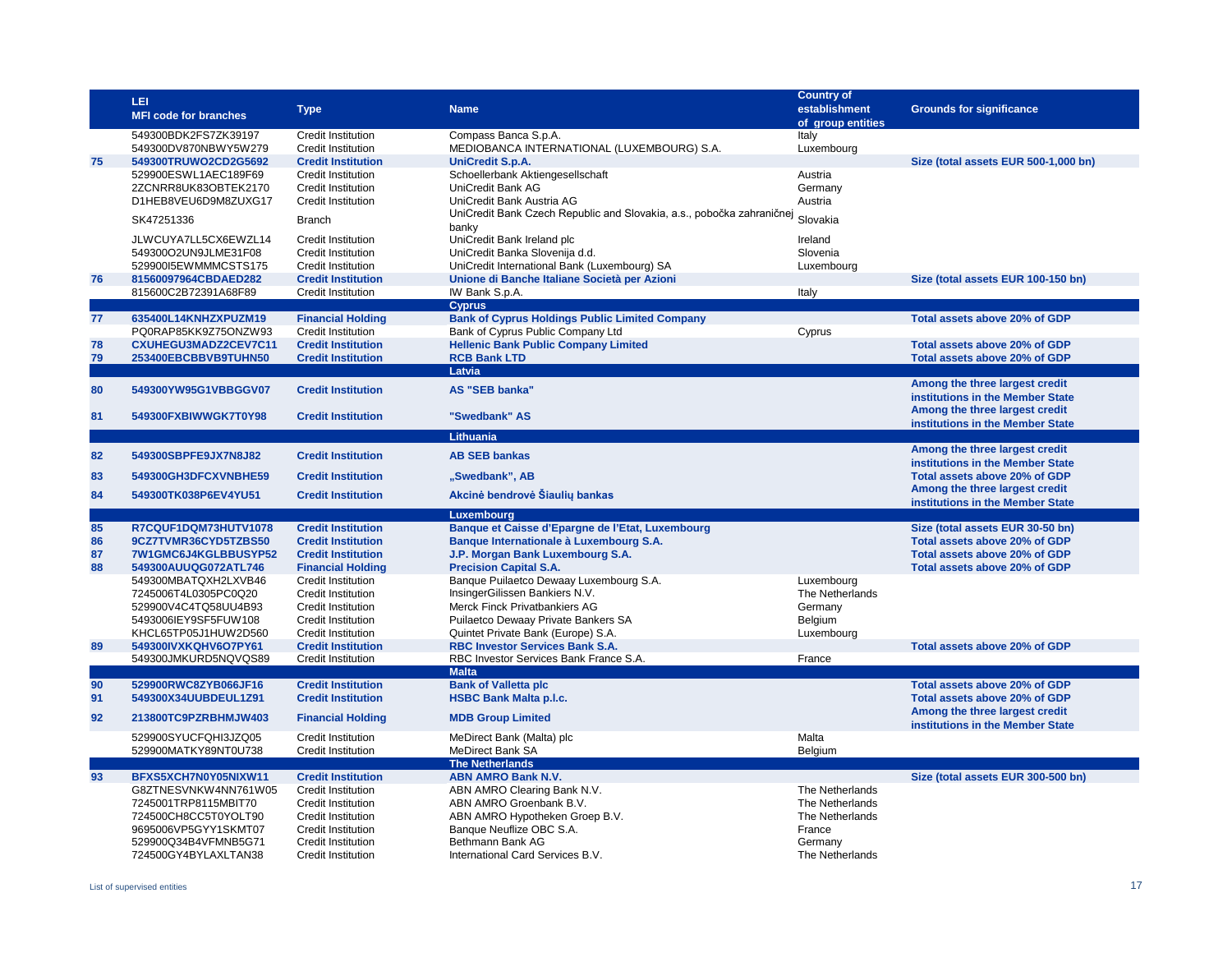|          | LEI<br><b>MFI code for branches</b>                                  | <b>Type</b>                                                           | <b>Name</b>                                                                                                  | <b>Country of</b><br>establishment<br>of group entities | <b>Grounds for significance</b>                                                                      |
|----------|----------------------------------------------------------------------|-----------------------------------------------------------------------|--------------------------------------------------------------------------------------------------------------|---------------------------------------------------------|------------------------------------------------------------------------------------------------------|
| 75       | 549300BDK2FS7ZK39197<br>549300DV870NBWY5W279<br>549300TRUWO2CD2G5692 | Credit Institution<br>Credit Institution<br><b>Credit Institution</b> | Compass Banca S.p.A.<br>MEDIOBANCA INTERNATIONAL (LUXEMBOURG) S.A.<br><b>UniCredit S.p.A.</b>                | Italy<br>Luxembourg                                     | Size (total assets EUR 500-1,000 bn)                                                                 |
|          | 529900ESWL1AEC189F69<br>2ZCNRR8UK83OBTEK2170<br>D1HEB8VEU6D9M8ZUXG17 | Credit Institution<br><b>Credit Institution</b><br>Credit Institution | Schoellerbank Aktiengesellschaft<br>UniCredit Bank AG<br>UniCredit Bank Austria AG                           | Austria<br>Germany<br>Austria                           |                                                                                                      |
|          | SK47251336                                                           | <b>Branch</b>                                                         | UniCredit Bank Czech Republic and Slovakia, a.s., pobočka zahraničnej<br>bankv                               | Slovakia                                                |                                                                                                      |
|          | JLWCUYA7LL5CX6EWZL14<br>549300O2UN9JLME31F08<br>52990015EWMMMCSTS175 | <b>Credit Institution</b><br>Credit Institution<br>Credit Institution | UniCredit Bank Ireland plc<br>UniCredit Banka Slovenija d.d.<br>UniCredit International Bank (Luxembourg) SA | Ireland<br>Slovenia<br>Luxembourg                       |                                                                                                      |
| 76       | 81560097964CBDAED282<br>815600C2B72391A68F89                         | <b>Credit Institution</b><br>Credit Institution                       | Unione di Banche Italiane Società per Azioni<br>IW Bank S.p.A.                                               | Italy                                                   | Size (total assets EUR 100-150 bn)                                                                   |
|          |                                                                      |                                                                       | <b>Cyprus</b>                                                                                                |                                                         |                                                                                                      |
| 77       | 635400L14KNHZXPUZM19<br>PQ0RAP85KK9Z75ONZW93                         | <b>Financial Holding</b><br><b>Credit Institution</b>                 | <b>Bank of Cyprus Holdings Public Limited Company</b><br>Bank of Cyprus Public Company Ltd                   | Cyprus                                                  | Total assets above 20% of GDP                                                                        |
| 78<br>79 | CXUHEGU3MADZ2CEV7C11<br>253400EBCBBVB9TUHN50                         | <b>Credit Institution</b><br><b>Credit Institution</b>                | <b>Hellenic Bank Public Company Limited</b><br><b>RCB Bank LTD</b>                                           |                                                         | Total assets above 20% of GDP<br>Total assets above 20% of GDP                                       |
|          |                                                                      |                                                                       | Latvia                                                                                                       |                                                         |                                                                                                      |
| 80       | 549300YW95G1VBBGGV07                                                 | <b>Credit Institution</b>                                             | <b>AS "SEB banka"</b>                                                                                        |                                                         | Among the three largest credit<br>institutions in the Member State<br>Among the three largest credit |
| 81       | 549300FXBIWWGK7T0Y98                                                 | <b>Credit Institution</b>                                             | "Swedbank" AS<br>Lithuania                                                                                   |                                                         | institutions in the Member State                                                                     |
|          |                                                                      |                                                                       |                                                                                                              |                                                         | Among the three largest credit                                                                       |
| 82<br>83 | 549300SBPFE9JX7N8J82<br>549300GH3DFCXVNBHE59                         | <b>Credit Institution</b><br><b>Credit Institution</b>                | <b>AB SEB bankas</b><br>"Swedbank", AB                                                                       |                                                         | institutions in the Member State<br>Total assets above 20% of GDP                                    |
| 84       | 549300TK038P6EV4YU51                                                 | <b>Credit Institution</b>                                             | Akcinė bendrovė Šiaulių bankas                                                                               |                                                         | Among the three largest credit                                                                       |
|          |                                                                      |                                                                       | <b>Luxembourg</b>                                                                                            |                                                         | institutions in the Member State                                                                     |
| 85       | R7CQUF1DQM73HUTV1078                                                 | <b>Credit Institution</b>                                             | Banque et Caisse d'Epargne de l'Etat, Luxembourg                                                             |                                                         | Size (total assets EUR 30-50 bn)                                                                     |
| 86       | 9CZ7TVMR36CYD5TZBS50                                                 | <b>Credit Institution</b>                                             | Banque Internationale à Luxembourg S.A.                                                                      |                                                         | Total assets above 20% of GDP                                                                        |
| 87       | 7W1GMC6J4KGLBBUSYP52                                                 | <b>Credit Institution</b>                                             | J.P. Morgan Bank Luxembourg S.A.                                                                             |                                                         | Total assets above 20% of GDP                                                                        |
| 88       | 549300AUUQG072ATL746                                                 | <b>Financial Holding</b>                                              | <b>Precision Capital S.A.</b>                                                                                |                                                         | Total assets above 20% of GDP                                                                        |
|          | 549300MBATQXH2LXVB46                                                 | <b>Credit Institution</b>                                             | Banque Puilaetco Dewaay Luxembourg S.A.                                                                      | Luxembourg                                              |                                                                                                      |
|          | 7245006T4L0305PC0Q20                                                 | Credit Institution                                                    | InsingerGilissen Bankiers N.V.                                                                               | The Netherlands                                         |                                                                                                      |
|          | 529900V4C4TQ58UU4B93                                                 | Credit Institution                                                    | Merck Finck Privatbankiers AG                                                                                | Germany                                                 |                                                                                                      |
|          | 5493006IEY9SF5FUW108                                                 | <b>Credit Institution</b>                                             | Puilaetco Dewaay Private Bankers SA                                                                          | Belgium                                                 |                                                                                                      |
|          | KHCL65TP05J1HUW2D560                                                 | Credit Institution                                                    | Quintet Private Bank (Europe) S.A.                                                                           | Luxembourg                                              |                                                                                                      |
| 89       | 549300IVXKQHV6O7PY61                                                 | <b>Credit Institution</b>                                             | <b>RBC Investor Services Bank S.A.</b>                                                                       |                                                         | Total assets above 20% of GDP                                                                        |
|          | 549300JMKURD5NQVQS89                                                 | <b>Credit Institution</b>                                             | RBC Investor Services Bank France S.A.<br><b>Malta</b>                                                       | France                                                  |                                                                                                      |
| 90       | 529900RWC8ZYB066JF16                                                 | <b>Credit Institution</b>                                             | <b>Bank of Valletta plc</b>                                                                                  |                                                         | Total assets above 20% of GDP                                                                        |
| 91       | 549300X34UUBDEUL1Z91                                                 | <b>Credit Institution</b>                                             | <b>HSBC Bank Malta p.l.c.</b>                                                                                |                                                         | Total assets above 20% of GDP                                                                        |
| 92       | 213800TC9PZRBHMJW403                                                 | <b>Financial Holding</b>                                              | <b>MDB Group Limited</b>                                                                                     |                                                         | Among the three largest credit<br>institutions in the Member State                                   |
|          | 529900SYUCFQHI3JZQ05                                                 | Credit Institution                                                    | MeDirect Bank (Malta) plc                                                                                    | Malta                                                   |                                                                                                      |
|          | 529900MATKY89NT0U738                                                 | Credit Institution                                                    | MeDirect Bank SA                                                                                             | Belgium                                                 |                                                                                                      |
|          |                                                                      |                                                                       | <b>The Netherlands</b>                                                                                       |                                                         |                                                                                                      |
| 93       | BFXS5XCH7N0Y05NIXW11<br>G8ZTNESVNKW4NN761W05                         | <b>Credit Institution</b><br><b>Credit Institution</b>                | <b>ABN AMRO Bank N.V.</b>                                                                                    | The Netherlands                                         | Size (total assets EUR 300-500 bn)                                                                   |
|          | 7245001TRP8115MBIT70                                                 | <b>Credit Institution</b>                                             | ABN AMRO Clearing Bank N.V.<br>ABN AMRO Groenbank B.V.                                                       | The Netherlands                                         |                                                                                                      |
|          | 724500CH8CC5T0YOLT90                                                 | <b>Credit Institution</b>                                             | ABN AMRO Hypotheken Groep B.V.                                                                               | The Netherlands                                         |                                                                                                      |
|          | 9695006VP5GYY1SKMT07                                                 | Credit Institution                                                    | Banque Neuflize OBC S.A.                                                                                     | France                                                  |                                                                                                      |
|          | 529900Q34B4VFMNB5G71                                                 | Credit Institution                                                    | Bethmann Bank AG                                                                                             | Germany                                                 |                                                                                                      |
|          | 724500GY4BYLAXLTAN38                                                 | <b>Credit Institution</b>                                             | International Card Services B.V.                                                                             | The Netherlands                                         |                                                                                                      |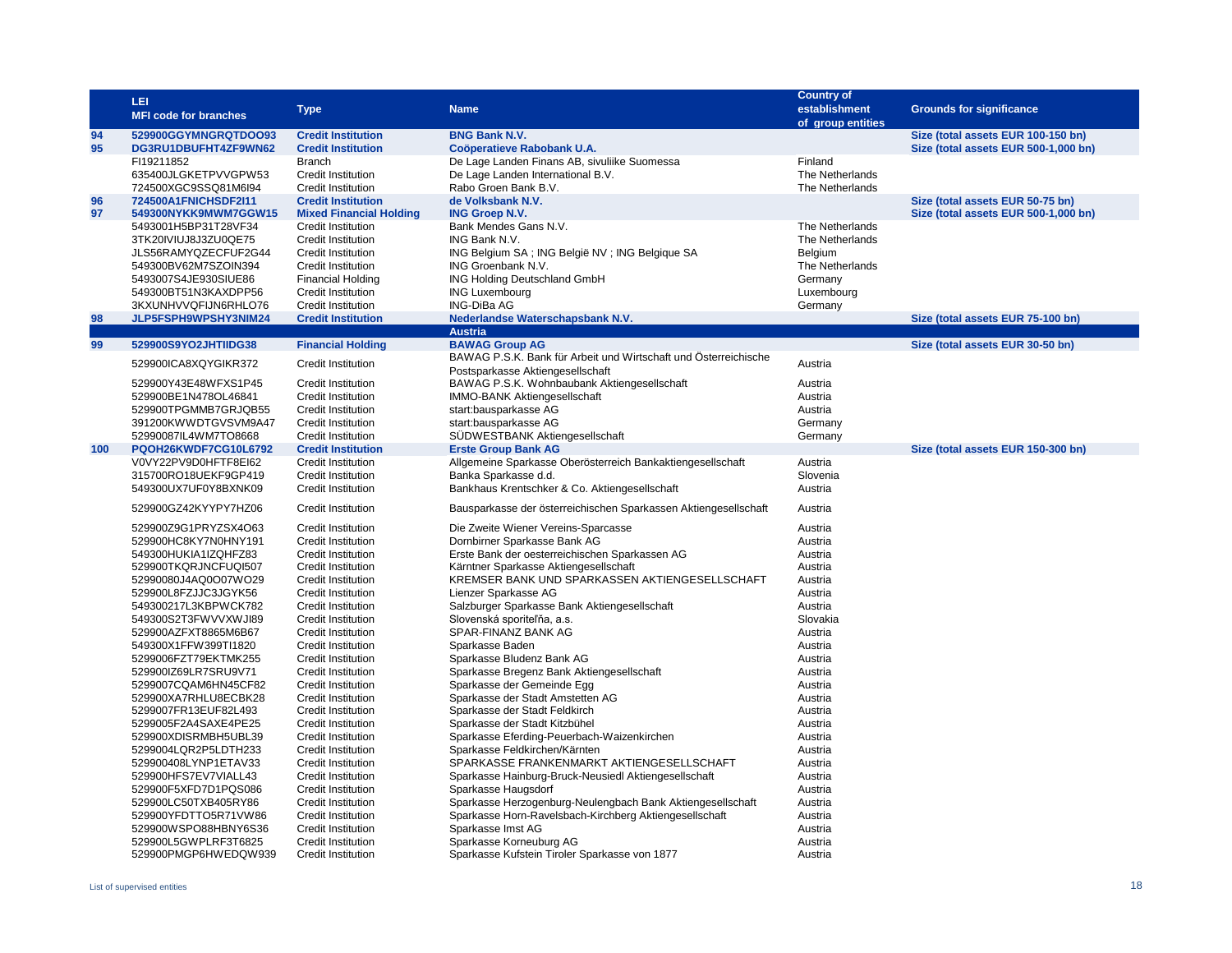|          | LEI                                          |                                                        |                                                                                          | <b>Country of</b>  |                                                                            |
|----------|----------------------------------------------|--------------------------------------------------------|------------------------------------------------------------------------------------------|--------------------|----------------------------------------------------------------------------|
|          | <b>MFI code for branches</b>                 | <b>Type</b>                                            | <b>Name</b>                                                                              | establishment      | <b>Grounds for significance</b>                                            |
|          |                                              |                                                        |                                                                                          | of group entities  |                                                                            |
| 94<br>95 | 529900GGYMNGRQTDOO93<br>DG3RU1DBUFHT4ZF9WN62 | <b>Credit Institution</b><br><b>Credit Institution</b> | <b>BNG Bank N.V.</b><br>Coöperatieve Rabobank U.A.                                       |                    | Size (total assets EUR 100-150 bn)<br>Size (total assets EUR 500-1,000 bn) |
|          | FI19211852                                   | <b>Branch</b>                                          | De Lage Landen Finans AB, sivuliike Suomessa                                             | Finland            |                                                                            |
|          | 635400JLGKETPVVGPW53                         | Credit Institution                                     | De Lage Landen International B.V.                                                        | The Netherlands    |                                                                            |
|          | 724500XGC9SSQ81M6l94                         | Credit Institution                                     | Rabo Groen Bank B.V.                                                                     | The Netherlands    |                                                                            |
| 96       | 724500A1FNICHSDF2I11                         | <b>Credit Institution</b>                              | de Volksbank N.V.                                                                        |                    | Size (total assets EUR 50-75 bn)                                           |
| 97       | 549300NYKK9MWM7GGW15                         | <b>Mixed Financial Holding</b>                         | <b>ING Groep N.V.</b>                                                                    |                    | Size (total assets EUR 500-1,000 bn)                                       |
|          | 5493001H5BP31T28VF34                         | Credit Institution                                     | Bank Mendes Gans N.V.                                                                    | The Netherlands    |                                                                            |
|          | 3TK20IVIUJ8J3ZU0QE75                         | <b>Credit Institution</b>                              | ING Bank N.V.                                                                            | The Netherlands    |                                                                            |
|          | JLS56RAMYQZECFUF2G44                         | <b>Credit Institution</b>                              | ING Belgium SA; ING België NV; ING Belgique SA                                           | Belgium            |                                                                            |
|          | 549300BV62M7SZOIN394                         | Credit Institution                                     | ING Groenbank N.V.                                                                       | The Netherlands    |                                                                            |
|          | 5493007S4JE930SIUE86                         | <b>Financial Holding</b>                               | ING Holding Deutschland GmbH                                                             | Germany            |                                                                            |
|          | 549300BT51N3KAXDPP56                         | Credit Institution                                     | <b>ING Luxembourg</b>                                                                    | Luxembourg         |                                                                            |
|          | 3KXUNHVVQFIJN6RHLO76                         | Credit Institution                                     | ING-DiBa AG                                                                              | Germany            |                                                                            |
| 98       | JLP5FSPH9WPSHY3NIM24                         | <b>Credit Institution</b>                              | Nederlandse Waterschapsbank N.V.                                                         |                    | Size (total assets EUR 75-100 bn)                                          |
|          |                                              |                                                        | <b>Austria</b>                                                                           |                    |                                                                            |
| 99       | 529900S9YO2JHTIIDG38                         | <b>Financial Holding</b>                               | <b>BAWAG Group AG</b><br>BAWAG P.S.K. Bank für Arbeit und Wirtschaft und Österreichische |                    | Size (total assets EUR 30-50 bn)                                           |
|          | 529900ICA8XQYGIKR372                         | <b>Credit Institution</b>                              | Postsparkasse Aktiengesellschaft                                                         | Austria            |                                                                            |
|          | 529900Y43E48WFXS1P45                         | Credit Institution                                     | BAWAG P.S.K. Wohnbaubank Aktiengesellschaft                                              | Austria            |                                                                            |
|          | 529900BE1N478OL46841                         | <b>Credit Institution</b>                              | <b>IMMO-BANK Aktiengesellschaft</b>                                                      | Austria            |                                                                            |
|          | 529900TPGMMB7GRJQB55                         | Credit Institution                                     | start:bausparkasse AG                                                                    | Austria            |                                                                            |
|          | 391200KWWDTGVSVM9A47                         | <b>Credit Institution</b>                              | start:bausparkasse AG                                                                    | Germany            |                                                                            |
|          | 52990087IL4WM7TO8668                         | <b>Credit Institution</b>                              | SÜDWESTBANK Aktiengesellschaft                                                           | Germany            |                                                                            |
| 100      | PQOH26KWDF7CG10L6792                         | <b>Credit Institution</b>                              | <b>Erste Group Bank AG</b>                                                               |                    | Size (total assets EUR 150-300 bn)                                         |
|          | V0VY22PV9D0HFTF8EI62                         | Credit Institution                                     | Allgemeine Sparkasse Oberösterreich Bankaktiengesellschaft                               | Austria            |                                                                            |
|          | 315700RO18UEKF9GP419                         | <b>Credit Institution</b>                              | Banka Sparkasse d.d.                                                                     | Slovenia           |                                                                            |
|          | 549300UX7UF0Y8BXNK09                         | <b>Credit Institution</b>                              | Bankhaus Krentschker & Co. Aktiengesellschaft                                            | Austria            |                                                                            |
|          | 529900GZ42KYYPY7HZ06                         | <b>Credit Institution</b>                              | Bausparkasse der österreichischen Sparkassen Aktiengesellschaft                          | Austria            |                                                                            |
|          | 529900Z9G1PRYZSX4O63                         | Credit Institution                                     | Die Zweite Wiener Vereins-Sparcasse                                                      | Austria            |                                                                            |
|          | 529900HC8KY7N0HNY191                         | <b>Credit Institution</b>                              | Dornbirner Sparkasse Bank AG                                                             | Austria            |                                                                            |
|          | 549300HUKIA1IZQHFZ83                         | Credit Institution                                     | Erste Bank der oesterreichischen Sparkassen AG                                           | Austria            |                                                                            |
|          | 529900TKQRJNCFUQI507                         | Credit Institution                                     | Kärntner Sparkasse Aktiengesellschaft                                                    | Austria            |                                                                            |
|          | 52990080J4AQ0O07WO29                         | <b>Credit Institution</b>                              | KREMSER BANK UND SPARKASSEN AKTIENGESELLSCHAFT                                           | Austria            |                                                                            |
|          | 529900L8FZJJC3JGYK56                         | <b>Credit Institution</b>                              | Lienzer Sparkasse AG                                                                     | Austria            |                                                                            |
|          | 549300217L3KBPWCK782                         | <b>Credit Institution</b>                              | Salzburger Sparkasse Bank Aktiengesellschaft                                             | Austria            |                                                                            |
|          | 549300S2T3FWVVXWJI89                         | <b>Credit Institution</b>                              | Slovenská sporiteľňa, a.s.                                                               | Slovakia           |                                                                            |
|          | 529900AZFXT8865M6B67                         | <b>Credit Institution</b>                              | SPAR-FINANZ BANK AG                                                                      | Austria            |                                                                            |
|          | 549300X1FFW399TI1820                         | <b>Credit Institution</b>                              | Sparkasse Baden                                                                          | Austria            |                                                                            |
|          | 5299006FZT79EKTMK255                         | <b>Credit Institution</b>                              | Sparkasse Bludenz Bank AG                                                                | Austria            |                                                                            |
|          | 529900IZ69LR7SRU9V71                         | <b>Credit Institution</b>                              | Sparkasse Bregenz Bank Aktiengesellschaft                                                | Austria            |                                                                            |
|          | 5299007CQAM6HN45CF82                         | Credit Institution                                     | Sparkasse der Gemeinde Egg                                                               | Austria            |                                                                            |
|          | 529900XA7RHLU8ECBK28<br>5299007FR13EUF82L493 | <b>Credit Institution</b><br><b>Credit Institution</b> | Sparkasse der Stadt Amstetten AG<br>Sparkasse der Stadt Feldkirch                        | Austria<br>Austria |                                                                            |
|          | 5299005F2A4SAXE4PE25                         | <b>Credit Institution</b>                              | Sparkasse der Stadt Kitzbühel                                                            | Austria            |                                                                            |
|          | 529900XDISRMBH5UBL39                         | <b>Credit Institution</b>                              | Sparkasse Eferding-Peuerbach-Waizenkirchen                                               | Austria            |                                                                            |
|          | 5299004LQR2P5LDTH233                         | <b>Credit Institution</b>                              | Sparkasse Feldkirchen/Kärnten                                                            | Austria            |                                                                            |
|          | 529900408LYNP1ETAV33                         | <b>Credit Institution</b>                              | SPARKASSE FRANKENMARKT AKTIENGESELLSCHAFT                                                | Austria            |                                                                            |
|          | 529900HFS7EV7VIALL43                         | <b>Credit Institution</b>                              | Sparkasse Hainburg-Bruck-Neusiedl Aktiengesellschaft                                     | Austria            |                                                                            |
|          | 529900F5XFD7D1PQS086                         | <b>Credit Institution</b>                              | Sparkasse Haugsdorf                                                                      | Austria            |                                                                            |
|          | 529900LC50TXB405RY86                         | <b>Credit Institution</b>                              | Sparkasse Herzogenburg-Neulengbach Bank Aktiengesellschaft                               | Austria            |                                                                            |
|          | 529900YFDTTO5R71VW86                         | <b>Credit Institution</b>                              | Sparkasse Horn-Ravelsbach-Kirchberg Aktiengesellschaft                                   | Austria            |                                                                            |
|          | 529900WSPO88HBNY6S36                         | <b>Credit Institution</b>                              | Sparkasse Imst AG                                                                        | Austria            |                                                                            |
|          | 529900L5GWPLRF3T6825                         | <b>Credit Institution</b>                              | Sparkasse Korneuburg AG                                                                  | Austria            |                                                                            |
|          | 529900PMGP6HWEDQW939                         | <b>Credit Institution</b>                              | Sparkasse Kufstein Tiroler Sparkasse von 1877                                            | Austria            |                                                                            |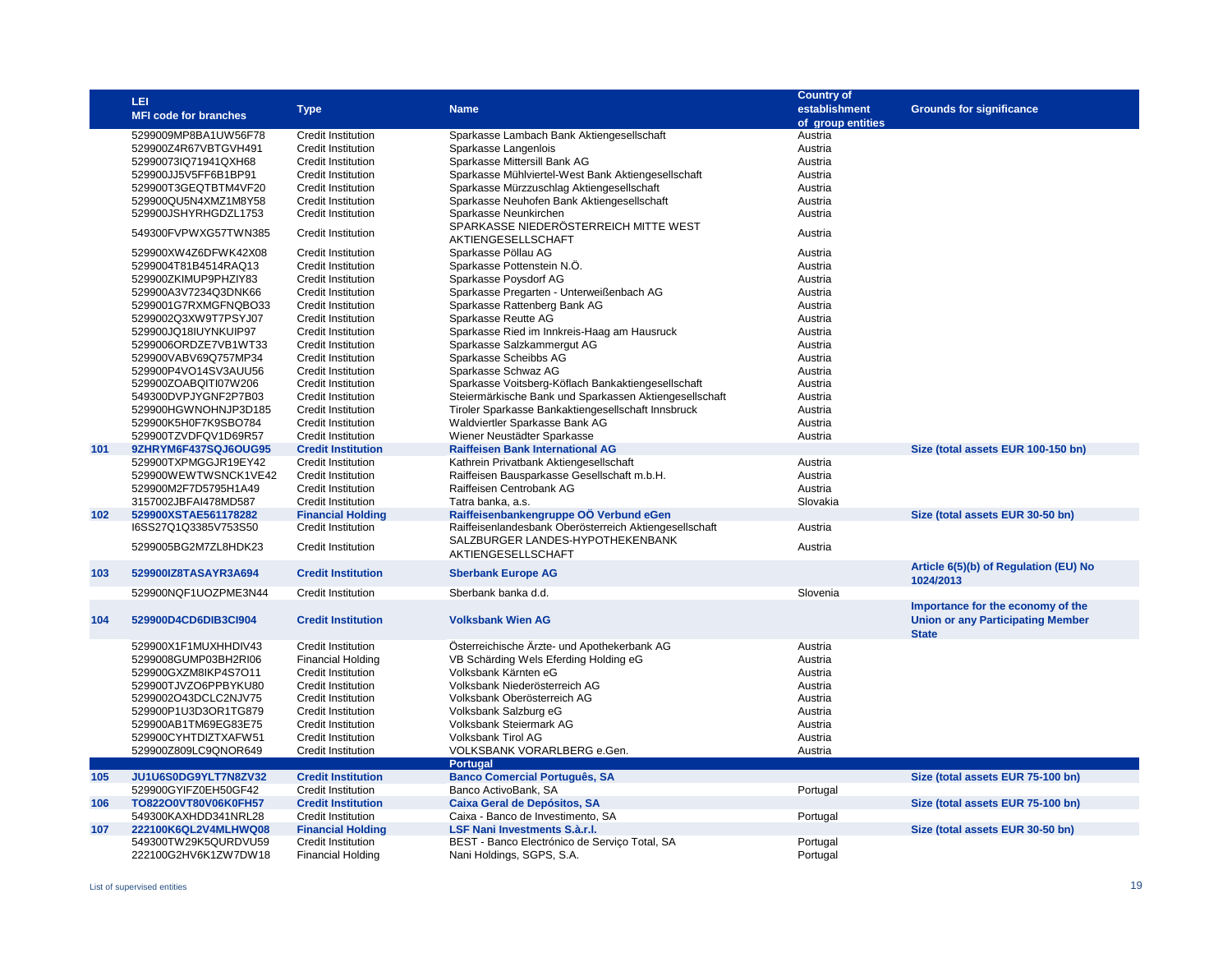|     | LEI                          |                           |                                                        | <b>Country of</b> |                                          |
|-----|------------------------------|---------------------------|--------------------------------------------------------|-------------------|------------------------------------------|
|     |                              | <b>Type</b>               | <b>Name</b>                                            | establishment     | <b>Grounds for significance</b>          |
|     | <b>MFI code for branches</b> |                           |                                                        | of group entities |                                          |
|     | 5299009MP8BA1UW56F78         | <b>Credit Institution</b> | Sparkasse Lambach Bank Aktiengesellschaft              | Austria           |                                          |
|     | 529900Z4R67VBTGVH491         | <b>Credit Institution</b> | Sparkasse Langenlois                                   | Austria           |                                          |
|     | 52990073IQ71941QXH68         | <b>Credit Institution</b> | Sparkasse Mittersill Bank AG                           | Austria           |                                          |
|     | 529900JJ5V5FF6B1BP91         | <b>Credit Institution</b> | Sparkasse Mühlviertel-West Bank Aktiengesellschaft     | Austria           |                                          |
|     | 529900T3GEQTBTM4VF20         | <b>Credit Institution</b> | Sparkasse Mürzzuschlag Aktiengesellschaft              | Austria           |                                          |
|     |                              |                           |                                                        |                   |                                          |
|     | 529900QU5N4XMZ1M8Y58         | <b>Credit Institution</b> | Sparkasse Neuhofen Bank Aktiengesellschaft             | Austria           |                                          |
|     | 529900JSHYRHGDZL1753         | <b>Credit Institution</b> | Sparkasse Neunkirchen                                  | Austria           |                                          |
|     | 549300FVPWXG57TWN385         | <b>Credit Institution</b> | SPARKASSE NIEDERÖSTERREICH MITTE WEST                  | Austria           |                                          |
|     |                              |                           | AKTIENGESELLSCHAFT                                     |                   |                                          |
|     | 529900XW4Z6DFWK42X08         | Credit Institution        | Sparkasse Pöllau AG                                    | Austria           |                                          |
|     | 5299004T81B4514RAQ13         | <b>Credit Institution</b> | Sparkasse Pottenstein N.Ö.                             | Austria           |                                          |
|     | 529900ZKIMUP9PHZIY83         | <b>Credit Institution</b> | Sparkasse Poysdorf AG                                  | Austria           |                                          |
|     | 529900A3V7234Q3DNK66         | <b>Credit Institution</b> | Sparkasse Pregarten - Unterweißenbach AG               | Austria           |                                          |
|     | 5299001G7RXMGFNQBO33         | <b>Credit Institution</b> | Sparkasse Rattenberg Bank AG                           | Austria           |                                          |
|     | 5299002Q3XW9T7PSYJ07         | <b>Credit Institution</b> | Sparkasse Reutte AG                                    | Austria           |                                          |
|     | 529900JQ18IUYNKUIP97         | <b>Credit Institution</b> | Sparkasse Ried im Innkreis-Haag am Hausruck            | Austria           |                                          |
|     | 5299006ORDZE7VB1WT33         | <b>Credit Institution</b> | Sparkasse Salzkammergut AG                             | Austria           |                                          |
|     | 529900VABV69Q757MP34         | <b>Credit Institution</b> | Sparkasse Scheibbs AG                                  | Austria           |                                          |
|     | 529900P4VO14SV3AUU56         | <b>Credit Institution</b> | Sparkasse Schwaz AG                                    | Austria           |                                          |
|     | 529900ZOABQITI07W206         | Credit Institution        | Sparkasse Voitsberg-Köflach Bankaktiengesellschaft     | Austria           |                                          |
|     | 549300DVPJYGNF2P7B03         | Credit Institution        |                                                        |                   |                                          |
|     |                              |                           | Steiermärkische Bank und Sparkassen Aktiengesellschaft | Austria           |                                          |
|     | 529900HGWNOHNJP3D185         | <b>Credit Institution</b> | Tiroler Sparkasse Bankaktiengesellschaft Innsbruck     | Austria           |                                          |
|     | 529900K5H0F7K9SBO784         | Credit Institution        | Waldviertler Sparkasse Bank AG                         | Austria           |                                          |
|     | 529900TZVDFQV1D69R57         | Credit Institution        | Wiener Neustädter Sparkasse                            | Austria           |                                          |
| 101 | 9ZHRYM6F437SQJ6OUG95         | <b>Credit Institution</b> | <b>Raiffeisen Bank International AG</b>                |                   | Size (total assets EUR 100-150 bn)       |
|     | 529900TXPMGGJR19EY42         | <b>Credit Institution</b> | Kathrein Privatbank Aktiengesellschaft                 | Austria           |                                          |
|     | 529900WEWTWSNCK1VE42         | <b>Credit Institution</b> | Raiffeisen Bausparkasse Gesellschaft m.b.H.            | Austria           |                                          |
|     | 529900M2F7D5795H1A49         | Credit Institution        | Raiffeisen Centrobank AG                               | Austria           |                                          |
|     | 3157002JBFAI478MD587         | <b>Credit Institution</b> | Tatra banka, a.s.                                      | Slovakia          |                                          |
| 102 | 529900XSTAE561178282         | <b>Financial Holding</b>  | Raiffeisenbankengruppe OÖ Verbund eGen                 |                   | Size (total assets EUR 30-50 bn)         |
|     | I6SS27Q1Q3385V753S50         | <b>Credit Institution</b> | Raiffeisenlandesbank Oberösterreich Aktiengesellschaft | Austria           |                                          |
|     |                              |                           | SALZBURGER LANDES-HYPOTHEKENBANK                       |                   |                                          |
|     | 5299005BG2M7ZL8HDK23         | <b>Credit Institution</b> | AKTIENGESELLSCHAFT                                     | Austria           |                                          |
|     |                              |                           |                                                        |                   | Article 6(5)(b) of Regulation (EU) No    |
| 103 | 529900IZ8TASAYR3A694         | <b>Credit Institution</b> | <b>Sberbank Europe AG</b>                              |                   | 1024/2013                                |
|     | 529900NQF1UOZPME3N44         | <b>Credit Institution</b> | Sberbank banka d.d.                                    | Slovenia          |                                          |
|     |                              |                           |                                                        |                   | Importance for the economy of the        |
| 104 | 529900D4CD6DIB3Cl904         | <b>Credit Institution</b> | <b>Volksbank Wien AG</b>                               |                   |                                          |
|     |                              |                           |                                                        |                   | <b>Union or any Participating Member</b> |
|     |                              |                           |                                                        |                   | <b>State</b>                             |
|     | 529900X1F1MUXHHDIV43         | <b>Credit Institution</b> | Österreichische Ärzte- und Apothekerbank AG            | Austria           |                                          |
|     | 5299008GUMP03BH2RI06         | <b>Financial Holding</b>  | VB Schärding Wels Eferding Holding eG                  | Austria           |                                          |
|     | 529900GXZM8IKP4S7O11         | <b>Credit Institution</b> | Volksbank Kärnten eG                                   | Austria           |                                          |
|     | 529900TJVZO6PPBYKU80         | <b>Credit Institution</b> | Volksbank Niederösterreich AG                          | Austria           |                                          |
|     | 5299002O43DCLC2NJV75         | <b>Credit Institution</b> | Volksbank Oberösterreich AG                            | Austria           |                                          |
|     | 529900P1U3D3OR1TG879         | Credit Institution        | Volksbank Salzburg eG                                  | Austria           |                                          |
|     | 529900AB1TM69EG83E75         | <b>Credit Institution</b> | Volksbank Steiermark AG                                | Austria           |                                          |
|     | 529900CYHTDIZTXAFW51         | <b>Credit Institution</b> | Volksbank Tirol AG                                     | Austria           |                                          |
|     | 529900Z809LC9QNOR649         | <b>Credit Institution</b> | VOLKSBANK VORARLBERG e.Gen.                            | Austria           |                                          |
|     |                              |                           | <b>Portugal</b>                                        |                   |                                          |
| 105 | JU1U6S0DG9YLT7N8ZV32         | <b>Credit Institution</b> | <b>Banco Comercial Português, SA</b>                   |                   | Size (total assets EUR 75-100 bn)        |
|     | 529900GYIFZ0EH50GF42         | <b>Credit Institution</b> | Banco ActivoBank, SA                                   | Portugal          |                                          |
| 106 | TO822O0VT80V06K0FH57         | <b>Credit Institution</b> | Caixa Geral de Depósitos, SA                           |                   | Size (total assets EUR 75-100 bn)        |
|     | 549300KAXHDD341NRL28         | <b>Credit Institution</b> | Caixa - Banco de Investimento, SA                      | Portugal          |                                          |
| 107 | 222100K6QL2V4MLHWQ08         | <b>Financial Holding</b>  | LSF Nani Investments S.à.r.l.                          |                   | Size (total assets EUR 30-50 bn)         |
|     |                              |                           |                                                        |                   |                                          |
|     | 549300TW29K5QURDVU59         | <b>Credit Institution</b> | BEST - Banco Electrónico de Serviço Total, SA          | Portugal          |                                          |
|     | 222100G2HV6K1ZW7DW18         | <b>Financial Holding</b>  | Nani Holdings, SGPS, S.A.                              | Portugal          |                                          |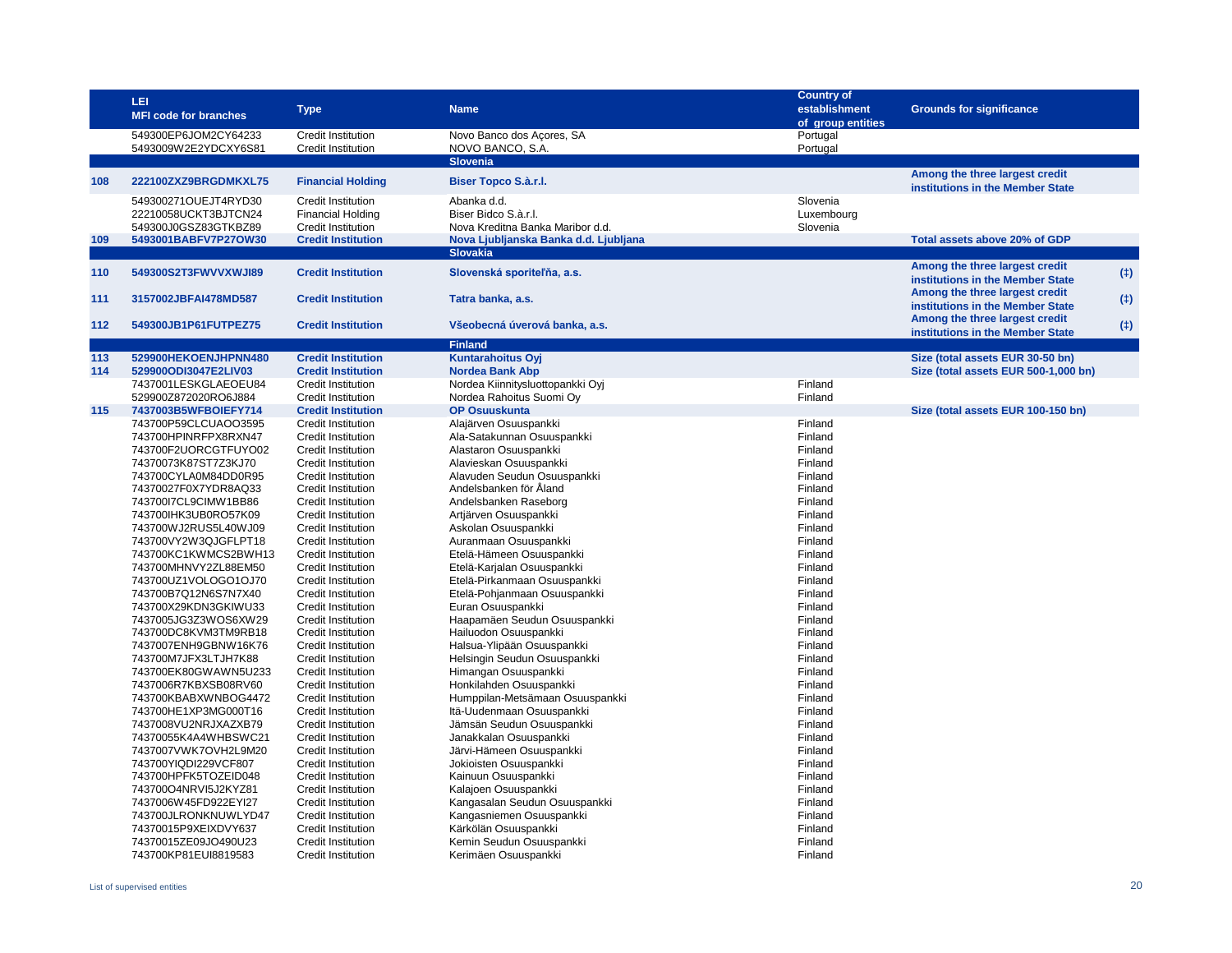|     | <b>LEI</b><br><b>MFI code for branches</b>   | <b>Type</b>                                            | <b>Name</b>                                                               | <b>Country of</b><br>establishment<br>of group entities | <b>Grounds for significance</b>                                    |     |
|-----|----------------------------------------------|--------------------------------------------------------|---------------------------------------------------------------------------|---------------------------------------------------------|--------------------------------------------------------------------|-----|
|     | 549300EP6JOM2CY64233<br>5493009W2E2YDCXY6S81 | Credit Institution<br>Credit Institution               | Novo Banco dos Açores, SA<br>NOVO BANCO, S.A.                             | Portugal<br>Portugal                                    |                                                                    |     |
|     |                                              |                                                        | <b>Slovenia</b>                                                           |                                                         |                                                                    |     |
| 108 | 222100ZXZ9BRGDMKXL75                         | <b>Financial Holding</b>                               | Biser Topco S.à.r.l.                                                      |                                                         | Among the three largest credit<br>institutions in the Member State |     |
|     | 549300271OUEJT4RYD30<br>22210058UCKT3BJTCN24 | Credit Institution<br><b>Financial Holding</b>         | Abanka d.d.<br>Biser Bidco S.à.r.l.                                       | Slovenia<br>Luxembourg                                  |                                                                    |     |
| 109 | 549300J0GSZ83GTKBZ89<br>5493001BABFV7P27OW30 | Credit Institution<br><b>Credit Institution</b>        | Nova Kreditna Banka Maribor d.d.<br>Nova Ljubljanska Banka d.d. Ljubljana | Slovenia                                                | Total assets above 20% of GDP                                      |     |
|     |                                              |                                                        | <b>Slovakia</b>                                                           |                                                         |                                                                    |     |
|     |                                              |                                                        |                                                                           |                                                         | Among the three largest credit                                     |     |
| 110 | 549300S2T3FWVVXWJI89                         | <b>Credit Institution</b>                              | Slovenská sporiteľňa, a.s.                                                |                                                         | institutions in the Member State                                   | (†) |
| 111 | 3157002JBFAI478MD587                         | <b>Credit Institution</b>                              | Tatra banka, a.s.                                                         |                                                         | Among the three largest credit<br>institutions in the Member State | (†) |
| 112 | 549300JB1P61FUTPEZ75                         | <b>Credit Institution</b>                              | Všeobecná úverová banka, a.s.                                             |                                                         | Among the three largest credit<br>institutions in the Member State | (1) |
|     |                                              |                                                        | <b>Finland</b>                                                            |                                                         |                                                                    |     |
| 113 | 529900HEKOENJHPNN480                         | <b>Credit Institution</b>                              | <b>Kuntarahoitus Oyi</b>                                                  |                                                         | Size (total assets EUR 30-50 bn)                                   |     |
| 114 | 529900ODI3047E2LIV03                         | <b>Credit Institution</b>                              | <b>Nordea Bank Abp</b>                                                    |                                                         | Size (total assets EUR 500-1,000 bn)                               |     |
|     | 7437001LESKGLAEOEU84                         | Credit Institution                                     | Nordea Kiinnitysluottopankki Oyj                                          | Finland                                                 |                                                                    |     |
|     | 529900Z872020RO6J884                         | Credit Institution                                     | Nordea Rahoitus Suomi Oy                                                  | Finland                                                 |                                                                    |     |
| 115 | 7437003B5WFBOIEFY714                         | <b>Credit Institution</b>                              | <b>OP Osuuskunta</b>                                                      |                                                         | Size (total assets EUR 100-150 bn)                                 |     |
|     | 743700P59CLCUAOO3595                         | Credit Institution                                     | Alajärven Osuuspankki                                                     | Finland                                                 |                                                                    |     |
|     | 743700HPINRFPX8RXN47                         | <b>Credit Institution</b>                              | Ala-Satakunnan Osuuspankki                                                | Finland                                                 |                                                                    |     |
|     | 743700F2UORCGTFUYO02<br>74370073K87ST7Z3KJ70 | <b>Credit Institution</b><br>Credit Institution        | Alastaron Osuuspankki                                                     | Finland<br>Finland                                      |                                                                    |     |
|     | 743700CYLA0M84DD0R95                         | Credit Institution                                     | Alavieskan Osuuspankki<br>Alavuden Seudun Osuuspankki                     | Finland                                                 |                                                                    |     |
|     | 74370027F0X7YDR8AQ33                         | Credit Institution                                     | Andelsbanken för Åland                                                    | Finland                                                 |                                                                    |     |
|     | 743700I7CL9CIMW1BB86                         | <b>Credit Institution</b>                              | Andelsbanken Raseborg                                                     | Finland                                                 |                                                                    |     |
|     | 743700IHK3UB0RO57K09                         | <b>Credit Institution</b>                              | Artjärven Osuuspankki                                                     | Finland                                                 |                                                                    |     |
|     | 743700WJ2RUS5L40WJ09                         | <b>Credit Institution</b>                              | Askolan Osuuspankki                                                       | Finland                                                 |                                                                    |     |
|     | 743700VY2W3QJGFLPT18                         | Credit Institution                                     | Auranmaan Osuuspankki                                                     | Finland                                                 |                                                                    |     |
|     | 743700KC1KWMCS2BWH13                         | <b>Credit Institution</b>                              | Etelä-Hämeen Osuuspankki                                                  | Finland                                                 |                                                                    |     |
|     | 743700MHNVY2ZL88EM50                         | <b>Credit Institution</b>                              | Etelä-Karjalan Osuuspankki                                                | Finland                                                 |                                                                    |     |
|     | 743700UZ1VOLOGO1OJ70                         | Credit Institution                                     | Etelä-Pirkanmaan Osuuspankki                                              | Finland                                                 |                                                                    |     |
|     | 743700B7Q12N6S7N7X40                         | <b>Credit Institution</b>                              | Etelä-Pohjanmaan Osuuspankki                                              | Finland                                                 |                                                                    |     |
|     | 743700X29KDN3GKIWU33                         | <b>Credit Institution</b>                              | Euran Osuuspankki                                                         | Finland                                                 |                                                                    |     |
|     | 7437005JG3Z3WOS6XW29                         | Credit Institution                                     | Haapamäen Seudun Osuuspankki                                              | Finland                                                 |                                                                    |     |
|     | 743700DC8KVM3TM9RB18                         | <b>Credit Institution</b>                              | Hailuodon Osuuspankki                                                     | Finland                                                 |                                                                    |     |
|     | 7437007ENH9GBNW16K76                         | <b>Credit Institution</b>                              | Halsua-Ylipään Osuuspankki                                                | Finland                                                 |                                                                    |     |
|     | 743700M7JFX3LTJH7K88                         | Credit Institution                                     | Helsingin Seudun Osuuspankki                                              | Finland                                                 |                                                                    |     |
|     | 743700EK80GWAWN5U233                         | <b>Credit Institution</b>                              | Himangan Osuuspankki                                                      | Finland                                                 |                                                                    |     |
|     | 7437006R7KBXSB08RV60                         | <b>Credit Institution</b>                              | Honkilahden Osuuspankki                                                   | Finland                                                 |                                                                    |     |
|     | 743700KBABXWNBOG4472                         | <b>Credit Institution</b>                              | Humppilan-Metsämaan Osuuspankki                                           | Finland                                                 |                                                                    |     |
|     | 743700HE1XP3MG000T16                         | <b>Credit Institution</b>                              | Itä-Uudenmaan Osuuspankki                                                 | Finland                                                 |                                                                    |     |
|     | 7437008VU2NRJXAZXB79                         | Credit Institution                                     | Jämsän Seudun Osuuspankki                                                 | Finland                                                 |                                                                    |     |
|     | 74370055K4A4WHBSWC21                         | Credit Institution                                     | Janakkalan Osuuspankki                                                    | Finland                                                 |                                                                    |     |
|     | 7437007VWK7OVH2L9M20                         | <b>Credit Institution</b>                              | Järvi-Hämeen Osuuspankki                                                  | Finland                                                 |                                                                    |     |
|     | 743700YIQDI229VCF807                         | <b>Credit Institution</b><br><b>Credit Institution</b> | Jokioisten Osuuspankki<br>Kainuun Osuuspankki                             | Finland<br>Finland                                      |                                                                    |     |
|     | 743700HPFK5TOZEID048<br>743700O4NRVI5J2KYZ81 | Credit Institution                                     |                                                                           | Finland                                                 |                                                                    |     |
|     | 7437006W45FD922EYI27                         | <b>Credit Institution</b>                              | Kalajoen Osuuspankki<br>Kangasalan Seudun Osuuspankki                     | Finland                                                 |                                                                    |     |
|     | 743700JLRONKNUWLYD47                         | Credit Institution                                     | Kangasniemen Osuuspankki                                                  | Finland                                                 |                                                                    |     |
|     | 74370015P9XEIXDVY637                         | <b>Credit Institution</b>                              | Kärkölän Osuuspankki                                                      | Finland                                                 |                                                                    |     |
|     | 74370015ZE09JO490U23                         | <b>Credit Institution</b>                              | Kemin Seudun Osuuspankki                                                  | Finland                                                 |                                                                    |     |
|     | 743700KP81EUI8819583                         | <b>Credit Institution</b>                              | Kerimäen Osuuspankki                                                      | Finland                                                 |                                                                    |     |
|     |                                              |                                                        |                                                                           |                                                         |                                                                    |     |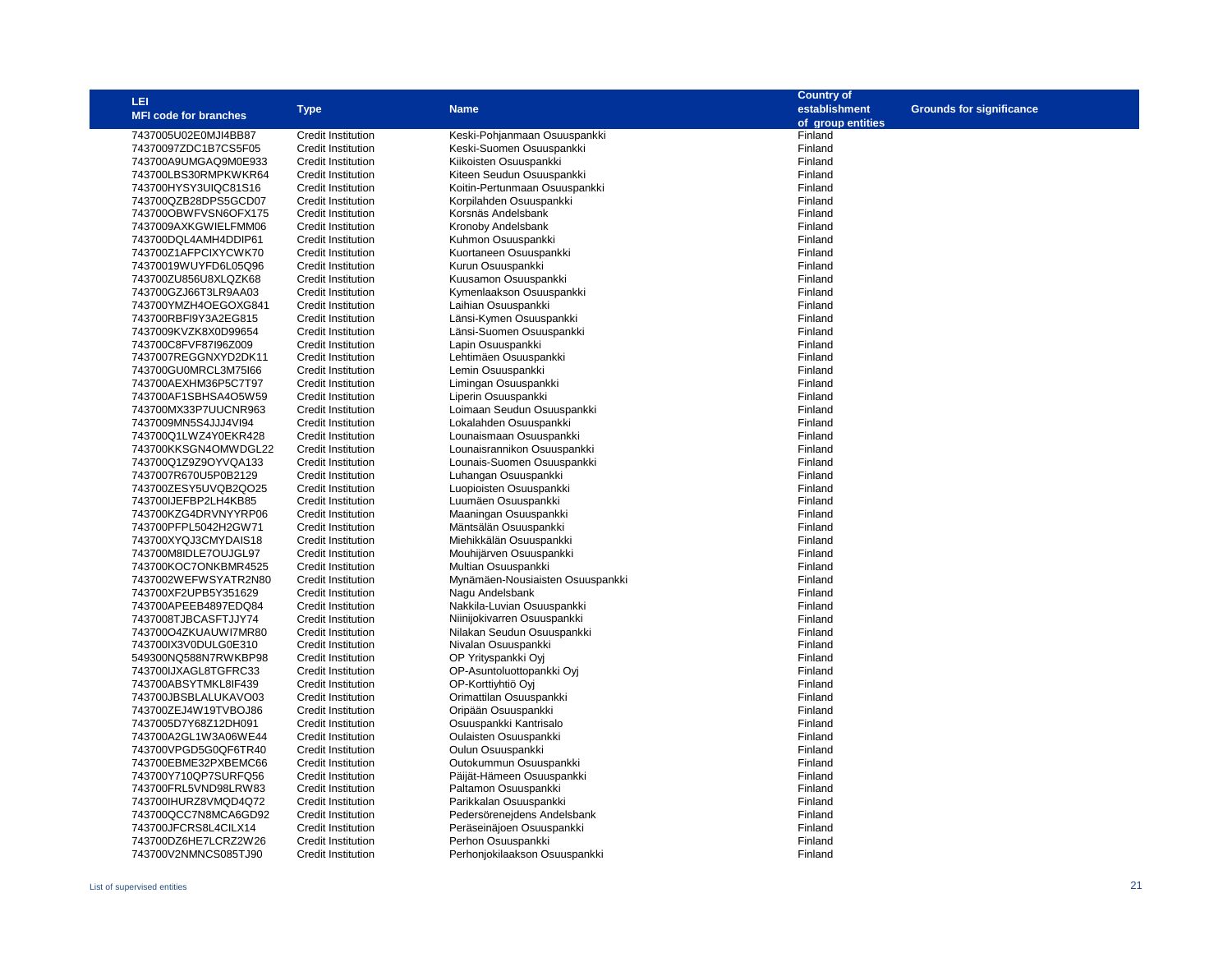| <b>LEI</b>                   |                           |                                  | <b>Country of</b> |                                 |
|------------------------------|---------------------------|----------------------------------|-------------------|---------------------------------|
|                              | <b>Type</b>               | <b>Name</b>                      | establishment     | <b>Grounds for significance</b> |
| <b>MFI code for branches</b> |                           |                                  | of group entities |                                 |
| 7437005U02E0MJI4BB87         | <b>Credit Institution</b> | Keski-Pohjanmaan Osuuspankki     | Finland           |                                 |
| 74370097ZDC1B7CS5F05         | Credit Institution        | Keski-Suomen Osuuspankki         | Finland           |                                 |
| 743700A9UMGAQ9M0E933         | <b>Credit Institution</b> |                                  | Finland           |                                 |
|                              |                           | Kiikoisten Osuuspankki           |                   |                                 |
| 743700LBS30RMPKWKR64         | <b>Credit Institution</b> | Kiteen Seudun Osuuspankki        | Finland           |                                 |
| 743700HYSY3UIQC81S16         | <b>Credit Institution</b> | Koitin-Pertunmaan Osuuspankki    | Finland           |                                 |
| 743700QZB28DPS5GCD07         | <b>Credit Institution</b> | Korpilahden Osuuspankki          | Finland           |                                 |
| 743700OBWFVSN6OFX175         | <b>Credit Institution</b> | Korsnäs Andelsbank               | Finland           |                                 |
| 7437009AXKGWIELFMM06         | <b>Credit Institution</b> | Kronoby Andelsbank               | Finland           |                                 |
| 743700DQL4AMH4DDIP61         | <b>Credit Institution</b> | Kuhmon Osuuspankki               | Finland           |                                 |
| 743700Z1AFPCIXYCWK70         | <b>Credit Institution</b> | Kuortaneen Osuuspankki           | Finland           |                                 |
| 74370019WUYFD6L05Q96         | <b>Credit Institution</b> | Kurun Osuuspankki                | Finland           |                                 |
| 743700ZU856U8XLQZK68         | Credit Institution        | Kuusamon Osuuspankki             | Finland           |                                 |
| 743700GZJ66T3LR9AA03         | Credit Institution        | Kymenlaakson Osuuspankki         | Finland           |                                 |
| 743700YMZH4OEGOXG841         | <b>Credit Institution</b> | Laihian Osuuspankki              | Finland           |                                 |
| 743700RBFI9Y3A2EG815         | <b>Credit Institution</b> | Länsi-Kymen Osuuspankki          | Finland           |                                 |
| 7437009KVZK8X0D99654         | Credit Institution        | Länsi-Suomen Osuuspankki         | Finland           |                                 |
| 743700C8FVF87l96Z009         | <b>Credit Institution</b> | Lapin Osuuspankki                | Finland           |                                 |
| 7437007REGGNXYD2DK11         | <b>Credit Institution</b> | Lehtimäen Osuuspankki            | Finland           |                                 |
| 743700GU0MRCL3M75I66         | <b>Credit Institution</b> | Lemin Osuuspankki                | Finland           |                                 |
| 743700AEXHM36P5C7T97         | Credit Institution        | Limingan Osuuspankki             | Finland           |                                 |
| 743700AF1SBHSA4O5W59         | Credit Institution        |                                  | Finland           |                                 |
|                              |                           | Liperin Osuuspankki              | Finland           |                                 |
| 743700MX33P7UUCNR963         | <b>Credit Institution</b> | Loimaan Seudun Osuuspankki       | Finland           |                                 |
| 7437009MN5S4JJJ4VI94         | <b>Credit Institution</b> | Lokalahden Osuuspankki           |                   |                                 |
| 743700Q1LWZ4Y0EKR428         | Credit Institution        | Lounaismaan Osuuspankki          | Finland           |                                 |
| 743700KKSGN4OMWDGL22         | <b>Credit Institution</b> | Lounaisrannikon Osuuspankki      | Finland           |                                 |
| 743700Q1Z9Z9OYVQA133         | <b>Credit Institution</b> | Lounais-Suomen Osuuspankki       | Finland           |                                 |
| 7437007R670U5P0B2129         | Credit Institution        | Luhangan Osuuspankki             | Finland           |                                 |
| 743700ZESY5UVQB2QO25         | Credit Institution        | Luopioisten Osuuspankki          | Finland           |                                 |
| 743700IJEFBP2LH4KB85         | <b>Credit Institution</b> | Luumäen Osuuspankki              | Finland           |                                 |
| 743700KZG4DRVNYYRP06         | <b>Credit Institution</b> | Maaningan Osuuspankki            | Finland           |                                 |
| 743700PFPL5042H2GW71         | <b>Credit Institution</b> | Mäntsälän Osuuspankki            | Finland           |                                 |
| 743700XYQJ3CMYDAIS18         | <b>Credit Institution</b> | Miehikkälän Osuuspankki          | Finland           |                                 |
| 743700M8IDLE7OUJGL97         | <b>Credit Institution</b> | Mouhijärven Osuuspankki          | Finland           |                                 |
| 743700KOC7ONKBMR4525         | <b>Credit Institution</b> | Multian Osuuspankki              | Finland           |                                 |
| 7437002WEFWSYATR2N80         | <b>Credit Institution</b> | Mynämäen-Nousiaisten Osuuspankki | Finland           |                                 |
| 743700XF2UPB5Y351629         | <b>Credit Institution</b> | Nagu Andelsbank                  | Finland           |                                 |
| 743700APEEB4897EDQ84         | <b>Credit Institution</b> | Nakkila-Luvian Osuuspankki       | Finland           |                                 |
| 7437008TJBCASFTJJY74         | Credit Institution        | Niinijokivarren Osuuspankki      | Finland           |                                 |
| 743700O4ZKUAUWI7MR80         | Credit Institution        | Nilakan Seudun Osuuspankki       | Finland           |                                 |
| 743700IX3V0DULG0E310         | <b>Credit Institution</b> | Nivalan Osuuspankki              | Finland           |                                 |
| 549300NQ588N7RWKBP98         | <b>Credit Institution</b> | OP Yrityspankki Ovi              | Finland           |                                 |
| 743700IJXAGL8TGFRC33         | <b>Credit Institution</b> | OP-Asuntoluottopankki Oyj        | Finland           |                                 |
| 743700ABSYTMKL8IF439         | <b>Credit Institution</b> | OP-Korttiyhtiö Oyi               | Finland           |                                 |
| 743700JBSBLALUKAVO03         | <b>Credit Institution</b> | Orimattilan Osuuspankki          | Finland           |                                 |
| 743700ZEJ4W19TVBOJ86         | <b>Credit Institution</b> | Oripään Osuuspankki              | Finland           |                                 |
| 7437005D7Y68Z12DH091         |                           | Osuuspankki Kantrisalo           | Finland           |                                 |
|                              | <b>Credit Institution</b> |                                  |                   |                                 |
| 743700A2GL1W3A06WE44         | <b>Credit Institution</b> | Oulaisten Osuuspankki            | Finland           |                                 |
| 743700VPGD5G0QF6TR40         | <b>Credit Institution</b> | Oulun Osuuspankki                | Finland           |                                 |
| 743700EBME32PXBEMC66         | <b>Credit Institution</b> | Outokummun Osuuspankki           | Finland           |                                 |
| 743700Y710QP7SURFQ56         | <b>Credit Institution</b> | Päijät-Hämeen Osuuspankki        | Finland           |                                 |
| 743700FRL5VND98LRW83         | Credit Institution        | Paltamon Osuuspankki             | Finland           |                                 |
| 743700IHURZ8VMQD4Q72         | Credit Institution        | Parikkalan Osuuspankki           | Finland           |                                 |
| 743700QCC7N8MCA6GD92         | <b>Credit Institution</b> | Pedersörenejdens Andelsbank      | Finland           |                                 |
| 743700JFCRS8L4CILX14         | <b>Credit Institution</b> | Peräseinäjoen Osuuspankki        | Finland           |                                 |
| 743700DZ6HE7LCRZ2W26         | <b>Credit Institution</b> | Perhon Osuuspankki               | Finland           |                                 |
| 743700V2NMNCS085TJ90         | <b>Credit Institution</b> | Perhonjokilaakson Osuuspankki    | Finland           |                                 |
|                              |                           |                                  |                   |                                 |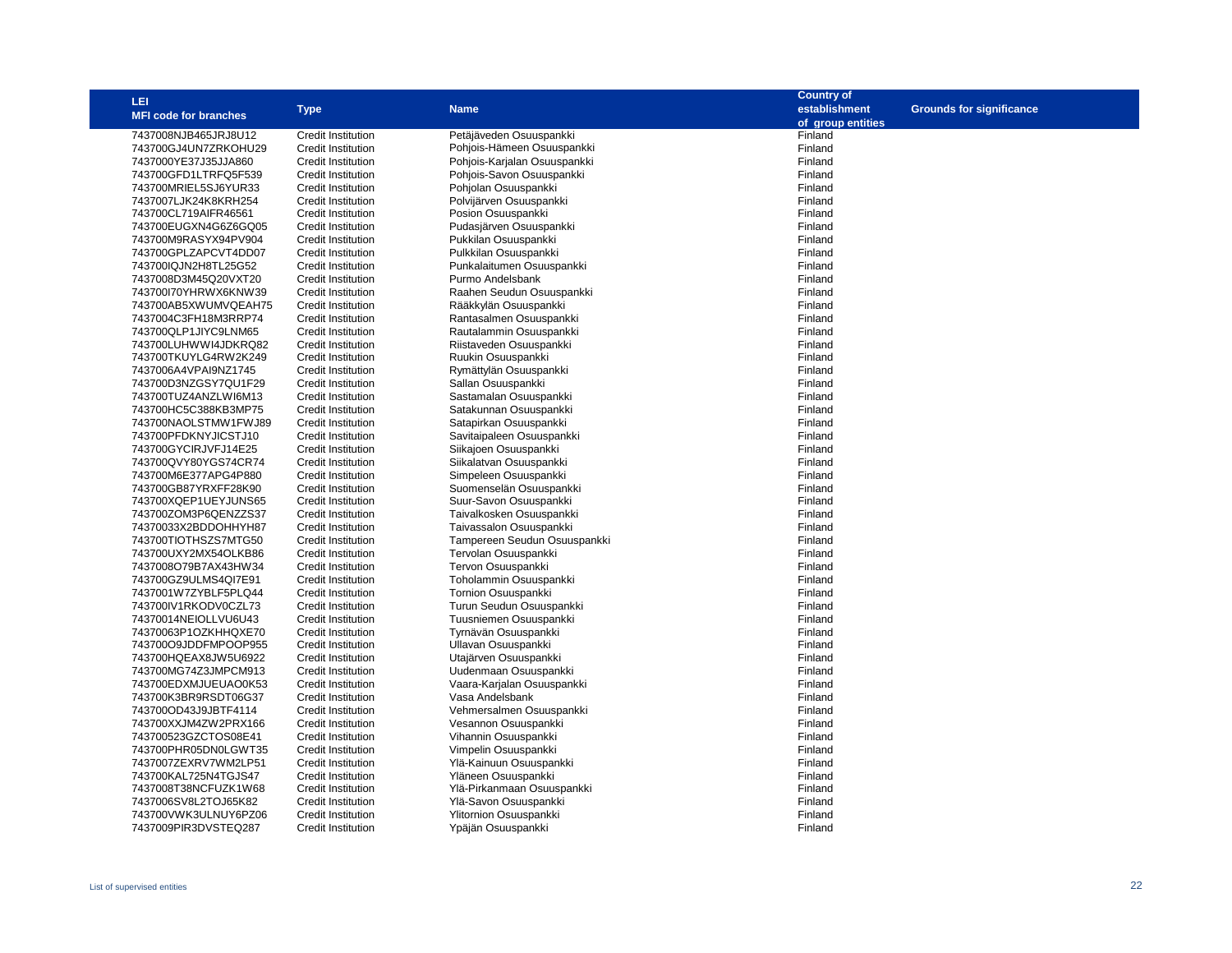| LEI                                          |                                                        |                                                         | <b>Country of</b>  |                                 |
|----------------------------------------------|--------------------------------------------------------|---------------------------------------------------------|--------------------|---------------------------------|
| <b>MFI code for branches</b>                 | <b>Type</b>                                            | <b>Name</b>                                             | establishment      | <b>Grounds for significance</b> |
|                                              |                                                        |                                                         | of group entities  |                                 |
| 7437008NJB465JRJ8U12                         | <b>Credit Institution</b>                              | Petäjäveden Osuuspankki                                 | Finland            |                                 |
| 743700GJ4UN7ZRKOHU29                         | <b>Credit Institution</b>                              | Pohjois-Hämeen Osuuspankki                              | Finland            |                                 |
| 7437000YE37J35JJA860                         | <b>Credit Institution</b>                              | Pohjois-Karjalan Osuuspankki                            | Finland            |                                 |
| 743700GFD1LTRFQ5F539                         | <b>Credit Institution</b>                              | Pohjois-Savon Osuuspankki                               | Finland            |                                 |
| 743700MRIEL5SJ6YUR33                         | <b>Credit Institution</b>                              | Pohjolan Osuuspankki                                    | Finland            |                                 |
| 7437007LJK24K8KRH254                         | <b>Credit Institution</b>                              | Polvijärven Osuuspankki                                 | Finland            |                                 |
| 743700CL719AIFR46561                         | <b>Credit Institution</b>                              | Posion Osuuspankki                                      | Finland            |                                 |
| 743700EUGXN4G6Z6GQ05                         | <b>Credit Institution</b>                              | Pudasjärven Osuuspankki                                 | Finland            |                                 |
| 743700M9RASYX94PV904                         | <b>Credit Institution</b>                              | Pukkilan Osuuspankki                                    | Finland            |                                 |
| 743700GPLZAPCVT4DD07                         | <b>Credit Institution</b>                              | Pulkkilan Osuuspankki                                   | Finland            |                                 |
| 743700IQJN2H8TL25G52                         | <b>Credit Institution</b>                              | Punkalaitumen Osuuspankki                               | Finland            |                                 |
| 7437008D3M45Q20VXT20                         | <b>Credit Institution</b>                              | Purmo Andelsbank                                        | Finland            |                                 |
| 743700I70YHRWX6KNW39                         | <b>Credit Institution</b>                              | Raahen Seudun Osuuspankki                               | Finland            |                                 |
| 743700AB5XWUMVQEAH75                         | <b>Credit Institution</b>                              | Rääkkylän Osuuspankki                                   | Finland            |                                 |
| 7437004C3FH18M3RRP74                         | <b>Credit Institution</b>                              | Rantasalmen Osuuspankki                                 | Finland            |                                 |
| 743700QLP1JIYC9LNM65                         | <b>Credit Institution</b>                              | Rautalammin Osuuspankki                                 | Finland            |                                 |
| 743700LUHWWI4JDKRQ82                         | <b>Credit Institution</b>                              | Riistaveden Osuuspankki                                 | Finland            |                                 |
| 743700TKUYLG4RW2K249                         | <b>Credit Institution</b>                              | Ruukin Osuuspankki                                      | Finland            |                                 |
| 7437006A4VPAI9NZ1745                         | <b>Credit Institution</b>                              | Rymättylän Osuuspankki                                  | Finland            |                                 |
| 743700D3NZGSY7QU1F29                         | <b>Credit Institution</b>                              | Sallan Osuuspankki                                      | Finland            |                                 |
| 743700TUZ4ANZLWI6M13                         | <b>Credit Institution</b>                              | Sastamalan Osuuspankki                                  | Finland            |                                 |
| 743700HC5C388KB3MP75                         | <b>Credit Institution</b>                              | Satakunnan Osuuspankki                                  | Finland            |                                 |
| 743700NAOLSTMW1FWJ89                         | <b>Credit Institution</b>                              | Satapirkan Osuuspankki                                  | Finland            |                                 |
| 743700PFDKNYJICSTJ10                         | <b>Credit Institution</b>                              | Savitaipaleen Osuuspankki                               | Finland            |                                 |
| 743700GYCIRJVFJ14E25                         | <b>Credit Institution</b>                              | Siikajoen Osuuspankki                                   | Finland            |                                 |
| 743700QVY80YGS74CR74                         | <b>Credit Institution</b>                              | Siikalatvan Osuuspankki                                 | Finland            |                                 |
| 743700M6E377APG4P880                         | <b>Credit Institution</b>                              | Simpeleen Osuuspankki                                   | Finland            |                                 |
|                                              | <b>Credit Institution</b>                              | Suomenselän Osuuspankki                                 | Finland            |                                 |
| 743700GB87YRXFF28K90                         |                                                        |                                                         |                    |                                 |
| 743700XQEP1UEYJUNS65<br>743700ZOM3P6QENZZS37 | <b>Credit Institution</b>                              | Suur-Savon Osuuspankki<br>Taivalkosken Osuuspankki      | Finland            |                                 |
|                                              | <b>Credit Institution</b>                              |                                                         | Finland            |                                 |
| 74370033X2BDDOHHYH87<br>743700TIOTHSZS7MTG50 | <b>Credit Institution</b>                              | Taivassalon Osuuspankki<br>Tampereen Seudun Osuuspankki | Finland<br>Finland |                                 |
|                                              | <b>Credit Institution</b><br><b>Credit Institution</b> | Tervolan Osuuspankki                                    | Finland            |                                 |
| 743700UXY2MX54OLKB86                         |                                                        |                                                         |                    |                                 |
| 7437008O79B7AX43HW34                         | <b>Credit Institution</b>                              | Tervon Osuuspankki                                      | Finland            |                                 |
| 743700GZ9ULMS4QI7E91                         | <b>Credit Institution</b>                              | Toholammin Osuuspankki                                  | Finland            |                                 |
| 7437001W7ZYBLF5PLQ44                         | <b>Credit Institution</b>                              | Tornion Osuuspankki                                     | Finland            |                                 |
| 743700IV1RKODV0CZL73                         | <b>Credit Institution</b>                              | Turun Seudun Osuuspankki                                | Finland            |                                 |
| 74370014NEIOLLVU6U43                         | <b>Credit Institution</b>                              | Tuusniemen Osuuspankki                                  | Finland            |                                 |
| 74370063P1OZKHHQXE70                         | <b>Credit Institution</b>                              | Tyrnävän Osuuspankki                                    | Finland            |                                 |
| 743700O9JDDFMPOOP955                         | <b>Credit Institution</b>                              | Ullavan Osuuspankki                                     | Finland            |                                 |
| 743700HQEAX8JW5U6922                         | <b>Credit Institution</b>                              | Utajärven Osuuspankki                                   | Finland            |                                 |
| 743700MG74Z3JMPCM913                         | <b>Credit Institution</b>                              | Uudenmaan Osuuspankki                                   | Finland            |                                 |
| 743700EDXMJUEUAO0K53                         | <b>Credit Institution</b>                              | Vaara-Karjalan Osuuspankki                              | Finland            |                                 |
| 743700K3BR9RSDT06G37                         | <b>Credit Institution</b>                              | Vasa Andelsbank                                         | Finland            |                                 |
| 743700OD43J9JBTF4114                         | <b>Credit Institution</b>                              | Vehmersalmen Osuuspankki                                | Finland            |                                 |
| 743700XXJM4ZW2PRX166                         | <b>Credit Institution</b>                              | Vesannon Osuuspankki                                    | Finland            |                                 |
| 743700523GZCTOS08E41                         | <b>Credit Institution</b>                              | Vihannin Osuuspankki                                    | Finland            |                                 |
| 743700PHR05DN0LGWT35                         | <b>Credit Institution</b>                              | Vimpelin Osuuspankki                                    | Finland            |                                 |
| 7437007ZEXRV7WM2LP51                         | <b>Credit Institution</b>                              | Ylä-Kainuun Osuuspankki                                 | Finland            |                                 |
| 743700KAL725N4TGJS47                         | <b>Credit Institution</b>                              | Yläneen Osuuspankki                                     | Finland            |                                 |
| 7437008T38NCFUZK1W68                         | <b>Credit Institution</b>                              | Ylä-Pirkanmaan Osuuspankki                              | Finland            |                                 |
| 7437006SV8L2TOJ65K82                         | <b>Credit Institution</b>                              | Ylä-Savon Osuuspankki                                   | Finland            |                                 |
| 743700VWK3ULNUY6PZ06                         | <b>Credit Institution</b>                              | Ylitornion Osuuspankki                                  | Finland            |                                 |
| 7437009PIR3DVSTEQ287                         | <b>Credit Institution</b>                              | Ypäjän Osuuspankki                                      | Finland            |                                 |
|                                              |                                                        |                                                         |                    |                                 |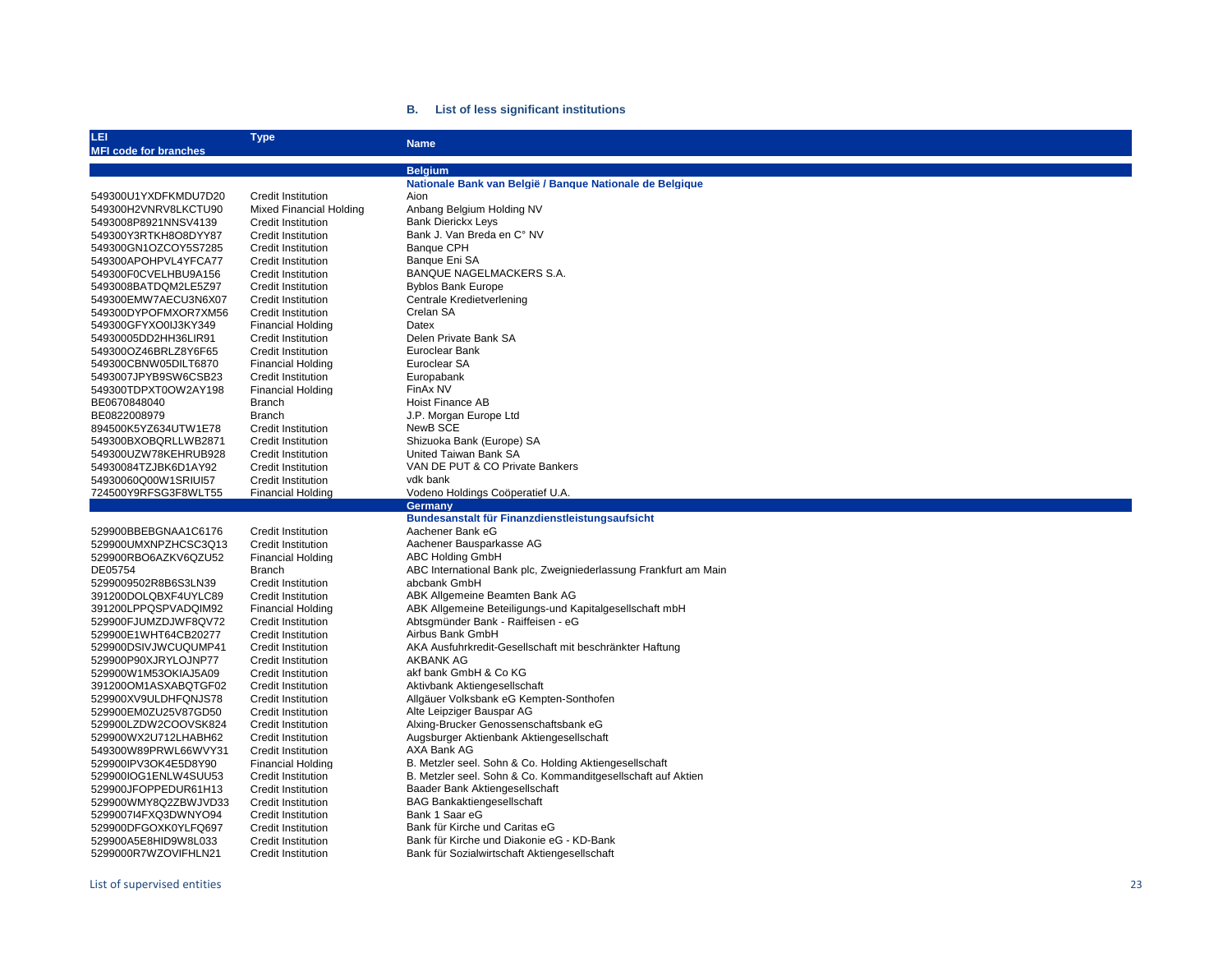#### **B. List of less significant institutions**

| LEI<br><b>MFI code for branches</b> | <b>Type</b>                    | <b>Name</b>                                                      |
|-------------------------------------|--------------------------------|------------------------------------------------------------------|
|                                     |                                |                                                                  |
|                                     |                                | <b>Belgium</b>                                                   |
|                                     | <b>Credit Institution</b>      | Nationale Bank van België / Bangue Nationale de Belgique         |
| 549300U1YXDFKMDU7D20                |                                | Aion                                                             |
| 549300H2VNRV8LKCTU90                | <b>Mixed Financial Holding</b> | Anbang Belgium Holding NV                                        |
| 5493008P8921NNSV4139                | <b>Credit Institution</b>      | <b>Bank Dierickx Leys</b>                                        |
| 549300Y3RTKH8O8DYY87                | <b>Credit Institution</b>      | Bank J. Van Breda en C° NV                                       |
| 549300GN1OZCOY5S7285                | <b>Credit Institution</b>      | <b>Banque CPH</b>                                                |
| 549300APOHPVL4YFCA77                | <b>Credit Institution</b>      | Banque Eni SA                                                    |
| 549300F0CVELHBU9A156                | <b>Credit Institution</b>      | BANQUE NAGELMACKERS S.A.                                         |
| 5493008BATDQM2LE5Z97                | <b>Credit Institution</b>      | <b>Byblos Bank Europe</b>                                        |
| 549300EMW7AECU3N6X07                | <b>Credit Institution</b>      | Centrale Kredietverlening                                        |
| 549300DYPOFMXOR7XM56                | <b>Credit Institution</b>      | Crelan SA                                                        |
| 549300GFYXO0IJ3KY349                | <b>Financial Holding</b>       | Datex                                                            |
| 54930005DD2HH36LIR91                | <b>Credit Institution</b>      | Delen Private Bank SA                                            |
| 549300OZ46BRLZ8Y6F65                | <b>Credit Institution</b>      | Euroclear Bank                                                   |
| 549300CBNW05DILT6870                | <b>Financial Holding</b>       | Euroclear SA                                                     |
| 5493007JPYB9SW6CSB23                | <b>Credit Institution</b>      | Europabank                                                       |
| 549300TDPXT0OW2AY198                | <b>Financial Holding</b>       | FinAx NV                                                         |
| BE0670848040                        | <b>Branch</b>                  | <b>Hoist Finance AB</b>                                          |
| BE0822008979                        | <b>Branch</b>                  | J.P. Morgan Europe Ltd                                           |
| 894500K5YZ634UTW1E78                | <b>Credit Institution</b>      | NewB SCE                                                         |
| 549300BXOBQRLLWB2871                | <b>Credit Institution</b>      | Shizuoka Bank (Europe) SA                                        |
| 549300UZW78KEHRUB928                | <b>Credit Institution</b>      | United Taiwan Bank SA                                            |
| 54930084TZJBK6D1AY92                | <b>Credit Institution</b>      | VAN DE PUT & CO Private Bankers                                  |
| 54930060Q00W1SRIUI57                | <b>Credit Institution</b>      | vdk bank                                                         |
| 724500Y9RFSG3F8WLT55                | <b>Financial Holding</b>       | Vodeno Holdings Coöperatief U.A.                                 |
|                                     |                                | Germany                                                          |
|                                     |                                | Bundesanstalt für Finanzdienstleistungsaufsicht                  |
| 529900BBEBGNAA1C6176                | Credit Institution             | Aachener Bank eG                                                 |
| 529900UMXNPZHCSC3Q13                | <b>Credit Institution</b>      | Aachener Bausparkasse AG                                         |
| 529900RBO6AZKV6QZU52                | <b>Financial Holding</b>       | <b>ABC Holding GmbH</b>                                          |
| DE05754                             | Branch                         | ABC International Bank plc, Zweigniederlassung Frankfurt am Main |
| 5299009502R8B6S3LN39                | <b>Credit Institution</b>      | abcbank GmbH                                                     |
| 391200DOLQBXF4UYLC89                | <b>Credit Institution</b>      | ABK Allgemeine Beamten Bank AG                                   |
| 391200LPPQSPVADQIM92                | <b>Financial Holding</b>       | ABK Allgemeine Beteiligungs-und Kapitalgesellschaft mbH          |
| 529900FJUMZDJWF8QV72                | <b>Credit Institution</b>      | Abtsgmünder Bank - Raiffeisen - eG                               |
| 529900E1WHT64CB20277                | <b>Credit Institution</b>      | Airbus Bank GmbH                                                 |
| 529900DSIVJWCUQUMP41                | <b>Credit Institution</b>      | AKA Ausfuhrkredit-Gesellschaft mit beschränkter Haftung          |
| 529900P90XJRYLOJNP77                | <b>Credit Institution</b>      | <b>AKBANK AG</b>                                                 |
| 529900W1M53OKIAJ5A09                | <b>Credit Institution</b>      | akf bank GmbH & Co KG                                            |
| 391200OM1ASXABQTGF02                | <b>Credit Institution</b>      | Aktivbank Aktiengesellschaft                                     |
| 529900XV9ULDHFQNJS78                | <b>Credit Institution</b>      | Allgäuer Volksbank eG Kempten-Sonthofen                          |
| 529900EM0ZU25V87GD50                | <b>Credit Institution</b>      | Alte Leipziger Bauspar AG                                        |
| 529900LZDW2COOVSK824                | <b>Credit Institution</b>      | Alxing-Brucker Genossenschaftsbank eG                            |
| 529900WX2U712LHABH62                | <b>Credit Institution</b>      | Augsburger Aktienbank Aktiengesellschaft                         |
| 549300W89PRWL66WVY31                | Credit Institution             | AXA Bank AG                                                      |
| 529900IPV3OK4E5D8Y90                | <b>Financial Holding</b>       | B. Metzler seel. Sohn & Co. Holding Aktiengesellschaft           |
| 529900IOG1ENLW4SUU53                | <b>Credit Institution</b>      | B. Metzler seel. Sohn & Co. Kommanditgesellschaft auf Aktien     |
| 529900JFOPPEDUR61H13                | <b>Credit Institution</b>      | Baader Bank Aktiengesellschaft                                   |
| 529900WMY8Q2ZBWJVD33                | <b>Credit Institution</b>      | <b>BAG Bankaktiengesellschaft</b>                                |
| 5299007I4FXQ3DWNYO94                | <b>Credit Institution</b>      | Bank 1 Saar eG                                                   |
| 529900DFGOXK0YLFQ697                | <b>Credit Institution</b>      | Bank für Kirche und Caritas eG                                   |
| 529900A5E8HID9W8L033                | <b>Credit Institution</b>      | Bank für Kirche und Diakonie eG - KD-Bank                        |
| 5299000R7WZOVIFHLN21                | <b>Credit Institution</b>      | Bank für Sozialwirtschaft Aktiengesellschaft                     |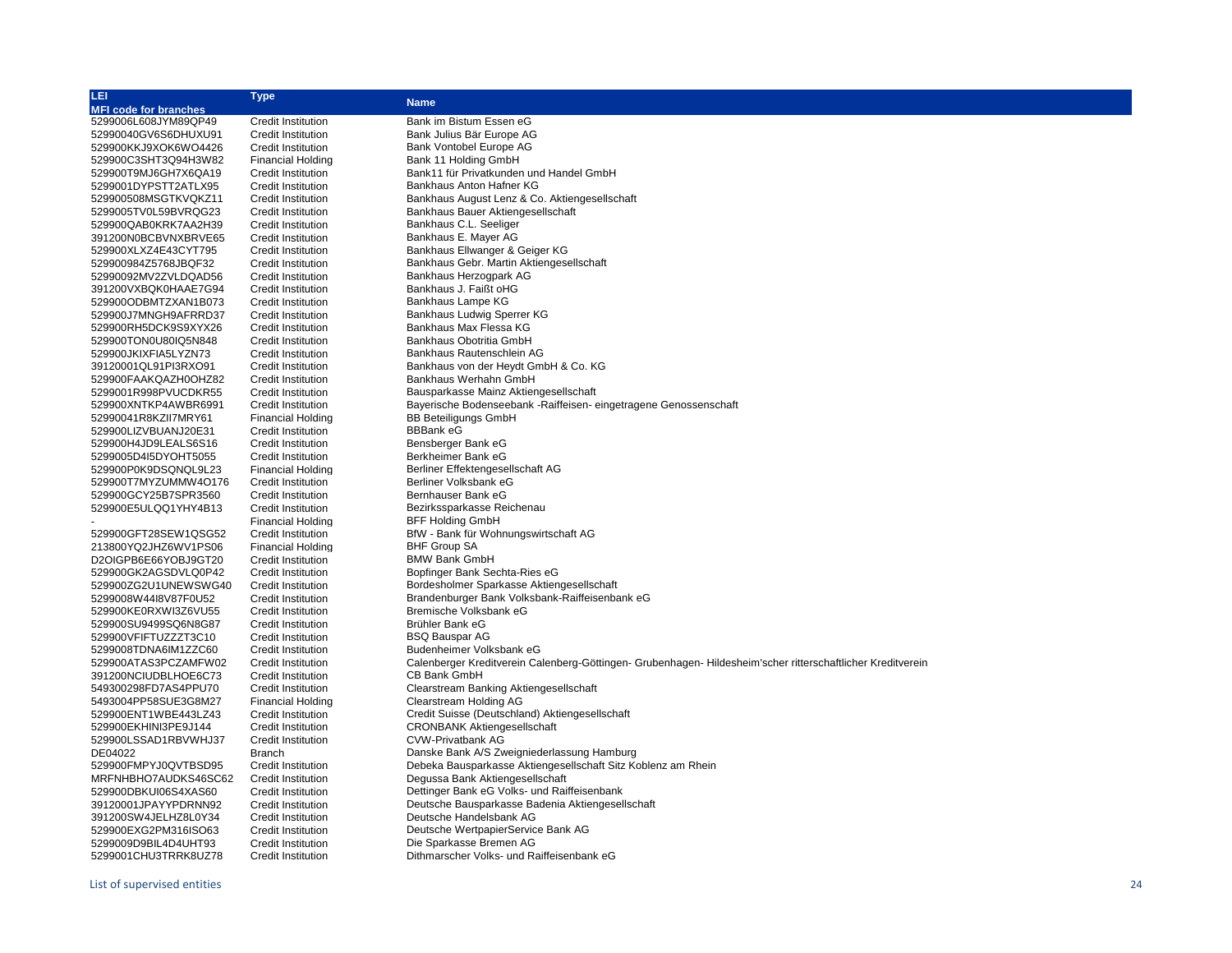| LEI                          | <b>Type</b>               |                                                                                                             |
|------------------------------|---------------------------|-------------------------------------------------------------------------------------------------------------|
| <b>MFI code for branches</b> |                           | <b>Name</b>                                                                                                 |
| 5299006L608JYM89QP49         | Credit Institution        | Bank im Bistum Essen eG                                                                                     |
| 52990040GV6S6DHUXU91         | <b>Credit Institution</b> | Bank Julius Bär Europe AG                                                                                   |
| 529900KKJ9XOK6WO4426         | Credit Institution        | Bank Vontobel Europe AG                                                                                     |
| 529900C3SHT3Q94H3W82         | <b>Financial Holding</b>  | Bank 11 Holding GmbH                                                                                        |
| 529900T9MJ6GH7X6QA19         | <b>Credit Institution</b> | Bank11 für Privatkunden und Handel GmbH                                                                     |
| 5299001DYPSTT2ATLX95         | <b>Credit Institution</b> | Bankhaus Anton Hafner KG                                                                                    |
| 529900508MSGTKVQKZ11         | <b>Credit Institution</b> | Bankhaus August Lenz & Co. Aktiengesellschaft                                                               |
| 5299005TV0L59BVRQG23         | <b>Credit Institution</b> | Bankhaus Bauer Aktiengesellschaft                                                                           |
| 529900QAB0KRK7AA2H39         | <b>Credit Institution</b> | Bankhaus C.L. Seeliger                                                                                      |
| 391200N0BCBVNXBRVE65         | Credit Institution        | Bankhaus E. Mayer AG                                                                                        |
| 529900XLXZ4E43CYT795         | <b>Credit Institution</b> | Bankhaus Ellwanger & Geiger KG                                                                              |
| 529900984Z5768JBQF32         | <b>Credit Institution</b> | Bankhaus Gebr. Martin Aktiengesellschaft                                                                    |
| 52990092MV2ZVLDQAD56         | <b>Credit Institution</b> | Bankhaus Herzogpark AG                                                                                      |
| 391200VXBQK0HAAE7G94         | <b>Credit Institution</b> | Bankhaus J. Faißt oHG                                                                                       |
| 529900ODBMTZXAN1B073         | <b>Credit Institution</b> | Bankhaus Lampe KG                                                                                           |
| 529900J7MNGH9AFRRD37         | <b>Credit Institution</b> | Bankhaus Ludwig Sperrer KG                                                                                  |
|                              |                           | Bankhaus Max Flessa KG                                                                                      |
| 529900RH5DCK9S9XYX26         | <b>Credit Institution</b> |                                                                                                             |
| 529900TON0U80IQ5N848         | <b>Credit Institution</b> | Bankhaus Obotritia GmbH                                                                                     |
| 529900JKIXFIA5LYZN73         | <b>Credit Institution</b> | Bankhaus Rautenschlein AG                                                                                   |
| 39120001QL91PI3RXO91         | <b>Credit Institution</b> | Bankhaus von der Heydt GmbH & Co. KG                                                                        |
| 529900FAAKQAZH0OHZ82         | <b>Credit Institution</b> | Bankhaus Werhahn GmbH                                                                                       |
| 5299001R998PVUCDKR55         | <b>Credit Institution</b> | Bausparkasse Mainz Aktiengesellschaft                                                                       |
| 529900XNTKP4AWBR6991         | <b>Credit Institution</b> | Bayerische Bodenseebank - Raiffeisen- eingetragene Genossenschaft                                           |
| 52990041R8KZII7MRY61         | <b>Financial Holding</b>  | <b>BB Beteiligungs GmbH</b>                                                                                 |
| 529900LIZVBUANJ20E31         | <b>Credit Institution</b> | <b>BBBank eG</b>                                                                                            |
| 529900H4JD9LEALS6S16         | <b>Credit Institution</b> | Bensberger Bank eG                                                                                          |
| 5299005D4I5DYOHT5055         | <b>Credit Institution</b> | Berkheimer Bank eG                                                                                          |
| 529900P0K9DSQNQL9L23         | <b>Financial Holding</b>  | Berliner Effektengesellschaft AG                                                                            |
| 529900T7MYZUMMW4O176         | <b>Credit Institution</b> | Berliner Volksbank eG                                                                                       |
| 529900GCY25B7SPR3560         | <b>Credit Institution</b> | Bernhauser Bank eG                                                                                          |
| 529900E5ULQQ1YHY4B13         | <b>Credit Institution</b> | Bezirkssparkasse Reichenau                                                                                  |
|                              | <b>Financial Holding</b>  | <b>BFF Holding GmbH</b>                                                                                     |
| 529900GFT28SEW1QSG52         | Credit Institution        | BfW - Bank für Wohnungswirtschaft AG                                                                        |
| 213800YQ2JHZ6WV1PS06         | <b>Financial Holding</b>  | <b>BHF Group SA</b>                                                                                         |
| D2OIGPB6E66YOBJ9GT20         | <b>Credit Institution</b> | <b>BMW Bank GmbH</b>                                                                                        |
| 529900GK2AGSDVLQ0P42         | <b>Credit Institution</b> | Bopfinger Bank Sechta-Ries eG                                                                               |
| 529900ZG2U1UNEWSWG40         | <b>Credit Institution</b> | Bordesholmer Sparkasse Aktiengesellschaft                                                                   |
| 5299008W44I8V87F0U52         | <b>Credit Institution</b> | Brandenburger Bank Volksbank-Raiffeisenbank eG                                                              |
| 529900KE0RXWI3Z6VU55         | <b>Credit Institution</b> | Bremische Volksbank eG                                                                                      |
| 529900SU9499SQ6N8G87         | <b>Credit Institution</b> | Brühler Bank eG                                                                                             |
| 529900VFIFTUZZZT3C10         | <b>Credit Institution</b> | <b>BSQ Bauspar AG</b>                                                                                       |
| 5299008TDNA6IM1ZZC60         | <b>Credit Institution</b> | Budenheimer Volksbank eG                                                                                    |
| 529900ATAS3PCZAMFW02         | <b>Credit Institution</b> | Calenberger Kreditverein Calenberg-Göttingen- Grubenhagen- Hildesheim'scher ritterschaftlicher Kreditverein |
| 391200NCIUDBLHOE6C73         | <b>Credit Institution</b> | CB Bank GmbH                                                                                                |
| 549300298FD7AS4PPU70         | <b>Credit Institution</b> | Clearstream Banking Aktiengesellschaft                                                                      |
| 5493004PP58SUE3G8M27         | <b>Financial Holding</b>  | Clearstream Holding AG                                                                                      |
| 529900ENT1WBE443LZ43         | <b>Credit Institution</b> | Credit Suisse (Deutschland) Aktiengesellschaft                                                              |
| 529900EKHINI3PE9J144         | <b>Credit Institution</b> | <b>CRONBANK Aktiengesellschaft</b>                                                                          |
| 529900LSSAD1RBVWHJ37         | <b>Credit Institution</b> | <b>CVW-Privatbank AG</b>                                                                                    |
| DE04022                      | <b>Branch</b>             | Danske Bank A/S Zweigniederlassung Hamburg                                                                  |
| 529900FMPYJ0QVTBSD95         | <b>Credit Institution</b> | Debeka Bausparkasse Aktiengesellschaft Sitz Koblenz am Rhein                                                |
| MRFNHBHO7AUDKS46SC62         | <b>Credit Institution</b> | Degussa Bank Aktiengesellschaft                                                                             |
| 529900DBKUI06S4XAS60         | <b>Credit Institution</b> | Dettinger Bank eG Volks- und Raiffeisenbank                                                                 |
|                              | <b>Credit Institution</b> | Deutsche Bausparkasse Badenia Aktiengesellschaft                                                            |
| 39120001JPAYYPDRNN92         |                           | Deutsche Handelsbank AG                                                                                     |
| 391200SW4JELHZ8L0Y34         | <b>Credit Institution</b> |                                                                                                             |
| 529900EXG2PM316ISO63         | <b>Credit Institution</b> | Deutsche WertpapierService Bank AG                                                                          |
| 5299009D9BIL4D4UHT93         | <b>Credit Institution</b> | Die Sparkasse Bremen AG                                                                                     |
| 5299001CHU3TRRK8UZ78         | <b>Credit Institution</b> | Dithmarscher Volks- und Raiffeisenbank eG                                                                   |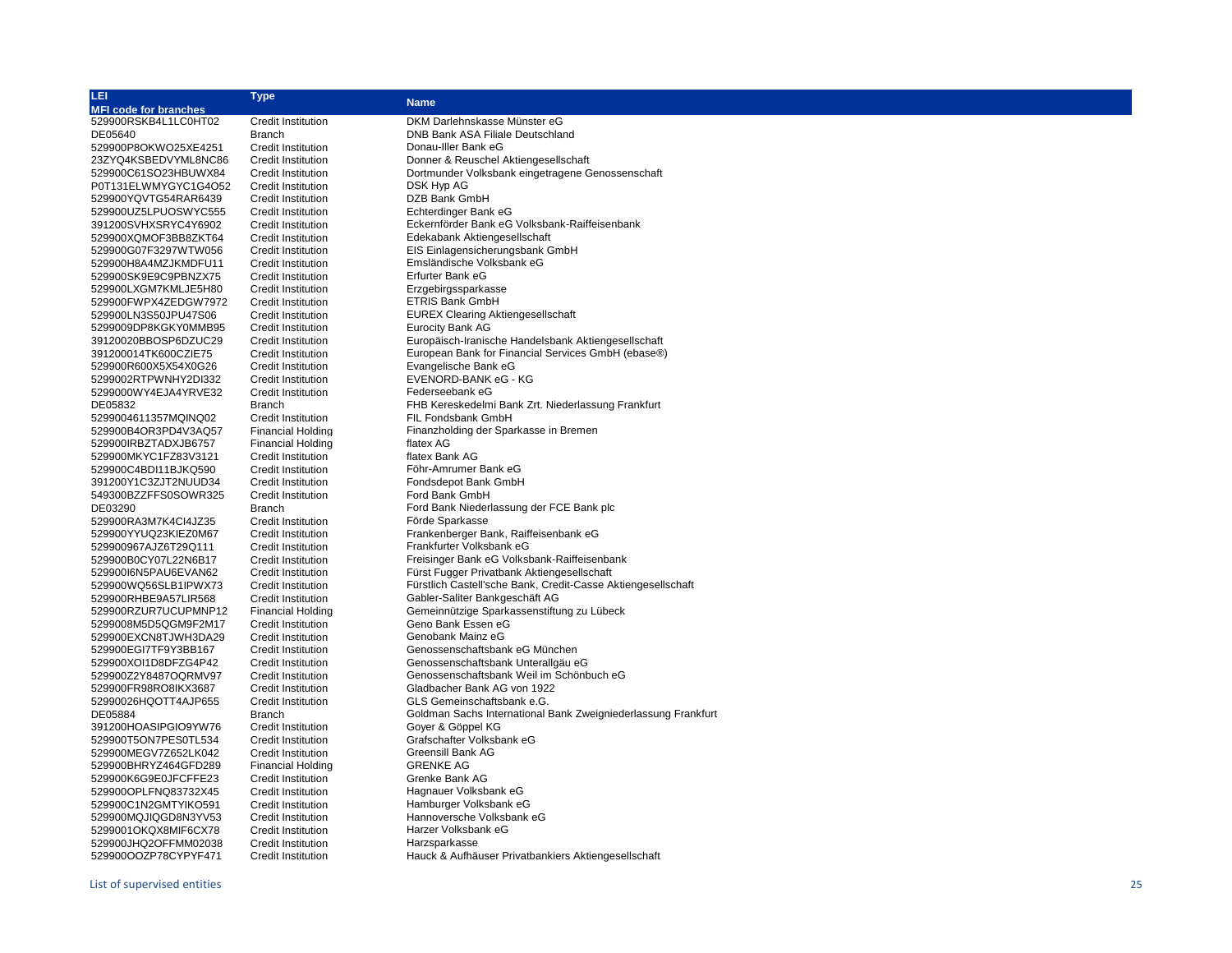| LEI                             | <b>Type</b>                                |                                                               |
|---------------------------------|--------------------------------------------|---------------------------------------------------------------|
| <b>MFI code for branches</b>    |                                            | <b>Name</b>                                                   |
| 529900RSKB4L1LC0HT02            | <b>Credit Institution</b>                  | DKM Darlehnskasse Münster eG                                  |
| DE05640                         | <b>Branch</b>                              | DNB Bank ASA Filiale Deutschland                              |
| 529900P8OKWO25XE4251            | <b>Credit Institution</b>                  | Donau-Iller Bank eG                                           |
| 23ZYQ4KSBEDVYML8NC86            | <b>Credit Institution</b>                  | Donner & Reuschel Aktiengesellschaft                          |
| 529900C61SO23HBUWX84            | <b>Credit Institution</b>                  | Dortmunder Volksbank eingetragene Genossenschaft              |
| P0T131ELWMYGYC1G4O52            | <b>Credit Institution</b>                  | DSK Hyp AG                                                    |
| 529900YQVTG54RAR6439            | <b>Credit Institution</b>                  | DZB Bank GmbH                                                 |
| 529900UZ5LPUOSWYC555            | <b>Credit Institution</b>                  | Echterdinger Bank eG                                          |
| 391200SVHXSRYC4Y6902            | <b>Credit Institution</b>                  | Eckernförder Bank eG Volksbank-Raiffeisenbank                 |
| 529900XQMOF3BB8ZKT64            | <b>Credit Institution</b>                  | Edekabank Aktiengesellschaft                                  |
| 529900G07F3297WTW056            | <b>Credit Institution</b>                  | EIS Einlagensicherungsbank GmbH                               |
| 529900H8A4MZJKMDFU11            | <b>Credit Institution</b>                  | Emsländische Volksbank eG                                     |
| 529900SK9E9C9PBNZX75            | <b>Credit Institution</b>                  | Erfurter Bank eG                                              |
| 529900LXGM7KMLJE5H80            | <b>Credit Institution</b>                  | Erzgebirgssparkasse                                           |
| 529900FWPX4ZEDGW7972            | <b>Credit Institution</b>                  | ETRIS Bank GmbH                                               |
| 529900LN3S50JPU47S06            | <b>Credit Institution</b>                  | <b>EUREX Clearing Aktiengesellschaft</b>                      |
| 5299009DP8KGKY0MMB95            | <b>Credit Institution</b>                  | <b>Eurocity Bank AG</b>                                       |
| 39120020BBOSP6DZUC29            | <b>Credit Institution</b>                  | Europäisch-Iranische Handelsbank Aktiengesellschaft           |
| 391200014TK600CZIE75            | <b>Credit Institution</b>                  | European Bank for Financial Services GmbH (ebase®)            |
| 529900R600X5X54X0G26            | <b>Credit Institution</b>                  | Evangelische Bank eG                                          |
| 5299002RTPWNHY2DI332            | <b>Credit Institution</b>                  | EVENORD-BANK eG - KG                                          |
| 5299000WY4EJA4YRVE32            | <b>Credit Institution</b>                  | Federseebank eG                                               |
| DE05832                         | <b>Branch</b>                              | FHB Kereskedelmi Bank Zrt. Niederlassung Frankfurt            |
| 5299004611357MQINQ02            | <b>Credit Institution</b>                  | FIL Fondsbank GmbH                                            |
| 529900B4OR3PD4V3AQ57            | <b>Financial Holding</b>                   | Finanzholding der Sparkasse in Bremen                         |
| 529900IRBZTADXJB6757            | <b>Financial Holding</b>                   | flatex AG                                                     |
| 529900MKYC1FZ83V3121            | <b>Credit Institution</b>                  | flatex Bank AG                                                |
| 529900C4BDI11BJKQ590            | <b>Credit Institution</b>                  | Föhr-Amrumer Bank eG                                          |
| 391200Y1C3ZJT2NUUD34            | <b>Credit Institution</b>                  | Fondsdepot Bank GmbH                                          |
| 549300BZZFFS0SOWR325<br>DE03290 | <b>Credit Institution</b><br><b>Branch</b> | Ford Bank GmbH<br>Ford Bank Niederlassung der FCE Bank plc    |
| 529900RA3M7K4Cl4JZ35            | <b>Credit Institution</b>                  | Förde Sparkasse                                               |
| 529900YYUQ23KIEZ0M67            | <b>Credit Institution</b>                  | Frankenberger Bank, Raiffeisenbank eG                         |
| 529900967AJZ6T29Q111            | <b>Credit Institution</b>                  | Frankfurter Volksbank eG                                      |
| 529900B0CY07L22N6B17            | <b>Credit Institution</b>                  | Freisinger Bank eG Volksbank-Raiffeisenbank                   |
| 529900I6N5PAU6EVAN62            | <b>Credit Institution</b>                  | Fürst Fugger Privatbank Aktiengesellschaft                    |
| 529900WQ56SLB1IPWX73            | <b>Credit Institution</b>                  | Fürstlich Castell'sche Bank, Credit-Casse Aktiengesellschaft  |
| 529900RHBE9A57LIR568            | <b>Credit Institution</b>                  | Gabler-Saliter Bankgeschäft AG                                |
| 529900RZUR7UCUPMNP12            | <b>Financial Holding</b>                   | Gemeinnützige Sparkassenstiftung zu Lübeck                    |
| 5299008M5D5QGM9F2M17            | <b>Credit Institution</b>                  | Geno Bank Essen eG                                            |
| 529900EXCN8TJWH3DA29            | <b>Credit Institution</b>                  | Genobank Mainz eG                                             |
| 529900EGI7TF9Y3BB167            | <b>Credit Institution</b>                  | Genossenschaftsbank eG München                                |
| 529900XOI1D8DFZG4P42            | <b>Credit Institution</b>                  | Genossenschaftsbank Unterallgäu eG                            |
| 529900Z2Y8487OQRMV97            | <b>Credit Institution</b>                  | Genossenschaftsbank Weil im Schönbuch eG                      |
| 529900FR98RO8IKX3687            | <b>Credit Institution</b>                  | Gladbacher Bank AG von 1922                                   |
| 52990026HQOTT4AJP655            | <b>Credit Institution</b>                  | GLS Gemeinschaftsbank e.G.                                    |
| DE05884                         | <b>Branch</b>                              | Goldman Sachs International Bank Zweigniederlassung Frankfurt |
| 391200HOASIPGIO9YW76            | <b>Credit Institution</b>                  | Goyer & Göppel KG                                             |
| 529900T5ON7PES0TL534            | <b>Credit Institution</b>                  | Grafschafter Volksbank eG                                     |
| 529900MEGV7Z652LK042            | <b>Credit Institution</b>                  | <b>Greensill Bank AG</b>                                      |
| 529900BHRYZ464GFD289            | <b>Financial Holding</b>                   | <b>GRENKE AG</b>                                              |
| 529900K6G9E0JFCFFE23            | <b>Credit Institution</b>                  | Grenke Bank AG                                                |
| 529900OPLFNQ83732X45            | Credit Institution                         | Hagnauer Volksbank eG                                         |
| 529900C1N2GMTYIKO591            | <b>Credit Institution</b>                  | Hamburger Volksbank eG                                        |
| 529900MQJIQGD8N3YV53            | <b>Credit Institution</b>                  | Hannoversche Volksbank eG                                     |
| 5299001OKQX8MIF6CX78            | <b>Credit Institution</b>                  | Harzer Volksbank eG                                           |
| 529900JHQ2OFFMM02038            | Credit Institution                         | Harzsparkasse                                                 |
| 529900OOZP78CYPYF471            | Credit Institution                         | Hauck & Aufhäuser Privatbankiers Aktiengesellschaft           |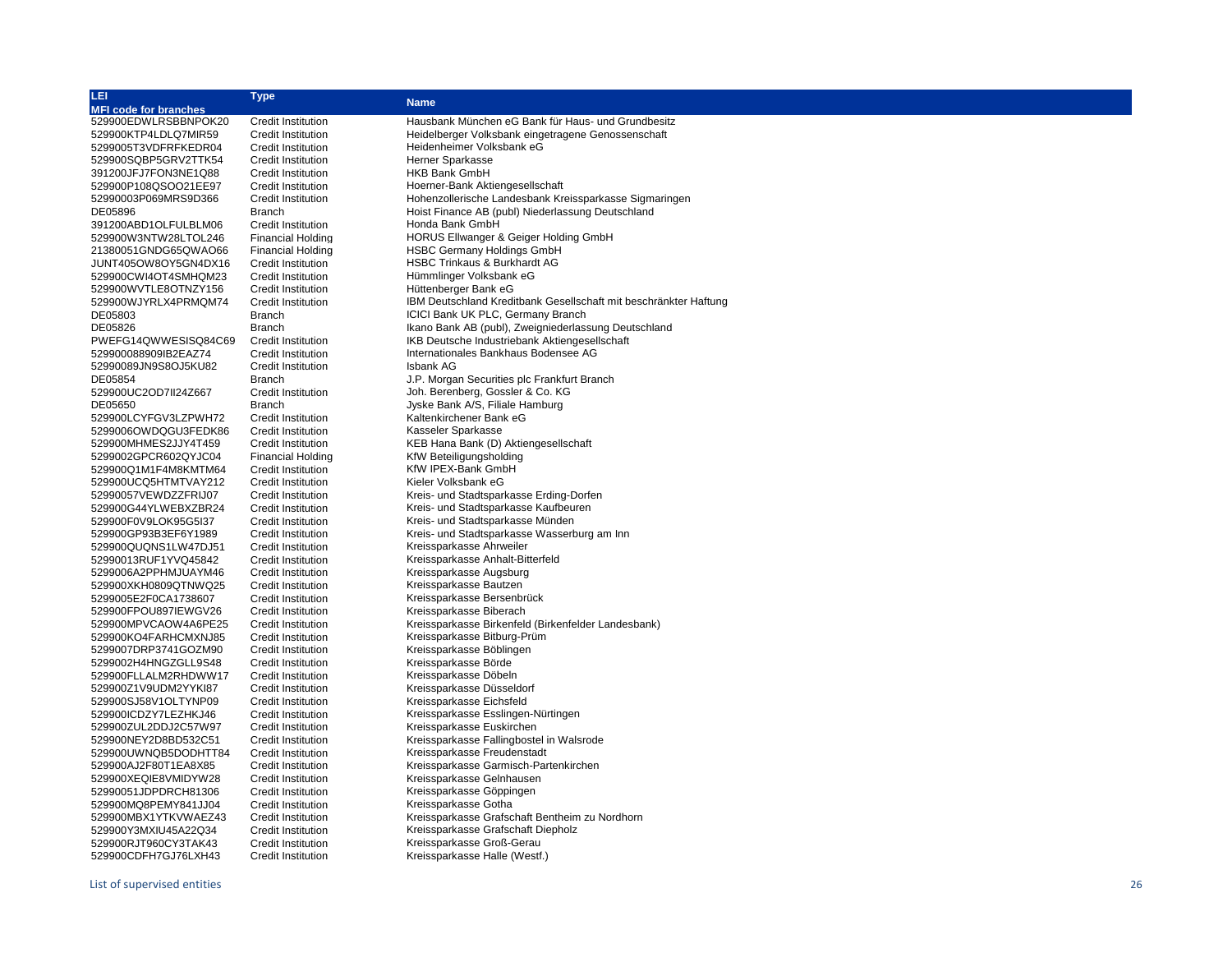| LEI                          | <b>Type</b>               |                                                                  |
|------------------------------|---------------------------|------------------------------------------------------------------|
| <b>MFI code for branches</b> |                           | <b>Name</b>                                                      |
| 529900EDWLRSBBNPOK20         | <b>Credit Institution</b> | Hausbank München eG Bank für Haus- und Grundbesitz               |
| 529900KTP4LDLQ7MIR59         | <b>Credit Institution</b> | Heidelberger Volksbank eingetragene Genossenschaft               |
| 5299005T3VDFRFKEDR04         | <b>Credit Institution</b> | Heidenheimer Volksbank eG                                        |
| 529900SQBP5GRV2TTK54         | <b>Credit Institution</b> | <b>Herner Sparkasse</b>                                          |
|                              |                           |                                                                  |
| 391200JFJ7FON3NE1Q88         | <b>Credit Institution</b> | <b>HKB Bank GmbH</b>                                             |
| 529900P108QSOO21EE97         | Credit Institution        | Hoerner-Bank Aktiengesellschaft                                  |
| 52990003P069MRS9D366         | <b>Credit Institution</b> | Hohenzollerische Landesbank Kreissparkasse Sigmaringen           |
| DE05896                      | <b>Branch</b>             | Hoist Finance AB (publ) Niederlassung Deutschland                |
| 391200ABD1OLFULBLM06         | <b>Credit Institution</b> | Honda Bank GmbH                                                  |
| 529900W3NTW28LTOL246         | <b>Financial Holding</b>  | HORUS Ellwanger & Geiger Holding GmbH                            |
| 21380051GNDG65QWAO66         | <b>Financial Holding</b>  | <b>HSBC Germany Holdings GmbH</b>                                |
| JUNT405OW8OY5GN4DX16         | <b>Credit Institution</b> | HSBC Trinkaus & Burkhardt AG                                     |
| 529900CWI4OT4SMHQM23         | <b>Credit Institution</b> | Hümmlinger Volksbank eG                                          |
| 529900WVTLE8OTNZY156         | <b>Credit Institution</b> | Hüttenberger Bank eG                                             |
| 529900WJYRLX4PRMQM74         | <b>Credit Institution</b> | IBM Deutschland Kreditbank Gesellschaft mit beschränkter Haftung |
|                              |                           |                                                                  |
| DE05803                      | Branch                    | ICICI Bank UK PLC, Germany Branch                                |
| DE05826                      | Branch                    | Ikano Bank AB (publ), Zweigniederlassung Deutschland             |
| PWEFG14QWWESISQ84C69         | <b>Credit Institution</b> | IKB Deutsche Industriebank Aktiengesellschaft                    |
| 529900088909IB2EAZ74         | <b>Credit Institution</b> | Internationales Bankhaus Bodensee AG                             |
| 52990089JN9S8OJ5KU82         | <b>Credit Institution</b> | Isbank AG                                                        |
| DE05854                      | Branch                    | J.P. Morgan Securities plc Frankfurt Branch                      |
| 529900UC2OD7II24Z667         | <b>Credit Institution</b> | Joh. Berenberg, Gossler & Co. KG                                 |
| DE05650                      | <b>Branch</b>             | Jyske Bank A/S, Filiale Hamburg                                  |
| 529900LCYFGV3LZPWH72         | Credit Institution        | Kaltenkirchener Bank eG                                          |
| 5299006OWDQGU3FEDK86         | <b>Credit Institution</b> | Kasseler Sparkasse                                               |
| 529900MHMES2JJY4T459         | Credit Institution        | KEB Hana Bank (D) Aktiengesellschaft                             |
| 5299002GPCR602QYJC04         | <b>Financial Holding</b>  | KfW Beteiligungsholding                                          |
| 529900Q1M1F4M8KMTM64         | <b>Credit Institution</b> | KfW IPEX-Bank GmbH                                               |
|                              |                           |                                                                  |
| 529900UCQ5HTMTVAY212         | <b>Credit Institution</b> | Kieler Volksbank eG                                              |
| 52990057VEWDZZFRIJ07         | Credit Institution        | Kreis- und Stadtsparkasse Erding-Dorfen                          |
| 529900G44YLWEBXZBR24         | <b>Credit Institution</b> | Kreis- und Stadtsparkasse Kaufbeuren                             |
| 529900F0V9LOK95G5I37         | Credit Institution        | Kreis- und Stadtsparkasse Münden                                 |
| 529900GP93B3EF6Y1989         | <b>Credit Institution</b> | Kreis- und Stadtsparkasse Wasserburg am Inn                      |
| 529900QUQNS1LW47DJ51         | <b>Credit Institution</b> | Kreissparkasse Ahrweiler                                         |
| 52990013RUF1YVQ45842         | <b>Credit Institution</b> | Kreissparkasse Anhalt-Bitterfeld                                 |
| 5299006A2PPHMJUAYM46         | <b>Credit Institution</b> | Kreissparkasse Augsburg                                          |
| 529900XKH0809QTNWQ25         | <b>Credit Institution</b> | Kreissparkasse Bautzen                                           |
| 5299005E2F0CA1738607         | <b>Credit Institution</b> | Kreissparkasse Bersenbrück                                       |
| 529900FPOU897IEWGV26         | <b>Credit Institution</b> | Kreissparkasse Biberach                                          |
| 529900MPVCAOW4A6PE25         | <b>Credit Institution</b> | Kreissparkasse Birkenfeld (Birkenfelder Landesbank)              |
| 529900KO4FARHCMXNJ85         | <b>Credit Institution</b> | Kreissparkasse Bitburg-Prüm                                      |
| 5299007DRP3741GOZM90         | <b>Credit Institution</b> | Kreissparkasse Böblingen                                         |
|                              |                           | Kreissparkasse Börde                                             |
| 5299002H4HNGZGLL9S48         | <b>Credit Institution</b> |                                                                  |
| 529900FLLALM2RHDWW17         | <b>Credit Institution</b> | Kreissparkasse Döbeln                                            |
| 529900Z1V9UDM2YYKI87         | <b>Credit Institution</b> | Kreissparkasse Düsseldorf                                        |
| 529900SJ58V1OLTYNP09         | <b>Credit Institution</b> | Kreissparkasse Eichsfeld                                         |
| 529900ICDZY7LEZHKJ46         | <b>Credit Institution</b> | Kreissparkasse Esslingen-Nürtingen                               |
| 529900ZUL2DDJ2C57W97         | Credit Institution        | Kreissparkasse Euskirchen                                        |
| 529900NEY2D8BD532C51         | <b>Credit Institution</b> | Kreissparkasse Fallingbostel in Walsrode                         |
| 529900UWNQB5DODHTT84         | <b>Credit Institution</b> | Kreissparkasse Freudenstadt                                      |
| 529900AJ2F80T1EA8X85         | <b>Credit Institution</b> | Kreissparkasse Garmisch-Partenkirchen                            |
| 529900XEQIE8VMIDYW28         | Credit Institution        | Kreissparkasse Gelnhausen                                        |
| 52990051JDPDRCH81306         | <b>Credit Institution</b> | Kreissparkasse Göppingen                                         |
| 529900MQ8PEMY841JJ04         | <b>Credit Institution</b> | Kreissparkasse Gotha                                             |
| 529900MBX1YTKVWAEZ43         | <b>Credit Institution</b> | Kreissparkasse Grafschaft Bentheim zu Nordhorn                   |
| 529900Y3MXIU45A22Q34         | <b>Credit Institution</b> | Kreissparkasse Grafschaft Diepholz                               |
| 529900RJT960CY3TAK43         | <b>Credit Institution</b> | Kreissparkasse Groß-Gerau                                        |
|                              |                           |                                                                  |
| 529900CDFH7GJ76LXH43         | <b>Credit Institution</b> | Kreissparkasse Halle (Westf.)                                    |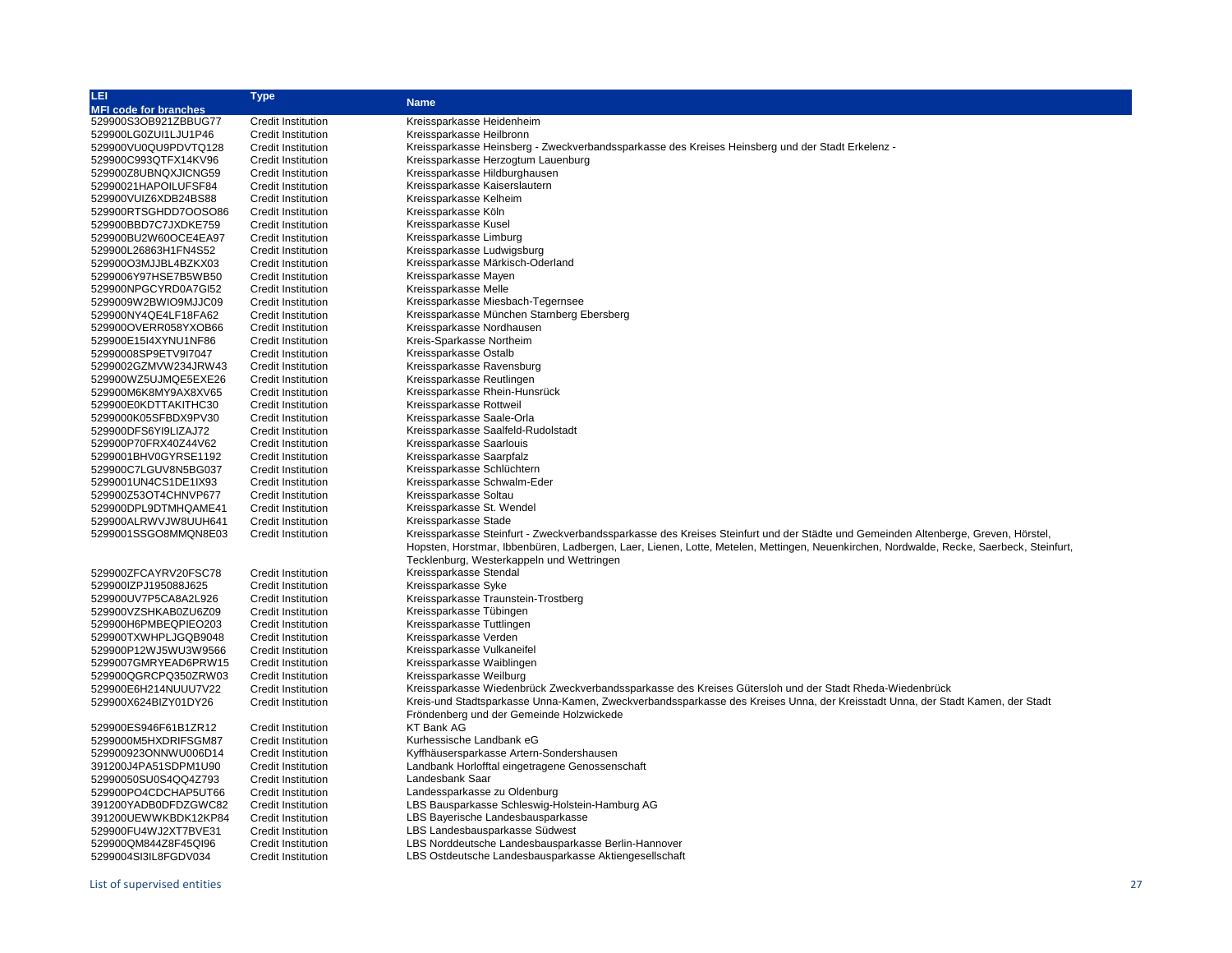| LEI                          | Type                      |                                                                                                                                         |
|------------------------------|---------------------------|-----------------------------------------------------------------------------------------------------------------------------------------|
| <b>MFI code for branches</b> |                           | <b>Name</b>                                                                                                                             |
| 529900S3OB921ZBBUG77         | <b>Credit Institution</b> | Kreissparkasse Heidenheim                                                                                                               |
| 529900LG0ZUI1LJU1P46         | <b>Credit Institution</b> | Kreissparkasse Heilbronn                                                                                                                |
| 529900VU0QU9PDVTQ128         | <b>Credit Institution</b> | Kreissparkasse Heinsberg - Zweckverbandssparkasse des Kreises Heinsberg und der Stadt Erkelenz -                                        |
| 529900C993QTFX14KV96         | <b>Credit Institution</b> | Kreissparkasse Herzogtum Lauenburg                                                                                                      |
| 529900Z8UBNQXJICNG59         | <b>Credit Institution</b> | Kreissparkasse Hildburghausen                                                                                                           |
| 52990021HAPOILUFSF84         | <b>Credit Institution</b> | Kreissparkasse Kaiserslautern                                                                                                           |
| 529900VUIZ6XDB24BS88         | <b>Credit Institution</b> | Kreissparkasse Kelheim                                                                                                                  |
| 529900RTSGHDD7OOSO86         | <b>Credit Institution</b> | Kreissparkasse Köln                                                                                                                     |
| 529900BBD7C7JXDKE759         | <b>Credit Institution</b> | Kreissparkasse Kusel                                                                                                                    |
| 529900BU2W60OCE4EA97         | <b>Credit Institution</b> | Kreissparkasse Limburg                                                                                                                  |
|                              |                           |                                                                                                                                         |
| 529900L26863H1FN4S52         | <b>Credit Institution</b> | Kreissparkasse Ludwigsburg                                                                                                              |
| 529900O3MJJBL4BZKX03         | <b>Credit Institution</b> | Kreissparkasse Märkisch-Oderland                                                                                                        |
| 5299006Y97HSE7B5WB50         | <b>Credit Institution</b> | Kreissparkasse Mayen                                                                                                                    |
| 529900NPGCYRD0A7GI52         | <b>Credit Institution</b> | Kreissparkasse Melle                                                                                                                    |
| 5299009W2BWIO9MJJC09         | <b>Credit Institution</b> | Kreissparkasse Miesbach-Tegernsee                                                                                                       |
| 529900NY4QE4LF18FA62         | <b>Credit Institution</b> | Kreissparkasse München Starnberg Ebersberg                                                                                              |
| 529900OVERR058YXOB66         | <b>Credit Institution</b> | Kreissparkasse Nordhausen                                                                                                               |
| 529900E15I4XYNU1NF86         | <b>Credit Institution</b> | Kreis-Sparkasse Northeim                                                                                                                |
| 52990008SP9ETV9l7047         | <b>Credit Institution</b> | Kreissparkasse Ostalb                                                                                                                   |
| 5299002GZMVW234JRW43         | <b>Credit Institution</b> | Kreissparkasse Ravensburg                                                                                                               |
| 529900WZ5UJMQE5EXE26         | <b>Credit Institution</b> | Kreissparkasse Reutlingen                                                                                                               |
| 529900M6K8MY9AX8XV65         | <b>Credit Institution</b> | Kreissparkasse Rhein-Hunsrück                                                                                                           |
| 529900E0KDTTAKITHC30         | <b>Credit Institution</b> | Kreissparkasse Rottweil                                                                                                                 |
| 5299000K05SFBDX9PV30         | <b>Credit Institution</b> | Kreissparkasse Saale-Orla                                                                                                               |
| 529900DFS6YI9LIZAJ72         | <b>Credit Institution</b> | Kreissparkasse Saalfeld-Rudolstadt                                                                                                      |
| 529900P70FRX40Z44V62         | <b>Credit Institution</b> | Kreissparkasse Saarlouis                                                                                                                |
| 5299001BHV0GYRSE1192         | <b>Credit Institution</b> | Kreissparkasse Saarpfalz                                                                                                                |
| 529900C7LGUV8N5BG037         | <b>Credit Institution</b> | Kreissparkasse Schlüchtern                                                                                                              |
| 5299001UN4CS1DE1IX93         | <b>Credit Institution</b> | Kreissparkasse Schwalm-Eder                                                                                                             |
| 529900Z53OT4CHNVP677         | <b>Credit Institution</b> | Kreissparkasse Soltau                                                                                                                   |
| 529900DPL9DTMHQAME41         | <b>Credit Institution</b> | Kreissparkasse St. Wendel                                                                                                               |
| 529900ALRWVJW8UUH641         | <b>Credit Institution</b> | Kreissparkasse Stade                                                                                                                    |
| 5299001SSGO8MMQN8E03         | <b>Credit Institution</b> | Kreissparkasse Steinfurt - Zweckverbandssparkasse des Kreises Steinfurt und der Städte und Gemeinden Altenberge, Greven, Hörstel,       |
|                              |                           | Hopsten, Horstmar, Ibbenbüren, Ladbergen, Laer, Lienen, Lotte, Metelen, Mettingen, Neuenkirchen, Nordwalde, Recke, Saerbeck, Steinfurt, |
|                              |                           |                                                                                                                                         |
|                              |                           | Tecklenburg, Westerkappeln und Wettringen                                                                                               |
| 529900ZFCAYRV20FSC78         | <b>Credit Institution</b> | Kreissparkasse Stendal                                                                                                                  |
| 529900IZPJ195088J625         | <b>Credit Institution</b> | Kreissparkasse Syke                                                                                                                     |
| 529900UV7P5CA8A2L926         | <b>Credit Institution</b> | Kreissparkasse Traunstein-Trostberg                                                                                                     |
| 529900VZSHKAB0ZU6Z09         | <b>Credit Institution</b> | Kreissparkasse Tübingen                                                                                                                 |
| 529900H6PMBEQPIEO203         | <b>Credit Institution</b> | Kreissparkasse Tuttlingen                                                                                                               |
| 529900TXWHPLJGQB9048         | <b>Credit Institution</b> | Kreissparkasse Verden                                                                                                                   |
| 529900P12WJ5WU3W9566         | <b>Credit Institution</b> | Kreissparkasse Vulkaneifel                                                                                                              |
| 5299007GMRYEAD6PRW15         | <b>Credit Institution</b> | Kreissparkasse Waiblingen                                                                                                               |
| 529900QGRCPQ350ZRW03         | <b>Credit Institution</b> | Kreissparkasse Weilburg                                                                                                                 |
| 529900E6H214NUUU7V22         | <b>Credit Institution</b> | Kreissparkasse Wiedenbrück Zweckverbandssparkasse des Kreises Gütersloh und der Stadt Rheda-Wiedenbrück                                 |
| 529900X624BIZY01DY26         | <b>Credit Institution</b> | Kreis-und Stadtsparkasse Unna-Kamen, Zweckverbandssparkasse des Kreises Unna, der Kreisstadt Unna, der Stadt Kamen, der Stadt           |
|                              |                           | Fröndenberg und der Gemeinde Holzwickede                                                                                                |
| 529900ES946F61B1ZR12         | <b>Credit Institution</b> | <b>KT Bank AG</b>                                                                                                                       |
| 5299000M5HXDRIFSGM87         | <b>Credit Institution</b> | Kurhessische Landbank eG                                                                                                                |
| 529900923ONNWU006D14         | <b>Credit Institution</b> | Kyffhäusersparkasse Artern-Sondershausen                                                                                                |
| 391200J4PA51SDPM1U90         | <b>Credit Institution</b> | Landbank Horlofftal eingetragene Genossenschaft                                                                                         |
| 52990050SU0S4QQ4Z793         | <b>Credit Institution</b> | Landesbank Saar                                                                                                                         |
| 529900PO4CDCHAP5UT66         | <b>Credit Institution</b> | Landessparkasse zu Oldenburg                                                                                                            |
| 391200YADB0DFDZGWC82         | <b>Credit Institution</b> | LBS Bausparkasse Schleswig-Holstein-Hamburg AG                                                                                          |
| 391200UEWWKBDK12KP84         | <b>Credit Institution</b> | LBS Bayerische Landesbausparkasse                                                                                                       |
| 529900FU4WJ2XT7BVE31         | <b>Credit Institution</b> | LBS Landesbausparkasse Südwest                                                                                                          |
| 529900QM844Z8F45QI96         | <b>Credit Institution</b> | LBS Norddeutsche Landesbausparkasse Berlin-Hannover                                                                                     |
| 5299004SI3IL8FGDV034         | <b>Credit Institution</b> | LBS Ostdeutsche Landesbausparkasse Aktiengesellschaft                                                                                   |
|                              |                           |                                                                                                                                         |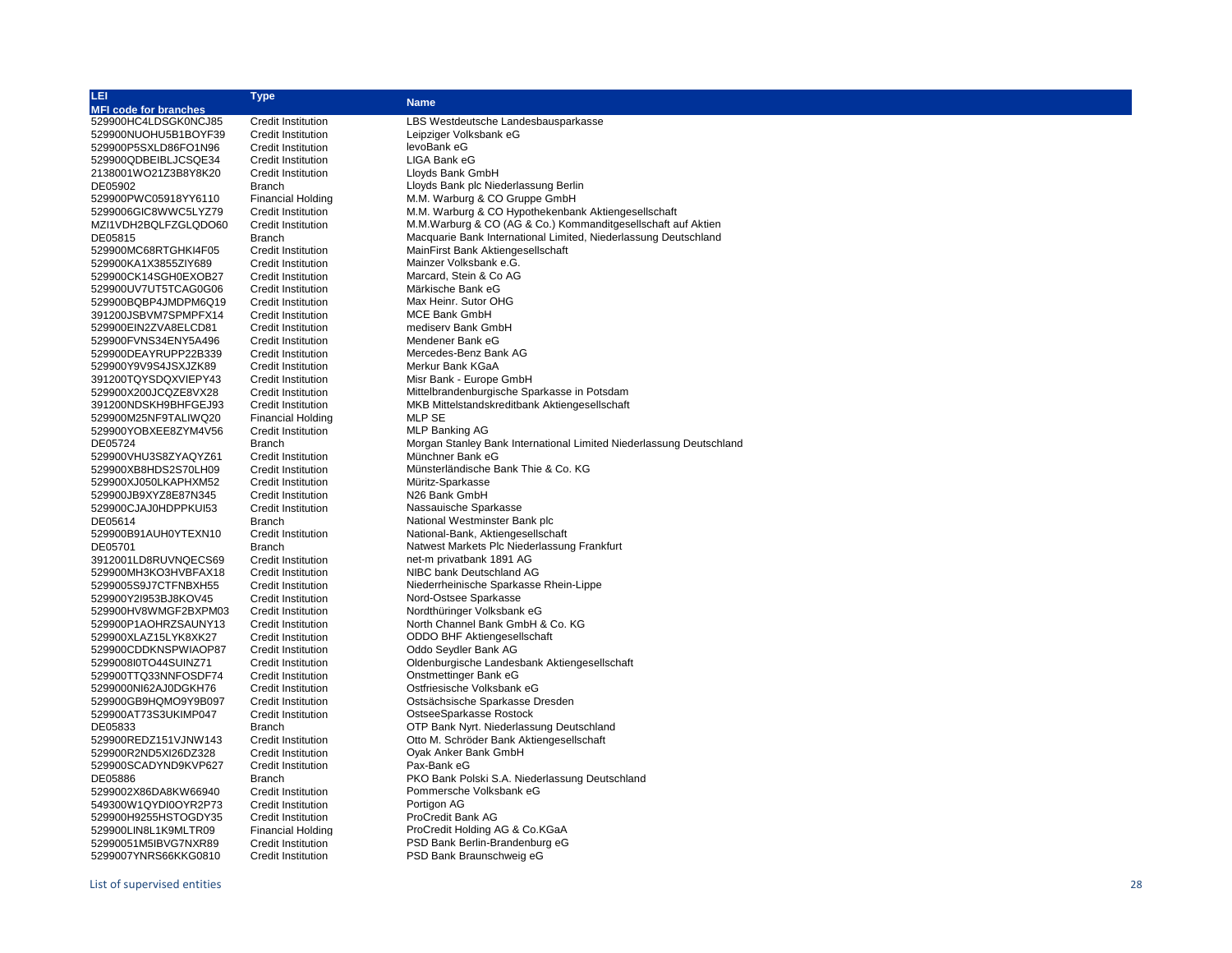| LEI                          | <b>Type</b>               |                                                                         |
|------------------------------|---------------------------|-------------------------------------------------------------------------|
| <b>MFI code for branches</b> |                           | <b>Name</b>                                                             |
| 529900HC4LDSGK0NCJ85         | <b>Credit Institution</b> | LBS Westdeutsche Landesbausparkasse                                     |
| 529900NUOHU5B1BOYF39         | <b>Credit Institution</b> | Leipziger Volksbank eG                                                  |
| 529900P5SXLD86FO1N96         | <b>Credit Institution</b> | levoBank eG                                                             |
| 529900QDBEIBLJCSQE34         | <b>Credit Institution</b> | LIGA Bank eG                                                            |
| 2138001WO21Z3B8Y8K20         | <b>Credit Institution</b> | Lloyds Bank GmbH                                                        |
| DE05902                      | <b>Branch</b>             | Lloyds Bank plc Niederlassung Berlin                                    |
| 529900PWC05918YY6110         | <b>Financial Holding</b>  | M.M. Warburg & CO Gruppe GmbH                                           |
| 5299006GIC8WWC5LYZ79         | <b>Credit Institution</b> | M.M. Warburg & CO Hypothekenbank Aktiengesellschaft                     |
| MZI1VDH2BQLFZGLQDO60         | <b>Credit Institution</b> | M.M.Warburg & CO (AG & Co.) Kommanditgesellschaft auf Aktien            |
| DE05815                      | <b>Branch</b>             | Macquarie Bank International Limited, Niederlassung Deutschland         |
| 529900MC68RTGHKI4F05         | Credit Institution        | MainFirst Bank Aktiengesellschaft                                       |
| 529900KA1X3855ZIY689         | <b>Credit Institution</b> | Mainzer Volksbank e.G.                                                  |
| 529900CK14SGH0EXOB27         | <b>Credit Institution</b> | Marcard, Stein & Co AG                                                  |
| 529900UV7UT5TCAG0G06         | <b>Credit Institution</b> | Märkische Bank eG                                                       |
| 529900BQBP4JMDPM6Q19         | <b>Credit Institution</b> | Max Heinr. Sutor OHG                                                    |
| 391200JSBVM7SPMPFX14         | <b>Credit Institution</b> | <b>MCE Bank GmbH</b>                                                    |
| 529900EIN2ZVA8ELCD81         | Credit Institution        | medisery Bank GmbH                                                      |
| 529900FVNS34ENY5A496         | <b>Credit Institution</b> | Mendener Bank eG                                                        |
| 529900DEAYRUPP22B339         | <b>Credit Institution</b> | Mercedes-Benz Bank AG                                                   |
| 529900Y9V9S4JSXJZK89         | <b>Credit Institution</b> | Merkur Bank KGaA                                                        |
| 391200TQYSDQXVIEPY43         | Credit Institution        | Misr Bank - Europe GmbH                                                 |
| 529900X200JCQZE8VX28         | <b>Credit Institution</b> | Mittelbrandenburgische Sparkasse in Potsdam                             |
| 391200NDSKH9BHFGEJ93         | <b>Credit Institution</b> | MKB Mittelstandskreditbank Aktiengesellschaft                           |
| 529900M25NF9TALIWQ20         | <b>Financial Holding</b>  | MLP SE                                                                  |
| 529900YOBXEE8ZYM4V56         | <b>Credit Institution</b> | <b>MLP Banking AG</b>                                                   |
| DE05724                      | <b>Branch</b>             | Morgan Stanley Bank International Limited Niederlassung Deutschland     |
| 529900VHU3S8ZYAQYZ61         | <b>Credit Institution</b> | Münchner Bank eG                                                        |
| 529900XB8HDS2S70LH09         | <b>Credit Institution</b> | Münsterländische Bank Thie & Co. KG                                     |
| 529900XJ050LKAPHXM52         | <b>Credit Institution</b> | Müritz-Sparkasse                                                        |
|                              |                           | N26 Bank GmbH                                                           |
| 529900JB9XYZ8E87N345         | <b>Credit Institution</b> | Nassauische Sparkasse                                                   |
| 529900CJAJ0HDPPKUI53         | <b>Credit Institution</b> |                                                                         |
| DE05614                      | <b>Branch</b>             | National Westminster Bank plc                                           |
| 529900B91AUH0YTEXN10         | <b>Credit Institution</b> | National-Bank, Aktiengesellschaft                                       |
| DE05701                      | Branch                    | Natwest Markets Plc Niederlassung Frankfurt<br>net-m privatbank 1891 AG |
| 3912001LD8RUVNQECS69         | <b>Credit Institution</b> |                                                                         |
| 529900MH3KO3HVBFAX18         | <b>Credit Institution</b> | NIBC bank Deutschland AG                                                |
| 5299005S9J7CTFNBXH55         | <b>Credit Institution</b> | Niederrheinische Sparkasse Rhein-Lippe                                  |
| 529900Y2l953BJ8KOV45         | Credit Institution        | Nord-Ostsee Sparkasse                                                   |
| 529900HV8WMGF2BXPM03         | <b>Credit Institution</b> | Nordthüringer Volksbank eG                                              |
| 529900P1AOHRZSAUNY13         | <b>Credit Institution</b> | North Channel Bank GmbH & Co. KG                                        |
| 529900XLAZ15LYK8XK27         | <b>Credit Institution</b> | ODDO BHF Aktiengesellschaft                                             |
| 529900CDDKNSPWIAOP87         | <b>Credit Institution</b> | Oddo Seydler Bank AG                                                    |
| 5299008l0TO44SUINZ71         | <b>Credit Institution</b> | Oldenburgische Landesbank Aktiengesellschaft                            |
| 529900TTQ33NNFOSDF74         | Credit Institution        | Onstmettinger Bank eG                                                   |
| 5299000NI62AJ0DGKH76         | <b>Credit Institution</b> | Ostfriesische Volksbank eG                                              |
| 529900GB9HQMO9Y9B097         | Credit Institution        | Ostsächsische Sparkasse Dresden                                         |
| 529900AT73S3UKIMP047         | <b>Credit Institution</b> | OstseeSparkasse Rostock                                                 |
| DE05833                      | <b>Branch</b>             | OTP Bank Nyrt. Niederlassung Deutschland                                |
| 529900REDZ151VJNW143         | <b>Credit Institution</b> | Otto M. Schröder Bank Aktiengesellschaft                                |
| 529900R2ND5XI26DZ328         | <b>Credit Institution</b> | Oyak Anker Bank GmbH                                                    |
| 529900SCADYND9KVP627         | <b>Credit Institution</b> | Pax-Bank eG                                                             |
| DE05886                      | <b>Branch</b>             | PKO Bank Polski S.A. Niederlassung Deutschland                          |
| 5299002X86DA8KW66940         | <b>Credit Institution</b> | Pommersche Volksbank eG                                                 |
| 549300W1QYDI0OYR2P73         | <b>Credit Institution</b> | Portigon AG                                                             |
| 529900H9255HSTOGDY35         | <b>Credit Institution</b> | ProCredit Bank AG                                                       |
| 529900LIN8L1K9MLTR09         | <b>Financial Holding</b>  | ProCredit Holding AG & Co.KGaA                                          |

52990051M5IBVG7NXR89 Credit Institution PSD Bank Berlin-Brandenburg eG 5299007YNRS66KKG0810 Credit Institution PSD Bank Braunschweig eG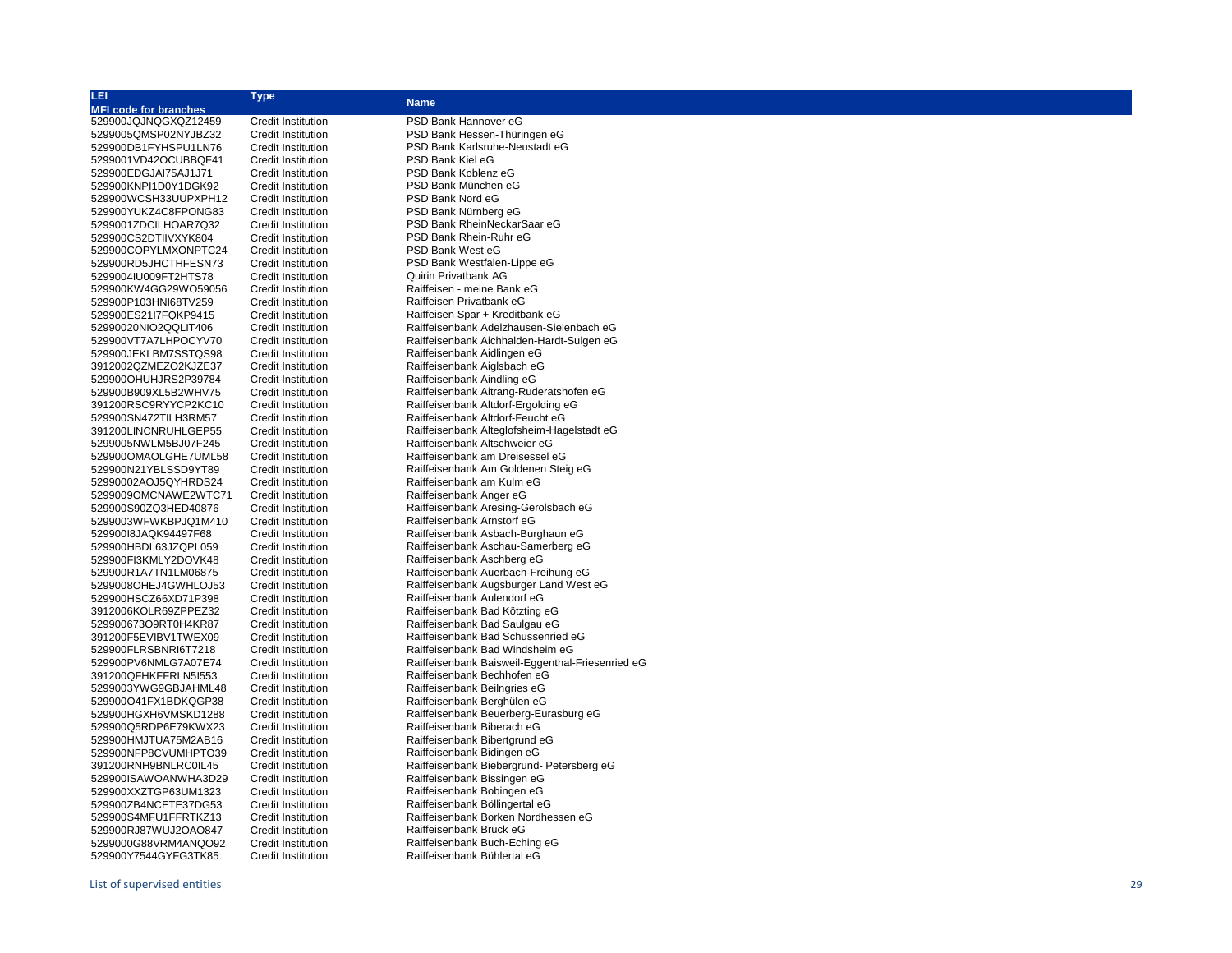| LEI                          | <b>Type</b>               | <b>Name</b>                                      |
|------------------------------|---------------------------|--------------------------------------------------|
| <b>MFI code for branches</b> |                           |                                                  |
| 529900JQJNQGXQZ12459         | <b>Credit Institution</b> | PSD Bank Hannover eG                             |
| 5299005QMSP02NYJBZ32         | <b>Credit Institution</b> | PSD Bank Hessen-Thüringen eG                     |
| 529900DB1FYHSPU1LN76         | <b>Credit Institution</b> | PSD Bank Karlsruhe-Neustadt eG                   |
| 5299001VD42OCUBBQF41         | <b>Credit Institution</b> | PSD Bank Kiel eG                                 |
| 529900EDGJAI75AJ1J71         | <b>Credit Institution</b> | PSD Bank Koblenz eG                              |
| 529900KNPI1D0Y1DGK92         | <b>Credit Institution</b> | PSD Bank München eG                              |
| 529900WCSH33UUPXPH12         | <b>Credit Institution</b> | PSD Bank Nord eG                                 |
| 529900YUKZ4C8FPONG83         | <b>Credit Institution</b> | PSD Bank Nürnberg eG                             |
| 5299001ZDCILHOAR7Q32         | <b>Credit Institution</b> | PSD Bank RheinNeckarSaar eG                      |
| 529900CS2DTIIVXYK804         | <b>Credit Institution</b> | PSD Bank Rhein-Ruhr eG                           |
| 529900COPYLMXONPTC24         | <b>Credit Institution</b> | PSD Bank West eG                                 |
| 529900RD5JHCTHFESN73         | <b>Credit Institution</b> | PSD Bank Westfalen-Lippe eG                      |
| 5299004IU009FT2HTS78         | <b>Credit Institution</b> | Quirin Privatbank AG                             |
| 529900KW4GG29WO59056         | <b>Credit Institution</b> | Raiffeisen - meine Bank eG                       |
| 529900P103HNI68TV259         | <b>Credit Institution</b> | Raiffeisen Privatbank eG                         |
| 529900ES21I7FQKP9415         | <b>Credit Institution</b> | Raiffeisen Spar + Kreditbank eG                  |
| 52990020NIO2QQLIT406         | <b>Credit Institution</b> | Raiffeisenbank Adelzhausen-Sielenbach eG         |
| 529900VT7A7LHPOCYV70         | <b>Credit Institution</b> | Raiffeisenbank Aichhalden-Hardt-Sulgen eG        |
| 529900JEKLBM7SSTQS98         | <b>Credit Institution</b> | Raiffeisenbank Aidlingen eG                      |
| 3912002QZMEZO2KJZE37         | <b>Credit Institution</b> | Raiffeisenbank Aiglsbach eG                      |
| 529900OHUHJRS2P39784         | <b>Credit Institution</b> | Raiffeisenbank Aindling eG                       |
| 529900B909XL5B2WHV75         | <b>Credit Institution</b> | Raiffeisenbank Aitrang-Ruderatshofen eG          |
| 391200RSC9RYYCP2KC10         | <b>Credit Institution</b> | Raiffeisenbank Altdorf-Ergolding eG              |
| 529900SN472TILH3RM57         | <b>Credit Institution</b> | Raiffeisenbank Altdorf-Feucht eG                 |
| 391200LINCNRUHLGEP55         | <b>Credit Institution</b> | Raiffeisenbank Alteglofsheim-Hagelstadt eG       |
| 5299005NWLM5BJ07F245         | <b>Credit Institution</b> | Raiffeisenbank Altschweier eG                    |
| 529900OMAOLGHE7UML58         | <b>Credit Institution</b> | Raiffeisenbank am Dreisessel eG                  |
| 529900N21YBLSSD9YT89         | <b>Credit Institution</b> | Raiffeisenbank Am Goldenen Steig eG              |
| 52990002AOJ5QYHRDS24         | <b>Credit Institution</b> | Raiffeisenbank am Kulm eG                        |
| 5299009OMCNAWE2WTC71         | <b>Credit Institution</b> | Raiffeisenbank Anger eG                          |
| 529900S90ZQ3HED40876         | <b>Credit Institution</b> | Raiffeisenbank Aresing-Gerolsbach eG             |
| 5299003WFWKBPJQ1M410         | <b>Credit Institution</b> | Raiffeisenbank Arnstorf eG                       |
| 529900I8JAQK94497F68         | <b>Credit Institution</b> | Raiffeisenbank Asbach-Burghaun eG                |
| 529900HBDL63JZQPL059         | <b>Credit Institution</b> | Raiffeisenbank Aschau-Samerberg eG               |
| 529900FI3KMLY2DOVK48         | <b>Credit Institution</b> | Raiffeisenbank Aschberg eG                       |
| 529900R1A7TN1LM06875         | <b>Credit Institution</b> | Raiffeisenbank Auerbach-Freihung eG              |
| 5299008OHEJ4GWHLOJ53         | <b>Credit Institution</b> | Raiffeisenbank Augsburger Land West eG           |
| 529900HSCZ66XD71P398         | <b>Credit Institution</b> | Raiffeisenbank Aulendorf eG                      |
| 3912006KOLR69ZPPEZ32         | <b>Credit Institution</b> | Raiffeisenbank Bad Kötzting eG                   |
| 529900673O9RT0H4KR87         | <b>Credit Institution</b> | Raiffeisenbank Bad Saulgau eG                    |
| 391200F5EVIBV1TWEX09         | <b>Credit Institution</b> | Raiffeisenbank Bad Schussenried eG               |
| 529900FLRSBNRI6T7218         | <b>Credit Institution</b> | Raiffeisenbank Bad Windsheim eG                  |
| 529900PV6NMLG7A07E74         | <b>Credit Institution</b> | Raiffeisenbank Baisweil-Eggenthal-Friesenried eG |
| 391200QFHKFFRLN5I553         | <b>Credit Institution</b> | Raiffeisenbank Bechhofen eG                      |
| 5299003YWG9GBJAHML48         | <b>Credit Institution</b> | Raiffeisenbank Beilngries eG                     |
| 529900O41FX1BDKQGP38         | <b>Credit Institution</b> | Raiffeisenbank Berghülen eG                      |
| 529900HGXH6VMSKD1288         | <b>Credit Institution</b> | Raiffeisenbank Beuerberg-Eurasburg eG            |
| 529900Q5RDP6E79KWX23         | <b>Credit Institution</b> | Raiffeisenbank Biberach eG                       |
| 529900HMJTUA75M2AB16         | Credit Institution        | Raiffeisenbank Bibertgrund eG                    |
| 529900NFP8CVUMHPTO39         | <b>Credit Institution</b> | Raiffeisenbank Bidingen eG                       |
| 391200RNH9BNLRC0IL45         | <b>Credit Institution</b> | Raiffeisenbank Biebergrund- Petersberg eG        |
| 529900ISAWOANWHA3D29         | <b>Credit Institution</b> | Raiffeisenbank Bissingen eG                      |
| 529900XXZTGP63UM1323         | <b>Credit Institution</b> | Raiffeisenbank Bobingen eG                       |
| 529900ZB4NCETE37DG53         | <b>Credit Institution</b> | Raiffeisenbank Böllingertal eG                   |
| 529900S4MFU1FFRTKZ13         | <b>Credit Institution</b> | Raiffeisenbank Borken Nordhessen eG              |
| 529900RJ87WUJ2OAO847         | <b>Credit Institution</b> | Raiffeisenbank Bruck eG                          |
| 5299000G88VRM4ANQO92         | <b>Credit Institution</b> | Raiffeisenbank Buch-Eching eG                    |
| 529900Y7544GYFG3TK85         | <b>Credit Institution</b> | Raiffeisenbank Bühlertal eG                      |
|                              |                           |                                                  |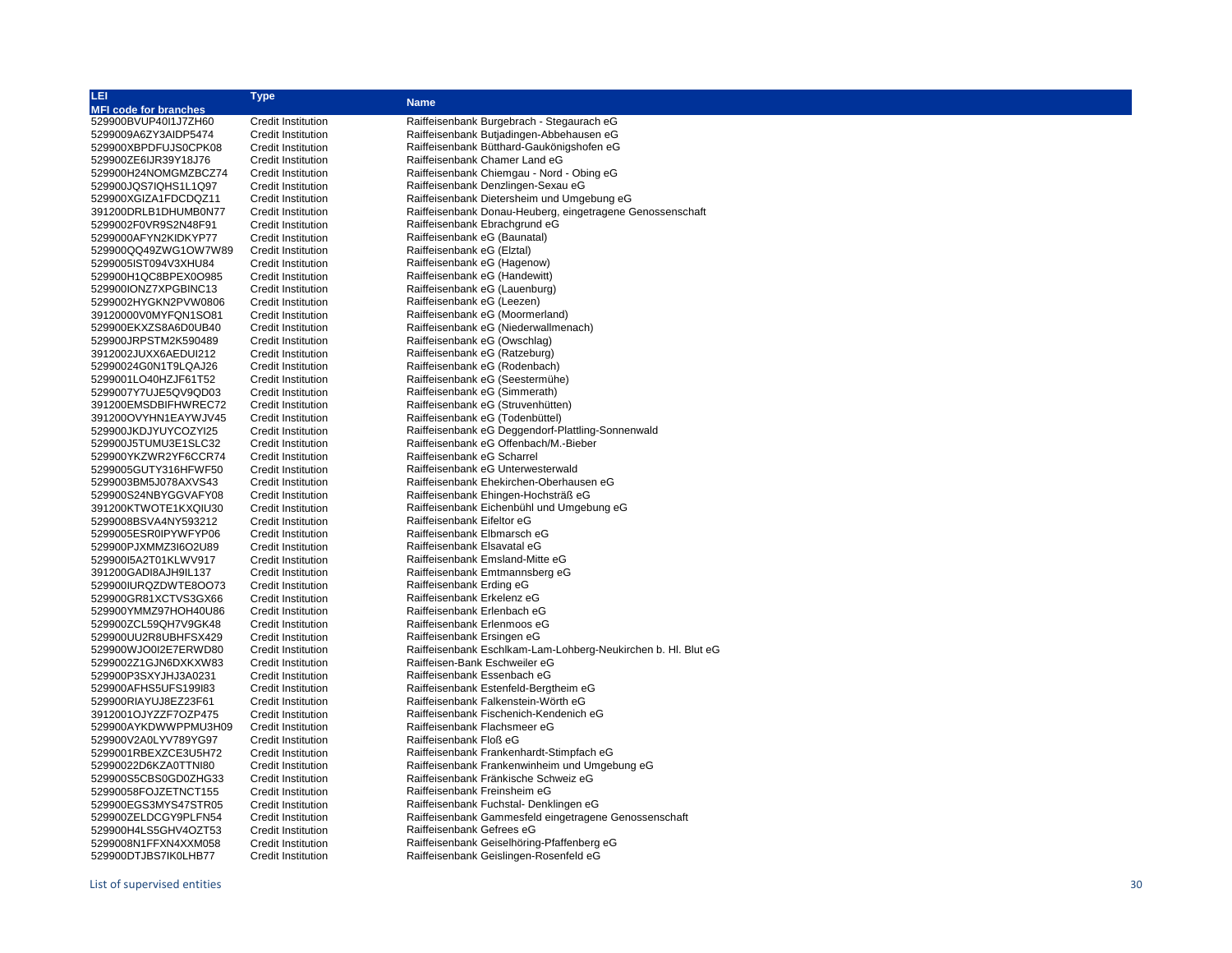| LEI                          | <b>Type</b>               |                                                               |
|------------------------------|---------------------------|---------------------------------------------------------------|
| <b>MFI code for branches</b> |                           | <b>Name</b>                                                   |
| 529900BVUP40I1J7ZH60         | Credit Institution        | Raiffeisenbank Burgebrach - Stegaurach eG                     |
| 5299009A6ZY3AIDP5474         | <b>Credit Institution</b> | Raiffeisenbank Butjadingen-Abbehausen eG                      |
| 529900XBPDFUJS0CPK08         | <b>Credit Institution</b> | Raiffeisenbank Bütthard-Gaukönigshofen eG                     |
| 529900ZE6IJR39Y18J76         | <b>Credit Institution</b> | Raiffeisenbank Chamer Land eG                                 |
| 529900H24NOMGMZBCZ74         | <b>Credit Institution</b> | Raiffeisenbank Chiemgau - Nord - Obing eG                     |
| 529900JQS7IQHS1L1Q97         | <b>Credit Institution</b> | Raiffeisenbank Denzlingen-Sexau eG                            |
| 529900XGIZA1FDCDQZ11         | <b>Credit Institution</b> | Raiffeisenbank Dietersheim und Umgebung eG                    |
| 391200DRLB1DHUMB0N77         | <b>Credit Institution</b> | Raiffeisenbank Donau-Heuberg, eingetragene Genossenschaft     |
| 5299002F0VR9S2N48F91         | <b>Credit Institution</b> | Raiffeisenbank Ebrachgrund eG                                 |
| 5299000AFYN2KIDKYP77         | <b>Credit Institution</b> | Raiffeisenbank eG (Baunatal)                                  |
| 529900QQ49ZWG1OW7W89         | <b>Credit Institution</b> | Raiffeisenbank eG (Elztal)                                    |
| 5299005IST094V3XHU84         | <b>Credit Institution</b> | Raiffeisenbank eG (Hagenow)                                   |
| 529900H1QC8BPEX0O985         | <b>Credit Institution</b> | Raiffeisenbank eG (Handewitt)                                 |
| 529900IONZ7XPGBINC13         | <b>Credit Institution</b> | Raiffeisenbank eG (Lauenburg)                                 |
| 5299002HYGKN2PVW0806         | <b>Credit Institution</b> | Raiffeisenbank eG (Leezen)                                    |
| 39120000V0MYFQN1SO81         | <b>Credit Institution</b> | Raiffeisenbank eG (Moormerland)                               |
| 529900EKXZS8A6D0UB40         | <b>Credit Institution</b> | Raiffeisenbank eG (Niederwallmenach)                          |
| 529900JRPSTM2K590489         | <b>Credit Institution</b> | Raiffeisenbank eG (Owschlag)                                  |
| 3912002JUXX6AEDUI212         | <b>Credit Institution</b> | Raiffeisenbank eG (Ratzeburg)                                 |
| 52990024G0N1T9LQAJ26         | <b>Credit Institution</b> | Raiffeisenbank eG (Rodenbach)                                 |
| 5299001LO40HZJF61T52         | <b>Credit Institution</b> | Raiffeisenbank eG (Seestermühe)                               |
| 5299007Y7UJE5QV9QD03         | <b>Credit Institution</b> | Raiffeisenbank eG (Simmerath)                                 |
| 391200EMSDBIFHWREC72         | <b>Credit Institution</b> | Raiffeisenbank eG (Struvenhütten)                             |
| 391200OVYHN1EAYWJV45         | <b>Credit Institution</b> | Raiffeisenbank eG (Todenbüttel)                               |
| 529900JKDJYUYCOZYI25         | <b>Credit Institution</b> | Raiffeisenbank eG Deggendorf-Plattling-Sonnenwald             |
| 529900J5TUMU3E1SLC32         | <b>Credit Institution</b> | Raiffeisenbank eG Offenbach/M.-Bieber                         |
| 529900YKZWR2YF6CCR74         | <b>Credit Institution</b> | Raiffeisenbank eG Scharrel                                    |
| 5299005GUTY316HFWF50         | <b>Credit Institution</b> | Raiffeisenbank eG Unterwesterwald                             |
| 5299003BM5J078AXVS43         | <b>Credit Institution</b> | Raiffeisenbank Ehekirchen-Oberhausen eG                       |
| 529900S24NBYGGVAFY08         | <b>Credit Institution</b> | Raiffeisenbank Ehingen-Hochsträß eG                           |
| 391200KTWOTE1KXQIU30         | <b>Credit Institution</b> | Raiffeisenbank Eichenbühl und Umgebung eG                     |
| 5299008BSVA4NY593212         | <b>Credit Institution</b> | Raiffeisenbank Eifeltor eG                                    |
| 5299005ESR0IPYWFYP06         | <b>Credit Institution</b> | Raiffeisenbank Elbmarsch eG                                   |
| 529900PJXMMZ3I6O2U89         | <b>Credit Institution</b> | Raiffeisenbank Elsavatal eG                                   |
| 529900I5A2T01KLWV917         | <b>Credit Institution</b> | Raiffeisenbank Emsland-Mitte eG                               |
| 391200GADI8AJH9IL137         | <b>Credit Institution</b> | Raiffeisenbank Emtmannsberg eG                                |
| 529900IURQZDWTE8OO73         | <b>Credit Institution</b> | Raiffeisenbank Erding eG                                      |
| 529900GR81XCTVS3GX66         | <b>Credit Institution</b> | Raiffeisenbank Erkelenz eG                                    |
| 529900YMMZ97HOH40U86         | <b>Credit Institution</b> | Raiffeisenbank Erlenbach eG                                   |
| 529900ZCL59QH7V9GK48         | <b>Credit Institution</b> | Raiffeisenbank Erlenmoos eG                                   |
| 529900UU2R8UBHFSX429         | <b>Credit Institution</b> | Raiffeisenbank Ersingen eG                                    |
| 529900WJO0I2E7ERWD80         | <b>Credit Institution</b> | Raiffeisenbank Eschlkam-Lam-Lohberg-Neukirchen b. Hl. Blut eG |
| 5299002Z1GJN6DXKXW83         | <b>Credit Institution</b> | Raiffeisen-Bank Eschweiler eG                                 |
| 529900P3SXYJHJ3A0231         | <b>Credit Institution</b> | Raiffeisenbank Essenbach eG                                   |
| 529900AFHS5UFS199I83         | <b>Credit Institution</b> | Raiffeisenbank Estenfeld-Bergtheim eG                         |
| 529900RIAYUJ8EZ23F61         | <b>Credit Institution</b> | Raiffeisenbank Falkenstein-Wörth eG                           |
| 3912001OJYZZF7OZP475         | <b>Credit Institution</b> | Raiffeisenbank Fischenich-Kendenich eG                        |
| 529900AYKDWWPPMU3H09         | <b>Credit Institution</b> | Raiffeisenbank Flachsmeer eG                                  |
| 529900V2A0LYV789YG97         | <b>Credit Institution</b> | Raiffeisenbank Floß eG                                        |
| 5299001RBEXZCE3U5H72         | <b>Credit Institution</b> | Raiffeisenbank Frankenhardt-Stimpfach eG                      |
| 52990022D6KZA0TTNI80         | <b>Credit Institution</b> | Raiffeisenbank Frankenwinheim und Umgebung eG                 |
| 529900S5CBS0GD0ZHG33         | <b>Credit Institution</b> | Raiffeisenbank Fränkische Schweiz eG                          |
| 52990058FOJZETNCT155         | <b>Credit Institution</b> | Raiffeisenbank Freinsheim eG                                  |
| 529900EGS3MYS47STR05         | <b>Credit Institution</b> | Raiffeisenbank Fuchstal- Denklingen eG                        |
| 529900ZELDCGY9PLFN54         | <b>Credit Institution</b> | Raiffeisenbank Gammesfeld eingetragene Genossenschaft         |
| 529900H4LS5GHV4OZT53         | <b>Credit Institution</b> | Raiffeisenbank Gefrees eG                                     |
| 5299008N1FFXN4XXM058         | <b>Credit Institution</b> | Raiffeisenbank Geiselhöring-Pfaffenberg eG                    |
| 529900DTJBS7IK0LHB77         | <b>Credit Institution</b> | Raiffeisenbank Geislingen-Rosenfeld eG                        |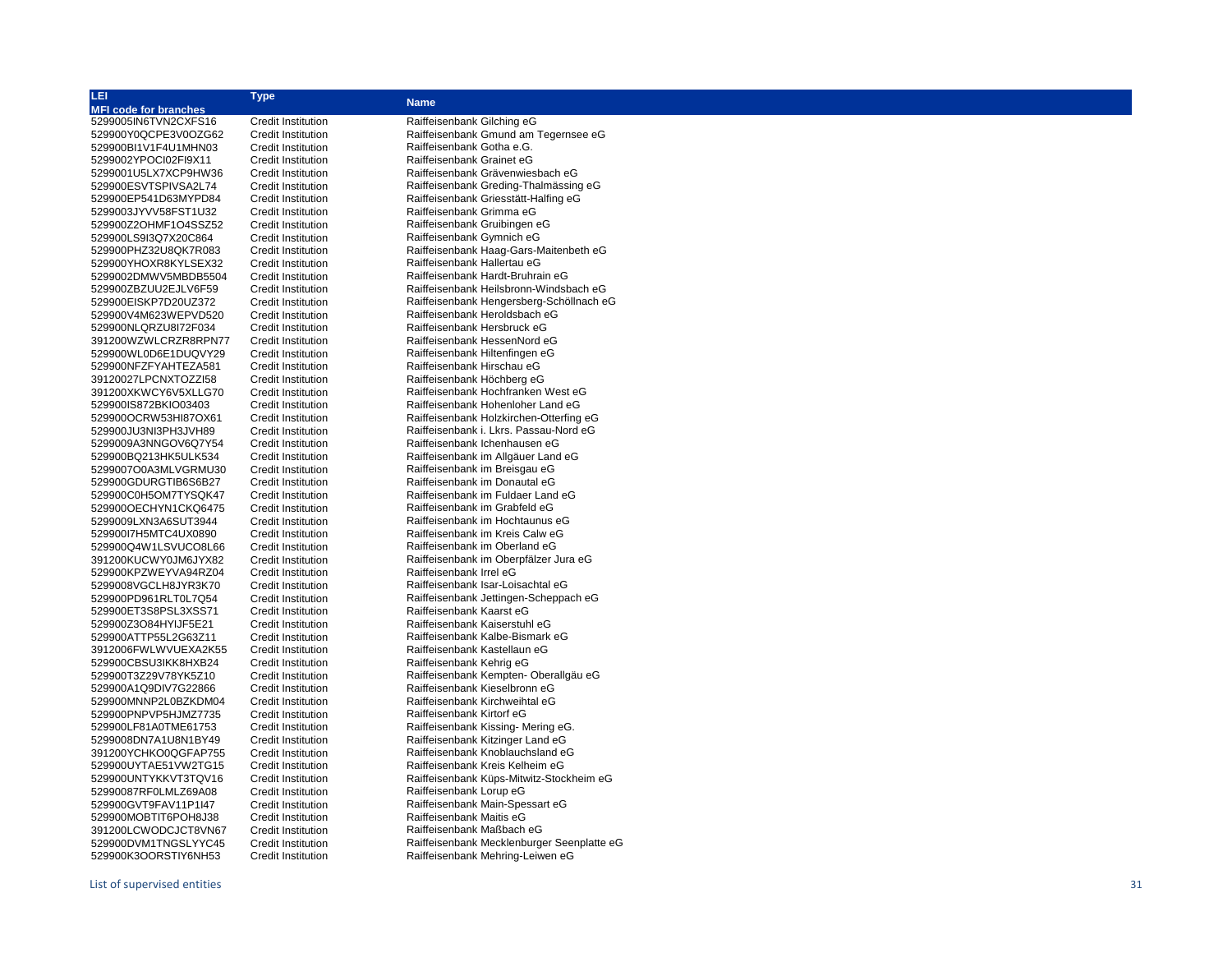| LEI                                          | <b>Type</b>                                            | <b>Name</b>                                                         |
|----------------------------------------------|--------------------------------------------------------|---------------------------------------------------------------------|
| <b>MFI code for branches</b>                 |                                                        |                                                                     |
| 5299005IN6TVN2CXFS16                         | <b>Credit Institution</b>                              | Raiffeisenbank Gilching eG                                          |
| 529900Y0QCPE3V0OZG62                         | Credit Institution                                     | Raiffeisenbank Gmund am Tegernsee eG                                |
| 529900BI1V1F4U1MHN03                         | Credit Institution                                     | Raiffeisenbank Gotha e.G.                                           |
| 5299002YPOCI02FI9X11                         | <b>Credit Institution</b>                              | Raiffeisenbank Grainet eG                                           |
| 5299001U5LX7XCP9HW36                         | <b>Credit Institution</b>                              | Raiffeisenbank Grävenwiesbach eG                                    |
| 529900ESVTSPIVSA2L74                         | <b>Credit Institution</b>                              | Raiffeisenbank Greding-Thalmässing eG                               |
| 529900EP541D63MYPD84                         | <b>Credit Institution</b>                              | Raiffeisenbank Griesstätt-Halfing eG                                |
| 5299003JYVV58FST1U32                         | <b>Credit Institution</b>                              | Raiffeisenbank Grimma eG                                            |
| 529900Z2OHMF1O4SSZ52                         | Credit Institution                                     | Raiffeisenbank Gruibingen eG                                        |
| 529900LS9I3Q7X20C864                         | <b>Credit Institution</b>                              | Raiffeisenbank Gymnich eG                                           |
| 529900PHZ32U8QK7R083                         | Credit Institution                                     | Raiffeisenbank Haag-Gars-Maitenbeth eG                              |
| 529900YHOXR8KYLSEX32                         | <b>Credit Institution</b>                              | Raiffeisenbank Hallertau eG                                         |
| 5299002DMWV5MBDB5504                         | <b>Credit Institution</b>                              | Raiffeisenbank Hardt-Bruhrain eG                                    |
| 529900ZBZUU2EJLV6F59                         | <b>Credit Institution</b>                              | Raiffeisenbank Heilsbronn-Windsbach eG                              |
| 529900EISKP7D20UZ372                         | <b>Credit Institution</b>                              | Raiffeisenbank Hengersberg-Schöllnach eG                            |
| 529900V4M623WEPVD520                         | <b>Credit Institution</b>                              | Raiffeisenbank Heroldsbach eG                                       |
| 529900NLQRZU8I72F034                         | <b>Credit Institution</b>                              | Raiffeisenbank Hersbruck eG                                         |
| 391200WZWLCRZR8RPN77                         | <b>Credit Institution</b>                              | Raiffeisenbank HessenNord eG                                        |
| 529900WL0D6E1DUQVY29                         | <b>Credit Institution</b>                              | Raiffeisenbank Hiltenfingen eG                                      |
| 529900NFZFYAHTEZA581                         | <b>Credit Institution</b>                              | Raiffeisenbank Hirschau eG                                          |
| 39120027LPCNXTOZZI58                         | <b>Credit Institution</b>                              | Raiffeisenbank Höchberg eG                                          |
| 391200XKWCY6V5XLLG70                         | <b>Credit Institution</b>                              | Raiffeisenbank Hochfranken West eG                                  |
| 529900IS872BKIO03403                         | Credit Institution                                     | Raiffeisenbank Hohenloher Land eG                                   |
| 529900OCRW53HI87OX61                         | <b>Credit Institution</b>                              | Raiffeisenbank Holzkirchen-Otterfing eG                             |
| 529900JU3NI3PH3JVH89                         | <b>Credit Institution</b>                              | Raiffeisenbank i. Lkrs. Passau-Nord eG                              |
| 5299009A3NNGOV6Q7Y54<br>529900BQ213HK5ULK534 | <b>Credit Institution</b><br><b>Credit Institution</b> | Raiffeisenbank Ichenhausen eG<br>Raiffeisenbank im Allgäuer Land eG |
|                                              | Credit Institution                                     |                                                                     |
| 5299007O0A3MLVGRMU30<br>529900GDURGTIB6S6B27 | <b>Credit Institution</b>                              | Raiffeisenbank im Breisgau eG<br>Raiffeisenbank im Donautal eG      |
| 529900C0H5OM7TYSQK47                         | <b>Credit Institution</b>                              | Raiffeisenbank im Fuldaer Land eG                                   |
| 529900OECHYN1CKQ6475                         | <b>Credit Institution</b>                              | Raiffeisenbank im Grabfeld eG                                       |
| 5299009LXN3A6SUT3944                         | <b>Credit Institution</b>                              | Raiffeisenbank im Hochtaunus eG                                     |
| 529900I7H5MTC4UX0890                         | <b>Credit Institution</b>                              | Raiffeisenbank im Kreis Calw eG                                     |
| 529900Q4W1LSVUCO8L66                         | <b>Credit Institution</b>                              | Raiffeisenbank im Oberland eG                                       |
| 391200KUCWY0JM6JYX82                         | Credit Institution                                     | Raiffeisenbank im Oberpfälzer Jura eG                               |
| 529900KPZWEYVA94RZ04                         | <b>Credit Institution</b>                              | Raiffeisenbank Irrel eG                                             |
| 5299008VGCLH8JYR3K70                         | Credit Institution                                     | Raiffeisenbank Isar-Loisachtal eG                                   |
| 529900PD961RLT0L7Q54                         | <b>Credit Institution</b>                              | Raiffeisenbank Jettingen-Scheppach eG                               |
| 529900ET3S8PSL3XSS71                         | <b>Credit Institution</b>                              | Raiffeisenbank Kaarst eG                                            |
| 529900Z3O84HYIJF5E21                         | Credit Institution                                     | Raiffeisenbank Kaiserstuhl eG                                       |
| 529900ATTP55L2G63Z11                         | <b>Credit Institution</b>                              | Raiffeisenbank Kalbe-Bismark eG                                     |
| 3912006FWLWVUEXA2K55                         | <b>Credit Institution</b>                              | Raiffeisenbank Kastellaun eG                                        |
| 529900CBSU3IKK8HXB24                         | <b>Credit Institution</b>                              | Raiffeisenbank Kehrig eG                                            |
| 529900T3Z29V78YK5Z10                         | <b>Credit Institution</b>                              | Raiffeisenbank Kempten- Oberallgäu eG                               |
| 529900A1Q9DIV7G22866                         | <b>Credit Institution</b>                              | Raiffeisenbank Kieselbronn eG                                       |
| 529900MNNP2L0BZKDM04                         | <b>Credit Institution</b>                              | Raiffeisenbank Kirchweihtal eG                                      |
| 529900PNPVP5HJMZ7735                         | Credit Institution                                     | Raiffeisenbank Kirtorf eG                                           |
| 529900LF81A0TME61753                         | <b>Credit Institution</b>                              | Raiffeisenbank Kissing-Mering eG.                                   |
| 5299008DN7A1U8N1BY49                         | <b>Credit Institution</b>                              | Raiffeisenbank Kitzinger Land eG                                    |
| 391200YCHKO0QGFAP755                         | <b>Credit Institution</b>                              | Raiffeisenbank Knoblauchsland eG                                    |
| 529900UYTAE51VW2TG15                         | <b>Credit Institution</b>                              | Raiffeisenbank Kreis Kelheim eG                                     |
| 529900UNTYKKVT3TQV16                         | Credit Institution                                     | Raiffeisenbank Küps-Mitwitz-Stockheim eG                            |
| 52990087RF0LMLZ69A08                         | <b>Credit Institution</b>                              | Raiffeisenbank Lorup eG                                             |
| 529900GVT9FAV11P1I47                         | Credit Institution                                     | Raiffeisenbank Main-Spessart eG                                     |
| 529900MOBTIT6POH8J38                         | <b>Credit Institution</b>                              | Raiffeisenbank Maitis eG                                            |
| 391200LCWODCJCT8VN67                         | <b>Credit Institution</b>                              | Raiffeisenbank Maßbach eG                                           |

529900DVM1TNGSLYYC45 Credit Institution Raiffeisenbank Mecklenburger Seenplatte eG 529900K3OORSTIY6NH53 Credit Institution Raiffeisenbank Mehring-Leiwen eG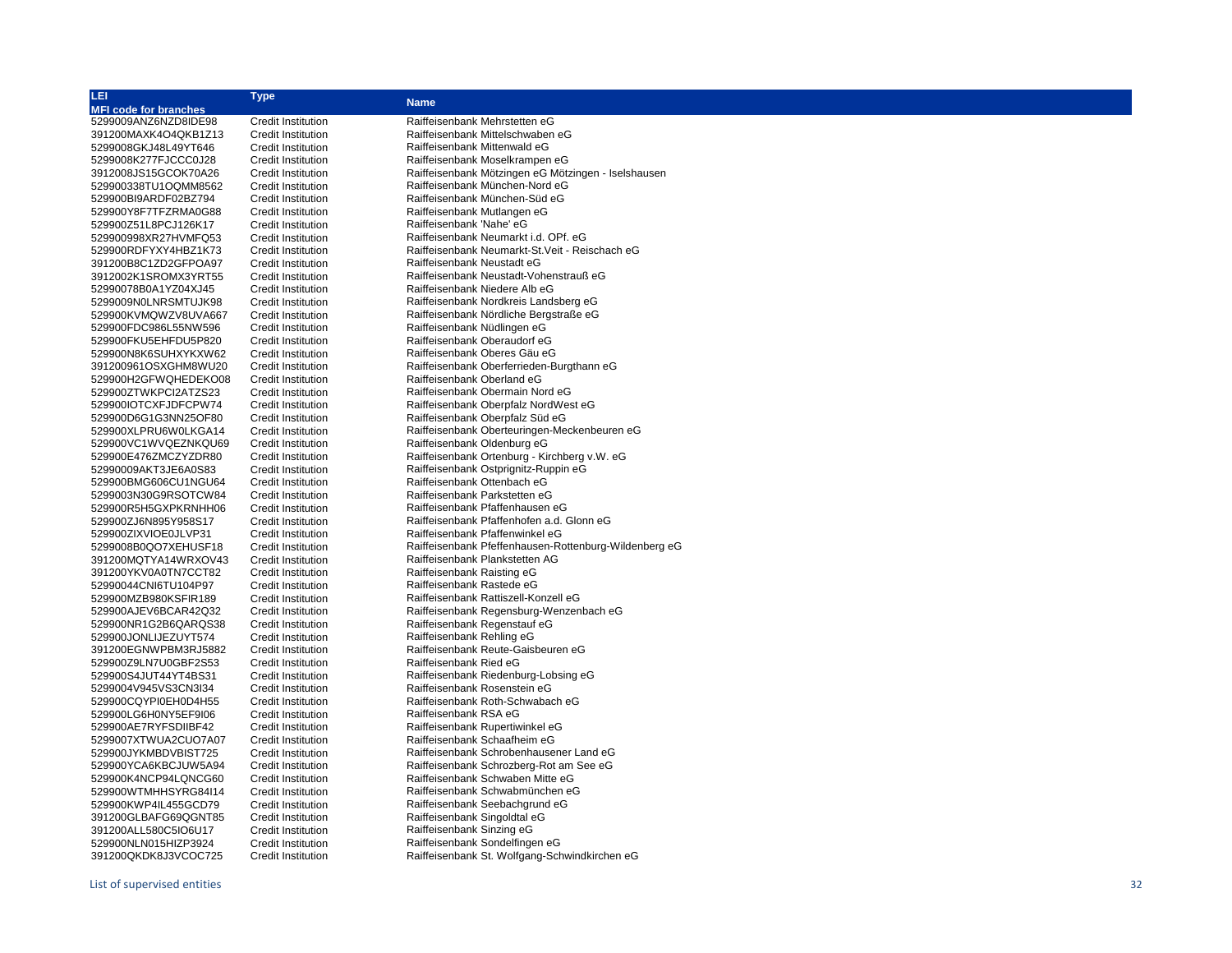| LEI                          | Type                      | <b>Name</b>                                           |
|------------------------------|---------------------------|-------------------------------------------------------|
| <b>MFI code for branches</b> |                           |                                                       |
| 5299009ANZ6NZD8IDE98         | Credit Institution        | Raiffeisenbank Mehrstetten eG                         |
| 391200MAXK4O4QKB1Z13         | <b>Credit Institution</b> | Raiffeisenbank Mittelschwaben eG                      |
| 5299008GKJ48L49YT646         | <b>Credit Institution</b> | Raiffeisenbank Mittenwald eG                          |
| 5299008K277FJCCC0J28         | Credit Institution        | Raiffeisenbank Moselkrampen eG                        |
| 3912008JS15GCOK70A26         | <b>Credit Institution</b> | Raiffeisenbank Mötzingen eG Mötzingen - Iselshausen   |
| 529900338TU1OQMM8562         | Credit Institution        | Raiffeisenbank München-Nord eG                        |
| 529900BI9ARDF02BZ794         | <b>Credit Institution</b> | Raiffeisenbank München-Süd eG                         |
| 529900Y8F7TFZRMA0G88         | <b>Credit Institution</b> | Raiffeisenbank Mutlangen eG                           |
| 529900Z51L8PCJ126K17         | <b>Credit Institution</b> | Raiffeisenbank 'Nahe' eG                              |
| 529900998XR27HVMFQ53         | <b>Credit Institution</b> | Raiffeisenbank Neumarkt i.d. OPf. eG                  |
| 529900RDFYXY4HBZ1K73         | <b>Credit Institution</b> | Raiffeisenbank Neumarkt-St. Veit - Reischach eG       |
| 391200B8C1ZD2GFPOA97         | <b>Credit Institution</b> | Raiffeisenbank Neustadt eG                            |
| 3912002K1SROMX3YRT55         | <b>Credit Institution</b> | Raiffeisenbank Neustadt-Vohenstrauß eG                |
| 52990078B0A1YZ04XJ45         | Credit Institution        | Raiffeisenbank Niedere Alb eG                         |
|                              |                           | Raiffeisenbank Nordkreis Landsberg eG                 |
| 5299009N0LNRSMTUJK98         | Credit Institution        |                                                       |
| 529900KVMQWZV8UVA667         | Credit Institution        | Raiffeisenbank Nördliche Bergstraße eG                |
| 529900FDC986L55NW596         | Credit Institution        | Raiffeisenbank Nüdlingen eG                           |
| 529900FKU5EHFDU5P820         | Credit Institution        | Raiffeisenbank Oberaudorf eG                          |
| 529900N8K6SUHXYKXW62         | Credit Institution        | Raiffeisenbank Oberes Gäu eG                          |
| 391200961OSXGHM8WU20         | <b>Credit Institution</b> | Raiffeisenbank Oberferrieden-Burgthann eG             |
| 529900H2GFWQHEDEKO08         | <b>Credit Institution</b> | Raiffeisenbank Oberland eG                            |
| 529900ZTWKPCI2ATZS23         | <b>Credit Institution</b> | Raiffeisenbank Obermain Nord eG                       |
| 529900IOTCXFJDFCPW74         | <b>Credit Institution</b> | Raiffeisenbank Oberpfalz NordWest eG                  |
| 529900D6G1G3NN25OF80         | <b>Credit Institution</b> | Raiffeisenbank Oberpfalz Süd eG                       |
| 529900XLPRU6W0LKGA14         | Credit Institution        | Raiffeisenbank Oberteuringen-Meckenbeuren eG          |
| 529900VC1WVQEZNKQU69         | <b>Credit Institution</b> | Raiffeisenbank Oldenburg eG                           |
| 529900E476ZMCZYZDR80         | <b>Credit Institution</b> | Raiffeisenbank Ortenburg - Kirchberg v.W. eG          |
| 52990009AKT3JE6A0S83         | Credit Institution        | Raiffeisenbank Ostprignitz-Ruppin eG                  |
| 529900BMG606CU1NGU64         | Credit Institution        | Raiffeisenbank Ottenbach eG                           |
| 5299003N30G9RSOTCW84         | <b>Credit Institution</b> | Raiffeisenbank Parkstetten eG                         |
| 529900R5H5GXPKRNHH06         | <b>Credit Institution</b> | Raiffeisenbank Pfaffenhausen eG                       |
| 529900ZJ6N895Y958S17         | <b>Credit Institution</b> | Raiffeisenbank Pfaffenhofen a.d. Glonn eG             |
| 529900ZIXVIOE0JLVP31         | Credit Institution        | Raiffeisenbank Pfaffenwinkel eG                       |
| 5299008B0QO7XEHUSF18         | <b>Credit Institution</b> | Raiffeisenbank Pfeffenhausen-Rottenburg-Wildenberg eG |
| 391200MQTYA14WRXOV43         | <b>Credit Institution</b> | Raiffeisenbank Plankstetten AG                        |
| 391200YKV0A0TN7CCT82         | <b>Credit Institution</b> | Raiffeisenbank Raisting eG                            |
| 52990044CNI6TU104P97         | <b>Credit Institution</b> | Raiffeisenbank Rastede eG                             |
| 529900MZB980KSFIR189         | Credit Institution        | Raiffeisenbank Rattiszell-Konzell eG                  |
| 529900AJEV6BCAR42Q32         | <b>Credit Institution</b> | Raiffeisenbank Regensburg-Wenzenbach eG               |
| 529900NR1G2B6QARQS38         | <b>Credit Institution</b> | Raiffeisenbank Regenstauf eG                          |
| 529900JONLIJEZUYT574         | Credit Institution        | Raiffeisenbank Rehling eG                             |
| 391200EGNWPBM3RJ5882         | <b>Credit Institution</b> | Raiffeisenbank Reute-Gaisbeuren eG                    |
| 529900Z9LN7U0GBF2S53         | Credit Institution        | Raiffeisenbank Ried eG                                |
| 529900S4JUT44YT4BS31         | Credit Institution        | Raiffeisenbank Riedenburg-Lobsing eG                  |
| 5299004V945VS3CN3I34         | <b>Credit Institution</b> | Raiffeisenbank Rosenstein eG                          |
| 529900CQYPI0EH0D4H55         | Credit Institution        | Raiffeisenbank Roth-Schwabach eG                      |
| 529900LG6H0NY5EF9I06         | Credit Institution        | Raiffeisenbank RSA eG                                 |
| 529900AE7RYFSDIIBF42         | <b>Credit Institution</b> | Raiffeisenbank Rupertiwinkel eG                       |
| 5299007XTWUA2CUO7A07         | <b>Credit Institution</b> | Raiffeisenbank Schaafheim eG                          |
| 529900JYKMBDVBIST725         | <b>Credit Institution</b> | Raiffeisenbank Schrobenhausener Land eG               |
| 529900YCA6KBCJUW5A94         | <b>Credit Institution</b> | Raiffeisenbank Schrozberg-Rot am See eG               |
| 529900K4NCP94LQNCG60         | <b>Credit Institution</b> | Raiffeisenbank Schwaben Mitte eG                      |
| 529900WTMHHSYRG84I14         | <b>Credit Institution</b> | Raiffeisenbank Schwabmünchen eG                       |
| 529900KWP4IL455GCD79         | Credit Institution        | Raiffeisenbank Seebachgrund eG                        |
| 391200GLBAFG69QGNT85         | <b>Credit Institution</b> | Raiffeisenbank Singoldtal eG                          |
| 391200ALL580C5IO6U17         | Credit Institution        | Raiffeisenbank Sinzing eG                             |
| 529900NLN015HIZP3924         | Credit Institution        | Raiffeisenbank Sondelfingen eG                        |
| 391200QKDK8J3VCOC725         | <b>Credit Institution</b> | Raiffeisenbank St. Wolfgang-Schwindkirchen eG         |
|                              |                           |                                                       |
|                              |                           |                                                       |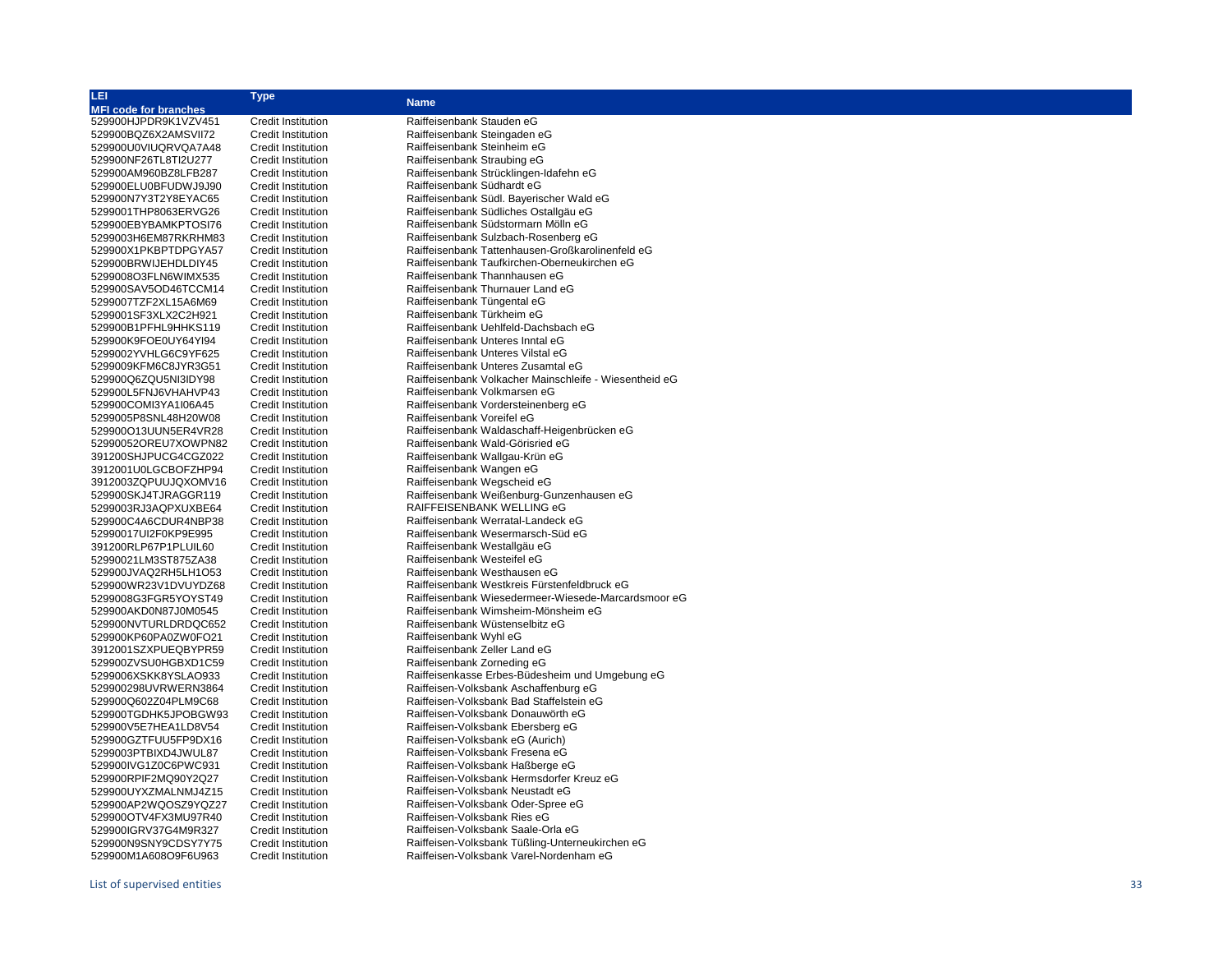| LEI                          | <b>Type</b>               |                                                        |
|------------------------------|---------------------------|--------------------------------------------------------|
| <b>MFI code for branches</b> |                           | <b>Name</b>                                            |
| 529900HJPDR9K1VZV451         | <b>Credit Institution</b> | Raiffeisenbank Stauden eG                              |
| 529900BQZ6X2AMSVII72         | <b>Credit Institution</b> | Raiffeisenbank Steingaden eG                           |
| 529900U0VIUQRVQA7A48         | <b>Credit Institution</b> | Raiffeisenbank Steinheim eG                            |
| 529900NF26TL8TI2U277         | <b>Credit Institution</b> | Raiffeisenbank Straubing eG                            |
| 529900AM960BZ8LFB287         | <b>Credit Institution</b> | Raiffeisenbank Strücklingen-Idafehn eG                 |
| 529900ELU0BFUDWJ9J90         | <b>Credit Institution</b> | Raiffeisenbank Südhardt eG                             |
|                              | <b>Credit Institution</b> | Raiffeisenbank Südl. Bayerischer Wald eG               |
| 529900N7Y3T2Y8EYAC65         |                           | Raiffeisenbank Südliches Ostallgäu eG                  |
| 5299001THP8063ERVG26         | <b>Credit Institution</b> |                                                        |
| 529900EBYBAMKPTOSI76         | <b>Credit Institution</b> | Raiffeisenbank Südstormarn Mölln eG                    |
| 5299003H6EM87RKRHM83         | <b>Credit Institution</b> | Raiffeisenbank Sulzbach-Rosenberg eG                   |
| 529900X1PKBPTDPGYA57         | <b>Credit Institution</b> | Raiffeisenbank Tattenhausen-Großkarolinenfeld eG       |
| 529900BRWIJEHDLDIY45         | <b>Credit Institution</b> | Raiffeisenbank Taufkirchen-Oberneukirchen eG           |
| 5299008O3FLN6WIMX535         | <b>Credit Institution</b> | Raiffeisenbank Thannhausen eG                          |
| 529900SAV5OD46TCCM14         | <b>Credit Institution</b> | Raiffeisenbank Thurnauer Land eG                       |
| 5299007TZF2XL15A6M69         | <b>Credit Institution</b> | Raiffeisenbank Tüngental eG                            |
| 5299001SF3XLX2C2H921         | <b>Credit Institution</b> | Raiffeisenbank Türkheim eG                             |
| 529900B1PFHL9HHKS119         | <b>Credit Institution</b> | Raiffeisenbank Uehlfeld-Dachsbach eG                   |
| 529900K9FOE0UY64YI94         | <b>Credit Institution</b> | Raiffeisenbank Unteres Inntal eG                       |
| 5299002YVHLG6C9YF625         | <b>Credit Institution</b> | Raiffeisenbank Unteres Vilstal eG                      |
| 5299009KFM6C8JYR3G51         | <b>Credit Institution</b> | Raiffeisenbank Unteres Zusamtal eG                     |
| 529900Q6ZQU5NI3IDY98         | <b>Credit Institution</b> | Raiffeisenbank Volkacher Mainschleife - Wiesentheid eG |
| 529900L5FNJ6VHAHVP43         | <b>Credit Institution</b> | Raiffeisenbank Volkmarsen eG                           |
| 529900COMI3YA1I06A45         | <b>Credit Institution</b> | Raiffeisenbank Vordersteinenberg eG                    |
| 5299005P8SNL48H20W08         | <b>Credit Institution</b> | Raiffeisenbank Voreifel eG                             |
| 529900O13UUN5ER4VR28         | <b>Credit Institution</b> | Raiffeisenbank Waldaschaff-Heigenbrücken eG            |
| 52990052OREU7XOWPN82         | <b>Credit Institution</b> | Raiffeisenbank Wald-Görisried eG                       |
| 391200SHJPUCG4CGZ022         | <b>Credit Institution</b> | Raiffeisenbank Wallgau-Krün eG                         |
| 3912001U0LGCBOFZHP94         | <b>Credit Institution</b> | Raiffeisenbank Wangen eG                               |
| 3912003ZQPUUJQXOMV16         | <b>Credit Institution</b> | Raiffeisenbank Wegscheid eG                            |
| 529900SKJ4TJRAGGR119         | <b>Credit Institution</b> | Raiffeisenbank Weißenburg-Gunzenhausen eG              |
| 5299003RJ3AQPXUXBE64         | <b>Credit Institution</b> | RAIFFEISENBANK WELLING eG                              |
| 529900C4A6CDUR4NBP38         | <b>Credit Institution</b> | Raiffeisenbank Werratal-Landeck eG                     |
| 52990017UI2F0KP9E995         | <b>Credit Institution</b> | Raiffeisenbank Wesermarsch-Süd eG                      |
| 391200RLP67P1PLUIL60         | <b>Credit Institution</b> | Raiffeisenbank Westallgäu eG                           |
| 52990021LM3ST875ZA38         | <b>Credit Institution</b> | Raiffeisenbank Westeifel eG                            |
| 529900JVAQ2RH5LH1O53         | <b>Credit Institution</b> | Raiffeisenbank Westhausen eG                           |
| 529900WR23V1DVUYDZ68         | <b>Credit Institution</b> | Raiffeisenbank Westkreis Fürstenfeldbruck eG           |
| 5299008G3FGR5YOYST49         | <b>Credit Institution</b> | Raiffeisenbank Wiesedermeer-Wiesede-Marcardsmoor eG    |
| 529900AKD0N87J0M0545         | <b>Credit Institution</b> | Raiffeisenbank Wimsheim-Mönsheim eG                    |
| 529900NVTURLDRDQC652         | <b>Credit Institution</b> | Raiffeisenbank Wüstenselbitz eG                        |
| 529900KP60PA0ZW0FO21         | <b>Credit Institution</b> | Raiffeisenbank Wyhl eG                                 |
| 3912001SZXPUEQBYPR59         | <b>Credit Institution</b> | Raiffeisenbank Zeller Land eG                          |
| 529900ZVSU0HGBXD1C59         | <b>Credit Institution</b> | Raiffeisenbank Zorneding eG                            |
| 5299006XSKK8YSLAO933         | <b>Credit Institution</b> | Raiffeisenkasse Erbes-Büdesheim und Umgebung eG        |
| 529900298UVRWERN3864         | <b>Credit Institution</b> | Raiffeisen-Volksbank Aschaffenburg eG                  |
| 529900Q602Z04PLM9C68         | <b>Credit Institution</b> | Raiffeisen-Volksbank Bad Staffelstein eG               |
| 529900TGDHK5JPOBGW93         | <b>Credit Institution</b> | Raiffeisen-Volksbank Donauwörth eG                     |
| 529900V5E7HEA1LD8V54         | <b>Credit Institution</b> | Raiffeisen-Volksbank Ebersberg eG                      |
| 529900GZTFUU5FP9DX16         | <b>Credit Institution</b> | Raiffeisen-Volksbank eG (Aurich)                       |
|                              | <b>Credit Institution</b> | Raiffeisen-Volksbank Fresena eG                        |
| 5299003PTBIXD4JWUL87         |                           |                                                        |
| 529900IVG1Z0C6PWC931         | <b>Credit Institution</b> | Raiffeisen-Volksbank Haßberge eG                       |
| 529900RPIF2MQ90Y2Q27         | <b>Credit Institution</b> | Raiffeisen-Volksbank Hermsdorfer Kreuz eG              |
| 529900UYXZMALNMJ4Z15         | <b>Credit Institution</b> | Raiffeisen-Volksbank Neustadt eG                       |
| 529900AP2WQOSZ9YQZ27         | <b>Credit Institution</b> | Raiffeisen-Volksbank Oder-Spree eG                     |
| 529900OTV4FX3MU97R40         | <b>Credit Institution</b> | Raiffeisen-Volksbank Ries eG                           |
| 529900IGRV37G4M9R327         | <b>Credit Institution</b> | Raiffeisen-Volksbank Saale-Orla eG                     |
| 529900N9SNY9CDSY7Y75         | <b>Credit Institution</b> | Raiffeisen-Volksbank Tüßling-Unterneukirchen eG        |
| 529900M1A608O9F6U963         | <b>Credit Institution</b> | Raiffeisen-Volksbank Varel-Nordenham eG                |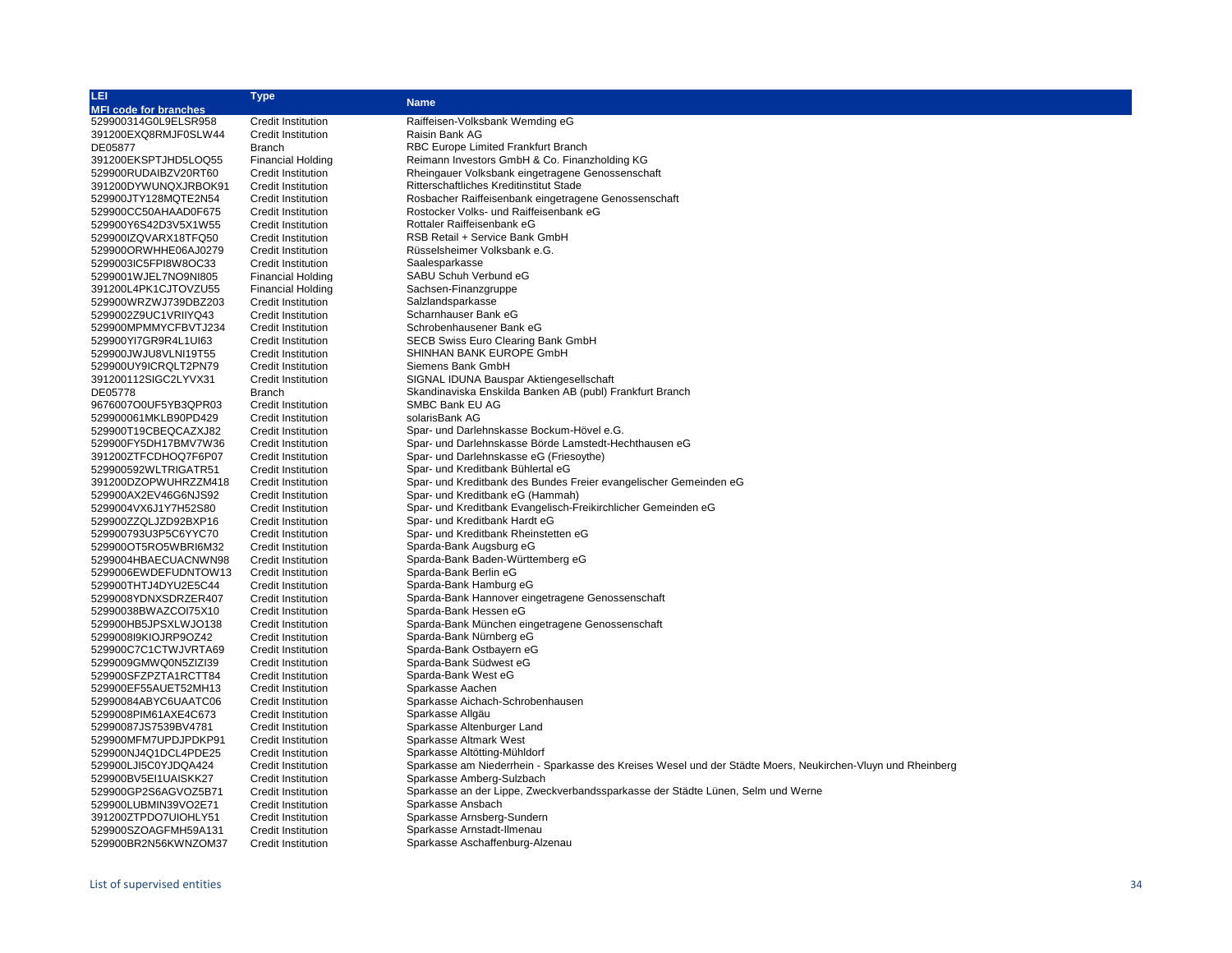| <b>LEI</b>                                   | <b>Type</b>                                            | <b>Name</b>                                                                                                 |
|----------------------------------------------|--------------------------------------------------------|-------------------------------------------------------------------------------------------------------------|
| <b>MFI code for branches</b>                 |                                                        |                                                                                                             |
| 529900314G0L9ELSR958                         | <b>Credit Institution</b>                              | Raiffeisen-Volksbank Wemding eG                                                                             |
| 391200EXQ8RMJF0SLW44                         | <b>Credit Institution</b>                              | Raisin Bank AG                                                                                              |
| DE05877                                      | <b>Branch</b>                                          | RBC Europe Limited Frankfurt Branch                                                                         |
| 391200EKSPTJHD5LOQ55                         | <b>Financial Holding</b>                               | Reimann Investors GmbH & Co. Finanzholding KG                                                               |
| 529900RUDAIBZV20RT60                         | <b>Credit Institution</b>                              | Rheingauer Volksbank eingetragene Genossenschaft                                                            |
| 391200DYWUNQXJRBOK91                         | Credit Institution                                     | Ritterschaftliches Kreditinstitut Stade                                                                     |
| 529900JTY128MQTE2N54                         | <b>Credit Institution</b>                              | Rosbacher Raiffeisenbank eingetragene Genossenschaft                                                        |
| 529900CC50AHAAD0F675                         | <b>Credit Institution</b>                              | Rostocker Volks- und Raiffeisenbank eG                                                                      |
| 529900Y6S42D3V5X1W55                         | <b>Credit Institution</b>                              | Rottaler Raiffeisenbank eG                                                                                  |
| 529900IZQVARX18TFQ50                         | <b>Credit Institution</b>                              | RSB Retail + Service Bank GmbH                                                                              |
| 529900ORWHHE06AJ0279                         | <b>Credit Institution</b>                              | Rüsselsheimer Volksbank e.G.                                                                                |
| 5299003IC5FPI8W8OC33                         | <b>Credit Institution</b>                              | Saalesparkasse                                                                                              |
| 5299001WJEL7NO9NI805                         | <b>Financial Holding</b>                               | SABU Schuh Verbund eG                                                                                       |
| 391200L4PK1CJTOVZU55                         | <b>Financial Holding</b>                               | Sachsen-Finanzgruppe                                                                                        |
| 529900WRZWJ739DBZ203                         | <b>Credit Institution</b>                              | Salzlandsparkasse                                                                                           |
| 5299002Z9UC1VRIIYQ43                         | Credit Institution                                     | Scharnhauser Bank eG                                                                                        |
| 529900MPMMYCFBVTJ234                         | <b>Credit Institution</b>                              | Schrobenhausener Bank eG                                                                                    |
| 529900YI7GR9R4L1UI63                         | <b>Credit Institution</b>                              | SECB Swiss Euro Clearing Bank GmbH                                                                          |
| 529900JWJU8VLNI19T55                         | <b>Credit Institution</b>                              | SHINHAN BANK EUROPE GmbH                                                                                    |
| 529900UY9ICRQLT2PN79                         | <b>Credit Institution</b>                              | Siemens Bank GmbH                                                                                           |
| 391200112SIGC2LYVX31                         | <b>Credit Institution</b>                              | SIGNAL IDUNA Bauspar Aktiengesellschaft                                                                     |
| DE05778                                      | <b>Branch</b>                                          | Skandinaviska Enskilda Banken AB (publ) Frankfurt Branch                                                    |
| 9676007O0UF5YB3QPR03                         | Credit Institution                                     | SMBC Bank EU AG                                                                                             |
| 529900061MKLB90PD429                         | <b>Credit Institution</b>                              | solarisBank AG                                                                                              |
|                                              |                                                        |                                                                                                             |
| 529900T19CBEQCAZXJ82<br>529900FY5DH17BMV7W36 | Credit Institution                                     | Spar- und Darlehnskasse Bockum-Hövel e.G.<br>Spar- und Darlehnskasse Börde Lamstedt-Hechthausen eG          |
| 391200ZTFCDHOQ7F6P07                         | <b>Credit Institution</b><br><b>Credit Institution</b> | Spar- und Darlehnskasse eG (Friesoythe)                                                                     |
| 529900592WLTRIGATR51                         | <b>Credit Institution</b>                              | Spar- und Kreditbank Bühlertal eG                                                                           |
| 391200DZOPWUHRZZM418                         | <b>Credit Institution</b>                              | Spar- und Kreditbank des Bundes Freier evangelischer Gemeinden eG                                           |
| 529900AX2EV46G6NJS92                         | <b>Credit Institution</b>                              | Spar- und Kreditbank eG (Hammah)                                                                            |
| 5299004VX6J1Y7H52S80                         | <b>Credit Institution</b>                              | Spar- und Kreditbank Evangelisch-Freikirchlicher Gemeinden eG                                               |
| 529900ZZQLJZD92BXP16                         | <b>Credit Institution</b>                              | Spar- und Kreditbank Hardt eG                                                                               |
| 529900793U3P5C6YYC70                         | <b>Credit Institution</b>                              | Spar- und Kreditbank Rheinstetten eG                                                                        |
| 529900OT5RO5WBRI6M32                         | <b>Credit Institution</b>                              | Sparda-Bank Augsburg eG                                                                                     |
| 5299004HBAECUACNWN98                         | <b>Credit Institution</b>                              | Sparda-Bank Baden-Württemberg eG                                                                            |
| 5299006EWDEFUDNTOW13                         | <b>Credit Institution</b>                              | Sparda-Bank Berlin eG                                                                                       |
| 529900THTJ4DYU2E5C44                         | <b>Credit Institution</b>                              | Sparda-Bank Hamburg eG                                                                                      |
| 5299008YDNXSDRZER407                         | <b>Credit Institution</b>                              | Sparda-Bank Hannover eingetragene Genossenschaft                                                            |
| 52990038BWAZCOI75X10                         | <b>Credit Institution</b>                              | Sparda-Bank Hessen eG                                                                                       |
| 529900HB5JPSXLWJO138                         | <b>Credit Institution</b>                              | Sparda-Bank München eingetragene Genossenschaft                                                             |
| 5299008l9KIOJRP9OZ42                         | <b>Credit Institution</b>                              | Sparda-Bank Nürnberg eG                                                                                     |
| 529900C7C1CTWJVRTA69                         | <b>Credit Institution</b>                              | Sparda-Bank Ostbayern eG                                                                                    |
| 5299009GMWQ0N5ZIZI39                         | <b>Credit Institution</b>                              | Sparda-Bank Südwest eG                                                                                      |
| 529900SFZPZTA1RCTT84                         | Credit Institution                                     | Sparda-Bank West eG                                                                                         |
| 529900EF55AUET52MH13                         | <b>Credit Institution</b>                              | Sparkasse Aachen                                                                                            |
| 52990084ABYC6UAATC06                         | Credit Institution                                     | Sparkasse Aichach-Schrobenhausen                                                                            |
| 5299008PIM61AXE4C673                         | <b>Credit Institution</b>                              | Sparkasse Allgäu                                                                                            |
| 52990087JS7539BV4781                         | <b>Credit Institution</b>                              | Sparkasse Altenburger Land                                                                                  |
| 529900MFM7UPDJPDKP91                         | <b>Credit Institution</b>                              | Sparkasse Altmark West                                                                                      |
| 529900NJ4Q1DCL4PDE25                         | <b>Credit Institution</b>                              | Sparkasse Altötting-Mühldorf                                                                                |
| 529900LJI5C0YJDQA424                         | <b>Credit Institution</b>                              | Sparkasse am Niederrhein - Sparkasse des Kreises Wesel und der Städte Moers, Neukirchen-Vluyn und Rheinberg |
| 529900BV5EI1UAISKK27                         | Credit Institution                                     | Sparkasse Amberg-Sulzbach                                                                                   |
| 529900GP2S6AGVOZ5B71                         | <b>Credit Institution</b>                              | Sparkasse an der Lippe, Zweckverbandssparkasse der Städte Lünen, Selm und Werne                             |
| 529900LUBMIN39VO2E71                         | Credit Institution                                     | Sparkasse Ansbach                                                                                           |
| 391200ZTPDO7UIOHLY51                         | <b>Credit Institution</b>                              | Sparkasse Arnsberg-Sundern                                                                                  |
| 529900SZOAGFMH59A131                         | Credit Institution                                     | Sparkasse Arnstadt-Ilmenau                                                                                  |
| 529900BR2N56KWNZOM37                         | Credit Institution                                     | Sparkasse Aschaffenburg-Alzenau                                                                             |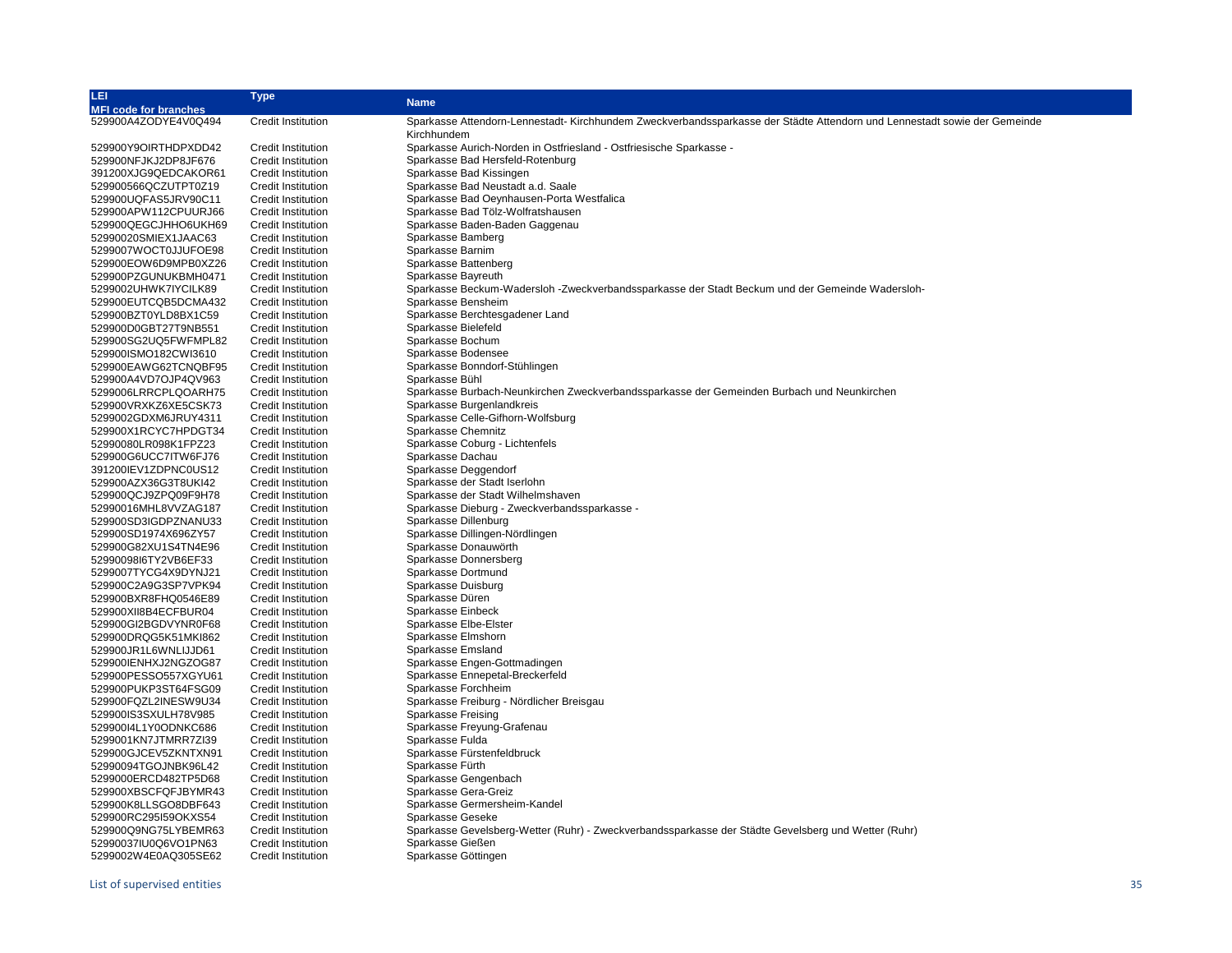| LEI                          | Type                      | <b>Name</b>                                                                                                              |
|------------------------------|---------------------------|--------------------------------------------------------------------------------------------------------------------------|
| <b>MFI code for branches</b> |                           |                                                                                                                          |
| 529900A4ZODYE4V0Q494         | <b>Credit Institution</b> | Sparkasse Attendorn-Lennestadt-Kirchhundem Zweckverbandssparkasse der Städte Attendorn und Lennestadt sowie der Gemeinde |
|                              |                           | Kirchhundem                                                                                                              |
| 529900Y9OIRTHDPXDD42         | Credit Institution        | Sparkasse Aurich-Norden in Ostfriesland - Ostfriesische Sparkasse -                                                      |
| 529900NFJKJ2DP8JF676         | <b>Credit Institution</b> | Sparkasse Bad Hersfeld-Rotenburg                                                                                         |
| 391200XJG9QEDCAKOR61         | <b>Credit Institution</b> | Sparkasse Bad Kissingen                                                                                                  |
| 529900566QCZUTPT0Z19         | <b>Credit Institution</b> | Sparkasse Bad Neustadt a.d. Saale                                                                                        |
| 529900UQFAS5JRV90C11         | <b>Credit Institution</b> | Sparkasse Bad Oeynhausen-Porta Westfalica                                                                                |
| 529900APW112CPUURJ66         | <b>Credit Institution</b> | Sparkasse Bad Tölz-Wolfratshausen                                                                                        |
| 529900QEGCJHHO6UKH69         | <b>Credit Institution</b> | Sparkasse Baden-Baden Gaggenau                                                                                           |
| 52990020SMIEX1JAAC63         | Credit Institution        | Sparkasse Bamberg                                                                                                        |
| 5299007WOCT0JJUFOE98         | Credit Institution        | Sparkasse Barnim                                                                                                         |
| 529900EOW6D9MPB0XZ26         | <b>Credit Institution</b> | Sparkasse Battenberg                                                                                                     |
| 529900PZGUNUKBMH0471         | <b>Credit Institution</b> | Sparkasse Bayreuth                                                                                                       |
| 5299002UHWK7IYCILK89         | <b>Credit Institution</b> | Sparkasse Beckum-Wadersloh -Zweckverbandssparkasse der Stadt Beckum und der Gemeinde Wadersloh-                          |
| 529900EUTCQB5DCMA432         | <b>Credit Institution</b> | Sparkasse Bensheim                                                                                                       |
| 529900BZT0YLD8BX1C59         | <b>Credit Institution</b> | Sparkasse Berchtesgadener Land                                                                                           |
| 529900D0GBT27T9NB551         | Credit Institution        | Sparkasse Bielefeld                                                                                                      |
| 529900SG2UQ5FWFMPL82         | Credit Institution        | Sparkasse Bochum                                                                                                         |
| 529900ISMO182CWI3610         | <b>Credit Institution</b> | Sparkasse Bodensee                                                                                                       |
| 529900EAWG62TCNQBF95         | <b>Credit Institution</b> | Sparkasse Bonndorf-Stühlingen                                                                                            |
| 529900A4VD7OJP4QV963         | <b>Credit Institution</b> | Sparkasse Bühl                                                                                                           |
| 5299006LRRCPLQOARH75         | <b>Credit Institution</b> | Sparkasse Burbach-Neunkirchen Zweckverbandssparkasse der Gemeinden Burbach und Neunkirchen                               |
| 529900VRXKZ6XE5CSK73         | <b>Credit Institution</b> | Sparkasse Burgenlandkreis                                                                                                |
| 5299002GDXM6JRUY4311         | <b>Credit Institution</b> | Sparkasse Celle-Gifhorn-Wolfsburg                                                                                        |
| 529900X1RCYC7HPDGT34         | <b>Credit Institution</b> | Sparkasse Chemnitz                                                                                                       |
| 52990080LR098K1FPZ23         | Credit Institution        | Sparkasse Coburg - Lichtenfels                                                                                           |
| 529900G6UCC7ITW6FJ76         | <b>Credit Institution</b> | Sparkasse Dachau                                                                                                         |
| 391200IEV1ZDPNC0US12         | <b>Credit Institution</b> | Sparkasse Deggendorf                                                                                                     |
| 529900AZX36G3T8UKI42         | <b>Credit Institution</b> | Sparkasse der Stadt Iserlohn                                                                                             |
| 529900QCJ9ZPQ09F9H78         | <b>Credit Institution</b> | Sparkasse der Stadt Wilhelmshaven                                                                                        |
| 52990016MHL8VVZAG187         | <b>Credit Institution</b> | Sparkasse Dieburg - Zweckverbandssparkasse -                                                                             |
| 529900SD3IGDPZNANU33         | <b>Credit Institution</b> | Sparkasse Dillenburg                                                                                                     |
| 529900SD1974X696ZY57         | <b>Credit Institution</b> | Sparkasse Dillingen-Nördlingen                                                                                           |
| 529900G82XU1S4TN4E96         | <b>Credit Institution</b> | Sparkasse Donauwörth                                                                                                     |
| 5299009816TY2VB6EF33         | Credit Institution        | Sparkasse Donnersberg                                                                                                    |
| 5299007TYCG4X9DYNJ21         | <b>Credit Institution</b> | Sparkasse Dortmund                                                                                                       |
| 529900C2A9G3SP7VPK94         | <b>Credit Institution</b> | Sparkasse Duisburg                                                                                                       |
| 529900BXR8FHQ0546E89         | <b>Credit Institution</b> | Sparkasse Düren                                                                                                          |
| 529900XII8B4ECFBUR04         | <b>Credit Institution</b> | Sparkasse Einbeck                                                                                                        |
| 529900GI2BGDVYNR0F68         | <b>Credit Institution</b> | Sparkasse Elbe-Elster                                                                                                    |
| 529900DRQG5K51MKI862         | <b>Credit Institution</b> | Sparkasse Elmshorn                                                                                                       |
| 529900JR1L6WNLIJJD61         | <b>Credit Institution</b> | Sparkasse Emsland                                                                                                        |
| 529900IENHXJ2NGZOG87         | Credit Institution        | Sparkasse Engen-Gottmadingen                                                                                             |
| 529900PESSO557XGYU61         | <b>Credit Institution</b> | Sparkasse Ennepetal-Breckerfeld                                                                                          |
| 529900PUKP3ST64FSG09         | <b>Credit Institution</b> | Sparkasse Forchheim                                                                                                      |
| 529900FQZL2INESW9U34         | <b>Credit Institution</b> | Sparkasse Freiburg - Nördlicher Breisgau                                                                                 |
| 529900IS3SXULH78V985         | <b>Credit Institution</b> | Sparkasse Freising                                                                                                       |
| 52990014L1Y0ODNKC686         | <b>Credit Institution</b> | Sparkasse Freyung-Grafenau                                                                                               |
| 5299001KN7JTMRR7ZI39         | <b>Credit Institution</b> | Sparkasse Fulda                                                                                                          |
| 529900GJCEV5ZKNTXN91         | <b>Credit Institution</b> | Sparkasse Fürstenfeldbruck                                                                                               |
| 52990094TGOJNBK96L42         | <b>Credit Institution</b> | Sparkasse Fürth                                                                                                          |
| 5299000ERCD482TP5D68         | <b>Credit Institution</b> | Sparkasse Gengenbach                                                                                                     |
| 529900XBSCFQFJBYMR43         | <b>Credit Institution</b> | Sparkasse Gera-Greiz                                                                                                     |
| 529900K8LLSGO8DBF643         | <b>Credit Institution</b> | Sparkasse Germersheim-Kandel                                                                                             |
| 529900RC295I59OKXS54         | Credit Institution        | Sparkasse Geseke                                                                                                         |
| 529900Q9NG75LYBEMR63         | <b>Credit Institution</b> | Sparkasse Gevelsberg-Wetter (Ruhr) - Zweckverbandssparkasse der Städte Gevelsberg und Wetter (Ruhr)                      |
| 52990037IU0Q6VO1PN63         | <b>Credit Institution</b> | Sparkasse Gießen                                                                                                         |
| 5299002W4E0AQ305SE62         | <b>Credit Institution</b> | Sparkasse Göttingen                                                                                                      |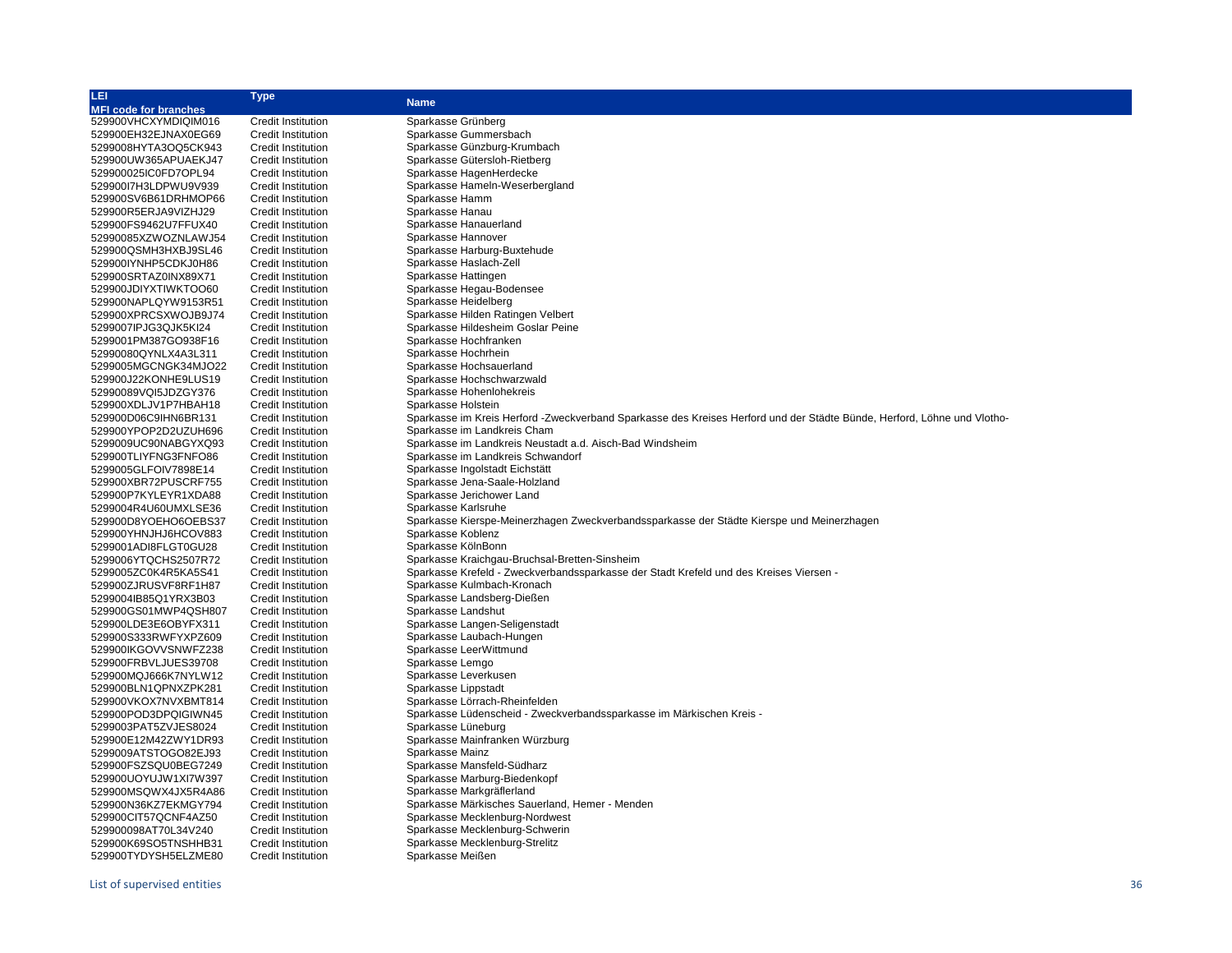| LEI                          | <b>Type</b>               | <b>Name</b>                                                                                                             |
|------------------------------|---------------------------|-------------------------------------------------------------------------------------------------------------------------|
| <b>MFI code for branches</b> |                           |                                                                                                                         |
| 529900VHCXYMDIQIM016         | <b>Credit Institution</b> | Sparkasse Grünberg                                                                                                      |
| 529900EH32EJNAX0EG69         | <b>Credit Institution</b> | Sparkasse Gummersbach                                                                                                   |
| 5299008HYTA3OQ5CK943         | <b>Credit Institution</b> | Sparkasse Günzburg-Krumbach                                                                                             |
| 529900UW365APUAEKJ47         | <b>Credit Institution</b> | Sparkasse Gütersloh-Rietberg                                                                                            |
| 529900025IC0FD7OPL94         | <b>Credit Institution</b> | Sparkasse HagenHerdecke                                                                                                 |
| 529900I7H3LDPWU9V939         | <b>Credit Institution</b> | Sparkasse Hameln-Weserbergland                                                                                          |
| 529900SV6B61DRHMOP66         | <b>Credit Institution</b> | Sparkasse Hamm                                                                                                          |
| 529900R5ERJA9VIZHJ29         |                           | Sparkasse Hanau                                                                                                         |
|                              | Credit Institution        | Sparkasse Hanauerland                                                                                                   |
| 529900FS9462U7FFUX40         | <b>Credit Institution</b> |                                                                                                                         |
| 52990085XZWOZNLAWJ54         | <b>Credit Institution</b> | Sparkasse Hannover                                                                                                      |
| 529900QSMH3HXBJ9SL46         | Credit Institution        | Sparkasse Harburg-Buxtehude                                                                                             |
| 529900IYNHP5CDKJ0H86         | <b>Credit Institution</b> | Sparkasse Haslach-Zell                                                                                                  |
| 529900SRTAZ0INX89X71         | <b>Credit Institution</b> | Sparkasse Hattingen                                                                                                     |
| 529900JDIYXTIWKTOO60         | <b>Credit Institution</b> | Sparkasse Hegau-Bodensee                                                                                                |
| 529900NAPLQYW9153R51         | <b>Credit Institution</b> | Sparkasse Heidelberg                                                                                                    |
| 529900XPRCSXWOJB9J74         | <b>Credit Institution</b> | Sparkasse Hilden Ratingen Velbert                                                                                       |
| 5299007IPJG3QJK5KI24         | <b>Credit Institution</b> | Sparkasse Hildesheim Goslar Peine                                                                                       |
| 5299001PM387GO938F16         | <b>Credit Institution</b> | Sparkasse Hochfranken                                                                                                   |
| 52990080QYNLX4A3L311         | <b>Credit Institution</b> | Sparkasse Hochrhein                                                                                                     |
| 5299005MGCNGK34MJO22         | Credit Institution        | Sparkasse Hochsauerland                                                                                                 |
| 529900J22KONHE9LUS19         | Credit Institution        | Sparkasse Hochschwarzwald                                                                                               |
| 52990089VQI5JDZGY376         | <b>Credit Institution</b> | Sparkasse Hohenlohekreis                                                                                                |
| 529900XDLJV1P7HBAH18         | <b>Credit Institution</b> | Sparkasse Holstein                                                                                                      |
| 529900D06C9IHN6BR131         | <b>Credit Institution</b> | Sparkasse im Kreis Herford -Zweckverband Sparkasse des Kreises Herford und der Städte Bünde, Herford, Löhne und Vlotho- |
| 529900YPOP2D2UZUH696         | <b>Credit Institution</b> | Sparkasse im Landkreis Cham                                                                                             |
| 5299009UC90NABGYXQ93         | Credit Institution        | Sparkasse im Landkreis Neustadt a.d. Aisch-Bad Windsheim                                                                |
| 529900TLIYFNG3FNFO86         | <b>Credit Institution</b> | Sparkasse im Landkreis Schwandorf                                                                                       |
| 5299005GLFOIV7898E14         | <b>Credit Institution</b> | Sparkasse Ingolstadt Eichstätt                                                                                          |
| 529900XBR72PUSCRF755         | <b>Credit Institution</b> | Sparkasse Jena-Saale-Holzland                                                                                           |
| 529900P7KYLEYR1XDA88         |                           | Sparkasse Jerichower Land                                                                                               |
|                              | <b>Credit Institution</b> | Sparkasse Karlsruhe                                                                                                     |
| 5299004R4U60UMXLSE36         | <b>Credit Institution</b> |                                                                                                                         |
| 529900D8YOEHO6OEBS37         | Credit Institution        | Sparkasse Kierspe-Meinerzhagen Zweckverbandssparkasse der Städte Kierspe und Meinerzhagen                               |
| 529900YHNJHJ6HCOV883         | Credit Institution        | Sparkasse Koblenz                                                                                                       |
| 5299001ADI8FLGT0GU28         | <b>Credit Institution</b> | Sparkasse KölnBonn                                                                                                      |
| 5299006YTQCHS2507R72         | Credit Institution        | Sparkasse Kraichgau-Bruchsal-Bretten-Sinsheim                                                                           |
| 5299005ZC0K4R5KA5S41         | <b>Credit Institution</b> | Sparkasse Krefeld - Zweckverbandssparkasse der Stadt Krefeld und des Kreises Viersen -                                  |
| 529900ZJRUSVF8RF1H87         | <b>Credit Institution</b> | Sparkasse Kulmbach-Kronach                                                                                              |
| 5299004IB85Q1YRX3B03         | <b>Credit Institution</b> | Sparkasse Landsberg-Dießen                                                                                              |
| 529900GS01MWP4QSH807         | <b>Credit Institution</b> | Sparkasse Landshut                                                                                                      |
| 529900LDE3E6OBYFX311         | <b>Credit Institution</b> | Sparkasse Langen-Seligenstadt                                                                                           |
| 529900S333RWFYXPZ609         | <b>Credit Institution</b> | Sparkasse Laubach-Hungen                                                                                                |
| 529900IKGOVVSNWFZ238         | <b>Credit Institution</b> | Sparkasse LeerWittmund                                                                                                  |
| 529900FRBVLJUES39708         | <b>Credit Institution</b> | Sparkasse Lemgo                                                                                                         |
| 529900MQJ666K7NYLW12         | Credit Institution        | Sparkasse Leverkusen                                                                                                    |
| 529900BLN1QPNXZPK281         | <b>Credit Institution</b> | Sparkasse Lippstadt                                                                                                     |
| 529900VKOX7NVXBMT814         | <b>Credit Institution</b> | Sparkasse Lörrach-Rheinfelden                                                                                           |
| 529900POD3DPQIGIWN45         | Credit Institution        | Sparkasse Lüdenscheid - Zweckverbandssparkasse im Märkischen Kreis -                                                    |
| 5299003PAT5ZVJES8024         | <b>Credit Institution</b> | Sparkasse Lüneburg                                                                                                      |
| 529900E12M42ZWY1DR93         | <b>Credit Institution</b> | Sparkasse Mainfranken Würzburg                                                                                          |
| 5299009ATSTOGO82EJ93         | <b>Credit Institution</b> | Sparkasse Mainz                                                                                                         |
| 529900FSZSQU0BEG7249         | <b>Credit Institution</b> | Sparkasse Mansfeld-Südharz                                                                                              |
| 529900UOYUJW1XI7W397         | <b>Credit Institution</b> | Sparkasse Marburg-Biedenkopf                                                                                            |
| 529900MSQWX4JX5R4A86         | <b>Credit Institution</b> | Sparkasse Markgräflerland                                                                                               |
| 529900N36KZ7EKMGY794         | <b>Credit Institution</b> | Sparkasse Märkisches Sauerland, Hemer - Menden                                                                          |
| 529900CIT57QCNF4AZ50         | <b>Credit Institution</b> | Sparkasse Mecklenburg-Nordwest                                                                                          |
|                              |                           | Sparkasse Mecklenburg-Schwerin                                                                                          |
| 529900098AT70L34V240         | Credit Institution        |                                                                                                                         |
| 529900K69SO5TNSHHB31         | Credit Institution        | Sparkasse Mecklenburg-Strelitz                                                                                          |
| 529900TYDYSH5ELZME80         | <b>Credit Institution</b> | Sparkasse Meißen                                                                                                        |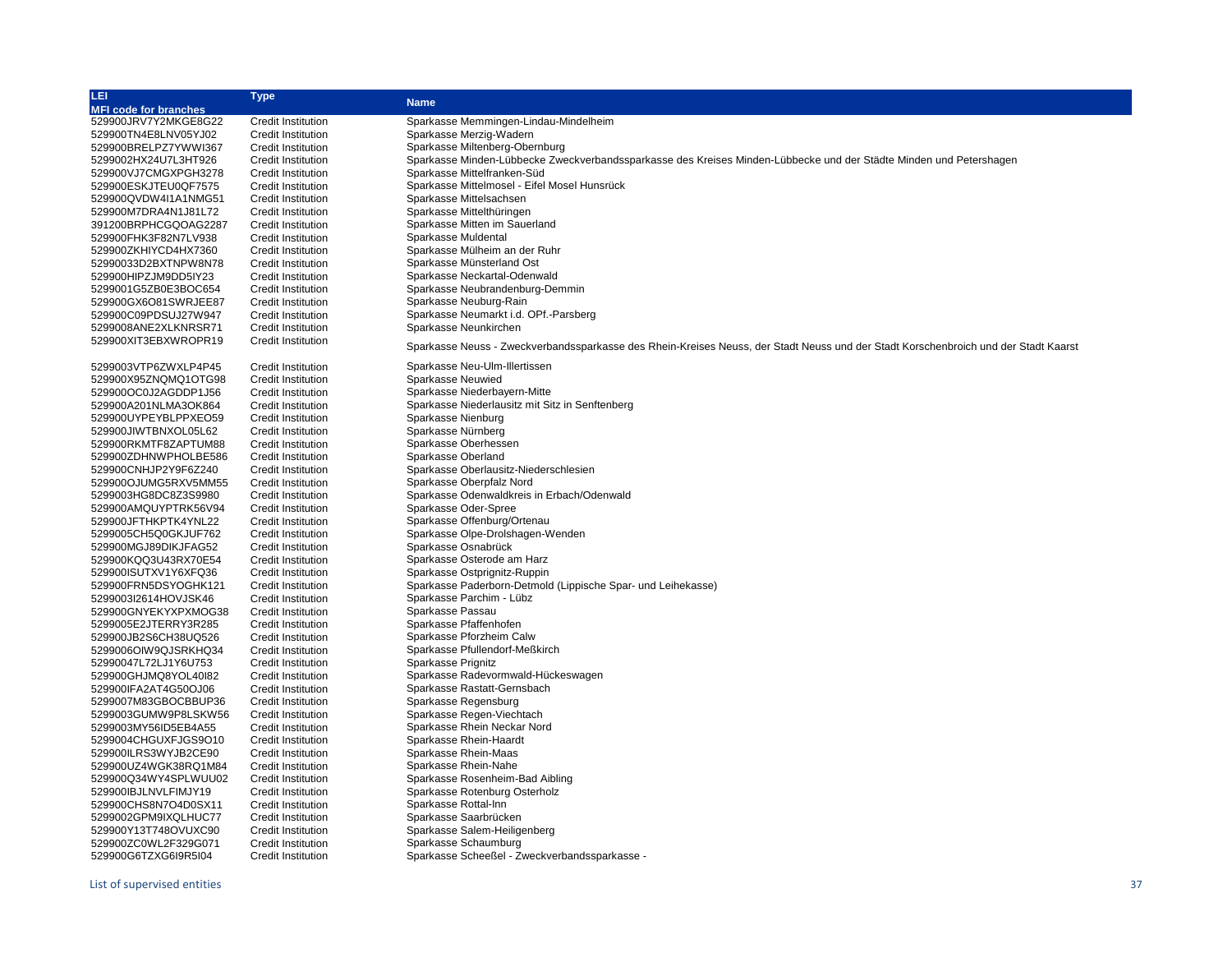| LEI                          | <b>Type</b>               |                                                                                                                                     |
|------------------------------|---------------------------|-------------------------------------------------------------------------------------------------------------------------------------|
| <b>MFI code for branches</b> |                           | <b>Name</b>                                                                                                                         |
| 529900JRV7Y2MKGE8G22         | Credit Institution        | Sparkasse Memmingen-Lindau-Mindelheim                                                                                               |
| 529900TN4E8LNV05YJ02         | <b>Credit Institution</b> | Sparkasse Merzig-Wadern                                                                                                             |
| 529900BRELPZ7YWWI367         | <b>Credit Institution</b> | Sparkasse Miltenberg-Obernburg                                                                                                      |
| 5299002HX24U7L3HT926         | <b>Credit Institution</b> | Sparkasse Minden-Lübbecke Zweckverbandssparkasse des Kreises Minden-Lübbecke und der Städte Minden und Petershagen                  |
| 529900VJ7CMGXPGH3278         | <b>Credit Institution</b> | Sparkasse Mittelfranken-Süd                                                                                                         |
|                              |                           | Sparkasse Mittelmosel - Eifel Mosel Hunsrück                                                                                        |
| 529900ESKJTEU0QF7575         | <b>Credit Institution</b> |                                                                                                                                     |
| 529900QVDW4I1A1NMG51         | <b>Credit Institution</b> | Sparkasse Mittelsachsen                                                                                                             |
| 529900M7DRA4N1J81L72         | <b>Credit Institution</b> | Sparkasse Mittelthüringen                                                                                                           |
| 391200BRPHCGQOAG2287         | <b>Credit Institution</b> | Sparkasse Mitten im Sauerland                                                                                                       |
| 529900FHK3F82N7LV938         | <b>Credit Institution</b> | Sparkasse Muldental                                                                                                                 |
| 529900ZKHIYCD4HX7360         | <b>Credit Institution</b> | Sparkasse Mülheim an der Ruhr                                                                                                       |
| 52990033D2BXTNPW8N78         | <b>Credit Institution</b> | Sparkasse Münsterland Ost                                                                                                           |
| 529900HIPZJM9DD5IY23         | <b>Credit Institution</b> | Sparkasse Neckartal-Odenwald                                                                                                        |
| 5299001G5ZB0E3BOC654         | <b>Credit Institution</b> | Sparkasse Neubrandenburg-Demmin                                                                                                     |
| 529900GX6O81SWRJEE87         | <b>Credit Institution</b> | Sparkasse Neuburg-Rain                                                                                                              |
| 529900C09PDSUJ27W947         | <b>Credit Institution</b> | Sparkasse Neumarkt i.d. OPf.-Parsberg                                                                                               |
| 5299008ANE2XLKNRSR71         | <b>Credit Institution</b> | Sparkasse Neunkirchen                                                                                                               |
| 529900XIT3EBXWROPR19         | <b>Credit Institution</b> |                                                                                                                                     |
|                              |                           | Sparkasse Neuss - Zweckverbandssparkasse des Rhein-Kreises Neuss, der Stadt Neuss und der Stadt Korschenbroich und der Stadt Kaarst |
| 5299003VTP6ZWXLP4P45         | <b>Credit Institution</b> | Sparkasse Neu-Ulm-Illertissen                                                                                                       |
| 529900X95ZNQMQ1OTG98         | <b>Credit Institution</b> | Sparkasse Neuwied                                                                                                                   |
| 529900OC0J2AGDDP1J56         | <b>Credit Institution</b> | Sparkasse Niederbayern-Mitte                                                                                                        |
| 529900A201NLMA3OK864         | <b>Credit Institution</b> | Sparkasse Niederlausitz mit Sitz in Senftenberg                                                                                     |
| 529900UYPEYBLPPXEO59         | <b>Credit Institution</b> | Sparkasse Nienburg                                                                                                                  |
|                              | <b>Credit Institution</b> | Sparkasse Nürnberg                                                                                                                  |
| 529900JIWTBNXOL05L62         |                           | Sparkasse Oberhessen                                                                                                                |
| 529900RKMTF8ZAPTUM88         | <b>Credit Institution</b> |                                                                                                                                     |
| 529900ZDHNWPHOLBE586         | <b>Credit Institution</b> | Sparkasse Oberland                                                                                                                  |
| 529900CNHJP2Y9F6Z240         | <b>Credit Institution</b> | Sparkasse Oberlausitz-Niederschlesien                                                                                               |
| 529900OJUMG5RXV5MM55         | <b>Credit Institution</b> | Sparkasse Oberpfalz Nord                                                                                                            |
| 5299003HG8DC8Z3S9980         | <b>Credit Institution</b> | Sparkasse Odenwaldkreis in Erbach/Odenwald                                                                                          |
| 529900AMQUYPTRK56V94         | <b>Credit Institution</b> | Sparkasse Oder-Spree                                                                                                                |
| 529900JFTHKPTK4YNL22         | <b>Credit Institution</b> | Sparkasse Offenburg/Ortenau                                                                                                         |
| 5299005CH5Q0GKJUF762         | <b>Credit Institution</b> | Sparkasse Olpe-Drolshagen-Wenden                                                                                                    |
| 529900MGJ89DIKJFAG52         | <b>Credit Institution</b> | Sparkasse Osnabrück                                                                                                                 |
| 529900KQQ3U43RX70E54         | <b>Credit Institution</b> | Sparkasse Osterode am Harz                                                                                                          |
| 529900ISUTXV1Y6XFQ36         | <b>Credit Institution</b> | Sparkasse Ostprignitz-Ruppin                                                                                                        |
| 529900FRN5DSYOGHK121         | <b>Credit Institution</b> | Sparkasse Paderborn-Detmold (Lippische Spar- und Leihekasse)                                                                        |
| 5299003I2614HOVJSK46         | <b>Credit Institution</b> | Sparkasse Parchim - Lübz                                                                                                            |
| 529900GNYEKYXPXMOG38         | <b>Credit Institution</b> | Sparkasse Passau                                                                                                                    |
| 5299005E2JTERRY3R285         | <b>Credit Institution</b> | Sparkasse Pfaffenhofen                                                                                                              |
| 529900JB2S6CH38UQ526         | <b>Credit Institution</b> | Sparkasse Pforzheim Calw                                                                                                            |
| 5299006OIW9QJSRKHQ34         | <b>Credit Institution</b> | Sparkasse Pfullendorf-Meßkirch                                                                                                      |
| 52990047L72LJ1Y6U753         | <b>Credit Institution</b> | Sparkasse Prignitz                                                                                                                  |
| 529900GHJMQ8YOL40I82         | <b>Credit Institution</b> | Sparkasse Radevormwald-Hückeswagen                                                                                                  |
| 529900IFA2AT4G50OJ06         | <b>Credit Institution</b> | Sparkasse Rastatt-Gernsbach                                                                                                         |
| 5299007M83GBOCBBUP36         | <b>Credit Institution</b> | Sparkasse Regensburg                                                                                                                |
|                              | <b>Credit Institution</b> | Sparkasse Regen-Viechtach                                                                                                           |
| 5299003GUMW9P8LSKW56         | <b>Credit Institution</b> | Sparkasse Rhein Neckar Nord                                                                                                         |
| 5299003MY56ID5EB4A55         |                           |                                                                                                                                     |
| 5299004CHGUXFJGS9O10         | <b>Credit Institution</b> | Sparkasse Rhein-Haardt                                                                                                              |
| 529900ILRS3WYJB2CE90         | <b>Credit Institution</b> | Sparkasse Rhein-Maas                                                                                                                |
| 529900UZ4WGK38RQ1M84         | <b>Credit Institution</b> | Sparkasse Rhein-Nahe                                                                                                                |
| 529900Q34WY4SPLWUU02         | <b>Credit Institution</b> | Sparkasse Rosenheim-Bad Aibling                                                                                                     |
| 529900IBJLNVLFIMJY19         | <b>Credit Institution</b> | Sparkasse Rotenburg Osterholz                                                                                                       |
| 529900CHS8N7O4D0SX11         | <b>Credit Institution</b> | Sparkasse Rottal-Inn                                                                                                                |
| 5299002GPM9IXQLHUC77         | <b>Credit Institution</b> | Sparkasse Saarbrücken                                                                                                               |
| 529900Y13T748OVUXC90         | <b>Credit Institution</b> | Sparkasse Salem-Heiligenberg                                                                                                        |
| 529900ZC0WL2F329G071         | <b>Credit Institution</b> | Sparkasse Schaumburg                                                                                                                |
| 529900G6TZXG6I9R5I04         | <b>Credit Institution</b> | Sparkasse Scheeßel - Zweckverbandssparkasse -                                                                                       |
|                              |                           |                                                                                                                                     |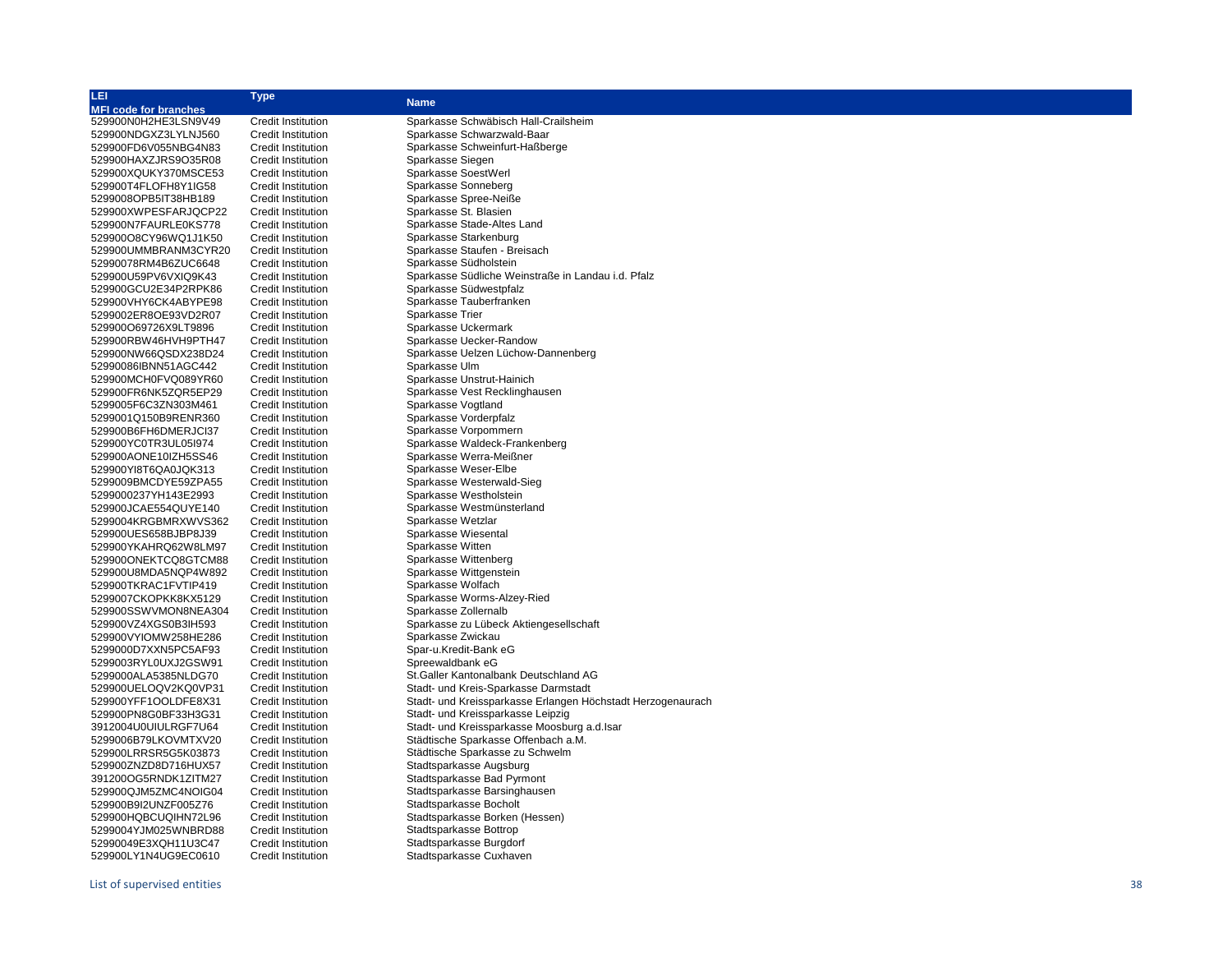| <b>MFI code for branches</b><br>529900N0H2HE3LSN9V49<br><b>Credit Institution</b><br>Sparkasse Schwäbisch Hall-Crailsheim<br>529900NDGXZ3LYLNJ560<br><b>Credit Institution</b><br>Sparkasse Schwarzwald-Baar<br>529900FD6V055NBG4N83<br><b>Credit Institution</b><br>Sparkasse Schweinfurt-Haßberge<br>529900HAXZJRS9O35R08<br><b>Credit Institution</b><br>Sparkasse Siegen<br>Sparkasse SoestWerl<br>529900XQUKY370MSCE53<br><b>Credit Institution</b><br>Sparkasse Sonneberg<br>529900T4FLOFH8Y1IG58<br><b>Credit Institution</b><br>Sparkasse Spree-Neiße<br>5299008OPB5IT38HB189<br><b>Credit Institution</b><br>529900XWPESFARJQCP22<br>Sparkasse St. Blasien<br><b>Credit Institution</b><br>Sparkasse Stade-Altes Land<br>529900N7FAURLE0KS778<br><b>Credit Institution</b><br>529900O8CY96WQ1J1K50<br>Sparkasse Starkenburg<br><b>Credit Institution</b><br>Sparkasse Staufen - Breisach<br>529900UMMBRANM3CYR20<br><b>Credit Institution</b><br>52990078RM4B6ZUC6648<br><b>Credit Institution</b><br>Sparkasse Südholstein<br>529900U59PV6VXIQ9K43<br><b>Credit Institution</b><br>Sparkasse Südliche Weinstraße in Landau i.d. Pfalz<br>529900GCU2E34P2RPK86<br><b>Credit Institution</b><br>Sparkasse Südwestpfalz<br>529900VHY6CK4ABYPE98<br><b>Credit Institution</b><br>Sparkasse Tauberfranken<br>5299002ER8OE93VD2R07<br><b>Credit Institution</b><br>Sparkasse Trier<br>Sparkasse Uckermark<br>529900O69726X9LT9896<br><b>Credit Institution</b><br>Sparkasse Uecker-Randow<br>529900RBW46HVH9PTH47<br><b>Credit Institution</b><br>Sparkasse Uelzen Lüchow-Dannenberg<br>529900NW66QSDX238D24<br><b>Credit Institution</b><br>Sparkasse Ulm<br>52990086IBNN51AGC442<br><b>Credit Institution</b><br>Sparkasse Unstrut-Hainich<br>529900MCH0FVQ089YR60<br><b>Credit Institution</b><br>Sparkasse Vest Recklinghausen<br>529900FR6NK5ZQR5EP29<br><b>Credit Institution</b><br>Sparkasse Vogtland<br>5299005F6C3ZN303M461<br><b>Credit Institution</b><br>Sparkasse Vorderpfalz<br>5299001Q150B9RENR360<br><b>Credit Institution</b><br>529900B6FH6DMERJCI37<br><b>Credit Institution</b><br>Sparkasse Vorpommern<br>529900YC0TR3UL05l974<br><b>Credit Institution</b><br>Sparkasse Waldeck-Frankenberg<br>529900AONE10IZH5SS46<br><b>Credit Institution</b><br>Sparkasse Werra-Meißner<br>529900YI8T6QA0JQK313<br><b>Credit Institution</b><br>Sparkasse Weser-Elbe<br>Sparkasse Westerwald-Sieg<br>5299009BMCDYE59ZPA55<br><b>Credit Institution</b><br>Sparkasse Westholstein<br>5299000237YH143E2993<br><b>Credit Institution</b><br>Sparkasse Westmünsterland<br>529900JCAE554QUYE140<br><b>Credit Institution</b><br>5299004KRGBMRXWVS362<br>Sparkasse Wetzlar<br><b>Credit Institution</b><br>Sparkasse Wiesental<br>529900UES658BJBP8J39<br><b>Credit Institution</b><br>529900YKAHRQ62W8LM97<br>Sparkasse Witten<br><b>Credit Institution</b><br>Sparkasse Wittenberg<br>529900ONEKTCQ8GTCM88<br><b>Credit Institution</b><br>529900U8MDA5NQP4W892<br><b>Credit Institution</b><br>Sparkasse Wittgenstein<br>529900TKRAC1FVTIP419<br><b>Credit Institution</b><br>Sparkasse Wolfach<br>5299007CKOPKK8KX5129<br><b>Credit Institution</b><br>Sparkasse Worms-Alzey-Ried<br>529900SSWVMON8NEA304<br><b>Credit Institution</b><br>Sparkasse Zollernalb<br>529900VZ4XGS0B3lH593<br><b>Credit Institution</b><br>Sparkasse zu Lübeck Aktiengesellschaft<br>529900VYIOMW258HE286<br><b>Credit Institution</b><br>Sparkasse Zwickau<br>Spar-u.Kredit-Bank eG<br>5299000D7XXN5PC5AF93<br><b>Credit Institution</b><br>Spreewaldbank eG<br>5299003RYL0UXJ2GSW91<br><b>Credit Institution</b><br>St.Galler Kantonalbank Deutschland AG<br>5299000ALA5385NLDG70<br><b>Credit Institution</b><br>529900UELOQV2KQ0VP31<br>Stadt- und Kreis-Sparkasse Darmstadt<br><b>Credit Institution</b><br>529900YFF1OOLDFE8X31<br>Stadt- und Kreissparkasse Erlangen Höchstadt Herzogenaurach<br><b>Credit Institution</b><br>Stadt- und Kreissparkasse Leipzig<br><b>Credit Institution</b><br>529900PN8G0BF33H3G31<br>3912004U0UIULRGF7U64<br><b>Credit Institution</b><br>Stadt- und Kreissparkasse Moosburg a.d. Isar<br>Städtische Sparkasse Offenbach a.M.<br>5299006B79LKOVMTXV20<br><b>Credit Institution</b><br>529900LRRSR5G5K03873<br><b>Credit Institution</b><br>Städtische Sparkasse zu Schwelm<br>529900ZNZD8D716HUX57<br><b>Credit Institution</b><br>Stadtsparkasse Augsburg<br>391200OG5RNDK1ZITM27<br><b>Credit Institution</b><br>Stadtsparkasse Bad Pyrmont<br>529900QJM5ZMC4NOIG04<br><b>Credit Institution</b><br>Stadtsparkasse Barsinghausen<br>529900B9I2UNZF005Z76<br><b>Credit Institution</b><br>Stadtsparkasse Bocholt<br>529900HQBCUQIHN72L96<br><b>Credit Institution</b><br>Stadtsparkasse Borken (Hessen) | LEI                  | <b>Type</b>               | <b>Name</b>             |
|----------------------------------------------------------------------------------------------------------------------------------------------------------------------------------------------------------------------------------------------------------------------------------------------------------------------------------------------------------------------------------------------------------------------------------------------------------------------------------------------------------------------------------------------------------------------------------------------------------------------------------------------------------------------------------------------------------------------------------------------------------------------------------------------------------------------------------------------------------------------------------------------------------------------------------------------------------------------------------------------------------------------------------------------------------------------------------------------------------------------------------------------------------------------------------------------------------------------------------------------------------------------------------------------------------------------------------------------------------------------------------------------------------------------------------------------------------------------------------------------------------------------------------------------------------------------------------------------------------------------------------------------------------------------------------------------------------------------------------------------------------------------------------------------------------------------------------------------------------------------------------------------------------------------------------------------------------------------------------------------------------------------------------------------------------------------------------------------------------------------------------------------------------------------------------------------------------------------------------------------------------------------------------------------------------------------------------------------------------------------------------------------------------------------------------------------------------------------------------------------------------------------------------------------------------------------------------------------------------------------------------------------------------------------------------------------------------------------------------------------------------------------------------------------------------------------------------------------------------------------------------------------------------------------------------------------------------------------------------------------------------------------------------------------------------------------------------------------------------------------------------------------------------------------------------------------------------------------------------------------------------------------------------------------------------------------------------------------------------------------------------------------------------------------------------------------------------------------------------------------------------------------------------------------------------------------------------------------------------------------------------------------------------------------------------------------------------------------------------------------------------------------------------------------------------------------------------------------------------------------------------------------------------------------------------------------------------------------------------------------------------------------------------------------------------------------------------------------------------------------------------------------------------------------------------------------------------------------------------------------------------------------------------------------------------------------------------------------------------------------------------------------------------------------------------------------------------------------------------------------------------------------------------------------------------------------------------------------------------------------------------------------------------------------------------------------------------------------------------------------|----------------------|---------------------------|-------------------------|
|                                                                                                                                                                                                                                                                                                                                                                                                                                                                                                                                                                                                                                                                                                                                                                                                                                                                                                                                                                                                                                                                                                                                                                                                                                                                                                                                                                                                                                                                                                                                                                                                                                                                                                                                                                                                                                                                                                                                                                                                                                                                                                                                                                                                                                                                                                                                                                                                                                                                                                                                                                                                                                                                                                                                                                                                                                                                                                                                                                                                                                                                                                                                                                                                                                                                                                                                                                                                                                                                                                                                                                                                                                                                                                                                                                                                                                                                                                                                                                                                                                                                                                                                                                                                                                                                                                                                                                                                                                                                                                                                                                                                                                                                                                                                              |                      |                           |                         |
|                                                                                                                                                                                                                                                                                                                                                                                                                                                                                                                                                                                                                                                                                                                                                                                                                                                                                                                                                                                                                                                                                                                                                                                                                                                                                                                                                                                                                                                                                                                                                                                                                                                                                                                                                                                                                                                                                                                                                                                                                                                                                                                                                                                                                                                                                                                                                                                                                                                                                                                                                                                                                                                                                                                                                                                                                                                                                                                                                                                                                                                                                                                                                                                                                                                                                                                                                                                                                                                                                                                                                                                                                                                                                                                                                                                                                                                                                                                                                                                                                                                                                                                                                                                                                                                                                                                                                                                                                                                                                                                                                                                                                                                                                                                                              |                      |                           |                         |
|                                                                                                                                                                                                                                                                                                                                                                                                                                                                                                                                                                                                                                                                                                                                                                                                                                                                                                                                                                                                                                                                                                                                                                                                                                                                                                                                                                                                                                                                                                                                                                                                                                                                                                                                                                                                                                                                                                                                                                                                                                                                                                                                                                                                                                                                                                                                                                                                                                                                                                                                                                                                                                                                                                                                                                                                                                                                                                                                                                                                                                                                                                                                                                                                                                                                                                                                                                                                                                                                                                                                                                                                                                                                                                                                                                                                                                                                                                                                                                                                                                                                                                                                                                                                                                                                                                                                                                                                                                                                                                                                                                                                                                                                                                                                              |                      |                           |                         |
|                                                                                                                                                                                                                                                                                                                                                                                                                                                                                                                                                                                                                                                                                                                                                                                                                                                                                                                                                                                                                                                                                                                                                                                                                                                                                                                                                                                                                                                                                                                                                                                                                                                                                                                                                                                                                                                                                                                                                                                                                                                                                                                                                                                                                                                                                                                                                                                                                                                                                                                                                                                                                                                                                                                                                                                                                                                                                                                                                                                                                                                                                                                                                                                                                                                                                                                                                                                                                                                                                                                                                                                                                                                                                                                                                                                                                                                                                                                                                                                                                                                                                                                                                                                                                                                                                                                                                                                                                                                                                                                                                                                                                                                                                                                                              |                      |                           |                         |
|                                                                                                                                                                                                                                                                                                                                                                                                                                                                                                                                                                                                                                                                                                                                                                                                                                                                                                                                                                                                                                                                                                                                                                                                                                                                                                                                                                                                                                                                                                                                                                                                                                                                                                                                                                                                                                                                                                                                                                                                                                                                                                                                                                                                                                                                                                                                                                                                                                                                                                                                                                                                                                                                                                                                                                                                                                                                                                                                                                                                                                                                                                                                                                                                                                                                                                                                                                                                                                                                                                                                                                                                                                                                                                                                                                                                                                                                                                                                                                                                                                                                                                                                                                                                                                                                                                                                                                                                                                                                                                                                                                                                                                                                                                                                              |                      |                           |                         |
|                                                                                                                                                                                                                                                                                                                                                                                                                                                                                                                                                                                                                                                                                                                                                                                                                                                                                                                                                                                                                                                                                                                                                                                                                                                                                                                                                                                                                                                                                                                                                                                                                                                                                                                                                                                                                                                                                                                                                                                                                                                                                                                                                                                                                                                                                                                                                                                                                                                                                                                                                                                                                                                                                                                                                                                                                                                                                                                                                                                                                                                                                                                                                                                                                                                                                                                                                                                                                                                                                                                                                                                                                                                                                                                                                                                                                                                                                                                                                                                                                                                                                                                                                                                                                                                                                                                                                                                                                                                                                                                                                                                                                                                                                                                                              |                      |                           |                         |
|                                                                                                                                                                                                                                                                                                                                                                                                                                                                                                                                                                                                                                                                                                                                                                                                                                                                                                                                                                                                                                                                                                                                                                                                                                                                                                                                                                                                                                                                                                                                                                                                                                                                                                                                                                                                                                                                                                                                                                                                                                                                                                                                                                                                                                                                                                                                                                                                                                                                                                                                                                                                                                                                                                                                                                                                                                                                                                                                                                                                                                                                                                                                                                                                                                                                                                                                                                                                                                                                                                                                                                                                                                                                                                                                                                                                                                                                                                                                                                                                                                                                                                                                                                                                                                                                                                                                                                                                                                                                                                                                                                                                                                                                                                                                              |                      |                           |                         |
|                                                                                                                                                                                                                                                                                                                                                                                                                                                                                                                                                                                                                                                                                                                                                                                                                                                                                                                                                                                                                                                                                                                                                                                                                                                                                                                                                                                                                                                                                                                                                                                                                                                                                                                                                                                                                                                                                                                                                                                                                                                                                                                                                                                                                                                                                                                                                                                                                                                                                                                                                                                                                                                                                                                                                                                                                                                                                                                                                                                                                                                                                                                                                                                                                                                                                                                                                                                                                                                                                                                                                                                                                                                                                                                                                                                                                                                                                                                                                                                                                                                                                                                                                                                                                                                                                                                                                                                                                                                                                                                                                                                                                                                                                                                                              |                      |                           |                         |
|                                                                                                                                                                                                                                                                                                                                                                                                                                                                                                                                                                                                                                                                                                                                                                                                                                                                                                                                                                                                                                                                                                                                                                                                                                                                                                                                                                                                                                                                                                                                                                                                                                                                                                                                                                                                                                                                                                                                                                                                                                                                                                                                                                                                                                                                                                                                                                                                                                                                                                                                                                                                                                                                                                                                                                                                                                                                                                                                                                                                                                                                                                                                                                                                                                                                                                                                                                                                                                                                                                                                                                                                                                                                                                                                                                                                                                                                                                                                                                                                                                                                                                                                                                                                                                                                                                                                                                                                                                                                                                                                                                                                                                                                                                                                              |                      |                           |                         |
|                                                                                                                                                                                                                                                                                                                                                                                                                                                                                                                                                                                                                                                                                                                                                                                                                                                                                                                                                                                                                                                                                                                                                                                                                                                                                                                                                                                                                                                                                                                                                                                                                                                                                                                                                                                                                                                                                                                                                                                                                                                                                                                                                                                                                                                                                                                                                                                                                                                                                                                                                                                                                                                                                                                                                                                                                                                                                                                                                                                                                                                                                                                                                                                                                                                                                                                                                                                                                                                                                                                                                                                                                                                                                                                                                                                                                                                                                                                                                                                                                                                                                                                                                                                                                                                                                                                                                                                                                                                                                                                                                                                                                                                                                                                                              |                      |                           |                         |
|                                                                                                                                                                                                                                                                                                                                                                                                                                                                                                                                                                                                                                                                                                                                                                                                                                                                                                                                                                                                                                                                                                                                                                                                                                                                                                                                                                                                                                                                                                                                                                                                                                                                                                                                                                                                                                                                                                                                                                                                                                                                                                                                                                                                                                                                                                                                                                                                                                                                                                                                                                                                                                                                                                                                                                                                                                                                                                                                                                                                                                                                                                                                                                                                                                                                                                                                                                                                                                                                                                                                                                                                                                                                                                                                                                                                                                                                                                                                                                                                                                                                                                                                                                                                                                                                                                                                                                                                                                                                                                                                                                                                                                                                                                                                              |                      |                           |                         |
|                                                                                                                                                                                                                                                                                                                                                                                                                                                                                                                                                                                                                                                                                                                                                                                                                                                                                                                                                                                                                                                                                                                                                                                                                                                                                                                                                                                                                                                                                                                                                                                                                                                                                                                                                                                                                                                                                                                                                                                                                                                                                                                                                                                                                                                                                                                                                                                                                                                                                                                                                                                                                                                                                                                                                                                                                                                                                                                                                                                                                                                                                                                                                                                                                                                                                                                                                                                                                                                                                                                                                                                                                                                                                                                                                                                                                                                                                                                                                                                                                                                                                                                                                                                                                                                                                                                                                                                                                                                                                                                                                                                                                                                                                                                                              |                      |                           |                         |
|                                                                                                                                                                                                                                                                                                                                                                                                                                                                                                                                                                                                                                                                                                                                                                                                                                                                                                                                                                                                                                                                                                                                                                                                                                                                                                                                                                                                                                                                                                                                                                                                                                                                                                                                                                                                                                                                                                                                                                                                                                                                                                                                                                                                                                                                                                                                                                                                                                                                                                                                                                                                                                                                                                                                                                                                                                                                                                                                                                                                                                                                                                                                                                                                                                                                                                                                                                                                                                                                                                                                                                                                                                                                                                                                                                                                                                                                                                                                                                                                                                                                                                                                                                                                                                                                                                                                                                                                                                                                                                                                                                                                                                                                                                                                              |                      |                           |                         |
|                                                                                                                                                                                                                                                                                                                                                                                                                                                                                                                                                                                                                                                                                                                                                                                                                                                                                                                                                                                                                                                                                                                                                                                                                                                                                                                                                                                                                                                                                                                                                                                                                                                                                                                                                                                                                                                                                                                                                                                                                                                                                                                                                                                                                                                                                                                                                                                                                                                                                                                                                                                                                                                                                                                                                                                                                                                                                                                                                                                                                                                                                                                                                                                                                                                                                                                                                                                                                                                                                                                                                                                                                                                                                                                                                                                                                                                                                                                                                                                                                                                                                                                                                                                                                                                                                                                                                                                                                                                                                                                                                                                                                                                                                                                                              |                      |                           |                         |
|                                                                                                                                                                                                                                                                                                                                                                                                                                                                                                                                                                                                                                                                                                                                                                                                                                                                                                                                                                                                                                                                                                                                                                                                                                                                                                                                                                                                                                                                                                                                                                                                                                                                                                                                                                                                                                                                                                                                                                                                                                                                                                                                                                                                                                                                                                                                                                                                                                                                                                                                                                                                                                                                                                                                                                                                                                                                                                                                                                                                                                                                                                                                                                                                                                                                                                                                                                                                                                                                                                                                                                                                                                                                                                                                                                                                                                                                                                                                                                                                                                                                                                                                                                                                                                                                                                                                                                                                                                                                                                                                                                                                                                                                                                                                              |                      |                           |                         |
|                                                                                                                                                                                                                                                                                                                                                                                                                                                                                                                                                                                                                                                                                                                                                                                                                                                                                                                                                                                                                                                                                                                                                                                                                                                                                                                                                                                                                                                                                                                                                                                                                                                                                                                                                                                                                                                                                                                                                                                                                                                                                                                                                                                                                                                                                                                                                                                                                                                                                                                                                                                                                                                                                                                                                                                                                                                                                                                                                                                                                                                                                                                                                                                                                                                                                                                                                                                                                                                                                                                                                                                                                                                                                                                                                                                                                                                                                                                                                                                                                                                                                                                                                                                                                                                                                                                                                                                                                                                                                                                                                                                                                                                                                                                                              |                      |                           |                         |
|                                                                                                                                                                                                                                                                                                                                                                                                                                                                                                                                                                                                                                                                                                                                                                                                                                                                                                                                                                                                                                                                                                                                                                                                                                                                                                                                                                                                                                                                                                                                                                                                                                                                                                                                                                                                                                                                                                                                                                                                                                                                                                                                                                                                                                                                                                                                                                                                                                                                                                                                                                                                                                                                                                                                                                                                                                                                                                                                                                                                                                                                                                                                                                                                                                                                                                                                                                                                                                                                                                                                                                                                                                                                                                                                                                                                                                                                                                                                                                                                                                                                                                                                                                                                                                                                                                                                                                                                                                                                                                                                                                                                                                                                                                                                              |                      |                           |                         |
|                                                                                                                                                                                                                                                                                                                                                                                                                                                                                                                                                                                                                                                                                                                                                                                                                                                                                                                                                                                                                                                                                                                                                                                                                                                                                                                                                                                                                                                                                                                                                                                                                                                                                                                                                                                                                                                                                                                                                                                                                                                                                                                                                                                                                                                                                                                                                                                                                                                                                                                                                                                                                                                                                                                                                                                                                                                                                                                                                                                                                                                                                                                                                                                                                                                                                                                                                                                                                                                                                                                                                                                                                                                                                                                                                                                                                                                                                                                                                                                                                                                                                                                                                                                                                                                                                                                                                                                                                                                                                                                                                                                                                                                                                                                                              |                      |                           |                         |
|                                                                                                                                                                                                                                                                                                                                                                                                                                                                                                                                                                                                                                                                                                                                                                                                                                                                                                                                                                                                                                                                                                                                                                                                                                                                                                                                                                                                                                                                                                                                                                                                                                                                                                                                                                                                                                                                                                                                                                                                                                                                                                                                                                                                                                                                                                                                                                                                                                                                                                                                                                                                                                                                                                                                                                                                                                                                                                                                                                                                                                                                                                                                                                                                                                                                                                                                                                                                                                                                                                                                                                                                                                                                                                                                                                                                                                                                                                                                                                                                                                                                                                                                                                                                                                                                                                                                                                                                                                                                                                                                                                                                                                                                                                                                              |                      |                           |                         |
|                                                                                                                                                                                                                                                                                                                                                                                                                                                                                                                                                                                                                                                                                                                                                                                                                                                                                                                                                                                                                                                                                                                                                                                                                                                                                                                                                                                                                                                                                                                                                                                                                                                                                                                                                                                                                                                                                                                                                                                                                                                                                                                                                                                                                                                                                                                                                                                                                                                                                                                                                                                                                                                                                                                                                                                                                                                                                                                                                                                                                                                                                                                                                                                                                                                                                                                                                                                                                                                                                                                                                                                                                                                                                                                                                                                                                                                                                                                                                                                                                                                                                                                                                                                                                                                                                                                                                                                                                                                                                                                                                                                                                                                                                                                                              |                      |                           |                         |
|                                                                                                                                                                                                                                                                                                                                                                                                                                                                                                                                                                                                                                                                                                                                                                                                                                                                                                                                                                                                                                                                                                                                                                                                                                                                                                                                                                                                                                                                                                                                                                                                                                                                                                                                                                                                                                                                                                                                                                                                                                                                                                                                                                                                                                                                                                                                                                                                                                                                                                                                                                                                                                                                                                                                                                                                                                                                                                                                                                                                                                                                                                                                                                                                                                                                                                                                                                                                                                                                                                                                                                                                                                                                                                                                                                                                                                                                                                                                                                                                                                                                                                                                                                                                                                                                                                                                                                                                                                                                                                                                                                                                                                                                                                                                              |                      |                           |                         |
|                                                                                                                                                                                                                                                                                                                                                                                                                                                                                                                                                                                                                                                                                                                                                                                                                                                                                                                                                                                                                                                                                                                                                                                                                                                                                                                                                                                                                                                                                                                                                                                                                                                                                                                                                                                                                                                                                                                                                                                                                                                                                                                                                                                                                                                                                                                                                                                                                                                                                                                                                                                                                                                                                                                                                                                                                                                                                                                                                                                                                                                                                                                                                                                                                                                                                                                                                                                                                                                                                                                                                                                                                                                                                                                                                                                                                                                                                                                                                                                                                                                                                                                                                                                                                                                                                                                                                                                                                                                                                                                                                                                                                                                                                                                                              |                      |                           |                         |
|                                                                                                                                                                                                                                                                                                                                                                                                                                                                                                                                                                                                                                                                                                                                                                                                                                                                                                                                                                                                                                                                                                                                                                                                                                                                                                                                                                                                                                                                                                                                                                                                                                                                                                                                                                                                                                                                                                                                                                                                                                                                                                                                                                                                                                                                                                                                                                                                                                                                                                                                                                                                                                                                                                                                                                                                                                                                                                                                                                                                                                                                                                                                                                                                                                                                                                                                                                                                                                                                                                                                                                                                                                                                                                                                                                                                                                                                                                                                                                                                                                                                                                                                                                                                                                                                                                                                                                                                                                                                                                                                                                                                                                                                                                                                              |                      |                           |                         |
|                                                                                                                                                                                                                                                                                                                                                                                                                                                                                                                                                                                                                                                                                                                                                                                                                                                                                                                                                                                                                                                                                                                                                                                                                                                                                                                                                                                                                                                                                                                                                                                                                                                                                                                                                                                                                                                                                                                                                                                                                                                                                                                                                                                                                                                                                                                                                                                                                                                                                                                                                                                                                                                                                                                                                                                                                                                                                                                                                                                                                                                                                                                                                                                                                                                                                                                                                                                                                                                                                                                                                                                                                                                                                                                                                                                                                                                                                                                                                                                                                                                                                                                                                                                                                                                                                                                                                                                                                                                                                                                                                                                                                                                                                                                                              |                      |                           |                         |
|                                                                                                                                                                                                                                                                                                                                                                                                                                                                                                                                                                                                                                                                                                                                                                                                                                                                                                                                                                                                                                                                                                                                                                                                                                                                                                                                                                                                                                                                                                                                                                                                                                                                                                                                                                                                                                                                                                                                                                                                                                                                                                                                                                                                                                                                                                                                                                                                                                                                                                                                                                                                                                                                                                                                                                                                                                                                                                                                                                                                                                                                                                                                                                                                                                                                                                                                                                                                                                                                                                                                                                                                                                                                                                                                                                                                                                                                                                                                                                                                                                                                                                                                                                                                                                                                                                                                                                                                                                                                                                                                                                                                                                                                                                                                              |                      |                           |                         |
|                                                                                                                                                                                                                                                                                                                                                                                                                                                                                                                                                                                                                                                                                                                                                                                                                                                                                                                                                                                                                                                                                                                                                                                                                                                                                                                                                                                                                                                                                                                                                                                                                                                                                                                                                                                                                                                                                                                                                                                                                                                                                                                                                                                                                                                                                                                                                                                                                                                                                                                                                                                                                                                                                                                                                                                                                                                                                                                                                                                                                                                                                                                                                                                                                                                                                                                                                                                                                                                                                                                                                                                                                                                                                                                                                                                                                                                                                                                                                                                                                                                                                                                                                                                                                                                                                                                                                                                                                                                                                                                                                                                                                                                                                                                                              |                      |                           |                         |
|                                                                                                                                                                                                                                                                                                                                                                                                                                                                                                                                                                                                                                                                                                                                                                                                                                                                                                                                                                                                                                                                                                                                                                                                                                                                                                                                                                                                                                                                                                                                                                                                                                                                                                                                                                                                                                                                                                                                                                                                                                                                                                                                                                                                                                                                                                                                                                                                                                                                                                                                                                                                                                                                                                                                                                                                                                                                                                                                                                                                                                                                                                                                                                                                                                                                                                                                                                                                                                                                                                                                                                                                                                                                                                                                                                                                                                                                                                                                                                                                                                                                                                                                                                                                                                                                                                                                                                                                                                                                                                                                                                                                                                                                                                                                              |                      |                           |                         |
|                                                                                                                                                                                                                                                                                                                                                                                                                                                                                                                                                                                                                                                                                                                                                                                                                                                                                                                                                                                                                                                                                                                                                                                                                                                                                                                                                                                                                                                                                                                                                                                                                                                                                                                                                                                                                                                                                                                                                                                                                                                                                                                                                                                                                                                                                                                                                                                                                                                                                                                                                                                                                                                                                                                                                                                                                                                                                                                                                                                                                                                                                                                                                                                                                                                                                                                                                                                                                                                                                                                                                                                                                                                                                                                                                                                                                                                                                                                                                                                                                                                                                                                                                                                                                                                                                                                                                                                                                                                                                                                                                                                                                                                                                                                                              |                      |                           |                         |
|                                                                                                                                                                                                                                                                                                                                                                                                                                                                                                                                                                                                                                                                                                                                                                                                                                                                                                                                                                                                                                                                                                                                                                                                                                                                                                                                                                                                                                                                                                                                                                                                                                                                                                                                                                                                                                                                                                                                                                                                                                                                                                                                                                                                                                                                                                                                                                                                                                                                                                                                                                                                                                                                                                                                                                                                                                                                                                                                                                                                                                                                                                                                                                                                                                                                                                                                                                                                                                                                                                                                                                                                                                                                                                                                                                                                                                                                                                                                                                                                                                                                                                                                                                                                                                                                                                                                                                                                                                                                                                                                                                                                                                                                                                                                              |                      |                           |                         |
|                                                                                                                                                                                                                                                                                                                                                                                                                                                                                                                                                                                                                                                                                                                                                                                                                                                                                                                                                                                                                                                                                                                                                                                                                                                                                                                                                                                                                                                                                                                                                                                                                                                                                                                                                                                                                                                                                                                                                                                                                                                                                                                                                                                                                                                                                                                                                                                                                                                                                                                                                                                                                                                                                                                                                                                                                                                                                                                                                                                                                                                                                                                                                                                                                                                                                                                                                                                                                                                                                                                                                                                                                                                                                                                                                                                                                                                                                                                                                                                                                                                                                                                                                                                                                                                                                                                                                                                                                                                                                                                                                                                                                                                                                                                                              |                      |                           |                         |
|                                                                                                                                                                                                                                                                                                                                                                                                                                                                                                                                                                                                                                                                                                                                                                                                                                                                                                                                                                                                                                                                                                                                                                                                                                                                                                                                                                                                                                                                                                                                                                                                                                                                                                                                                                                                                                                                                                                                                                                                                                                                                                                                                                                                                                                                                                                                                                                                                                                                                                                                                                                                                                                                                                                                                                                                                                                                                                                                                                                                                                                                                                                                                                                                                                                                                                                                                                                                                                                                                                                                                                                                                                                                                                                                                                                                                                                                                                                                                                                                                                                                                                                                                                                                                                                                                                                                                                                                                                                                                                                                                                                                                                                                                                                                              |                      |                           |                         |
|                                                                                                                                                                                                                                                                                                                                                                                                                                                                                                                                                                                                                                                                                                                                                                                                                                                                                                                                                                                                                                                                                                                                                                                                                                                                                                                                                                                                                                                                                                                                                                                                                                                                                                                                                                                                                                                                                                                                                                                                                                                                                                                                                                                                                                                                                                                                                                                                                                                                                                                                                                                                                                                                                                                                                                                                                                                                                                                                                                                                                                                                                                                                                                                                                                                                                                                                                                                                                                                                                                                                                                                                                                                                                                                                                                                                                                                                                                                                                                                                                                                                                                                                                                                                                                                                                                                                                                                                                                                                                                                                                                                                                                                                                                                                              |                      |                           |                         |
|                                                                                                                                                                                                                                                                                                                                                                                                                                                                                                                                                                                                                                                                                                                                                                                                                                                                                                                                                                                                                                                                                                                                                                                                                                                                                                                                                                                                                                                                                                                                                                                                                                                                                                                                                                                                                                                                                                                                                                                                                                                                                                                                                                                                                                                                                                                                                                                                                                                                                                                                                                                                                                                                                                                                                                                                                                                                                                                                                                                                                                                                                                                                                                                                                                                                                                                                                                                                                                                                                                                                                                                                                                                                                                                                                                                                                                                                                                                                                                                                                                                                                                                                                                                                                                                                                                                                                                                                                                                                                                                                                                                                                                                                                                                                              |                      |                           |                         |
|                                                                                                                                                                                                                                                                                                                                                                                                                                                                                                                                                                                                                                                                                                                                                                                                                                                                                                                                                                                                                                                                                                                                                                                                                                                                                                                                                                                                                                                                                                                                                                                                                                                                                                                                                                                                                                                                                                                                                                                                                                                                                                                                                                                                                                                                                                                                                                                                                                                                                                                                                                                                                                                                                                                                                                                                                                                                                                                                                                                                                                                                                                                                                                                                                                                                                                                                                                                                                                                                                                                                                                                                                                                                                                                                                                                                                                                                                                                                                                                                                                                                                                                                                                                                                                                                                                                                                                                                                                                                                                                                                                                                                                                                                                                                              |                      |                           |                         |
|                                                                                                                                                                                                                                                                                                                                                                                                                                                                                                                                                                                                                                                                                                                                                                                                                                                                                                                                                                                                                                                                                                                                                                                                                                                                                                                                                                                                                                                                                                                                                                                                                                                                                                                                                                                                                                                                                                                                                                                                                                                                                                                                                                                                                                                                                                                                                                                                                                                                                                                                                                                                                                                                                                                                                                                                                                                                                                                                                                                                                                                                                                                                                                                                                                                                                                                                                                                                                                                                                                                                                                                                                                                                                                                                                                                                                                                                                                                                                                                                                                                                                                                                                                                                                                                                                                                                                                                                                                                                                                                                                                                                                                                                                                                                              |                      |                           |                         |
|                                                                                                                                                                                                                                                                                                                                                                                                                                                                                                                                                                                                                                                                                                                                                                                                                                                                                                                                                                                                                                                                                                                                                                                                                                                                                                                                                                                                                                                                                                                                                                                                                                                                                                                                                                                                                                                                                                                                                                                                                                                                                                                                                                                                                                                                                                                                                                                                                                                                                                                                                                                                                                                                                                                                                                                                                                                                                                                                                                                                                                                                                                                                                                                                                                                                                                                                                                                                                                                                                                                                                                                                                                                                                                                                                                                                                                                                                                                                                                                                                                                                                                                                                                                                                                                                                                                                                                                                                                                                                                                                                                                                                                                                                                                                              |                      |                           |                         |
|                                                                                                                                                                                                                                                                                                                                                                                                                                                                                                                                                                                                                                                                                                                                                                                                                                                                                                                                                                                                                                                                                                                                                                                                                                                                                                                                                                                                                                                                                                                                                                                                                                                                                                                                                                                                                                                                                                                                                                                                                                                                                                                                                                                                                                                                                                                                                                                                                                                                                                                                                                                                                                                                                                                                                                                                                                                                                                                                                                                                                                                                                                                                                                                                                                                                                                                                                                                                                                                                                                                                                                                                                                                                                                                                                                                                                                                                                                                                                                                                                                                                                                                                                                                                                                                                                                                                                                                                                                                                                                                                                                                                                                                                                                                                              |                      |                           |                         |
|                                                                                                                                                                                                                                                                                                                                                                                                                                                                                                                                                                                                                                                                                                                                                                                                                                                                                                                                                                                                                                                                                                                                                                                                                                                                                                                                                                                                                                                                                                                                                                                                                                                                                                                                                                                                                                                                                                                                                                                                                                                                                                                                                                                                                                                                                                                                                                                                                                                                                                                                                                                                                                                                                                                                                                                                                                                                                                                                                                                                                                                                                                                                                                                                                                                                                                                                                                                                                                                                                                                                                                                                                                                                                                                                                                                                                                                                                                                                                                                                                                                                                                                                                                                                                                                                                                                                                                                                                                                                                                                                                                                                                                                                                                                                              |                      |                           |                         |
|                                                                                                                                                                                                                                                                                                                                                                                                                                                                                                                                                                                                                                                                                                                                                                                                                                                                                                                                                                                                                                                                                                                                                                                                                                                                                                                                                                                                                                                                                                                                                                                                                                                                                                                                                                                                                                                                                                                                                                                                                                                                                                                                                                                                                                                                                                                                                                                                                                                                                                                                                                                                                                                                                                                                                                                                                                                                                                                                                                                                                                                                                                                                                                                                                                                                                                                                                                                                                                                                                                                                                                                                                                                                                                                                                                                                                                                                                                                                                                                                                                                                                                                                                                                                                                                                                                                                                                                                                                                                                                                                                                                                                                                                                                                                              |                      |                           |                         |
|                                                                                                                                                                                                                                                                                                                                                                                                                                                                                                                                                                                                                                                                                                                                                                                                                                                                                                                                                                                                                                                                                                                                                                                                                                                                                                                                                                                                                                                                                                                                                                                                                                                                                                                                                                                                                                                                                                                                                                                                                                                                                                                                                                                                                                                                                                                                                                                                                                                                                                                                                                                                                                                                                                                                                                                                                                                                                                                                                                                                                                                                                                                                                                                                                                                                                                                                                                                                                                                                                                                                                                                                                                                                                                                                                                                                                                                                                                                                                                                                                                                                                                                                                                                                                                                                                                                                                                                                                                                                                                                                                                                                                                                                                                                                              |                      |                           |                         |
|                                                                                                                                                                                                                                                                                                                                                                                                                                                                                                                                                                                                                                                                                                                                                                                                                                                                                                                                                                                                                                                                                                                                                                                                                                                                                                                                                                                                                                                                                                                                                                                                                                                                                                                                                                                                                                                                                                                                                                                                                                                                                                                                                                                                                                                                                                                                                                                                                                                                                                                                                                                                                                                                                                                                                                                                                                                                                                                                                                                                                                                                                                                                                                                                                                                                                                                                                                                                                                                                                                                                                                                                                                                                                                                                                                                                                                                                                                                                                                                                                                                                                                                                                                                                                                                                                                                                                                                                                                                                                                                                                                                                                                                                                                                                              |                      |                           |                         |
|                                                                                                                                                                                                                                                                                                                                                                                                                                                                                                                                                                                                                                                                                                                                                                                                                                                                                                                                                                                                                                                                                                                                                                                                                                                                                                                                                                                                                                                                                                                                                                                                                                                                                                                                                                                                                                                                                                                                                                                                                                                                                                                                                                                                                                                                                                                                                                                                                                                                                                                                                                                                                                                                                                                                                                                                                                                                                                                                                                                                                                                                                                                                                                                                                                                                                                                                                                                                                                                                                                                                                                                                                                                                                                                                                                                                                                                                                                                                                                                                                                                                                                                                                                                                                                                                                                                                                                                                                                                                                                                                                                                                                                                                                                                                              |                      |                           |                         |
|                                                                                                                                                                                                                                                                                                                                                                                                                                                                                                                                                                                                                                                                                                                                                                                                                                                                                                                                                                                                                                                                                                                                                                                                                                                                                                                                                                                                                                                                                                                                                                                                                                                                                                                                                                                                                                                                                                                                                                                                                                                                                                                                                                                                                                                                                                                                                                                                                                                                                                                                                                                                                                                                                                                                                                                                                                                                                                                                                                                                                                                                                                                                                                                                                                                                                                                                                                                                                                                                                                                                                                                                                                                                                                                                                                                                                                                                                                                                                                                                                                                                                                                                                                                                                                                                                                                                                                                                                                                                                                                                                                                                                                                                                                                                              |                      |                           |                         |
|                                                                                                                                                                                                                                                                                                                                                                                                                                                                                                                                                                                                                                                                                                                                                                                                                                                                                                                                                                                                                                                                                                                                                                                                                                                                                                                                                                                                                                                                                                                                                                                                                                                                                                                                                                                                                                                                                                                                                                                                                                                                                                                                                                                                                                                                                                                                                                                                                                                                                                                                                                                                                                                                                                                                                                                                                                                                                                                                                                                                                                                                                                                                                                                                                                                                                                                                                                                                                                                                                                                                                                                                                                                                                                                                                                                                                                                                                                                                                                                                                                                                                                                                                                                                                                                                                                                                                                                                                                                                                                                                                                                                                                                                                                                                              |                      |                           |                         |
|                                                                                                                                                                                                                                                                                                                                                                                                                                                                                                                                                                                                                                                                                                                                                                                                                                                                                                                                                                                                                                                                                                                                                                                                                                                                                                                                                                                                                                                                                                                                                                                                                                                                                                                                                                                                                                                                                                                                                                                                                                                                                                                                                                                                                                                                                                                                                                                                                                                                                                                                                                                                                                                                                                                                                                                                                                                                                                                                                                                                                                                                                                                                                                                                                                                                                                                                                                                                                                                                                                                                                                                                                                                                                                                                                                                                                                                                                                                                                                                                                                                                                                                                                                                                                                                                                                                                                                                                                                                                                                                                                                                                                                                                                                                                              |                      |                           |                         |
|                                                                                                                                                                                                                                                                                                                                                                                                                                                                                                                                                                                                                                                                                                                                                                                                                                                                                                                                                                                                                                                                                                                                                                                                                                                                                                                                                                                                                                                                                                                                                                                                                                                                                                                                                                                                                                                                                                                                                                                                                                                                                                                                                                                                                                                                                                                                                                                                                                                                                                                                                                                                                                                                                                                                                                                                                                                                                                                                                                                                                                                                                                                                                                                                                                                                                                                                                                                                                                                                                                                                                                                                                                                                                                                                                                                                                                                                                                                                                                                                                                                                                                                                                                                                                                                                                                                                                                                                                                                                                                                                                                                                                                                                                                                                              |                      |                           |                         |
|                                                                                                                                                                                                                                                                                                                                                                                                                                                                                                                                                                                                                                                                                                                                                                                                                                                                                                                                                                                                                                                                                                                                                                                                                                                                                                                                                                                                                                                                                                                                                                                                                                                                                                                                                                                                                                                                                                                                                                                                                                                                                                                                                                                                                                                                                                                                                                                                                                                                                                                                                                                                                                                                                                                                                                                                                                                                                                                                                                                                                                                                                                                                                                                                                                                                                                                                                                                                                                                                                                                                                                                                                                                                                                                                                                                                                                                                                                                                                                                                                                                                                                                                                                                                                                                                                                                                                                                                                                                                                                                                                                                                                                                                                                                                              |                      |                           |                         |
|                                                                                                                                                                                                                                                                                                                                                                                                                                                                                                                                                                                                                                                                                                                                                                                                                                                                                                                                                                                                                                                                                                                                                                                                                                                                                                                                                                                                                                                                                                                                                                                                                                                                                                                                                                                                                                                                                                                                                                                                                                                                                                                                                                                                                                                                                                                                                                                                                                                                                                                                                                                                                                                                                                                                                                                                                                                                                                                                                                                                                                                                                                                                                                                                                                                                                                                                                                                                                                                                                                                                                                                                                                                                                                                                                                                                                                                                                                                                                                                                                                                                                                                                                                                                                                                                                                                                                                                                                                                                                                                                                                                                                                                                                                                                              |                      |                           |                         |
|                                                                                                                                                                                                                                                                                                                                                                                                                                                                                                                                                                                                                                                                                                                                                                                                                                                                                                                                                                                                                                                                                                                                                                                                                                                                                                                                                                                                                                                                                                                                                                                                                                                                                                                                                                                                                                                                                                                                                                                                                                                                                                                                                                                                                                                                                                                                                                                                                                                                                                                                                                                                                                                                                                                                                                                                                                                                                                                                                                                                                                                                                                                                                                                                                                                                                                                                                                                                                                                                                                                                                                                                                                                                                                                                                                                                                                                                                                                                                                                                                                                                                                                                                                                                                                                                                                                                                                                                                                                                                                                                                                                                                                                                                                                                              |                      |                           |                         |
|                                                                                                                                                                                                                                                                                                                                                                                                                                                                                                                                                                                                                                                                                                                                                                                                                                                                                                                                                                                                                                                                                                                                                                                                                                                                                                                                                                                                                                                                                                                                                                                                                                                                                                                                                                                                                                                                                                                                                                                                                                                                                                                                                                                                                                                                                                                                                                                                                                                                                                                                                                                                                                                                                                                                                                                                                                                                                                                                                                                                                                                                                                                                                                                                                                                                                                                                                                                                                                                                                                                                                                                                                                                                                                                                                                                                                                                                                                                                                                                                                                                                                                                                                                                                                                                                                                                                                                                                                                                                                                                                                                                                                                                                                                                                              |                      |                           |                         |
|                                                                                                                                                                                                                                                                                                                                                                                                                                                                                                                                                                                                                                                                                                                                                                                                                                                                                                                                                                                                                                                                                                                                                                                                                                                                                                                                                                                                                                                                                                                                                                                                                                                                                                                                                                                                                                                                                                                                                                                                                                                                                                                                                                                                                                                                                                                                                                                                                                                                                                                                                                                                                                                                                                                                                                                                                                                                                                                                                                                                                                                                                                                                                                                                                                                                                                                                                                                                                                                                                                                                                                                                                                                                                                                                                                                                                                                                                                                                                                                                                                                                                                                                                                                                                                                                                                                                                                                                                                                                                                                                                                                                                                                                                                                                              |                      |                           |                         |
|                                                                                                                                                                                                                                                                                                                                                                                                                                                                                                                                                                                                                                                                                                                                                                                                                                                                                                                                                                                                                                                                                                                                                                                                                                                                                                                                                                                                                                                                                                                                                                                                                                                                                                                                                                                                                                                                                                                                                                                                                                                                                                                                                                                                                                                                                                                                                                                                                                                                                                                                                                                                                                                                                                                                                                                                                                                                                                                                                                                                                                                                                                                                                                                                                                                                                                                                                                                                                                                                                                                                                                                                                                                                                                                                                                                                                                                                                                                                                                                                                                                                                                                                                                                                                                                                                                                                                                                                                                                                                                                                                                                                                                                                                                                                              |                      |                           |                         |
|                                                                                                                                                                                                                                                                                                                                                                                                                                                                                                                                                                                                                                                                                                                                                                                                                                                                                                                                                                                                                                                                                                                                                                                                                                                                                                                                                                                                                                                                                                                                                                                                                                                                                                                                                                                                                                                                                                                                                                                                                                                                                                                                                                                                                                                                                                                                                                                                                                                                                                                                                                                                                                                                                                                                                                                                                                                                                                                                                                                                                                                                                                                                                                                                                                                                                                                                                                                                                                                                                                                                                                                                                                                                                                                                                                                                                                                                                                                                                                                                                                                                                                                                                                                                                                                                                                                                                                                                                                                                                                                                                                                                                                                                                                                                              |                      |                           |                         |
|                                                                                                                                                                                                                                                                                                                                                                                                                                                                                                                                                                                                                                                                                                                                                                                                                                                                                                                                                                                                                                                                                                                                                                                                                                                                                                                                                                                                                                                                                                                                                                                                                                                                                                                                                                                                                                                                                                                                                                                                                                                                                                                                                                                                                                                                                                                                                                                                                                                                                                                                                                                                                                                                                                                                                                                                                                                                                                                                                                                                                                                                                                                                                                                                                                                                                                                                                                                                                                                                                                                                                                                                                                                                                                                                                                                                                                                                                                                                                                                                                                                                                                                                                                                                                                                                                                                                                                                                                                                                                                                                                                                                                                                                                                                                              |                      |                           |                         |
|                                                                                                                                                                                                                                                                                                                                                                                                                                                                                                                                                                                                                                                                                                                                                                                                                                                                                                                                                                                                                                                                                                                                                                                                                                                                                                                                                                                                                                                                                                                                                                                                                                                                                                                                                                                                                                                                                                                                                                                                                                                                                                                                                                                                                                                                                                                                                                                                                                                                                                                                                                                                                                                                                                                                                                                                                                                                                                                                                                                                                                                                                                                                                                                                                                                                                                                                                                                                                                                                                                                                                                                                                                                                                                                                                                                                                                                                                                                                                                                                                                                                                                                                                                                                                                                                                                                                                                                                                                                                                                                                                                                                                                                                                                                                              |                      |                           |                         |
|                                                                                                                                                                                                                                                                                                                                                                                                                                                                                                                                                                                                                                                                                                                                                                                                                                                                                                                                                                                                                                                                                                                                                                                                                                                                                                                                                                                                                                                                                                                                                                                                                                                                                                                                                                                                                                                                                                                                                                                                                                                                                                                                                                                                                                                                                                                                                                                                                                                                                                                                                                                                                                                                                                                                                                                                                                                                                                                                                                                                                                                                                                                                                                                                                                                                                                                                                                                                                                                                                                                                                                                                                                                                                                                                                                                                                                                                                                                                                                                                                                                                                                                                                                                                                                                                                                                                                                                                                                                                                                                                                                                                                                                                                                                                              |                      |                           |                         |
|                                                                                                                                                                                                                                                                                                                                                                                                                                                                                                                                                                                                                                                                                                                                                                                                                                                                                                                                                                                                                                                                                                                                                                                                                                                                                                                                                                                                                                                                                                                                                                                                                                                                                                                                                                                                                                                                                                                                                                                                                                                                                                                                                                                                                                                                                                                                                                                                                                                                                                                                                                                                                                                                                                                                                                                                                                                                                                                                                                                                                                                                                                                                                                                                                                                                                                                                                                                                                                                                                                                                                                                                                                                                                                                                                                                                                                                                                                                                                                                                                                                                                                                                                                                                                                                                                                                                                                                                                                                                                                                                                                                                                                                                                                                                              |                      |                           |                         |
| 5299004YJM025WNBRD88<br>Stadtsparkasse Bottrop<br><b>Credit Institution</b>                                                                                                                                                                                                                                                                                                                                                                                                                                                                                                                                                                                                                                                                                                                                                                                                                                                                                                                                                                                                                                                                                                                                                                                                                                                                                                                                                                                                                                                                                                                                                                                                                                                                                                                                                                                                                                                                                                                                                                                                                                                                                                                                                                                                                                                                                                                                                                                                                                                                                                                                                                                                                                                                                                                                                                                                                                                                                                                                                                                                                                                                                                                                                                                                                                                                                                                                                                                                                                                                                                                                                                                                                                                                                                                                                                                                                                                                                                                                                                                                                                                                                                                                                                                                                                                                                                                                                                                                                                                                                                                                                                                                                                                                  |                      |                           |                         |
| 52990049E3XQH11U3C47<br>Stadtsparkasse Burgdorf<br><b>Credit Institution</b>                                                                                                                                                                                                                                                                                                                                                                                                                                                                                                                                                                                                                                                                                                                                                                                                                                                                                                                                                                                                                                                                                                                                                                                                                                                                                                                                                                                                                                                                                                                                                                                                                                                                                                                                                                                                                                                                                                                                                                                                                                                                                                                                                                                                                                                                                                                                                                                                                                                                                                                                                                                                                                                                                                                                                                                                                                                                                                                                                                                                                                                                                                                                                                                                                                                                                                                                                                                                                                                                                                                                                                                                                                                                                                                                                                                                                                                                                                                                                                                                                                                                                                                                                                                                                                                                                                                                                                                                                                                                                                                                                                                                                                                                 |                      |                           |                         |
|                                                                                                                                                                                                                                                                                                                                                                                                                                                                                                                                                                                                                                                                                                                                                                                                                                                                                                                                                                                                                                                                                                                                                                                                                                                                                                                                                                                                                                                                                                                                                                                                                                                                                                                                                                                                                                                                                                                                                                                                                                                                                                                                                                                                                                                                                                                                                                                                                                                                                                                                                                                                                                                                                                                                                                                                                                                                                                                                                                                                                                                                                                                                                                                                                                                                                                                                                                                                                                                                                                                                                                                                                                                                                                                                                                                                                                                                                                                                                                                                                                                                                                                                                                                                                                                                                                                                                                                                                                                                                                                                                                                                                                                                                                                                              | 529900LY1N4UG9EC0610 | <b>Credit Institution</b> | Stadtsparkasse Cuxhaven |
|                                                                                                                                                                                                                                                                                                                                                                                                                                                                                                                                                                                                                                                                                                                                                                                                                                                                                                                                                                                                                                                                                                                                                                                                                                                                                                                                                                                                                                                                                                                                                                                                                                                                                                                                                                                                                                                                                                                                                                                                                                                                                                                                                                                                                                                                                                                                                                                                                                                                                                                                                                                                                                                                                                                                                                                                                                                                                                                                                                                                                                                                                                                                                                                                                                                                                                                                                                                                                                                                                                                                                                                                                                                                                                                                                                                                                                                                                                                                                                                                                                                                                                                                                                                                                                                                                                                                                                                                                                                                                                                                                                                                                                                                                                                                              |                      |                           |                         |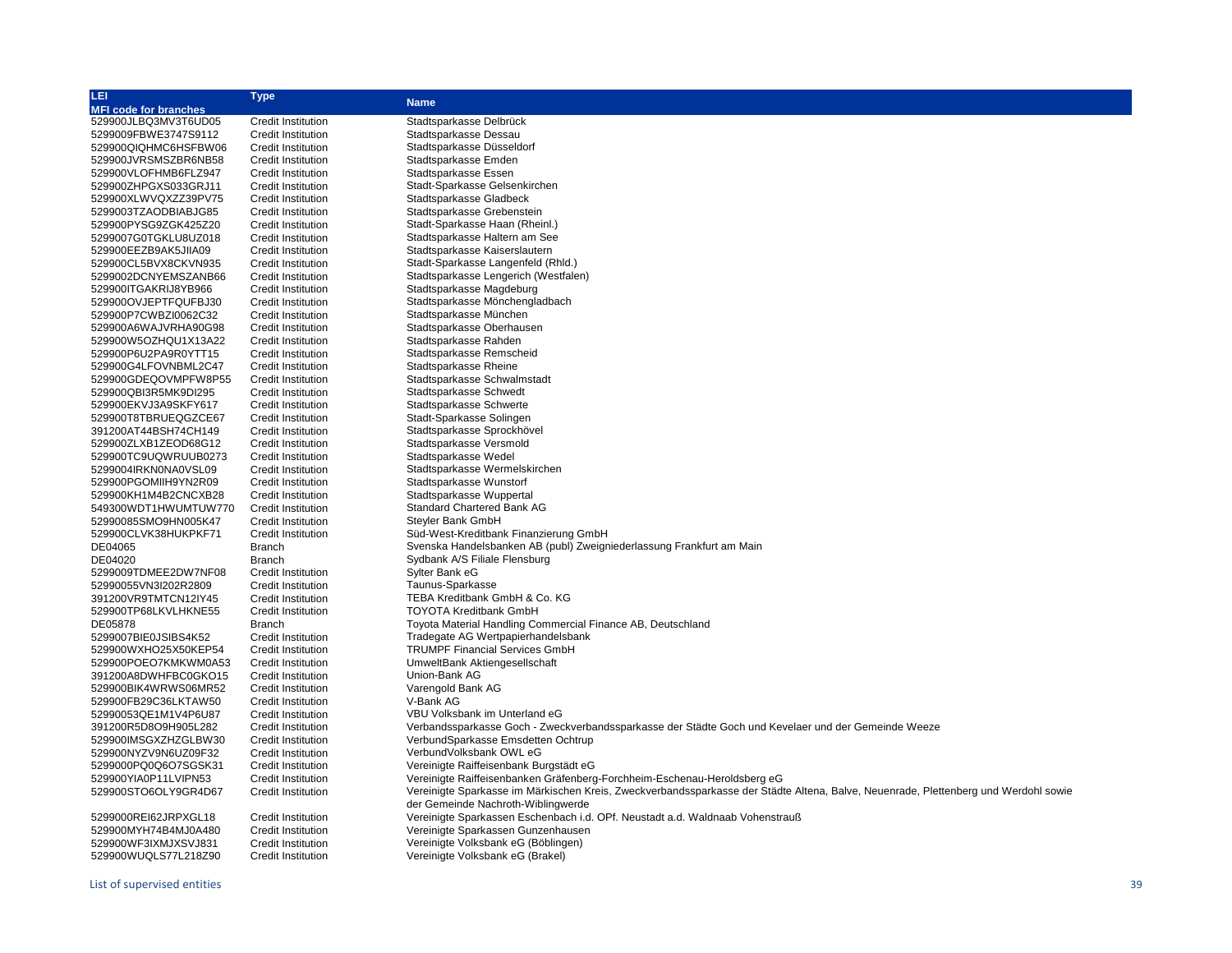| LEI                             | <b>Type</b>               |                                                                                                                                     |
|---------------------------------|---------------------------|-------------------------------------------------------------------------------------------------------------------------------------|
| <b>MFI code for branches</b>    |                           | <b>Name</b>                                                                                                                         |
| 529900JLBQ3MV3T6UD05            | <b>Credit Institution</b> | Stadtsparkasse Delbrück                                                                                                             |
| 5299009FBWE3747S9112            | <b>Credit Institution</b> | Stadtsparkasse Dessau                                                                                                               |
| 529900QIQHMC6HSFBW06            | <b>Credit Institution</b> | Stadtsparkasse Düsseldorf                                                                                                           |
| 529900JVRSMSZBR6NB58            | <b>Credit Institution</b> | Stadtsparkasse Emden                                                                                                                |
| 529900VLOFHMB6FLZ947            | <b>Credit Institution</b> | Stadtsparkasse Essen                                                                                                                |
| 529900ZHPGXS033GRJ11            | <b>Credit Institution</b> | Stadt-Sparkasse Gelsenkirchen                                                                                                       |
| 529900XLWVQXZZ39PV75            | <b>Credit Institution</b> | Stadtsparkasse Gladbeck                                                                                                             |
| 5299003TZAODBIABJG85            | <b>Credit Institution</b> | Stadtsparkasse Grebenstein                                                                                                          |
| 529900PYSG9ZGK425Z20            | <b>Credit Institution</b> | Stadt-Sparkasse Haan (Rheinl.)                                                                                                      |
| 5299007G0TGKLU8UZ018            | <b>Credit Institution</b> | Stadtsparkasse Haltern am See                                                                                                       |
|                                 | <b>Credit Institution</b> | Stadtsparkasse Kaiserslautern                                                                                                       |
| 529900EEZB9AK5JIIA09            |                           |                                                                                                                                     |
| 529900CL5BVX8CKVN935            | <b>Credit Institution</b> | Stadt-Sparkasse Langenfeld (Rhld.)                                                                                                  |
| 5299002DCNYEMSZANB66            | <b>Credit Institution</b> | Stadtsparkasse Lengerich (Westfalen)                                                                                                |
| 529900ITGAKRIJ8YB966            | <b>Credit Institution</b> | Stadtsparkasse Magdeburg                                                                                                            |
| 529900OVJEPTFQUFBJ30            | <b>Credit Institution</b> | Stadtsparkasse Mönchengladbach                                                                                                      |
| 529900P7CWBZI0062C32            | <b>Credit Institution</b> | Stadtsparkasse München                                                                                                              |
| 529900A6WAJVRHA90G98            | <b>Credit Institution</b> | Stadtsparkasse Oberhausen                                                                                                           |
| 529900W5OZHQU1X13A22            | <b>Credit Institution</b> | Stadtsparkasse Rahden                                                                                                               |
| 529900P6U2PA9R0YTT15            | <b>Credit Institution</b> | Stadtsparkasse Remscheid                                                                                                            |
| 529900G4LFOVNBML2C47            | Credit Institution        | Stadtsparkasse Rheine                                                                                                               |
| 529900GDEQOVMPFW8P55            | <b>Credit Institution</b> | Stadtsparkasse Schwalmstadt                                                                                                         |
| 529900QBI3R5MK9DI295            | <b>Credit Institution</b> | Stadtsparkasse Schwedt                                                                                                              |
| 529900EKVJ3A9SKFY617            | <b>Credit Institution</b> | Stadtsparkasse Schwerte                                                                                                             |
| 529900T8TBRUEQGZCE67            | <b>Credit Institution</b> | Stadt-Sparkasse Solingen                                                                                                            |
| 391200AT44BSH74CH149            | <b>Credit Institution</b> | Stadtsparkasse Sprockhövel                                                                                                          |
| 529900ZLXB1ZEOD68G12            | <b>Credit Institution</b> | Stadtsparkasse Versmold                                                                                                             |
| 529900TC9UQWRUUB0273            | <b>Credit Institution</b> | Stadtsparkasse Wedel                                                                                                                |
| 5299004IRKN0NA0VSL09            | <b>Credit Institution</b> | Stadtsparkasse Wermelskirchen                                                                                                       |
| 529900PGOMIIH9YN2R09            | <b>Credit Institution</b> | Stadtsparkasse Wunstorf                                                                                                             |
| 529900KH1M4B2CNCXB28            | <b>Credit Institution</b> | Stadtsparkasse Wuppertal                                                                                                            |
| 549300WDT1HWUMTUW770            | <b>Credit Institution</b> | Standard Chartered Bank AG                                                                                                          |
| 52990085SMO9HN005K47            | <b>Credit Institution</b> | Steyler Bank GmbH                                                                                                                   |
| 529900CLVK38HUKPKF71            | <b>Credit Institution</b> | Süd-West-Kreditbank Finanzierung GmbH                                                                                               |
| DE04065                         | <b>Branch</b>             | Svenska Handelsbanken AB (publ) Zweigniederlassung Frankfurt am Main                                                                |
| DE04020                         | <b>Branch</b>             | Sydbank A/S Filiale Flensburg                                                                                                       |
| 5299009TDMEE2DW7NF08            | <b>Credit Institution</b> | Sylter Bank eG                                                                                                                      |
| 52990055VN3I202R2809            | <b>Credit Institution</b> | Taunus-Sparkasse                                                                                                                    |
| 391200VR9TMTCN12IY45            | Credit Institution        | TEBA Kreditbank GmbH & Co. KG                                                                                                       |
|                                 |                           | <b>TOYOTA Kreditbank GmbH</b>                                                                                                       |
| 529900TP68LKVLHKNE55<br>DE05878 | Credit Institution        |                                                                                                                                     |
|                                 | <b>Branch</b>             | Toyota Material Handling Commercial Finance AB, Deutschland                                                                         |
| 5299007BIE0JSIBS4K52            | <b>Credit Institution</b> | Tradegate AG Wertpapierhandelsbank                                                                                                  |
| 529900WXHO25X50KEP54            | <b>Credit Institution</b> | <b>TRUMPF Financial Services GmbH</b>                                                                                               |
| 529900POEO7KMKWM0A53            | <b>Credit Institution</b> | UmweltBank Aktiengesellschaft                                                                                                       |
| 391200A8DWHFBC0GKO15            | <b>Credit Institution</b> | Union-Bank AG                                                                                                                       |
| 529900BIK4WRWS06MR52            | <b>Credit Institution</b> | Varengold Bank AG                                                                                                                   |
| 529900FB29C36LKTAW50            | Credit Institution        | V-Bank AG                                                                                                                           |
| 52990053QE1M1V4P6U87            | Credit Institution        | VBU Volksbank im Unterland eG                                                                                                       |
| 391200R5D8O9H905L282            | <b>Credit Institution</b> | Verbandssparkasse Goch - Zweckverbandssparkasse der Städte Goch und Kevelaer und der Gemeinde Weeze                                 |
| 529900IMSGXZHZGLBW30            | <b>Credit Institution</b> | VerbundSparkasse Emsdetten Ochtrup                                                                                                  |
| 529900NYZV9N6UZ09F32            | <b>Credit Institution</b> | VerbundVolksbank OWL eG                                                                                                             |
| 5299000PQ0Q6O7SGSK31            | <b>Credit Institution</b> | Vereinigte Raiffeisenbank Burgstädt eG                                                                                              |
| 529900YIA0P11LVIPN53            | <b>Credit Institution</b> | Vereinigte Raiffeisenbanken Gräfenberg-Forchheim-Eschenau-Heroldsberg eG                                                            |
| 529900STO6OLY9GR4D67            | Credit Institution        | Vereinigte Sparkasse im Märkischen Kreis, Zweckverbandssparkasse der Städte Altena, Balve, Neuenrade, Plettenberg und Werdohl sowie |
|                                 |                           | der Gemeinde Nachroth-Wiblingwerde                                                                                                  |
| 5299000REI62JRPXGL18            | Credit Institution        | Vereinigte Sparkassen Eschenbach i.d. OPf. Neustadt a.d. Waldnaab Vohenstrauß                                                       |
| 529900MYH74B4MJ0A480            | <b>Credit Institution</b> | Vereinigte Sparkassen Gunzenhausen                                                                                                  |
| 529900WF3IXMJXSVJ831            | <b>Credit Institution</b> | Vereinigte Volksbank eG (Böblingen)                                                                                                 |
| 529900WUQLS77L218Z90            | <b>Credit Institution</b> | Vereinigte Volksbank eG (Brakel)                                                                                                    |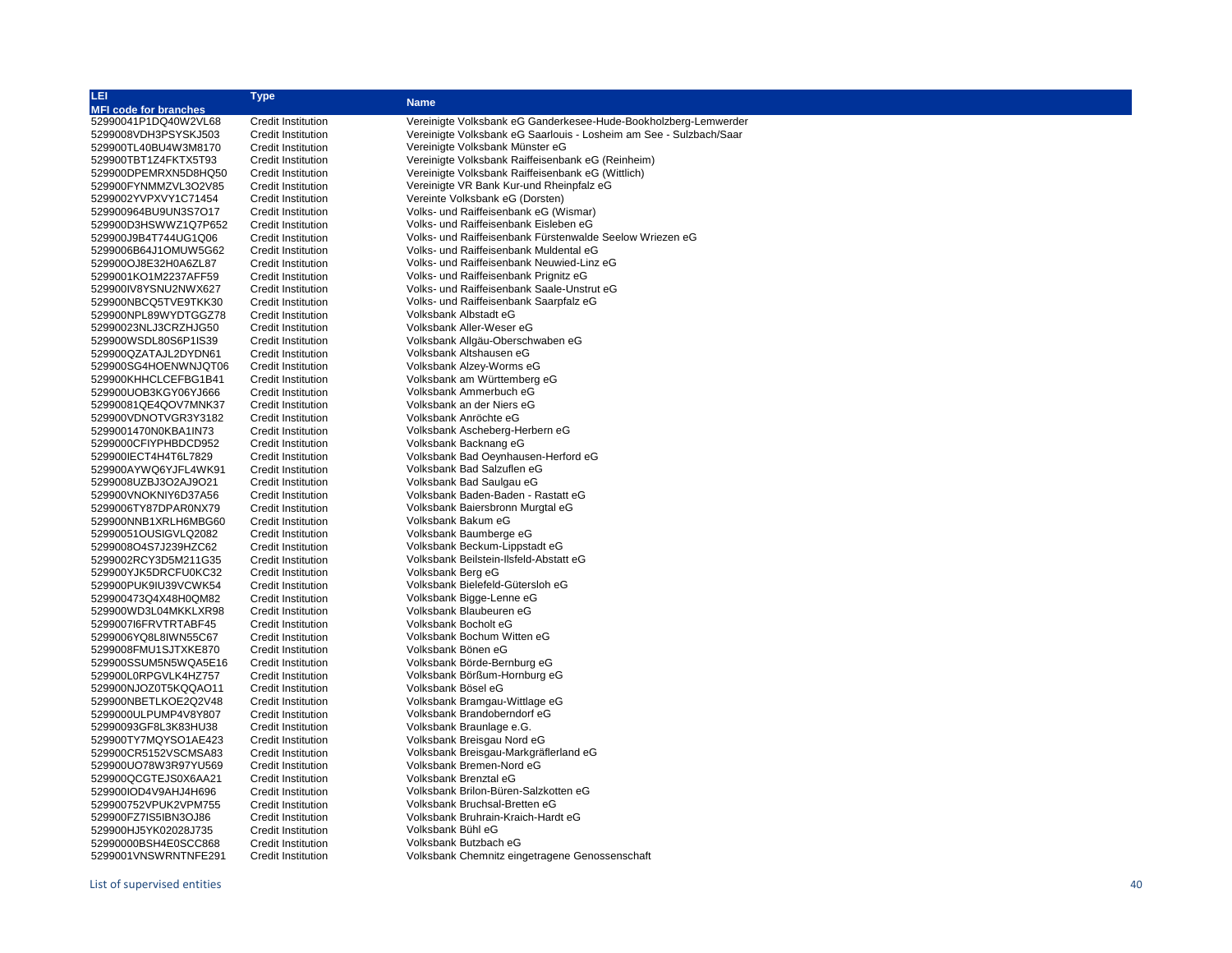| LEI                          | <b>Type</b>               |                                                                    |
|------------------------------|---------------------------|--------------------------------------------------------------------|
| <b>MFI code for branches</b> |                           | <b>Name</b>                                                        |
| 52990041P1DQ40W2VL68         | <b>Credit Institution</b> | Vereinigte Volksbank eG Ganderkesee-Hude-Bookholzberg-Lemwerder    |
| 5299008VDH3PSYSKJ503         | <b>Credit Institution</b> | Vereinigte Volksbank eG Saarlouis - Losheim am See - Sulzbach/Saar |
| 529900TL40BU4W3M8170         | <b>Credit Institution</b> | Vereinigte Volksbank Münster eG                                    |
| 529900TBT1Z4FKTX5T93         | <b>Credit Institution</b> | Vereinigte Volksbank Raiffeisenbank eG (Reinheim)                  |
| 529900DPEMRXN5D8HQ50         | <b>Credit Institution</b> | Vereinigte Volksbank Raiffeisenbank eG (Wittlich)                  |
| 529900FYNMMZVL3O2V85         | <b>Credit Institution</b> | Vereinigte VR Bank Kur-und Rheinpfalz eG                           |
| 5299002YVPXVY1C71454         | <b>Credit Institution</b> | Vereinte Volksbank eG (Dorsten)                                    |
| 529900964BU9UN3S7O17         | <b>Credit Institution</b> | Volks- und Raiffeisenbank eG (Wismar)                              |
| 529900D3HSWWZ1Q7P652         | <b>Credit Institution</b> | Volks- und Raiffeisenbank Eisleben eG                              |
|                              |                           | Volks- und Raiffeisenbank Fürstenwalde Seelow Wriezen eG           |
| 529900J9B4T744UG1Q06         | <b>Credit Institution</b> |                                                                    |
| 5299006B64J1OMUW5G62         | Credit Institution        | Volks- und Raiffeisenbank Muldental eG                             |
| 529900OJ8E32H0A6ZL87         | <b>Credit Institution</b> | Volks- und Raiffeisenbank Neuwied-Linz eG                          |
| 5299001KO1M2237AFF59         | <b>Credit Institution</b> | Volks- und Raiffeisenbank Prignitz eG                              |
| 529900IV8YSNU2NWX627         | <b>Credit Institution</b> | Volks- und Raiffeisenbank Saale-Unstrut eG                         |
| 529900NBCQ5TVE9TKK30         | <b>Credit Institution</b> | Volks- und Raiffeisenbank Saarpfalz eG                             |
| 529900NPL89WYDTGGZ78         | <b>Credit Institution</b> | Volksbank Albstadt eG                                              |
| 52990023NLJ3CRZHJG50         | <b>Credit Institution</b> | Volksbank Aller-Weser eG                                           |
| 529900WSDL80S6P1IS39         | <b>Credit Institution</b> | Volksbank Allgäu-Oberschwaben eG                                   |
| 529900QZATAJL2DYDN61         | <b>Credit Institution</b> | Volksbank Altshausen eG                                            |
| 529900SG4HOENWNJQT06         | <b>Credit Institution</b> | Volksbank Alzey-Worms eG                                           |
| 529900KHHCLCEFBG1B41         | <b>Credit Institution</b> | Volksbank am Württemberg eG                                        |
| 529900UOB3KGY06YJ666         | <b>Credit Institution</b> | Volksbank Ammerbuch eG                                             |
| 52990081QE4QOV7MNK37         | Credit Institution        | Volksbank an der Niers eG                                          |
| 529900VDNOTVGR3Y3182         | <b>Credit Institution</b> | Volksbank Anröchte eG                                              |
| 5299001470N0KBA1IN73         | <b>Credit Institution</b> | Volksbank Ascheberg-Herbern eG                                     |
| 5299000CFIYPHBDCD952         | <b>Credit Institution</b> | Volksbank Backnang eG                                              |
| 529900IECT4H4T6L7829         | Credit Institution        | Volksbank Bad Oeynhausen-Herford eG                                |
| 529900AYWQ6YJFL4WK91         | <b>Credit Institution</b> | Volksbank Bad Salzuflen eG                                         |
| 5299008UZBJ3O2AJ9O21         | <b>Credit Institution</b> | Volksbank Bad Saulgau eG                                           |
| 529900VNOKNIY6D37A56         | <b>Credit Institution</b> | Volksbank Baden-Baden - Rastatt eG                                 |
| 5299006TY87DPAR0NX79         | <b>Credit Institution</b> | Volksbank Baiersbronn Murgtal eG                                   |
|                              |                           | Volksbank Bakum eG                                                 |
| 529900NNB1XRLH6MBG60         | <b>Credit Institution</b> |                                                                    |
| 52990051OUSIGVLQ2082         | <b>Credit Institution</b> | Volksbank Baumberge eG                                             |
| 5299008O4S7J239HZC62         | <b>Credit Institution</b> | Volksbank Beckum-Lippstadt eG                                      |
| 5299002RCY3D5M211G35         | <b>Credit Institution</b> | Volksbank Beilstein-Ilsfeld-Abstatt eG                             |
| 529900YJK5DRCFU0KC32         | <b>Credit Institution</b> | Volksbank Berg eG                                                  |
| 529900PUK9IU39VCWK54         | <b>Credit Institution</b> | Volksbank Bielefeld-Gütersloh eG                                   |
| 529900473Q4X48H0QM82         | <b>Credit Institution</b> | Volksbank Bigge-Lenne eG                                           |
| 529900WD3L04MKKLXR98         | Credit Institution        | Volksbank Blaubeuren eG                                            |
| 5299007I6FRVTRTABF45         | <b>Credit Institution</b> | Volksbank Bocholt eG                                               |
| 5299006YQ8L8IWN55C67         | <b>Credit Institution</b> | Volksbank Bochum Witten eG                                         |
| 5299008FMU1SJTXKE870         | <b>Credit Institution</b> | Volksbank Bönen eG                                                 |
| 529900SSUM5N5WQA5E16         | Credit Institution        | Volksbank Börde-Bernburg eG                                        |
| 529900L0RPGVLK4HZ757         | <b>Credit Institution</b> | Volksbank Börßum-Hornburg eG                                       |
| 529900NJOZ0T5KQQAO11         | <b>Credit Institution</b> | Volksbank Bösel eG                                                 |
| 529900NBETLKOE2Q2V48         | <b>Credit Institution</b> | Volksbank Bramgau-Wittlage eG                                      |
| 5299000ULPUMP4V8Y807         | <b>Credit Institution</b> | Volksbank Brandoberndorf eG                                        |
| 52990093GF8L3K83HU38         | <b>Credit Institution</b> | Volksbank Braunlage e.G.                                           |
| 529900TY7MQYSO1AE423         | <b>Credit Institution</b> | Volksbank Breisgau Nord eG                                         |
| 529900CR5152VSCMSA83         | <b>Credit Institution</b> | Volksbank Breisgau-Markgräflerland eG                              |
| 529900UO78W3R97YU569         | <b>Credit Institution</b> | Volksbank Bremen-Nord eG                                           |
| 529900QCGTEJS0X6AA21         | <b>Credit Institution</b> | Volksbank Brenztal eG                                              |
| 529900IOD4V9AHJ4H696         | Credit Institution        | Volksbank Brilon-Büren-Salzkotten eG                               |
| 529900752VPUK2VPM755         | <b>Credit Institution</b> | Volksbank Bruchsal-Bretten eG                                      |
| 529900FZ7IS5IBN3OJ86         | <b>Credit Institution</b> | Volksbank Bruhrain-Kraich-Hardt eG                                 |
| 529900HJ5YK02028J735         | <b>Credit Institution</b> | Volksbank Bühl eG                                                  |
| 52990000BSH4E0SCC868         | <b>Credit Institution</b> | Volksbank Butzbach eG                                              |
| 5299001VNSWRNTNFE291         | <b>Credit Institution</b> | Volksbank Chemnitz eingetragene Genossenschaft                     |
|                              |                           |                                                                    |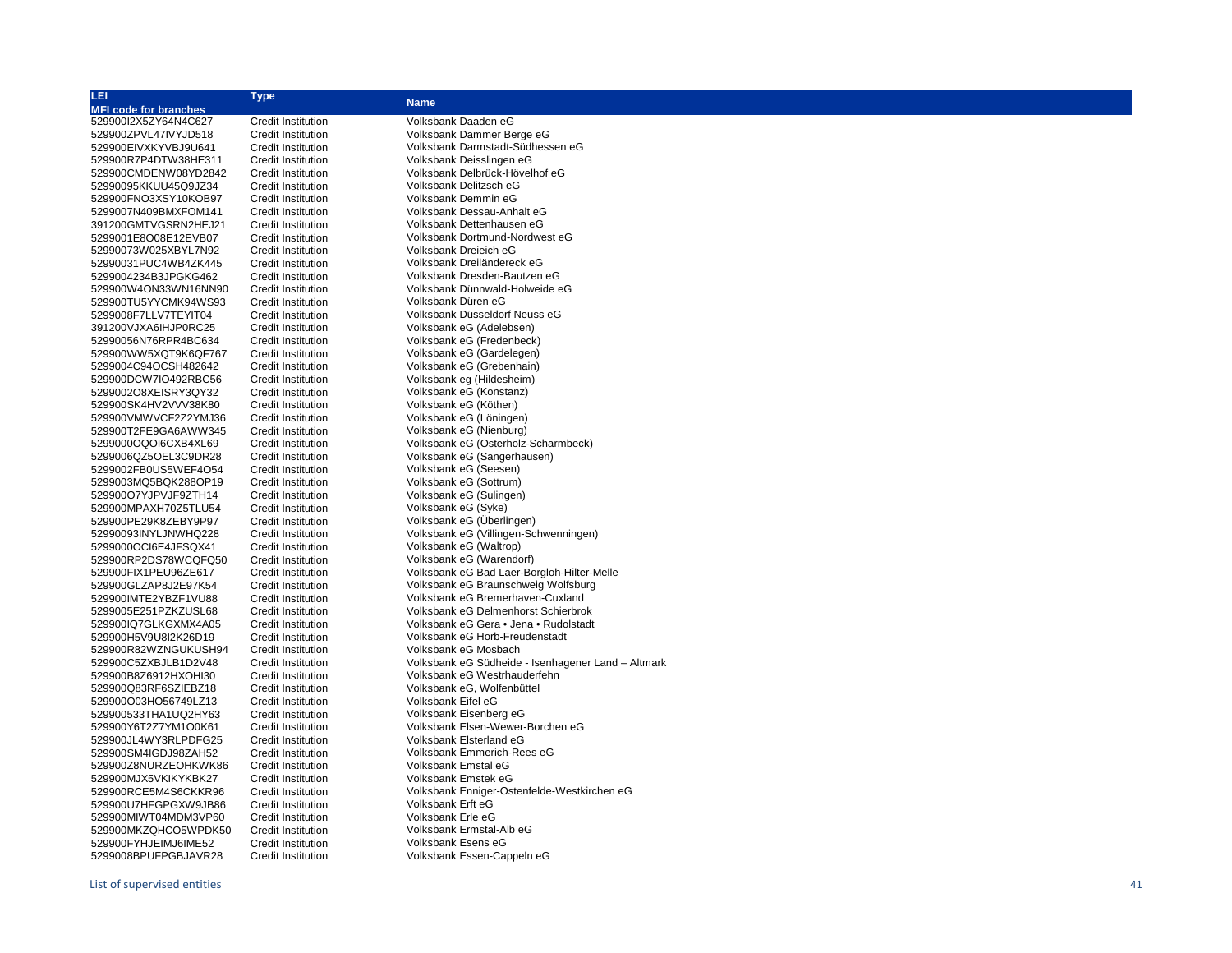| LEI                          | <b>Type</b>               | <b>Name</b>                                        |
|------------------------------|---------------------------|----------------------------------------------------|
| <b>MFI code for branches</b> |                           |                                                    |
| 529900I2X5ZY64N4C627         | <b>Credit Institution</b> | Volksbank Daaden eG                                |
| 529900ZPVL47IVYJD518         | <b>Credit Institution</b> | Volksbank Dammer Berge eG                          |
| 529900EIVXKYVBJ9U641         | <b>Credit Institution</b> | Volksbank Darmstadt-Südhessen eG                   |
| 529900R7P4DTW38HE311         | <b>Credit Institution</b> | Volksbank Deisslingen eG                           |
| 529900CMDENW08YD2842         | <b>Credit Institution</b> | Volksbank Delbrück-Hövelhof eG                     |
| 52990095KKUU45Q9JZ34         | <b>Credit Institution</b> | Volksbank Delitzsch eG                             |
| 529900FNO3XSY10KOB97         | <b>Credit Institution</b> | Volksbank Demmin eG                                |
| 5299007N409BMXFOM141         | <b>Credit Institution</b> | Volksbank Dessau-Anhalt eG                         |
| 391200GMTVGSRN2HEJ21         | <b>Credit Institution</b> | Volksbank Dettenhausen eG                          |
| 5299001E8O08E12EVB07         | <b>Credit Institution</b> | Volksbank Dortmund-Nordwest eG                     |
| 52990073W025XBYL7N92         | Credit Institution        | Volksbank Dreieich eG                              |
| 52990031PUC4WB4ZK445         | <b>Credit Institution</b> | Volksbank Dreiländereck eG                         |
| 5299004234B3JPGKG462         | <b>Credit Institution</b> | Volksbank Dresden-Bautzen eG                       |
| 529900W4ON33WN16NN90         | <b>Credit Institution</b> | Volksbank Dünnwald-Holweide eG                     |
| 529900TU5YYCMK94WS93         | <b>Credit Institution</b> | Volksbank Düren eG                                 |
| 5299008F7LLV7TEYIT04         | <b>Credit Institution</b> | Volksbank Düsseldorf Neuss eG                      |
| 391200VJXA6IHJP0RC25         | <b>Credit Institution</b> | Volksbank eG (Adelebsen)                           |
| 52990056N76RPR4BC634         | <b>Credit Institution</b> | Volksbank eG (Fredenbeck)                          |
| 529900WW5XQT9K6QF767         | Credit Institution        | Volksbank eG (Gardelegen)                          |
| 5299004C94OCSH482642         | <b>Credit Institution</b> | Volksbank eG (Grebenhain)                          |
| 529900DCW7IO492RBC56         | <b>Credit Institution</b> | Volksbank eg (Hildesheim)                          |
| 5299002O8XEISRY3QY32         | <b>Credit Institution</b> | Volksbank eG (Konstanz)                            |
| 529900SK4HV2VVV38K80         | <b>Credit Institution</b> | Volksbank eG (Köthen)                              |
| 529900VMWVCF2Z2YMJ36         | <b>Credit Institution</b> | Volksbank eG (Löningen)                            |
| 529900T2FE9GA6AWW345         | <b>Credit Institution</b> | Volksbank eG (Nienburg)                            |
| 5299000OQOI6CXB4XL69         | <b>Credit Institution</b> | Volksbank eG (Osterholz-Scharmbeck)                |
| 5299006QZ5OEL3C9DR28         | <b>Credit Institution</b> | Volksbank eG (Sangerhausen)                        |
| 5299002FB0US5WEF4O54         | <b>Credit Institution</b> | Volksbank eG (Seesen)                              |
| 5299003MQ5BQK288OP19         | <b>Credit Institution</b> | Volksbank eG (Sottrum)                             |
| 529900O7YJPVJF9ZTH14         | <b>Credit Institution</b> | Volksbank eG (Sulingen)                            |
| 529900MPAXH70Z5TLU54         | <b>Credit Institution</b> | Volksbank eG (Syke)                                |
| 529900PE29K8ZEBY9P97         | <b>Credit Institution</b> | Volksbank eG (Uberlingen)                          |
| 52990093INYLJNWHQ228         | <b>Credit Institution</b> | Volksbank eG (Villingen-Schwenningen)              |
| 5299000OCI6E4JFSQX41         | Credit Institution        | Volksbank eG (Waltrop)                             |
| 529900RP2DS78WCQFQ50         | <b>Credit Institution</b> | Volksbank eG (Warendorf)                           |
| 529900FIX1PEU96ZE617         | <b>Credit Institution</b> | Volksbank eG Bad Laer-Borgloh-Hilter-Melle         |
| 529900GLZAP8J2E97K54         | <b>Credit Institution</b> | Volksbank eG Braunschweig Wolfsburg                |
| 529900IMTE2YBZF1VU88         | <b>Credit Institution</b> | Volksbank eG Bremerhaven-Cuxland                   |
| 5299005E251PZKZUSL68         | <b>Credit Institution</b> | Volksbank eG Delmenhorst Schierbrok                |
| 529900IQ7GLKGXMX4A05         | <b>Credit Institution</b> | Volksbank eG Gera • Jena • Rudolstadt              |
| 529900H5V9U8I2K26D19         | <b>Credit Institution</b> | Volksbank eG Horb-Freudenstadt                     |
| 529900R82WZNGUKUSH94         | <b>Credit Institution</b> | Volksbank eG Mosbach                               |
| 529900C5ZXBJLB1D2V48         | <b>Credit Institution</b> | Volksbank eG Südheide - Isenhagener Land - Altmark |
| 529900B8Z6912HXOHI30         | <b>Credit Institution</b> | Volksbank eG Westrhauderfehn                       |
| 529900Q83RF6SZIEBZ18         | <b>Credit Institution</b> | Volksbank eG, Wolfenbüttel                         |
| 529900O03HO56749LZ13         | <b>Credit Institution</b> | Volksbank Eifel eG                                 |
| 529900533THA1UQ2HY63         | <b>Credit Institution</b> | Volksbank Eisenberg eG                             |
| 529900Y6T2Z7YM1O0K61         | <b>Credit Institution</b> | Volksbank Elsen-Wewer-Borchen eG                   |
| 529900JL4WY3RLPDFG25         | <b>Credit Institution</b> | Volksbank Elsterland eG                            |
| 529900SM4IGDJ98ZAH52         | <b>Credit Institution</b> | Volksbank Emmerich-Rees eG                         |
| 529900Z8NURZEOHKWK86         | Credit Institution        | Volksbank Emstal eG                                |
| 529900MJX5VKIKYKBK27         | Credit Institution        | Volksbank Emstek eG                                |
| 529900RCE5M4S6CKKR96         | <b>Credit Institution</b> | Volksbank Enniger-Ostenfelde-Westkirchen eG        |
| 529900U7HFGPGXW9JB86         | Credit Institution        | Volksbank Erft eG                                  |
| 529900MIWT04MDM3VP60         | <b>Credit Institution</b> | Volksbank Erle eG                                  |
| 529900MKZQHCO5WPDK50         | <b>Credit Institution</b> | Volksbank Ermstal-Alb eG                           |
| 529900FYHJEIMJ6IME52         | <b>Credit Institution</b> | Volksbank Esens eG                                 |
| 5299008BPUFPGBJAVR28         | <b>Credit Institution</b> | Volksbank Essen-Cappeln eG                         |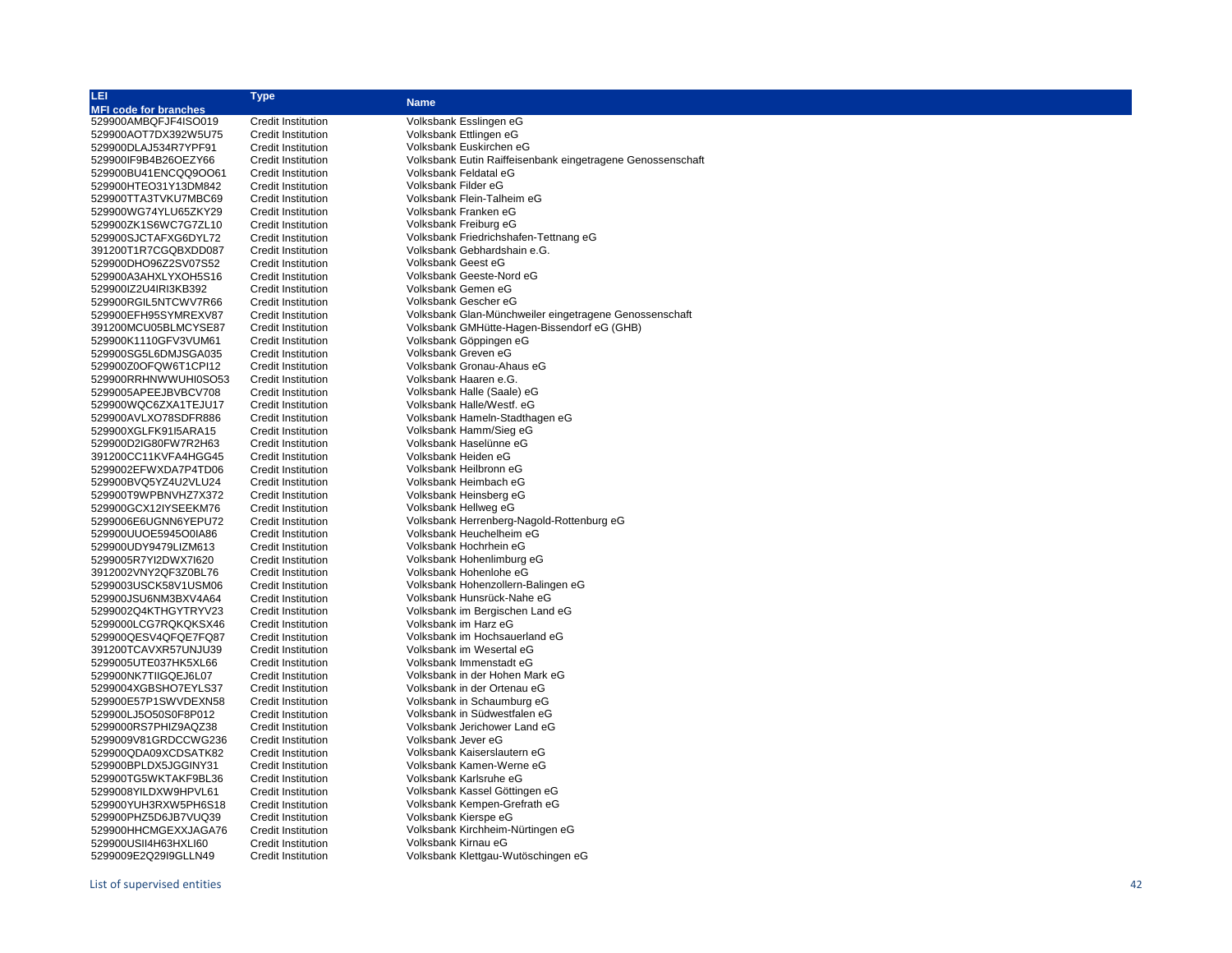| LEI                          | Type                      | <b>Name</b>                                                |
|------------------------------|---------------------------|------------------------------------------------------------|
| <b>MFI code for branches</b> |                           |                                                            |
| 529900AMBQFJF4ISO019         | <b>Credit Institution</b> | Volksbank Esslingen eG                                     |
| 529900AOT7DX392W5U75         | <b>Credit Institution</b> | Volksbank Ettlingen eG                                     |
| 529900DLAJ534R7YPF91         | <b>Credit Institution</b> | Volksbank Euskirchen eG                                    |
| 529900IF9B4B26OEZY66         | <b>Credit Institution</b> | Volksbank Eutin Raiffeisenbank eingetragene Genossenschaft |
| 529900BU41ENCQQ9OO61         | <b>Credit Institution</b> | Volksbank Feldatal eG                                      |
| 529900HTEO31Y13DM842         | <b>Credit Institution</b> | Volksbank Filder eG                                        |
| 529900TTA3TVKU7MBC69         | <b>Credit Institution</b> | Volksbank Flein-Talheim eG                                 |
| 529900WG74YLU65ZKY29         | <b>Credit Institution</b> | Volksbank Franken eG                                       |
| 529900ZK1S6WC7G7ZL10         | <b>Credit Institution</b> | Volksbank Freiburg eG                                      |
| 529900SJCTAFXG6DYL72         | <b>Credit Institution</b> | Volksbank Friedrichshafen-Tettnang eG                      |
| 391200T1R7CGQBXDD087         | <b>Credit Institution</b> | Volksbank Gebhardshain e.G.                                |
| 529900DHO96Z2SV07S52         | <b>Credit Institution</b> | Volksbank Geest eG                                         |
| 529900A3AHXLYXOH5S16         | <b>Credit Institution</b> | Volksbank Geeste-Nord eG                                   |
| 529900IZ2U4IRI3KB392         | <b>Credit Institution</b> | Volksbank Gemen eG                                         |
| 529900RGIL5NTCWV7R66         | <b>Credit Institution</b> | Volksbank Gescher eG                                       |
| 529900EFH95SYMREXV87         | <b>Credit Institution</b> | Volksbank Glan-Münchweiler eingetragene Genossenschaft     |
| 391200MCU05BLMCYSE87         | <b>Credit Institution</b> | Volksbank GMHütte-Hagen-Bissendorf eG (GHB)                |
| 529900K1110GFV3VUM61         | <b>Credit Institution</b> | Volksbank Göppingen eG                                     |
| 529900SG5L6DMJSGA035         | <b>Credit Institution</b> | Volksbank Greven eG                                        |
| 529900Z0OFQW6T1CPI12         | <b>Credit Institution</b> | Volksbank Gronau-Ahaus eG                                  |
| 529900RRHNWWUHI0SO53         | <b>Credit Institution</b> | Volksbank Haaren e.G.                                      |
| 5299005APEEJBVBCV708         | <b>Credit Institution</b> | Volksbank Halle (Saale) eG                                 |
| 529900WQC6ZXA1TEJU17         | <b>Credit Institution</b> | Volksbank Halle/Westf. eG                                  |
| 529900AVLXO78SDFR886         | <b>Credit Institution</b> | Volksbank Hameln-Stadthagen eG                             |
| 529900XGLFK91I5ARA15         | <b>Credit Institution</b> | Volksbank Hamm/Sieg eG                                     |
| 529900D2IG80FW7R2H63         | <b>Credit Institution</b> | Volksbank Haselünne eG                                     |
|                              | <b>Credit Institution</b> | Volksbank Heiden eG                                        |
| 391200CC11KVFA4HGG45         |                           | Volksbank Heilbronn eG                                     |
| 5299002EFWXDA7P4TD06         | <b>Credit Institution</b> |                                                            |
| 529900BVQ5YZ4U2VLU24         | <b>Credit Institution</b> | Volksbank Heimbach eG<br>Volksbank Heinsberg eG            |
| 529900T9WPBNVHZ7X372         | <b>Credit Institution</b> |                                                            |
| 529900GCX12IYSEEKM76         | <b>Credit Institution</b> | Volksbank Hellweg eG                                       |
| 5299006E6UGNN6YEPU72         | <b>Credit Institution</b> | Volksbank Herrenberg-Nagold-Rottenburg eG                  |
| 529900UUOE5945O0IA86         | <b>Credit Institution</b> | Volksbank Heuchelheim eG                                   |
| 529900UDY9479LIZM613         | <b>Credit Institution</b> | Volksbank Hochrhein eG                                     |
| 5299005R7YI2DWX7I620         | <b>Credit Institution</b> | Volksbank Hohenlimburg eG                                  |
| 3912002VNY2QF3Z0BL76         | <b>Credit Institution</b> | Volksbank Hohenlohe eG                                     |
| 5299003USCK58V1USM06         | <b>Credit Institution</b> | Volksbank Hohenzollern-Balingen eG                         |
| 529900JSU6NM3BXV4A64         | <b>Credit Institution</b> | Volksbank Hunsrück-Nahe eG                                 |
| 5299002Q4KTHGYTRYV23         | <b>Credit Institution</b> | Volksbank im Bergischen Land eG                            |
| 5299000LCG7RQKQKSX46         | <b>Credit Institution</b> | Volksbank im Harz eG                                       |
| 529900QESV4QFQE7FQ87         | <b>Credit Institution</b> | Volksbank im Hochsauerland eG                              |
| 391200TCAVXR57UNJU39         | <b>Credit Institution</b> | Volksbank im Wesertal eG                                   |
| 5299005UTE037HK5XL66         | <b>Credit Institution</b> | Volksbank Immenstadt eG                                    |
| 529900NK7TIIGQEJ6L07         | <b>Credit Institution</b> | Volksbank in der Hohen Mark eG                             |
| 5299004XGBSHO7EYLS37         | <b>Credit Institution</b> | Volksbank in der Ortenau eG                                |
| 529900E57P1SWVDEXN58         | <b>Credit Institution</b> | Volksbank in Schaumburg eG                                 |
| 529900LJ5O50S0F8P012         | <b>Credit Institution</b> | Volksbank in Südwestfalen eG                               |
| 5299000RS7PHIZ9AQZ38         | <b>Credit Institution</b> | Volksbank Jerichower Land eG                               |
| 5299009V81GRDCCWG236         | <b>Credit Institution</b> | Volksbank Jever eG                                         |
| 529900QDA09XCDSATK82         | <b>Credit Institution</b> | Volksbank Kaiserslautern eG                                |
| 529900BPLDX5JGGINY31         | <b>Credit Institution</b> | Volksbank Kamen-Werne eG                                   |
| 529900TG5WKTAKF9BL36         | Credit Institution        | Volksbank Karlsruhe eG                                     |
| 5299008YILDXW9HPVL61         | <b>Credit Institution</b> | Volksbank Kassel Göttingen eG                              |
| 529900YUH3RXW5PH6S18         | <b>Credit Institution</b> | Volksbank Kempen-Grefrath eG                               |
| 529900PHZ5D6JB7VUQ39         | <b>Credit Institution</b> | Volksbank Kierspe eG                                       |
| 529900HHCMGEXXJAGA76         | <b>Credit Institution</b> | Volksbank Kirchheim-Nürtingen eG                           |
| 529900USII4H63HXLI60         | <b>Credit Institution</b> | Volksbank Kirnau eG                                        |
| 5299009E2Q29l9GLLN49         | <b>Credit Institution</b> | Volksbank Klettgau-Wutöschingen eG                         |
|                              |                           |                                                            |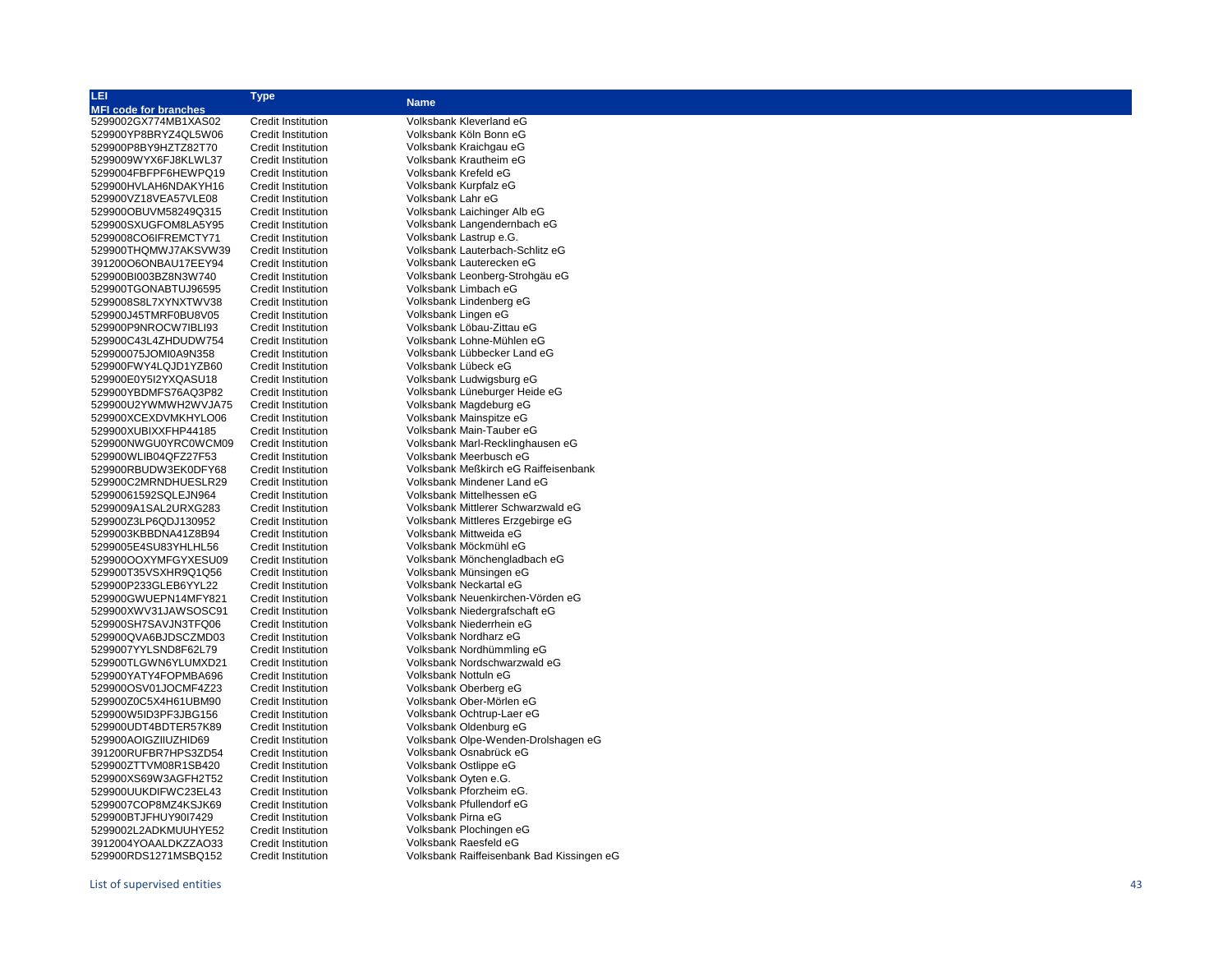| LEI                          | <b>Type</b>               |                                           |
|------------------------------|---------------------------|-------------------------------------------|
| <b>MFI code for branches</b> |                           | <b>Name</b>                               |
| 5299002GX774MB1XAS02         | <b>Credit Institution</b> | Volksbank Kleverland eG                   |
| 529900YP8BRYZ4QL5W06         | <b>Credit Institution</b> | Volksbank Köln Bonn eG                    |
| 529900P8BY9HZTZ82T70         | <b>Credit Institution</b> | Volksbank Kraichgau eG                    |
| 5299009WYX6FJ8KLWL37         | <b>Credit Institution</b> | Volksbank Krautheim eG                    |
| 5299004FBFPF6HEWPQ19         | <b>Credit Institution</b> | Volksbank Krefeld eG                      |
| 529900HVLAH6NDAKYH16         | <b>Credit Institution</b> | Volksbank Kurpfalz eG                     |
| 529900VZ18VEA57VLE08         | <b>Credit Institution</b> | Volksbank Lahr eG                         |
| 529900OBUVM58249Q315         | <b>Credit Institution</b> | Volksbank Laichinger Alb eG               |
| 529900SXUGFOM8LA5Y95         | <b>Credit Institution</b> | Volksbank Langendernbach eG               |
| 5299008CO6IFREMCTY71         | <b>Credit Institution</b> | Volksbank Lastrup e.G.                    |
| 529900THQMWJ7AKSVW39         | <b>Credit Institution</b> | Volksbank Lauterbach-Schlitz eG           |
| 391200O6ONBAU17EEY94         | <b>Credit Institution</b> | Volksbank Lauterecken eG                  |
| 529900BI003BZ8N3W740         | <b>Credit Institution</b> | Volksbank Leonberg-Strohgäu eG            |
| 529900TGONABTUJ96595         | <b>Credit Institution</b> | Volksbank Limbach eG                      |
| 5299008S8L7XYNXTWV38         | <b>Credit Institution</b> | Volksbank Lindenberg eG                   |
| 529900J45TMRF0BU8V05         | <b>Credit Institution</b> | Volksbank Lingen eG                       |
| 529900P9NROCW7IBLI93         | <b>Credit Institution</b> | Volksbank Löbau-Zittau eG                 |
| 529900C43L4ZHDUDW754         | <b>Credit Institution</b> | Volksbank Lohne-Mühlen eG                 |
| 529900075JOMI0A9N358         | <b>Credit Institution</b> | Volksbank Lübbecker Land eG               |
| 529900FWY4LQJD1YZB60         | <b>Credit Institution</b> | Volksbank Lübeck eG                       |
| 529900E0Y5I2YXQASU18         | <b>Credit Institution</b> | Volksbank Ludwigsburg eG                  |
| 529900YBDMFS76AQ3P82         | <b>Credit Institution</b> | Volksbank Lüneburger Heide eG             |
| 529900U2YWMWH2WVJA75         | <b>Credit Institution</b> | Volksbank Magdeburg eG                    |
| 529900XCEXDVMKHYLO06         | <b>Credit Institution</b> | Volksbank Mainspitze eG                   |
| 529900XUBIXXFHP44185         | <b>Credit Institution</b> | Volksbank Main-Tauber eG                  |
| 529900NWGU0YRC0WCM09         | <b>Credit Institution</b> | Volksbank Marl-Recklinghausen eG          |
| 529900WLIB04QFZ27F53         | <b>Credit Institution</b> | Volksbank Meerbusch eG                    |
| 529900RBUDW3EK0DFY68         | <b>Credit Institution</b> | Volksbank Meßkirch eG Raiffeisenbank      |
| 529900C2MRNDHUESLR29         | <b>Credit Institution</b> | Volksbank Mindener Land eG                |
| 52990061592SQLEJN964         | <b>Credit Institution</b> | Volksbank Mittelhessen eG                 |
| 5299009A1SAL2URXG283         | <b>Credit Institution</b> | Volksbank Mittlerer Schwarzwald eG        |
| 529900Z3LP6QDJ130952         | <b>Credit Institution</b> | Volksbank Mittleres Erzgebirge eG         |
| 5299003KBBDNA41Z8B94         | <b>Credit Institution</b> | Volksbank Mittweida eG                    |
| 5299005E4SU83YHLHL56         | <b>Credit Institution</b> | Volksbank Möckmühl eG                     |
| 529900OOXYMFGYXESU09         | <b>Credit Institution</b> | Volksbank Mönchengladbach eG              |
| 529900T35VSXHR9Q1Q56         | <b>Credit Institution</b> | Volksbank Münsingen eG                    |
| 529900P233GLEB6YYL22         | <b>Credit Institution</b> | Volksbank Neckartal eG                    |
| 529900GWUEPN14MFY821         | <b>Credit Institution</b> | Volksbank Neuenkirchen-Vörden eG          |
| 529900XWV31JAWSOSC91         | <b>Credit Institution</b> | Volksbank Niedergrafschaft eG             |
| 529900SH7SAVJN3TFQ06         | <b>Credit Institution</b> | Volksbank Niederrhein eG                  |
| 529900QVA6BJDSCZMD03         | <b>Credit Institution</b> | Volksbank Nordharz eG                     |
| 5299007YYLSND8F62L79         | <b>Credit Institution</b> | Volksbank Nordhümmling eG                 |
| 529900TLGWN6YLUMXD21         | <b>Credit Institution</b> | Volksbank Nordschwarzwald eG              |
| 529900YATY4FOPMBA696         | <b>Credit Institution</b> | Volksbank Nottuln eG                      |
| 529900OSV01JOCMF4Z23         | <b>Credit Institution</b> | Volksbank Oberberg eG                     |
| 529900Z0C5X4H61UBM90         | <b>Credit Institution</b> | Volksbank Ober-Mörlen eG                  |
| 529900W5ID3PF3JBG156         | <b>Credit Institution</b> | Volksbank Ochtrup-Laer eG                 |
| 529900UDT4BDTER57K89         | <b>Credit Institution</b> | Volksbank Oldenburg eG                    |
| 529900AOIGZIIUZHID69         | <b>Credit Institution</b> | Volksbank Olpe-Wenden-Drolshagen eG       |
| 391200RUFBR7HPS3ZD54         | <b>Credit Institution</b> | Volksbank Osnabrück eG                    |
| 529900ZTTVM08R1SB420         | <b>Credit Institution</b> | Volksbank Ostlippe eG                     |
| 529900XS69W3AGFH2T52         | <b>Credit Institution</b> | Volksbank Oyten e.G.                      |
| 529900UUKDIFWC23EL43         | <b>Credit Institution</b> | Volksbank Pforzheim eG.                   |
| 5299007COP8MZ4KSJK69         | <b>Credit Institution</b> | Volksbank Pfullendorf eG                  |
| 529900BTJFHUY90I7429         | <b>Credit Institution</b> | Volksbank Pirna eG                        |
| 5299002L2ADKMUUHYE52         | <b>Credit Institution</b> | Volksbank Plochingen eG                   |
| 3912004YOAALDKZZAO33         | <b>Credit Institution</b> | Volksbank Raesfeld eG                     |
| 529900RDS1271MSBQ152         | <b>Credit Institution</b> | Volksbank Raiffeisenbank Bad Kissingen eG |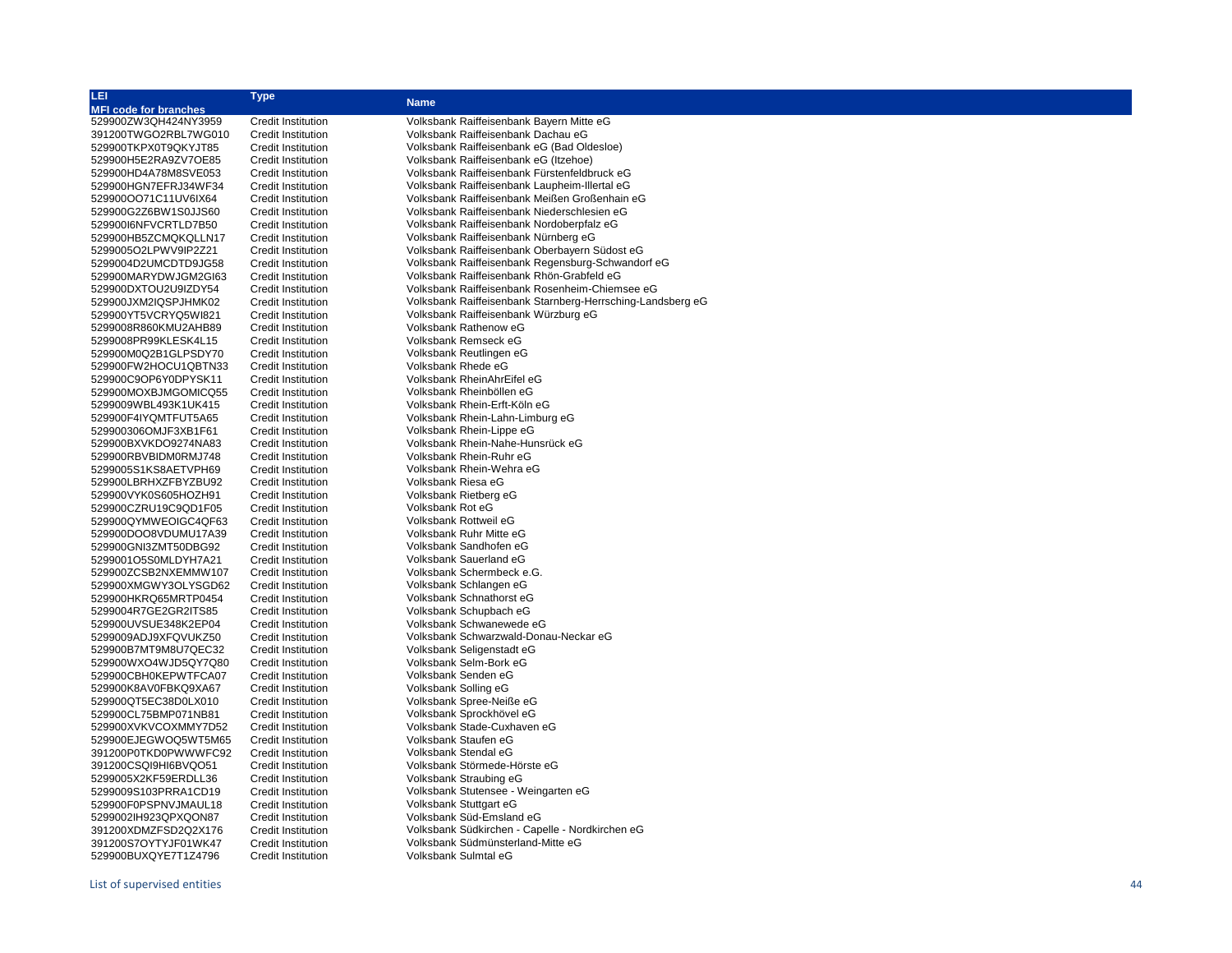| LEI                          | <b>Type</b>               |                                                            |
|------------------------------|---------------------------|------------------------------------------------------------|
| <b>MFI code for branches</b> |                           | <b>Name</b>                                                |
| 529900ZW3QH424NY3959         | <b>Credit Institution</b> | Volksbank Raiffeisenbank Bayern Mitte eG                   |
| 391200TWGO2RBL7WG010         | <b>Credit Institution</b> | Volksbank Raiffeisenbank Dachau eG                         |
| 529900TKPX0T9QKYJT85         | <b>Credit Institution</b> | Volksbank Raiffeisenbank eG (Bad Oldesloe)                 |
| 529900H5E2RA9ZV7OE85         | <b>Credit Institution</b> | Volksbank Raiffeisenbank eG (Itzehoe)                      |
| 529900HD4A78M8SVE053         | <b>Credit Institution</b> | Volksbank Raiffeisenbank Fürstenfeldbruck eG               |
| 529900HGN7EFRJ34WF34         | <b>Credit Institution</b> | Volksbank Raiffeisenbank Laupheim-Illertal eG              |
| 529900OO71C11UV6IX64         | <b>Credit Institution</b> | Volksbank Raiffeisenbank Meißen Großenhain eG              |
| 529900G2Z6BW1S0JJS60         | Credit Institution        | Volksbank Raiffeisenbank Niederschlesien eG                |
| 529900I6NFVCRTLD7B50         | <b>Credit Institution</b> | Volksbank Raiffeisenbank Nordoberpfalz eG                  |
| 529900HB5ZCMQKQLLN17         | <b>Credit Institution</b> | Volksbank Raiffeisenbank Nürnberg eG                       |
| 5299005O2LPWV9IP2Z21         | <b>Credit Institution</b> | Volksbank Raiffeisenbank Oberbayern Südost eG              |
| 5299004D2UMCDTD9JG58         | <b>Credit Institution</b> | Volksbank Raiffeisenbank Regensburg-Schwandorf eG          |
| 529900MARYDWJGM2GI63         | <b>Credit Institution</b> | Volksbank Raiffeisenbank Rhön-Grabfeld eG                  |
| 529900DXTOU2U9IZDY54         | <b>Credit Institution</b> | Volksbank Raiffeisenbank Rosenheim-Chiemsee eG             |
| 529900JXM2IQSPJHMK02         | <b>Credit Institution</b> | Volksbank Raiffeisenbank Starnberg-Herrsching-Landsberg eG |
| 529900YT5VCRYQ5WI821         | <b>Credit Institution</b> | Volksbank Raiffeisenbank Würzburg eG                       |
| 5299008R860KMU2AHB89         | <b>Credit Institution</b> | Volksbank Rathenow eG                                      |
| 5299008PR99KLESK4L15         | <b>Credit Institution</b> | Volksbank Remseck eG                                       |
| 529900M0Q2B1GLPSDY70         | <b>Credit Institution</b> | Volksbank Reutlingen eG                                    |
| 529900FW2HOCU1QBTN33         | <b>Credit Institution</b> | Volksbank Rhede eG                                         |
| 529900C9OP6Y0DPYSK11         | <b>Credit Institution</b> | Volksbank RheinAhrEifel eG                                 |
| 529900MOXBJMGOMICQ55         | <b>Credit Institution</b> | Volksbank Rheinböllen eG                                   |
| 5299009WBL493K1UK415         | <b>Credit Institution</b> | Volksbank Rhein-Erft-Köln eG                               |
| 529900F4IYQMTFUT5A65         | <b>Credit Institution</b> | Volksbank Rhein-Lahn-Limburg eG                            |
| 529900306OMJF3XB1F61         | <b>Credit Institution</b> | Volksbank Rhein-Lippe eG                                   |
| 529900BXVKDO9274NA83         | <b>Credit Institution</b> | Volksbank Rhein-Nahe-Hunsrück eG                           |
| 529900RBVBIDM0RMJ748         | <b>Credit Institution</b> | Volksbank Rhein-Ruhr eG                                    |
| 5299005S1KS8AETVPH69         | <b>Credit Institution</b> | Volksbank Rhein-Wehra eG                                   |
| 529900LBRHXZFBYZBU92         | <b>Credit Institution</b> | Volksbank Riesa eG                                         |
| 529900VYK0S605HOZH91         | <b>Credit Institution</b> | Volksbank Rietberg eG                                      |
| 529900CZRU19C9QD1F05         | <b>Credit Institution</b> | Volksbank Rot eG                                           |
| 529900QYMWEOIGC4QF63         | <b>Credit Institution</b> | Volksbank Rottweil eG                                      |
| 529900DOO8VDUMU17A39         | <b>Credit Institution</b> | Volksbank Ruhr Mitte eG                                    |
| 529900GNI3ZMT50DBG92         | <b>Credit Institution</b> | Volksbank Sandhofen eG                                     |
| 5299001O5S0MLDYH7A21         | Credit Institution        | Volksbank Sauerland eG                                     |
| 529900ZCSB2NXEMMW107         | <b>Credit Institution</b> | Volksbank Schermbeck e.G.                                  |
| 529900XMGWY3OLYSGD62         | <b>Credit Institution</b> | Volksbank Schlangen eG                                     |
| 529900HKRQ65MRTP0454         | <b>Credit Institution</b> | Volksbank Schnathorst eG                                   |
| 5299004R7GE2GR2ITS85         | <b>Credit Institution</b> | Volksbank Schupbach eG                                     |
| 529900UVSUE348K2EP04         | <b>Credit Institution</b> | Volksbank Schwanewede eG                                   |
| 5299009ADJ9XFQVUKZ50         | <b>Credit Institution</b> | Volksbank Schwarzwald-Donau-Neckar eG                      |
| 529900B7MT9M8U7QEC32         | <b>Credit Institution</b> | Volksbank Seligenstadt eG                                  |
| 529900WXO4WJD5QY7Q80         | <b>Credit Institution</b> | Volksbank Selm-Bork eG                                     |
| 529900CBH0KEPWTFCA07         | <b>Credit Institution</b> | Volksbank Senden eG                                        |
| 529900K8AV0FBKQ9XA67         | <b>Credit Institution</b> | Volksbank Solling eG                                       |
| 529900QT5EC38D0LX010         | <b>Credit Institution</b> | Volksbank Spree-Neiße eG                                   |
| 529900CL75BMP071NB81         | <b>Credit Institution</b> | Volksbank Sprockhövel eG                                   |
| 529900XVKVCOXMMY7D52         | <b>Credit Institution</b> | Volksbank Stade-Cuxhaven eG                                |
| 529900EJEGWOQ5WT5M65         | <b>Credit Institution</b> | Volksbank Staufen eG                                       |
| 391200P0TKD0PWWWFC92         | <b>Credit Institution</b> | Volksbank Stendal eG                                       |
| 391200CSQI9HI6BVQO51         | <b>Credit Institution</b> | Volksbank Störmede-Hörste eG                               |
| 5299005X2KF59ERDLL36         | <b>Credit Institution</b> | Volksbank Straubing eG                                     |
| 5299009S103PRRA1CD19         | <b>Credit Institution</b> | Volksbank Stutensee - Weingarten eG                        |
| 529900F0PSPNVJMAUL18         | <b>Credit Institution</b> | Volksbank Stuttgart eG                                     |
| 5299002IH923QPXQON87         | <b>Credit Institution</b> | Volksbank Süd-Emsland eG                                   |
| 391200XDMZFSD2Q2X176         | <b>Credit Institution</b> | Volksbank Südkirchen - Capelle - Nordkirchen eG            |
| 391200S7OYTYJF01WK47         | <b>Credit Institution</b> | Volksbank Südmünsterland-Mitte eG                          |
| 529900BUXQYE7T1Z4796         | Credit Institution        | Volksbank Sulmtal eG                                       |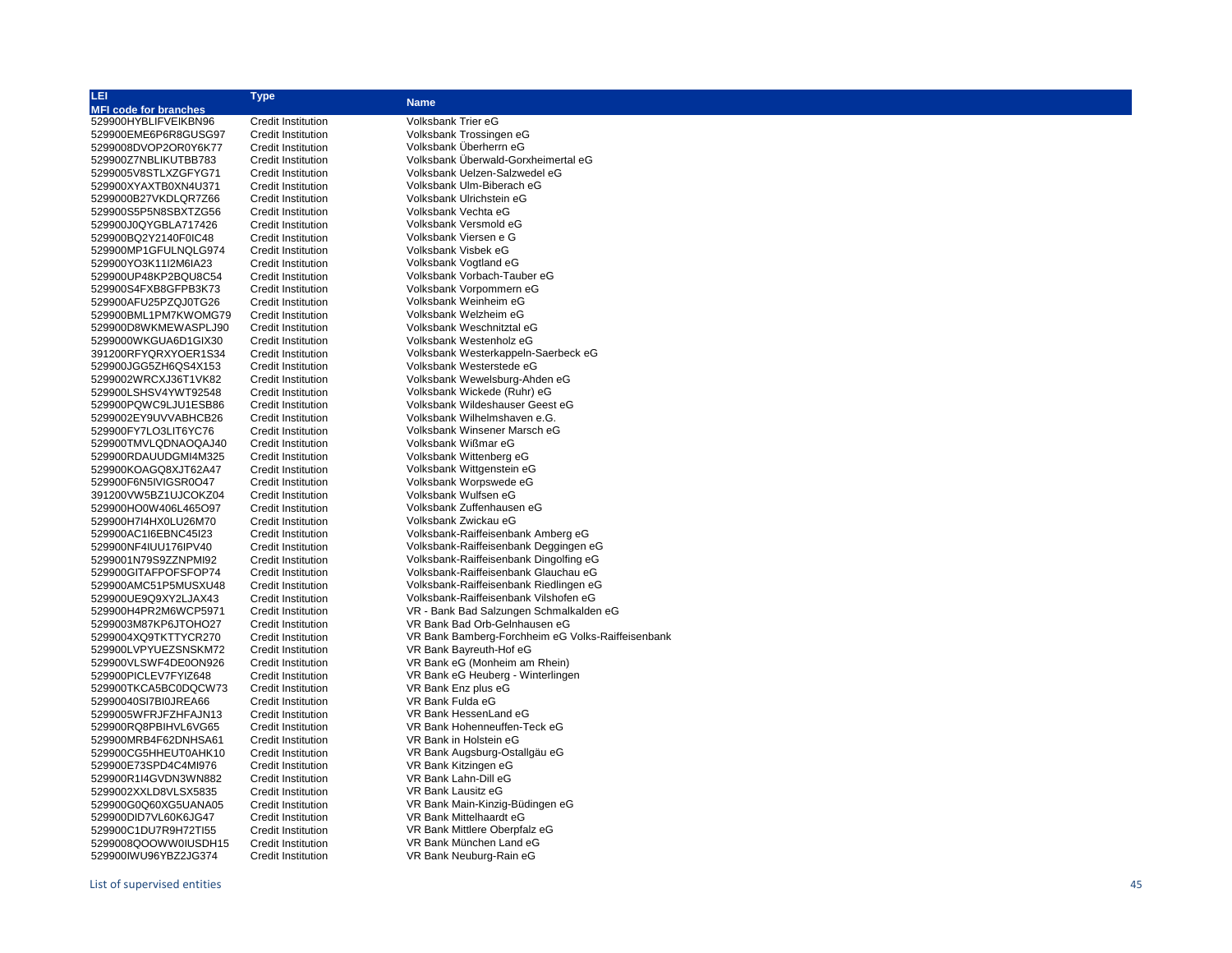| LEI.                         | <b>Type</b>               |                                                   |
|------------------------------|---------------------------|---------------------------------------------------|
| <b>MFI code for branches</b> |                           | <b>Name</b>                                       |
| 529900HYBLIFVEIKBN96         | <b>Credit Institution</b> | Volksbank Trier eG                                |
| 529900EME6P6R8GUSG97         | <b>Credit Institution</b> | Volksbank Trossingen eG                           |
| 5299008DVOP2OR0Y6K77         | Credit Institution        | Volksbank Überherrn eG                            |
| 529900Z7NBLIKUTBB783         | <b>Credit Institution</b> | Volksbank Überwald-Gorxheimertal eG               |
| 5299005V8STLXZGFYG71         | <b>Credit Institution</b> | Volksbank Uelzen-Salzwedel eG                     |
| 529900XYAXTB0XN4U371         | <b>Credit Institution</b> | Volksbank Ulm-Biberach eG                         |
| 5299000B27VKDLQR7Z66         | <b>Credit Institution</b> | Volksbank Ulrichstein eG                          |
| 529900S5P5N8SBXTZG56         | <b>Credit Institution</b> | Volksbank Vechta eG                               |
| 529900J0QYGBLA717426         | <b>Credit Institution</b> | Volksbank Versmold eG                             |
| 529900BQ2Y2140F0IC48         | <b>Credit Institution</b> | Volksbank Viersen e G                             |
| 529900MP1GFULNQLG974         | <b>Credit Institution</b> | Volksbank Visbek eG                               |
| 529900YO3K11I2M6IA23         | <b>Credit Institution</b> | Volksbank Vogtland eG                             |
| 529900UP48KP2BQU8C54         | <b>Credit Institution</b> | Volksbank Vorbach-Tauber eG                       |
| 529900S4FXB8GFPB3K73         | <b>Credit Institution</b> | Volksbank Vorpommern eG                           |
| 529900AFU25PZQJ0TG26         | <b>Credit Institution</b> | Volksbank Weinheim eG                             |
| 529900BML1PM7KWOMG79         | <b>Credit Institution</b> | Volksbank Welzheim eG                             |
| 529900D8WKMEWASPLJ90         | <b>Credit Institution</b> | Volksbank Weschnitztal eG                         |
| 5299000WKGUA6D1GIX30         | Credit Institution        | Volksbank Westenholz eG                           |
| 391200RFYQRXYOER1S34         | <b>Credit Institution</b> | Volksbank Westerkappeln-Saerbeck eG               |
| 529900JGG5ZH6QS4X153         | <b>Credit Institution</b> | Volksbank Westerstede eG                          |
| 5299002WRCXJ36T1VK82         | <b>Credit Institution</b> | Volksbank Wewelsburg-Ahden eG                     |
| 529900LSHSV4YWT92548         | Credit Institution        | Volksbank Wickede (Ruhr) eG                       |
| 529900PQWC9LJU1ESB86         | <b>Credit Institution</b> | Volksbank Wildeshauser Geest eG                   |
| 5299002EY9UVVABHCB26         | <b>Credit Institution</b> | Volksbank Wilhelmshaven e.G.                      |
| 529900FY7LO3LIT6YC76         | Credit Institution        | Volksbank Winsener Marsch eG                      |
| 529900TMVLQDNAOQAJ40         | <b>Credit Institution</b> | Volksbank Wißmar eG                               |
| 529900RDAUUDGMI4M325         | <b>Credit Institution</b> | Volksbank Wittenberg eG                           |
| 529900KOAGQ8XJT62A47         | <b>Credit Institution</b> | Volksbank Wittgenstein eG                         |
| 529900F6N5IVIGSR0O47         | <b>Credit Institution</b> | Volksbank Worpswede eG                            |
| 391200VW5BZ1UJCOKZ04         | <b>Credit Institution</b> | Volksbank Wulfsen eG                              |
| 529900HO0W406L465O97         | <b>Credit Institution</b> | Volksbank Zuffenhausen eG                         |
| 529900H7I4HX0LU26M70         | <b>Credit Institution</b> | Volksbank Zwickau eG                              |
| 529900AC1I6EBNC45I23         | <b>Credit Institution</b> | Volksbank-Raiffeisenbank Amberg eG                |
| 529900NF4IUU176IPV40         | <b>Credit Institution</b> | Volksbank-Raiffeisenbank Deggingen eG             |
| 5299001N79S9ZZNPMI92         | <b>Credit Institution</b> | Volksbank-Raiffeisenbank Dingolfing eG            |
| 529900GITAFPOFSFOP74         | <b>Credit Institution</b> | Volksbank-Raiffeisenbank Glauchau eG              |
| 529900AMC51P5MUSXU48         | <b>Credit Institution</b> | Volksbank-Raiffeisenbank Riedlingen eG            |
| 529900UE9Q9XY2LJAX43         | <b>Credit Institution</b> | Volksbank-Raiffeisenbank Vilshofen eG             |
| 529900H4PR2M6WCP5971         | <b>Credit Institution</b> | VR - Bank Bad Salzungen Schmalkalden eG           |
| 5299003M87KP6JTOHO27         | <b>Credit Institution</b> | VR Bank Bad Orb-Gelnhausen eG                     |
| 5299004XQ9TKTTYCR270         | Credit Institution        | VR Bank Bamberg-Forchheim eG Volks-Raiffeisenbank |
| 529900LVPYUEZSNSKM72         | <b>Credit Institution</b> | VR Bank Bayreuth-Hof eG                           |
| 529900VLSWF4DE0ON926         | <b>Credit Institution</b> | VR Bank eG (Monheim am Rhein)                     |
| 529900PICLEV7FYIZ648         | Credit Institution        | VR Bank eG Heuberg - Winterlingen                 |
| 529900TKCA5BC0DQCW73         | <b>Credit Institution</b> | VR Bank Enz plus eG                               |
| 52990040SI7BI0JREA66         | <b>Credit Institution</b> | VR Bank Fulda eG                                  |
| 5299005WFRJFZHFAJN13         | <b>Credit Institution</b> | VR Bank HessenLand eG                             |
| 529900RQ8PBIHVL6VG65         | <b>Credit Institution</b> | VR Bank Hohenneuffen-Teck eG                      |
| 529900MRB4F62DNHSA61         | <b>Credit Institution</b> | VR Bank in Holstein eG                            |
| 529900CG5HHEUT0AHK10         | <b>Credit Institution</b> | VR Bank Augsburg-Ostallgäu eG                     |
| 529900E73SPD4C4MI976         | Credit Institution        | VR Bank Kitzingen eG                              |
| 529900R1I4GVDN3WN882         | Credit Institution        | VR Bank Lahn-Dill eG                              |
| 5299002XXLD8VLSX5835         | <b>Credit Institution</b> | VR Bank Lausitz eG                                |
| 529900G0Q60XG5UANA05         | <b>Credit Institution</b> | VR Bank Main-Kinzig-Büdingen eG                   |
| 529900DID7VL60K6JG47         | <b>Credit Institution</b> | VR Bank Mittelhaardt eG                           |
| 529900C1DU7R9H72TI55         | <b>Credit Institution</b> | VR Bank Mittlere Oberpfalz eG                     |
| 5299008QOOWW0IUSDH15         | <b>Credit Institution</b> | VR Bank München Land eG                           |

529900IWU96YBZ2JG374 Credit Institution VR Bank Neuburg-Rain eG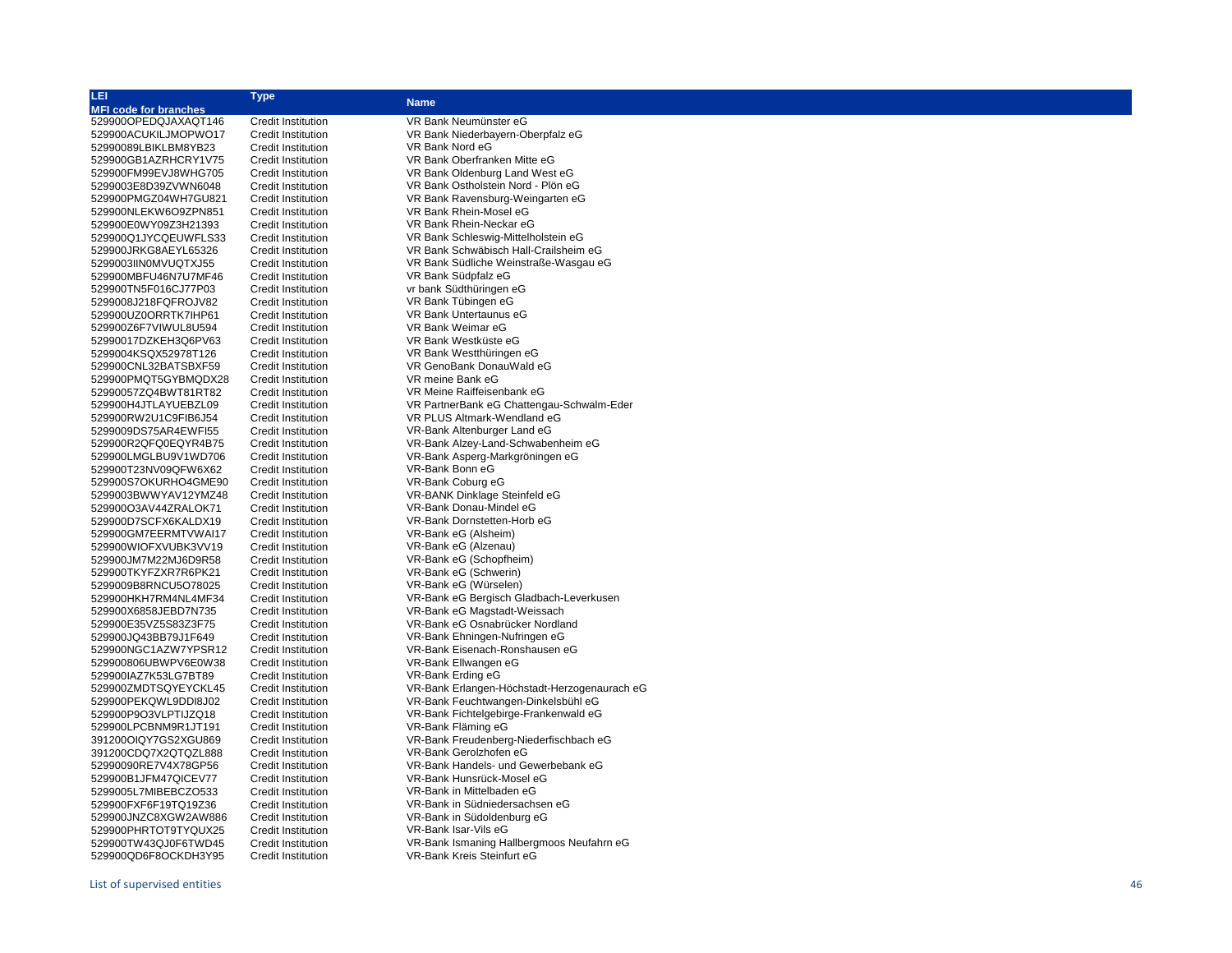| LEI                          | <b>Type</b>               |                                                                          |
|------------------------------|---------------------------|--------------------------------------------------------------------------|
| <b>MFI code for branches</b> |                           | <b>Name</b>                                                              |
| 529900OPEDQJAXAQT146         | <b>Credit Institution</b> | VR Bank Neumünster eG                                                    |
| 529900ACUKILJMOPWO17         | <b>Credit Institution</b> | VR Bank Niederbayern-Oberpfalz eG                                        |
| 52990089LBIKLBM8YB23         | <b>Credit Institution</b> | VR Bank Nord eG                                                          |
| 529900GB1AZRHCRY1V75         | <b>Credit Institution</b> | VR Bank Oberfranken Mitte eG                                             |
| 529900FM99EVJ8WHG705         | <b>Credit Institution</b> | VR Bank Oldenburg Land West eG                                           |
| 5299003E8D39ZVWN6048         | <b>Credit Institution</b> | VR Bank Ostholstein Nord - Plön eG                                       |
| 529900PMGZ04WH7GU821         | <b>Credit Institution</b> | VR Bank Ravensburg-Weingarten eG                                         |
| 529900NLEKW6O9ZPN851         | <b>Credit Institution</b> | VR Bank Rhein-Mosel eG                                                   |
| 529900E0WY09Z3H21393         | <b>Credit Institution</b> | VR Bank Rhein-Neckar eG                                                  |
| 529900Q1JYCQEUWFLS33         | <b>Credit Institution</b> | VR Bank Schleswig-Mittelholstein eG                                      |
| 529900JRKG8AEYL65326         | <b>Credit Institution</b> | VR Bank Schwäbisch Hall-Crailsheim eG                                    |
| 5299003IIN0MVUQTXJ55         | <b>Credit Institution</b> | VR Bank Südliche Weinstraße-Wasgau eG                                    |
| 529900MBFU46N7U7MF46         | <b>Credit Institution</b> | VR Bank Südpfalz eG                                                      |
| 529900TN5F016CJ77P03         | <b>Credit Institution</b> | vr bank Südthüringen eG                                                  |
| 5299008J218FQFROJV82         | <b>Credit Institution</b> | VR Bank Tübingen eG                                                      |
| 529900UZ0ORRTK7IHP61         | <b>Credit Institution</b> | VR Bank Untertaunus eG                                                   |
| 529900Z6F7VIWUL8U594         | <b>Credit Institution</b> | VR Bank Weimar eG                                                        |
|                              |                           | VR Bank Westküste eG                                                     |
| 52990017DZKEH3Q6PV63         | <b>Credit Institution</b> | VR Bank Westthüringen eG                                                 |
| 5299004KSQX52978T126         | <b>Credit Institution</b> |                                                                          |
| 529900CNL32BATSBXF59         | <b>Credit Institution</b> | VR GenoBank DonauWald eG<br>VR meine Bank eG                             |
| 529900PMQT5GYBMQDX28         | <b>Credit Institution</b> |                                                                          |
| 52990057ZQ4BWT81RT82         | <b>Credit Institution</b> | VR Meine Raiffeisenbank eG                                               |
| 529900H4JTLAYUEBZL09         | <b>Credit Institution</b> | VR PartnerBank eG Chattengau-Schwalm-Eder<br>VR PLUS Altmark-Wendland eG |
| 529900RW2U1C9FIB6J54         | <b>Credit Institution</b> |                                                                          |
| 5299009DS75AR4EWFI55         | <b>Credit Institution</b> | VR-Bank Altenburger Land eG                                              |
| 529900R2QFQ0EQYR4B75         | <b>Credit Institution</b> | VR-Bank Alzey-Land-Schwabenheim eG                                       |
| 529900LMGLBU9V1WD706         | <b>Credit Institution</b> | VR-Bank Asperg-Markgröningen eG                                          |
| 529900T23NV09QFW6X62         | <b>Credit Institution</b> | VR-Bank Bonn eG                                                          |
| 529900S7OKURHO4GME90         | <b>Credit Institution</b> | VR-Bank Coburg eG                                                        |
| 5299003BWWYAV12YMZ48         | <b>Credit Institution</b> | VR-BANK Dinklage Steinfeld eG                                            |
| 529900O3AV44ZRALOK71         | <b>Credit Institution</b> | VR-Bank Donau-Mindel eG                                                  |
| 529900D7SCFX6KALDX19         | <b>Credit Institution</b> | VR-Bank Dornstetten-Horb eG                                              |
| 529900GM7EERMTVWAI17         | <b>Credit Institution</b> | VR-Bank eG (Alsheim)                                                     |
| 529900WIOFXVUBK3VV19         | <b>Credit Institution</b> | VR-Bank eG (Alzenau)                                                     |
| 529900JM7M22MJ6D9R58         | <b>Credit Institution</b> | VR-Bank eG (Schopfheim)                                                  |
| 529900TKYFZXR7R6PK21         | <b>Credit Institution</b> | VR-Bank eG (Schwerin)                                                    |
| 5299009B8RNCU5O78025         | <b>Credit Institution</b> | VR-Bank eG (Würselen)                                                    |
| 529900HKH7RM4NL4MF34         | <b>Credit Institution</b> | VR-Bank eG Bergisch Gladbach-Leverkusen                                  |
| 529900X6858JEBD7N735         | <b>Credit Institution</b> | VR-Bank eG Magstadt-Weissach                                             |
| 529900E35VZ5S83Z3F75         | <b>Credit Institution</b> | VR-Bank eG Osnabrücker Nordland                                          |
| 529900JQ43BB79J1F649         | <b>Credit Institution</b> | VR-Bank Ehningen-Nufringen eG                                            |
| 529900NGC1AZW7YPSR12         | <b>Credit Institution</b> | VR-Bank Eisenach-Ronshausen eG                                           |
| 529900806UBWPV6E0W38         | <b>Credit Institution</b> | VR-Bank Ellwangen eG                                                     |
| 529900IAZ7K53LG7BT89         | <b>Credit Institution</b> | VR-Bank Erding eG                                                        |
| 529900ZMDTSQYEYCKL45         | <b>Credit Institution</b> | VR-Bank Erlangen-Höchstadt-Herzogenaurach eG                             |
| 529900PEKQWL9DDI8J02         | <b>Credit Institution</b> | VR-Bank Feuchtwangen-Dinkelsbühl eG                                      |
| 529900P9O3VLPTIJZQ18         | <b>Credit Institution</b> | VR-Bank Fichtelgebirge-Frankenwald eG                                    |
| 529900LPCBNM9R1JT191         | <b>Credit Institution</b> | VR-Bank Fläming eG                                                       |
| 391200OIQY7GS2XGU869         | <b>Credit Institution</b> | VR-Bank Freudenberg-Niederfischbach eG<br>VR-Bank Gerolzhofen eG         |
| 391200CDQ7X2QTQZL888         | <b>Credit Institution</b> |                                                                          |
| 52990090RE7V4X78GP56         | <b>Credit Institution</b> | VR-Bank Handels- und Gewerbebank eG                                      |
| 529900B1JFM47QICEV77         | <b>Credit Institution</b> | VR-Bank Hunsrück-Mosel eG                                                |
| 5299005L7MIBEBCZO533         | <b>Credit Institution</b> | VR-Bank in Mittelbaden eG                                                |
| 529900FXF6F19TQ19Z36         | <b>Credit Institution</b> | VR-Bank in Südniedersachsen eG                                           |
| 529900JNZC8XGW2AW886         | <b>Credit Institution</b> | VR-Bank in Südoldenburg eG                                               |
| 529900PHRTOT9TYQUX25         | <b>Credit Institution</b> | VR-Bank Isar-Vils eG                                                     |
| 529900TW43QJ0F6TWD45         | <b>Credit Institution</b> | VR-Bank Ismaning Hallbergmoos Neufahrn eG                                |
| 529900QD6F8OCKDH3Y95         | <b>Credit Institution</b> | VR-Bank Kreis Steinfurt eG                                               |

# List of supervised entities 46 529900QD6F8OCKDH3Y95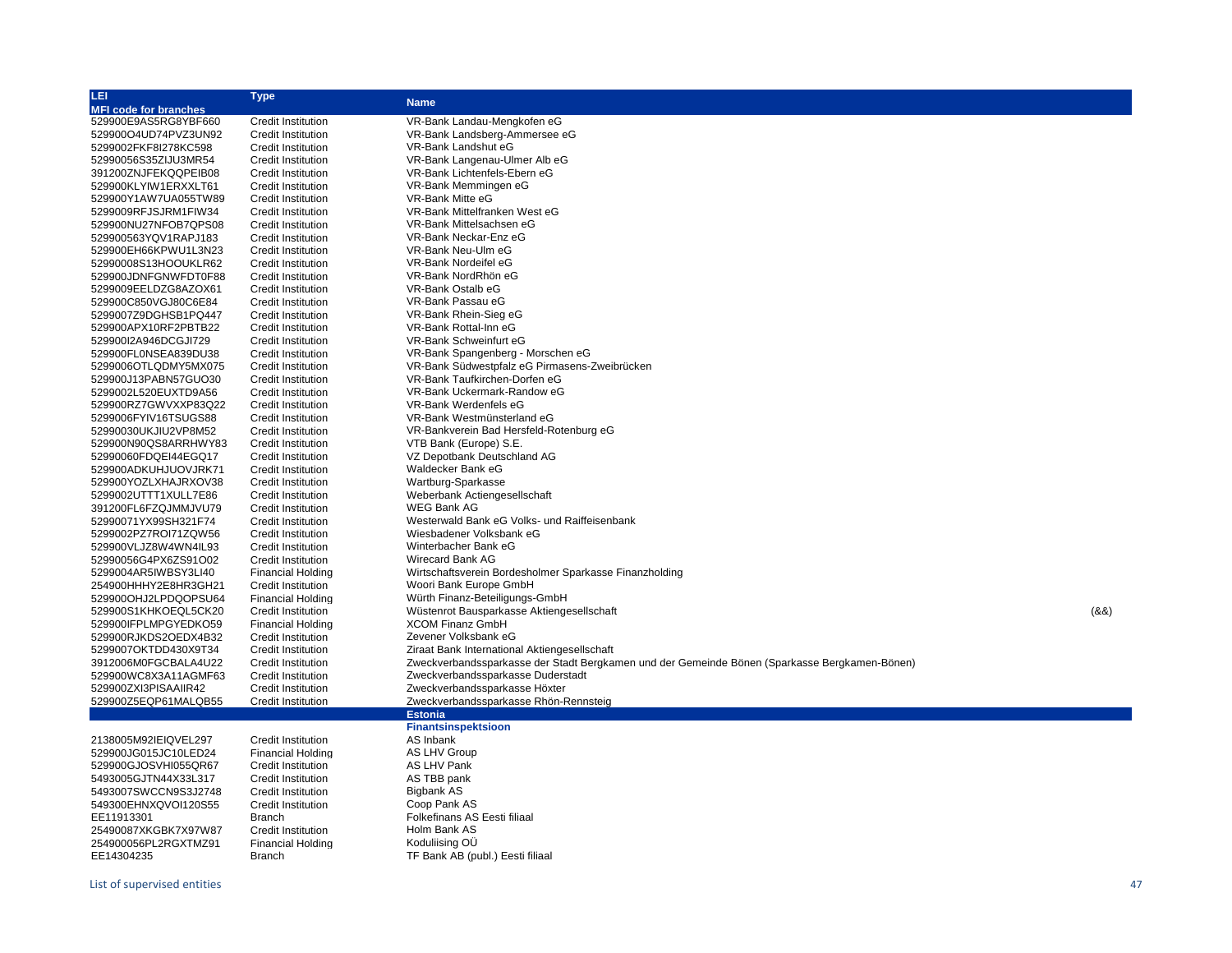| LEI                          | <b>Type</b>               | <b>Name</b>                                                                                   |       |
|------------------------------|---------------------------|-----------------------------------------------------------------------------------------------|-------|
| <b>MFI code for branches</b> |                           |                                                                                               |       |
| 529900E9AS5RG8YBF660         | <b>Credit Institution</b> | VR-Bank Landau-Mengkofen eG                                                                   |       |
| 529900O4UD74PVZ3UN92         | <b>Credit Institution</b> | VR-Bank Landsberg-Ammersee eG                                                                 |       |
| 5299002FKF8I278KC598         | <b>Credit Institution</b> | VR-Bank Landshut eG                                                                           |       |
| 52990056S35ZIJU3MR54         | <b>Credit Institution</b> | VR-Bank Langenau-Ulmer Alb eG                                                                 |       |
| 391200ZNJFEKQQPEIB08         | <b>Credit Institution</b> | VR-Bank Lichtenfels-Ebern eG                                                                  |       |
| 529900KLYIW1ERXXLT61         | <b>Credit Institution</b> | VR-Bank Memmingen eG                                                                          |       |
| 529900Y1AW7UA055TW89         | <b>Credit Institution</b> | VR-Bank Mitte eG                                                                              |       |
| 5299009RFJSJRM1FIW34         | <b>Credit Institution</b> | VR-Bank Mittelfranken West eG                                                                 |       |
| 529900NU27NFOB7QPS08         | <b>Credit Institution</b> | VR-Bank Mittelsachsen eG                                                                      |       |
| 529900563YQV1RAPJ183         | <b>Credit Institution</b> | VR-Bank Neckar-Enz eG                                                                         |       |
| 529900EH66KPWU1L3N23         | <b>Credit Institution</b> | VR-Bank Neu-Ulm eG                                                                            |       |
|                              | <b>Credit Institution</b> | VR-Bank Nordeifel eG                                                                          |       |
| 52990008S13HOOUKLR62         |                           | VR-Bank NordRhön eG                                                                           |       |
| 529900JDNFGNWFDT0F88         | <b>Credit Institution</b> |                                                                                               |       |
| 5299009EELDZG8AZOX61         | <b>Credit Institution</b> | VR-Bank Ostalb eG                                                                             |       |
| 529900C850VGJ80C6E84         | <b>Credit Institution</b> | VR-Bank Passau eG                                                                             |       |
| 5299007Z9DGHSB1PQ447         | <b>Credit Institution</b> | VR-Bank Rhein-Sieg eG                                                                         |       |
| 529900APX10RF2PBTB22         | Credit Institution        | VR-Bank Rottal-Inn eG                                                                         |       |
| 529900I2A946DCGJI729         | <b>Credit Institution</b> | VR-Bank Schweinfurt eG                                                                        |       |
| 529900FL0NSEA839DU38         | <b>Credit Institution</b> | VR-Bank Spangenberg - Morschen eG                                                             |       |
| 5299006OTLQDMY5MX075         | <b>Credit Institution</b> | VR-Bank Südwestpfalz eG Pirmasens-Zweibrücken                                                 |       |
| 529900J13PABN57GUO30         | <b>Credit Institution</b> | VR-Bank Taufkirchen-Dorfen eG                                                                 |       |
| 5299002L520EUXTD9A56         | <b>Credit Institution</b> | VR-Bank Uckermark-Randow eG                                                                   |       |
| 529900RZ7GWVXXP83Q22         | <b>Credit Institution</b> | VR-Bank Werdenfels eG                                                                         |       |
| 5299006FYIV16TSUGS88         | <b>Credit Institution</b> | VR-Bank Westmünsterland eG                                                                    |       |
| 52990030UKJIU2VP8M52         | <b>Credit Institution</b> | VR-Bankverein Bad Hersfeld-Rotenburg eG                                                       |       |
| 529900N90QS8ARRHWY83         | <b>Credit Institution</b> | VTB Bank (Europe) S.E.                                                                        |       |
| 52990060FDQEI44EGQ17         | <b>Credit Institution</b> | VZ Depotbank Deutschland AG                                                                   |       |
| 529900ADKUHJUOVJRK71         | <b>Credit Institution</b> | Waldecker Bank eG                                                                             |       |
| 529900YOZLXHAJRXOV38         | <b>Credit Institution</b> | Wartburg-Sparkasse                                                                            |       |
| 5299002UTTT1XULL7E86         | <b>Credit Institution</b> | Weberbank Actiengesellschaft                                                                  |       |
| 391200FL6FZQJMMJVU79         | <b>Credit Institution</b> | <b>WEG Bank AG</b>                                                                            |       |
| 52990071YX99SH321F74         | <b>Credit Institution</b> | Westerwald Bank eG Volks- und Raiffeisenbank                                                  |       |
| 5299002PZ7ROI71ZQW56         | <b>Credit Institution</b> | Wiesbadener Volksbank eG                                                                      |       |
| 529900VLJZ8W4WN4IL93         | <b>Credit Institution</b> | Winterbacher Bank eG                                                                          |       |
| 52990056G4PX6ZS91O02         | <b>Credit Institution</b> | Wirecard Bank AG                                                                              |       |
| 5299004AR5IWBSY3LI40         | <b>Financial Holding</b>  | Wirtschaftsverein Bordesholmer Sparkasse Finanzholding                                        |       |
| 254900HHHY2E8HR3GH21         | <b>Credit Institution</b> | Woori Bank Europe GmbH                                                                        |       |
| 529900OHJ2LPDQOPSU64         | <b>Financial Holding</b>  | Würth Finanz-Beteiligungs-GmbH                                                                |       |
| 529900S1KHKOEQL5CK20         | <b>Credit Institution</b> | Wüstenrot Bausparkasse Aktiengesellschaft                                                     | (8.8) |
| 529900IFPLMPGYEDKO59         | <b>Financial Holding</b>  | <b>XCOM Finanz GmbH</b>                                                                       |       |
| 529900RJKDS2OEDX4B32         | <b>Credit Institution</b> | Zevener Volksbank eG                                                                          |       |
| 5299007OKTDD430X9T34         | <b>Credit Institution</b> | Ziraat Bank International Aktiengesellschaft                                                  |       |
| 3912006M0FGCBALA4U22         | <b>Credit Institution</b> | Zweckverbandssparkasse der Stadt Bergkamen und der Gemeinde Bönen (Sparkasse Bergkamen-Bönen) |       |
|                              |                           | Zweckverbandssparkasse Duderstadt                                                             |       |
| 529900WC8X3A11AGMF63         | <b>Credit Institution</b> |                                                                                               |       |
| 529900ZXI3PISAAIIR42         | <b>Credit Institution</b> | Zweckverbandssparkasse Höxter                                                                 |       |
| 529900Z5EQP61MALQB55         | Credit Institution        | Zweckverbandssparkasse Rhön-Rennsteig                                                         |       |
|                              |                           | <b>Estonia</b>                                                                                |       |
|                              |                           | <b>Finantsinspektsioon</b>                                                                    |       |
| 2138005M92IEIQVEL297         | <b>Credit Institution</b> | AS Inbank                                                                                     |       |
| 529900JG015JC10LED24         | <b>Financial Holding</b>  | <b>AS LHV Group</b>                                                                           |       |
| 529900GJOSVHI055QR67         | <b>Credit Institution</b> | <b>AS LHV Pank</b>                                                                            |       |
| 5493005GJTN44X33L317         | <b>Credit Institution</b> | AS TBB pank                                                                                   |       |
| 5493007SWCCN9S3J2748         | <b>Credit Institution</b> | Bigbank AS                                                                                    |       |
| 549300EHNXQVOI120S55         | <b>Credit Institution</b> | Coop Pank AS                                                                                  |       |
| EE11913301                   | <b>Branch</b>             | Folkefinans AS Eesti filiaal                                                                  |       |
| 25490087XKGBK7X97W87         | <b>Credit Institution</b> | Holm Bank AS                                                                                  |       |
| 254900056PL2RGXTMZ91         | <b>Financial Holding</b>  | Koduliising OÜ                                                                                |       |
| EE14304235                   | <b>Branch</b>             | TF Bank AB (publ.) Eesti filiaal                                                              |       |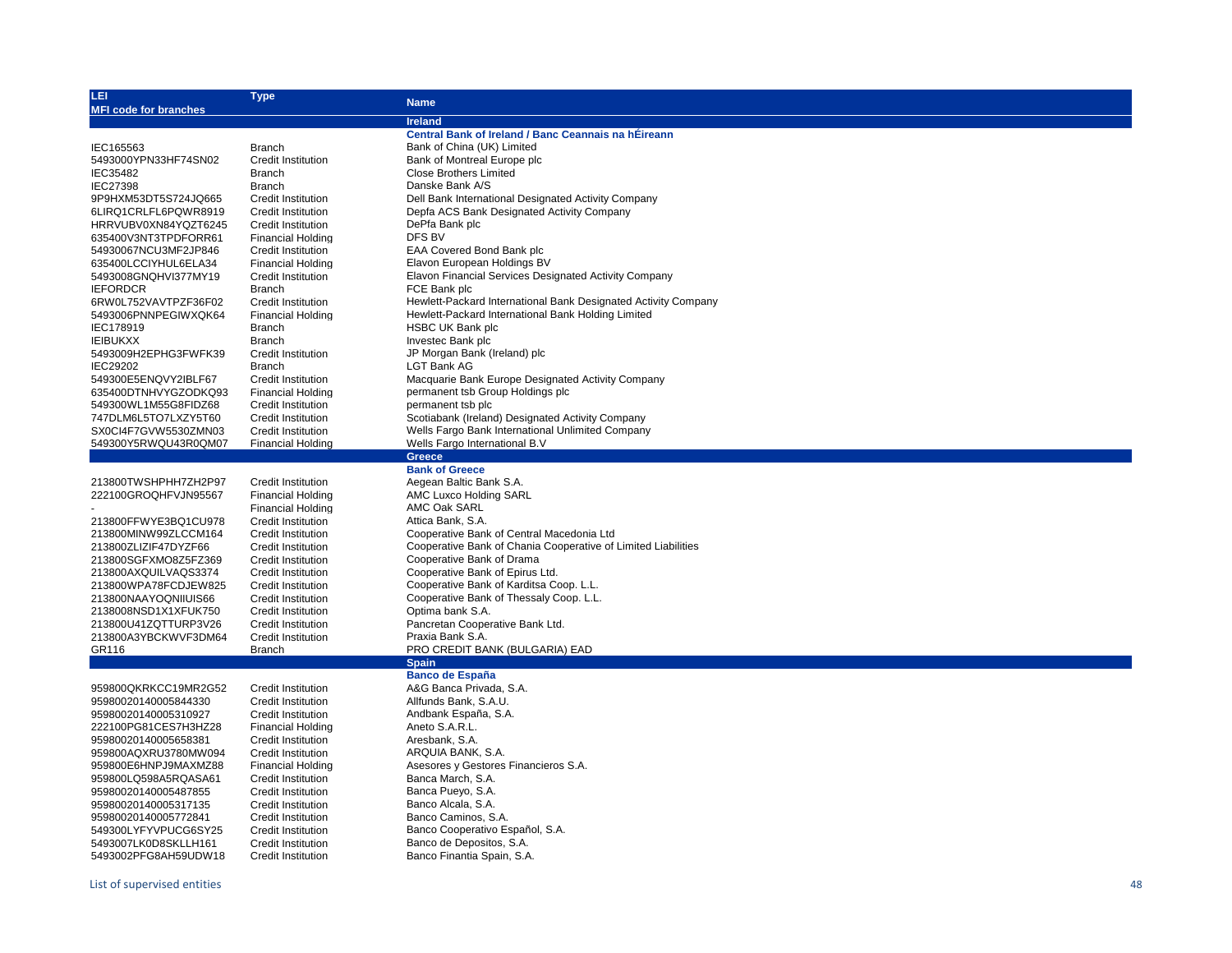| LEI                                          | Type                                           | <b>Name</b>                                                                                       |
|----------------------------------------------|------------------------------------------------|---------------------------------------------------------------------------------------------------|
| <b>MFI code for branches</b>                 |                                                |                                                                                                   |
|                                              |                                                | <b>Ireland</b><br>Central Bank of Ireland / Banc Ceannais na hÉireann                             |
| IEC165563                                    | <b>Branch</b>                                  | Bank of China (UK) Limited                                                                        |
| 5493000YPN33HF74SN02                         | <b>Credit Institution</b>                      | Bank of Montreal Europe plc                                                                       |
|                                              |                                                | <b>Close Brothers Limited</b>                                                                     |
| IEC35482                                     | <b>Branch</b>                                  | Danske Bank A/S                                                                                   |
| <b>IEC27398</b>                              | <b>Branch</b>                                  |                                                                                                   |
| 9P9HXM53DT5S724JQ665                         | <b>Credit Institution</b>                      | Dell Bank International Designated Activity Company<br>Depfa ACS Bank Designated Activity Company |
| 6LIRQ1CRLFL6PQWR8919<br>HRRVUBV0XN84YQZT6245 | <b>Credit Institution</b>                      | DePfa Bank plc                                                                                    |
|                                              | Credit Institution                             | DFS BV                                                                                            |
| 635400V3NT3TPDFORR61<br>54930067NCU3MF2JP846 | <b>Financial Holding</b>                       | EAA Covered Bond Bank plc                                                                         |
| 635400LCCIYHUL6ELA34                         | Credit Institution<br><b>Financial Holding</b> | Elavon European Holdings BV                                                                       |
| 5493008GNQHVI377MY19                         | Credit Institution                             | <b>Elavon Financial Services Designated Activity Company</b>                                      |
| <b>IEFORDCR</b>                              | <b>Branch</b>                                  | FCE Bank plc                                                                                      |
| 6RW0L752VAVTPZF36F02                         | Credit Institution                             | Hewlett-Packard International Bank Designated Activity Company                                    |
| 5493006PNNPEGIWXQK64                         | <b>Financial Holding</b>                       | Hewlett-Packard International Bank Holding Limited                                                |
| IEC178919                                    | <b>Branch</b>                                  | <b>HSBC UK Bank plc</b>                                                                           |
| <b>IEIBUKXX</b>                              | <b>Branch</b>                                  | Investec Bank plc                                                                                 |
| 5493009H2EPHG3FWFK39                         | Credit Institution                             | JP Morgan Bank (Ireland) plc                                                                      |
| IEC29202                                     | <b>Branch</b>                                  | <b>LGT Bank AG</b>                                                                                |
| 549300E5ENQVY2IBLF67                         | Credit Institution                             | Macquarie Bank Europe Designated Activity Company                                                 |
| 635400DTNHVYGZODKQ93                         | <b>Financial Holding</b>                       | permanent tsb Group Holdings plc                                                                  |
| 549300WL1M55G8FIDZ68                         | <b>Credit Institution</b>                      | permanent tsb plc                                                                                 |
| 747DLM6L5TO7LXZY5T60                         | <b>Credit Institution</b>                      | Scotiabank (Ireland) Designated Activity Company                                                  |
| SX0CI4F7GVW5530ZMN03                         | <b>Credit Institution</b>                      | Wells Fargo Bank International Unlimited Company                                                  |
| 549300Y5RWQU43R0QM07                         | <b>Financial Holding</b>                       | Wells Fargo International B.V                                                                     |
|                                              |                                                | <b>Greece</b>                                                                                     |
|                                              |                                                | <b>Bank of Greece</b>                                                                             |
| 213800TWSHPHH7ZH2P97                         | Credit Institution                             | Aegean Baltic Bank S.A.                                                                           |
| 222100GROQHFVJN95567                         | Financial Holding                              | <b>AMC Luxco Holding SARL</b>                                                                     |
|                                              | Financial Holding                              | AMC Oak SARL                                                                                      |
| 213800FFWYE3BQ1CU978                         | <b>Credit Institution</b>                      | Attica Bank, S.A.                                                                                 |
| 213800MINW99ZLCCM164                         | <b>Credit Institution</b>                      | Cooperative Bank of Central Macedonia Ltd                                                         |
| 213800ZLIZIF47DYZF66                         | <b>Credit Institution</b>                      | Cooperative Bank of Chania Cooperative of Limited Liabilities                                     |
| 213800SGFXMO8Z5FZ369                         | <b>Credit Institution</b>                      | Cooperative Bank of Drama                                                                         |
| 213800AXQUILVAQS3374                         | <b>Credit Institution</b>                      | Cooperative Bank of Epirus Ltd.                                                                   |
| 213800WPA78FCDJEW825                         | <b>Credit Institution</b>                      | Cooperative Bank of Karditsa Coop. L.L.                                                           |
| 213800NAAYOQNIIUIS66                         | Credit Institution                             | Cooperative Bank of Thessaly Coop. L.L.                                                           |
| 2138008NSD1X1XFUK750                         | <b>Credit Institution</b>                      | Optima bank S.A.                                                                                  |
| 213800U41ZQTTURP3V26                         | <b>Credit Institution</b>                      | Pancretan Cooperative Bank Ltd.                                                                   |
| 213800A3YBCKWVF3DM64                         | <b>Credit Institution</b>                      | Praxia Bank S.A.                                                                                  |
| GR116                                        | Branch                                         | PRO CREDIT BANK (BULGARIA) EAD                                                                    |
|                                              |                                                | <b>Spain</b>                                                                                      |
|                                              |                                                | <b>Banco de España</b>                                                                            |
| 959800QKRKCC19MR2G52                         | Credit Institution                             | A&G Banca Privada, S.A.                                                                           |
| 95980020140005844330                         | Credit Institution                             | Allfunds Bank, S.A.U.                                                                             |
| 95980020140005310927                         | <b>Credit Institution</b>                      | Andbank España, S.A.                                                                              |
| 222100PG81CES7H3HZ28                         | <b>Financial Holding</b>                       | Aneto S.A.R.L.                                                                                    |
| 95980020140005658381                         | Credit Institution                             | Aresbank, S.A.                                                                                    |
| 959800AQXRU3780MW094                         | Credit Institution                             | ARQUIA BANK, S.A.                                                                                 |
| 959800E6HNPJ9MAXMZ88                         | <b>Financial Holding</b>                       | Asesores y Gestores Financieros S.A.                                                              |
| 959800LQ598A5RQASA61                         | <b>Credit Institution</b>                      | Banca March, S.A.                                                                                 |
| 95980020140005487855                         | <b>Credit Institution</b>                      | Banca Pueyo, S.A.                                                                                 |
| 95980020140005317135                         | <b>Credit Institution</b>                      | Banco Alcala, S.A.                                                                                |
| 95980020140005772841                         | <b>Credit Institution</b>                      | Banco Caminos, S.A.                                                                               |
| 549300LYFYVPUCG6SY25                         | <b>Credit Institution</b>                      | Banco Cooperativo Español, S.A.                                                                   |
| 5493007LK0D8SKLLH161                         | <b>Credit Institution</b>                      | Banco de Depositos, S.A.                                                                          |
| 5493002PFG8AH59UDW18                         | <b>Credit Institution</b>                      | Banco Finantia Spain, S.A.                                                                        |
|                                              |                                                |                                                                                                   |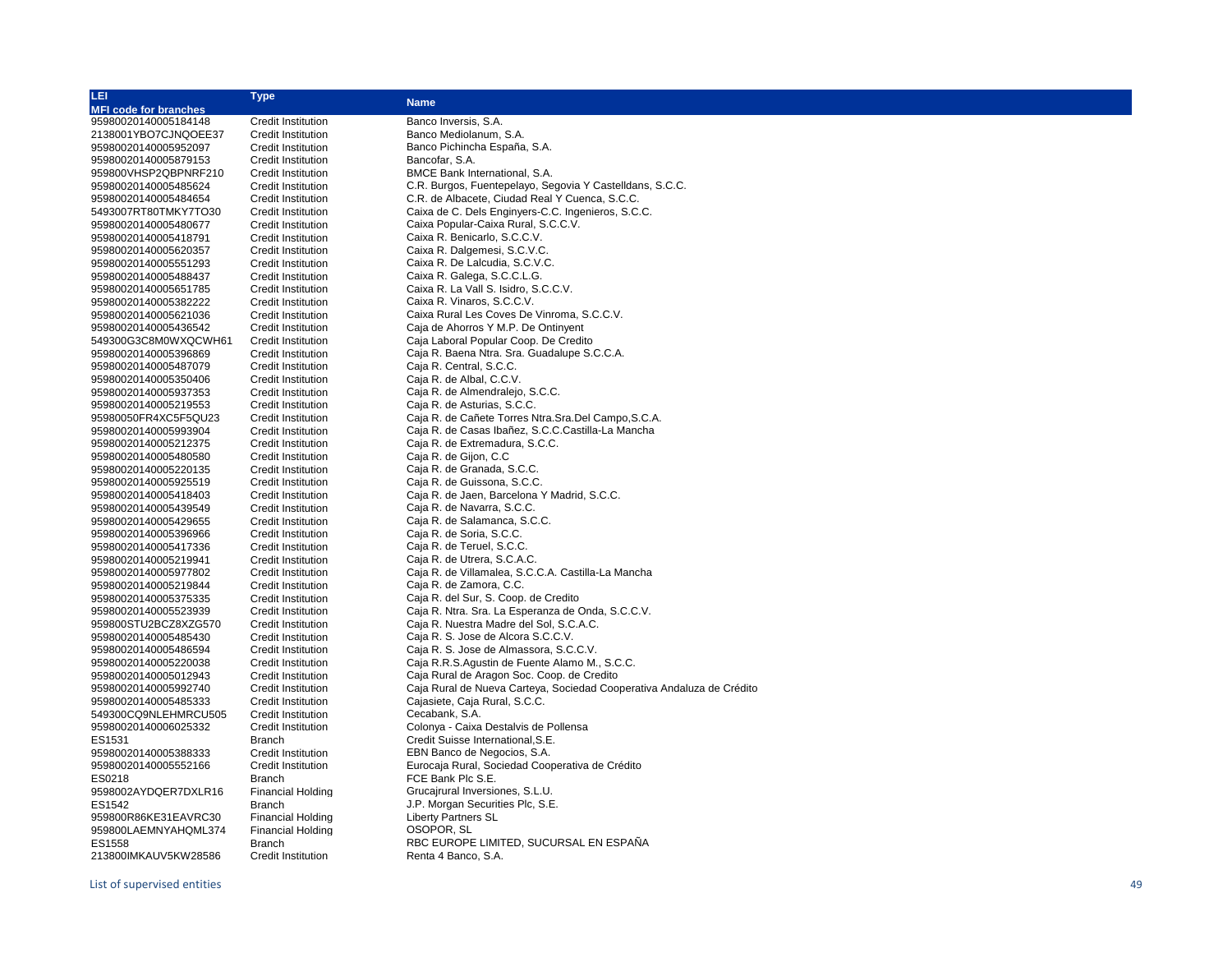| LEI                                          | <b>Type</b>                                            |                                                                       |
|----------------------------------------------|--------------------------------------------------------|-----------------------------------------------------------------------|
| <b>MFI code for branches</b>                 |                                                        | <b>Name</b>                                                           |
| 95980020140005184148                         | <b>Credit Institution</b>                              | Banco Inversis, S.A.                                                  |
| 2138001YBO7CJNQOEE37                         | <b>Credit Institution</b>                              | Banco Mediolanum, S.A.                                                |
| 95980020140005952097                         | <b>Credit Institution</b>                              | Banco Pichincha España, S.A.                                          |
| 95980020140005879153                         | <b>Credit Institution</b>                              | Bancofar, S.A.                                                        |
| 959800VHSP2QBPNRF210                         | <b>Credit Institution</b>                              | BMCE Bank International, S.A.                                         |
| 95980020140005485624                         | <b>Credit Institution</b>                              | C.R. Burgos, Fuentepelayo, Segovia Y Castelldans, S.C.C.              |
| 95980020140005484654                         | <b>Credit Institution</b>                              | C.R. de Albacete, Ciudad Real Y Cuenca, S.C.C.                        |
| 5493007RT80TMKY7TO30                         | <b>Credit Institution</b>                              | Caixa de C. Dels Enginyers-C.C. Ingenieros, S.C.C.                    |
| 95980020140005480677                         | <b>Credit Institution</b>                              | Caixa Popular-Caixa Rural, S.C.C.V.                                   |
|                                              |                                                        | Caixa R. Benicarlo, S.C.C.V.                                          |
| 95980020140005418791                         | <b>Credit Institution</b>                              |                                                                       |
| 95980020140005620357                         | <b>Credit Institution</b><br><b>Credit Institution</b> | Caixa R. Dalgemesi, S.C.V.C.                                          |
| 95980020140005551293                         |                                                        | Caixa R. De Lalcudia, S.C.V.C.                                        |
| 95980020140005488437                         | <b>Credit Institution</b>                              | Caixa R. Galega, S.C.C.L.G.                                           |
| 95980020140005651785                         | <b>Credit Institution</b>                              | Caixa R. La Vall S. Isidro, S.C.C.V.                                  |
| 95980020140005382222                         | <b>Credit Institution</b>                              | Caixa R. Vinaros, S.C.C.V.                                            |
| 95980020140005621036                         | <b>Credit Institution</b>                              | Caixa Rural Les Coves De Vinroma, S.C.C.V.                            |
| 95980020140005436542                         | <b>Credit Institution</b>                              | Caja de Ahorros Y M.P. De Ontinyent                                   |
| 549300G3C8M0WXQCWH61                         | <b>Credit Institution</b>                              | Caja Laboral Popular Coop. De Credito                                 |
| 95980020140005396869                         | <b>Credit Institution</b>                              | Caja R. Baena Ntra. Sra. Guadalupe S.C.C.A.                           |
| 95980020140005487079                         | <b>Credit Institution</b>                              | Caja R. Central, S.C.C.                                               |
| 95980020140005350406                         | <b>Credit Institution</b>                              | Caja R. de Albal, C.C.V.                                              |
| 95980020140005937353                         | <b>Credit Institution</b>                              | Caja R. de Almendralejo, S.C.C.                                       |
| 95980020140005219553                         | <b>Credit Institution</b>                              | Caja R. de Asturias, S.C.C.                                           |
| 95980050FR4XC5F5QU23                         | <b>Credit Institution</b>                              | Caja R. de Cañete Torres Ntra. Sra. Del Campo, S.C.A.                 |
| 95980020140005993904                         | <b>Credit Institution</b>                              | Caja R. de Casas Ibañez, S.C.C.Castilla-La Mancha                     |
| 95980020140005212375                         | <b>Credit Institution</b>                              | Caja R. de Extremadura, S.C.C.                                        |
| 95980020140005480580                         | <b>Credit Institution</b>                              | Caja R. de Gijon, C.C.                                                |
| 95980020140005220135                         | <b>Credit Institution</b>                              | Caja R. de Granada, S.C.C.                                            |
| 95980020140005925519                         | <b>Credit Institution</b>                              | Caja R. de Guissona, S.C.C.                                           |
| 95980020140005418403                         | <b>Credit Institution</b>                              | Caja R. de Jaen, Barcelona Y Madrid, S.C.C.                           |
| 95980020140005439549                         | <b>Credit Institution</b>                              | Caja R. de Navarra, S.C.C.                                            |
| 95980020140005429655                         | <b>Credit Institution</b>                              | Caja R. de Salamanca, S.C.C.                                          |
| 95980020140005396966                         | <b>Credit Institution</b>                              | Caja R. de Soria, S.C.C.                                              |
| 95980020140005417336                         | <b>Credit Institution</b>                              | Caja R. de Teruel, S.C.C.                                             |
| 95980020140005219941                         | <b>Credit Institution</b>                              | Caja R. de Utrera, S.C.A.C.                                           |
| 95980020140005977802                         | <b>Credit Institution</b>                              | Caja R. de Villamalea, S.C.C.A. Castilla-La Mancha                    |
| 95980020140005219844                         | <b>Credit Institution</b>                              | Caja R. de Zamora, C.C.                                               |
| 95980020140005375335                         | <b>Credit Institution</b>                              | Caja R. del Sur, S. Coop. de Credito                                  |
| 95980020140005523939                         | <b>Credit Institution</b>                              | Caja R. Ntra. Sra. La Esperanza de Onda, S.C.C.V.                     |
| 959800STU2BCZ8XZG570                         | <b>Credit Institution</b>                              | Caja R. Nuestra Madre del Sol, S.C.A.C.                               |
| 95980020140005485430                         | <b>Credit Institution</b>                              | Caja R. S. Jose de Alcora S.C.C.V.                                    |
| 95980020140005486594                         | <b>Credit Institution</b>                              | Caja R. S. Jose de Almassora, S.C.C.V.                                |
| 95980020140005220038                         | <b>Credit Institution</b>                              | Caja R.R.S.Agustin de Fuente Alamo M., S.C.C.                         |
|                                              | <b>Credit Institution</b>                              | Caja Rural de Aragon Soc. Coop. de Credito                            |
| 95980020140005012943<br>95980020140005992740 |                                                        | Caja Rural de Nueva Carteya, Sociedad Cooperativa Andaluza de Crédito |
|                                              | <b>Credit Institution</b>                              | Cajasiete, Caja Rural, S.C.C.                                         |
| 95980020140005485333                         | <b>Credit Institution</b>                              |                                                                       |
| 549300CQ9NLEHMRCU505                         | <b>Credit Institution</b>                              | Cecabank, S.A.                                                        |
| 95980020140006025332                         | <b>Credit Institution</b>                              | Colonya - Caixa Destalvis de Pollensa                                 |
| ES1531                                       | Branch                                                 | Credit Suisse International, S.E.                                     |
| 95980020140005388333                         | <b>Credit Institution</b>                              | EBN Banco de Negocios, S.A.                                           |
| 95980020140005552166                         | <b>Credit Institution</b>                              | Eurocaja Rural, Sociedad Cooperativa de Crédito                       |
| ES0218                                       | Branch                                                 | FCE Bank Plc S.E.                                                     |
| 9598002AYDQER7DXLR16                         | <b>Financial Holding</b>                               | Grucajrural Inversiones, S.L.U.                                       |
| ES1542                                       | Branch                                                 | J.P. Morgan Securities Plc, S.E.                                      |
| 959800R86KE31EAVRC30                         | <b>Financial Holding</b>                               | <b>Liberty Partners SL</b>                                            |
| 959800LAEMNYAHQML374                         | <b>Financial Holding</b>                               | OSOPOR, SL                                                            |
| ES1558                                       | Branch                                                 | RBC EUROPE LIMITED, SUCURSAL EN ESPAÑA                                |
| 213800IMKAUV5KW28586                         | Credit Institution                                     | Renta 4 Banco, S.A.                                                   |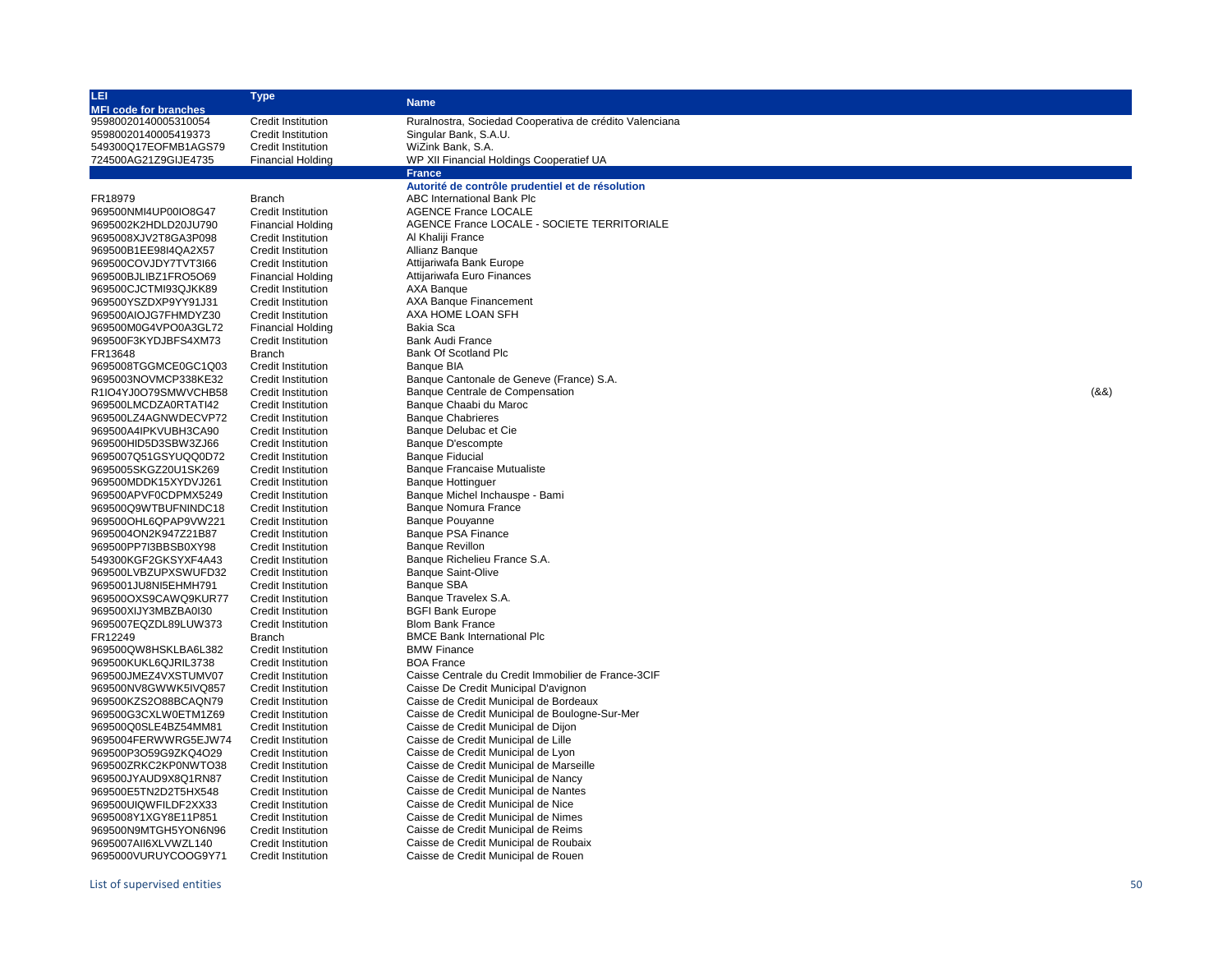| LEI                          | <b>Type</b>               |                                                         |       |
|------------------------------|---------------------------|---------------------------------------------------------|-------|
| <b>MFI code for branches</b> |                           | <b>Name</b>                                             |       |
| 95980020140005310054         | <b>Credit Institution</b> | Ruralnostra, Sociedad Cooperativa de crédito Valenciana |       |
| 95980020140005419373         | <b>Credit Institution</b> | Singular Bank, S.A.U.                                   |       |
| 549300Q17EOFMB1AGS79         | <b>Credit Institution</b> | WiZink Bank, S.A.                                       |       |
| 724500AG21Z9GIJE4735         | <b>Financial Holding</b>  | WP XII Financial Holdings Cooperatief UA                |       |
|                              |                           | <b>France</b>                                           |       |
|                              |                           | Autorité de contrôle prudentiel et de résolution        |       |
| FR18979                      | <b>Branch</b>             | ABC International Bank Plc                              |       |
| 969500NMI4UP00IO8G47         | <b>Credit Institution</b> | <b>AGENCE France LOCALE</b>                             |       |
| 9695002K2HDLD20JU790         | <b>Financial Holding</b>  | AGENCE France LOCALE - SOCIETE TERRITORIALE             |       |
| 9695008XJV2T8GA3P098         | <b>Credit Institution</b> | Al Khaliji France                                       |       |
| 969500B1EE98I4QA2X57         | <b>Credit Institution</b> | Allianz Banque                                          |       |
| 969500COVJDY7TVT3I66         | <b>Credit Institution</b> | Attijariwafa Bank Europe                                |       |
| 969500BJLIBZ1FRO5O69         | <b>Financial Holding</b>  | Attijariwafa Euro Finances                              |       |
| 969500CJCTMI93QJKK89         | <b>Credit Institution</b> | AXA Banque                                              |       |
| 969500YSZDXP9YY91J31         | <b>Credit Institution</b> | AXA Banque Financement                                  |       |
| 969500AIOJG7FHMDYZ30         | Credit Institution        | AXA HOME LOAN SFH                                       |       |
| 969500M0G4VPO0A3GL72         | <b>Financial Holding</b>  | Bakia Sca                                               |       |
| 969500F3KYDJBFS4XM73         | Credit Institution        | Bank Audi France                                        |       |
| FR13648                      | <b>Branch</b>             | Bank Of Scotland Plc                                    |       |
| 9695008TGGMCE0GC1Q03         | <b>Credit Institution</b> | <b>Banque BIA</b>                                       |       |
| 9695003NOVMCP338KE32         | <b>Credit Institution</b> | Banque Cantonale de Geneve (France) S.A.                |       |
| R1IO4YJ0O79SMWVCHB58         | <b>Credit Institution</b> | Banque Centrale de Compensation                         | (8.8) |
| 969500LMCDZA0RTATI42         | <b>Credit Institution</b> | Banque Chaabi du Maroc                                  |       |
| 969500LZ4AGNWDECVP72         | <b>Credit Institution</b> | <b>Banque Chabrieres</b>                                |       |
| 969500A4IPKVUBH3CA90         | <b>Credit Institution</b> | Banque Delubac et Cie                                   |       |
|                              | <b>Credit Institution</b> |                                                         |       |
| 969500HID5D3SBW3ZJ66         |                           | Banque D'escompte                                       |       |
| 9695007Q51GSYUQQ0D72         | <b>Credit Institution</b> | <b>Banque Fiducial</b>                                  |       |
| 9695005SKGZ20U1SK269         | <b>Credit Institution</b> | <b>Banque Francaise Mutualiste</b>                      |       |
| 969500MDDK15XYDVJ261         | <b>Credit Institution</b> | <b>Banque Hottinguer</b>                                |       |
| 969500APVF0CDPMX5249         | <b>Credit Institution</b> | Banque Michel Inchauspe - Bami                          |       |
| 969500Q9WTBUFNINDC18         | <b>Credit Institution</b> | <b>Banque Nomura France</b>                             |       |
| 969500OHL6QPAP9VW221         | <b>Credit Institution</b> | <b>Banque Pouyanne</b>                                  |       |
| 9695004ON2K947Z21B87         | <b>Credit Institution</b> | Banque PSA Finance                                      |       |
| 969500PP7I3BBSB0XY98         | <b>Credit Institution</b> | <b>Banque Revillon</b>                                  |       |
| 549300KGF2GKSYXF4A43         | <b>Credit Institution</b> | Banque Richelieu France S.A.                            |       |
| 969500LVBZUPXSWUFD32         | <b>Credit Institution</b> | <b>Banque Saint-Olive</b>                               |       |
| 9695001JU8NI5EHMH791         | <b>Credit Institution</b> | <b>Banque SBA</b>                                       |       |
| 969500OXS9CAWQ9KUR77         | <b>Credit Institution</b> | Banque Travelex S.A.                                    |       |
| 969500XIJY3MBZBA0I30         | <b>Credit Institution</b> | <b>BGFI Bank Europe</b>                                 |       |
| 9695007EQZDL89LUW373         | <b>Credit Institution</b> | <b>Blom Bank France</b>                                 |       |
| FR12249                      | <b>Branch</b>             | <b>BMCE Bank International Plc</b>                      |       |
| 969500QW8HSKLBA6L382         | <b>Credit Institution</b> | <b>BMW Finance</b>                                      |       |
| 969500KUKL6QJRIL3738         | <b>Credit Institution</b> | <b>BOA France</b>                                       |       |
| 969500JMEZ4VXSTUMV07         | <b>Credit Institution</b> | Caisse Centrale du Credit Immobilier de France-3CIF     |       |
| 969500NV8GWWK5IVQ857         | <b>Credit Institution</b> | Caisse De Credit Municipal D'avignon                    |       |
| 969500KZS2O88BCAQN79         | <b>Credit Institution</b> | Caisse de Credit Municipal de Bordeaux                  |       |
| 969500G3CXLW0ETM1Z69         | <b>Credit Institution</b> | Caisse de Credit Municipal de Boulogne-Sur-Mer          |       |
| 969500Q0SLE4BZ54MM81         | <b>Credit Institution</b> | Caisse de Credit Municipal de Dijon                     |       |
| 9695004FERWWRG5EJW74         | <b>Credit Institution</b> | Caisse de Credit Municipal de Lille                     |       |
| 969500P3O59G9ZKQ4O29         | <b>Credit Institution</b> | Caisse de Credit Municipal de Lyon                      |       |
| 969500ZRKC2KP0NWTO38         | <b>Credit Institution</b> | Caisse de Credit Municipal de Marseille                 |       |
| 969500JYAUD9X8Q1RN87         | <b>Credit Institution</b> | Caisse de Credit Municipal de Nancy                     |       |
| 969500E5TN2D2T5HX548         | <b>Credit Institution</b> | Caisse de Credit Municipal de Nantes                    |       |
| 969500UIQWFILDF2XX33         | <b>Credit Institution</b> | Caisse de Credit Municipal de Nice                      |       |
| 9695008Y1XGY8E11P851         | <b>Credit Institution</b> | Caisse de Credit Municipal de Nimes                     |       |
| 969500N9MTGH5YON6N96         | <b>Credit Institution</b> | Caisse de Credit Municipal de Reims                     |       |
| 9695007AII6XLVWZL140         | <b>Credit Institution</b> | Caisse de Credit Municipal de Roubaix                   |       |
| 9695000VURUYCOOG9Y71         | <b>Credit Institution</b> | Caisse de Credit Municipal de Rouen                     |       |
|                              |                           |                                                         |       |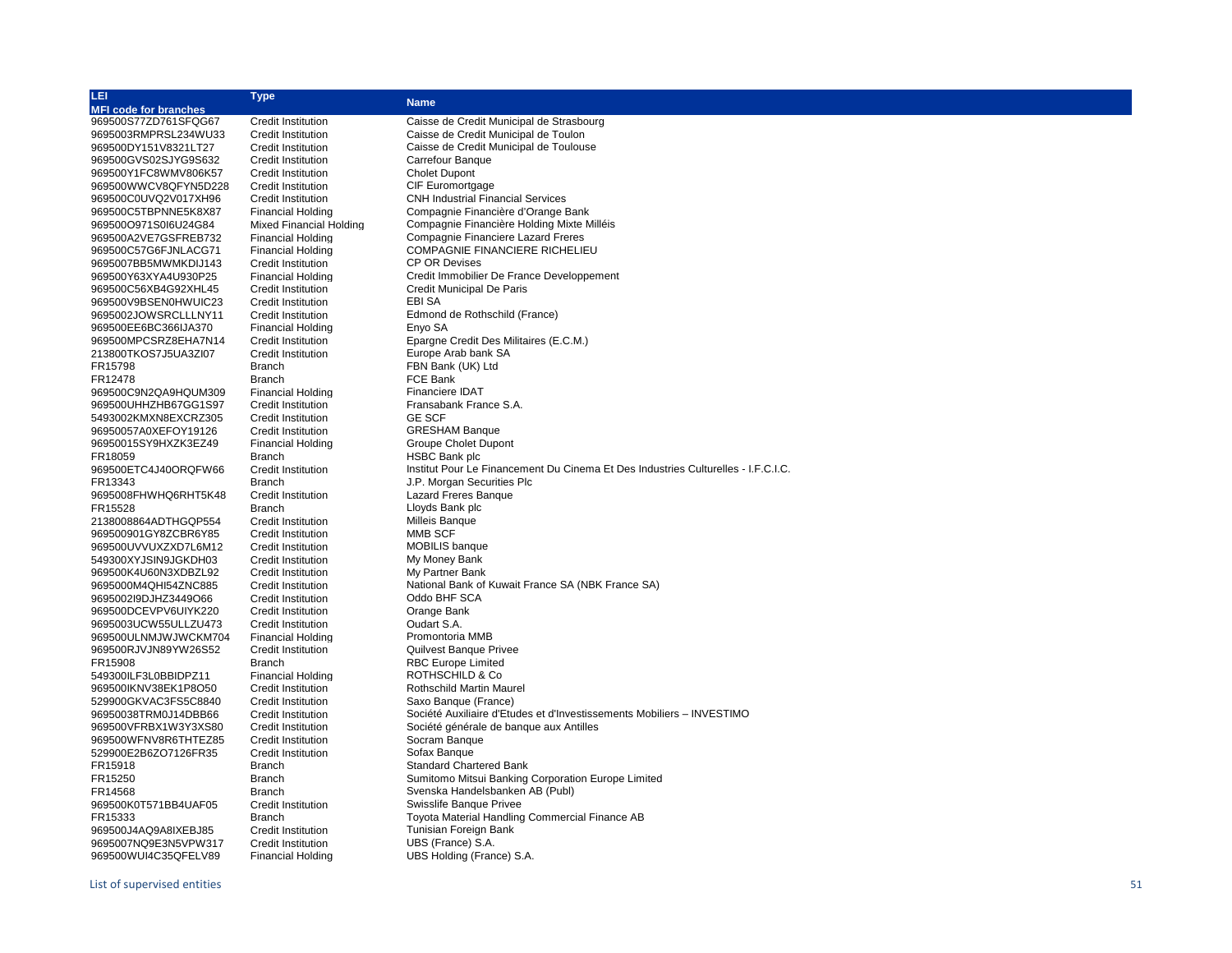| <b>MFI code for branches</b><br>969500S77ZD761SFQG67<br><b>Credit Institution</b><br>Caisse de Credit Municipal de Strasbourg<br>9695003RMPRSL234WU33<br><b>Credit Institution</b><br>Caisse de Credit Municipal de Toulon<br>Caisse de Credit Municipal de Toulouse<br>969500DY151V8321LT27<br><b>Credit Institution</b><br>969500GVS02SJYG9S632<br><b>Credit Institution</b><br>Carrefour Banque<br><b>Cholet Dupont</b><br>969500Y1FC8WMV806K57<br><b>Credit Institution</b><br>CIF Euromortgage<br>969500WWCV8QFYN5D228<br><b>Credit Institution</b><br><b>CNH Industrial Financial Services</b><br>969500C0UVQ2V017XH96<br>Credit Institution<br>969500C5TBPNNE5K8X87<br>Compagnie Financière d'Orange Bank<br><b>Financial Holding</b><br>Compagnie Financière Holding Mixte Milléis<br>969500O971S0l6U24G84<br><b>Mixed Financial Holding</b><br>Compagnie Financiere Lazard Freres<br>969500A2VE7GSFREB732<br><b>Financial Holding</b><br><b>COMPAGNIE FINANCIERE RICHELIEU</b><br>969500C57G6FJNLACG71<br><b>Financial Holding</b><br>9695007BB5MWMKDIJ143<br>Credit Institution<br><b>CP OR Devises</b><br>Credit Immobilier De France Developpement<br>969500Y63XYA4U930P25<br><b>Financial Holding</b><br>969500C56XB4G92XHL45<br><b>Credit Institution</b><br>Credit Municipal De Paris<br>969500V9BSEN0HWUIC23<br><b>Credit Institution</b><br>EBI SA<br>9695002JOWSRCLLLNY11<br><b>Credit Institution</b><br>Edmond de Rothschild (France)<br>Enyo SA<br>969500EE6BC366IJA370<br>Financial Holding<br>969500MPCSRZ8EHA7N14<br>Epargne Credit Des Militaires (E.C.M.)<br><b>Credit Institution</b><br>Europe Arab bank SA<br>213800TKOS7J5UA3ZI07<br><b>Credit Institution</b><br>FBN Bank (UK) Ltd<br>FR15798<br><b>Branch</b><br>FCE Bank<br>FR12478<br><b>Branch</b><br><b>Financiere IDAT</b><br>969500C9N2QA9HQUM309<br><b>Financial Holding</b><br>Fransabank France S.A.<br>969500UHHZHB67GG1S97<br><b>Credit Institution</b><br><b>GE SCF</b><br>5493002KMXN8EXCRZ305<br><b>Credit Institution</b><br>96950057A0XEFOY19126<br><b>Credit Institution</b><br><b>GRESHAM Banque</b><br>96950015SY9HXZK3EZ49<br><b>Financial Holding</b><br><b>Groupe Cholet Dupont</b><br>FR18059<br><b>HSBC Bank plc</b><br>Branch<br>969500ETC4J40ORQFW66<br><b>Credit Institution</b><br>Institut Pour Le Financement Du Cinema Et Des Industries Culturelles - I.F.C.I.C.<br>FR13343<br>J.P. Morgan Securities Plc<br><b>Branch</b><br><b>Lazard Freres Banque</b><br>9695008FHWHQ6RHT5K48<br><b>Credit Institution</b><br>Lloyds Bank plc<br>FR15528<br><b>Branch</b><br><b>Milleis Banque</b><br>2138008864ADTHGQP554<br>Credit Institution<br>MMB SCF<br>969500901GY8ZCBR6Y85<br><b>Credit Institution</b><br><b>MOBILIS</b> banque<br>969500UVVUXZXD7L6M12<br><b>Credit Institution</b><br>My Money Bank<br>549300XYJSIN9JGKDH03<br><b>Credit Institution</b><br>969500K4U60N3XDBZL92<br><b>Credit Institution</b><br>My Partner Bank<br>9695000M4QHI54ZNC885<br><b>Credit Institution</b><br>National Bank of Kuwait France SA (NBK France SA)<br>9695002l9DJHZ3449O66<br><b>Credit Institution</b><br>Oddo BHF SCA<br>969500DCEVPV6UIYK220<br><b>Credit Institution</b><br>Orange Bank<br>Oudart S.A.<br>9695003UCW55ULLZU473<br>Credit Institution<br>969500ULNMJWJWCKM704<br><b>Financial Holding</b><br>Promontoria MMB<br><b>Quilvest Banque Privee</b><br>969500RJVJN89YW26S52<br><b>Credit Institution</b><br><b>RBC Europe Limited</b><br>FR15908<br><b>Branch</b><br>ROTHSCHILD & Co<br>549300ILF3L0BBIDPZ11<br><b>Financial Holding</b><br>Rothschild Martin Maurel<br>969500IKNV38EK1P8O50<br><b>Credit Institution</b><br>Saxo Banque (France)<br>529900GKVAC3FS5C8840<br><b>Credit Institution</b><br>Société Auxiliaire d'Etudes et d'Investissements Mobiliers - INVESTIMO<br>96950038TRM0J14DBB66<br><b>Credit Institution</b><br>Société générale de banque aux Antilles<br>969500VFRBX1W3Y3XS80<br><b>Credit Institution</b><br>Socram Banque<br>969500WFNV8R6THTEZ85<br><b>Credit Institution</b><br>Sofax Banque<br>529900E2B6ZO7126FR35<br><b>Credit Institution</b><br>FR15918<br><b>Branch</b><br><b>Standard Chartered Bank</b><br>FR15250<br><b>Branch</b><br>Sumitomo Mitsui Banking Corporation Europe Limited<br>FR14568<br>Svenska Handelsbanken AB (Publ)<br><b>Branch</b><br>969500K0T571BB4UAF05<br>Swisslife Banque Privee<br><b>Credit Institution</b><br>Toyota Material Handling Commercial Finance AB<br>FR15333<br><b>Branch</b> | LEI.                 | <b>Type</b>               |                       |
|------------------------------------------------------------------------------------------------------------------------------------------------------------------------------------------------------------------------------------------------------------------------------------------------------------------------------------------------------------------------------------------------------------------------------------------------------------------------------------------------------------------------------------------------------------------------------------------------------------------------------------------------------------------------------------------------------------------------------------------------------------------------------------------------------------------------------------------------------------------------------------------------------------------------------------------------------------------------------------------------------------------------------------------------------------------------------------------------------------------------------------------------------------------------------------------------------------------------------------------------------------------------------------------------------------------------------------------------------------------------------------------------------------------------------------------------------------------------------------------------------------------------------------------------------------------------------------------------------------------------------------------------------------------------------------------------------------------------------------------------------------------------------------------------------------------------------------------------------------------------------------------------------------------------------------------------------------------------------------------------------------------------------------------------------------------------------------------------------------------------------------------------------------------------------------------------------------------------------------------------------------------------------------------------------------------------------------------------------------------------------------------------------------------------------------------------------------------------------------------------------------------------------------------------------------------------------------------------------------------------------------------------------------------------------------------------------------------------------------------------------------------------------------------------------------------------------------------------------------------------------------------------------------------------------------------------------------------------------------------------------------------------------------------------------------------------------------------------------------------------------------------------------------------------------------------------------------------------------------------------------------------------------------------------------------------------------------------------------------------------------------------------------------------------------------------------------------------------------------------------------------------------------------------------------------------------------------------------------------------------------------------------------------------------------------------------------------------------------------------------------------------------------------------------------------------------------------------------------------------------------------------------------------------------------------------------------------------------------------------------------------------------------------------------------------------------------------------------------------------------------------------------------------------------------------------------------------------------------------------------------------------------------------------------------------------------------------------------------------------------------------------------------------------------------------------------------------------------------------|----------------------|---------------------------|-----------------------|
|                                                                                                                                                                                                                                                                                                                                                                                                                                                                                                                                                                                                                                                                                                                                                                                                                                                                                                                                                                                                                                                                                                                                                                                                                                                                                                                                                                                                                                                                                                                                                                                                                                                                                                                                                                                                                                                                                                                                                                                                                                                                                                                                                                                                                                                                                                                                                                                                                                                                                                                                                                                                                                                                                                                                                                                                                                                                                                                                                                                                                                                                                                                                                                                                                                                                                                                                                                                                                                                                                                                                                                                                                                                                                                                                                                                                                                                                                                                                                                                                                                                                                                                                                                                                                                                                                                                                                                                                                                                                                    |                      |                           | <b>Name</b>           |
|                                                                                                                                                                                                                                                                                                                                                                                                                                                                                                                                                                                                                                                                                                                                                                                                                                                                                                                                                                                                                                                                                                                                                                                                                                                                                                                                                                                                                                                                                                                                                                                                                                                                                                                                                                                                                                                                                                                                                                                                                                                                                                                                                                                                                                                                                                                                                                                                                                                                                                                                                                                                                                                                                                                                                                                                                                                                                                                                                                                                                                                                                                                                                                                                                                                                                                                                                                                                                                                                                                                                                                                                                                                                                                                                                                                                                                                                                                                                                                                                                                                                                                                                                                                                                                                                                                                                                                                                                                                                                    |                      |                           |                       |
|                                                                                                                                                                                                                                                                                                                                                                                                                                                                                                                                                                                                                                                                                                                                                                                                                                                                                                                                                                                                                                                                                                                                                                                                                                                                                                                                                                                                                                                                                                                                                                                                                                                                                                                                                                                                                                                                                                                                                                                                                                                                                                                                                                                                                                                                                                                                                                                                                                                                                                                                                                                                                                                                                                                                                                                                                                                                                                                                                                                                                                                                                                                                                                                                                                                                                                                                                                                                                                                                                                                                                                                                                                                                                                                                                                                                                                                                                                                                                                                                                                                                                                                                                                                                                                                                                                                                                                                                                                                                                    |                      |                           |                       |
|                                                                                                                                                                                                                                                                                                                                                                                                                                                                                                                                                                                                                                                                                                                                                                                                                                                                                                                                                                                                                                                                                                                                                                                                                                                                                                                                                                                                                                                                                                                                                                                                                                                                                                                                                                                                                                                                                                                                                                                                                                                                                                                                                                                                                                                                                                                                                                                                                                                                                                                                                                                                                                                                                                                                                                                                                                                                                                                                                                                                                                                                                                                                                                                                                                                                                                                                                                                                                                                                                                                                                                                                                                                                                                                                                                                                                                                                                                                                                                                                                                                                                                                                                                                                                                                                                                                                                                                                                                                                                    |                      |                           |                       |
|                                                                                                                                                                                                                                                                                                                                                                                                                                                                                                                                                                                                                                                                                                                                                                                                                                                                                                                                                                                                                                                                                                                                                                                                                                                                                                                                                                                                                                                                                                                                                                                                                                                                                                                                                                                                                                                                                                                                                                                                                                                                                                                                                                                                                                                                                                                                                                                                                                                                                                                                                                                                                                                                                                                                                                                                                                                                                                                                                                                                                                                                                                                                                                                                                                                                                                                                                                                                                                                                                                                                                                                                                                                                                                                                                                                                                                                                                                                                                                                                                                                                                                                                                                                                                                                                                                                                                                                                                                                                                    |                      |                           |                       |
|                                                                                                                                                                                                                                                                                                                                                                                                                                                                                                                                                                                                                                                                                                                                                                                                                                                                                                                                                                                                                                                                                                                                                                                                                                                                                                                                                                                                                                                                                                                                                                                                                                                                                                                                                                                                                                                                                                                                                                                                                                                                                                                                                                                                                                                                                                                                                                                                                                                                                                                                                                                                                                                                                                                                                                                                                                                                                                                                                                                                                                                                                                                                                                                                                                                                                                                                                                                                                                                                                                                                                                                                                                                                                                                                                                                                                                                                                                                                                                                                                                                                                                                                                                                                                                                                                                                                                                                                                                                                                    |                      |                           |                       |
|                                                                                                                                                                                                                                                                                                                                                                                                                                                                                                                                                                                                                                                                                                                                                                                                                                                                                                                                                                                                                                                                                                                                                                                                                                                                                                                                                                                                                                                                                                                                                                                                                                                                                                                                                                                                                                                                                                                                                                                                                                                                                                                                                                                                                                                                                                                                                                                                                                                                                                                                                                                                                                                                                                                                                                                                                                                                                                                                                                                                                                                                                                                                                                                                                                                                                                                                                                                                                                                                                                                                                                                                                                                                                                                                                                                                                                                                                                                                                                                                                                                                                                                                                                                                                                                                                                                                                                                                                                                                                    |                      |                           |                       |
|                                                                                                                                                                                                                                                                                                                                                                                                                                                                                                                                                                                                                                                                                                                                                                                                                                                                                                                                                                                                                                                                                                                                                                                                                                                                                                                                                                                                                                                                                                                                                                                                                                                                                                                                                                                                                                                                                                                                                                                                                                                                                                                                                                                                                                                                                                                                                                                                                                                                                                                                                                                                                                                                                                                                                                                                                                                                                                                                                                                                                                                                                                                                                                                                                                                                                                                                                                                                                                                                                                                                                                                                                                                                                                                                                                                                                                                                                                                                                                                                                                                                                                                                                                                                                                                                                                                                                                                                                                                                                    |                      |                           |                       |
|                                                                                                                                                                                                                                                                                                                                                                                                                                                                                                                                                                                                                                                                                                                                                                                                                                                                                                                                                                                                                                                                                                                                                                                                                                                                                                                                                                                                                                                                                                                                                                                                                                                                                                                                                                                                                                                                                                                                                                                                                                                                                                                                                                                                                                                                                                                                                                                                                                                                                                                                                                                                                                                                                                                                                                                                                                                                                                                                                                                                                                                                                                                                                                                                                                                                                                                                                                                                                                                                                                                                                                                                                                                                                                                                                                                                                                                                                                                                                                                                                                                                                                                                                                                                                                                                                                                                                                                                                                                                                    |                      |                           |                       |
|                                                                                                                                                                                                                                                                                                                                                                                                                                                                                                                                                                                                                                                                                                                                                                                                                                                                                                                                                                                                                                                                                                                                                                                                                                                                                                                                                                                                                                                                                                                                                                                                                                                                                                                                                                                                                                                                                                                                                                                                                                                                                                                                                                                                                                                                                                                                                                                                                                                                                                                                                                                                                                                                                                                                                                                                                                                                                                                                                                                                                                                                                                                                                                                                                                                                                                                                                                                                                                                                                                                                                                                                                                                                                                                                                                                                                                                                                                                                                                                                                                                                                                                                                                                                                                                                                                                                                                                                                                                                                    |                      |                           |                       |
|                                                                                                                                                                                                                                                                                                                                                                                                                                                                                                                                                                                                                                                                                                                                                                                                                                                                                                                                                                                                                                                                                                                                                                                                                                                                                                                                                                                                                                                                                                                                                                                                                                                                                                                                                                                                                                                                                                                                                                                                                                                                                                                                                                                                                                                                                                                                                                                                                                                                                                                                                                                                                                                                                                                                                                                                                                                                                                                                                                                                                                                                                                                                                                                                                                                                                                                                                                                                                                                                                                                                                                                                                                                                                                                                                                                                                                                                                                                                                                                                                                                                                                                                                                                                                                                                                                                                                                                                                                                                                    |                      |                           |                       |
|                                                                                                                                                                                                                                                                                                                                                                                                                                                                                                                                                                                                                                                                                                                                                                                                                                                                                                                                                                                                                                                                                                                                                                                                                                                                                                                                                                                                                                                                                                                                                                                                                                                                                                                                                                                                                                                                                                                                                                                                                                                                                                                                                                                                                                                                                                                                                                                                                                                                                                                                                                                                                                                                                                                                                                                                                                                                                                                                                                                                                                                                                                                                                                                                                                                                                                                                                                                                                                                                                                                                                                                                                                                                                                                                                                                                                                                                                                                                                                                                                                                                                                                                                                                                                                                                                                                                                                                                                                                                                    |                      |                           |                       |
|                                                                                                                                                                                                                                                                                                                                                                                                                                                                                                                                                                                                                                                                                                                                                                                                                                                                                                                                                                                                                                                                                                                                                                                                                                                                                                                                                                                                                                                                                                                                                                                                                                                                                                                                                                                                                                                                                                                                                                                                                                                                                                                                                                                                                                                                                                                                                                                                                                                                                                                                                                                                                                                                                                                                                                                                                                                                                                                                                                                                                                                                                                                                                                                                                                                                                                                                                                                                                                                                                                                                                                                                                                                                                                                                                                                                                                                                                                                                                                                                                                                                                                                                                                                                                                                                                                                                                                                                                                                                                    |                      |                           |                       |
|                                                                                                                                                                                                                                                                                                                                                                                                                                                                                                                                                                                                                                                                                                                                                                                                                                                                                                                                                                                                                                                                                                                                                                                                                                                                                                                                                                                                                                                                                                                                                                                                                                                                                                                                                                                                                                                                                                                                                                                                                                                                                                                                                                                                                                                                                                                                                                                                                                                                                                                                                                                                                                                                                                                                                                                                                                                                                                                                                                                                                                                                                                                                                                                                                                                                                                                                                                                                                                                                                                                                                                                                                                                                                                                                                                                                                                                                                                                                                                                                                                                                                                                                                                                                                                                                                                                                                                                                                                                                                    |                      |                           |                       |
|                                                                                                                                                                                                                                                                                                                                                                                                                                                                                                                                                                                                                                                                                                                                                                                                                                                                                                                                                                                                                                                                                                                                                                                                                                                                                                                                                                                                                                                                                                                                                                                                                                                                                                                                                                                                                                                                                                                                                                                                                                                                                                                                                                                                                                                                                                                                                                                                                                                                                                                                                                                                                                                                                                                                                                                                                                                                                                                                                                                                                                                                                                                                                                                                                                                                                                                                                                                                                                                                                                                                                                                                                                                                                                                                                                                                                                                                                                                                                                                                                                                                                                                                                                                                                                                                                                                                                                                                                                                                                    |                      |                           |                       |
|                                                                                                                                                                                                                                                                                                                                                                                                                                                                                                                                                                                                                                                                                                                                                                                                                                                                                                                                                                                                                                                                                                                                                                                                                                                                                                                                                                                                                                                                                                                                                                                                                                                                                                                                                                                                                                                                                                                                                                                                                                                                                                                                                                                                                                                                                                                                                                                                                                                                                                                                                                                                                                                                                                                                                                                                                                                                                                                                                                                                                                                                                                                                                                                                                                                                                                                                                                                                                                                                                                                                                                                                                                                                                                                                                                                                                                                                                                                                                                                                                                                                                                                                                                                                                                                                                                                                                                                                                                                                                    |                      |                           |                       |
|                                                                                                                                                                                                                                                                                                                                                                                                                                                                                                                                                                                                                                                                                                                                                                                                                                                                                                                                                                                                                                                                                                                                                                                                                                                                                                                                                                                                                                                                                                                                                                                                                                                                                                                                                                                                                                                                                                                                                                                                                                                                                                                                                                                                                                                                                                                                                                                                                                                                                                                                                                                                                                                                                                                                                                                                                                                                                                                                                                                                                                                                                                                                                                                                                                                                                                                                                                                                                                                                                                                                                                                                                                                                                                                                                                                                                                                                                                                                                                                                                                                                                                                                                                                                                                                                                                                                                                                                                                                                                    |                      |                           |                       |
|                                                                                                                                                                                                                                                                                                                                                                                                                                                                                                                                                                                                                                                                                                                                                                                                                                                                                                                                                                                                                                                                                                                                                                                                                                                                                                                                                                                                                                                                                                                                                                                                                                                                                                                                                                                                                                                                                                                                                                                                                                                                                                                                                                                                                                                                                                                                                                                                                                                                                                                                                                                                                                                                                                                                                                                                                                                                                                                                                                                                                                                                                                                                                                                                                                                                                                                                                                                                                                                                                                                                                                                                                                                                                                                                                                                                                                                                                                                                                                                                                                                                                                                                                                                                                                                                                                                                                                                                                                                                                    |                      |                           |                       |
|                                                                                                                                                                                                                                                                                                                                                                                                                                                                                                                                                                                                                                                                                                                                                                                                                                                                                                                                                                                                                                                                                                                                                                                                                                                                                                                                                                                                                                                                                                                                                                                                                                                                                                                                                                                                                                                                                                                                                                                                                                                                                                                                                                                                                                                                                                                                                                                                                                                                                                                                                                                                                                                                                                                                                                                                                                                                                                                                                                                                                                                                                                                                                                                                                                                                                                                                                                                                                                                                                                                                                                                                                                                                                                                                                                                                                                                                                                                                                                                                                                                                                                                                                                                                                                                                                                                                                                                                                                                                                    |                      |                           |                       |
|                                                                                                                                                                                                                                                                                                                                                                                                                                                                                                                                                                                                                                                                                                                                                                                                                                                                                                                                                                                                                                                                                                                                                                                                                                                                                                                                                                                                                                                                                                                                                                                                                                                                                                                                                                                                                                                                                                                                                                                                                                                                                                                                                                                                                                                                                                                                                                                                                                                                                                                                                                                                                                                                                                                                                                                                                                                                                                                                                                                                                                                                                                                                                                                                                                                                                                                                                                                                                                                                                                                                                                                                                                                                                                                                                                                                                                                                                                                                                                                                                                                                                                                                                                                                                                                                                                                                                                                                                                                                                    |                      |                           |                       |
|                                                                                                                                                                                                                                                                                                                                                                                                                                                                                                                                                                                                                                                                                                                                                                                                                                                                                                                                                                                                                                                                                                                                                                                                                                                                                                                                                                                                                                                                                                                                                                                                                                                                                                                                                                                                                                                                                                                                                                                                                                                                                                                                                                                                                                                                                                                                                                                                                                                                                                                                                                                                                                                                                                                                                                                                                                                                                                                                                                                                                                                                                                                                                                                                                                                                                                                                                                                                                                                                                                                                                                                                                                                                                                                                                                                                                                                                                                                                                                                                                                                                                                                                                                                                                                                                                                                                                                                                                                                                                    |                      |                           |                       |
|                                                                                                                                                                                                                                                                                                                                                                                                                                                                                                                                                                                                                                                                                                                                                                                                                                                                                                                                                                                                                                                                                                                                                                                                                                                                                                                                                                                                                                                                                                                                                                                                                                                                                                                                                                                                                                                                                                                                                                                                                                                                                                                                                                                                                                                                                                                                                                                                                                                                                                                                                                                                                                                                                                                                                                                                                                                                                                                                                                                                                                                                                                                                                                                                                                                                                                                                                                                                                                                                                                                                                                                                                                                                                                                                                                                                                                                                                                                                                                                                                                                                                                                                                                                                                                                                                                                                                                                                                                                                                    |                      |                           |                       |
|                                                                                                                                                                                                                                                                                                                                                                                                                                                                                                                                                                                                                                                                                                                                                                                                                                                                                                                                                                                                                                                                                                                                                                                                                                                                                                                                                                                                                                                                                                                                                                                                                                                                                                                                                                                                                                                                                                                                                                                                                                                                                                                                                                                                                                                                                                                                                                                                                                                                                                                                                                                                                                                                                                                                                                                                                                                                                                                                                                                                                                                                                                                                                                                                                                                                                                                                                                                                                                                                                                                                                                                                                                                                                                                                                                                                                                                                                                                                                                                                                                                                                                                                                                                                                                                                                                                                                                                                                                                                                    |                      |                           |                       |
|                                                                                                                                                                                                                                                                                                                                                                                                                                                                                                                                                                                                                                                                                                                                                                                                                                                                                                                                                                                                                                                                                                                                                                                                                                                                                                                                                                                                                                                                                                                                                                                                                                                                                                                                                                                                                                                                                                                                                                                                                                                                                                                                                                                                                                                                                                                                                                                                                                                                                                                                                                                                                                                                                                                                                                                                                                                                                                                                                                                                                                                                                                                                                                                                                                                                                                                                                                                                                                                                                                                                                                                                                                                                                                                                                                                                                                                                                                                                                                                                                                                                                                                                                                                                                                                                                                                                                                                                                                                                                    |                      |                           |                       |
|                                                                                                                                                                                                                                                                                                                                                                                                                                                                                                                                                                                                                                                                                                                                                                                                                                                                                                                                                                                                                                                                                                                                                                                                                                                                                                                                                                                                                                                                                                                                                                                                                                                                                                                                                                                                                                                                                                                                                                                                                                                                                                                                                                                                                                                                                                                                                                                                                                                                                                                                                                                                                                                                                                                                                                                                                                                                                                                                                                                                                                                                                                                                                                                                                                                                                                                                                                                                                                                                                                                                                                                                                                                                                                                                                                                                                                                                                                                                                                                                                                                                                                                                                                                                                                                                                                                                                                                                                                                                                    |                      |                           |                       |
|                                                                                                                                                                                                                                                                                                                                                                                                                                                                                                                                                                                                                                                                                                                                                                                                                                                                                                                                                                                                                                                                                                                                                                                                                                                                                                                                                                                                                                                                                                                                                                                                                                                                                                                                                                                                                                                                                                                                                                                                                                                                                                                                                                                                                                                                                                                                                                                                                                                                                                                                                                                                                                                                                                                                                                                                                                                                                                                                                                                                                                                                                                                                                                                                                                                                                                                                                                                                                                                                                                                                                                                                                                                                                                                                                                                                                                                                                                                                                                                                                                                                                                                                                                                                                                                                                                                                                                                                                                                                                    |                      |                           |                       |
|                                                                                                                                                                                                                                                                                                                                                                                                                                                                                                                                                                                                                                                                                                                                                                                                                                                                                                                                                                                                                                                                                                                                                                                                                                                                                                                                                                                                                                                                                                                                                                                                                                                                                                                                                                                                                                                                                                                                                                                                                                                                                                                                                                                                                                                                                                                                                                                                                                                                                                                                                                                                                                                                                                                                                                                                                                                                                                                                                                                                                                                                                                                                                                                                                                                                                                                                                                                                                                                                                                                                                                                                                                                                                                                                                                                                                                                                                                                                                                                                                                                                                                                                                                                                                                                                                                                                                                                                                                                                                    |                      |                           |                       |
|                                                                                                                                                                                                                                                                                                                                                                                                                                                                                                                                                                                                                                                                                                                                                                                                                                                                                                                                                                                                                                                                                                                                                                                                                                                                                                                                                                                                                                                                                                                                                                                                                                                                                                                                                                                                                                                                                                                                                                                                                                                                                                                                                                                                                                                                                                                                                                                                                                                                                                                                                                                                                                                                                                                                                                                                                                                                                                                                                                                                                                                                                                                                                                                                                                                                                                                                                                                                                                                                                                                                                                                                                                                                                                                                                                                                                                                                                                                                                                                                                                                                                                                                                                                                                                                                                                                                                                                                                                                                                    |                      |                           |                       |
|                                                                                                                                                                                                                                                                                                                                                                                                                                                                                                                                                                                                                                                                                                                                                                                                                                                                                                                                                                                                                                                                                                                                                                                                                                                                                                                                                                                                                                                                                                                                                                                                                                                                                                                                                                                                                                                                                                                                                                                                                                                                                                                                                                                                                                                                                                                                                                                                                                                                                                                                                                                                                                                                                                                                                                                                                                                                                                                                                                                                                                                                                                                                                                                                                                                                                                                                                                                                                                                                                                                                                                                                                                                                                                                                                                                                                                                                                                                                                                                                                                                                                                                                                                                                                                                                                                                                                                                                                                                                                    |                      |                           |                       |
|                                                                                                                                                                                                                                                                                                                                                                                                                                                                                                                                                                                                                                                                                                                                                                                                                                                                                                                                                                                                                                                                                                                                                                                                                                                                                                                                                                                                                                                                                                                                                                                                                                                                                                                                                                                                                                                                                                                                                                                                                                                                                                                                                                                                                                                                                                                                                                                                                                                                                                                                                                                                                                                                                                                                                                                                                                                                                                                                                                                                                                                                                                                                                                                                                                                                                                                                                                                                                                                                                                                                                                                                                                                                                                                                                                                                                                                                                                                                                                                                                                                                                                                                                                                                                                                                                                                                                                                                                                                                                    |                      |                           |                       |
|                                                                                                                                                                                                                                                                                                                                                                                                                                                                                                                                                                                                                                                                                                                                                                                                                                                                                                                                                                                                                                                                                                                                                                                                                                                                                                                                                                                                                                                                                                                                                                                                                                                                                                                                                                                                                                                                                                                                                                                                                                                                                                                                                                                                                                                                                                                                                                                                                                                                                                                                                                                                                                                                                                                                                                                                                                                                                                                                                                                                                                                                                                                                                                                                                                                                                                                                                                                                                                                                                                                                                                                                                                                                                                                                                                                                                                                                                                                                                                                                                                                                                                                                                                                                                                                                                                                                                                                                                                                                                    |                      |                           |                       |
|                                                                                                                                                                                                                                                                                                                                                                                                                                                                                                                                                                                                                                                                                                                                                                                                                                                                                                                                                                                                                                                                                                                                                                                                                                                                                                                                                                                                                                                                                                                                                                                                                                                                                                                                                                                                                                                                                                                                                                                                                                                                                                                                                                                                                                                                                                                                                                                                                                                                                                                                                                                                                                                                                                                                                                                                                                                                                                                                                                                                                                                                                                                                                                                                                                                                                                                                                                                                                                                                                                                                                                                                                                                                                                                                                                                                                                                                                                                                                                                                                                                                                                                                                                                                                                                                                                                                                                                                                                                                                    |                      |                           |                       |
|                                                                                                                                                                                                                                                                                                                                                                                                                                                                                                                                                                                                                                                                                                                                                                                                                                                                                                                                                                                                                                                                                                                                                                                                                                                                                                                                                                                                                                                                                                                                                                                                                                                                                                                                                                                                                                                                                                                                                                                                                                                                                                                                                                                                                                                                                                                                                                                                                                                                                                                                                                                                                                                                                                                                                                                                                                                                                                                                                                                                                                                                                                                                                                                                                                                                                                                                                                                                                                                                                                                                                                                                                                                                                                                                                                                                                                                                                                                                                                                                                                                                                                                                                                                                                                                                                                                                                                                                                                                                                    |                      |                           |                       |
|                                                                                                                                                                                                                                                                                                                                                                                                                                                                                                                                                                                                                                                                                                                                                                                                                                                                                                                                                                                                                                                                                                                                                                                                                                                                                                                                                                                                                                                                                                                                                                                                                                                                                                                                                                                                                                                                                                                                                                                                                                                                                                                                                                                                                                                                                                                                                                                                                                                                                                                                                                                                                                                                                                                                                                                                                                                                                                                                                                                                                                                                                                                                                                                                                                                                                                                                                                                                                                                                                                                                                                                                                                                                                                                                                                                                                                                                                                                                                                                                                                                                                                                                                                                                                                                                                                                                                                                                                                                                                    |                      |                           |                       |
|                                                                                                                                                                                                                                                                                                                                                                                                                                                                                                                                                                                                                                                                                                                                                                                                                                                                                                                                                                                                                                                                                                                                                                                                                                                                                                                                                                                                                                                                                                                                                                                                                                                                                                                                                                                                                                                                                                                                                                                                                                                                                                                                                                                                                                                                                                                                                                                                                                                                                                                                                                                                                                                                                                                                                                                                                                                                                                                                                                                                                                                                                                                                                                                                                                                                                                                                                                                                                                                                                                                                                                                                                                                                                                                                                                                                                                                                                                                                                                                                                                                                                                                                                                                                                                                                                                                                                                                                                                                                                    |                      |                           |                       |
|                                                                                                                                                                                                                                                                                                                                                                                                                                                                                                                                                                                                                                                                                                                                                                                                                                                                                                                                                                                                                                                                                                                                                                                                                                                                                                                                                                                                                                                                                                                                                                                                                                                                                                                                                                                                                                                                                                                                                                                                                                                                                                                                                                                                                                                                                                                                                                                                                                                                                                                                                                                                                                                                                                                                                                                                                                                                                                                                                                                                                                                                                                                                                                                                                                                                                                                                                                                                                                                                                                                                                                                                                                                                                                                                                                                                                                                                                                                                                                                                                                                                                                                                                                                                                                                                                                                                                                                                                                                                                    |                      |                           |                       |
|                                                                                                                                                                                                                                                                                                                                                                                                                                                                                                                                                                                                                                                                                                                                                                                                                                                                                                                                                                                                                                                                                                                                                                                                                                                                                                                                                                                                                                                                                                                                                                                                                                                                                                                                                                                                                                                                                                                                                                                                                                                                                                                                                                                                                                                                                                                                                                                                                                                                                                                                                                                                                                                                                                                                                                                                                                                                                                                                                                                                                                                                                                                                                                                                                                                                                                                                                                                                                                                                                                                                                                                                                                                                                                                                                                                                                                                                                                                                                                                                                                                                                                                                                                                                                                                                                                                                                                                                                                                                                    |                      |                           |                       |
|                                                                                                                                                                                                                                                                                                                                                                                                                                                                                                                                                                                                                                                                                                                                                                                                                                                                                                                                                                                                                                                                                                                                                                                                                                                                                                                                                                                                                                                                                                                                                                                                                                                                                                                                                                                                                                                                                                                                                                                                                                                                                                                                                                                                                                                                                                                                                                                                                                                                                                                                                                                                                                                                                                                                                                                                                                                                                                                                                                                                                                                                                                                                                                                                                                                                                                                                                                                                                                                                                                                                                                                                                                                                                                                                                                                                                                                                                                                                                                                                                                                                                                                                                                                                                                                                                                                                                                                                                                                                                    |                      |                           |                       |
|                                                                                                                                                                                                                                                                                                                                                                                                                                                                                                                                                                                                                                                                                                                                                                                                                                                                                                                                                                                                                                                                                                                                                                                                                                                                                                                                                                                                                                                                                                                                                                                                                                                                                                                                                                                                                                                                                                                                                                                                                                                                                                                                                                                                                                                                                                                                                                                                                                                                                                                                                                                                                                                                                                                                                                                                                                                                                                                                                                                                                                                                                                                                                                                                                                                                                                                                                                                                                                                                                                                                                                                                                                                                                                                                                                                                                                                                                                                                                                                                                                                                                                                                                                                                                                                                                                                                                                                                                                                                                    |                      |                           |                       |
|                                                                                                                                                                                                                                                                                                                                                                                                                                                                                                                                                                                                                                                                                                                                                                                                                                                                                                                                                                                                                                                                                                                                                                                                                                                                                                                                                                                                                                                                                                                                                                                                                                                                                                                                                                                                                                                                                                                                                                                                                                                                                                                                                                                                                                                                                                                                                                                                                                                                                                                                                                                                                                                                                                                                                                                                                                                                                                                                                                                                                                                                                                                                                                                                                                                                                                                                                                                                                                                                                                                                                                                                                                                                                                                                                                                                                                                                                                                                                                                                                                                                                                                                                                                                                                                                                                                                                                                                                                                                                    |                      |                           |                       |
|                                                                                                                                                                                                                                                                                                                                                                                                                                                                                                                                                                                                                                                                                                                                                                                                                                                                                                                                                                                                                                                                                                                                                                                                                                                                                                                                                                                                                                                                                                                                                                                                                                                                                                                                                                                                                                                                                                                                                                                                                                                                                                                                                                                                                                                                                                                                                                                                                                                                                                                                                                                                                                                                                                                                                                                                                                                                                                                                                                                                                                                                                                                                                                                                                                                                                                                                                                                                                                                                                                                                                                                                                                                                                                                                                                                                                                                                                                                                                                                                                                                                                                                                                                                                                                                                                                                                                                                                                                                                                    |                      |                           |                       |
|                                                                                                                                                                                                                                                                                                                                                                                                                                                                                                                                                                                                                                                                                                                                                                                                                                                                                                                                                                                                                                                                                                                                                                                                                                                                                                                                                                                                                                                                                                                                                                                                                                                                                                                                                                                                                                                                                                                                                                                                                                                                                                                                                                                                                                                                                                                                                                                                                                                                                                                                                                                                                                                                                                                                                                                                                                                                                                                                                                                                                                                                                                                                                                                                                                                                                                                                                                                                                                                                                                                                                                                                                                                                                                                                                                                                                                                                                                                                                                                                                                                                                                                                                                                                                                                                                                                                                                                                                                                                                    |                      |                           |                       |
|                                                                                                                                                                                                                                                                                                                                                                                                                                                                                                                                                                                                                                                                                                                                                                                                                                                                                                                                                                                                                                                                                                                                                                                                                                                                                                                                                                                                                                                                                                                                                                                                                                                                                                                                                                                                                                                                                                                                                                                                                                                                                                                                                                                                                                                                                                                                                                                                                                                                                                                                                                                                                                                                                                                                                                                                                                                                                                                                                                                                                                                                                                                                                                                                                                                                                                                                                                                                                                                                                                                                                                                                                                                                                                                                                                                                                                                                                                                                                                                                                                                                                                                                                                                                                                                                                                                                                                                                                                                                                    |                      |                           |                       |
|                                                                                                                                                                                                                                                                                                                                                                                                                                                                                                                                                                                                                                                                                                                                                                                                                                                                                                                                                                                                                                                                                                                                                                                                                                                                                                                                                                                                                                                                                                                                                                                                                                                                                                                                                                                                                                                                                                                                                                                                                                                                                                                                                                                                                                                                                                                                                                                                                                                                                                                                                                                                                                                                                                                                                                                                                                                                                                                                                                                                                                                                                                                                                                                                                                                                                                                                                                                                                                                                                                                                                                                                                                                                                                                                                                                                                                                                                                                                                                                                                                                                                                                                                                                                                                                                                                                                                                                                                                                                                    |                      |                           |                       |
|                                                                                                                                                                                                                                                                                                                                                                                                                                                                                                                                                                                                                                                                                                                                                                                                                                                                                                                                                                                                                                                                                                                                                                                                                                                                                                                                                                                                                                                                                                                                                                                                                                                                                                                                                                                                                                                                                                                                                                                                                                                                                                                                                                                                                                                                                                                                                                                                                                                                                                                                                                                                                                                                                                                                                                                                                                                                                                                                                                                                                                                                                                                                                                                                                                                                                                                                                                                                                                                                                                                                                                                                                                                                                                                                                                                                                                                                                                                                                                                                                                                                                                                                                                                                                                                                                                                                                                                                                                                                                    |                      |                           |                       |
|                                                                                                                                                                                                                                                                                                                                                                                                                                                                                                                                                                                                                                                                                                                                                                                                                                                                                                                                                                                                                                                                                                                                                                                                                                                                                                                                                                                                                                                                                                                                                                                                                                                                                                                                                                                                                                                                                                                                                                                                                                                                                                                                                                                                                                                                                                                                                                                                                                                                                                                                                                                                                                                                                                                                                                                                                                                                                                                                                                                                                                                                                                                                                                                                                                                                                                                                                                                                                                                                                                                                                                                                                                                                                                                                                                                                                                                                                                                                                                                                                                                                                                                                                                                                                                                                                                                                                                                                                                                                                    |                      |                           |                       |
|                                                                                                                                                                                                                                                                                                                                                                                                                                                                                                                                                                                                                                                                                                                                                                                                                                                                                                                                                                                                                                                                                                                                                                                                                                                                                                                                                                                                                                                                                                                                                                                                                                                                                                                                                                                                                                                                                                                                                                                                                                                                                                                                                                                                                                                                                                                                                                                                                                                                                                                                                                                                                                                                                                                                                                                                                                                                                                                                                                                                                                                                                                                                                                                                                                                                                                                                                                                                                                                                                                                                                                                                                                                                                                                                                                                                                                                                                                                                                                                                                                                                                                                                                                                                                                                                                                                                                                                                                                                                                    |                      |                           |                       |
|                                                                                                                                                                                                                                                                                                                                                                                                                                                                                                                                                                                                                                                                                                                                                                                                                                                                                                                                                                                                                                                                                                                                                                                                                                                                                                                                                                                                                                                                                                                                                                                                                                                                                                                                                                                                                                                                                                                                                                                                                                                                                                                                                                                                                                                                                                                                                                                                                                                                                                                                                                                                                                                                                                                                                                                                                                                                                                                                                                                                                                                                                                                                                                                                                                                                                                                                                                                                                                                                                                                                                                                                                                                                                                                                                                                                                                                                                                                                                                                                                                                                                                                                                                                                                                                                                                                                                                                                                                                                                    |                      |                           |                       |
|                                                                                                                                                                                                                                                                                                                                                                                                                                                                                                                                                                                                                                                                                                                                                                                                                                                                                                                                                                                                                                                                                                                                                                                                                                                                                                                                                                                                                                                                                                                                                                                                                                                                                                                                                                                                                                                                                                                                                                                                                                                                                                                                                                                                                                                                                                                                                                                                                                                                                                                                                                                                                                                                                                                                                                                                                                                                                                                                                                                                                                                                                                                                                                                                                                                                                                                                                                                                                                                                                                                                                                                                                                                                                                                                                                                                                                                                                                                                                                                                                                                                                                                                                                                                                                                                                                                                                                                                                                                                                    |                      |                           |                       |
|                                                                                                                                                                                                                                                                                                                                                                                                                                                                                                                                                                                                                                                                                                                                                                                                                                                                                                                                                                                                                                                                                                                                                                                                                                                                                                                                                                                                                                                                                                                                                                                                                                                                                                                                                                                                                                                                                                                                                                                                                                                                                                                                                                                                                                                                                                                                                                                                                                                                                                                                                                                                                                                                                                                                                                                                                                                                                                                                                                                                                                                                                                                                                                                                                                                                                                                                                                                                                                                                                                                                                                                                                                                                                                                                                                                                                                                                                                                                                                                                                                                                                                                                                                                                                                                                                                                                                                                                                                                                                    |                      |                           |                       |
|                                                                                                                                                                                                                                                                                                                                                                                                                                                                                                                                                                                                                                                                                                                                                                                                                                                                                                                                                                                                                                                                                                                                                                                                                                                                                                                                                                                                                                                                                                                                                                                                                                                                                                                                                                                                                                                                                                                                                                                                                                                                                                                                                                                                                                                                                                                                                                                                                                                                                                                                                                                                                                                                                                                                                                                                                                                                                                                                                                                                                                                                                                                                                                                                                                                                                                                                                                                                                                                                                                                                                                                                                                                                                                                                                                                                                                                                                                                                                                                                                                                                                                                                                                                                                                                                                                                                                                                                                                                                                    |                      |                           |                       |
|                                                                                                                                                                                                                                                                                                                                                                                                                                                                                                                                                                                                                                                                                                                                                                                                                                                                                                                                                                                                                                                                                                                                                                                                                                                                                                                                                                                                                                                                                                                                                                                                                                                                                                                                                                                                                                                                                                                                                                                                                                                                                                                                                                                                                                                                                                                                                                                                                                                                                                                                                                                                                                                                                                                                                                                                                                                                                                                                                                                                                                                                                                                                                                                                                                                                                                                                                                                                                                                                                                                                                                                                                                                                                                                                                                                                                                                                                                                                                                                                                                                                                                                                                                                                                                                                                                                                                                                                                                                                                    |                      |                           |                       |
|                                                                                                                                                                                                                                                                                                                                                                                                                                                                                                                                                                                                                                                                                                                                                                                                                                                                                                                                                                                                                                                                                                                                                                                                                                                                                                                                                                                                                                                                                                                                                                                                                                                                                                                                                                                                                                                                                                                                                                                                                                                                                                                                                                                                                                                                                                                                                                                                                                                                                                                                                                                                                                                                                                                                                                                                                                                                                                                                                                                                                                                                                                                                                                                                                                                                                                                                                                                                                                                                                                                                                                                                                                                                                                                                                                                                                                                                                                                                                                                                                                                                                                                                                                                                                                                                                                                                                                                                                                                                                    |                      |                           |                       |
|                                                                                                                                                                                                                                                                                                                                                                                                                                                                                                                                                                                                                                                                                                                                                                                                                                                                                                                                                                                                                                                                                                                                                                                                                                                                                                                                                                                                                                                                                                                                                                                                                                                                                                                                                                                                                                                                                                                                                                                                                                                                                                                                                                                                                                                                                                                                                                                                                                                                                                                                                                                                                                                                                                                                                                                                                                                                                                                                                                                                                                                                                                                                                                                                                                                                                                                                                                                                                                                                                                                                                                                                                                                                                                                                                                                                                                                                                                                                                                                                                                                                                                                                                                                                                                                                                                                                                                                                                                                                                    |                      |                           |                       |
|                                                                                                                                                                                                                                                                                                                                                                                                                                                                                                                                                                                                                                                                                                                                                                                                                                                                                                                                                                                                                                                                                                                                                                                                                                                                                                                                                                                                                                                                                                                                                                                                                                                                                                                                                                                                                                                                                                                                                                                                                                                                                                                                                                                                                                                                                                                                                                                                                                                                                                                                                                                                                                                                                                                                                                                                                                                                                                                                                                                                                                                                                                                                                                                                                                                                                                                                                                                                                                                                                                                                                                                                                                                                                                                                                                                                                                                                                                                                                                                                                                                                                                                                                                                                                                                                                                                                                                                                                                                                                    |                      |                           |                       |
|                                                                                                                                                                                                                                                                                                                                                                                                                                                                                                                                                                                                                                                                                                                                                                                                                                                                                                                                                                                                                                                                                                                                                                                                                                                                                                                                                                                                                                                                                                                                                                                                                                                                                                                                                                                                                                                                                                                                                                                                                                                                                                                                                                                                                                                                                                                                                                                                                                                                                                                                                                                                                                                                                                                                                                                                                                                                                                                                                                                                                                                                                                                                                                                                                                                                                                                                                                                                                                                                                                                                                                                                                                                                                                                                                                                                                                                                                                                                                                                                                                                                                                                                                                                                                                                                                                                                                                                                                                                                                    |                      |                           |                       |
|                                                                                                                                                                                                                                                                                                                                                                                                                                                                                                                                                                                                                                                                                                                                                                                                                                                                                                                                                                                                                                                                                                                                                                                                                                                                                                                                                                                                                                                                                                                                                                                                                                                                                                                                                                                                                                                                                                                                                                                                                                                                                                                                                                                                                                                                                                                                                                                                                                                                                                                                                                                                                                                                                                                                                                                                                                                                                                                                                                                                                                                                                                                                                                                                                                                                                                                                                                                                                                                                                                                                                                                                                                                                                                                                                                                                                                                                                                                                                                                                                                                                                                                                                                                                                                                                                                                                                                                                                                                                                    | 969500J4AQ9A8IXEBJ85 | <b>Credit Institution</b> | Tunisian Foreign Bank |
| UBS (France) S.A.<br>9695007NQ9E3N5VPW317<br><b>Credit Institution</b>                                                                                                                                                                                                                                                                                                                                                                                                                                                                                                                                                                                                                                                                                                                                                                                                                                                                                                                                                                                                                                                                                                                                                                                                                                                                                                                                                                                                                                                                                                                                                                                                                                                                                                                                                                                                                                                                                                                                                                                                                                                                                                                                                                                                                                                                                                                                                                                                                                                                                                                                                                                                                                                                                                                                                                                                                                                                                                                                                                                                                                                                                                                                                                                                                                                                                                                                                                                                                                                                                                                                                                                                                                                                                                                                                                                                                                                                                                                                                                                                                                                                                                                                                                                                                                                                                                                                                                                                             |                      |                           |                       |

969500WUI4C35QFELV89 Financial Holding UBS Holding (France) S.A.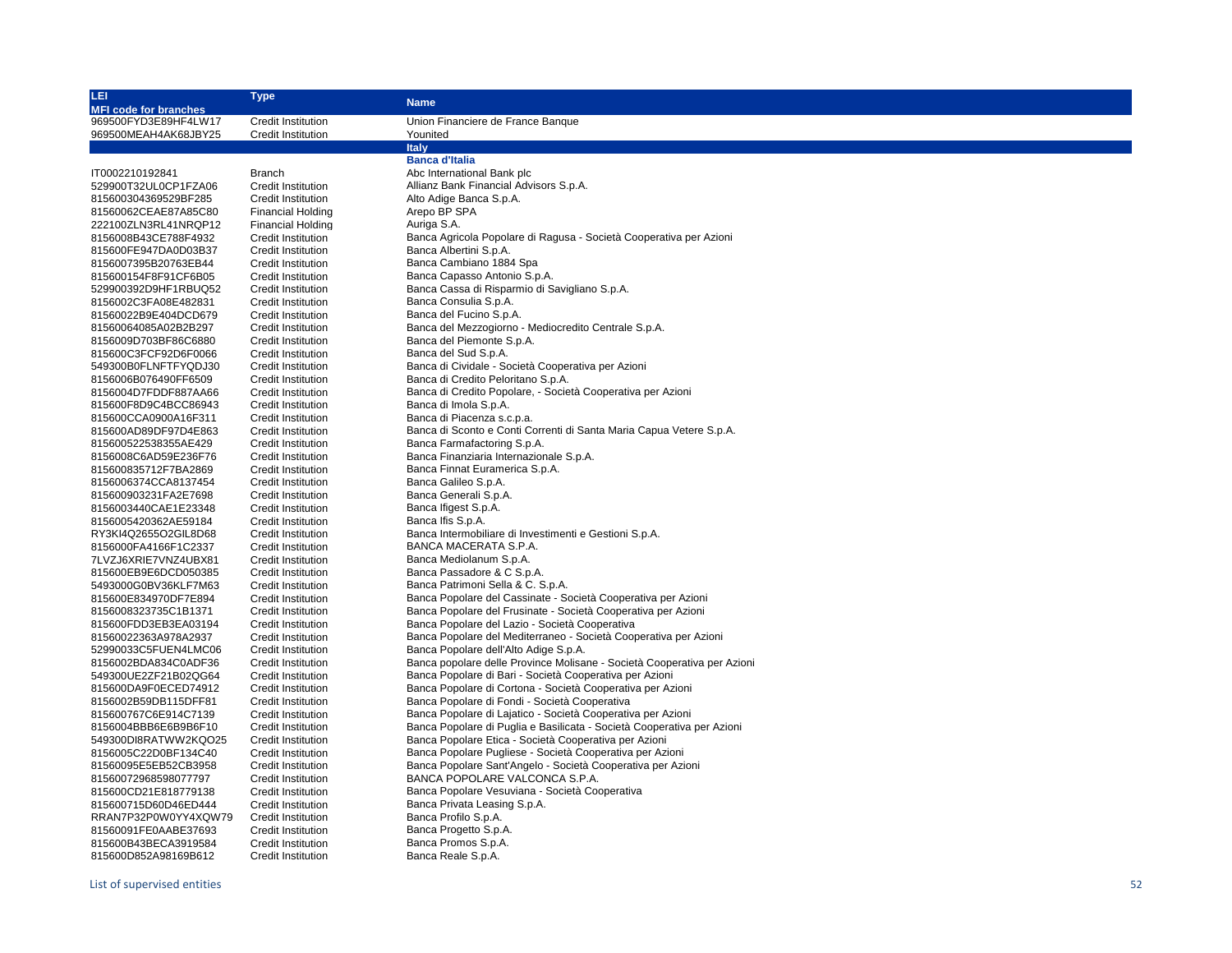| LEI                                          | <b>Type</b>                                     |                                                                                                                         |
|----------------------------------------------|-------------------------------------------------|-------------------------------------------------------------------------------------------------------------------------|
| <b>MFI code for branches</b>                 |                                                 | <b>Name</b>                                                                                                             |
| 969500FYD3E89HF4LW17                         | <b>Credit Institution</b>                       | Union Financiere de France Banque                                                                                       |
| 969500MEAH4AK68JBY25                         | <b>Credit Institution</b>                       | Younited                                                                                                                |
|                                              |                                                 | <b>Italy</b>                                                                                                            |
|                                              |                                                 | <b>Banca d'Italia</b>                                                                                                   |
| IT0002210192841                              | Branch                                          | Abc International Bank plc                                                                                              |
| 529900T32UL0CP1FZA06                         | Credit Institution                              | Allianz Bank Financial Advisors S.p.A.                                                                                  |
| 815600304369529BF285                         | <b>Credit Institution</b>                       | Alto Adige Banca S.p.A.                                                                                                 |
| 81560062CEAE87A85C80                         | <b>Financial Holding</b>                        | Arepo BP SPA                                                                                                            |
| 222100ZLN3RL41NRQP12                         | <b>Financial Holding</b>                        | Auriga S.A.                                                                                                             |
| 8156008B43CE788F4932                         | <b>Credit Institution</b>                       | Banca Agricola Popolare di Ragusa - Società Cooperativa per Azioni                                                      |
| 815600FE947DA0D03B37                         | <b>Credit Institution</b>                       | Banca Albertini S.p.A.                                                                                                  |
| 8156007395B20763EB44                         | <b>Credit Institution</b>                       | Banca Cambiano 1884 Spa                                                                                                 |
| 815600154F8F91CF6B05                         | <b>Credit Institution</b>                       | Banca Capasso Antonio S.p.A.                                                                                            |
| 529900392D9HF1RBUQ52                         | <b>Credit Institution</b>                       | Banca Cassa di Risparmio di Savigliano S.p.A.                                                                           |
| 8156002C3FA08E482831                         | Credit Institution                              | Banca Consulia S.p.A.                                                                                                   |
| 81560022B9E404DCD679                         | <b>Credit Institution</b>                       | Banca del Fucino S.p.A.                                                                                                 |
| 81560064085A02B2B297                         | Credit Institution                              | Banca del Mezzogiorno - Mediocredito Centrale S.p.A.                                                                    |
| 8156009D703BF86C6880                         | <b>Credit Institution</b>                       | Banca del Piemonte S.p.A.                                                                                               |
| 815600C3FCF92D6F0066                         | <b>Credit Institution</b>                       | Banca del Sud S.p.A.                                                                                                    |
| 549300B0FLNFTFYQDJ30                         | <b>Credit Institution</b>                       | Banca di Cividale - Società Cooperativa per Azioni                                                                      |
| 8156006B076490FF6509                         | <b>Credit Institution</b>                       | Banca di Credito Peloritano S.p.A.                                                                                      |
| 8156004D7FDDF887AA66                         | <b>Credit Institution</b>                       | Banca di Credito Popolare, - Società Cooperativa per Azioni                                                             |
| 815600F8D9C4BCC86943                         | <b>Credit Institution</b>                       | Banca di Imola S.p.A.                                                                                                   |
| 815600CCA0900A16F311                         | <b>Credit Institution</b>                       | Banca di Piacenza s.c.p.a.                                                                                              |
| 815600AD89DF97D4E863                         | Credit Institution                              | Banca di Sconto e Conti Correnti di Santa Maria Capua Vetere S.p.A.                                                     |
| 815600522538355AE429                         | <b>Credit Institution</b>                       | Banca Farmafactoring S.p.A.                                                                                             |
|                                              | <b>Credit Institution</b>                       |                                                                                                                         |
| 8156008C6AD59E236F76<br>815600835712F7BA2869 | <b>Credit Institution</b>                       | Banca Finanziaria Internazionale S.p.A.                                                                                 |
|                                              |                                                 | Banca Finnat Euramerica S.p.A.                                                                                          |
| 8156006374CCA8137454                         | Credit Institution                              | Banca Galileo S.p.A.                                                                                                    |
| 815600903231FA2E7698                         | <b>Credit Institution</b>                       | Banca Generali S.p.A.                                                                                                   |
| 8156003440CAE1E23348                         | <b>Credit Institution</b>                       | Banca Ifigest S.p.A.                                                                                                    |
| 8156005420362AE59184                         | <b>Credit Institution</b>                       | Banca Ifis S.p.A.                                                                                                       |
| RY3KI4Q2655O2GIL8D68                         | Credit Institution                              | Banca Intermobiliare di Investimenti e Gestioni S.p.A.                                                                  |
| 8156000FA4166F1C2337                         | Credit Institution                              | BANCA MACERATA S.P.A.                                                                                                   |
| 7LVZJ6XRIE7VNZ4UBX81                         | <b>Credit Institution</b>                       | Banca Mediolanum S.p.A.                                                                                                 |
| 815600EB9E6DCD050385                         | <b>Credit Institution</b>                       | Banca Passadore & C S.p.A.                                                                                              |
| 5493000G0BV36KLF7M63                         | <b>Credit Institution</b>                       | Banca Patrimoni Sella & C. S.p.A.                                                                                       |
| 815600E834970DF7E894                         | Credit Institution                              | Banca Popolare del Cassinate - Società Cooperativa per Azioni                                                           |
| 8156008323735C1B1371                         | Credit Institution                              | Banca Popolare del Frusinate - Società Cooperativa per Azioni                                                           |
| 815600FDD3EB3EA03194                         | <b>Credit Institution</b>                       | Banca Popolare del Lazio - Società Cooperativa                                                                          |
| 81560022363A978A2937                         | <b>Credit Institution</b>                       | Banca Popolare del Mediterraneo - Società Cooperativa per Azioni                                                        |
| 52990033C5FUEN4LMC06                         | Credit Institution                              | Banca Popolare dell'Alto Adige S.p.A.<br>Banca popolare delle Province Molisane - Società Cooperativa per Azioni        |
| 8156002BDA834C0ADF36                         | Credit Institution                              |                                                                                                                         |
| 549300UE2ZF21B02QG64                         | <b>Credit Institution</b>                       | Banca Popolare di Bari - Società Cooperativa per Azioni<br>Banca Popolare di Cortona - Società Cooperativa per Azioni   |
| 815600DA9F0ECED74912                         | <b>Credit Institution</b>                       | Banca Popolare di Fondi - Società Cooperativa                                                                           |
| 8156002B59DB115DFF81                         | Credit Institution                              | Banca Popolare di Lajatico - Società Cooperativa per Azioni                                                             |
| 815600767C6E914C7139                         | Credit Institution                              | Banca Popolare di Puglia e Basilicata - Società Cooperativa per Azioni                                                  |
| 8156004BBB6E6B9B6F10                         | <b>Credit Institution</b>                       | Banca Popolare Etica - Società Cooperativa per Azioni                                                                   |
| 549300DI8RATWW2KQO25                         | <b>Credit Institution</b>                       |                                                                                                                         |
| 8156005C22D0BF134C40                         | <b>Credit Institution</b>                       | Banca Popolare Pugliese - Società Cooperativa per Azioni<br>Banca Popolare Sant'Angelo - Società Cooperativa per Azioni |
| 81560095E5EB52CB3958                         | <b>Credit Institution</b><br>Credit Institution | BANCA POPOLARE VALCONCA S.P.A.                                                                                          |
| 81560072968598077797<br>815600CD21E818779138 | <b>Credit Institution</b>                       |                                                                                                                         |
| 815600715D60D46ED444                         |                                                 | Banca Popolare Vesuviana - Società Cooperativa<br>Banca Privata Leasing S.p.A.                                          |
|                                              | <b>Credit Institution</b>                       | Banca Profilo S.p.A.                                                                                                    |
| RRAN7P32P0W0YY4XQW79                         | <b>Credit Institution</b>                       | Banca Progetto S.p.A.                                                                                                   |
| 81560091FE0AABE37693<br>815600B43BECA3919584 | Credit Institution                              | Banca Promos S.p.A.                                                                                                     |
|                                              | Credit Institution                              | Banca Reale S.p.A.                                                                                                      |
| 815600D852A98169B612                         | <b>Credit Institution</b>                       |                                                                                                                         |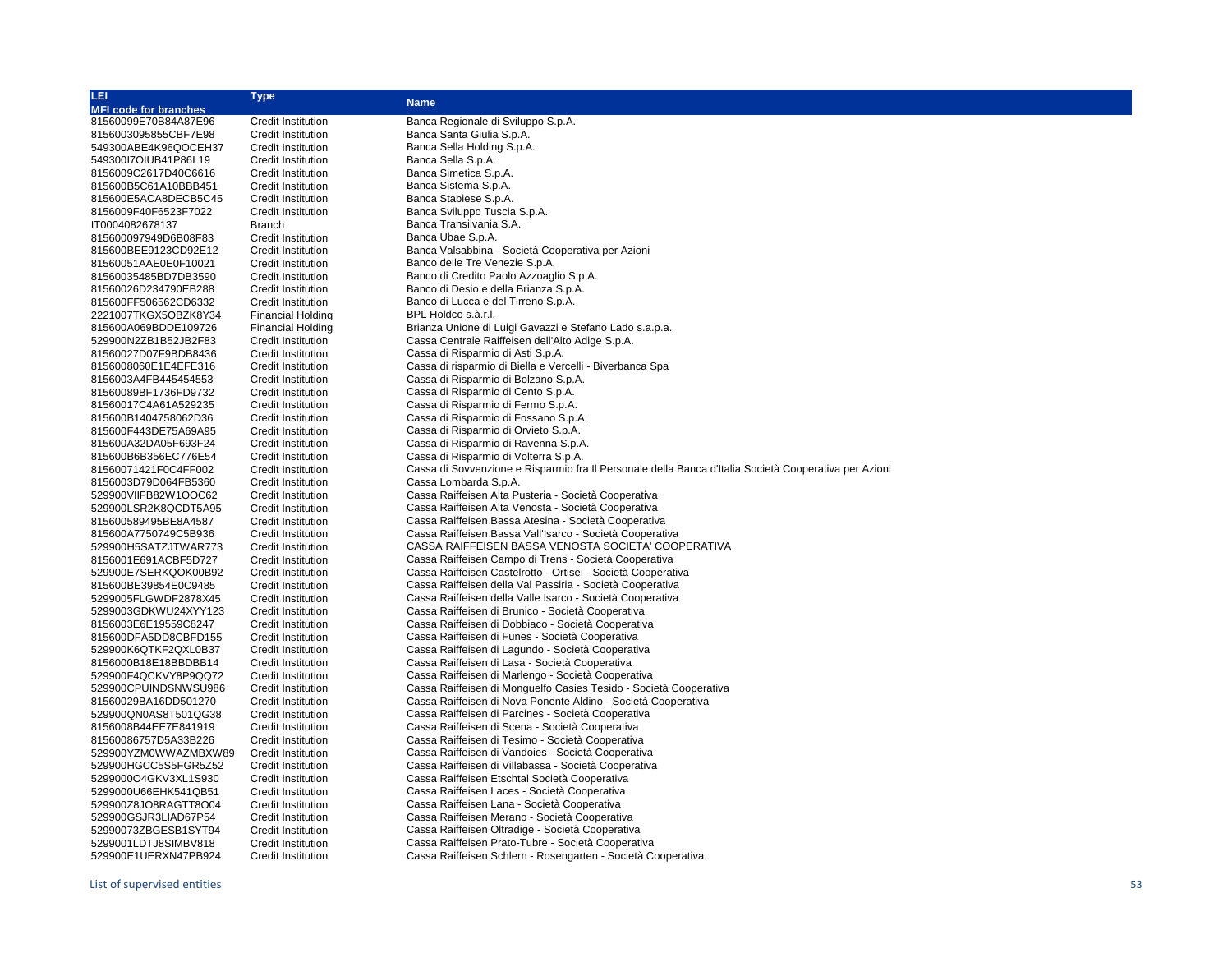| LEI                          | <b>Type</b>                                            | <b>Name</b>                                                                                           |
|------------------------------|--------------------------------------------------------|-------------------------------------------------------------------------------------------------------|
| <b>MFI code for branches</b> |                                                        |                                                                                                       |
| 81560099E70B84A87E96         | <b>Credit Institution</b>                              | Banca Regionale di Sviluppo S.p.A.                                                                    |
| 8156003095855CBF7E98         | <b>Credit Institution</b>                              | Banca Santa Giulia S.p.A.                                                                             |
| 549300ABE4K96QOCEH37         | <b>Credit Institution</b>                              | Banca Sella Holding S.p.A.                                                                            |
| 54930017OIUB41P86L19         | <b>Credit Institution</b>                              | Banca Sella S.p.A.                                                                                    |
| 8156009C2617D40C6616         | <b>Credit Institution</b>                              | Banca Simetica S.p.A.                                                                                 |
| 815600B5C61A10BBB451         | <b>Credit Institution</b>                              | Banca Sistema S.p.A.                                                                                  |
| 815600E5ACA8DECB5C45         | <b>Credit Institution</b>                              | Banca Stabiese S.p.A.                                                                                 |
| 8156009F40F6523F7022         | <b>Credit Institution</b>                              | Banca Sviluppo Tuscia S.p.A.                                                                          |
| IT0004082678137              | Branch                                                 | Banca Transilvania S.A.                                                                               |
| 815600097949D6B08F83         | <b>Credit Institution</b>                              | Banca Ubae S.p.A.                                                                                     |
| 815600BEE9123CD92E12         |                                                        | Banca Valsabbina - Società Cooperativa per Azioni                                                     |
| 81560051AAE0E0F10021         | <b>Credit Institution</b><br><b>Credit Institution</b> | Banco delle Tre Venezie S.p.A.                                                                        |
|                              |                                                        |                                                                                                       |
| 81560035485BD7DB3590         | <b>Credit Institution</b>                              | Banco di Credito Paolo Azzoaglio S.p.A.                                                               |
| 81560026D234790EB288         | <b>Credit Institution</b>                              | Banco di Desio e della Brianza S.p.A.                                                                 |
| 815600FF506562CD6332         | <b>Credit Institution</b>                              | Banco di Lucca e del Tirreno S.p.A.                                                                   |
| 2221007TKGX5QBZK8Y34         | <b>Financial Holding</b>                               | BPL Holdco s.à.r.l.                                                                                   |
| 815600A069BDDE109726         | <b>Financial Holding</b>                               | Brianza Unione di Luigi Gavazzi e Stefano Lado s.a.p.a.                                               |
| 529900N2ZB1B52JB2F83         | <b>Credit Institution</b>                              | Cassa Centrale Raiffeisen dell'Alto Adige S.p.A.                                                      |
| 81560027D07F9BDB8436         | <b>Credit Institution</b>                              | Cassa di Risparmio di Asti S.p.A.                                                                     |
| 8156008060E1E4EFE316         | <b>Credit Institution</b>                              | Cassa di risparmio di Biella e Vercelli - Biverbanca Spa                                              |
| 8156003A4FB445454553         | <b>Credit Institution</b>                              | Cassa di Risparmio di Bolzano S.p.A.                                                                  |
| 81560089BF1736FD9732         | <b>Credit Institution</b>                              | Cassa di Risparmio di Cento S.p.A.                                                                    |
| 81560017C4A61A529235         | <b>Credit Institution</b>                              | Cassa di Risparmio di Fermo S.p.A.                                                                    |
| 815600B1404758062D36         | <b>Credit Institution</b>                              | Cassa di Risparmio di Fossano S.p.A.                                                                  |
| 815600F443DE75A69A95         | Credit Institution                                     | Cassa di Risparmio di Orvieto S.p.A.                                                                  |
| 815600A32DA05F693F24         | <b>Credit Institution</b>                              | Cassa di Risparmio di Ravenna S.p.A.                                                                  |
| 815600B6B356EC776E54         | <b>Credit Institution</b>                              | Cassa di Risparmio di Volterra S.p.A.                                                                 |
| 81560071421F0C4FF002         | <b>Credit Institution</b>                              | Cassa di Sovvenzione e Risparmio fra Il Personale della Banca d'Italia Società Cooperativa per Azioni |
| 8156003D79D064FB5360         | <b>Credit Institution</b>                              | Cassa Lombarda S.p.A.                                                                                 |
| 529900VIIFB82W1OOC62         | <b>Credit Institution</b>                              | Cassa Raiffeisen Alta Pusteria - Società Cooperativa                                                  |
| 529900LSR2K8QCDT5A95         | <b>Credit Institution</b>                              | Cassa Raiffeisen Alta Venosta - Società Cooperativa                                                   |
| 815600589495BE8A4587         | <b>Credit Institution</b>                              | Cassa Raiffeisen Bassa Atesina - Società Cooperativa                                                  |
| 815600A7750749C5B936         | <b>Credit Institution</b>                              | Cassa Raiffeisen Bassa Vall'Isarco - Società Cooperativa                                              |
| 529900H5SATZJTWAR773         | <b>Credit Institution</b>                              | CASSA RAIFFEISEN BASSA VENOSTA SOCIETA' COOPERATIVA                                                   |
| 8156001E691ACBF5D727         | <b>Credit Institution</b>                              | Cassa Raiffeisen Campo di Trens - Società Cooperativa                                                 |
| 529900E7SERKQOK00B92         | <b>Credit Institution</b>                              | Cassa Raiffeisen Castelrotto - Ortisei - Società Cooperativa                                          |
| 815600BE39854E0C9485         | <b>Credit Institution</b>                              | Cassa Raiffeisen della Val Passiria - Società Cooperativa                                             |
| 5299005FLGWDF2878X45         | Credit Institution                                     | Cassa Raiffeisen della Valle Isarco - Società Cooperativa                                             |
| 5299003GDKWU24XYY123         | <b>Credit Institution</b>                              | Cassa Raiffeisen di Brunico - Società Cooperativa                                                     |
| 8156003E6E19559C8247         | <b>Credit Institution</b>                              | Cassa Raiffeisen di Dobbiaco - Società Cooperativa                                                    |
| 815600DFA5DD8CBFD155         | Credit Institution                                     | Cassa Raiffeisen di Funes - Società Cooperativa                                                       |
| 529900K6QTKF2QXL0B37         | <b>Credit Institution</b>                              | Cassa Raiffeisen di Lagundo - Società Cooperativa                                                     |
| 8156000B18E18BBDBB14         | <b>Credit Institution</b>                              | Cassa Raiffeisen di Lasa - Società Cooperativa                                                        |
| 529900F4QCKVY8P9QQ72         | <b>Credit Institution</b>                              | Cassa Raiffeisen di Marlengo - Società Cooperativa                                                    |
| 529900CPUINDSNWSU986         | <b>Credit Institution</b>                              | Cassa Raiffeisen di Monguelfo Casies Tesido - Società Cooperativa                                     |
| 81560029BA16DD501270         | Credit Institution                                     | Cassa Raiffeisen di Nova Ponente Aldino - Società Cooperativa                                         |
| 529900QN0AS8T501QG38         | <b>Credit Institution</b>                              | Cassa Raiffeisen di Parcines - Società Cooperativa                                                    |
| 8156008B44EE7E841919         | <b>Credit Institution</b>                              | Cassa Raiffeisen di Scena - Società Cooperativa                                                       |
|                              |                                                        | Cassa Raiffeisen di Tesimo - Società Cooperativa                                                      |
| 81560086757D5A33B226         | <b>Credit Institution</b>                              |                                                                                                       |
| 529900YZM0WWAZMBXW89         | <b>Credit Institution</b>                              | Cassa Raiffeisen di Vandoies - Società Cooperativa                                                    |
| 529900HGCC5S5FGR5Z52         | <b>Credit Institution</b>                              | Cassa Raiffeisen di Villabassa - Società Cooperativa                                                  |
| 5299000O4GKV3XL1S930         | <b>Credit Institution</b>                              | Cassa Raiffeisen Etschtal Società Cooperativa                                                         |
| 5299000U66EHK541QB51         | <b>Credit Institution</b>                              | Cassa Raiffeisen Laces - Società Cooperativa                                                          |
| 529900Z8JO8RAGTT8O04         | <b>Credit Institution</b>                              | Cassa Raiffeisen Lana - Società Cooperativa                                                           |
| 529900GSJR3LIAD67P54         | <b>Credit Institution</b>                              | Cassa Raiffeisen Merano - Società Cooperativa                                                         |
| 52990073ZBGESB1SYT94         | Credit Institution                                     | Cassa Raiffeisen Oltradige - Società Cooperativa                                                      |
| 5299001LDTJ8SIMBV818         | <b>Credit Institution</b>                              | Cassa Raiffeisen Prato-Tubre - Società Cooperativa                                                    |
| 529900E1UERXN47PB924         | <b>Credit Institution</b>                              | Cassa Raiffeisen Schlern - Rosengarten - Società Cooperativa                                          |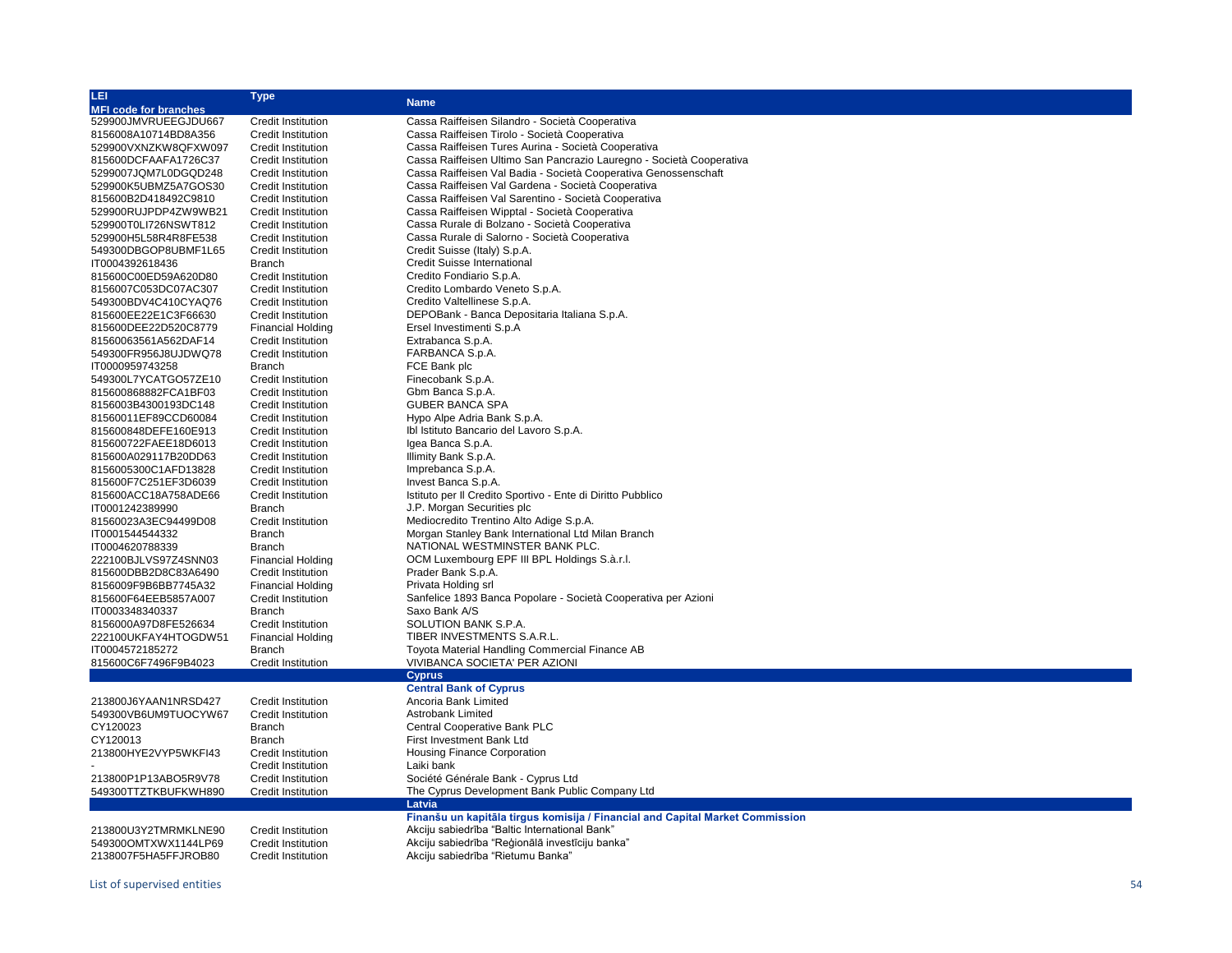| 山                            | <b>Type</b>               | <b>Name</b>                                                                   |
|------------------------------|---------------------------|-------------------------------------------------------------------------------|
| <b>MFI code for branches</b> |                           |                                                                               |
| 529900JMVRUEEGJDU667         | <b>Credit Institution</b> | Cassa Raiffeisen Silandro - Società Cooperativa                               |
| 8156008A10714BD8A356         | <b>Credit Institution</b> | Cassa Raiffeisen Tirolo - Società Cooperativa                                 |
| 529900VXNZKW8QFXW097         | <b>Credit Institution</b> | Cassa Raiffeisen Tures Aurina - Società Cooperativa                           |
| 815600DCFAAFA1726C37         | <b>Credit Institution</b> | Cassa Raiffeisen Ultimo San Pancrazio Lauregno - Società Cooperativa          |
| 5299007JQM7L0DGQD248         | Credit Institution        | Cassa Raiffeisen Val Badia - Società Cooperativa Genossenschaft               |
| 529900K5UBMZ5A7GOS30         | <b>Credit Institution</b> | Cassa Raiffeisen Val Gardena - Società Cooperativa                            |
| 815600B2D418492C9810         | <b>Credit Institution</b> | Cassa Raiffeisen Val Sarentino - Società Cooperativa                          |
| 529900RUJPDP4ZW9WB21         | <b>Credit Institution</b> | Cassa Raiffeisen Wipptal - Società Cooperativa                                |
| 529900T0LI726NSWT812         | <b>Credit Institution</b> | Cassa Rurale di Bolzano - Società Cooperativa                                 |
| 529900H5L58R4R8FE538         | <b>Credit Institution</b> | Cassa Rurale di Salorno - Società Cooperativa                                 |
| 549300DBGOP8UBMF1L65         | <b>Credit Institution</b> | Credit Suisse (Italy) S.p.A.                                                  |
| IT0004392618436              | <b>Branch</b>             | <b>Credit Suisse International</b>                                            |
|                              |                           | Credito Fondiario S.p.A.                                                      |
| 815600C00ED59A620D80         | <b>Credit Institution</b> |                                                                               |
| 8156007C053DC07AC307         | <b>Credit Institution</b> | Credito Lombardo Veneto S.p.A.                                                |
| 549300BDV4C410CYAQ76         | Credit Institution        | Credito Valtellinese S.p.A.                                                   |
| 815600EE22E1C3F66630         | <b>Credit Institution</b> | DEPOBank - Banca Depositaria Italiana S.p.A.                                  |
| 815600DEE22D520C8779         | <b>Financial Holding</b>  | Ersel Investimenti S.p.A                                                      |
| 81560063561A562DAF14         | <b>Credit Institution</b> | Extrabanca S.p.A.                                                             |
| 549300FR956J8UJDWQ78         | <b>Credit Institution</b> | FARBANCA S.p.A.                                                               |
| IT0000959743258              | <b>Branch</b>             | FCE Bank plc                                                                  |
| 549300L7YCATGO57ZE10         | <b>Credit Institution</b> | Finecobank S.p.A.                                                             |
| 815600868882FCA1BF03         | <b>Credit Institution</b> | Gbm Banca S.p.A.                                                              |
| 8156003B4300193DC148         | <b>Credit Institution</b> | <b>GUBER BANCA SPA</b>                                                        |
| 81560011EF89CCD60084         | <b>Credit Institution</b> | Hypo Alpe Adria Bank S.p.A.                                                   |
| 815600848DEFE160E913         | <b>Credit Institution</b> | Ibl Istituto Bancario del Lavoro S.p.A.                                       |
| 815600722FAEE18D6013         | <b>Credit Institution</b> | Igea Banca S.p.A.                                                             |
| 815600A029117B20DD63         | <b>Credit Institution</b> | Illimity Bank S.p.A.                                                          |
| 8156005300C1AFD13828         | <b>Credit Institution</b> | Imprebanca S.p.A.                                                             |
| 815600F7C251EF3D6039         | <b>Credit Institution</b> | Invest Banca S.p.A.                                                           |
| 815600ACC18A758ADE66         | <b>Credit Institution</b> | Istituto per Il Credito Sportivo - Ente di Diritto Pubblico                   |
| IT0001242389990              | <b>Branch</b>             | J.P. Morgan Securities plc                                                    |
| 81560023A3EC94499D08         | Credit Institution        | Mediocredito Trentino Alto Adige S.p.A.                                       |
| IT0001544544332              | Branch                    | Morgan Stanley Bank International Ltd Milan Branch                            |
| IT0004620788339              | <b>Branch</b>             | NATIONAL WESTMINSTER BANK PLC.                                                |
| 222100BJLVS97Z4SNN03         | <b>Financial Holding</b>  | OCM Luxembourg EPF III BPL Holdings S.à.r.l.                                  |
| 815600DBB2D8C83A6490         | Credit Institution        | Prader Bank S.p.A.                                                            |
| 8156009F9B6BB7745A32         | <b>Financial Holding</b>  | Privata Holding srl                                                           |
| 815600F64EEB5857A007         | <b>Credit Institution</b> | Sanfelice 1893 Banca Popolare - Società Cooperativa per Azioni                |
| IT0003348340337              | <b>Branch</b>             | Saxo Bank A/S                                                                 |
|                              |                           | SOLUTION BANK S.P.A.                                                          |
| 8156000A97D8FE526634         | <b>Credit Institution</b> |                                                                               |
| 222100UKFAY4HTOGDW51         | <b>Financial Holding</b>  | TIBER INVESTMENTS S.A.R.L.                                                    |
| IT0004572185272              | <b>Branch</b>             | Toyota Material Handling Commercial Finance AB                                |
| 815600C6F7496F9B4023         | <b>Credit Institution</b> | VIVIBANCA SOCIETA' PER AZIONI                                                 |
|                              |                           | <b>Cyprus</b>                                                                 |
|                              |                           | <b>Central Bank of Cyprus</b>                                                 |
| 213800J6YAAN1NRSD427         | <b>Credit Institution</b> | Ancoria Bank Limited                                                          |
| 549300VB6UM9TUOCYW67         | <b>Credit Institution</b> | <b>Astrobank Limited</b>                                                      |
| CY120023                     | <b>Branch</b>             | Central Cooperative Bank PLC                                                  |
| CY120013                     | <b>Branch</b>             | First Investment Bank Ltd                                                     |
| 213800HYE2VYP5WKFI43         | <b>Credit Institution</b> | <b>Housing Finance Corporation</b>                                            |
|                              | Credit Institution        | Laiki bank                                                                    |
| 213800P1P13ABO5R9V78         | Credit Institution        | Société Générale Bank - Cyprus Ltd                                            |
| 549300TTZTKBUFKWH890         | Credit Institution        | The Cyprus Development Bank Public Company Ltd                                |
|                              |                           | Latvia                                                                        |
|                              |                           | Finanšu un kapitāla tirgus komisija / Financial and Capital Market Commission |
| 213800U3Y2TMRMKLNE90         | <b>Credit Institution</b> | Akciju sabiedrība "Baltic International Bank"                                 |
| 549300OMTXWX1144LP69         | <b>Credit Institution</b> | Akciju sabiedrība "Reģionālā investīciju banka"                               |
| 2138007F5HA5FFJROB80         | <b>Credit Institution</b> | Akciju sabiedrība "Rietumu Banka"                                             |
|                              |                           |                                                                               |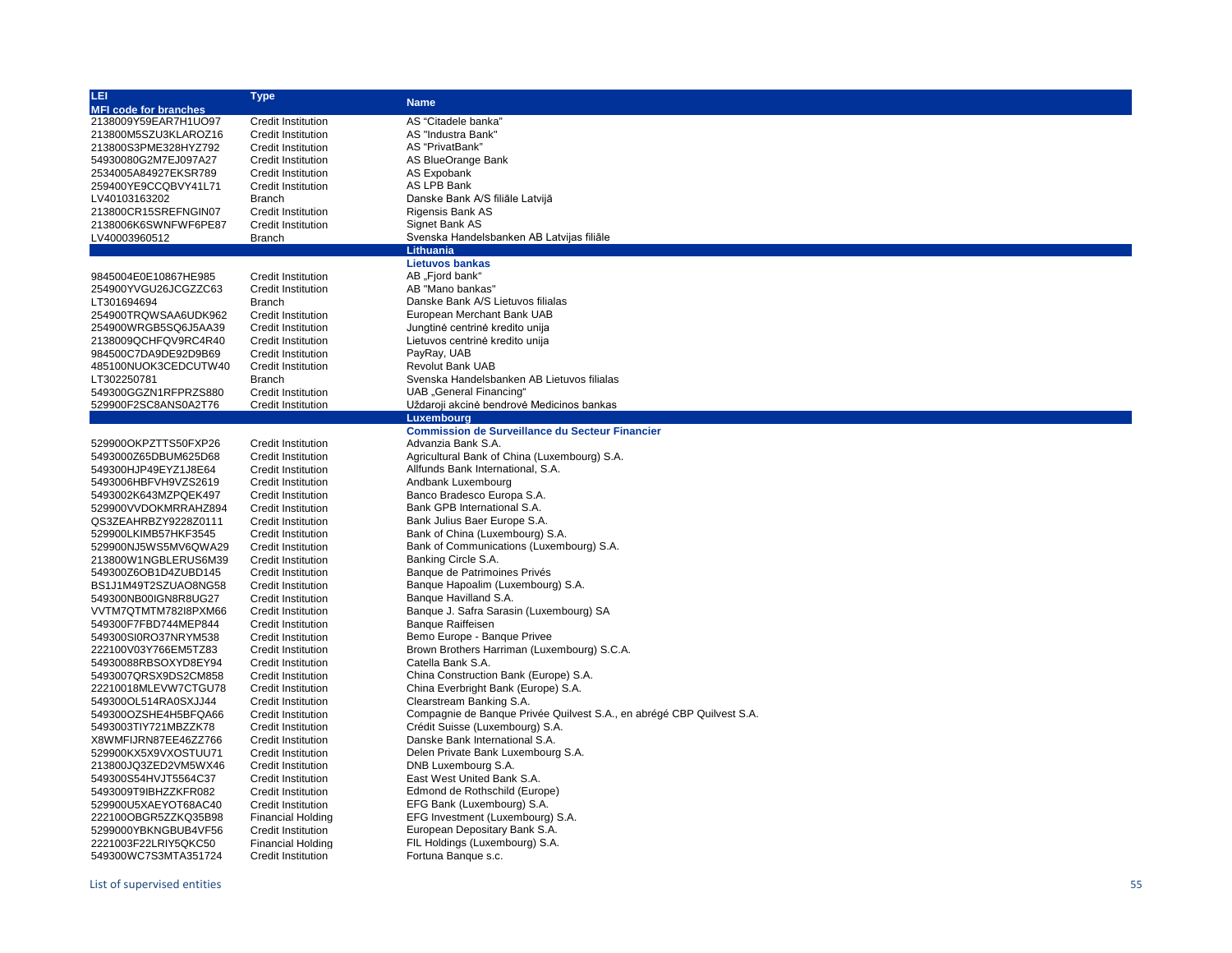| LEI.                         | Type                      | <b>Name</b>                                                           |
|------------------------------|---------------------------|-----------------------------------------------------------------------|
| <b>MFI code for branches</b> |                           |                                                                       |
| 2138009Y59EAR7H1UO97         | <b>Credit Institution</b> | AS "Citadele banka"                                                   |
| 213800M5SZU3KLAROZ16         | <b>Credit Institution</b> | AS "Industra Bank"                                                    |
| 213800S3PME328HYZ792         | <b>Credit Institution</b> | AS "PrivatBank"                                                       |
| 54930080G2M7EJ097A27         | <b>Credit Institution</b> | AS BlueOrange Bank                                                    |
| 2534005A84927EKSR789         | <b>Credit Institution</b> | AS Expobank                                                           |
| 259400YE9CCQBVY41L71         | <b>Credit Institution</b> | AS LPB Bank                                                           |
| LV40103163202                | <b>Branch</b>             | Danske Bank A/S filiāle Latvijā                                       |
| 213800CR15SREFNGIN07         | <b>Credit Institution</b> | Rigensis Bank AS                                                      |
| 2138006K6SWNFWF6PE87         | <b>Credit Institution</b> | Signet Bank AS                                                        |
| LV40003960512                | <b>Branch</b>             | Svenska Handelsbanken AB Latvijas filiāle                             |
|                              |                           | <b>Lithuania</b>                                                      |
|                              |                           | <b>Lietuvos bankas</b>                                                |
| 9845004E0E10867HE985         | <b>Credit Institution</b> | AB "Fjord bank"                                                       |
| 254900YVGU26JCGZZC63         | <b>Credit Institution</b> | AB "Mano bankas"                                                      |
| LT301694694                  | <b>Branch</b>             | Danske Bank A/S Lietuvos filialas                                     |
|                              | <b>Credit Institution</b> | European Merchant Bank UAB                                            |
| 254900TRQWSAA6UDK962         |                           |                                                                       |
| 254900WRGB5SQ6J5AA39         | <b>Credit Institution</b> | Jungtinė centrinė kredito unija                                       |
| 2138009QCHFQV9RC4R40         | <b>Credit Institution</b> | Lietuvos centrinė kredito unija                                       |
| 984500C7DA9DE92D9B69         | <b>Credit Institution</b> | PayRay, UAB                                                           |
| 485100NUOK3CEDCUTW40         | <b>Credit Institution</b> | <b>Revolut Bank UAB</b>                                               |
| LT302250781                  | <b>Branch</b>             | Svenska Handelsbanken AB Lietuvos filialas                            |
| 549300GGZN1RFPRZS880         | Credit Institution        | <b>UAB</b> "General Financing"                                        |
| 529900F2SC8ANS0A2T76         | Credit Institution        | Uždaroji akcinė bendrovė Medicinos bankas                             |
|                              |                           | <b>Luxembourg</b>                                                     |
|                              |                           | <b>Commission de Surveillance du Secteur Financier</b>                |
| 529900OKPZTTS50FXP26         | <b>Credit Institution</b> | Advanzia Bank S.A.                                                    |
| 5493000Z65DBUM625D68         | <b>Credit Institution</b> | Agricultural Bank of China (Luxembourg) S.A.                          |
| 549300HJP49EYZ1J8E64         | <b>Credit Institution</b> | Allfunds Bank International, S.A.                                     |
| 5493006HBFVH9VZS2619         | <b>Credit Institution</b> | Andbank Luxembourg                                                    |
| 5493002K643MZPQEK497         | <b>Credit Institution</b> | Banco Bradesco Europa S.A.                                            |
| 529900VVDOKMRRAHZ894         | <b>Credit Institution</b> | Bank GPB International S.A.                                           |
| QS3ZEAHRBZY9228Z0111         | <b>Credit Institution</b> | Bank Julius Baer Europe S.A.                                          |
| 529900LKIMB57HKF3545         | <b>Credit Institution</b> | Bank of China (Luxembourg) S.A.                                       |
| 529900NJ5WS5MV6QWA29         | <b>Credit Institution</b> | Bank of Communications (Luxembourg) S.A.                              |
| 213800W1NGBLERUS6M39         | <b>Credit Institution</b> | Banking Circle S.A.                                                   |
| 549300Z6OB1D4ZUBD145         | <b>Credit Institution</b> | Banque de Patrimoines Privés                                          |
| BS1J1M49T2SZUAO8NG58         | <b>Credit Institution</b> | Banque Hapoalim (Luxembourg) S.A.                                     |
| 549300NB00IGN8R8UG27         | <b>Credit Institution</b> | Banque Havilland S.A.                                                 |
| VVTM7QTMTM782I8PXM66         | <b>Credit Institution</b> | Banque J. Safra Sarasin (Luxembourg) SA                               |
| 549300F7FBD744MEP844         | <b>Credit Institution</b> | <b>Banque Raiffeisen</b>                                              |
| 549300SI0RO37NRYM538         | <b>Credit Institution</b> | Bemo Europe - Banque Privee                                           |
| 222100V03Y766EM5TZ83         | <b>Credit Institution</b> | Brown Brothers Harriman (Luxembourg) S.C.A.                           |
|                              |                           | Catella Bank S.A.                                                     |
| 54930088RBSOXYD8EY94         | <b>Credit Institution</b> | China Construction Bank (Europe) S.A.                                 |
| 5493007QRSX9DS2CM858         | <b>Credit Institution</b> |                                                                       |
| 22210018MLEVW7CTGU78         | <b>Credit Institution</b> | China Everbright Bank (Europe) S.A.                                   |
| 549300OL514RA0SXJJ44         | <b>Credit Institution</b> | Clearstream Banking S.A.                                              |
| 549300OZSHE4H5BFQA66         | <b>Credit Institution</b> | Compagnie de Banque Privée Quilvest S.A., en abrégé CBP Quilvest S.A. |
| 5493003TIY721MBZZK78         | <b>Credit Institution</b> | Crédit Suisse (Luxembourg) S.A.                                       |
| X8WMFIJRN87EE46ZZ766         | <b>Credit Institution</b> | Danske Bank International S.A.                                        |
| 529900KX5X9VXOSTUU71         | <b>Credit Institution</b> | Delen Private Bank Luxembourg S.A.                                    |
| 213800JQ3ZED2VM5WX46         | <b>Credit Institution</b> | DNB Luxembourg S.A.                                                   |
| 549300S54HVJT5564C37         | <b>Credit Institution</b> | East West United Bank S.A.                                            |
| 5493009T9IBHZZKFR082         | <b>Credit Institution</b> | Edmond de Rothschild (Europe)                                         |
| 529900U5XAEYOT68AC40         | <b>Credit Institution</b> | EFG Bank (Luxembourg) S.A.                                            |
| 222100OBGR5ZZKQ35B98         | <b>Financial Holding</b>  | EFG Investment (Luxembourg) S.A.                                      |
| 5299000YBKNGBUB4VF56         | Credit Institution        | European Depositary Bank S.A.                                         |
| 2221003F22LRIY5QKC50         | <b>Financial Holding</b>  | FIL Holdings (Luxembourg) S.A.                                        |
| 549300WC7S3MTA351724         | Credit Institution        | Fortuna Banque s.c.                                                   |
|                              |                           |                                                                       |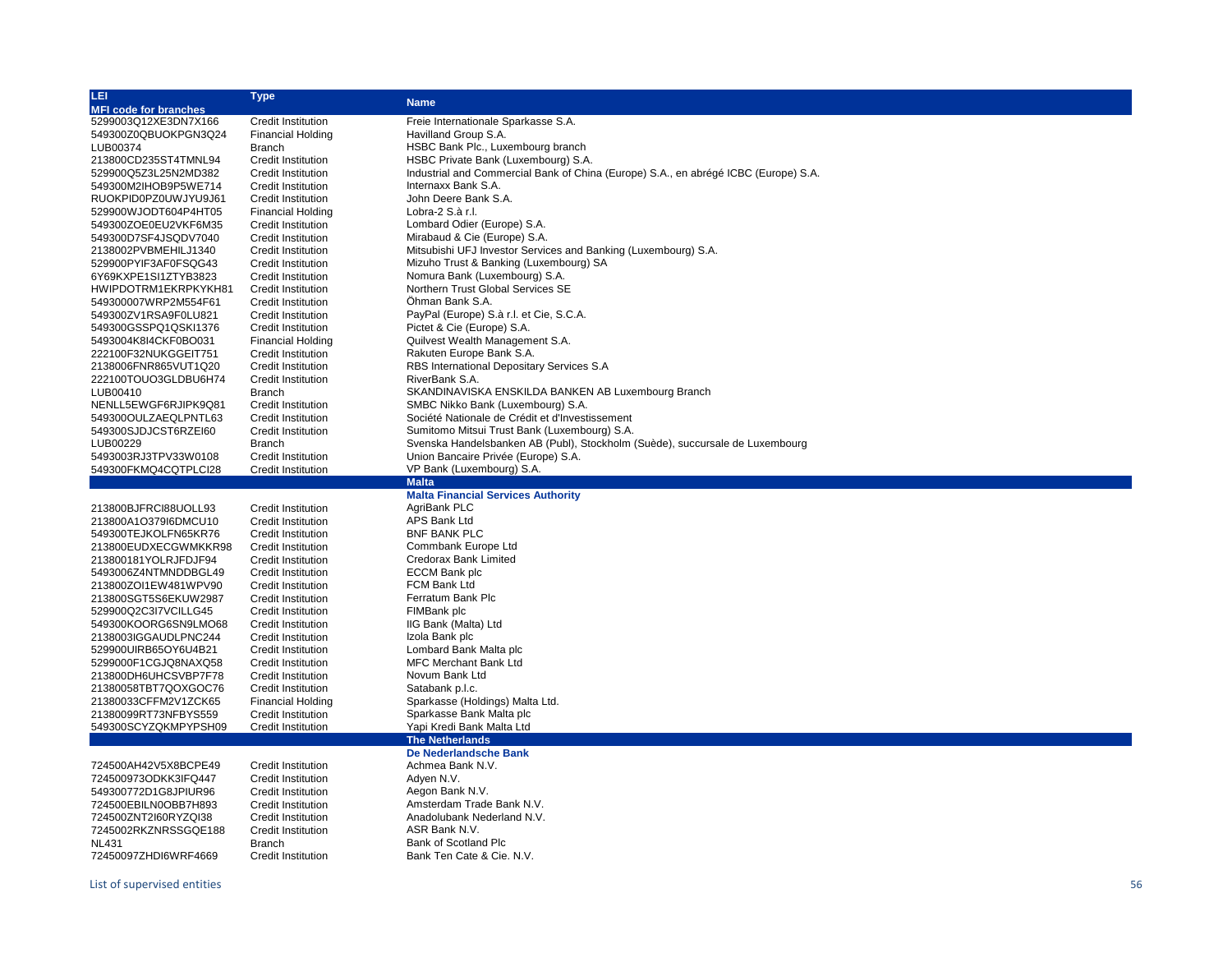| LEI                          | Type                      | <b>Name</b>                                                                         |
|------------------------------|---------------------------|-------------------------------------------------------------------------------------|
| <b>MFI code for branches</b> |                           |                                                                                     |
| 5299003Q12XE3DN7X166         | <b>Credit Institution</b> | Freie Internationale Sparkasse S.A.                                                 |
| 549300Z0QBUOKPGN3Q24         | <b>Financial Holding</b>  | Havilland Group S.A.                                                                |
| LUB00374                     | <b>Branch</b>             | HSBC Bank Plc., Luxembourg branch                                                   |
| 213800CD235ST4TMNL94         | Credit Institution        | HSBC Private Bank (Luxembourg) S.A.                                                 |
| 529900Q5Z3L25N2MD382         | <b>Credit Institution</b> | Industrial and Commercial Bank of China (Europe) S.A., en abrégé ICBC (Europe) S.A. |
| 549300M2IHOB9P5WE714         | <b>Credit Institution</b> | Internaxx Bank S.A.                                                                 |
| RUOKPID0PZ0UWJYU9J61         | <b>Credit Institution</b> | John Deere Bank S.A.                                                                |
| 529900WJODT604P4HT05         | <b>Financial Holding</b>  | Lobra-2 S.à r.l.                                                                    |
| 549300ZOE0EU2VKF6M35         | <b>Credit Institution</b> | Lombard Odier (Europe) S.A.                                                         |
| 549300D7SF4JSQDV7040         | <b>Credit Institution</b> | Mirabaud & Cie (Europe) S.A.                                                        |
| 2138002PVBMEHILJ1340         | <b>Credit Institution</b> | Mitsubishi UFJ Investor Services and Banking (Luxembourg) S.A.                      |
| 529900PYIF3AF0FSQG43         | <b>Credit Institution</b> | Mizuho Trust & Banking (Luxembourg) SA                                              |
|                              |                           |                                                                                     |
| 6Y69KXPE1SI1ZTYB3823         | <b>Credit Institution</b> | Nomura Bank (Luxembourg) S.A.                                                       |
| HWIPDOTRM1EKRPKYKH81         | <b>Credit Institution</b> | Northern Trust Global Services SE                                                   |
| 549300007WRP2M554F61         | <b>Credit Institution</b> | Öhman Bank S.A.                                                                     |
| 549300ZV1RSA9F0LU821         | <b>Credit Institution</b> | PayPal (Europe) S.à r.l. et Cie, S.C.A.                                             |
| 549300GSSPQ1QSKI1376         | Credit Institution        | Pictet & Cie (Europe) S.A.                                                          |
| 5493004K8I4CKF0BO031         | Financial Holding         | Quilvest Wealth Management S.A.                                                     |
| 222100F32NUKGGEIT751         | <b>Credit Institution</b> | Rakuten Europe Bank S.A.                                                            |
| 2138006FNR865VUT1Q20         | <b>Credit Institution</b> | RBS International Depositary Services S.A                                           |
| 222100TOUO3GLDBU6H74         | Credit Institution        | RiverBank S.A.                                                                      |
| LUB00410                     | <b>Branch</b>             | SKANDINAVISKA ENSKILDA BANKEN AB Luxembourg Branch                                  |
| NENLL5EWGF6RJIPK9Q81         | <b>Credit Institution</b> | SMBC Nikko Bank (Luxembourg) S.A.                                                   |
| 549300OULZAEQLPNTL63         | <b>Credit Institution</b> | Société Nationale de Crédit et d'Investissement                                     |
| 549300SJDJCST6RZEI60         | <b>Credit Institution</b> | Sumitomo Mitsui Trust Bank (Luxembourg) S.A.                                        |
| LUB00229                     | Branch                    | Svenska Handelsbanken AB (Publ), Stockholm (Suède), succursale de Luxembourg        |
| 5493003RJ3TPV33W0108         | <b>Credit Institution</b> | Union Bancaire Privée (Europe) S.A.                                                 |
| 549300FKMQ4CQTPLCI28         | <b>Credit Institution</b> | VP Bank (Luxembourg) S.A.                                                           |
|                              |                           | <b>Malta</b>                                                                        |
|                              |                           | <b>Malta Financial Services Authority</b>                                           |
| 213800BJFRCI88UOLL93         | <b>Credit Institution</b> | AgriBank PLC                                                                        |
| 213800A1O379I6DMCU10         |                           |                                                                                     |
|                              |                           |                                                                                     |
|                              | <b>Credit Institution</b> | APS Bank Ltd                                                                        |
| 549300TEJKOLFN65KR76         | <b>Credit Institution</b> | <b>BNF BANK PLC</b>                                                                 |
| 213800EUDXECGWMKKR98         | <b>Credit Institution</b> | Commbank Europe Ltd                                                                 |
| 213800181YOLRJFDJF94         | <b>Credit Institution</b> | Credorax Bank Limited                                                               |
| 5493006Z4NTMNDDBGL49         | <b>Credit Institution</b> | ECCM Bank plc                                                                       |
| 213800ZOI1EW481WPV90         | <b>Credit Institution</b> | FCM Bank Ltd                                                                        |
| 213800SGT5S6EKUW2987         | <b>Credit Institution</b> | Ferratum Bank Plc                                                                   |
| 529900Q2C3I7VCILLG45         | Credit Institution        | FIMBank plc                                                                         |
| 549300KOORG6SN9LMO68         | <b>Credit Institution</b> | IIG Bank (Malta) Ltd                                                                |
| 2138003IGGAUDLPNC244         | <b>Credit Institution</b> | Izola Bank plc                                                                      |
| 529900UIRB65OY6U4B21         | <b>Credit Institution</b> | Lombard Bank Malta plc                                                              |
| 5299000F1CGJQ8NAXQ58         | Credit Institution        | <b>MFC Merchant Bank Ltd</b>                                                        |
| 213800DH6UHCSVBP7F78         | Credit Institution        | Novum Bank Ltd                                                                      |
| 21380058TBT7QOXGOC76         | <b>Credit Institution</b> | Satabank p.l.c.                                                                     |
|                              |                           |                                                                                     |
| 21380033CFFM2V1ZCK65         | <b>Financial Holding</b>  | Sparkasse (Holdings) Malta Ltd.                                                     |
| 21380099RT73NFBYS559         | Credit Institution        | Sparkasse Bank Malta plc                                                            |
| 549300SCYZQKMPYPSH09         | <b>Credit Institution</b> | Yapi Kredi Bank Malta Ltd                                                           |
|                              |                           | <b>The Netherlands</b>                                                              |
|                              |                           | De Nederlandsche Bank                                                               |
| 724500AH42V5X8BCPE49         | <b>Credit Institution</b> | Achmea Bank N.V.                                                                    |
| 724500973ODKK3IFQ447         | <b>Credit Institution</b> | Adven N.V.                                                                          |
| 549300772D1G8JPIUR96         | <b>Credit Institution</b> | Aegon Bank N.V.                                                                     |
| 724500EBILN0OBB7H893         | <b>Credit Institution</b> | Amsterdam Trade Bank N.V.                                                           |
| 724500ZNT2l60RYZQI38         | <b>Credit Institution</b> | Anadolubank Nederland N.V.                                                          |
| 7245002RKZNRSSGQE188         | <b>Credit Institution</b> | ASR Bank N.V.                                                                       |
| <b>NL431</b>                 | <b>Branch</b>             | Bank of Scotland Plc                                                                |
| 72450097ZHDI6WRF4669         | <b>Credit Institution</b> | Bank Ten Cate & Cie. N.V.                                                           |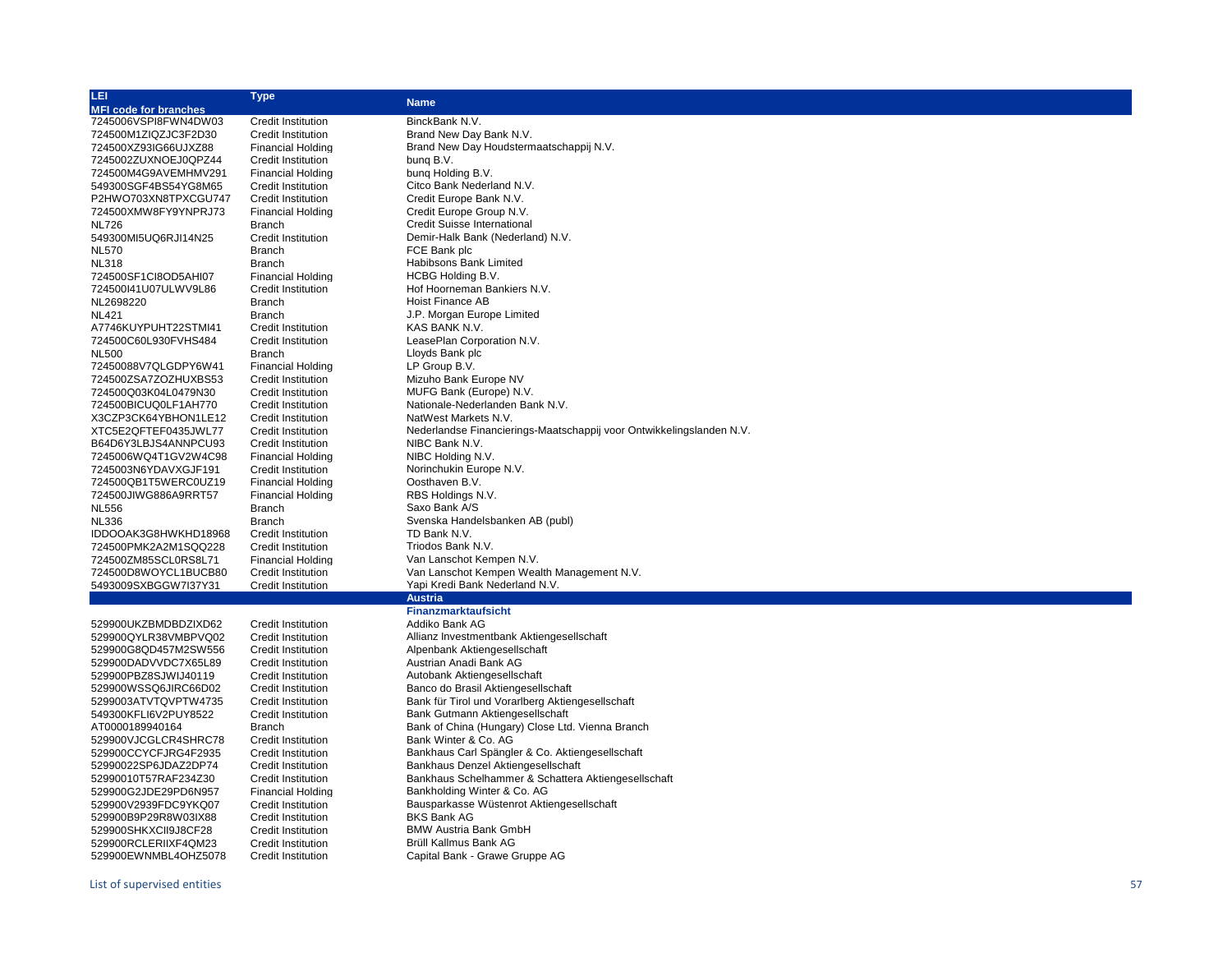| LEI.                         | <b>Type</b>               | <b>Name</b>                                                          |
|------------------------------|---------------------------|----------------------------------------------------------------------|
| <b>MFI code for branches</b> |                           |                                                                      |
| 7245006VSPI8FWN4DW03         | <b>Credit Institution</b> | BinckBank N.V.                                                       |
| 724500M1ZIQZJC3F2D30         | <b>Credit Institution</b> | Brand New Day Bank N.V.                                              |
| 724500XZ93IG66UJXZ88         | <b>Financial Holding</b>  | Brand New Day Houdstermaatschappij N.V.                              |
| 7245002ZUXNOEJ0QPZ44         | <b>Credit Institution</b> | bung B.V.                                                            |
| 724500M4G9AVEMHMV291         | <b>Financial Holding</b>  | bung Holding B.V.                                                    |
| 549300SGF4BS54YG8M65         | <b>Credit Institution</b> | Citco Bank Nederland N.V.                                            |
| P2HWO703XN8TPXCGU747         | <b>Credit Institution</b> | Credit Europe Bank N.V.                                              |
| 724500XMW8FY9YNPRJ73         | <b>Financial Holding</b>  | Credit Europe Group N.V.                                             |
| <b>NL726</b>                 | Branch                    | <b>Credit Suisse International</b>                                   |
| 549300MI5UQ6RJI14N25         | <b>Credit Institution</b> | Demir-Halk Bank (Nederland) N.V.                                     |
| <b>NL570</b>                 | <b>Branch</b>             | FCE Bank plc                                                         |
| <b>NL318</b>                 | <b>Branch</b>             | Habibsons Bank Limited                                               |
| 724500SF1CI8OD5AHI07         | <b>Financial Holding</b>  | HCBG Holding B.V.                                                    |
| 724500I41U07ULWV9L86         | <b>Credit Institution</b> | Hof Hoorneman Bankiers N.V.                                          |
| NL2698220                    | <b>Branch</b>             | Hoist Finance AB                                                     |
| <b>NL421</b>                 | <b>Branch</b>             | J.P. Morgan Europe Limited                                           |
| A7746KUYPUHT22STMI41         | <b>Credit Institution</b> | KAS BANK N.V.                                                        |
| 724500C60L930FVHS484         | <b>Credit Institution</b> | LeasePlan Corporation N.V.                                           |
| <b>NL500</b>                 | <b>Branch</b>             | Lloyds Bank plc                                                      |
| 72450088V7QLGDPY6W41         | <b>Financial Holding</b>  | LP Group B.V.                                                        |
| 724500ZSA7ZOZHUXBS53         | <b>Credit Institution</b> | Mizuho Bank Europe NV                                                |
| 724500Q03K04L0479N30         | <b>Credit Institution</b> | MUFG Bank (Europe) N.V.                                              |
| 724500BICUQ0LF1AH770         | <b>Credit Institution</b> | Nationale-Nederlanden Bank N.V.                                      |
| X3CZP3CK64YBHON1LE12         | <b>Credit Institution</b> | NatWest Markets N.V.                                                 |
| XTC5E2QFTEF0435JWL77         | <b>Credit Institution</b> | Nederlandse Financierings-Maatschappij voor Ontwikkelingslanden N.V. |
| B64D6Y3LBJS4ANNPCU93         | <b>Credit Institution</b> | NIBC Bank N.V.                                                       |
| 7245006WQ4T1GV2W4C98         | <b>Financial Holding</b>  | NIBC Holding N.V.                                                    |
| 7245003N6YDAVXGJF191         | <b>Credit Institution</b> | Norinchukin Europe N.V.                                              |
| 724500QB1T5WERC0UZ19         | <b>Financial Holding</b>  | Oosthaven B.V.                                                       |
| 724500JIWG886A9RRT57         | <b>Financial Holding</b>  | RBS Holdings N.V.                                                    |
| <b>NL556</b>                 | <b>Branch</b>             | Saxo Bank A/S                                                        |
| <b>NL336</b>                 | <b>Branch</b>             | Svenska Handelsbanken AB (publ)                                      |
| IDDOOAK3G8HWKHD18968         | <b>Credit Institution</b> | TD Bank N.V.                                                         |
| 724500PMK2A2M1SQQ228         | <b>Credit Institution</b> | Triodos Bank N.V.                                                    |
| 724500ZM85SCL0RS8L71         | <b>Financial Holding</b>  | Van Lanschot Kempen N.V.                                             |
| 724500D8WOYCL1BUCB80         | Credit Institution        | Van Lanschot Kempen Wealth Management N.V.                           |
| 5493009SXBGGW7I37Y31         | <b>Credit Institution</b> | Yapi Kredi Bank Nederland N.V.                                       |
|                              |                           | <b>Austria</b>                                                       |
|                              |                           | <b>Finanzmarktaufsicht</b>                                           |
| 529900UKZBMDBDZIXD62         | <b>Credit Institution</b> | Addiko Bank AG                                                       |
| 529900QYLR38VMBPVQ02         | <b>Credit Institution</b> | Allianz Investmentbank Aktiengesellschaft                            |
| 529900G8QD457M2SW556         | <b>Credit Institution</b> | Alpenbank Aktiengesellschaft                                         |
| 529900DADVVDC7X65L89         | <b>Credit Institution</b> | Austrian Anadi Bank AG                                               |
| 529900PBZ8SJWIJ40119         | <b>Credit Institution</b> | Autobank Aktiengesellschaft                                          |
| 529900WSSQ6JIRC66D02         | <b>Credit Institution</b> | Banco do Brasil Aktiengesellschaft                                   |
| 5299003ATVTQVPTW4735         | <b>Credit Institution</b> | Bank für Tirol und Vorarlberg Aktiengesellschaft                     |
| 549300KFLI6V2PUY8522         | <b>Credit Institution</b> | Bank Gutmann Aktiengesellschaft                                      |
| AT0000189940164              | <b>Branch</b>             | Bank of China (Hungary) Close Ltd. Vienna Branch                     |
| 529900VJCGLCR4SHRC78         | <b>Credit Institution</b> | Bank Winter & Co. AG                                                 |
| 529900CCYCFJRG4F2935         | <b>Credit Institution</b> | Bankhaus Carl Spängler & Co. Aktiengesellschaft                      |
| 52990022SP6JDAZ2DP74         | <b>Credit Institution</b> | Bankhaus Denzel Aktiengesellschaft                                   |
| 52990010T57RAF234Z30         | <b>Credit Institution</b> | Bankhaus Schelhammer & Schattera Aktiengesellschaft                  |
| 529900G2JDE29PD6N957         | <b>Financial Holding</b>  | Bankholding Winter & Co. AG                                          |
| 529900V2939FDC9YKQ07         | <b>Credit Institution</b> | Bausparkasse Wüstenrot Aktiengesellschaft                            |
| 529900B9P29R8W03IX88         | <b>Credit Institution</b> | <b>BKS Bank AG</b>                                                   |
| 529900SHKXCII9J8CF28         | <b>Credit Institution</b> | <b>BMW Austria Bank GmbH</b>                                         |
| 529900RCLERIIXF4QM23         | <b>Credit Institution</b> | Brüll Kallmus Bank AG                                                |
| 529900EWNMBL4OHZ5078         | <b>Credit Institution</b> | Capital Bank - Grawe Gruppe AG                                       |
|                              |                           |                                                                      |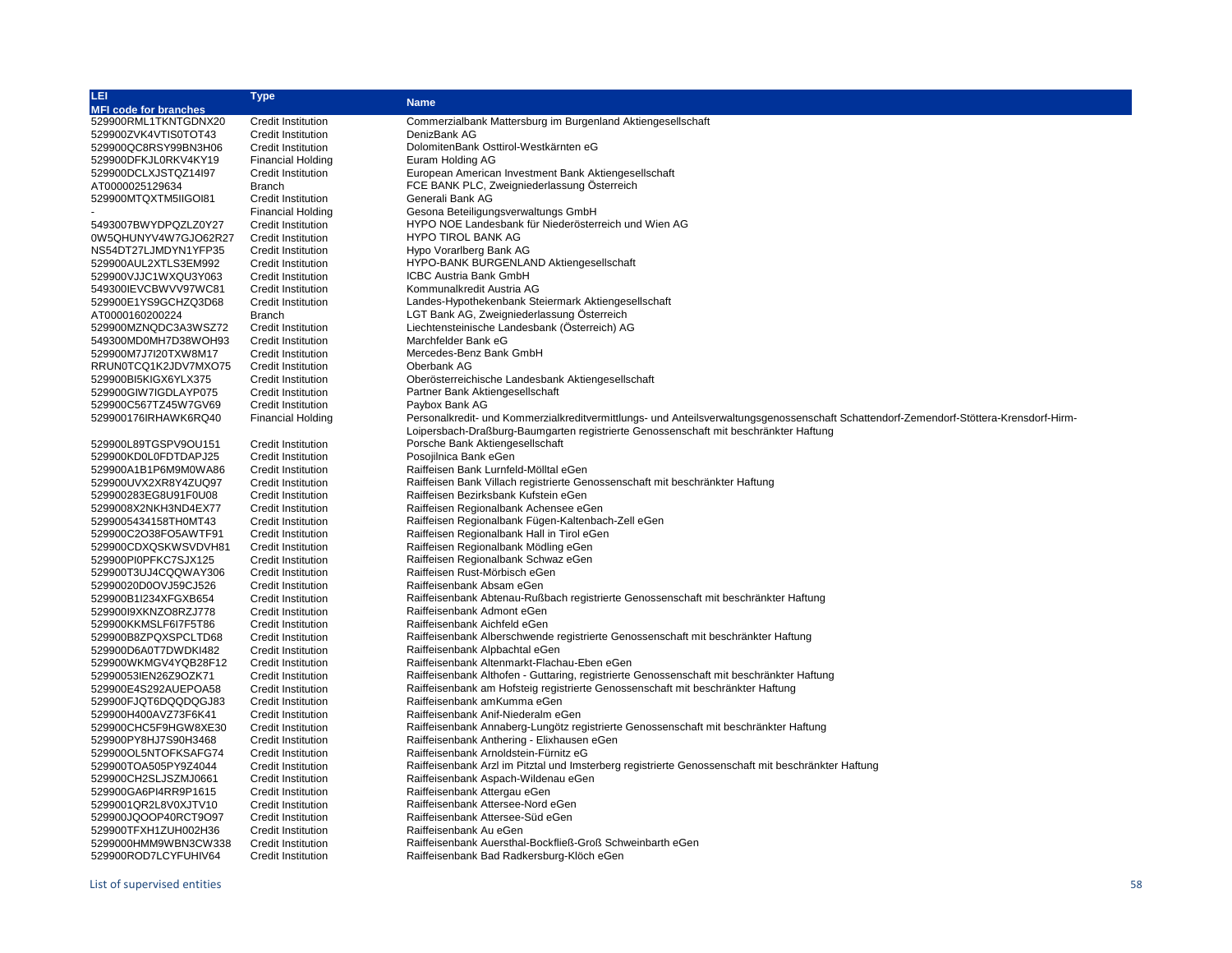| LEI.                         | Type                      | <b>Name</b>                                                                                                                            |
|------------------------------|---------------------------|----------------------------------------------------------------------------------------------------------------------------------------|
| <b>MFI code for branches</b> |                           |                                                                                                                                        |
| 529900RML1TKNTGDNX20         | <b>Credit Institution</b> | Commerzialbank Mattersburg im Burgenland Aktiengesellschaft                                                                            |
| 529900ZVK4VTIS0TOT43         | <b>Credit Institution</b> | DenizBank AG                                                                                                                           |
| 529900QC8RSY99BN3H06         | <b>Credit Institution</b> | DolomitenBank Osttirol-Westkärnten eG                                                                                                  |
| 529900DFKJL0RKV4KY19         | <b>Financial Holding</b>  | Euram Holding AG                                                                                                                       |
| 529900DCLXJSTQZ14l97         | <b>Credit Institution</b> | European American Investment Bank Aktiengesellschaft                                                                                   |
| AT0000025129634              | Branch                    | FCE BANK PLC, Zweigniederlassung Österreich                                                                                            |
| 529900MTQXTM5IIGOI81         | <b>Credit Institution</b> | Generali Bank AG                                                                                                                       |
|                              | <b>Financial Holding</b>  | Gesona Beteiligungsverwaltungs GmbH                                                                                                    |
| 5493007BWYDPQZLZ0Y27         | <b>Credit Institution</b> | HYPO NOE Landesbank für Niederösterreich und Wien AG                                                                                   |
| 0W5QHUNYV4W7GJO62R27         | <b>Credit Institution</b> | <b>HYPO TIROL BANK AG</b>                                                                                                              |
| NS54DT27LJMDYN1YFP35         | <b>Credit Institution</b> | Hypo Vorarlberg Bank AG                                                                                                                |
| 529900AUL2XTLS3EM992         | Credit Institution        | HYPO-BANK BURGENLAND Aktiengesellschaft                                                                                                |
| 529900VJJC1WXQU3Y063         | <b>Credit Institution</b> | <b>ICBC Austria Bank GmbH</b>                                                                                                          |
| 549300IEVCBWVV97WC81         | <b>Credit Institution</b> | Kommunalkredit Austria AG                                                                                                              |
| 529900E1YS9GCHZQ3D68         | <b>Credit Institution</b> | Landes-Hypothekenbank Steiermark Aktiengesellschaft                                                                                    |
| AT0000160200224              | <b>Branch</b>             | LGT Bank AG, Zweigniederlassung Österreich                                                                                             |
| 529900MZNQDC3A3WSZ72         | <b>Credit Institution</b> | Liechtensteinische Landesbank (Österreich) AG                                                                                          |
| 549300MD0MH7D38WOH93         | <b>Credit Institution</b> | Marchfelder Bank eG                                                                                                                    |
| 529900M7J7I20TXW8M17         | <b>Credit Institution</b> | Mercedes-Benz Bank GmbH                                                                                                                |
| RRUN0TCQ1K2JDV7MXO75         | <b>Credit Institution</b> | Oberbank AG                                                                                                                            |
| 529900BI5KIGX6YLX375         | <b>Credit Institution</b> | Oberösterreichische Landesbank Aktiengesellschaft                                                                                      |
| 529900GIW7IGDLAYP075         | <b>Credit Institution</b> | Partner Bank Aktiengesellschaft                                                                                                        |
| 529900C567TZ45W7GV69         | <b>Credit Institution</b> | Paybox Bank AG                                                                                                                         |
| 529900176IRHAWK6RQ40         | <b>Financial Holding</b>  | Personalkredit- und Kommerzialkreditvermittlungs- und Anteilsverwaltungsgenossenschaft Schattendorf-Zemendorf-Stöttera-Krensdorf-Hirm- |
|                              |                           | Loipersbach-Draßburg-Baumgarten registrierte Genossenschaft mit beschränkter Haftung                                                   |
| 529900L89TGSPV9OU151         | <b>Credit Institution</b> | Porsche Bank Aktiengesellschaft                                                                                                        |
| 529900KD0L0FDTDAPJ25         | <b>Credit Institution</b> | Posojilnica Bank eGen                                                                                                                  |
| 529900A1B1P6M9M0WA86         | <b>Credit Institution</b> | Raiffeisen Bank Lurnfeld-Mölltal eGen                                                                                                  |
| 529900UVX2XR8Y4ZUQ97         | <b>Credit Institution</b> | Raiffeisen Bank Villach registrierte Genossenschaft mit beschränkter Haftung                                                           |
| 529900283EG8U91F0U08         | Credit Institution        | Raiffeisen Bezirksbank Kufstein eGen                                                                                                   |
| 5299008X2NKH3ND4EX77         | Credit Institution        | Raiffeisen Regionalbank Achensee eGen                                                                                                  |
| 5299005434158TH0MT43         | Credit Institution        | Raiffeisen Regionalbank Fügen-Kaltenbach-Zell eGen                                                                                     |
| 529900C2O38FO5AWTF91         | <b>Credit Institution</b> | Raiffeisen Regionalbank Hall in Tirol eGen                                                                                             |
| 529900CDXQSKWSVDVH81         | <b>Credit Institution</b> | Raiffeisen Regionalbank Mödling eGen                                                                                                   |
| 529900PI0PFKC7SJX125         | <b>Credit Institution</b> | Raiffeisen Regionalbank Schwaz eGen                                                                                                    |
| 529900T3UJ4CQQWAY306         | <b>Credit Institution</b> | Raiffeisen Rust-Mörbisch eGen                                                                                                          |
| 52990020D0OVJ59CJ526         | <b>Credit Institution</b> | Raiffeisenbank Absam eGen                                                                                                              |
| 529900B1I234XFGXB654         | <b>Credit Institution</b> | Raiffeisenbank Abtenau-Rußbach registrierte Genossenschaft mit beschränkter Haftung                                                    |
| 529900I9XKNZO8RZJ778         | <b>Credit Institution</b> | Raiffeisenbank Admont eGen                                                                                                             |
| 529900KKMSLF6I7F5T86         | Credit Institution        | Raiffeisenbank Aichfeld eGen                                                                                                           |
| 529900B8ZPQXSPCLTD68         | <b>Credit Institution</b> | Raiffeisenbank Alberschwende registrierte Genossenschaft mit beschränkter Haftung                                                      |
| 529900D6A0T7DWDKI482         | Credit Institution        | Raiffeisenbank Alpbachtal eGen                                                                                                         |
| 529900WKMGV4YQB28F12         | <b>Credit Institution</b> | Raiffeisenbank Altenmarkt-Flachau-Eben eGen                                                                                            |
| 52990053IEN26Z9OZK71         | <b>Credit Institution</b> | Raiffeisenbank Althofen - Guttaring, registrierte Genossenschaft mit beschränkter Haftung                                              |
| 529900E4S292AUEPOA58         | <b>Credit Institution</b> | Raiffeisenbank am Hofsteig registrierte Genossenschaft mit beschränkter Haftung                                                        |
| 529900FJQT6DQQDQGJ83         | <b>Credit Institution</b> | Raiffeisenbank amKumma eGen                                                                                                            |
| 529900H400AVZ73F6K41         | <b>Credit Institution</b> | Raiffeisenbank Anif-Niederalm eGen                                                                                                     |
| 529900CHC5F9HGW8XE30         | <b>Credit Institution</b> | Raiffeisenbank Annaberg-Lungötz registrierte Genossenschaft mit beschränkter Haftung                                                   |
| 529900PY8HJ7S90H3468         | <b>Credit Institution</b> | Raiffeisenbank Anthering - Elixhausen eGen                                                                                             |
| 529900OL5NTOFKSAFG74         | <b>Credit Institution</b> | Raiffeisenbank Arnoldstein-Fürnitz eG                                                                                                  |
| 529900TOA505PY9Z4044         | <b>Credit Institution</b> | Raiffeisenbank Arzl im Pitztal und Imsterberg registrierte Genossenschaft mit beschränkter Haftung                                     |
| 529900CH2SLJSZMJ0661         | <b>Credit Institution</b> | Raiffeisenbank Aspach-Wildenau eGen                                                                                                    |
| 529900GA6PI4RR9P1615         | <b>Credit Institution</b> | Raiffeisenbank Attergau eGen                                                                                                           |
| 5299001QR2L8V0XJTV10         | <b>Credit Institution</b> | Raiffeisenbank Attersee-Nord eGen                                                                                                      |
| 529900JQOOP40RCT9O97         | <b>Credit Institution</b> | Raiffeisenbank Attersee-Süd eGen                                                                                                       |
| 529900TFXH1ZUH002H36         | <b>Credit Institution</b> | Raiffeisenbank Au eGen                                                                                                                 |
| 5299000HMM9WBN3CW338         | <b>Credit Institution</b> | Raiffeisenbank Auersthal-Bockfließ-Groß Schweinbarth eGen                                                                              |
| 529900ROD7LCYFUHIV64         | <b>Credit Institution</b> | Raiffeisenbank Bad Radkersburg-Klöch eGen                                                                                              |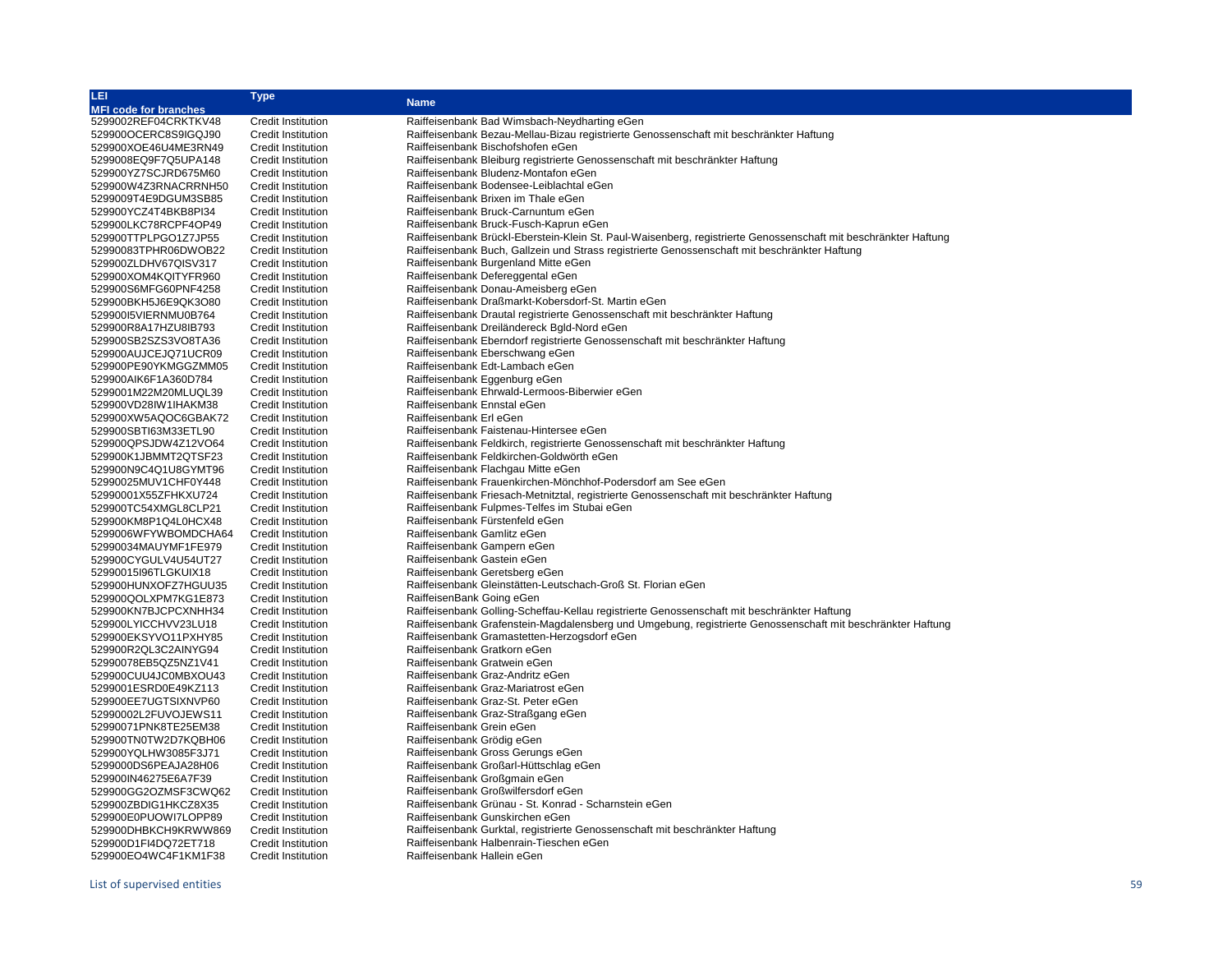| ILEI.                        | Type                      | <b>Name</b>                                                                                                     |
|------------------------------|---------------------------|-----------------------------------------------------------------------------------------------------------------|
| <b>MFI code for branches</b> |                           |                                                                                                                 |
| 5299002REF04CRKTKV48         | <b>Credit Institution</b> | Raiffeisenbank Bad Wimsbach-Neydharting eGen                                                                    |
| 529900OCERC8S9IGQJ90         | <b>Credit Institution</b> | Raiffeisenbank Bezau-Mellau-Bizau registrierte Genossenschaft mit beschränkter Haftung                          |
| 529900XOE46U4ME3RN49         | <b>Credit Institution</b> | Raiffeisenbank Bischofshofen eGen                                                                               |
| 5299008EQ9F7Q5UPA148         | Credit Institution        | Raiffeisenbank Bleiburg registrierte Genossenschaft mit beschränkter Haftung                                    |
| 529900YZ7SCJRD675M60         | <b>Credit Institution</b> | Raiffeisenbank Bludenz-Montafon eGen                                                                            |
| 529900W4Z3RNACRRNH50         | Credit Institution        | Raiffeisenbank Bodensee-Leiblachtal eGen                                                                        |
| 5299009T4E9DGUM3SB85         | <b>Credit Institution</b> | Raiffeisenbank Brixen im Thale eGen                                                                             |
| 529900YCZ4T4BKB8PI34         | Credit Institution        | Raiffeisenbank Bruck-Carnuntum eGen                                                                             |
| 529900LKC78RCPF4OP49         | <b>Credit Institution</b> | Raiffeisenbank Bruck-Fusch-Kaprun eGen                                                                          |
| 529900TTPLPGO1Z7JP55         | Credit Institution        | Raiffeisenbank Brückl-Eberstein-Klein St. Paul-Waisenberg, registrierte Genossenschaft mit beschränkter Haftung |
| 52990083TPHR06DWOB22         | Credit Institution        | Raiffeisenbank Buch, Gallzein und Strass registrierte Genossenschaft mit beschränkter Haftung                   |
| 529900ZLDHV67QISV317         | Credit Institution        | Raiffeisenbank Burgenland Mitte eGen                                                                            |
| 529900XOM4KQITYFR960         | <b>Credit Institution</b> | Raiffeisenbank Defereggental eGen                                                                               |
|                              |                           |                                                                                                                 |
| 529900S6MFG60PNF4258         | Credit Institution        | Raiffeisenbank Donau-Ameisberg eGen                                                                             |
| 529900BKH5J6E9QK3O80         | <b>Credit Institution</b> | Raiffeisenbank Draßmarkt-Kobersdorf-St. Martin eGen                                                             |
| 52990015VIERNMU0B764         | <b>Credit Institution</b> | Raiffeisenbank Drautal registrierte Genossenschaft mit beschränkter Haftung                                     |
| 529900R8A17HZU8IB793         | <b>Credit Institution</b> | Raiffeisenbank Dreiländereck Bgld-Nord eGen                                                                     |
| 529900SB2SZS3VO8TA36         | <b>Credit Institution</b> | Raiffeisenbank Eberndorf registrierte Genossenschaft mit beschränkter Haftung                                   |
| 529900AUJCEJQ71UCR09         | <b>Credit Institution</b> | Raiffeisenbank Eberschwang eGen                                                                                 |
| 529900PE90YKMGGZMM05         | Credit Institution        | Raiffeisenbank Edt-Lambach eGen                                                                                 |
| 529900AIK6F1A360D784         | <b>Credit Institution</b> | Raiffeisenbank Eggenburg eGen                                                                                   |
| 5299001M22M20MLUQL39         | <b>Credit Institution</b> | Raiffeisenbank Ehrwald-Lermoos-Biberwier eGen                                                                   |
| 529900VD28IW1IHAKM38         | <b>Credit Institution</b> | Raiffeisenbank Ennstal eGen                                                                                     |
| 529900XW5AQOC6GBAK72         | <b>Credit Institution</b> | Raiffeisenbank Erl eGen                                                                                         |
| 529900SBTI63M33ETL90         | <b>Credit Institution</b> | Raiffeisenbank Faistenau-Hintersee eGen                                                                         |
| 529900QPSJDW4Z12VO64         | <b>Credit Institution</b> | Raiffeisenbank Feldkirch, registrierte Genossenschaft mit beschränkter Haftung                                  |
| 529900K1JBMMT2QTSF23         | <b>Credit Institution</b> | Raiffeisenbank Feldkirchen-Goldwörth eGen                                                                       |
| 529900N9C4Q1U8GYMT96         | Credit Institution        | Raiffeisenbank Flachgau Mitte eGen                                                                              |
| 52990025MUV1CHF0Y448         | Credit Institution        | Raiffeisenbank Frauenkirchen-Mönchhof-Podersdorf am See eGen                                                    |
| 52990001X55ZFHKXU724         | <b>Credit Institution</b> | Raiffeisenbank Friesach-Metnitztal, registrierte Genossenschaft mit beschränkter Haftung                        |
| 529900TC54XMGL8CLP21         | <b>Credit Institution</b> | Raiffeisenbank Fulpmes-Telfes im Stubai eGen                                                                    |
| 529900KM8P1Q4L0HCX48         | <b>Credit Institution</b> | Raiffeisenbank Fürstenfeld eGen                                                                                 |
| 5299006WFYWBOMDCHA64         | <b>Credit Institution</b> | Raiffeisenbank Gamlitz eGen                                                                                     |
| 52990034MAUYMF1FE979         | Credit Institution        | Raiffeisenbank Gampern eGen                                                                                     |
|                              |                           | Raiffeisenbank Gastein eGen                                                                                     |
| 529900CYGULV4U54UT27         | Credit Institution        |                                                                                                                 |
| 52990015I96TLGKUIX18         | <b>Credit Institution</b> | Raiffeisenbank Geretsberg eGen                                                                                  |
| 529900HUNXOFZ7HGUU35         | Credit Institution        | Raiffeisenbank Gleinstätten-Leutschach-Groß St. Florian eGen                                                    |
| 529900QOLXPM7KG1E873         | <b>Credit Institution</b> | RaiffeisenBank Going eGen                                                                                       |
| 529900KN7BJCPCXNHH34         | <b>Credit Institution</b> | Raiffeisenbank Golling-Scheffau-Kellau registrierte Genossenschaft mit beschränkter Haftung                     |
| 529900LYICCHVV23LU18         | <b>Credit Institution</b> | Raiffeisenbank Grafenstein-Magdalensberg und Umgebung, registrierte Genossenschaft mit beschränkter Haftung     |
| 529900EKSYVO11PXHY85         | <b>Credit Institution</b> | Raiffeisenbank Gramastetten-Herzogsdorf eGen                                                                    |
| 529900R2QL3C2AINYG94         | Credit Institution        | Raiffeisenbank Gratkorn eGen                                                                                    |
| 52990078EB5QZ5NZ1V41         | <b>Credit Institution</b> | Raiffeisenbank Gratwein eGen                                                                                    |
| 529900CUU4JC0MBXOU43         | <b>Credit Institution</b> | Raiffeisenbank Graz-Andritz eGen                                                                                |
| 5299001ESRD0E49KZ113         | <b>Credit Institution</b> | Raiffeisenbank Graz-Mariatrost eGen                                                                             |
| 529900EE7UGTSIXNVP60         | <b>Credit Institution</b> | Raiffeisenbank Graz-St. Peter eGen                                                                              |
| 52990002L2FUVOJEWS11         | <b>Credit Institution</b> | Raiffeisenbank Graz-Straßgang eGen                                                                              |
| 52990071PNK8TE25EM38         | Credit Institution        | Raiffeisenbank Grein eGen                                                                                       |
| 529900TN0TW2D7KQBH06         | Credit Institution        | Raiffeisenbank Grödig eGen                                                                                      |
| 529900YQLHW3085F3J71         | <b>Credit Institution</b> | Raiffeisenbank Gross Gerungs eGen                                                                               |
| 5299000DS6PEAJA28H06         | Credit Institution        | Raiffeisenbank Großarl-Hüttschlag eGen                                                                          |
| 529900IN46275E6A7F39         | Credit Institution        | Raiffeisenbank Großgmain eGen                                                                                   |
| 529900GG2OZMSF3CWQ62         | Credit Institution        | Raiffeisenbank Großwilfersdorf eGen                                                                             |
| 529900ZBDIG1HKCZ8X35         | Credit Institution        | Raiffeisenbank Grünau - St. Konrad - Scharnstein eGen                                                           |
| 529900E0PUOWI7LOPP89         | <b>Credit Institution</b> | Raiffeisenbank Gunskirchen eGen                                                                                 |
| 529900DHBKCH9KRWW869         | <b>Credit Institution</b> | Raiffeisenbank Gurktal, registrierte Genossenschaft mit beschränkter Haftung                                    |
| 529900D1FI4DQ72ET718         | Credit Institution        | Raiffeisenbank Halbenrain-Tieschen eGen                                                                         |
| 529900EO4WC4F1KM1F38         | <b>Credit Institution</b> | Raiffeisenbank Hallein eGen                                                                                     |
|                              |                           |                                                                                                                 |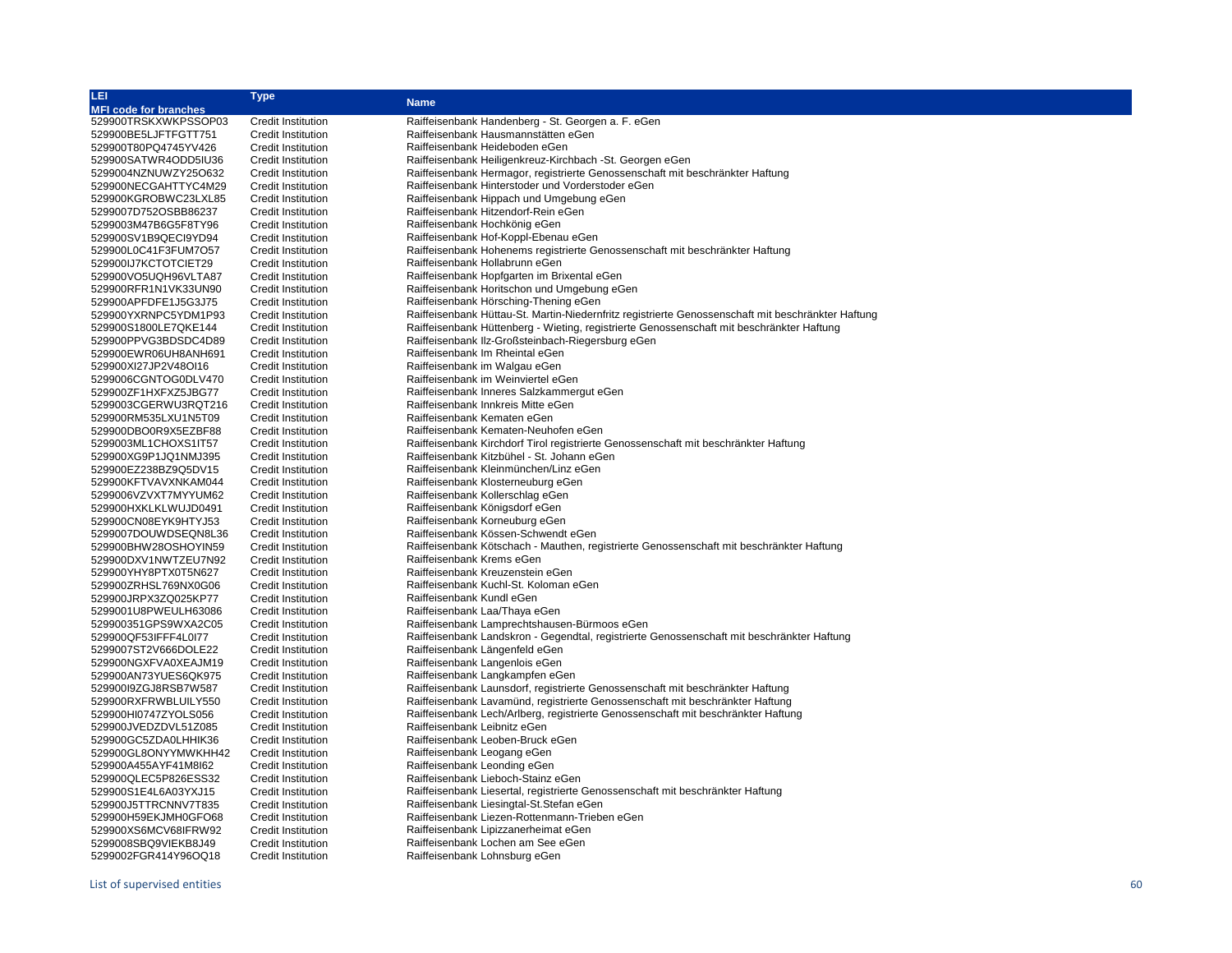| LEI                          | Type                      | <b>Name</b>                                                                                        |
|------------------------------|---------------------------|----------------------------------------------------------------------------------------------------|
| <b>MFI code for branches</b> |                           |                                                                                                    |
| 529900TRSKXWKPSSOP03         | <b>Credit Institution</b> | Raiffeisenbank Handenberg - St. Georgen a. F. eGen                                                 |
| 529900BE5LJFTFGTT751         | <b>Credit Institution</b> | Raiffeisenbank Hausmannstätten eGen                                                                |
| 529900T80PQ4745YV426         | <b>Credit Institution</b> | Raiffeisenbank Heideboden eGen                                                                     |
| 529900SATWR4ODD5IU36         | <b>Credit Institution</b> | Raiffeisenbank Heiligenkreuz-Kirchbach -St. Georgen eGen                                           |
| 5299004NZNUWZY25O632         | <b>Credit Institution</b> | Raiffeisenbank Hermagor, registrierte Genossenschaft mit beschränkter Haftung                      |
| 529900NECGAHTTYC4M29         | <b>Credit Institution</b> | Raiffeisenbank Hinterstoder und Vorderstoder eGen                                                  |
| 529900KGROBWC23LXL85         | <b>Credit Institution</b> | Raiffeisenbank Hippach und Umgebung eGen                                                           |
| 5299007D752OSBB86237         | <b>Credit Institution</b> | Raiffeisenbank Hitzendorf-Rein eGen                                                                |
| 5299003M47B6G5F8TY96         | <b>Credit Institution</b> | Raiffeisenbank Hochkönig eGen                                                                      |
| 529900SV1B9QECI9YD94         | <b>Credit Institution</b> | Raiffeisenbank Hof-Koppl-Ebenau eGen                                                               |
| 529900L0C41F3FUM7O57         | <b>Credit Institution</b> | Raiffeisenbank Hohenems registrierte Genossenschaft mit beschränkter Haftung                       |
| 529900IJ7KCTOTCIET29         | <b>Credit Institution</b> | Raiffeisenbank Hollabrunn eGen                                                                     |
| 529900VO5UQH96VLTA87         | <b>Credit Institution</b> | Raiffeisenbank Hopfgarten im Brixental eGen                                                        |
| 529900RFR1N1VK33UN90         | <b>Credit Institution</b> | Raiffeisenbank Horitschon und Umgebung eGen                                                        |
| 529900APFDFE1J5G3J75         | <b>Credit Institution</b> | Raiffeisenbank Hörsching-Thening eGen                                                              |
| 529900YXRNPC5YDM1P93         | <b>Credit Institution</b> | Raiffeisenbank Hüttau-St. Martin-Niedernfritz registrierte Genossenschaft mit beschränkter Haftung |
| 529900S1800LE7QKE144         | <b>Credit Institution</b> | Raiffeisenbank Hüttenberg - Wieting, registrierte Genossenschaft mit beschränkter Haftung          |
| 529900PPVG3BDSDC4D89         |                           | Raiffeisenbank IIz-Großsteinbach-Riegersburg eGen                                                  |
|                              | <b>Credit Institution</b> | Raiffeisenbank Im Rheintal eGen                                                                    |
| 529900EWR06UH8ANH691         | <b>Credit Institution</b> |                                                                                                    |
| 529900XI27JP2V48OI16         | <b>Credit Institution</b> | Raiffeisenbank im Walgau eGen                                                                      |
| 5299006CGNTOG0DLV470         | <b>Credit Institution</b> | Raiffeisenbank im Weinviertel eGen                                                                 |
| 529900ZF1HXFXZ5JBG77         | <b>Credit Institution</b> | Raiffeisenbank Inneres Salzkammergut eGen                                                          |
| 5299003CGERWU3RQT216         | <b>Credit Institution</b> | Raiffeisenbank Innkreis Mitte eGen                                                                 |
| 529900RM535LXU1N5T09         | <b>Credit Institution</b> | Raiffeisenbank Kematen eGen                                                                        |
| 529900DBO0R9X5EZBF88         | <b>Credit Institution</b> | Raiffeisenbank Kematen-Neuhofen eGen                                                               |
| 5299003ML1CHOXS1IT57         | <b>Credit Institution</b> | Raiffeisenbank Kirchdorf Tirol registrierte Genossenschaft mit beschränkter Haftung                |
| 529900XG9P1JQ1NMJ395         | <b>Credit Institution</b> | Raiffeisenbank Kitzbühel - St. Johann eGen                                                         |
| 529900EZ238BZ9Q5DV15         | <b>Credit Institution</b> | Raiffeisenbank Kleinmünchen/Linz eGen                                                              |
| 529900KFTVAVXNKAM044         | <b>Credit Institution</b> | Raiffeisenbank Klosterneuburg eGen                                                                 |
| 5299006VZVXT7MYYUM62         | <b>Credit Institution</b> | Raiffeisenbank Kollerschlag eGen                                                                   |
| 529900HXKLKLWUJD0491         | <b>Credit Institution</b> | Raiffeisenbank Königsdorf eGen                                                                     |
| 529900CN08EYK9HTYJ53         | <b>Credit Institution</b> | Raiffeisenbank Korneuburg eGen                                                                     |
| 5299007DOUWDSEQN8L36         | <b>Credit Institution</b> | Raiffeisenbank Kössen-Schwendt eGen                                                                |
| 529900BHW28OSHOYIN59         | <b>Credit Institution</b> | Raiffeisenbank Kötschach - Mauthen, registrierte Genossenschaft mit beschränkter Haftung           |
| 529900DXV1NWTZEU7N92         | <b>Credit Institution</b> | Raiffeisenbank Krems eGen                                                                          |
| 529900YHY8PTX0T5N627         | <b>Credit Institution</b> | Raiffeisenbank Kreuzenstein eGen                                                                   |
| 529900ZRHSL769NX0G06         | <b>Credit Institution</b> | Raiffeisenbank Kuchl-St. Koloman eGen                                                              |
| 529900JRPX3ZQ025KP77         | <b>Credit Institution</b> | Raiffeisenbank Kundl eGen                                                                          |
| 5299001U8PWEULH63086         | <b>Credit Institution</b> | Raiffeisenbank Laa/Thaya eGen                                                                      |
| 529900351GPS9WXA2C05         | <b>Credit Institution</b> | Raiffeisenbank Lamprechtshausen-Bürmoos eGen                                                       |
| 529900QF53IFFF4L0I77         | <b>Credit Institution</b> | Raiffeisenbank Landskron - Gegendtal, registrierte Genossenschaft mit beschränkter Haftung         |
| 5299007ST2V666DOLE22         | <b>Credit Institution</b> | Raiffeisenbank Längenfeld eGen                                                                     |
| 529900NGXFVA0XEAJM19         | <b>Credit Institution</b> | Raiffeisenbank Langenlois eGen                                                                     |
| 529900AN73YUES6QK975         | <b>Credit Institution</b> | Raiffeisenbank Langkampfen eGen                                                                    |
| 529900I9ZGJ8RSB7W587         | <b>Credit Institution</b> | Raiffeisenbank Launsdorf, registrierte Genossenschaft mit beschränkter Haftung                     |
| 529900RXFRWBLUILY550         | <b>Credit Institution</b> | Raiffeisenbank Lavamünd, registrierte Genossenschaft mit beschränkter Haftung                      |
| 529900HI0747ZYOLS056         | <b>Credit Institution</b> | Raiffeisenbank Lech/Arlberg, registrierte Genossenschaft mit beschränkter Haftung                  |
| 529900JVEDZDVL51Z085         | <b>Credit Institution</b> | Raiffeisenbank Leibnitz eGen                                                                       |
| 529900GC5ZDA0LHHIK36         | <b>Credit Institution</b> | Raiffeisenbank Leoben-Bruck eGen                                                                   |
| 529900GL8ONYYMWKHH42         | <b>Credit Institution</b> | Raiffeisenbank Leogang eGen                                                                        |
| 529900A455AYF41M8I62         | <b>Credit Institution</b> | Raiffeisenbank Leonding eGen                                                                       |
| 529900QLEC5P826ESS32         | <b>Credit Institution</b> | Raiffeisenbank Lieboch-Stainz eGen                                                                 |
| 529900S1E4L6A03YXJ15         | <b>Credit Institution</b> | Raiffeisenbank Liesertal, registrierte Genossenschaft mit beschränkter Haftung                     |
| 529900J5TTRCNNV7T835         | Credit Institution        | Raiffeisenbank Liesingtal-St.Stefan eGen                                                           |
| 529900H59EKJMH0GFO68         | <b>Credit Institution</b> | Raiffeisenbank Liezen-Rottenmann-Trieben eGen                                                      |
| 529900XS6MCV68IFRW92         | <b>Credit Institution</b> | Raiffeisenbank Lipizzanerheimat eGen                                                               |
| 5299008SBQ9VIEKB8J49         | <b>Credit Institution</b> | Raiffeisenbank Lochen am See eGen                                                                  |
|                              |                           | Raiffeisenbank Lohnsburg eGen                                                                      |
| 5299002FGR414Y96OQ18         | <b>Credit Institution</b> |                                                                                                    |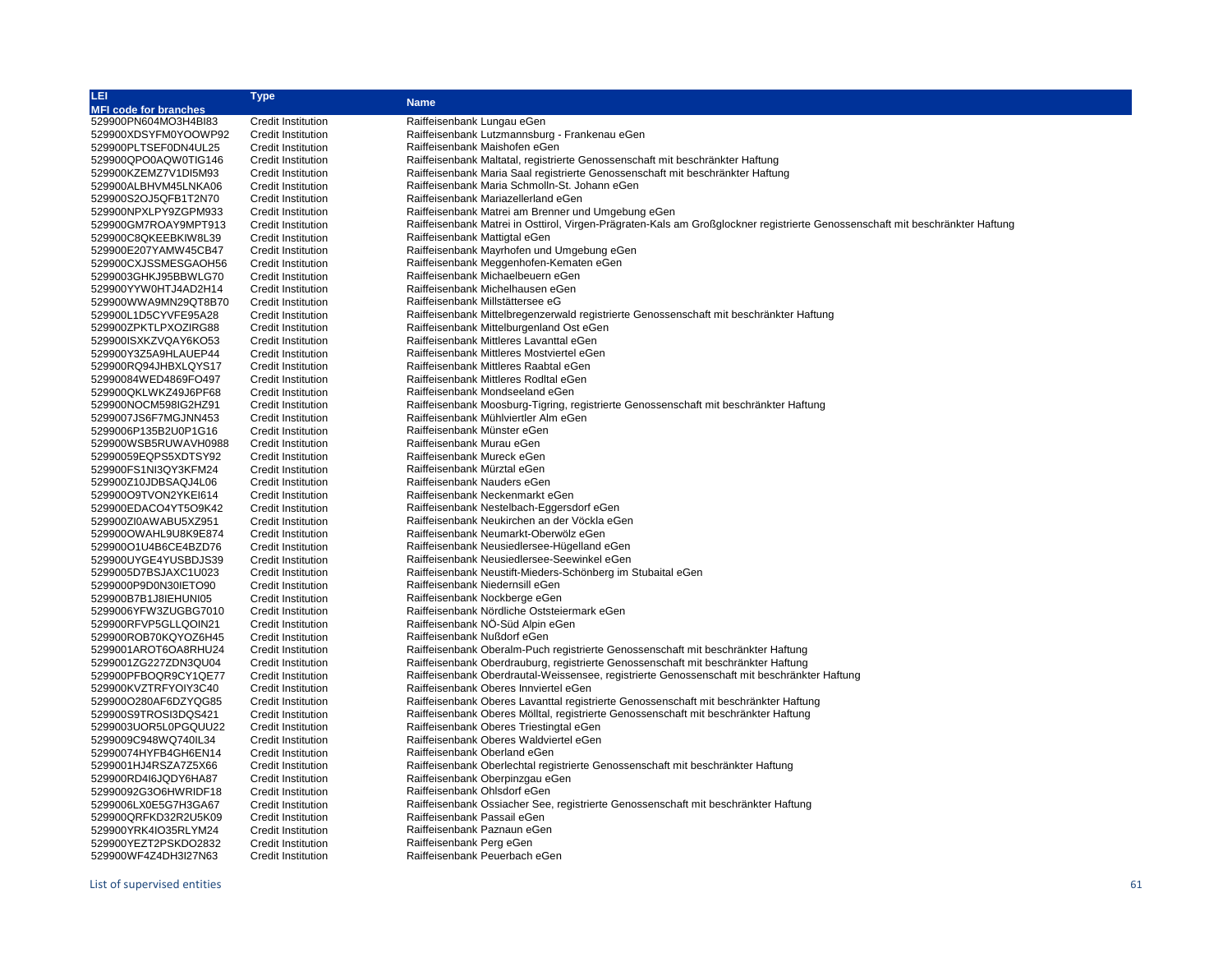| LEI,                         | Type                      |                                                                                                                               |  |
|------------------------------|---------------------------|-------------------------------------------------------------------------------------------------------------------------------|--|
| <b>MFI code for branches</b> |                           | <b>Name</b>                                                                                                                   |  |
| 529900PN604MO3H4Bl83         | <b>Credit Institution</b> | Raiffeisenbank Lungau eGen                                                                                                    |  |
| 529900XDSYFM0YOOWP92         | <b>Credit Institution</b> | Raiffeisenbank Lutzmannsburg - Frankenau eGen                                                                                 |  |
| 529900PLTSEF0DN4UL25         | <b>Credit Institution</b> | Raiffeisenbank Maishofen eGen                                                                                                 |  |
| 529900QPO0AQW0TIG146         | <b>Credit Institution</b> | Raiffeisenbank Maltatal, registrierte Genossenschaft mit beschränkter Haftung                                                 |  |
| 529900KZEMZ7V1DI5M93         | Credit Institution        | Raiffeisenbank Maria Saal registrierte Genossenschaft mit beschränkter Haftung                                                |  |
| 529900ALBHVM45LNKA06         | Credit Institution        | Raiffeisenbank Maria Schmolln-St. Johann eGen                                                                                 |  |
| 529900S2OJ5QFB1T2N70         | <b>Credit Institution</b> | Raiffeisenbank Mariazellerland eGen                                                                                           |  |
| 529900NPXLPY9ZGPM933         | Credit Institution        | Raiffeisenbank Matrei am Brenner und Umgebung eGen                                                                            |  |
| 529900GM7ROAY9MPT913         | <b>Credit Institution</b> | Raiffeisenbank Matrei in Osttirol, Virgen-Prägraten-Kals am Großglockner registrierte Genossenschaft mit beschränkter Haftung |  |
| 529900C8QKEEBKIW8L39         | Credit Institution        | Raiffeisenbank Mattigtal eGen                                                                                                 |  |
| 529900E207YAMW45CB47         | Credit Institution        | Raiffeisenbank Mayrhofen und Umgebung eGen                                                                                    |  |
| 529900CXJSSMESGAOH56         | Credit Institution        | Raiffeisenbank Meggenhofen-Kematen eGen                                                                                       |  |
| 5299003GHKJ95BBWLG70         | <b>Credit Institution</b> | Raiffeisenbank Michaelbeuern eGen                                                                                             |  |
| 529900YYW0HTJ4AD2H14         | <b>Credit Institution</b> | Raiffeisenbank Michelhausen eGen                                                                                              |  |
| 529900WWA9MN29QT8B70         | <b>Credit Institution</b> | Raiffeisenbank Millstättersee eG                                                                                              |  |
| 529900L1D5CYVFE95A28         | Credit Institution        | Raiffeisenbank Mittelbregenzerwald registrierte Genossenschaft mit beschränkter Haftung                                       |  |
| 529900ZPKTLPXOZIRG88         | <b>Credit Institution</b> | Raiffeisenbank Mittelburgenland Ost eGen                                                                                      |  |
| 529900ISXKZVQAY6KO53         | <b>Credit Institution</b> | Raiffeisenbank Mittleres Lavanttal eGen                                                                                       |  |
|                              |                           | Raiffeisenbank Mittleres Mostviertel eGen                                                                                     |  |
| 529900Y3Z5A9HLAUEP44         | <b>Credit Institution</b> | Raiffeisenbank Mittleres Raabtal eGen                                                                                         |  |
| 529900RQ94JHBXLQYS17         | <b>Credit Institution</b> | Raiffeisenbank Mittleres RodItal eGen                                                                                         |  |
| 52990084WED4869FO497         | <b>Credit Institution</b> |                                                                                                                               |  |
| 529900QKLWKZ49J6PF68         | <b>Credit Institution</b> | Raiffeisenbank Mondseeland eGen                                                                                               |  |
| 529900NOCM598IG2HZ91         | <b>Credit Institution</b> | Raiffeisenbank Moosburg-Tigring, registrierte Genossenschaft mit beschränkter Haftung                                         |  |
| 5299007JS6F7MGJNN453         | <b>Credit Institution</b> | Raiffeisenbank Mühlviertler Alm eGen                                                                                          |  |
| 5299006P135B2U0P1G16         | <b>Credit Institution</b> | Raiffeisenbank Münster eGen                                                                                                   |  |
| 529900WSB5RUWAVH0988         | <b>Credit Institution</b> | Raiffeisenbank Murau eGen                                                                                                     |  |
| 52990059EQPS5XDTSY92         | <b>Credit Institution</b> | Raiffeisenbank Mureck eGen                                                                                                    |  |
| 529900FS1NI3QY3KFM24         | <b>Credit Institution</b> | Raiffeisenbank Mürztal eGen                                                                                                   |  |
| 529900Z10JDBSAQJ4L06         | <b>Credit Institution</b> | Raiffeisenbank Nauders eGen                                                                                                   |  |
| 529900O9TVON2YKEI614         | <b>Credit Institution</b> | Raiffeisenbank Neckenmarkt eGen                                                                                               |  |
| 529900EDACO4YT5O9K42         | <b>Credit Institution</b> | Raiffeisenbank Nestelbach-Eggersdorf eGen                                                                                     |  |
| 529900ZI0AWABU5XZ951         | <b>Credit Institution</b> | Raiffeisenbank Neukirchen an der Vöckla eGen                                                                                  |  |
| 529900OWAHL9U8K9E874         | <b>Credit Institution</b> | Raiffeisenbank Neumarkt-Oberwölz eGen                                                                                         |  |
| 529900O1U4B6CE4BZD76         | <b>Credit Institution</b> | Raiffeisenbank Neusiedlersee-Hügelland eGen                                                                                   |  |
| 529900UYGE4YUSBDJS39         | <b>Credit Institution</b> | Raiffeisenbank Neusiedlersee-Seewinkel eGen                                                                                   |  |
| 5299005D7BSJAXC1U023         | <b>Credit Institution</b> | Raiffeisenbank Neustift-Mieders-Schönberg im Stubaital eGen                                                                   |  |
| 5299000P9D0N30IETO90         | <b>Credit Institution</b> | Raiffeisenbank Niedernsill eGen                                                                                               |  |
| 529900B7B1J8IEHUNI05         | <b>Credit Institution</b> | Raiffeisenbank Nockberge eGen                                                                                                 |  |
| 5299006YFW3ZUGBG7010         | <b>Credit Institution</b> | Raiffeisenbank Nördliche Oststeiermark eGen                                                                                   |  |
| 529900RFVP5GLLQOIN21         | <b>Credit Institution</b> | Raiffeisenbank NÖ-Süd Alpin eGen                                                                                              |  |
| 529900ROB70KQYOZ6H45         | <b>Credit Institution</b> | Raiffeisenbank Nußdorf eGen                                                                                                   |  |
| 5299001AROT6OA8RHU24         | <b>Credit Institution</b> | Raiffeisenbank Oberalm-Puch registrierte Genossenschaft mit beschränkter Haftung                                              |  |
| 5299001ZG227ZDN3QU04         | <b>Credit Institution</b> | Raiffeisenbank Oberdrauburg, registrierte Genossenschaft mit beschränkter Haftung                                             |  |
| 529900PFBOQR9CY1QE77         | <b>Credit Institution</b> | Raiffeisenbank Oberdrautal-Weissensee, registrierte Genossenschaft mit beschränkter Haftung                                   |  |
| 529900KVZTRFYOIY3C40         | <b>Credit Institution</b> | Raiffeisenbank Oberes Innviertel eGen                                                                                         |  |
| 529900O280AF6DZYQG85         | <b>Credit Institution</b> | Raiffeisenbank Oberes Lavanttal registrierte Genossenschaft mit beschränkter Haftung                                          |  |
| 529900S9TROSI3DQS421         | <b>Credit Institution</b> | Raiffeisenbank Oberes Mölltal, registrierte Genossenschaft mit beschränkter Haftung                                           |  |
| 5299003UOR5L0PGQUU22         | <b>Credit Institution</b> | Raiffeisenbank Oberes Triestingtal eGen                                                                                       |  |
| 5299009C948WQ740IL34         | <b>Credit Institution</b> | Raiffeisenbank Oberes Waldviertel eGen                                                                                        |  |
| 52990074HYFB4GH6EN14         | <b>Credit Institution</b> | Raiffeisenbank Oberland eGen                                                                                                  |  |
| 5299001HJ4RSZA7Z5X66         | <b>Credit Institution</b> | Raiffeisenbank Oberlechtal registrierte Genossenschaft mit beschränkter Haftung                                               |  |
| 529900RD4I6JQDY6HA87         | <b>Credit Institution</b> | Raiffeisenbank Oberpinzgau eGen                                                                                               |  |
| 52990092G3O6HWRIDF18         | <b>Credit Institution</b> | Raiffeisenbank Ohlsdorf eGen                                                                                                  |  |
| 5299006LX0E5G7H3GA67         | <b>Credit Institution</b> | Raiffeisenbank Ossiacher See, registrierte Genossenschaft mit beschränkter Haftung                                            |  |
| 529900QRFKD32R2U5K09         | <b>Credit Institution</b> | Raiffeisenbank Passail eGen                                                                                                   |  |
| 529900YRK4IO35RLYM24         | <b>Credit Institution</b> | Raiffeisenbank Paznaun eGen                                                                                                   |  |
| 529900YEZT2PSKDO2832         | <b>Credit Institution</b> | Raiffeisenbank Perg eGen                                                                                                      |  |
| 529900WF4Z4DH3I27N63         | <b>Credit Institution</b> | Raiffeisenbank Peuerbach eGen                                                                                                 |  |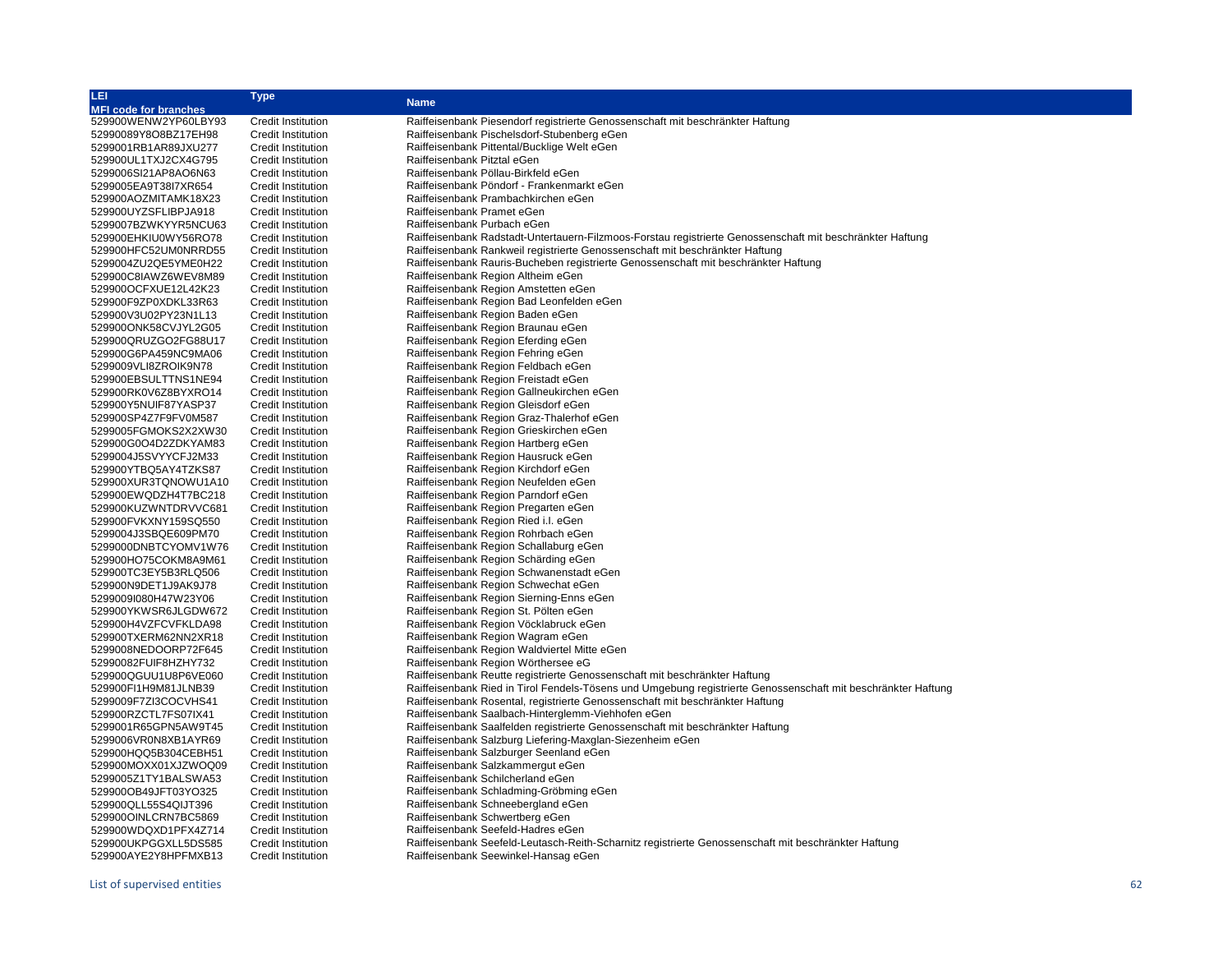| LEI                          | Type                                                   | <b>Name</b>                                                                                                   |  |  |
|------------------------------|--------------------------------------------------------|---------------------------------------------------------------------------------------------------------------|--|--|
| <b>MFI code for branches</b> |                                                        |                                                                                                               |  |  |
| 529900WENW2YP60LBY93         | <b>Credit Institution</b>                              | Raiffeisenbank Piesendorf registrierte Genossenschaft mit beschränkter Haftung                                |  |  |
| 52990089Y8O8BZ17EH98         | <b>Credit Institution</b>                              | Raiffeisenbank Pischelsdorf-Stubenberg eGen                                                                   |  |  |
| 5299001RB1AR89JXU277         | <b>Credit Institution</b>                              | Raiffeisenbank Pittental/Bucklige Welt eGen                                                                   |  |  |
| 529900UL1TXJ2CX4G795         | <b>Credit Institution</b>                              | Raiffeisenbank Pitztal eGen                                                                                   |  |  |
| 5299006SI21AP8AO6N63         | <b>Credit Institution</b>                              | Raiffeisenbank Pöllau-Birkfeld eGen                                                                           |  |  |
| 5299005EA9T38I7XR654         | <b>Credit Institution</b>                              | Raiffeisenbank Pöndorf - Frankenmarkt eGen                                                                    |  |  |
| 529900AOZMITAMK18X23         | <b>Credit Institution</b>                              | Raiffeisenbank Prambachkirchen eGen                                                                           |  |  |
| 529900UYZSFLIBPJA918         | <b>Credit Institution</b>                              | Raiffeisenbank Pramet eGen                                                                                    |  |  |
| 5299007BZWKYYR5NCU63         | <b>Credit Institution</b>                              | Raiffeisenbank Purbach eGen                                                                                   |  |  |
| 529900EHKIU0WY56RO78         |                                                        | Raiffeisenbank Radstadt-Untertauern-Filzmoos-Forstau registrierte Genossenschaft mit beschränkter Haftung     |  |  |
|                              | <b>Credit Institution</b><br><b>Credit Institution</b> | Raiffeisenbank Rankweil registrierte Genossenschaft mit beschränkter Haftung                                  |  |  |
| 529900HFC52UM0NRRD55         |                                                        |                                                                                                               |  |  |
| 5299004ZU2QE5YME0H22         | <b>Credit Institution</b>                              | Raiffeisenbank Rauris-Bucheben registrierte Genossenschaft mit beschränkter Haftung                           |  |  |
| 529900C8IAWZ6WEV8M89         | <b>Credit Institution</b>                              | Raiffeisenbank Region Altheim eGen                                                                            |  |  |
| 529900OCFXUE12L42K23         | <b>Credit Institution</b>                              | Raiffeisenbank Region Amstetten eGen                                                                          |  |  |
| 529900F9ZP0XDKL33R63         | <b>Credit Institution</b>                              | Raiffeisenbank Region Bad Leonfelden eGen                                                                     |  |  |
| 529900V3U02PY23N1L13         | <b>Credit Institution</b>                              | Raiffeisenbank Region Baden eGen                                                                              |  |  |
| 529900ONK58CVJYL2G05         | <b>Credit Institution</b>                              | Raiffeisenbank Region Braunau eGen                                                                            |  |  |
| 529900QRUZGO2FG88U17         | <b>Credit Institution</b>                              | Raiffeisenbank Region Eferding eGen                                                                           |  |  |
| 529900G6PA459NC9MA06         | <b>Credit Institution</b>                              | Raiffeisenbank Region Fehring eGen                                                                            |  |  |
| 5299009VLI8ZROIK9N78         | <b>Credit Institution</b>                              | Raiffeisenbank Region Feldbach eGen                                                                           |  |  |
| 529900EBSULTTNS1NE94         | <b>Credit Institution</b>                              | Raiffeisenbank Region Freistadt eGen                                                                          |  |  |
| 529900RK0V6Z8BYXRO14         | <b>Credit Institution</b>                              | Raiffeisenbank Region Gallneukirchen eGen                                                                     |  |  |
| 529900Y5NUIF87YASP37         | <b>Credit Institution</b>                              | Raiffeisenbank Region Gleisdorf eGen                                                                          |  |  |
| 529900SP4Z7F9FV0M587         | <b>Credit Institution</b>                              | Raiffeisenbank Region Graz-Thalerhof eGen                                                                     |  |  |
| 5299005FGMOKS2X2XW30         | <b>Credit Institution</b>                              | Raiffeisenbank Region Grieskirchen eGen                                                                       |  |  |
| 529900G0O4D2ZDKYAM83         | <b>Credit Institution</b>                              | Raiffeisenbank Region Hartberg eGen                                                                           |  |  |
| 5299004J5SVYYCFJ2M33         | <b>Credit Institution</b>                              | Raiffeisenbank Region Hausruck eGen                                                                           |  |  |
| 529900YTBQ5AY4TZKS87         | <b>Credit Institution</b>                              | Raiffeisenbank Region Kirchdorf eGen                                                                          |  |  |
| 529900XUR3TQNOWU1A10         | <b>Credit Institution</b>                              | Raiffeisenbank Region Neufelden eGen                                                                          |  |  |
| 529900EWQDZH4T7BC218         | <b>Credit Institution</b>                              | Raiffeisenbank Region Parndorf eGen                                                                           |  |  |
| 529900KUZWNTDRVVC681         | <b>Credit Institution</b>                              | Raiffeisenbank Region Pregarten eGen                                                                          |  |  |
| 529900FVKXNY159SQ550         | <b>Credit Institution</b>                              | Raiffeisenbank Region Ried i.l. eGen                                                                          |  |  |
| 5299004J3SBQE609PM70         | <b>Credit Institution</b>                              | Raiffeisenbank Region Rohrbach eGen                                                                           |  |  |
| 5299000DNBTCYOMV1W76         | <b>Credit Institution</b>                              | Raiffeisenbank Region Schallaburg eGen                                                                        |  |  |
| 529900HO75COKM8A9M61         | <b>Credit Institution</b>                              | Raiffeisenbank Region Schärding eGen                                                                          |  |  |
| 529900TC3EY5B3RLQ506         | <b>Credit Institution</b>                              | Raiffeisenbank Region Schwanenstadt eGen                                                                      |  |  |
| 529900N9DET1J9AK9J78         | <b>Credit Institution</b>                              | Raiffeisenbank Region Schwechat eGen                                                                          |  |  |
| 5299009I080H47W23Y06         | <b>Credit Institution</b>                              | Raiffeisenbank Region Sierning-Enns eGen                                                                      |  |  |
| 529900YKWSR6JLGDW672         | <b>Credit Institution</b>                              |                                                                                                               |  |  |
|                              | <b>Credit Institution</b>                              | Raiffeisenbank Region St. Pölten eGen                                                                         |  |  |
| 529900H4VZFCVFKLDA98         |                                                        | Raiffeisenbank Region Vöcklabruck eGen                                                                        |  |  |
| 529900TXERM62NN2XR18         | <b>Credit Institution</b>                              | Raiffeisenbank Region Wagram eGen                                                                             |  |  |
| 5299008NEDOORP72F645         | <b>Credit Institution</b>                              | Raiffeisenbank Region Waldviertel Mitte eGen                                                                  |  |  |
| 52990082FUIF8HZHY732         | <b>Credit Institution</b>                              | Raiffeisenbank Region Wörthersee eG                                                                           |  |  |
| 529900QGUU1U8P6VE060         | <b>Credit Institution</b>                              | Raiffeisenbank Reutte registrierte Genossenschaft mit beschränkter Haftung                                    |  |  |
| 529900FI1H9M81JLNB39         | <b>Credit Institution</b>                              | Raiffeisenbank Ried in Tirol Fendels-Tösens und Umgebung registrierte Genossenschaft mit beschränkter Haftung |  |  |
| 5299009F7ZI3COCVHS41         | <b>Credit Institution</b>                              | Raiffeisenbank Rosental, registrierte Genossenschaft mit beschränkter Haftung                                 |  |  |
| 529900RZCTL7FS07IX41         | <b>Credit Institution</b>                              | Raiffeisenbank Saalbach-Hinterglemm-Viehhofen eGen                                                            |  |  |
| 5299001R65GPN5AW9T45         | <b>Credit Institution</b>                              | Raiffeisenbank Saalfelden registrierte Genossenschaft mit beschränkter Haftung                                |  |  |
| 5299006VR0N8XB1AYR69         | <b>Credit Institution</b>                              | Raiffeisenbank Salzburg Liefering-Maxglan-Siezenheim eGen                                                     |  |  |
| 529900HQQ5B304CEBH51         | <b>Credit Institution</b>                              | Raiffeisenbank Salzburger Seenland eGen                                                                       |  |  |
| 529900MOXX01XJZWOQ09         | <b>Credit Institution</b>                              | Raiffeisenbank Salzkammergut eGen                                                                             |  |  |
| 5299005Z1TY1BALSWA53         | <b>Credit Institution</b>                              | Raiffeisenbank Schilcherland eGen                                                                             |  |  |
| 529900OB49JFT03YO325         | <b>Credit Institution</b>                              | Raiffeisenbank Schladming-Gröbming eGen                                                                       |  |  |
| 529900QLL55S4QIJT396         | <b>Credit Institution</b>                              | Raiffeisenbank Schneebergland eGen                                                                            |  |  |
| 529900OINLCRN7BC5869         | <b>Credit Institution</b>                              | Raiffeisenbank Schwertberg eGen                                                                               |  |  |
| 529900WDQXD1PFX4Z714         | <b>Credit Institution</b>                              | Raiffeisenbank Seefeld-Hadres eGen                                                                            |  |  |
| 529900UKPGGXLL5DS585         | <b>Credit Institution</b>                              | Raiffeisenbank Seefeld-Leutasch-Reith-Scharnitz registrierte Genossenschaft mit beschränkter Haftung          |  |  |
| 529900AYE2Y8HPFMXB13         | <b>Credit Institution</b>                              | Raiffeisenbank Seewinkel-Hansag eGen                                                                          |  |  |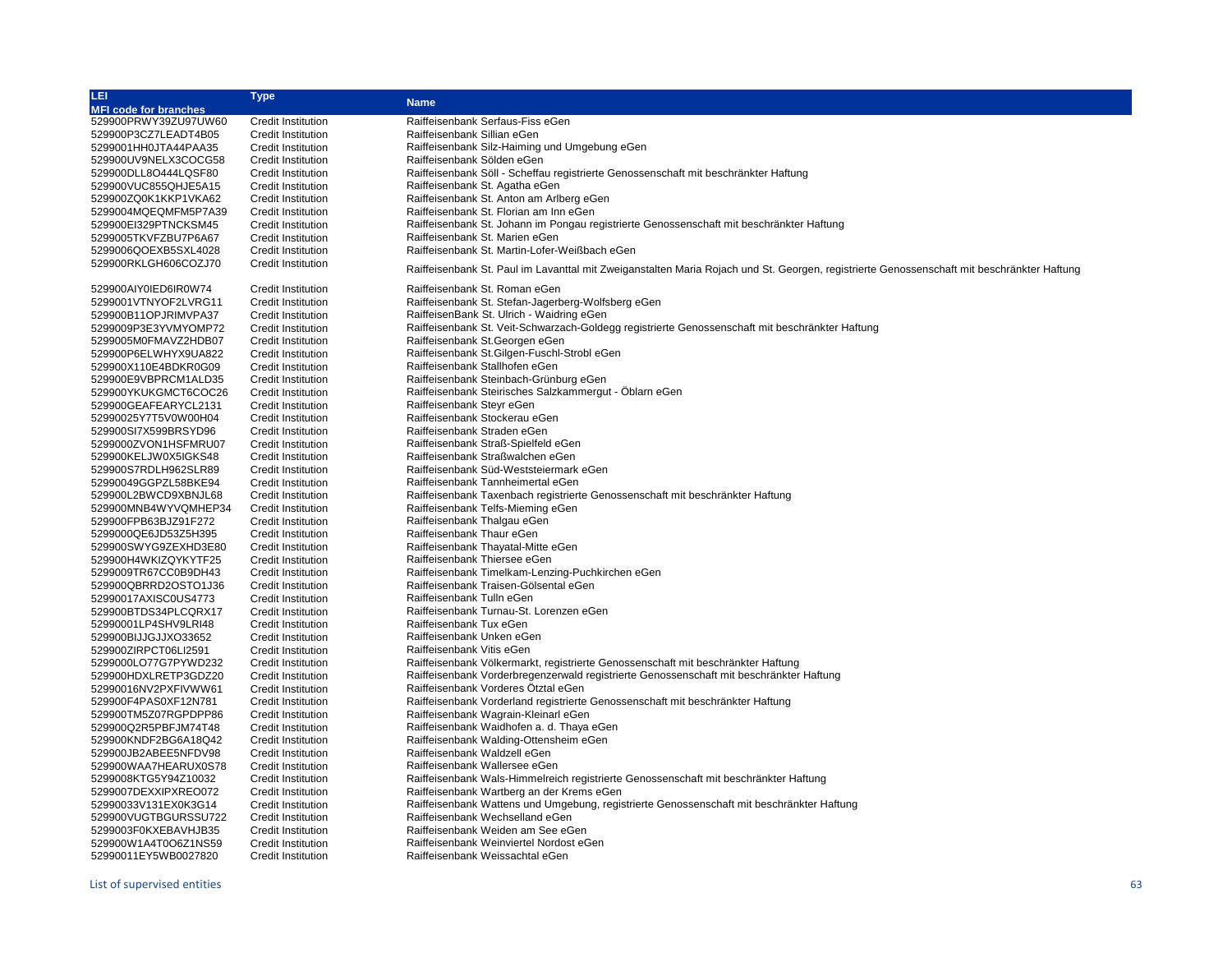| LEI                          | Type                      | <b>Name</b>                                                                                                                                |  |  |
|------------------------------|---------------------------|--------------------------------------------------------------------------------------------------------------------------------------------|--|--|
| <b>MFI code for branches</b> |                           |                                                                                                                                            |  |  |
| 529900PRWY39ZU97UW60         | <b>Credit Institution</b> | Raiffeisenbank Serfaus-Fiss eGen                                                                                                           |  |  |
| 529900P3CZ7LEADT4B05         | <b>Credit Institution</b> | Raiffeisenbank Sillian eGen                                                                                                                |  |  |
| 5299001HH0JTA44PAA35         | <b>Credit Institution</b> | Raiffeisenbank Silz-Haiming und Umgebung eGen                                                                                              |  |  |
| 529900UV9NELX3COCG58         | <b>Credit Institution</b> | Raiffeisenbank Sölden eGen                                                                                                                 |  |  |
| 529900DLL8O444LQSF80         | <b>Credit Institution</b> | Raiffeisenbank Söll - Scheffau registrierte Genossenschaft mit beschränkter Haftung                                                        |  |  |
| 529900VUC855QHJE5A15         | <b>Credit Institution</b> | Raiffeisenbank St. Agatha eGen                                                                                                             |  |  |
| 529900ZQ0K1KKP1VKA62         | <b>Credit Institution</b> | Raiffeisenbank St. Anton am Arlberg eGen                                                                                                   |  |  |
| 5299004MQEQMFM5P7A39         | <b>Credit Institution</b> | Raiffeisenbank St. Florian am Inn eGen                                                                                                     |  |  |
| 529900EI329PTNCKSM45         | Credit Institution        | Raiffeisenbank St. Johann im Pongau registrierte Genossenschaft mit beschränkter Haftung                                                   |  |  |
| 5299005TKVFZBU7P6A67         | Credit Institution        | Raiffeisenbank St. Marien eGen                                                                                                             |  |  |
| 5299006QOEXB5SXL4028         | <b>Credit Institution</b> | Raiffeisenbank St. Martin-Lofer-Weißbach eGen                                                                                              |  |  |
| 529900RKLGH606COZJ70         | <b>Credit Institution</b> |                                                                                                                                            |  |  |
|                              |                           | Raiffeisenbank St. Paul im Lavanttal mit Zweiganstalten Maria Rojach und St. Georgen, registrierte Genossenschaft mit beschränkter Haftung |  |  |
| 529900AIY0IED6IR0W74         | Credit Institution        | Raiffeisenbank St. Roman eGen                                                                                                              |  |  |
| 5299001VTNYOF2LVRG11         | <b>Credit Institution</b> | Raiffeisenbank St. Stefan-Jagerberg-Wolfsberg eGen                                                                                         |  |  |
| 529900B11OPJRIMVPA37         | <b>Credit Institution</b> | RaiffeisenBank St. Ulrich - Waidring eGen                                                                                                  |  |  |
| 5299009P3E3YVMYOMP72         | <b>Credit Institution</b> | Raiffeisenbank St. Veit-Schwarzach-Goldegg registrierte Genossenschaft mit beschränkter Haftung                                            |  |  |
|                              |                           |                                                                                                                                            |  |  |
| 5299005M0FMAVZ2HDB07         | <b>Credit Institution</b> | Raiffeisenbank St. Georgen eGen                                                                                                            |  |  |
| 529900P6ELWHYX9UA822         | <b>Credit Institution</b> | Raiffeisenbank St.Gilgen-Fuschl-Strobl eGen                                                                                                |  |  |
| 529900X110E4BDKR0G09         | <b>Credit Institution</b> | Raiffeisenbank Stallhofen eGen                                                                                                             |  |  |
| 529900E9VBPRCM1ALD35         | <b>Credit Institution</b> | Raiffeisenbank Steinbach-Grünburg eGen                                                                                                     |  |  |
| 529900YKUKGMCT6COC26         | <b>Credit Institution</b> | Raiffeisenbank Steirisches Salzkammergut - Öblarn eGen                                                                                     |  |  |
| 529900GEAFEARYCL2131         | <b>Credit Institution</b> | Raiffeisenbank Steyr eGen                                                                                                                  |  |  |
| 52990025Y7T5V0W00H04         | <b>Credit Institution</b> | Raiffeisenbank Stockerau eGen                                                                                                              |  |  |
| 529900SI7X599BRSYD96         | <b>Credit Institution</b> | Raiffeisenbank Straden eGen                                                                                                                |  |  |
| 5299000ZVON1HSFMRU07         | <b>Credit Institution</b> | Raiffeisenbank Straß-Spielfeld eGen                                                                                                        |  |  |
| 529900KELJW0X5IGKS48         | <b>Credit Institution</b> | Raiffeisenbank Straßwalchen eGen                                                                                                           |  |  |
| 529900S7RDLH962SLR89         | <b>Credit Institution</b> | Raiffeisenbank Süd-Weststeiermark eGen                                                                                                     |  |  |
| 52990049GGPZL58BKE94         | Credit Institution        | Raiffeisenbank Tannheimertal eGen                                                                                                          |  |  |
| 529900L2BWCD9XBNJL68         | <b>Credit Institution</b> | Raiffeisenbank Taxenbach registrierte Genossenschaft mit beschränkter Haftung                                                              |  |  |
| 529900MNB4WYVQMHEP34         | <b>Credit Institution</b> | Raiffeisenbank Telfs-Mieming eGen                                                                                                          |  |  |
| 529900FPB63BJZ91F272         | <b>Credit Institution</b> | Raiffeisenbank Thalgau eGen                                                                                                                |  |  |
| 5299000QE6JD53Z5H395         | <b>Credit Institution</b> | Raiffeisenbank Thaur eGen                                                                                                                  |  |  |
| 529900SWYG9ZEXHD3E80         | <b>Credit Institution</b> | Raiffeisenbank Thayatal-Mitte eGen                                                                                                         |  |  |
| 529900H4WKIZQYKYTF25         | <b>Credit Institution</b> | Raiffeisenbank Thiersee eGen                                                                                                               |  |  |
| 5299009TR67CC0B9DH43         | <b>Credit Institution</b> | Raiffeisenbank Timelkam-Lenzing-Puchkirchen eGen                                                                                           |  |  |
| 529900QBRRD2OSTO1J36         | <b>Credit Institution</b> | Raiffeisenbank Traisen-Gölsental eGen                                                                                                      |  |  |
| 52990017AXISC0US4773         | <b>Credit Institution</b> | Raiffeisenbank Tulln eGen                                                                                                                  |  |  |
| 529900BTDS34PLCQRX17         | <b>Credit Institution</b> | Raiffeisenbank Turnau-St. Lorenzen eGen                                                                                                    |  |  |
| 52990001LP4SHV9LRI48         | <b>Credit Institution</b> | Raiffeisenbank Tux eGen                                                                                                                    |  |  |
| 529900BIJJGJJXO33652         | <b>Credit Institution</b> | Raiffeisenbank Unken eGen                                                                                                                  |  |  |
| 529900ZIRPCT06LI2591         | <b>Credit Institution</b> | Raiffeisenbank Vitis eGen                                                                                                                  |  |  |
| 5299000LO77G7PYWD232         | <b>Credit Institution</b> | Raiffeisenbank Völkermarkt, registrierte Genossenschaft mit beschränkter Haftung                                                           |  |  |
| 529900HDXLRETP3GDZ20         | <b>Credit Institution</b> | Raiffeisenbank Vorderbregenzerwald registrierte Genossenschaft mit beschränkter Haftung                                                    |  |  |
| 52990016NV2PXFIVWW61         | Credit Institution        | Raiffeisenbank Vorderes Ötztal eGen                                                                                                        |  |  |
| 529900F4PAS0XF12N781         | <b>Credit Institution</b> | Raiffeisenbank Vorderland registrierte Genossenschaft mit beschränkter Haftung                                                             |  |  |
| 529900TM5Z07RGPDPP86         | <b>Credit Institution</b> | Raiffeisenbank Wagrain-Kleinarl eGen                                                                                                       |  |  |
| 529900Q2R5PBFJM74T48         | <b>Credit Institution</b> | Raiffeisenbank Waidhofen a. d. Thaya eGen                                                                                                  |  |  |
| 529900KNDF2BG6A18Q42         | <b>Credit Institution</b> | Raiffeisenbank Walding-Ottensheim eGen                                                                                                     |  |  |
| 529900JB2ABEE5NFDV98         | <b>Credit Institution</b> | Raiffeisenbank Waldzell eGen                                                                                                               |  |  |
|                              |                           | Raiffeisenbank Wallersee eGen                                                                                                              |  |  |
| 529900WAA7HEARUX0S78         | <b>Credit Institution</b> |                                                                                                                                            |  |  |
| 5299008KTG5Y94Z10032         | <b>Credit Institution</b> | Raiffeisenbank Wals-Himmelreich registrierte Genossenschaft mit beschränkter Haftung                                                       |  |  |
| 5299007DEXXIPXREO072         | Credit Institution        | Raiffeisenbank Wartberg an der Krems eGen                                                                                                  |  |  |
| 52990033V131EX0K3G14         | <b>Credit Institution</b> | Raiffeisenbank Wattens und Umgebung, registrierte Genossenschaft mit beschränkter Haftung                                                  |  |  |
| 529900VUGTBGURSSU722         | <b>Credit Institution</b> | Raiffeisenbank Wechselland eGen                                                                                                            |  |  |
| 5299003F0KXEBAVHJB35         | <b>Credit Institution</b> | Raiffeisenbank Weiden am See eGen                                                                                                          |  |  |
| 529900W1A4T0O6Z1NS59         | <b>Credit Institution</b> | Raiffeisenbank Weinviertel Nordost eGen                                                                                                    |  |  |
| 52990011EY5WB0027820         | <b>Credit Institution</b> | Raiffeisenbank Weissachtal eGen                                                                                                            |  |  |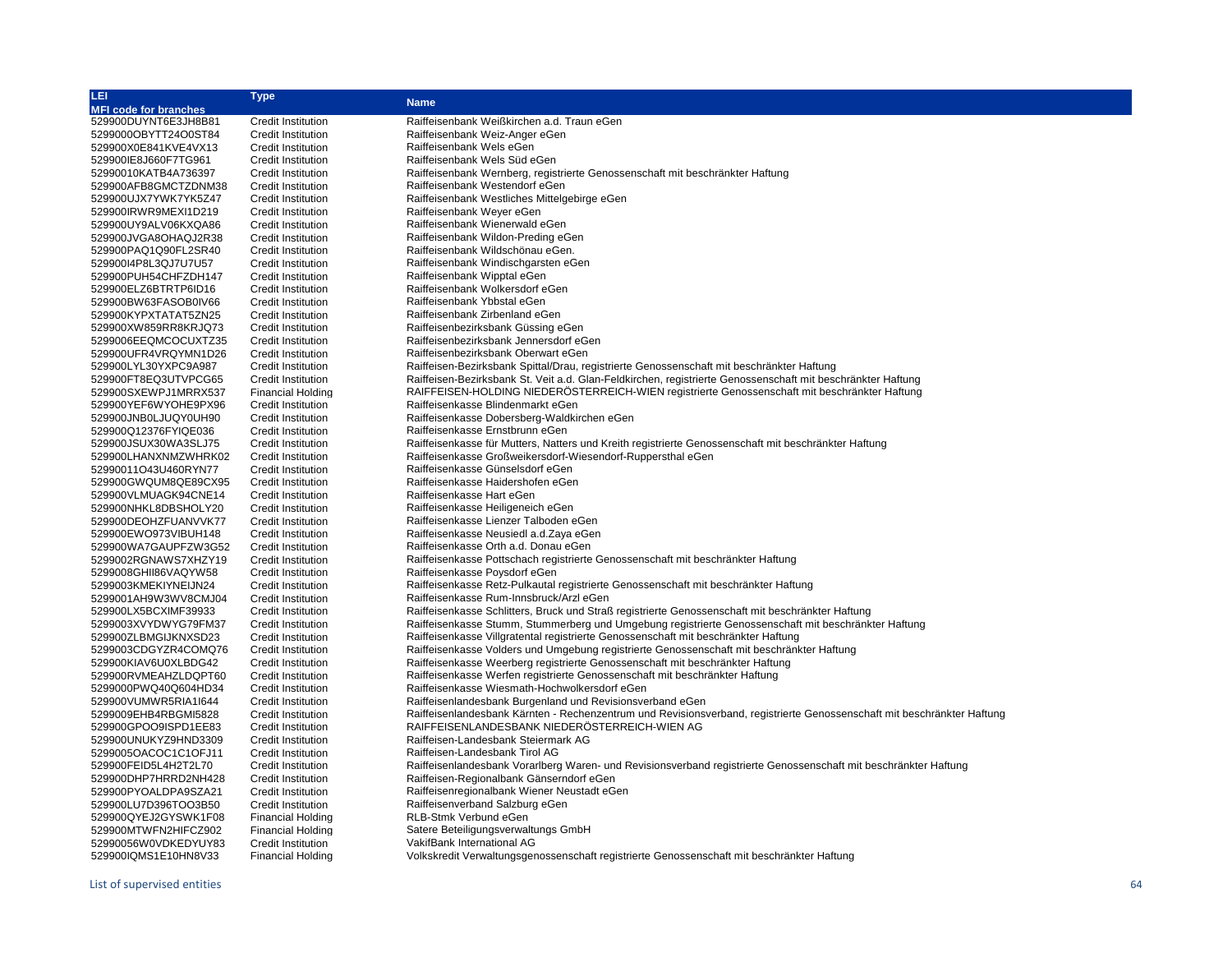| LEI                          | Type                      | <b>Name</b>                                                                                                             |  |
|------------------------------|---------------------------|-------------------------------------------------------------------------------------------------------------------------|--|
| <b>MFI code for branches</b> |                           |                                                                                                                         |  |
| 529900DUYNT6E3JH8B81         | <b>Credit Institution</b> | Raiffeisenbank Weißkirchen a.d. Traun eGen                                                                              |  |
| 5299000OBYTT24O0ST84         | <b>Credit Institution</b> | Raiffeisenbank Weiz-Anger eGen                                                                                          |  |
| 529900X0E841KVE4VX13         | <b>Credit Institution</b> | Raiffeisenbank Wels eGen                                                                                                |  |
| 529900IE8J660F7TG961         | <b>Credit Institution</b> | Raiffeisenbank Wels Süd eGen                                                                                            |  |
| 52990010KATB4A736397         | <b>Credit Institution</b> | Raiffeisenbank Wernberg, registrierte Genossenschaft mit beschränkter Haftung                                           |  |
| 529900AFB8GMCTZDNM38         | <b>Credit Institution</b> | Raiffeisenbank Westendorf eGen                                                                                          |  |
| 529900UJX7YWK7YK5Z47         | <b>Credit Institution</b> | Raiffeisenbank Westliches Mittelgebirge eGen                                                                            |  |
| 529900IRWR9MEXI1D219         | <b>Credit Institution</b> | Raiffeisenbank Weyer eGen                                                                                               |  |
| 529900UY9ALV06KXQA86         | <b>Credit Institution</b> | Raiffeisenbank Wienerwald eGen                                                                                          |  |
| 529900JVGA8OHAQJ2R38         |                           | Raiffeisenbank Wildon-Preding eGen                                                                                      |  |
|                              | <b>Credit Institution</b> | Raiffeisenbank Wildschönau eGen.                                                                                        |  |
| 529900PAQ1Q90FL2SR40         | <b>Credit Institution</b> |                                                                                                                         |  |
| 529900I4P8L3QJ7U7U57         | <b>Credit Institution</b> | Raiffeisenbank Windischgarsten eGen                                                                                     |  |
| 529900PUH54CHFZDH147         | <b>Credit Institution</b> | Raiffeisenbank Wipptal eGen                                                                                             |  |
| 529900ELZ6BTRTP6ID16         | <b>Credit Institution</b> | Raiffeisenbank Wolkersdorf eGen                                                                                         |  |
| 529900BW63FASOB0IV66         | <b>Credit Institution</b> | Raiffeisenbank Ybbstal eGen                                                                                             |  |
| 529900KYPXTATAT5ZN25         | <b>Credit Institution</b> | Raiffeisenbank Zirbenland eGen                                                                                          |  |
| 529900XW859RR8KRJQ73         | <b>Credit Institution</b> | Raiffeisenbezirksbank Güssing eGen                                                                                      |  |
| 5299006EEQMCOCUXTZ35         | <b>Credit Institution</b> | Raiffeisenbezirksbank Jennersdorf eGen                                                                                  |  |
| 529900UFR4VRQYMN1D26         | <b>Credit Institution</b> | Raiffeisenbezirksbank Oberwart eGen                                                                                     |  |
| 529900LYL30YXPC9A987         | <b>Credit Institution</b> | Raiffeisen-Bezirksbank Spittal/Drau, registrierte Genossenschaft mit beschränkter Haftung                               |  |
| 529900FT8EQ3UTVPCG65         | Credit Institution        | Raiffeisen-Bezirksbank St. Veit a.d. Glan-Feldkirchen, registrierte Genossenschaft mit beschränkter Haftung             |  |
| 529900SXEWPJ1MRRX537         | <b>Financial Holding</b>  | RAIFFEISEN-HOLDING NIEDERÖSTERREICH-WIEN registrierte Genossenschaft mit beschränkter Haftung                           |  |
| 529900YEF6WYOHE9PX96         | <b>Credit Institution</b> | Raiffeisenkasse Blindenmarkt eGen                                                                                       |  |
| 529900JNB0LJUQY0UH90         | <b>Credit Institution</b> | Raiffeisenkasse Dobersberg-Waldkirchen eGen                                                                             |  |
| 529900Q12376FYIQE036         | <b>Credit Institution</b> | Raiffeisenkasse Ernstbrunn eGen                                                                                         |  |
| 529900JSUX30WA3SLJ75         | <b>Credit Institution</b> | Raiffeisenkasse für Mutters, Natters und Kreith registrierte Genossenschaft mit beschränkter Haftung                    |  |
| 529900LHANXNMZWHRK02         | <b>Credit Institution</b> | Raiffeisenkasse Großweikersdorf-Wiesendorf-Ruppersthal eGen                                                             |  |
| 52990011O43U460RYN77         | <b>Credit Institution</b> | Raiffeisenkasse Günselsdorf eGen                                                                                        |  |
| 529900GWQUM8QE89CX95         | <b>Credit Institution</b> | Raiffeisenkasse Haidershofen eGen                                                                                       |  |
| 529900VLMUAGK94CNE14         | <b>Credit Institution</b> | Raiffeisenkasse Hart eGen                                                                                               |  |
| 529900NHKL8DBSHOLY20         | <b>Credit Institution</b> | Raiffeisenkasse Heiligeneich eGen                                                                                       |  |
| 529900DEOHZFUANVVK77         | <b>Credit Institution</b> | Raiffeisenkasse Lienzer Talboden eGen                                                                                   |  |
| 529900EWO973VIBUH148         | <b>Credit Institution</b> | Raiffeisenkasse Neusiedl a.d. Zaya eGen                                                                                 |  |
| 529900WA7GAUPFZW3G52         | <b>Credit Institution</b> | Raiffeisenkasse Orth a.d. Donau eGen                                                                                    |  |
| 5299002RGNAWS7XHZY19         | <b>Credit Institution</b> | Raiffeisenkasse Pottschach registrierte Genossenschaft mit beschränkter Haftung                                         |  |
| 5299008GHII86VAQYW58         | <b>Credit Institution</b> | Raiffeisenkasse Poysdorf eGen                                                                                           |  |
| 5299003KMEKIYNEIJN24         | <b>Credit Institution</b> | Raiffeisenkasse Retz-Pulkautal registrierte Genossenschaft mit beschränkter Haftung                                     |  |
| 5299001AH9W3WV8CMJ04         | <b>Credit Institution</b> | Raiffeisenkasse Rum-Innsbruck/Arzl eGen                                                                                 |  |
| 529900LX5BCXIMF39933         | <b>Credit Institution</b> | Raiffeisenkasse Schlitters, Bruck und Straß registrierte Genossenschaft mit beschränkter Haftung                        |  |
| 5299003XVYDWYG79FM37         | <b>Credit Institution</b> | Raiffeisenkasse Stumm, Stummerberg und Umgebung registrierte Genossenschaft mit beschränkter Haftung                    |  |
| 529900ZLBMGIJKNXSD23         | <b>Credit Institution</b> | Raiffeisenkasse Villgratental registrierte Genossenschaft mit beschränkter Haftung                                      |  |
| 5299003CDGYZR4COMQ76         | <b>Credit Institution</b> | Raiffeisenkasse Volders und Umgebung registrierte Genossenschaft mit beschränkter Haftung                               |  |
| 529900KIAV6U0XLBDG42         | Credit Institution        | Raiffeisenkasse Weerberg registrierte Genossenschaft mit beschränkter Haftung                                           |  |
| 529900RVMEAHZLDQPT60         | <b>Credit Institution</b> | Raiffeisenkasse Werfen registrierte Genossenschaft mit beschränkter Haftung                                             |  |
| 5299000PWQ40Q604HD34         | <b>Credit Institution</b> | Raiffeisenkasse Wiesmath-Hochwolkersdorf eGen                                                                           |  |
| 529900VUMWR5RIA1I644         | <b>Credit Institution</b> | Raiffeisenlandesbank Burgenland und Revisionsverband eGen                                                               |  |
| 5299009EHB4RBGMI5828         | <b>Credit Institution</b> | Raiffeisenlandesbank Kärnten - Rechenzentrum und Revisionsverband, registrierte Genossenschaft mit beschränkter Haftung |  |
| 529900GPOO9ISPD1EE83         | <b>Credit Institution</b> | RAIFFEISENLANDESBANK NIEDERÖSTERREICH-WIEN AG                                                                           |  |
| 529900UNUKYZ9HND3309         | <b>Credit Institution</b> | Raiffeisen-Landesbank Steiermark AG                                                                                     |  |
| 5299005OACOC1C1OFJ11         | <b>Credit Institution</b> | Raiffeisen-Landesbank Tirol AG                                                                                          |  |
| 529900FEID5L4H2T2L70         | <b>Credit Institution</b> |                                                                                                                         |  |
| 529900DHP7HRRD2NH428         | <b>Credit Institution</b> | Raiffeisenlandesbank Vorarlberg Waren- und Revisionsverband registrierte Genossenschaft mit beschränkter Haftung        |  |
| 529900PYOALDPA9SZA21         | <b>Credit Institution</b> | Raiffeisen-Regionalbank Gänserndorf eGen                                                                                |  |
|                              | <b>Credit Institution</b> | Raiffeisenregionalbank Wiener Neustadt eGen                                                                             |  |
| 529900LU7D396TOO3B50         |                           | Raiffeisenverband Salzburg eGen                                                                                         |  |
| 529900QYEJ2GYSWK1F08         | <b>Financial Holding</b>  | RLB-Stmk Verbund eGen                                                                                                   |  |
| 529900MTWFN2HIFCZ902         | <b>Financial Holding</b>  | Satere Beteiligungsverwaltungs GmbH                                                                                     |  |
| 52990056W0VDKEDYUY83         | Credit Institution        | VakifBank International AG                                                                                              |  |
| 529900IQMS1E10HN8V33         | <b>Financial Holding</b>  | Volkskredit Verwaltungsgenossenschaft registrierte Genossenschaft mit beschränkter Haftung                              |  |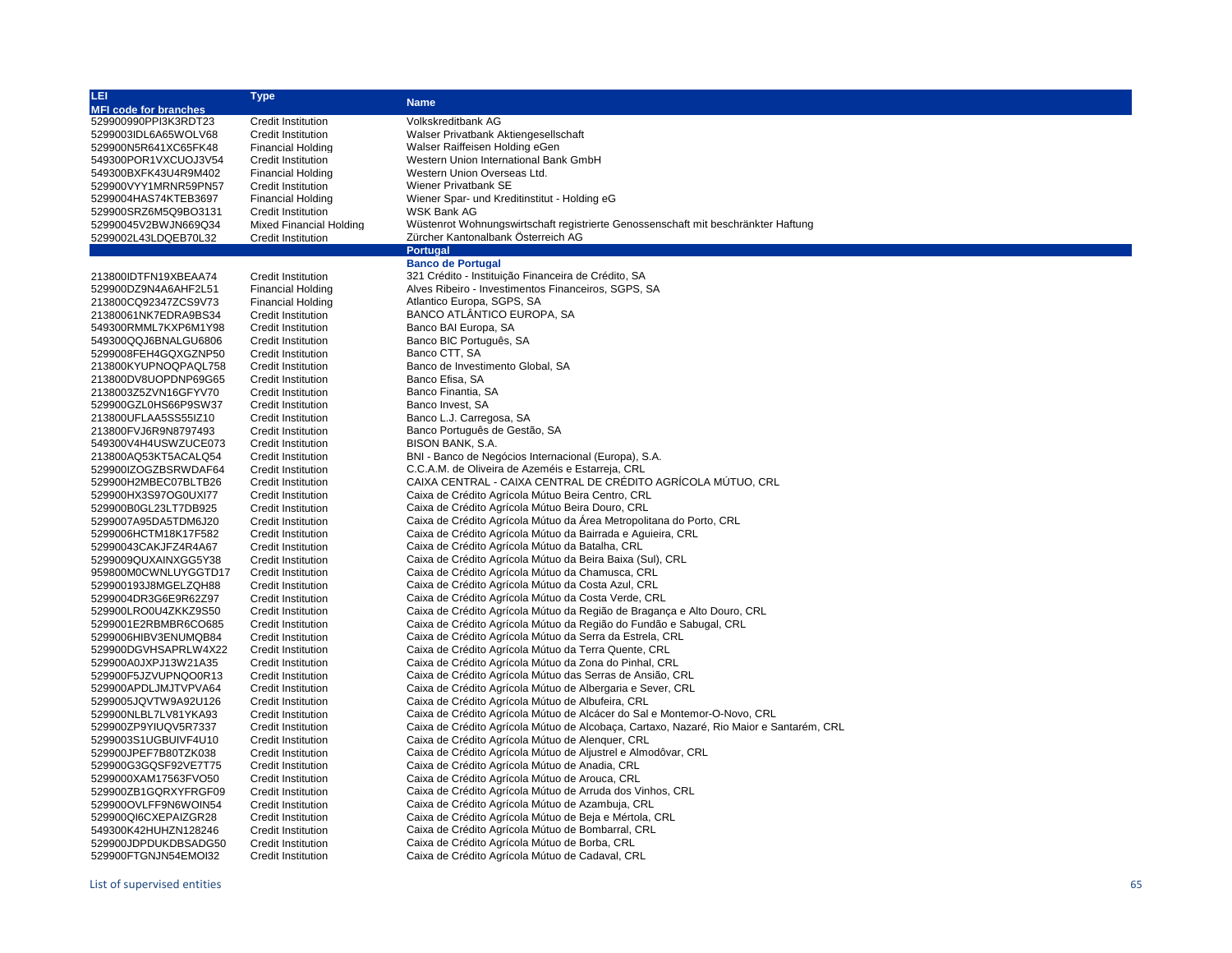| LEI                                          | <b>Type</b>                                            | <b>Name</b>                                                                                                       |  |  |  |
|----------------------------------------------|--------------------------------------------------------|-------------------------------------------------------------------------------------------------------------------|--|--|--|
| <b>MFI code for branches</b>                 |                                                        |                                                                                                                   |  |  |  |
| 529900990PPI3K3RDT23                         | <b>Credit Institution</b>                              | Volkskreditbank AG                                                                                                |  |  |  |
| 5299003IDL6A65WOLV68                         | <b>Credit Institution</b>                              | Walser Privatbank Aktiengesellschaft                                                                              |  |  |  |
| 529900N5R641XC65FK48                         | <b>Financial Holding</b>                               | Walser Raiffeisen Holding eGen                                                                                    |  |  |  |
| 549300POR1VXCUOJ3V54                         | <b>Credit Institution</b>                              | Western Union International Bank GmbH                                                                             |  |  |  |
| 549300BXFK43U4R9M402                         | <b>Financial Holding</b>                               | Western Union Overseas Ltd.                                                                                       |  |  |  |
| 529900VYY1MRNR59PN57                         | <b>Credit Institution</b>                              | Wiener Privatbank SE                                                                                              |  |  |  |
| 5299004HAS74KTEB3697                         | <b>Financial Holding</b>                               | Wiener Spar- und Kreditinstitut - Holding eG                                                                      |  |  |  |
| 529900SRZ6M5Q9BO3131                         | <b>Credit Institution</b>                              | WSK Bank AG                                                                                                       |  |  |  |
| 52990045V2BWJN669Q34                         | <b>Mixed Financial Holding</b>                         | Wüstenrot Wohnungswirtschaft registrierte Genossenschaft mit beschränkter Haftung                                 |  |  |  |
| 5299002L43LDQEB70L32                         | <b>Credit Institution</b>                              | Zürcher Kantonalbank Österreich AG                                                                                |  |  |  |
|                                              |                                                        | Portugal                                                                                                          |  |  |  |
|                                              |                                                        | <b>Banco de Portugal</b>                                                                                          |  |  |  |
| 213800IDTFN19XBEAA74                         | Credit Institution                                     | 321 Crédito - Instituição Financeira de Crédito, SA                                                               |  |  |  |
| 529900DZ9N4A6AHF2L51                         | <b>Financial Holding</b>                               | Alves Ribeiro - Investimentos Financeiros, SGPS, SA                                                               |  |  |  |
| 213800CQ92347ZCS9V73                         | <b>Financial Holding</b>                               | Atlantico Europa, SGPS, SA                                                                                        |  |  |  |
| 21380061NK7EDRA9BS34                         | <b>Credit Institution</b>                              | BANCO ATLÂNTICO EUROPA, SA                                                                                        |  |  |  |
| 549300RMML7KXP6M1Y98                         | <b>Credit Institution</b>                              | Banco BAI Europa, SA                                                                                              |  |  |  |
| 549300QQJ6BNALGU6806                         | <b>Credit Institution</b>                              | Banco BIC Português, SA                                                                                           |  |  |  |
| 5299008FEH4GQXGZNP50                         | <b>Credit Institution</b>                              | Banco CTT, SA                                                                                                     |  |  |  |
| 213800KYUPNOQPAQL758                         | <b>Credit Institution</b>                              | Banco de Investimento Global, SA                                                                                  |  |  |  |
| 213800DV8UOPDNP69G65                         | <b>Credit Institution</b>                              | Banco Efisa, SA                                                                                                   |  |  |  |
| 2138003Z5ZVN16GFYV70                         | <b>Credit Institution</b>                              | Banco Finantia, SA                                                                                                |  |  |  |
| 529900GZL0HS66P9SW37                         | <b>Credit Institution</b>                              | Banco Invest, SA                                                                                                  |  |  |  |
| 213800UFLAA5SS55IZ10                         | <b>Credit Institution</b>                              | Banco L.J. Carregosa, SA                                                                                          |  |  |  |
| 213800FVJ6R9N8797493                         | <b>Credit Institution</b>                              | Banco Português de Gestão, SA                                                                                     |  |  |  |
| 549300V4H4USWZUCE073                         | <b>Credit Institution</b>                              | BISON BANK, S.A.                                                                                                  |  |  |  |
| 213800AQ53KT5ACALQ54                         | <b>Credit Institution</b>                              | BNI - Banco de Negócios Internacional (Europa), S.A.                                                              |  |  |  |
| 529900IZOGZBSRWDAF64                         | Credit Institution                                     | C.C.A.M. de Oliveira de Azeméis e Estarreja, CRL                                                                  |  |  |  |
| 529900H2MBEC07BLTB26                         | <b>Credit Institution</b>                              | CAIXA CENTRAL - CAIXA CENTRAL DE CRÉDITO AGRÍCOLA MÚTUO, CRL                                                      |  |  |  |
| 529900HX3S97OG0UXI77                         | <b>Credit Institution</b>                              |                                                                                                                   |  |  |  |
| 529900B0GL23LT7DB925                         | <b>Credit Institution</b>                              | Caixa de Crédito Agrícola Mútuo Beira Centro, CRL<br>Caixa de Crédito Agrícola Mútuo Beira Douro, CRL             |  |  |  |
|                                              |                                                        | Caixa de Crédito Agrícola Mútuo da Area Metropolitana do Porto, CRL                                               |  |  |  |
| 5299007A95DA5TDM6J20<br>5299006HCTM18K17F582 | <b>Credit Institution</b><br><b>Credit Institution</b> | Caixa de Crédito Agrícola Mútuo da Bairrada e Aguieira, CRL                                                       |  |  |  |
| 52990043CAKJFZ4R4A67                         |                                                        | Caixa de Crédito Agrícola Mútuo da Batalha, CRL                                                                   |  |  |  |
| 5299009QUXAINXGG5Y38                         | <b>Credit Institution</b><br><b>Credit Institution</b> | Caixa de Crédito Agrícola Mútuo da Beira Baixa (Sul), CRL                                                         |  |  |  |
| 959800M0CWNLUYGGTD17                         |                                                        | Caixa de Crédito Agrícola Mútuo da Chamusca, CRL                                                                  |  |  |  |
| 529900193J8MGELZQH88                         | Credit Institution<br><b>Credit Institution</b>        | Caixa de Crédito Agrícola Mútuo da Costa Azul, CRL                                                                |  |  |  |
| 5299004DR3G6E9R62Z97                         | <b>Credit Institution</b>                              | Caixa de Crédito Agrícola Mútuo da Costa Verde, CRL                                                               |  |  |  |
| 529900LRO0U4ZKKZ9S50                         | <b>Credit Institution</b>                              | Caixa de Crédito Agrícola Mútuo da Região de Bragança e Alto Douro, CRL                                           |  |  |  |
| 5299001E2RBMBR6CO685                         | <b>Credit Institution</b>                              | Caixa de Crédito Agrícola Mútuo da Região do Fundão e Sabugal, CRL                                                |  |  |  |
| 5299006HIBV3ENUMQB84                         | <b>Credit Institution</b>                              | Caixa de Crédito Agrícola Mútuo da Serra da Estrela, CRL                                                          |  |  |  |
|                                              |                                                        |                                                                                                                   |  |  |  |
| 529900DGVHSAPRLW4X22<br>529900A0JXPJ13W21A35 | <b>Credit Institution</b><br><b>Credit Institution</b> | Caixa de Crédito Agrícola Mútuo da Terra Quente, CRL<br>Caixa de Crédito Agrícola Mútuo da Zona do Pinhal, CRL    |  |  |  |
|                                              |                                                        | Caixa de Crédito Agrícola Mútuo das Serras de Ansião, CRL                                                         |  |  |  |
| 529900F5JZVUPNQO0R13                         | Credit Institution                                     | Caixa de Crédito Agrícola Mútuo de Albergaria e Sever, CRL                                                        |  |  |  |
| 529900APDLJMJTVPVA64                         | <b>Credit Institution</b>                              | Caixa de Crédito Agrícola Mútuo de Albufeira, CRL                                                                 |  |  |  |
| 5299005JQVTW9A92U126<br>529900NLBL7LV81YKA93 | <b>Credit Institution</b>                              | Caixa de Crédito Agrícola Mútuo de Alcácer do Sal e Montemor-O-Novo, CRL                                          |  |  |  |
|                                              | <b>Credit Institution</b>                              | Caixa de Crédito Agrícola Mútuo de Alcobaça, Cartaxo, Nazaré, Rio Maior e Santarém, CRL                           |  |  |  |
| 529900ZP9YIUQV5R7337                         | <b>Credit Institution</b>                              |                                                                                                                   |  |  |  |
| 5299003S1UGBUIVF4U10                         | <b>Credit Institution</b>                              | Caixa de Crédito Agrícola Mútuo de Alenquer, CRL<br>Caixa de Crédito Agrícola Mútuo de Aljustrel e Almodôvar, CRL |  |  |  |
| 529900JPEF7B80TZK038                         | <b>Credit Institution</b>                              |                                                                                                                   |  |  |  |
| 529900G3GQSF92VE7T75                         | <b>Credit Institution</b>                              | Caixa de Crédito Agrícola Mútuo de Anadia, CRL                                                                    |  |  |  |
| 5299000XAM17563FVO50                         | <b>Credit Institution</b>                              | Caixa de Crédito Agrícola Mútuo de Arouca, CRL                                                                    |  |  |  |
| 529900ZB1GQRXYFRGF09                         | <b>Credit Institution</b>                              | Caixa de Crédito Agrícola Mútuo de Arruda dos Vinhos, CRL                                                         |  |  |  |
| 529900OVLFF9N6WOIN54                         | <b>Credit Institution</b>                              | Caixa de Crédito Agrícola Mútuo de Azambuja, CRL                                                                  |  |  |  |
| 529900QI6CXEPAIZGR28                         | <b>Credit Institution</b>                              | Caixa de Crédito Agrícola Mútuo de Beja e Mértola, CRL                                                            |  |  |  |
| 549300K42HUHZN128246                         | <b>Credit Institution</b>                              | Caixa de Crédito Agrícola Mútuo de Bombarral, CRL                                                                 |  |  |  |
| 529900JDPDUKDBSADG50                         | <b>Credit Institution</b>                              | Caixa de Crédito Agrícola Mútuo de Borba, CRL                                                                     |  |  |  |
| 529900FTGNJN54EMOI32                         | <b>Credit Institution</b>                              | Caixa de Crédito Agrícola Mútuo de Cadaval, CRL                                                                   |  |  |  |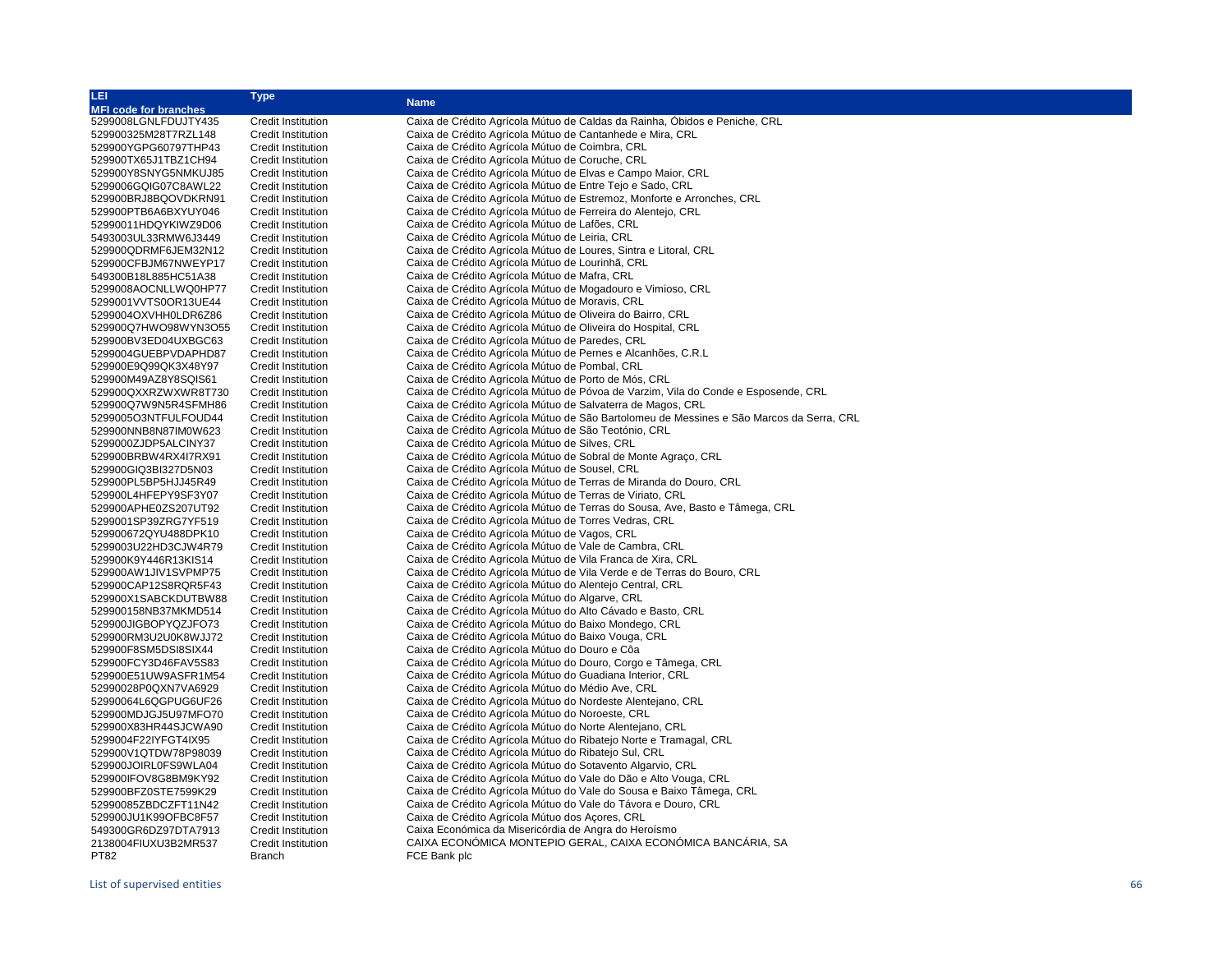| LEI                          | <b>Type</b>               | <b>Name</b>                                                                                                                           |  |  |  |
|------------------------------|---------------------------|---------------------------------------------------------------------------------------------------------------------------------------|--|--|--|
| <b>MFI code for branches</b> |                           |                                                                                                                                       |  |  |  |
| 5299008LGNLFDUJTY435         | <b>Credit Institution</b> | Caixa de Crédito Agrícola Mútuo de Caldas da Rainha, Óbidos e Peniche, CRL                                                            |  |  |  |
| 529900325M28T7RZL148         | <b>Credit Institution</b> | Caixa de Crédito Agrícola Mútuo de Cantanhede e Mira, CRL                                                                             |  |  |  |
| 529900YGPG60797THP43         | Credit Institution        | Caixa de Crédito Agrícola Mútuo de Coimbra, CRL                                                                                       |  |  |  |
| 529900TX65J1TBZ1CH94         | Credit Institution        | Caixa de Crédito Agrícola Mútuo de Coruche, CRL                                                                                       |  |  |  |
| 529900Y8SNYG5NMKUJ85         | Credit Institution        | Caixa de Crédito Agrícola Mútuo de Elvas e Campo Maior, CRL                                                                           |  |  |  |
| 5299006GQIG07C8AWL22         | <b>Credit Institution</b> | Caixa de Crédito Agrícola Mútuo de Entre Tejo e Sado, CRL                                                                             |  |  |  |
| 529900BRJ8BQOVDKRN91         | <b>Credit Institution</b> | Caixa de Crédito Agrícola Mútuo de Estremoz, Monforte e Arronches, CRL                                                                |  |  |  |
| 529900PTB6A6BXYUY046         | Credit Institution        | Caixa de Crédito Agrícola Mútuo de Ferreira do Alentejo, CRL                                                                          |  |  |  |
| 52990011HDQYKIWZ9D06         | Credit Institution        | Caixa de Crédito Agrícola Mútuo de Lafões, CRL                                                                                        |  |  |  |
| 5493003UL33RMW6J3449         | Credit Institution        | Caixa de Crédito Agrícola Mútuo de Leiria, CRL                                                                                        |  |  |  |
| 529900QDRMF6JEM32N12         | Credit Institution        | Caixa de Crédito Agrícola Mútuo de Loures, Sintra e Litoral, CRL                                                                      |  |  |  |
| 529900CFBJM67NWEYP17         | Credit Institution        | Caixa de Crédito Agrícola Mútuo de Lourinhã, CRL                                                                                      |  |  |  |
| 549300B18L885HC51A38         | Credit Institution        | Caixa de Crédito Agrícola Mútuo de Mafra, CRL                                                                                         |  |  |  |
| 5299008AOCNLLWQ0HP77         | Credit Institution        | Caixa de Crédito Agrícola Mútuo de Mogadouro e Vimioso, CRL                                                                           |  |  |  |
| 5299001VVTS0OR13UE44         | Credit Institution        | Caixa de Crédito Agrícola Mútuo de Moravis, CRL                                                                                       |  |  |  |
| 5299004OXVHH0LDR6Z86         | Credit Institution        | Caixa de Crédito Agrícola Mútuo de Oliveira do Bairro, CRL                                                                            |  |  |  |
| 529900Q7HWO98WYN3O55         | <b>Credit Institution</b> | Caixa de Crédito Agrícola Mútuo de Oliveira do Hospital, CRL                                                                          |  |  |  |
| 529900BV3ED04UXBGC63         | <b>Credit Institution</b> | Caixa de Crédito Agrícola Mútuo de Paredes, CRL                                                                                       |  |  |  |
| 5299004GUEBPVDAPHD87         | Credit Institution        | Caixa de Crédito Agrícola Mútuo de Pernes e Alcanhões, C.R.L.                                                                         |  |  |  |
| 529900E9Q99QK3X48Y97         | Credit Institution        | Caixa de Crédito Agrícola Mútuo de Pombal, CRL                                                                                        |  |  |  |
| 529900M49AZ8Y8SQIS61         | Credit Institution        | Caixa de Crédito Agrícola Mútuo de Porto de Mós, CRL                                                                                  |  |  |  |
| 529900QXXRZWXWR8T730         | Credit Institution        | Caixa de Crédito Agrícola Mútuo de Póvoa de Varzim, Vila do Conde e Esposende, CRL                                                    |  |  |  |
| 529900Q7W9N5R4SFMH86         | <b>Credit Institution</b> | Caixa de Crédito Agrícola Mútuo de Salvaterra de Magos, CRL                                                                           |  |  |  |
| 5299005O3NTFULFOUD44         | Credit Institution        | Caixa de Crédito Agrícola Mútuo de São Bartolomeu de Messines e São Marcos da Serra, CRL                                              |  |  |  |
| 529900NNB8N87IM0W623         | Credit Institution        |                                                                                                                                       |  |  |  |
| 5299000ZJDP5ALCINY37         | Credit Institution        | Caixa de Crédito Agrícola Mútuo de São Teotónio, CRL                                                                                  |  |  |  |
| 529900BRBW4RX4I7RX91         | <b>Credit Institution</b> | Caixa de Crédito Agrícola Mútuo de Silves, CRL                                                                                        |  |  |  |
|                              |                           | Caixa de Crédito Agrícola Mútuo de Sobral de Monte Agraço, CRL                                                                        |  |  |  |
| 529900GIQ3BI327D5N03         | Credit Institution        | Caixa de Crédito Agrícola Mútuo de Sousel, CRL                                                                                        |  |  |  |
| 529900PL5BP5HJJ45R49         | <b>Credit Institution</b> | Caixa de Crédito Agrícola Mútuo de Terras de Miranda do Douro, CRL                                                                    |  |  |  |
| 529900L4HFEPY9SF3Y07         | Credit Institution        | Caixa de Crédito Agrícola Mútuo de Terras de Viriato, CRL                                                                             |  |  |  |
| 529900APHE0ZS207UT92         | Credit Institution        | Caixa de Crédito Agrícola Mútuo de Terras do Sousa, Ave, Basto e Tâmega, CRL<br>Caixa de Crédito Agrícola Mútuo de Torres Vedras, CRL |  |  |  |
| 5299001SP39ZRG7YF519         | Credit Institution        | Caixa de Crédito Agrícola Mútuo de Vagos, CRL                                                                                         |  |  |  |
| 529900672QYU488DPK10         | <b>Credit Institution</b> |                                                                                                                                       |  |  |  |
| 5299003U22HD3CJW4R79         | <b>Credit Institution</b> | Caixa de Crédito Agrícola Mútuo de Vale de Cambra, CRL                                                                                |  |  |  |
| 529900K9Y446R13KIS14         | Credit Institution        | Caixa de Crédito Agrícola Mútuo de Vila Franca de Xira, CRL                                                                           |  |  |  |
| 529900AW1JIV1SVPMP75         | Credit Institution        | Caixa de Crédito Agrícola Mútuo de Vila Verde e de Terras do Bouro, CRL                                                               |  |  |  |
| 529900CAP12S8RQR5F43         | Credit Institution        | Caixa de Crédito Agrícola Mútuo do Alentejo Central, CRL                                                                              |  |  |  |
| 529900X1SABCKDUTBW88         | <b>Credit Institution</b> | Caixa de Crédito Agrícola Mútuo do Algarve, CRL                                                                                       |  |  |  |
| 529900158NB37MKMD514         | <b>Credit Institution</b> | Caixa de Crédito Agrícola Mútuo do Alto Cávado e Basto, CRL                                                                           |  |  |  |
| 529900JIGBOPYQZJFO73         | <b>Credit Institution</b> | Caixa de Crédito Agrícola Mútuo do Baixo Mondego, CRL                                                                                 |  |  |  |
| 529900RM3U2U0K8WJJ72         | Credit Institution        | Caixa de Crédito Agrícola Mútuo do Baixo Vouga, CRL                                                                                   |  |  |  |
| 529900F8SM5DSI8SIX44         | <b>Credit Institution</b> | Caixa de Crédito Agrícola Mútuo do Douro e Côa                                                                                        |  |  |  |
| 529900FCY3D46FAV5S83         | <b>Credit Institution</b> | Caixa de Crédito Agrícola Mútuo do Douro, Corgo e Tâmega, CRL                                                                         |  |  |  |
| 529900E51UW9ASFR1M54         | <b>Credit Institution</b> | Caixa de Crédito Agrícola Mútuo do Guadiana Interior, CRL                                                                             |  |  |  |
| 52990028P0QXN7VA6929         | <b>Credit Institution</b> | Caixa de Crédito Agrícola Mútuo do Médio Ave, CRL                                                                                     |  |  |  |
| 52990064L6QGPUG6UF26         | Credit Institution        | Caixa de Crédito Agrícola Mútuo do Nordeste Alentejano, CRL                                                                           |  |  |  |
| 529900MDJGJ5U97MFO70         | Credit Institution        | Caixa de Crédito Agrícola Mútuo do Noroeste, CRL                                                                                      |  |  |  |
| 529900X83HR44SJCWA90         | Credit Institution        | Caixa de Crédito Agrícola Mútuo do Norte Alentejano, CRL                                                                              |  |  |  |
| 5299004F22IYFGT4IX95         | Credit Institution        | Caixa de Crédito Agrícola Mútuo do Ribatejo Norte e Tramagal, CRL                                                                     |  |  |  |
| 529900V1QTDW78P98039         | Credit Institution        | Caixa de Crédito Agrícola Mútuo do Ribatejo Sul, CRL                                                                                  |  |  |  |
| 529900JOIRL0FS9WLA04         | Credit Institution        | Caixa de Crédito Agrícola Mútuo do Sotavento Algarvio, CRL                                                                            |  |  |  |
| 529900IFOV8G8BM9KY92         | Credit Institution        | Caixa de Crédito Agrícola Mútuo do Vale do Dão e Alto Vouga, CRL                                                                      |  |  |  |
| 529900BFZ0STE7599K29         | Credit Institution        | Caixa de Crédito Agrícola Mútuo do Vale do Sousa e Baixo Tâmega, CRL                                                                  |  |  |  |
| 52990085ZBDCZFT11N42         | Credit Institution        | Caixa de Crédito Agrícola Mútuo do Vale do Távora e Douro, CRL                                                                        |  |  |  |
| 529900JU1K99OFBC8F57         | <b>Credit Institution</b> | Caixa de Crédito Agrícola Mútuo dos Açores, CRL                                                                                       |  |  |  |
| 549300GR6DZ97DTA7913         | Credit Institution        | Caixa Económica da Misericórdia de Angra do Heroísmo                                                                                  |  |  |  |
| 2138004FIUXU3B2MR537         | Credit Institution        | CAIXA ECONÓMICA MONTEPIO GERAL, CAIXA ECONÓMICA BANCÁRIA, SA                                                                          |  |  |  |
| PT82                         | <b>Branch</b>             | FCE Bank plc                                                                                                                          |  |  |  |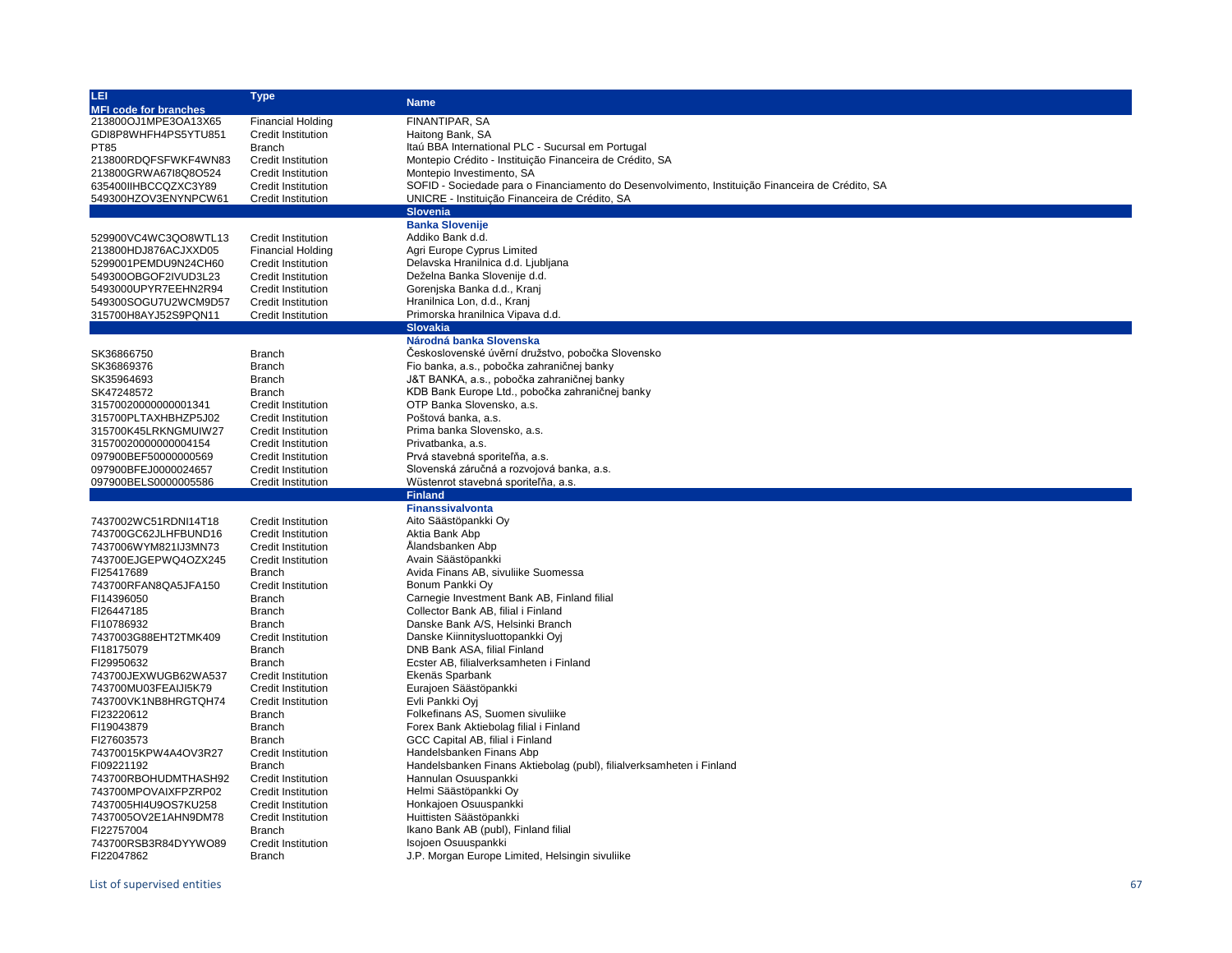| LEI                          | <b>Type</b>               | <b>Name</b>                                                                                      |  |  |  |
|------------------------------|---------------------------|--------------------------------------------------------------------------------------------------|--|--|--|
| <b>MFI code for branches</b> |                           |                                                                                                  |  |  |  |
| 213800OJ1MPE3OA13X65         | <b>Financial Holding</b>  | FINANTIPAR, SA                                                                                   |  |  |  |
| GDI8P8WHFH4PS5YTU851         | Credit Institution        | Haitong Bank, SA                                                                                 |  |  |  |
| <b>PT85</b>                  | <b>Branch</b>             | Itaú BBA International PLC - Sucursal em Portugal                                                |  |  |  |
| 213800RDQFSFWKF4WN83         | <b>Credit Institution</b> | Montepio Crédito - Instituição Financeira de Crédito, SA                                         |  |  |  |
| 213800GRWA67I8Q8O524         | <b>Credit Institution</b> | Montepio Investimento, SA                                                                        |  |  |  |
| 635400IIHBCCQZXC3Y89         | <b>Credit Institution</b> | SOFID - Sociedade para o Financiamento do Desenvolvimento, Instituição Financeira de Crédito, SA |  |  |  |
| 549300HZOV3ENYNPCW61         | <b>Credit Institution</b> | UNICRE - Instituição Financeira de Crédito, SA                                                   |  |  |  |
|                              |                           | <b>Slovenia</b>                                                                                  |  |  |  |
|                              |                           | <b>Banka Slovenije</b>                                                                           |  |  |  |
| 529900VC4WC3QO8WTL13         | <b>Credit Institution</b> | Addiko Bank d.d.                                                                                 |  |  |  |
| 213800HDJ876ACJXXD05         | <b>Financial Holding</b>  | Agri Europe Cyprus Limited                                                                       |  |  |  |
| 5299001PEMDU9N24CH60         |                           | Delavska Hranilnica d.d. Ljubljana                                                               |  |  |  |
|                              | Credit Institution        |                                                                                                  |  |  |  |
| 549300OBGOF2IVUD3L23         | <b>Credit Institution</b> | Deželna Banka Slovenije d.d.                                                                     |  |  |  |
| 5493000UPYR7EEHN2R94         | <b>Credit Institution</b> | Gorenjska Banka d.d., Kranj                                                                      |  |  |  |
| 549300SOGU7U2WCM9D57         | <b>Credit Institution</b> | Hranilnica Lon, d.d., Kranj                                                                      |  |  |  |
| 315700H8AYJ52S9PQN11         | <b>Credit Institution</b> | Primorska hranilnica Vipava d.d.                                                                 |  |  |  |
|                              |                           | <b>Slovakia</b>                                                                                  |  |  |  |
|                              |                           | Národná banka Slovenska                                                                          |  |  |  |
| SK36866750                   | <b>Branch</b>             | Československé úvěrní družstvo, pobočka Slovensko                                                |  |  |  |
| SK36869376                   | <b>Branch</b>             | Fio banka, a.s., pobočka zahraničnej banky                                                       |  |  |  |
| SK35964693                   | <b>Branch</b>             | J&T BANKA, a.s., pobočka zahraničnej banky                                                       |  |  |  |
| SK47248572                   | <b>Branch</b>             | KDB Bank Europe Ltd., pobočka zahraničnej banky                                                  |  |  |  |
| 31570020000000001341         | <b>Credit Institution</b> | OTP Banka Slovensko, a.s.                                                                        |  |  |  |
| 315700PLTAXHBHZP5J02         | <b>Credit Institution</b> | Poštová banka, a.s.                                                                              |  |  |  |
| 315700K45LRKNGMUIW27         | <b>Credit Institution</b> | Prima banka Slovensko, a.s.                                                                      |  |  |  |
| 31570020000000004154         | <b>Credit Institution</b> | Privatbanka, a.s.                                                                                |  |  |  |
| 097900BEF50000000569         | <b>Credit Institution</b> | Prvá stavebná sporiteľňa, a.s.                                                                   |  |  |  |
| 097900BFEJ0000024657         | <b>Credit Institution</b> | Slovenská záručná a rozvojová banka, a.s.                                                        |  |  |  |
| 097900BELS0000005586         | Credit Institution        | Wüstenrot stavebná sporiteľňa, a.s.                                                              |  |  |  |
|                              |                           | <b>Finland</b>                                                                                   |  |  |  |
|                              |                           | <b>Finanssivalvonta</b>                                                                          |  |  |  |
| 7437002WC51RDNI14T18         | <b>Credit Institution</b> | Aito Säästöpankki Oy                                                                             |  |  |  |
| 743700GC62JLHFBUND16         | <b>Credit Institution</b> | Aktia Bank Abp                                                                                   |  |  |  |
| 7437006WYM821IJ3MN73         | <b>Credit Institution</b> | Ålandsbanken Abp                                                                                 |  |  |  |
| 743700EJGEPWQ4OZX245         | <b>Credit Institution</b> | Avain Säästöpankki                                                                               |  |  |  |
| FI25417689                   | <b>Branch</b>             | Avida Finans AB, sivuliike Suomessa                                                              |  |  |  |
| 743700RFAN8QA5JFA150         | <b>Credit Institution</b> | Bonum Pankki Oy                                                                                  |  |  |  |
| FI14396050                   | <b>Branch</b>             |                                                                                                  |  |  |  |
| FI26447185                   | <b>Branch</b>             | Carnegie Investment Bank AB, Finland filial                                                      |  |  |  |
| FI10786932                   | Branch                    | Collector Bank AB, filial i Finland                                                              |  |  |  |
| 7437003G88EHT2TMK409         | Credit Institution        | Danske Bank A/S, Helsinki Branch                                                                 |  |  |  |
|                              |                           | Danske Kiinnitysluottopankki Oyj                                                                 |  |  |  |
| FI18175079                   | <b>Branch</b>             | DNB Bank ASA, filial Finland                                                                     |  |  |  |
| FI29950632                   | Branch                    | Ecster AB, filialverksamheten i Finland                                                          |  |  |  |
| 743700JEXWUGB62WA537         | Credit Institution        | Ekenäs Sparbank                                                                                  |  |  |  |
| 743700MU03FEAIJI5K79         | Credit Institution        | Eurajoen Säästöpankki                                                                            |  |  |  |
| 743700VK1NB8HRGTQH74         | <b>Credit Institution</b> | Evli Pankki Oyj                                                                                  |  |  |  |
| FI23220612                   | <b>Branch</b>             | Folkefinans AS, Suomen sivuliike                                                                 |  |  |  |
| FI19043879                   | <b>Branch</b>             | Forex Bank Aktiebolag filial i Finland                                                           |  |  |  |
| FI27603573                   | Branch                    | GCC Capital AB, filial i Finland                                                                 |  |  |  |
| 74370015KPW4A4OV3R27         | Credit Institution        | Handelsbanken Finans Abp                                                                         |  |  |  |
| FI09221192                   | <b>Branch</b>             | Handelsbanken Finans Aktiebolag (publ), filialverksamheten i Finland                             |  |  |  |
| 743700RBOHUDMTHASH92         | <b>Credit Institution</b> | Hannulan Osuuspankki                                                                             |  |  |  |
| 743700MPOVAIXFPZRP02         | Credit Institution        | Helmi Säästöpankki Oy                                                                            |  |  |  |
| 7437005HI4U9OS7KU258         | <b>Credit Institution</b> | Honkajoen Osuuspankki                                                                            |  |  |  |
| 7437005OV2E1AHN9DM78         | <b>Credit Institution</b> | Huittisten Säästöpankki                                                                          |  |  |  |
| FI22757004                   | <b>Branch</b>             | Ikano Bank AB (publ), Finland filial                                                             |  |  |  |
| 743700RSB3R84DYYWO89         | <b>Credit Institution</b> | Isojoen Osuuspankki                                                                              |  |  |  |
|                              |                           | J.P. Morgan Europe Limited, Helsingin sivuliike                                                  |  |  |  |
| FI22047862                   | Branch                    |                                                                                                  |  |  |  |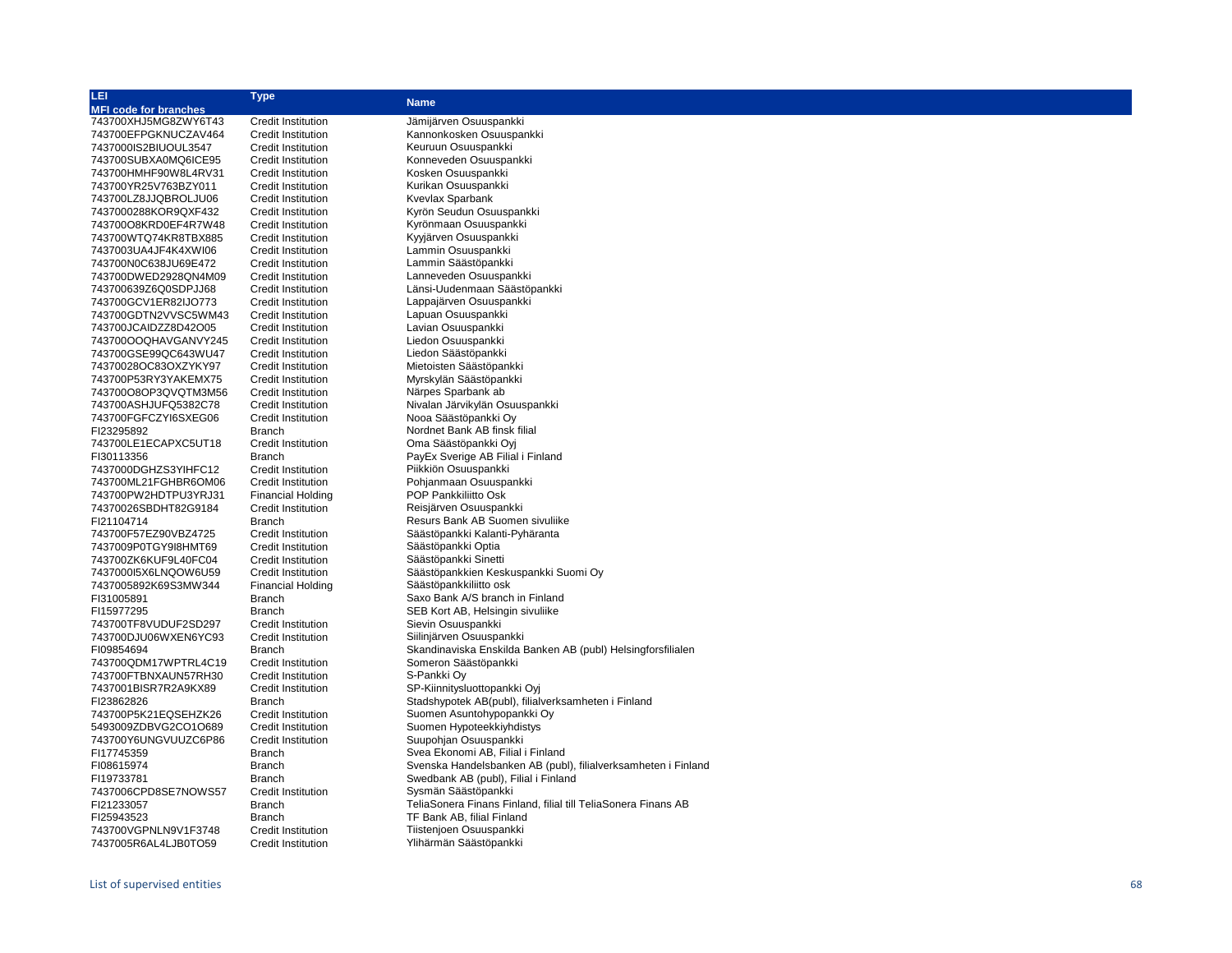| 呾                            | <b>Type</b>               |                                                               |  |  |  |
|------------------------------|---------------------------|---------------------------------------------------------------|--|--|--|
| <b>MFI code for branches</b> |                           | <b>Name</b>                                                   |  |  |  |
| 743700XHJ5MG8ZWY6T43         | <b>Credit Institution</b> | Jämijärven Osuuspankki                                        |  |  |  |
| 743700EFPGKNUCZAV464         | <b>Credit Institution</b> | Kannonkosken Osuuspankki                                      |  |  |  |
| 7437000IS2BIUOUL3547         | <b>Credit Institution</b> | Keuruun Osuuspankki                                           |  |  |  |
| 743700SUBXA0MQ6ICE95         | Credit Institution        | Konneveden Osuuspankki                                        |  |  |  |
| 743700HMHF90W8L4RV31         | <b>Credit Institution</b> | Kosken Osuuspankki                                            |  |  |  |
| 743700YR25V763BZY011         | <b>Credit Institution</b> | Kurikan Osuuspankki                                           |  |  |  |
| 743700LZ8JJQBROLJU06         | <b>Credit Institution</b> | Kvevlax Sparbank                                              |  |  |  |
| 7437000288KOR9QXF432         |                           | Kyrön Seudun Osuuspankki                                      |  |  |  |
| 743700O8KRD0EF4R7W48         | Credit Institution        | Kyrönmaan Osuuspankki                                         |  |  |  |
|                              | <b>Credit Institution</b> |                                                               |  |  |  |
| 743700WTQ74KR8TBX885         | <b>Credit Institution</b> | Kyyjärven Osuuspankki                                         |  |  |  |
| 7437003UA4JF4K4XWI06         | <b>Credit Institution</b> | Lammin Osuuspankki                                            |  |  |  |
| 743700N0C638JU69E472         | <b>Credit Institution</b> | Lammin Säästöpankki                                           |  |  |  |
| 743700DWED2928QN4M09         | <b>Credit Institution</b> | Lanneveden Osuuspankki                                        |  |  |  |
| 743700639Z6Q0SDPJJ68         | <b>Credit Institution</b> | Länsi-Uudenmaan Säästöpankki                                  |  |  |  |
| 743700GCV1ER82IJO773         | <b>Credit Institution</b> | Lappajärven Osuuspankki                                       |  |  |  |
| 743700GDTN2VVSC5WM43         | <b>Credit Institution</b> | Lapuan Osuuspankki                                            |  |  |  |
| 743700JCAIDZZ8D42O05         | <b>Credit Institution</b> | Lavian Osuuspankki                                            |  |  |  |
| 743700OOQHAVGANVY245         | <b>Credit Institution</b> | Liedon Osuuspankki                                            |  |  |  |
| 743700GSE99QC643WU47         | <b>Credit Institution</b> | Liedon Säästöpankki                                           |  |  |  |
| 74370028OC83OXZYKY97         | Credit Institution        | Mietoisten Säästöpankki                                       |  |  |  |
| 743700P53RY3YAKEMX75         | <b>Credit Institution</b> | Myrskylän Säästöpankki                                        |  |  |  |
| 743700O8OP3QVQTM3M56         | <b>Credit Institution</b> | Närpes Sparbank ab                                            |  |  |  |
| 743700ASHJUFQ5382C78         | <b>Credit Institution</b> | Nivalan Järvikylän Osuuspankki                                |  |  |  |
| 743700FGFCZYI6SXEG06         | <b>Credit Institution</b> | Nooa Säästöpankki Oy                                          |  |  |  |
| FI23295892                   | Branch                    | Nordnet Bank AB finsk filial                                  |  |  |  |
| 743700LE1ECAPXC5UT18         | <b>Credit Institution</b> | Oma Säästöpankki Oyi                                          |  |  |  |
| FI30113356                   | <b>Branch</b>             | PayEx Sverige AB Filial i Finland                             |  |  |  |
| 7437000DGHZS3YIHFC12         | <b>Credit Institution</b> | Piikkiön Osuuspankki                                          |  |  |  |
| 743700ML21FGHBR6OM06         | Credit Institution        | Pohjanmaan Osuuspankki                                        |  |  |  |
| 743700PW2HDTPU3YRJ31         | <b>Financial Holding</b>  | POP Pankkiliitto Osk                                          |  |  |  |
| 74370026SBDHT82G9184         | <b>Credit Institution</b> | Reisjärven Osuuspankki                                        |  |  |  |
|                              |                           | Resurs Bank AB Suomen sivuliike                               |  |  |  |
| FI21104714                   | Branch                    |                                                               |  |  |  |
| 743700F57EZ90VBZ4725         | <b>Credit Institution</b> | Säästöpankki Kalanti-Pyhäranta                                |  |  |  |
| 7437009P0TGY9I8HMT69         | <b>Credit Institution</b> | Säästöpankki Optia                                            |  |  |  |
| 743700ZK6KUF9L40FC04         | Credit Institution        | Säästöpankki Sinetti                                          |  |  |  |
| 743700015X6LNQOW6U59         | Credit Institution        | Säästöpankkien Keskuspankki Suomi Oy                          |  |  |  |
| 7437005892K69S3MW344         | <b>Financial Holding</b>  | Säästöpankkiliitto osk                                        |  |  |  |
| FI31005891                   | <b>Branch</b>             | Saxo Bank A/S branch in Finland                               |  |  |  |
| FI15977295                   | Branch                    | SEB Kort AB, Helsingin sivuliike                              |  |  |  |
| 743700TF8VUDUF2SD297         | <b>Credit Institution</b> | Sievin Osuuspankki                                            |  |  |  |
| 743700DJU06WXEN6YC93         | Credit Institution        | Siilinjärven Osuuspankki                                      |  |  |  |
| FI09854694                   | <b>Branch</b>             | Skandinaviska Enskilda Banken AB (publ) Helsingforsfilialen   |  |  |  |
| 743700QDM17WPTRL4C19         | <b>Credit Institution</b> | Someron Säästöpankki                                          |  |  |  |
| 743700FTBNXAUN57RH30         | <b>Credit Institution</b> | S-Pankki Oy                                                   |  |  |  |
| 7437001BISR7R2A9KX89         | <b>Credit Institution</b> | SP-Kiinnitysluottopankki Oyi                                  |  |  |  |
| FI23862826                   | Branch                    | Stadshypotek AB(publ), filialverksamheten i Finland           |  |  |  |
| 743700P5K21EQSEHZK26         | Credit Institution        | Suomen Asuntohypopankki Oy                                    |  |  |  |
| 5493009ZDBVG2CO1O689         | Credit Institution        | Suomen Hypoteekkiyhdistys                                     |  |  |  |
| 743700Y6UNGVUUZC6P86         | Credit Institution        | Suupohjan Osuuspankki                                         |  |  |  |
| FI17745359                   | Branch                    | Svea Ekonomi AB, Filial i Finland                             |  |  |  |
| FI08615974                   | Branch                    | Svenska Handelsbanken AB (publ), filialverksamheten i Finland |  |  |  |
| FI19733781                   | <b>Branch</b>             | Swedbank AB (publ), Filial i Finland                          |  |  |  |
| 7437006CPD8SE7NOWS57         | <b>Credit Institution</b> | Sysmän Säästöpankki                                           |  |  |  |
| FI21233057                   | Branch                    | TeliaSonera Finans Finland, filial till TeliaSonera Finans AB |  |  |  |
| FI25943523                   | <b>Branch</b>             | TF Bank AB, filial Finland                                    |  |  |  |
| 743700VGPNLN9V1F3748         | <b>Credit Institution</b> | Tiistenjoen Osuuspankki                                       |  |  |  |
| 7437005R6AL4LJB0TO59         | <b>Credit Institution</b> | Ylihärmän Säästöpankki                                        |  |  |  |
|                              |                           |                                                               |  |  |  |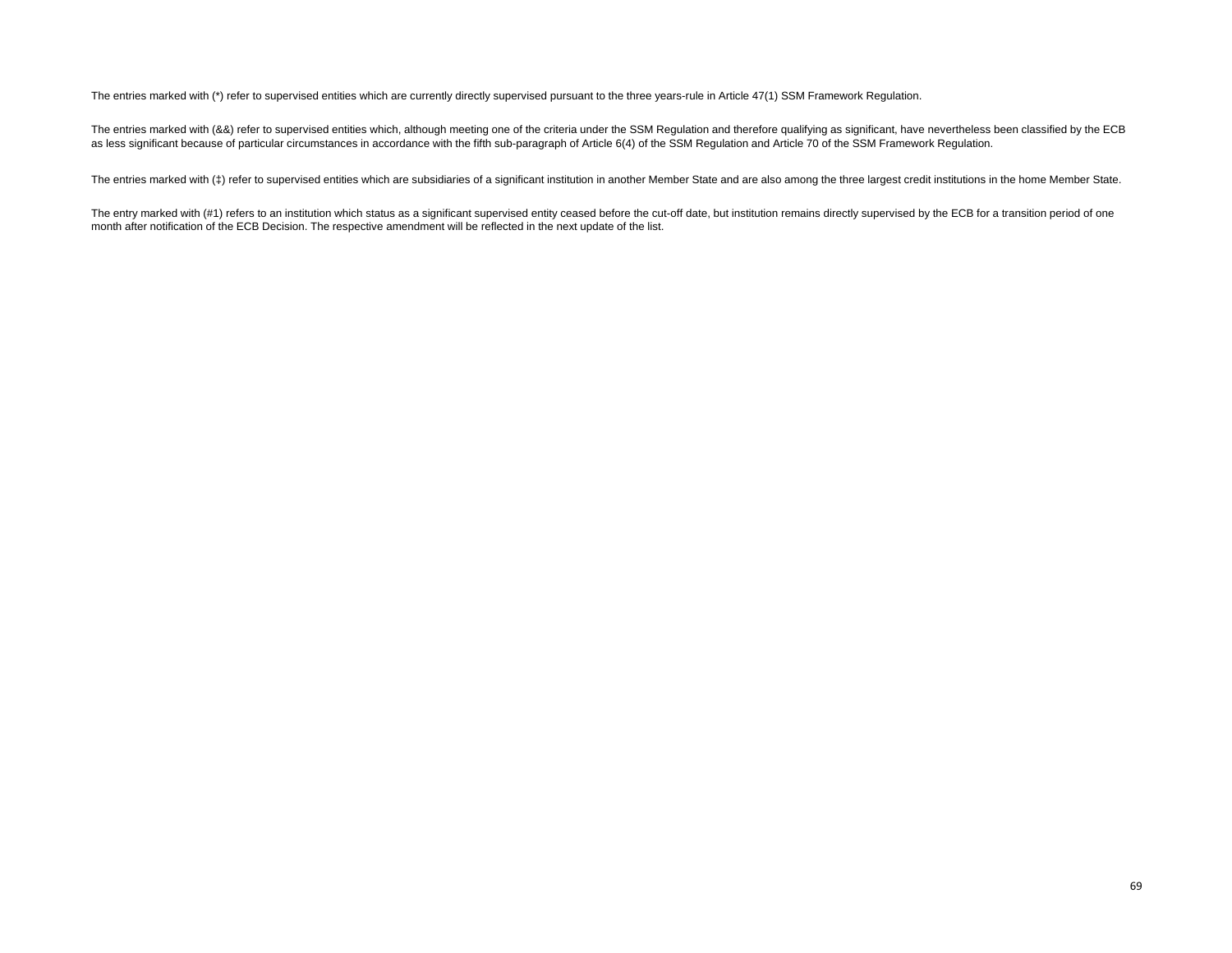The entries marked with (\*) refer to supervised entities which are currently directly supervised pursuant to the three years-rule in Article 47(1) SSM Framework Regulation.

The entries marked with (&&) refer to supervised entities which, although meeting one of the criteria under the SSM Regulation and therefore qualifying as significant, have nevertheless been classified by the ECB as less significant because of particular circumstances in accordance with the fifth sub-paragraph of Article 6(4) of the SSM Regulation and Article 70 of the SSM Framework Regulation.

The entries marked with (‡) refer to supervised entities which are subsidiaries of a significant institution in another Member State and are also among the three largest credit institutions in the home Member State.

The entry marked with (#1) refers to an institution which status as a significant supervised entity ceased before the cut-off date, but institution remains directly supervised by the ECB for a transition period of one month after notification of the ECB Decision. The respective amendment will be reflected in the next update of the list.